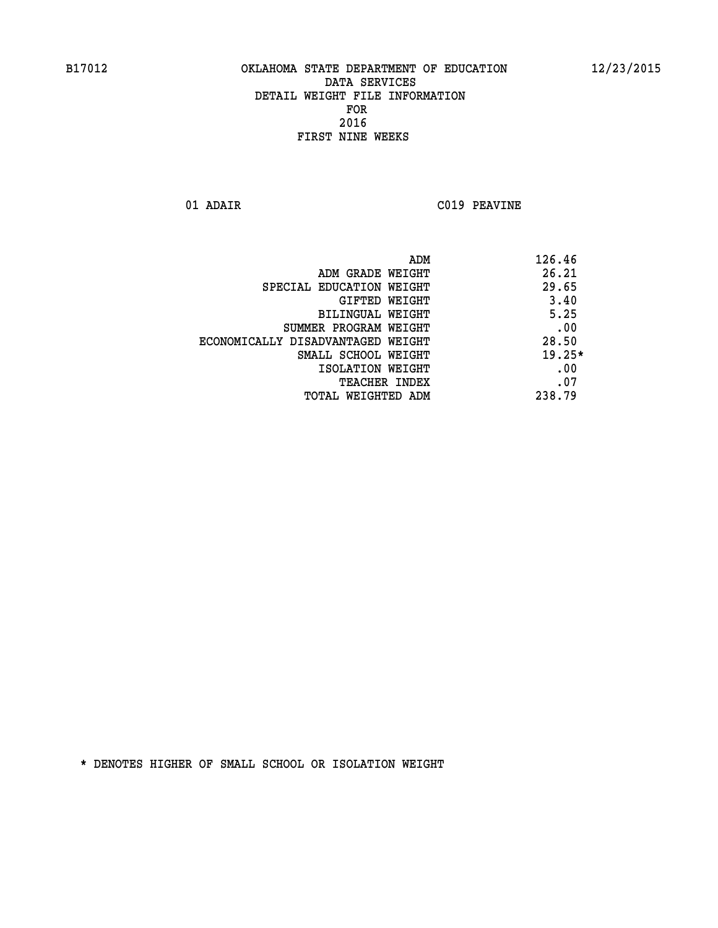**01 ADAIR C019 PEAVINE**

| ADM                               | 126.46   |
|-----------------------------------|----------|
| ADM GRADE WEIGHT                  | 26.21    |
| SPECIAL EDUCATION WEIGHT          | 29.65    |
| GIFTED WEIGHT                     | 3.40     |
| BILINGUAL WEIGHT                  | 5.25     |
| SUMMER PROGRAM WEIGHT             | .00      |
| ECONOMICALLY DISADVANTAGED WEIGHT | 28.50    |
| SMALL SCHOOL WEIGHT               | $19.25*$ |
| ISOLATION WEIGHT                  | .00      |
| <b>TEACHER INDEX</b>              | .07      |
| <b>TOTAL WEIGHTED ADM</b>         | 238.79   |
|                                   |          |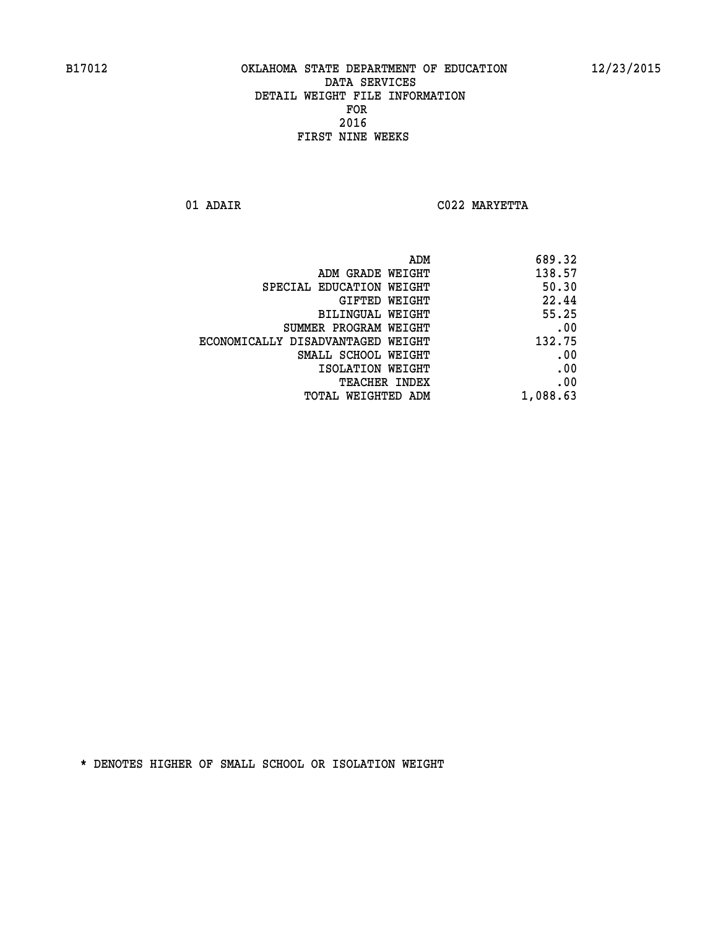**01 ADAIR C022 MARYETTA** 

| 689.32   |
|----------|
| 138.57   |
| 50.30    |
| 22.44    |
| 55.25    |
| .00      |
| 132.75   |
| .00      |
| .00      |
| .00      |
| 1,088.63 |
|          |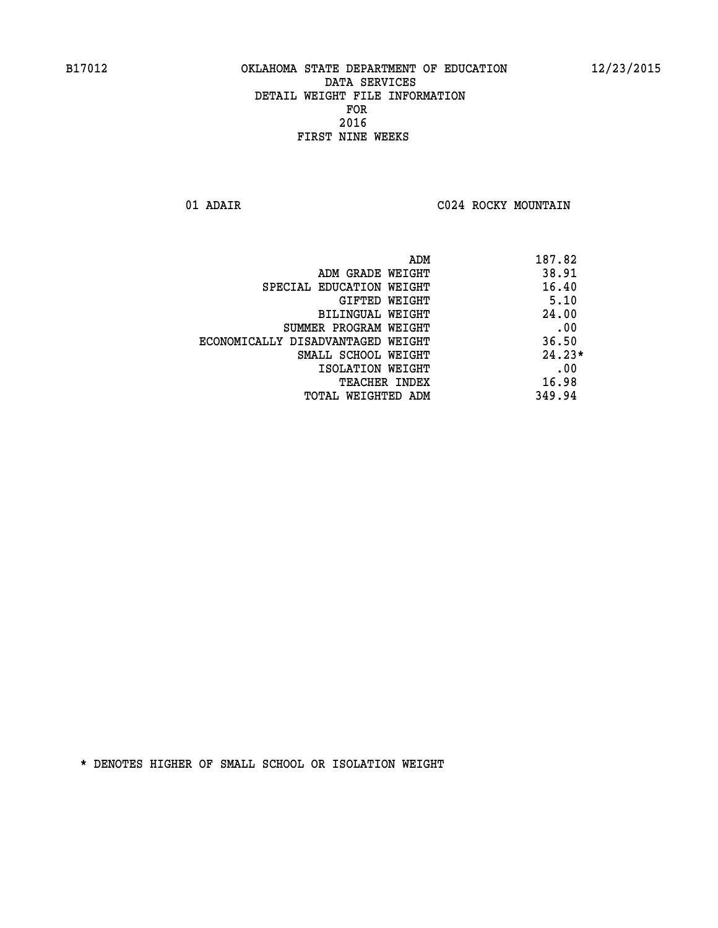**01 ADAIR C024 ROCKY MOUNTAIN** 

|                                   | ADM | 187.82   |
|-----------------------------------|-----|----------|
| ADM GRADE WEIGHT                  |     | 38.91    |
| SPECIAL EDUCATION WEIGHT          |     | 16.40    |
| GIFTED WEIGHT                     |     | 5.10     |
| BILINGUAL WEIGHT                  |     | 24.00    |
| SUMMER PROGRAM WEIGHT             |     | .00      |
| ECONOMICALLY DISADVANTAGED WEIGHT |     | 36.50    |
| SMALL SCHOOL WEIGHT               |     | $24.23*$ |
| ISOLATION WEIGHT                  |     | .00      |
| <b>TEACHER INDEX</b>              |     | 16.98    |
| TOTAL WEIGHTED ADM                |     | 349.94   |
|                                   |     |          |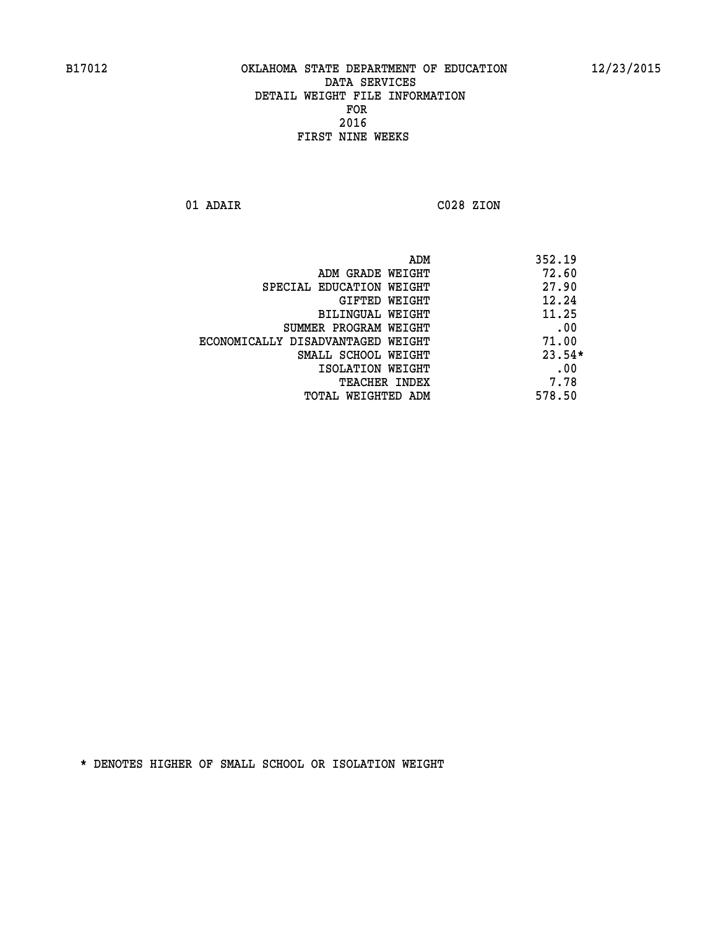**01 ADAIR C028 ZION** 

 **ADM 352.19** *ADM GRADE WEIGHT* **72.60 SPECIAL EDUCATION WEIGHT 47.90 GIFTED WEIGHT 42.24 BILINGUAL WEIGHT 11.25 SUMMER PROGRAM WEIGHT .00 ECONOMICALLY DISADVANTAGED WEIGHT 71.00 SMALL SCHOOL WEIGHT 23.54\* 1SOLATION WEIGHT .00 TEACHER INDEX** 7.78  **TOTAL WEIGHTED ADM 578.50**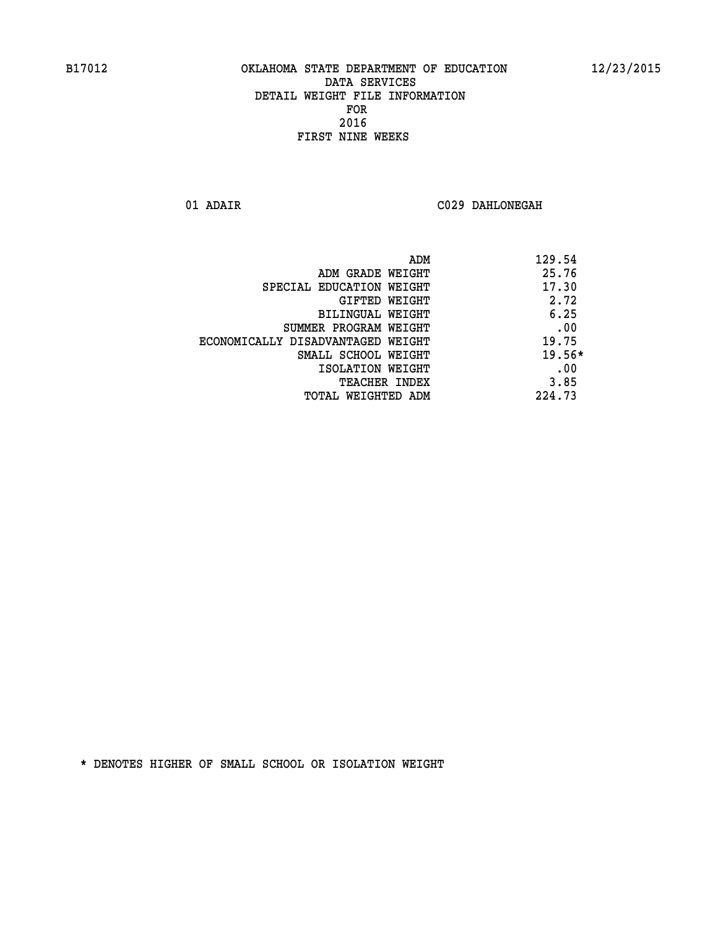**01 ADAIR C029 DAHLONEGAH** 

| ADM                               | 129.54   |
|-----------------------------------|----------|
| ADM GRADE WEIGHT                  | 25.76    |
| SPECIAL EDUCATION WEIGHT          | 17.30    |
| GIFTED WEIGHT                     | 2.72     |
| BILINGUAL WEIGHT                  | 6.25     |
| SUMMER PROGRAM WEIGHT             | .00      |
| ECONOMICALLY DISADVANTAGED WEIGHT | 19.75    |
| SMALL SCHOOL WEIGHT               | $19.56*$ |
| ISOLATION WEIGHT                  | .00      |
| <b>TEACHER INDEX</b>              | 3.85     |
| TOTAL WEIGHTED ADM                | 224.73   |
|                                   |          |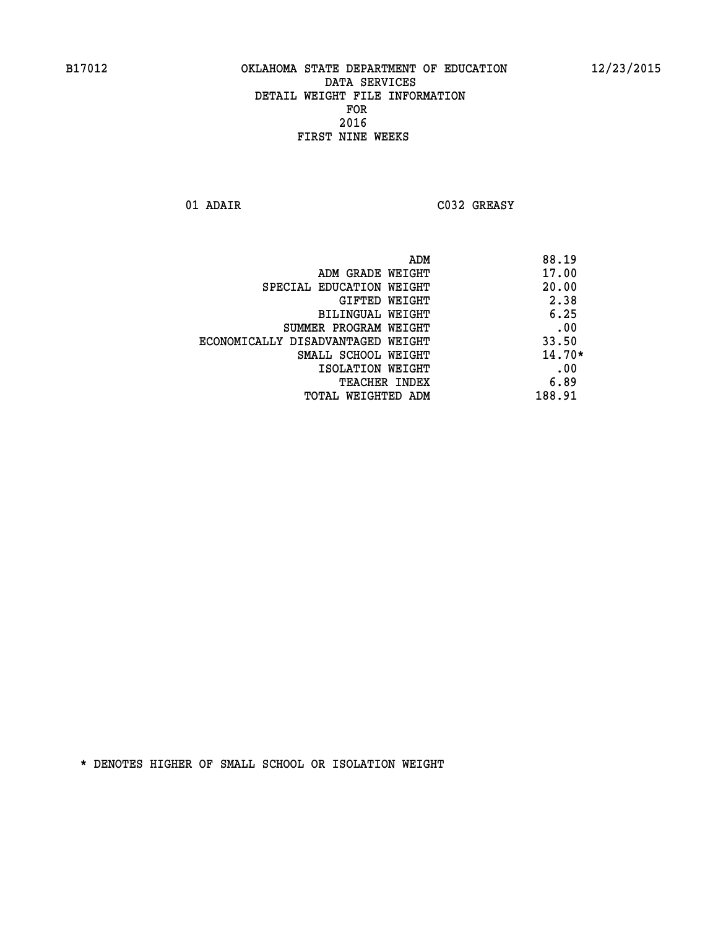**01 ADAIR C032 GREASY** 

|                                   | ADM | 88.19    |
|-----------------------------------|-----|----------|
| ADM GRADE WEIGHT                  |     | 17.00    |
| SPECIAL EDUCATION WEIGHT          |     | 20.00    |
| GIFTED WEIGHT                     |     | 2.38     |
| BILINGUAL WEIGHT                  |     | 6.25     |
| SUMMER PROGRAM WEIGHT             |     | .00      |
| ECONOMICALLY DISADVANTAGED WEIGHT |     | 33.50    |
| SMALL SCHOOL WEIGHT               |     | $14.70*$ |
| ISOLATION WEIGHT                  |     | .00      |
| <b>TEACHER INDEX</b>              |     | 6.89     |
| TOTAL WEIGHTED ADM                |     | 188.91   |
|                                   |     |          |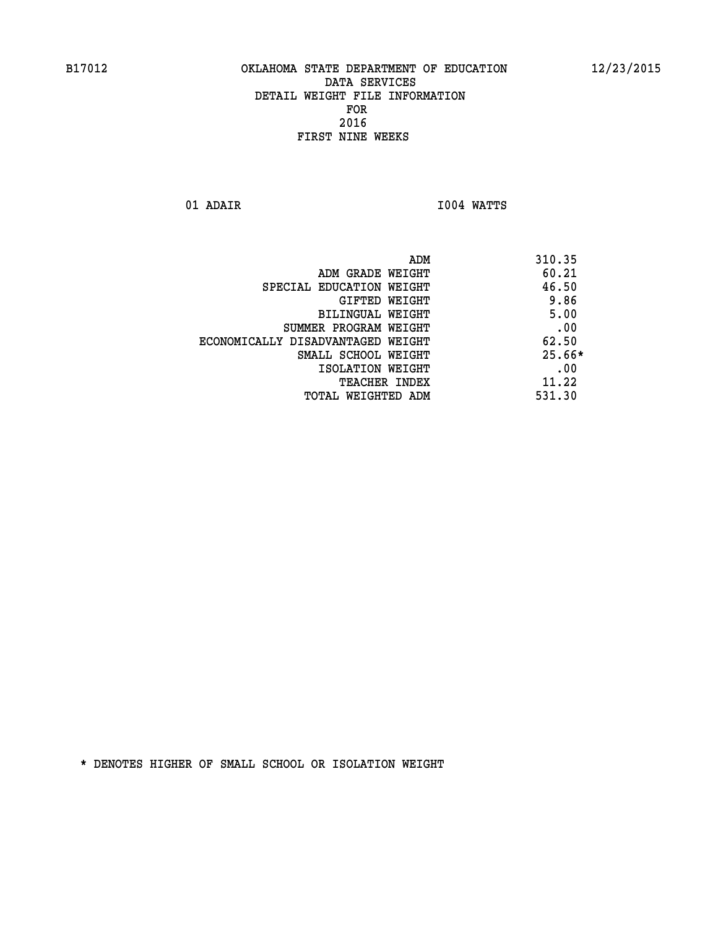**01 ADAIR I004 WATTS** 

|                                   | ADM | 310.35   |
|-----------------------------------|-----|----------|
| ADM GRADE WEIGHT                  |     | 60.21    |
| SPECIAL EDUCATION WEIGHT          |     | 46.50    |
| GIFTED WEIGHT                     |     | 9.86     |
| BILINGUAL WEIGHT                  |     | 5.00     |
| SUMMER PROGRAM WEIGHT             |     | .00      |
| ECONOMICALLY DISADVANTAGED WEIGHT |     | 62.50    |
| SMALL SCHOOL WEIGHT               |     | $25.66*$ |
| ISOLATION WEIGHT                  |     | .00      |
| TEACHER INDEX                     |     | 11.22    |
| TOTAL WEIGHTED ADM                |     | 531.30   |
|                                   |     |          |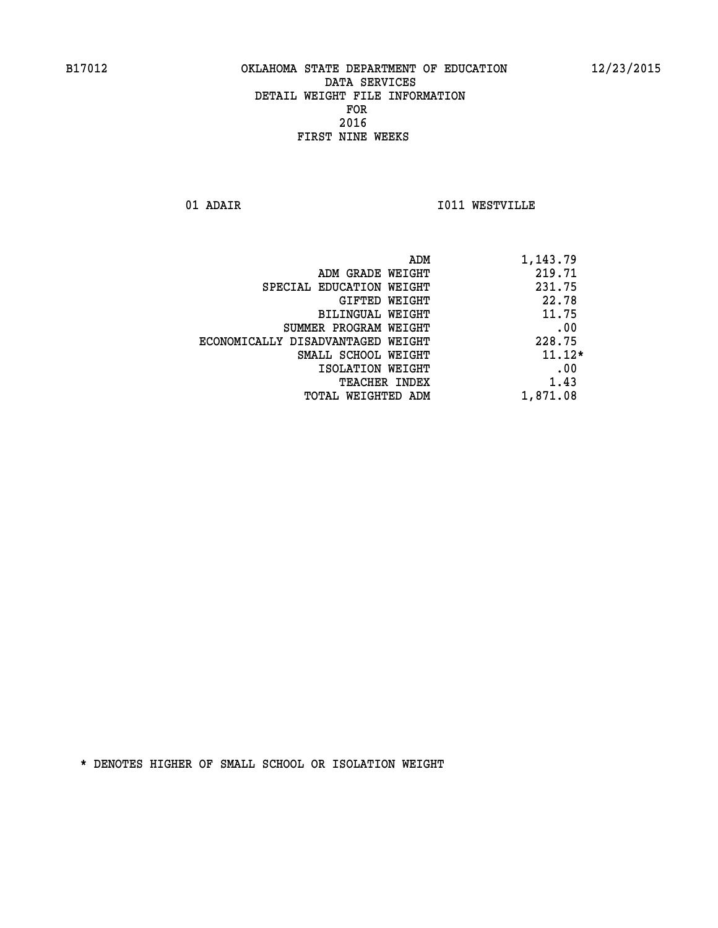**01 ADAIR I011 WESTVILLE** 

|                                   | ADM | 1,143.79 |
|-----------------------------------|-----|----------|
| ADM GRADE WEIGHT                  |     | 219.71   |
| SPECIAL EDUCATION WEIGHT          |     | 231.75   |
| GIFTED WEIGHT                     |     | 22.78    |
| BILINGUAL WEIGHT                  |     | 11.75    |
| SUMMER PROGRAM WEIGHT             |     | .00      |
| ECONOMICALLY DISADVANTAGED WEIGHT |     | 228.75   |
| SMALL SCHOOL WEIGHT               |     | $11.12*$ |
| ISOLATION WEIGHT                  |     | .00      |
| <b>TEACHER INDEX</b>              |     | 1.43     |
| TOTAL WEIGHTED ADM                |     | 1,871.08 |
|                                   |     |          |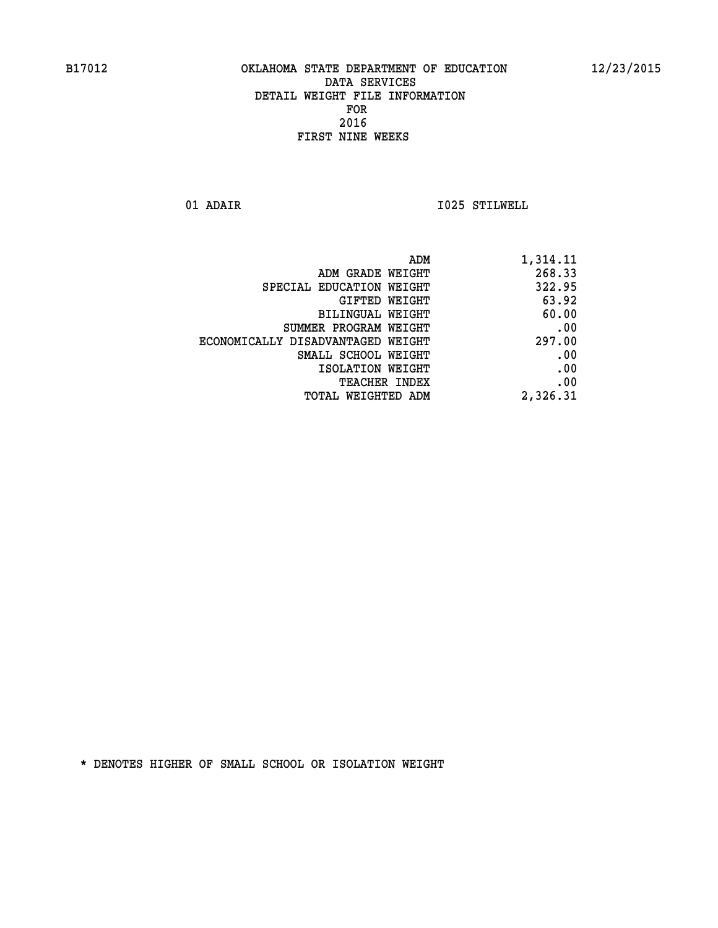**01 ADAIR I025 STILWELL** 

| 1,314.11 |
|----------|
| 268.33   |
| 322.95   |
| 63.92    |
| 60.00    |
| .00      |
| 297.00   |
| .00      |
| .00      |
| .00      |
| 2,326.31 |
|          |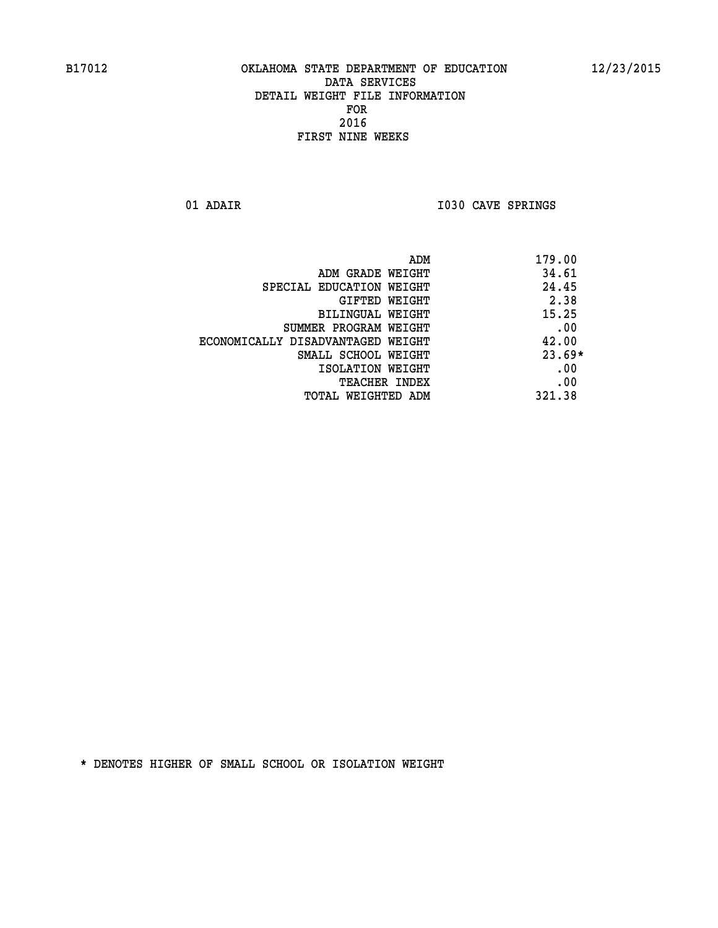01 ADAIR **I030 CAVE SPRINGS** 

| ADM                               | 179.00   |
|-----------------------------------|----------|
| ADM GRADE WEIGHT                  | 34.61    |
| SPECIAL EDUCATION WEIGHT          | 24.45    |
| <b>GIFTED WEIGHT</b>              | 2.38     |
| BILINGUAL WEIGHT                  | 15.25    |
| SUMMER PROGRAM WEIGHT             | .00      |
| ECONOMICALLY DISADVANTAGED WEIGHT | 42.00    |
| SMALL SCHOOL WEIGHT               | $23.69*$ |
| ISOLATION WEIGHT                  | .00      |
| <b>TEACHER INDEX</b>              | .00      |
| TOTAL WEIGHTED ADM                | 321.38   |
|                                   |          |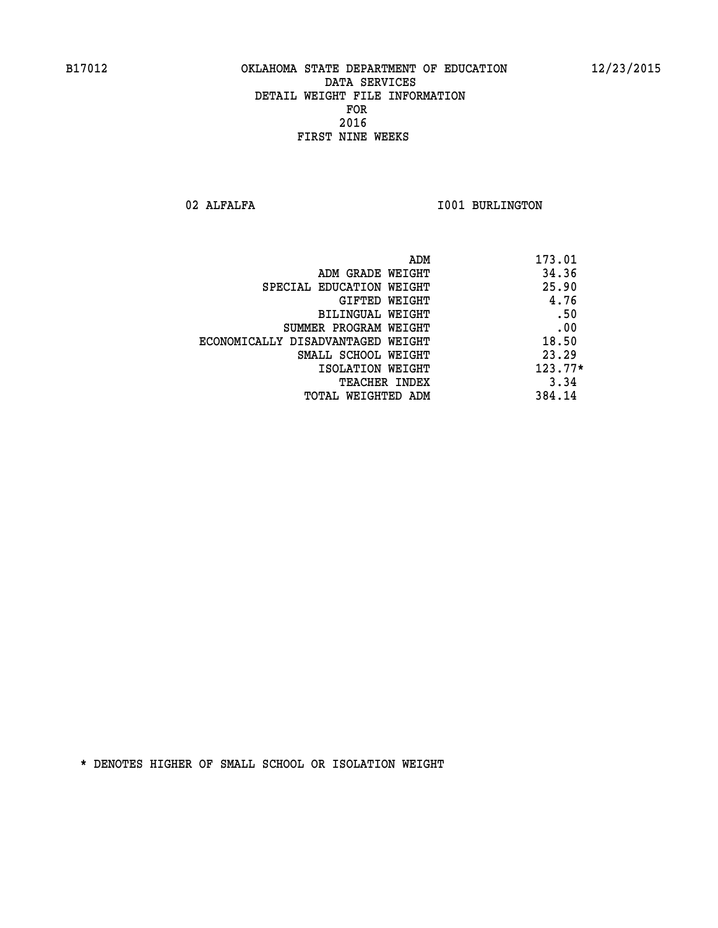02 ALFALFA **I001 BURLINGTON** 

| ADM                               | 173.01    |
|-----------------------------------|-----------|
| ADM GRADE WEIGHT                  | 34.36     |
| SPECIAL EDUCATION WEIGHT          | 25.90     |
| GIFTED WEIGHT                     | 4.76      |
| BILINGUAL WEIGHT                  | .50       |
| SUMMER PROGRAM WEIGHT             | .00       |
| ECONOMICALLY DISADVANTAGED WEIGHT | 18.50     |
| SMALL SCHOOL WEIGHT               | 23.29     |
| ISOLATION WEIGHT                  | $123.77*$ |
| <b>TEACHER INDEX</b>              | 3.34      |
| TOTAL WEIGHTED ADM                | 384.14    |
|                                   |           |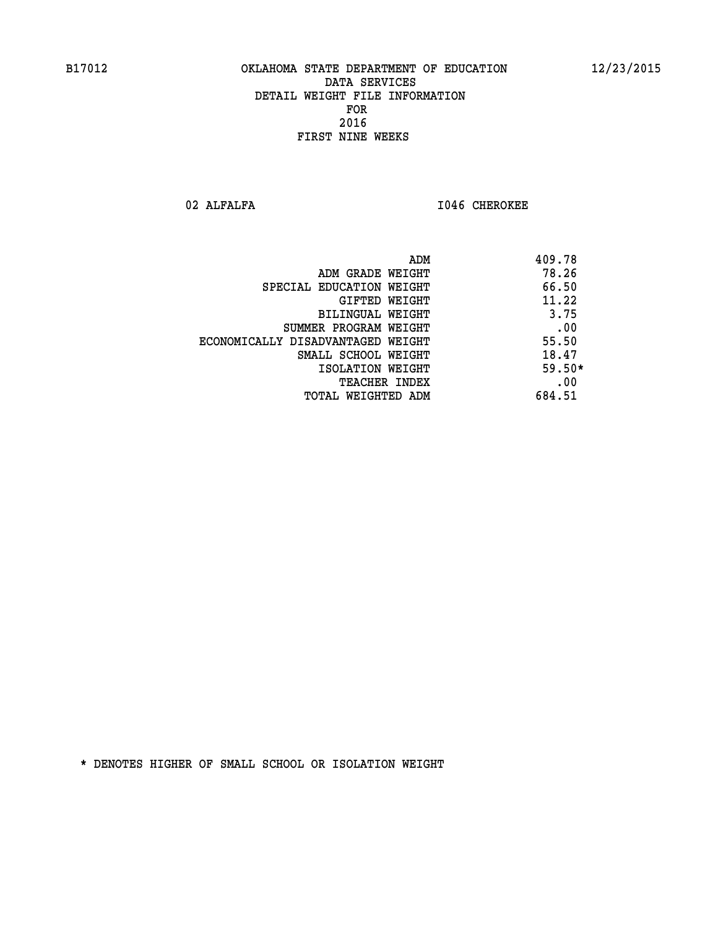**02 ALFALFA I046 CHEROKEE** 

| ADM                               | 409.78   |
|-----------------------------------|----------|
| ADM GRADE WEIGHT                  | 78.26    |
| SPECIAL EDUCATION WEIGHT          | 66.50    |
| GIFTED WEIGHT                     | 11.22    |
| <b>BILINGUAL WEIGHT</b>           | 3.75     |
| SUMMER PROGRAM WEIGHT             | .00      |
| ECONOMICALLY DISADVANTAGED WEIGHT | 55.50    |
| SMALL SCHOOL WEIGHT               | 18.47    |
| ISOLATION WEIGHT                  | $59.50*$ |
| <b>TEACHER INDEX</b>              | .00      |
| TOTAL WEIGHTED ADM                | 684.51   |
|                                   |          |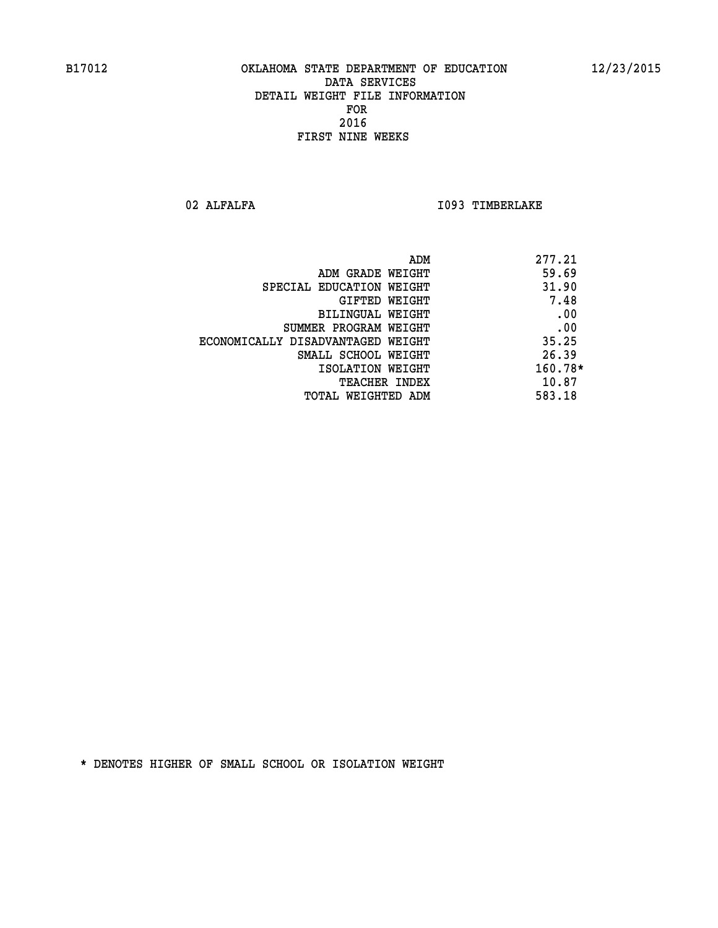02 ALFALFA **I093 TIMBERLAKE** 

| ADM                               | 277.21    |
|-----------------------------------|-----------|
| ADM GRADE WEIGHT                  | 59.69     |
| SPECIAL EDUCATION WEIGHT          | 31.90     |
| GIFTED WEIGHT                     | 7.48      |
| <b>BILINGUAL WEIGHT</b>           | .00       |
| SUMMER PROGRAM WEIGHT             | .00       |
| ECONOMICALLY DISADVANTAGED WEIGHT | 35.25     |
| SMALL SCHOOL WEIGHT               | 26.39     |
| ISOLATION WEIGHT                  | $160.78*$ |
| <b>TEACHER INDEX</b>              | 10.87     |
| TOTAL WEIGHTED ADM                | 583.18    |
|                                   |           |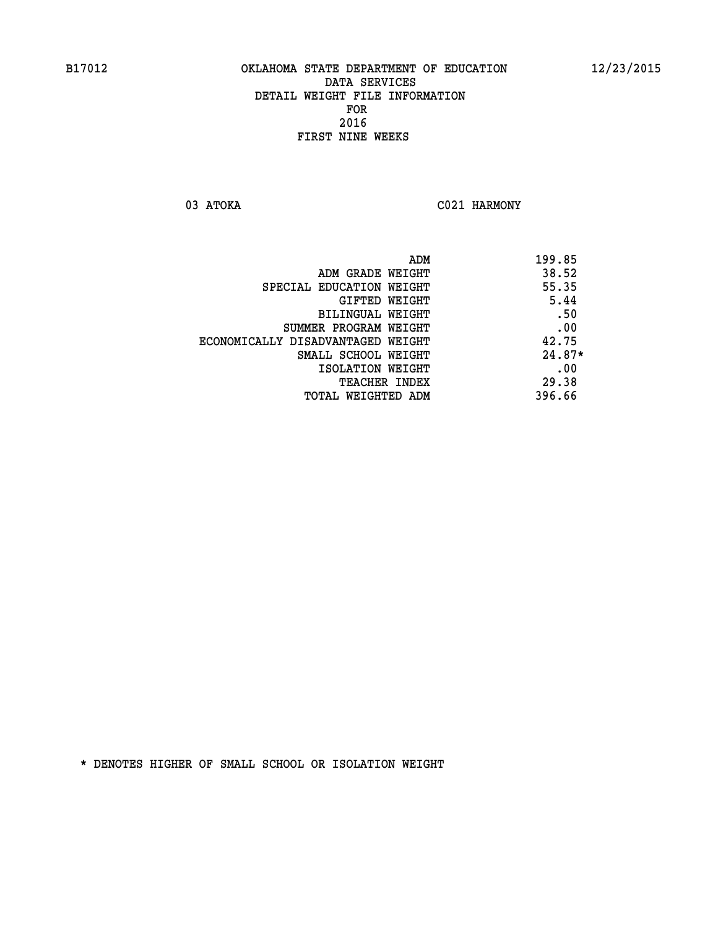03 ATOKA C021 HARMONY

|                                   | ADM | 199.85   |
|-----------------------------------|-----|----------|
| ADM GRADE WEIGHT                  |     | 38.52    |
| SPECIAL EDUCATION WEIGHT          |     | 55.35    |
| <b>GIFTED WEIGHT</b>              |     | 5.44     |
| BILINGUAL WEIGHT                  |     | .50      |
| SUMMER PROGRAM WEIGHT             |     | .00      |
| ECONOMICALLY DISADVANTAGED WEIGHT |     | 42.75    |
| SMALL SCHOOL WEIGHT               |     | $24.87*$ |
| ISOLATION WEIGHT                  |     | .00      |
| TEACHER INDEX                     |     | 29.38    |
| TOTAL WEIGHTED ADM                |     | 396.66   |
|                                   |     |          |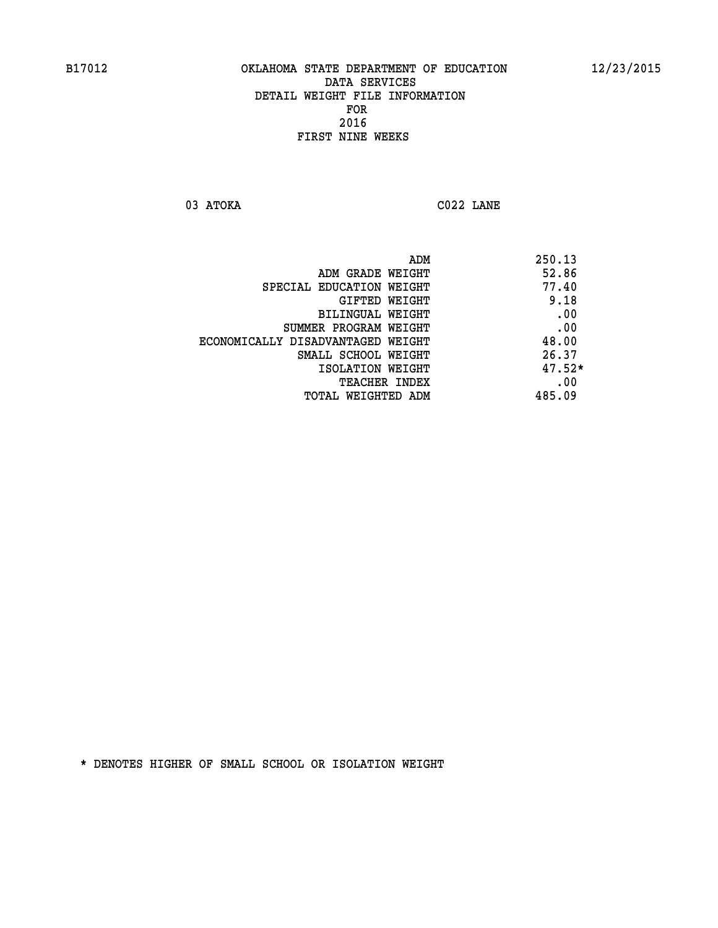**03 ATOKA C022 LANE** 

 **ADM 250.13 EXAMPLE MERADE WEIGHT 52.86 SPECIAL EDUCATION WEIGHT 40 GIFTED WEIGHT** 9.18 **BILINGUAL WEIGHT .00 SUMMER PROGRAM WEIGHT .00 ECONOMICALLY DISADVANTAGED WEIGHT 48.00 SMALL SCHOOL WEIGHT** 26.37  **ISOLATION WEIGHT 47.52\* TEACHER INDEX** .00  **TOTAL WEIGHTED ADM 485.09**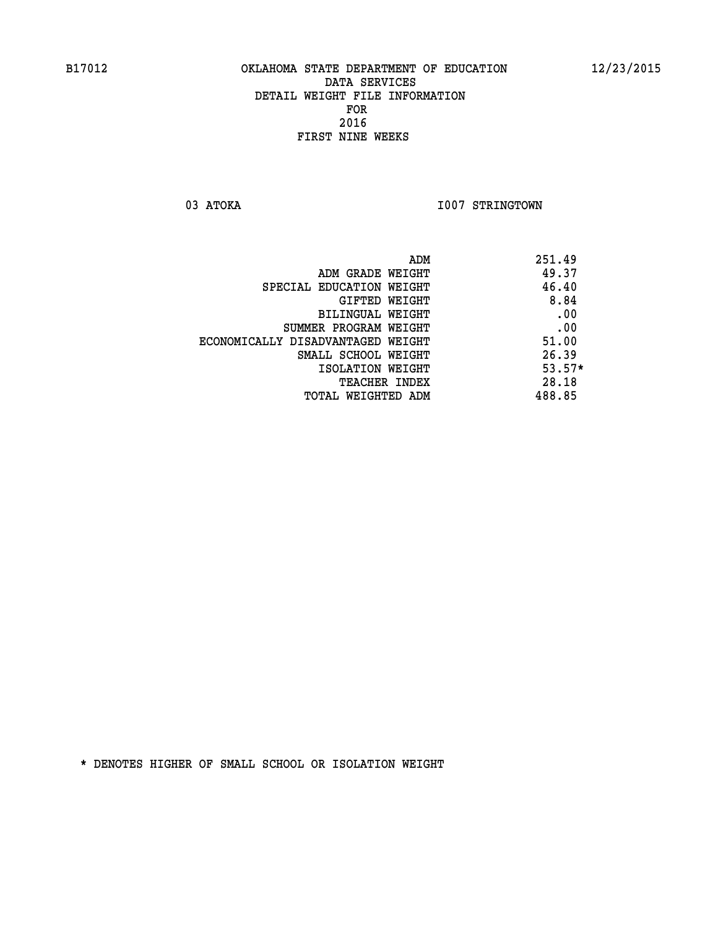03 ATOKA **I007 STRINGTOWN** 

| ADM                               | 251.49   |
|-----------------------------------|----------|
| ADM GRADE WEIGHT                  | 49.37    |
| SPECIAL EDUCATION WEIGHT          | 46.40    |
| GIFTED WEIGHT                     | 8.84     |
| <b>BILINGUAL WEIGHT</b>           | .00      |
| SUMMER PROGRAM WEIGHT             | .00      |
| ECONOMICALLY DISADVANTAGED WEIGHT | 51.00    |
| SMALL SCHOOL WEIGHT               | 26.39    |
| ISOLATION WEIGHT                  | $53.57*$ |
| <b>TEACHER INDEX</b>              | 28.18    |
| TOTAL WEIGHTED ADM                | 488.85   |
|                                   |          |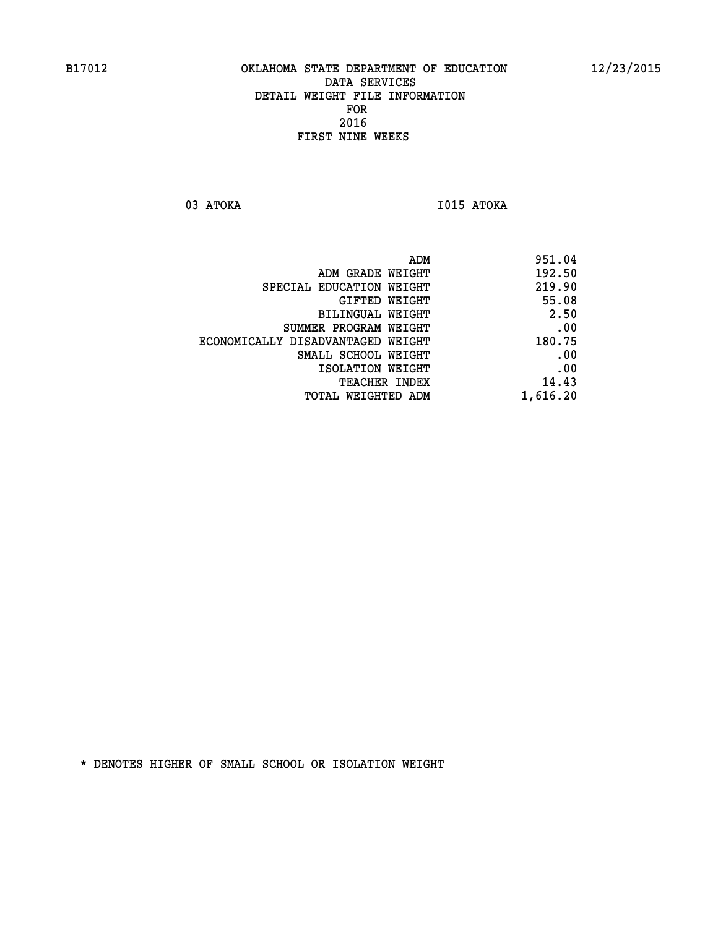**03 ATOKA I015 ATOKA** 

| ADM                               | 951.04   |
|-----------------------------------|----------|
| ADM GRADE WEIGHT                  | 192.50   |
| SPECIAL EDUCATION WEIGHT          | 219.90   |
| GIFTED WEIGHT                     | 55.08    |
| BILINGUAL WEIGHT                  | 2.50     |
| SUMMER PROGRAM WEIGHT             | .00      |
| ECONOMICALLY DISADVANTAGED WEIGHT | 180.75   |
| SMALL SCHOOL WEIGHT               | .00      |
| ISOLATION WEIGHT                  | .00      |
| <b>TEACHER INDEX</b>              | 14.43    |
| TOTAL WEIGHTED ADM                | 1,616.20 |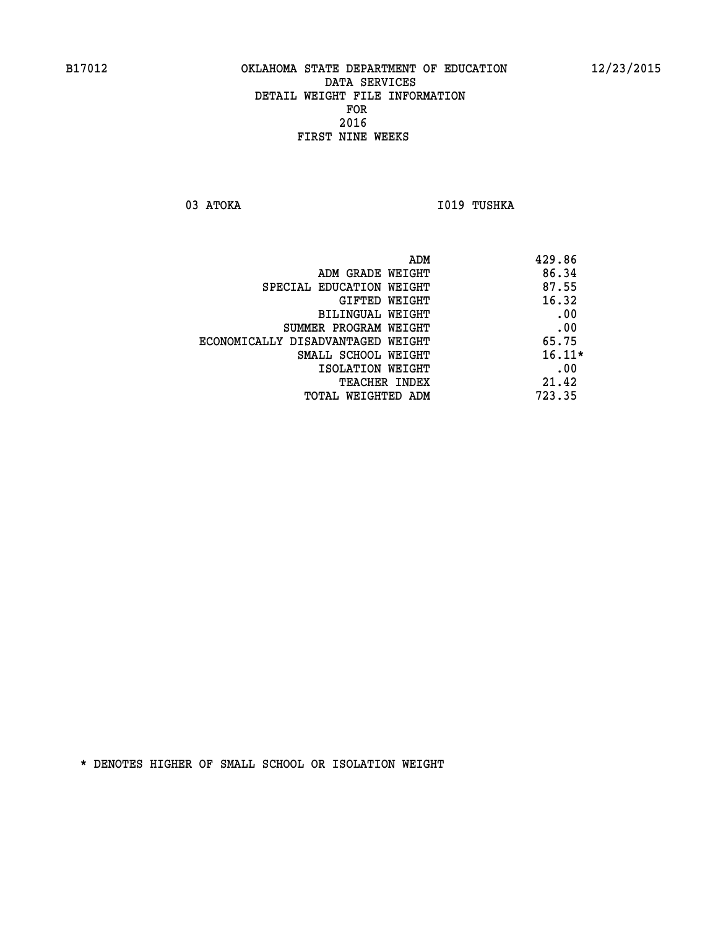03 ATOKA **I019 TUSHKA** 

|                                   | ADM | 429.86   |
|-----------------------------------|-----|----------|
| ADM GRADE WEIGHT                  |     | 86.34    |
| SPECIAL EDUCATION WEIGHT          |     | 87.55    |
| <b>GIFTED WEIGHT</b>              |     | 16.32    |
| BILINGUAL WEIGHT                  |     | .00      |
| SUMMER PROGRAM WEIGHT             |     | .00      |
| ECONOMICALLY DISADVANTAGED WEIGHT |     | 65.75    |
| SMALL SCHOOL WEIGHT               |     | $16.11*$ |
| ISOLATION WEIGHT                  |     | .00      |
| TEACHER INDEX                     |     | 21.42    |
| TOTAL WEIGHTED ADM                |     | 723.35   |
|                                   |     |          |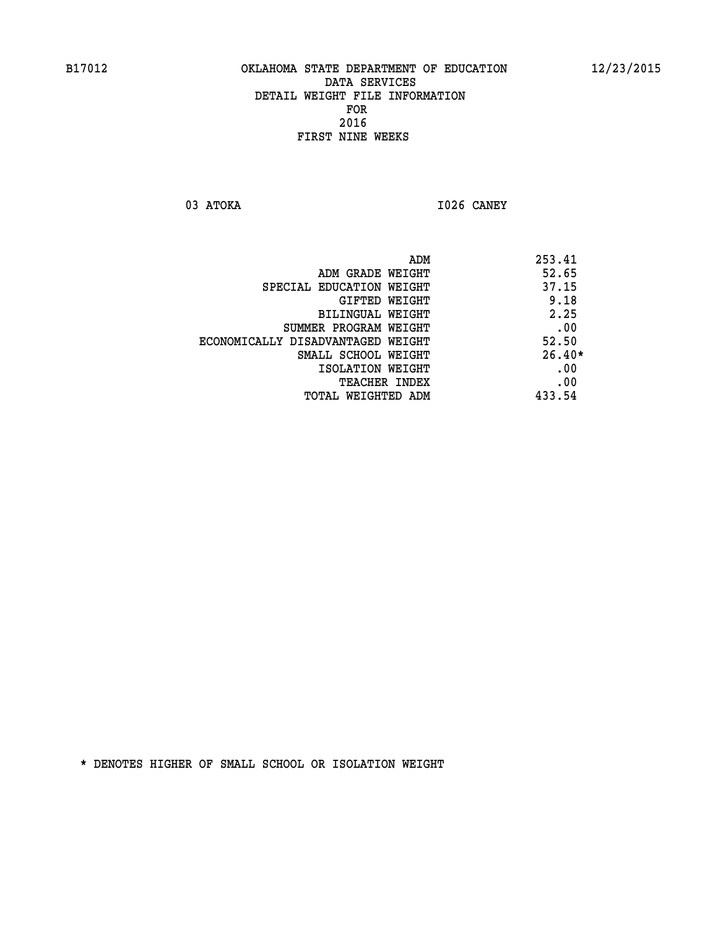**03 ATOKA I026 CANEY** 

|                                   | ADM | 253.41   |
|-----------------------------------|-----|----------|
| ADM GRADE WEIGHT                  |     | 52.65    |
| SPECIAL EDUCATION WEIGHT          |     | 37.15    |
| GIFTED WEIGHT                     |     | 9.18     |
| BILINGUAL WEIGHT                  |     | 2.25     |
| SUMMER PROGRAM WEIGHT             |     | .00      |
| ECONOMICALLY DISADVANTAGED WEIGHT |     | 52.50    |
| SMALL SCHOOL WEIGHT               |     | $26.40*$ |
| ISOLATION WEIGHT                  |     | .00      |
| <b>TEACHER INDEX</b>              |     | .00      |
| TOTAL WEIGHTED ADM                |     | 433.54   |
|                                   |     |          |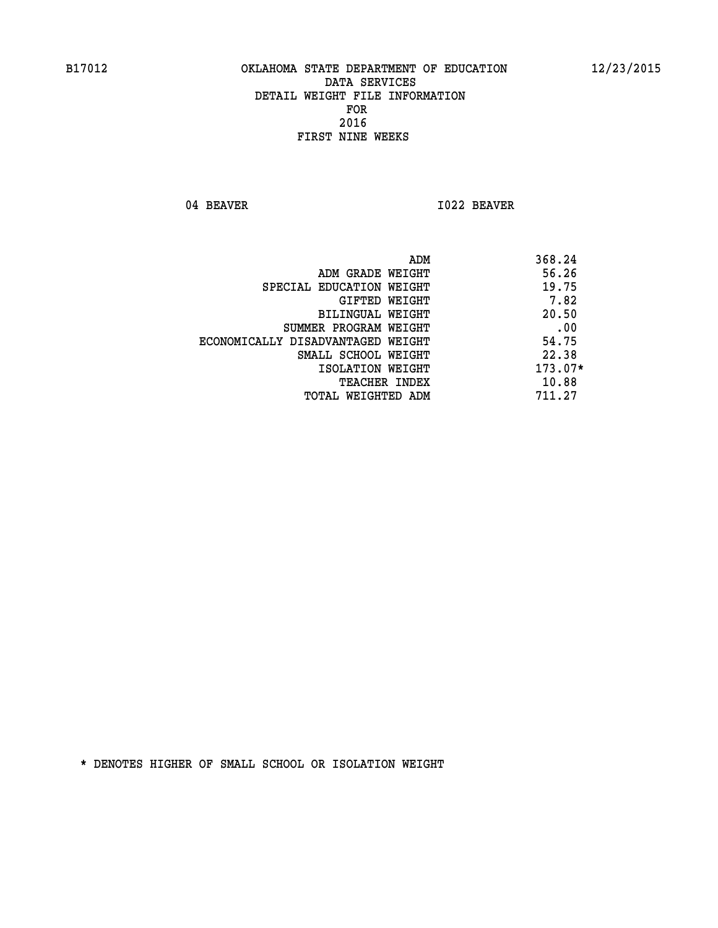04 BEAVER 1022 BEAVER

|                                   | ADM | 368.24    |
|-----------------------------------|-----|-----------|
| ADM GRADE WEIGHT                  |     | 56.26     |
| SPECIAL EDUCATION WEIGHT          |     | 19.75     |
| GIFTED WEIGHT                     |     | 7.82      |
| BILINGUAL WEIGHT                  |     | 20.50     |
| SUMMER PROGRAM WEIGHT             |     | .00       |
| ECONOMICALLY DISADVANTAGED WEIGHT |     | 54.75     |
| SMALL SCHOOL WEIGHT               |     | 22.38     |
| ISOLATION WEIGHT                  |     | $173.07*$ |
| <b>TEACHER INDEX</b>              |     | 10.88     |
| TOTAL WEIGHTED ADM                |     | 711.27    |
|                                   |     |           |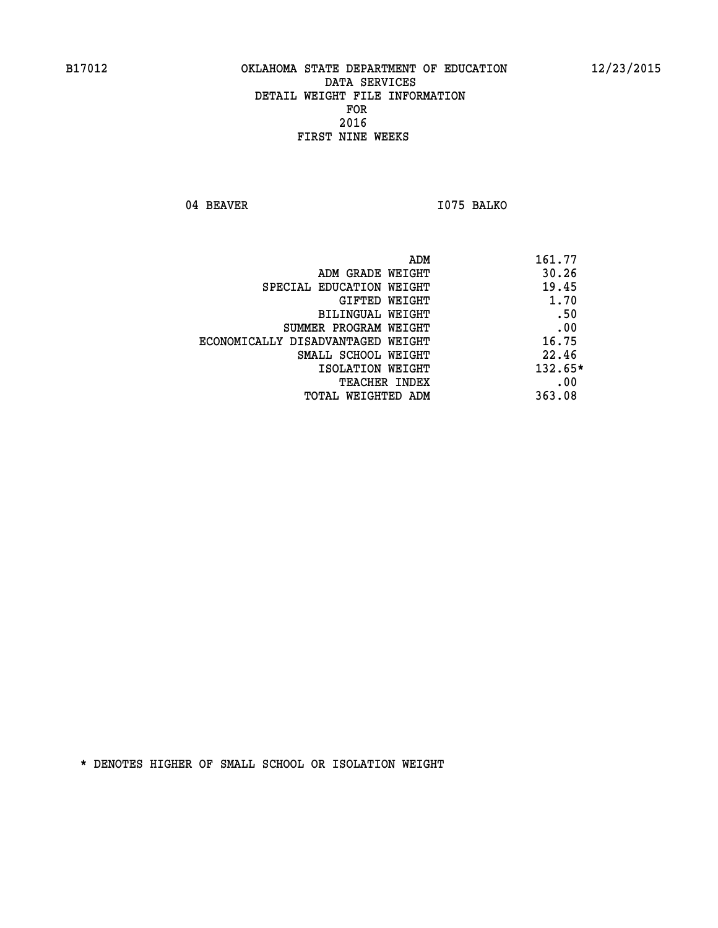04 BEAVER 1075 BALKO

| ADM<br>161.77                     |                                   |
|-----------------------------------|-----------------------------------|
| 30.26<br>ADM GRADE WEIGHT         |                                   |
| 19.45<br>SPECIAL EDUCATION WEIGHT |                                   |
| 1.70<br>GIFTED WEIGHT             |                                   |
| .50<br>BILINGUAL WEIGHT           |                                   |
| .00<br>SUMMER PROGRAM WEIGHT      |                                   |
| 16.75                             | ECONOMICALLY DISADVANTAGED WEIGHT |
| 22.46<br>SMALL SCHOOL WEIGHT      |                                   |
| $132.65*$<br>ISOLATION WEIGHT     |                                   |
| .00<br><b>TEACHER INDEX</b>       |                                   |
| 363.08<br>TOTAL WEIGHTED ADM      |                                   |
|                                   |                                   |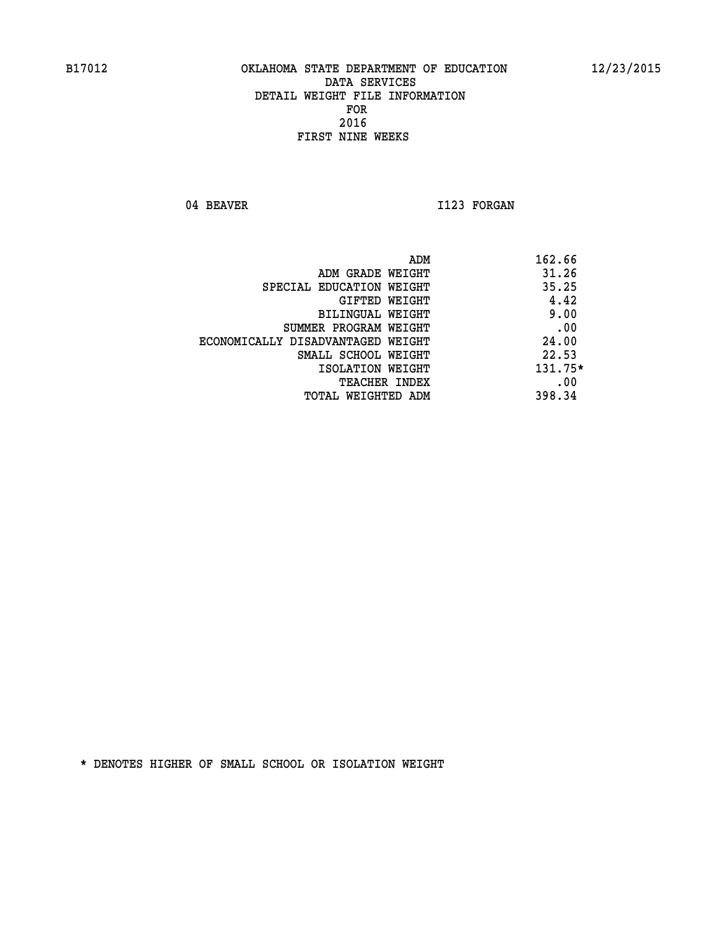04 BEAVER 1123 FORGAN

| ADM                               | 162.66    |
|-----------------------------------|-----------|
| ADM GRADE WEIGHT                  | 31.26     |
| SPECIAL EDUCATION WEIGHT          | 35.25     |
| GIFTED WEIGHT                     | 4.42      |
| BILINGUAL WEIGHT                  | 9.00      |
| SUMMER PROGRAM WEIGHT             | .00       |
| ECONOMICALLY DISADVANTAGED WEIGHT | 24.00     |
| SMALL SCHOOL WEIGHT               | 22.53     |
| ISOLATION WEIGHT                  | $131.75*$ |
| <b>TEACHER INDEX</b>              | .00       |
| TOTAL WEIGHTED ADM                | 398.34    |
|                                   |           |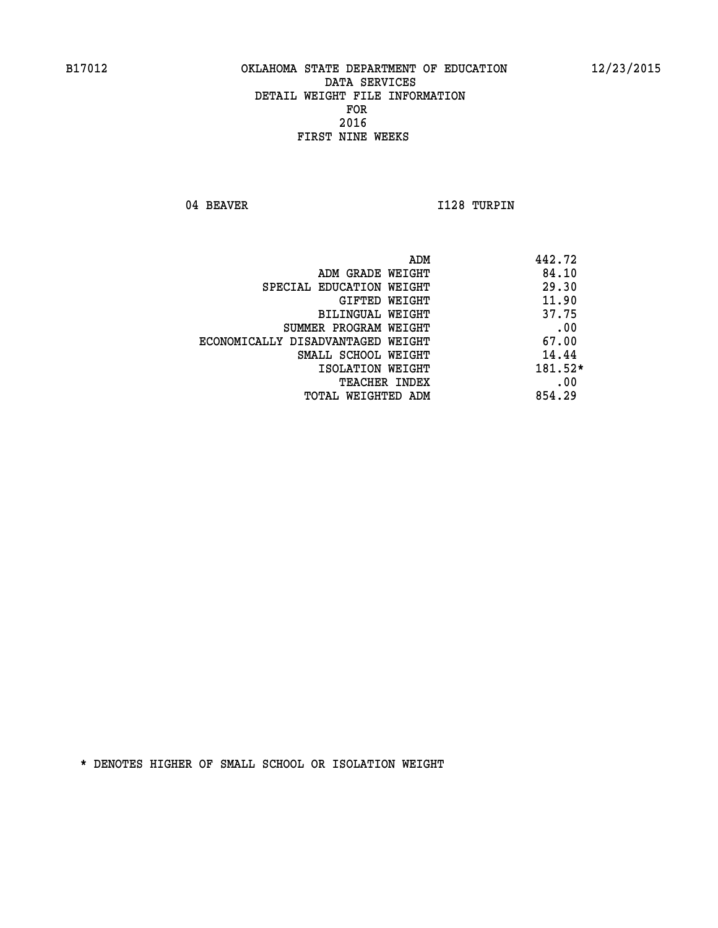04 BEAVER 1128 TURPIN

| ADM<br>442.72 |                                   |
|---------------|-----------------------------------|
| 84.10         | ADM GRADE WEIGHT                  |
| 29.30         | SPECIAL EDUCATION WEIGHT          |
| 11.90         | GIFTED WEIGHT                     |
| 37.75         | BILINGUAL WEIGHT                  |
| .00           | SUMMER PROGRAM WEIGHT             |
| 67.00         | ECONOMICALLY DISADVANTAGED WEIGHT |
| 14.44         | SMALL SCHOOL WEIGHT               |
| 181.52*       | ISOLATION WEIGHT                  |
| .00           | <b>TEACHER INDEX</b>              |
| 854.29        | TOTAL WEIGHTED ADM                |
|               |                                   |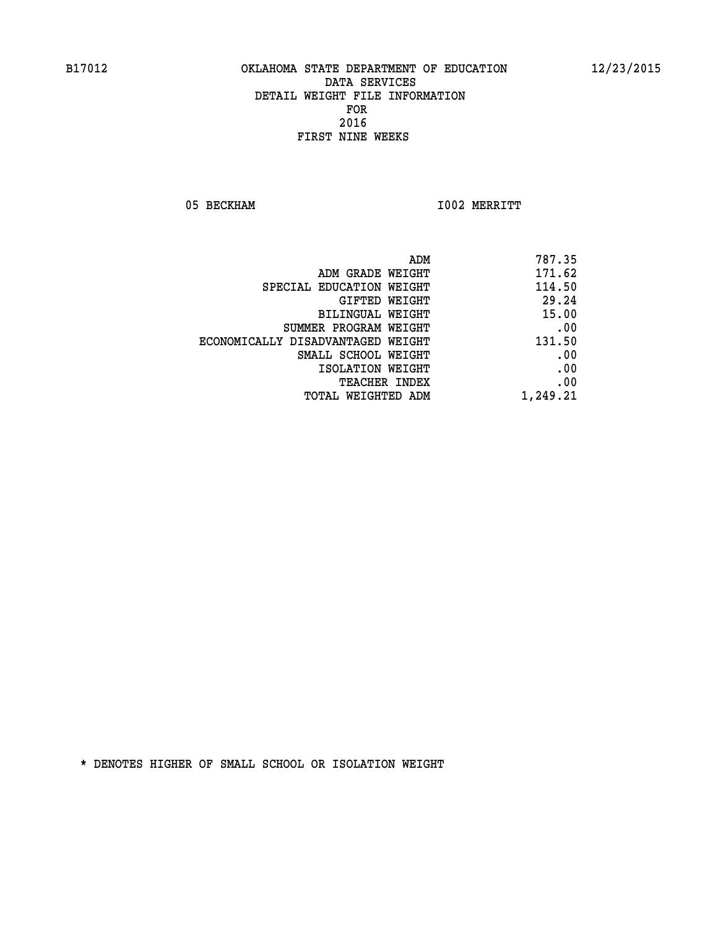05 BECKHAM 1002 MERRITT

|                                   | ADM<br>787.35 |
|-----------------------------------|---------------|
| ADM GRADE WEIGHT                  | 171.62        |
| SPECIAL EDUCATION WEIGHT          | 114.50        |
| GIFTED WEIGHT                     | 29.24         |
| BILINGUAL WEIGHT                  | 15.00         |
| SUMMER PROGRAM WEIGHT             | .00           |
| ECONOMICALLY DISADVANTAGED WEIGHT | 131.50        |
| SMALL SCHOOL WEIGHT               | .00           |
| ISOLATION WEIGHT                  | .00           |
| TEACHER INDEX                     | .00           |
| TOTAL WEIGHTED ADM                | 1,249.21      |
|                                   |               |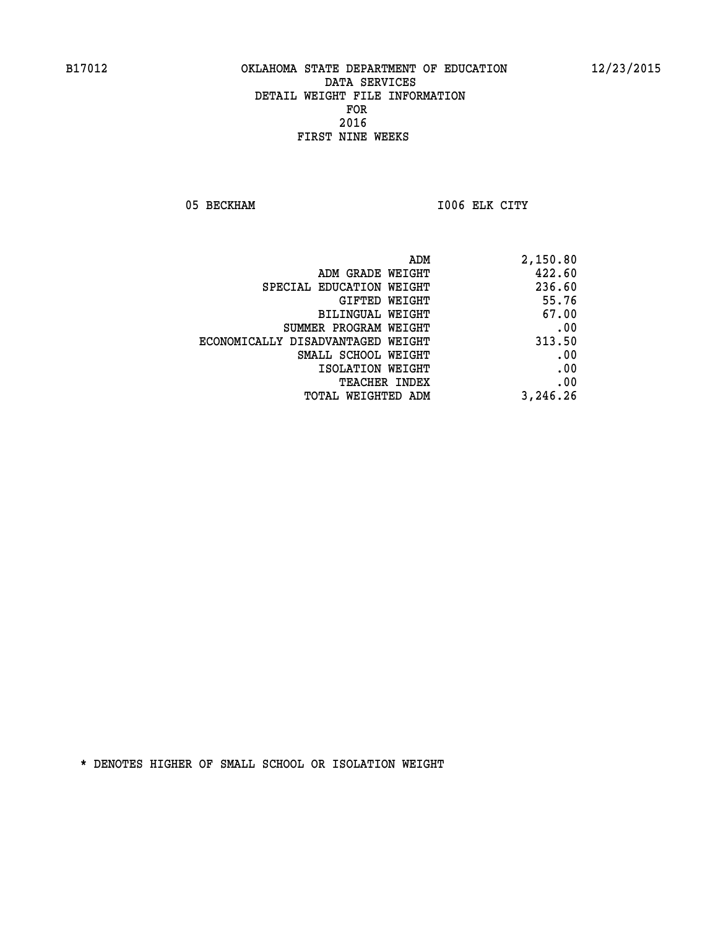05 BECKHAM 1006 ELK CITY

| ADM                               | 2,150.80 |
|-----------------------------------|----------|
| ADM GRADE WEIGHT                  | 422.60   |
| SPECIAL EDUCATION WEIGHT          | 236.60   |
| GIFTED WEIGHT                     | 55.76    |
| BILINGUAL WEIGHT                  | 67.00    |
| SUMMER PROGRAM WEIGHT             | .00      |
| ECONOMICALLY DISADVANTAGED WEIGHT | 313.50   |
| SMALL SCHOOL WEIGHT               | .00      |
| ISOLATION WEIGHT                  | .00      |
| <b>TEACHER INDEX</b>              | .00      |
| TOTAL WEIGHTED ADM                | 3,246.26 |
|                                   |          |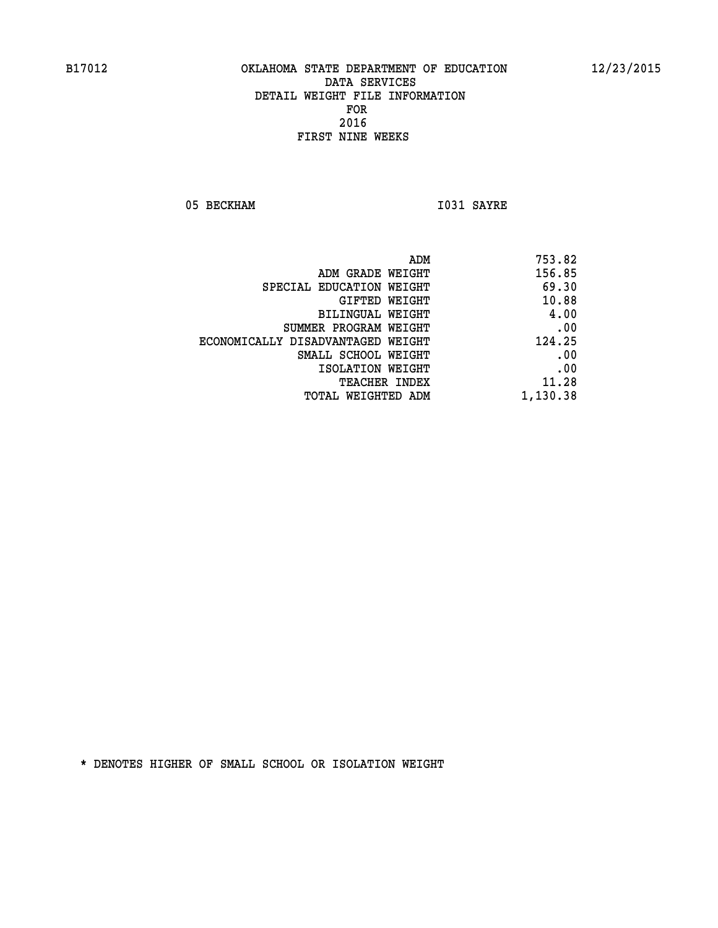05 BECKHAM 1031 SAYRE

| 753.82   |
|----------|
| 156.85   |
| 69.30    |
| 10.88    |
| 4.00     |
| .00      |
| 124.25   |
| .00      |
| .00      |
| 11.28    |
| 1,130.38 |
|          |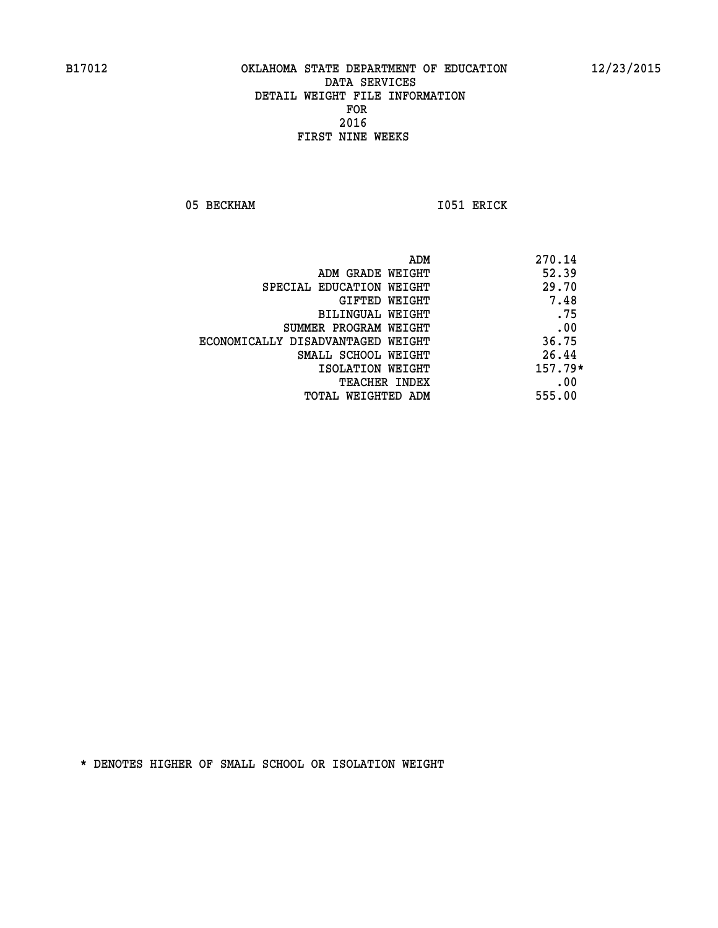05 BECKHAM 1051 ERICK

| 270.14<br>ADM                     |                                   |
|-----------------------------------|-----------------------------------|
| 52.39<br>ADM GRADE WEIGHT         |                                   |
| 29.70<br>SPECIAL EDUCATION WEIGHT |                                   |
| 7.48<br>GIFTED WEIGHT             |                                   |
| .75<br>BILINGUAL WEIGHT           |                                   |
| .00<br>SUMMER PROGRAM WEIGHT      |                                   |
| 36.75                             | ECONOMICALLY DISADVANTAGED WEIGHT |
| 26.44<br>SMALL SCHOOL WEIGHT      |                                   |
| $157.79*$<br>ISOLATION WEIGHT     |                                   |
| .00<br><b>TEACHER INDEX</b>       |                                   |
| 555.00<br>TOTAL WEIGHTED ADM      |                                   |
|                                   |                                   |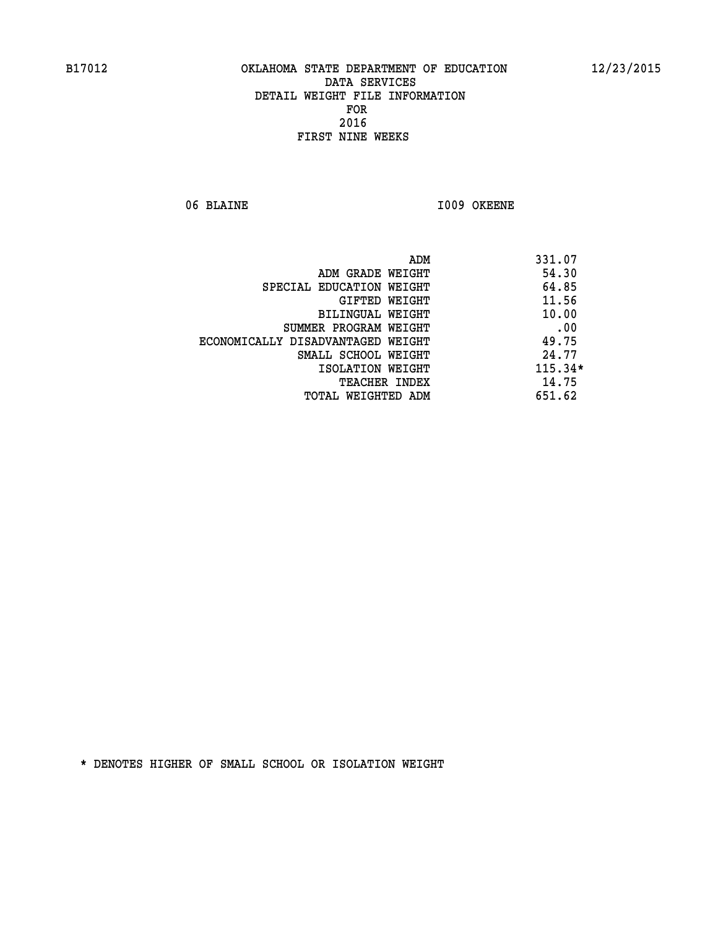06 BLAINE 1009 OKEENE

|                                   | ADM<br>331.07 |     |
|-----------------------------------|---------------|-----|
| ADM GRADE WEIGHT                  | 54.30         |     |
| SPECIAL EDUCATION WEIGHT          | 64.85         |     |
| GIFTED WEIGHT                     | 11.56         |     |
| BILINGUAL WEIGHT                  | 10.00         |     |
| SUMMER PROGRAM WEIGHT             |               | .00 |
| ECONOMICALLY DISADVANTAGED WEIGHT | 49.75         |     |
| SMALL SCHOOL WEIGHT               | 24.77         |     |
| ISOLATION WEIGHT                  | $115.34*$     |     |
| TEACHER INDEX                     | 14.75         |     |
| TOTAL WEIGHTED ADM                | 651.62        |     |
|                                   |               |     |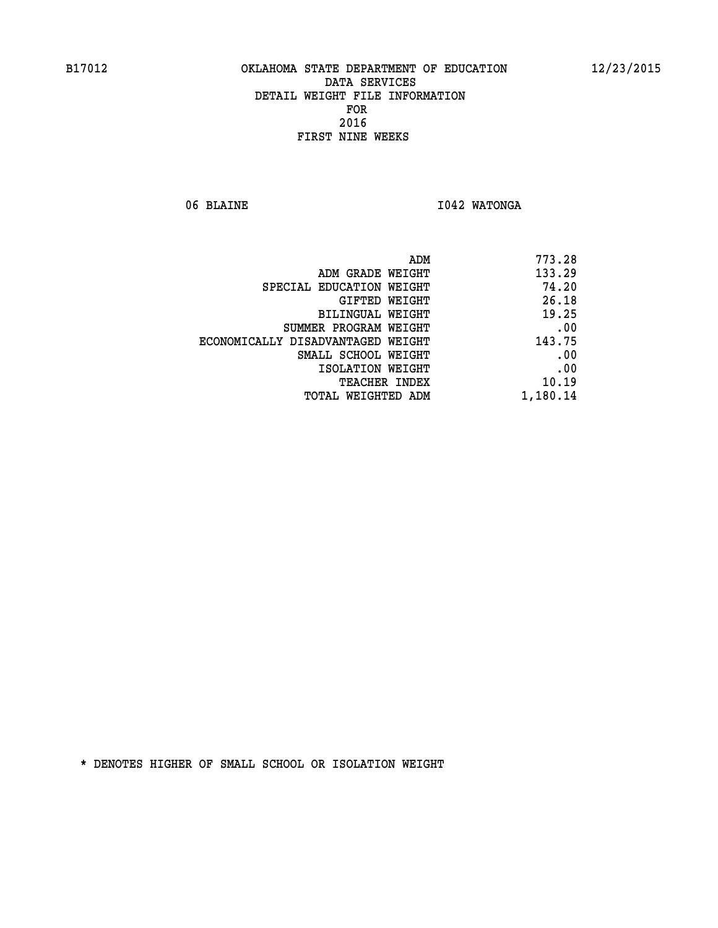06 BLAINE **I042 WATONGA** 

| ADM GRADE WEIGHT<br>SPECIAL EDUCATION WEIGHT<br>GIFTED WEIGHT<br>BILINGUAL WEIGHT<br>SUMMER PROGRAM WEIGHT<br>ECONOMICALLY DISADVANTAGED WEIGHT<br>SMALL SCHOOL WEIGHT<br>ISOLATION WEIGHT<br>TEACHER INDEX | ADM<br>773.28 |
|-------------------------------------------------------------------------------------------------------------------------------------------------------------------------------------------------------------|---------------|
|                                                                                                                                                                                                             | 133.29        |
|                                                                                                                                                                                                             | 74.20         |
|                                                                                                                                                                                                             | 26.18         |
|                                                                                                                                                                                                             | 19.25         |
|                                                                                                                                                                                                             | .00           |
|                                                                                                                                                                                                             | 143.75        |
|                                                                                                                                                                                                             | .00           |
|                                                                                                                                                                                                             | .00           |
|                                                                                                                                                                                                             | 10.19         |
| TOTAL WEIGHTED ADM                                                                                                                                                                                          | 1,180.14      |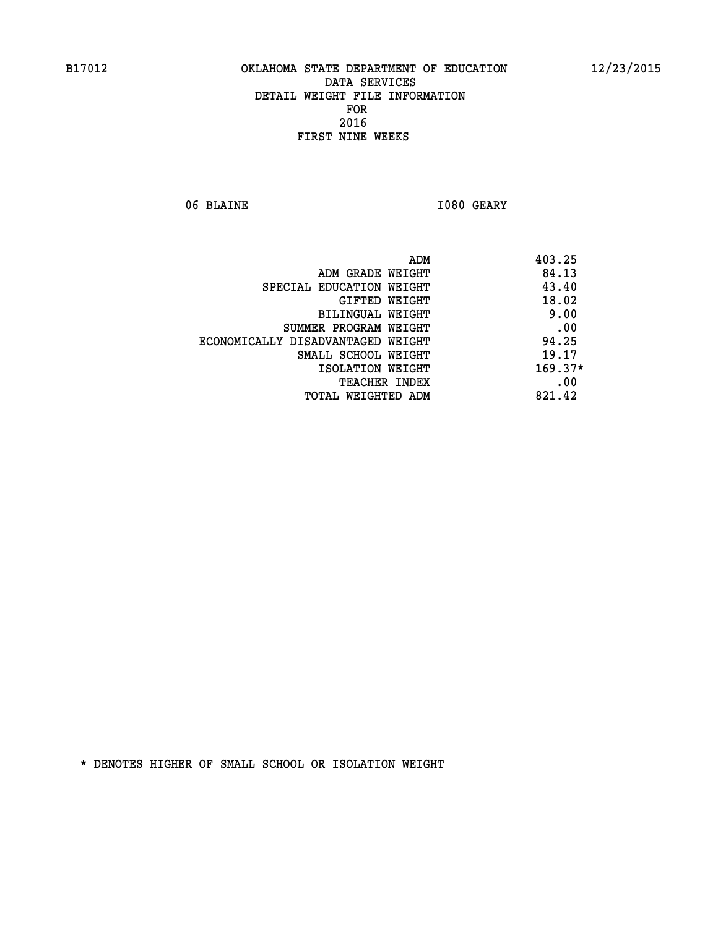06 BLAINE 1080 GEARY

| ADM<br>403.25                     |                                   |
|-----------------------------------|-----------------------------------|
| 84.13<br>ADM GRADE WEIGHT         |                                   |
| 43.40<br>SPECIAL EDUCATION WEIGHT |                                   |
| 18.02<br>GIFTED WEIGHT            |                                   |
| 9.00<br>BILINGUAL WEIGHT          |                                   |
| .00<br>SUMMER PROGRAM WEIGHT      |                                   |
| 94.25                             | ECONOMICALLY DISADVANTAGED WEIGHT |
| 19.17<br>SMALL SCHOOL WEIGHT      |                                   |
| $169.37*$<br>ISOLATION WEIGHT     |                                   |
| .00<br><b>TEACHER INDEX</b>       |                                   |
| 821.42<br>TOTAL WEIGHTED ADM      |                                   |
|                                   |                                   |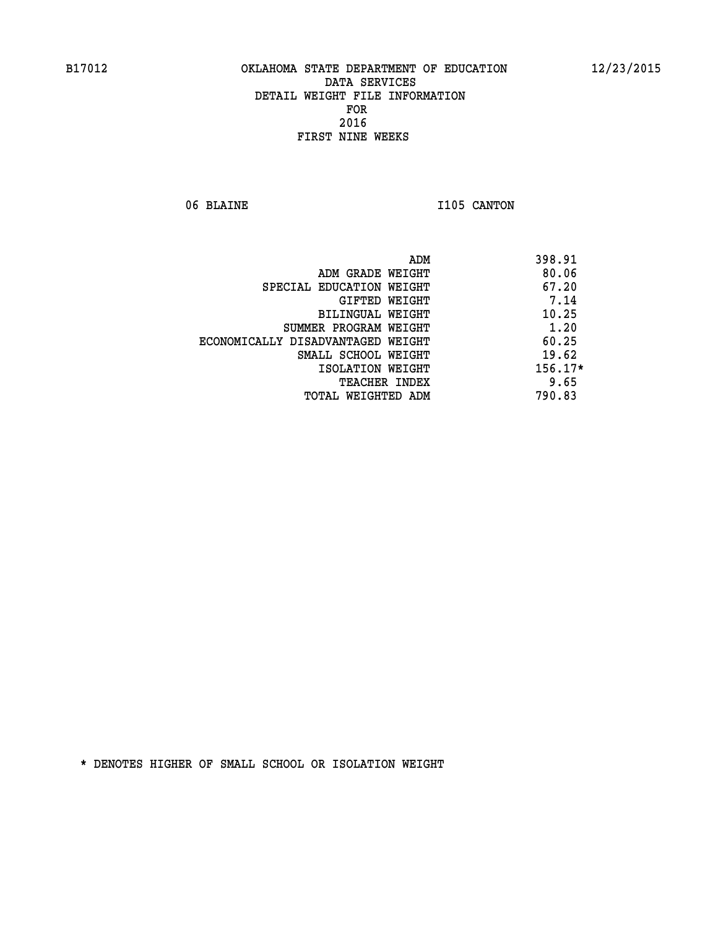06 BLAINE 1105 CANTON

|                                   | ADM | 398.91    |
|-----------------------------------|-----|-----------|
| ADM GRADE WEIGHT                  |     | 80.06     |
| SPECIAL EDUCATION WEIGHT          |     | 67.20     |
| GIFTED WEIGHT                     |     | 7.14      |
| BILINGUAL WEIGHT                  |     | 10.25     |
| SUMMER PROGRAM WEIGHT             |     | 1.20      |
| ECONOMICALLY DISADVANTAGED WEIGHT |     | 60.25     |
| SMALL SCHOOL WEIGHT               |     | 19.62     |
| ISOLATION WEIGHT                  |     | $156.17*$ |
| TEACHER INDEX                     |     | 9.65      |
| TOTAL WEIGHTED ADM                |     | 790.83    |
|                                   |     |           |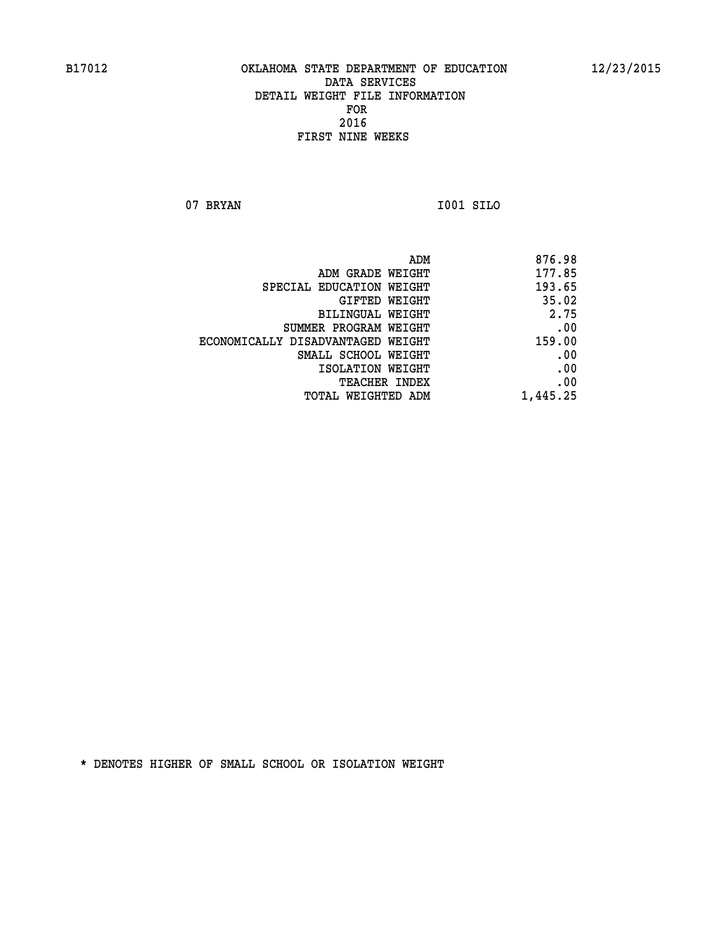**07 BRYAN I001 SILO** 

| ADM                               | 876.98   |
|-----------------------------------|----------|
| ADM GRADE WEIGHT                  | 177.85   |
| SPECIAL EDUCATION WEIGHT          | 193.65   |
| GIFTED WEIGHT                     | 35.02    |
| BILINGUAL WEIGHT                  | 2.75     |
| SUMMER PROGRAM WEIGHT             | .00      |
| ECONOMICALLY DISADVANTAGED WEIGHT | 159.00   |
| SMALL SCHOOL WEIGHT               | .00      |
| ISOLATION WEIGHT                  | .00      |
| <b>TEACHER INDEX</b>              | .00      |
| TOTAL WEIGHTED ADM                | 1,445.25 |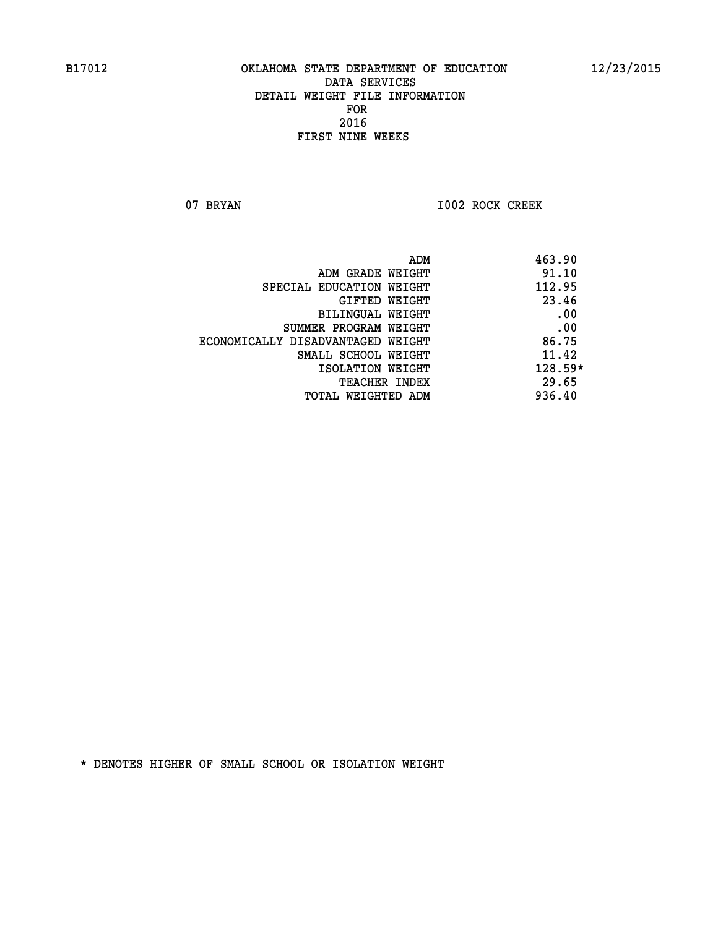07 BRYAN 1002 ROCK CREEK

| 463.90<br>ADM                              |  |
|--------------------------------------------|--|
| 91.10<br>ADM GRADE WEIGHT                  |  |
| 112.95<br>SPECIAL EDUCATION WEIGHT         |  |
| 23.46<br>GIFTED WEIGHT                     |  |
| .00<br><b>BILINGUAL WEIGHT</b>             |  |
| .00<br>SUMMER PROGRAM WEIGHT               |  |
| 86.75<br>ECONOMICALLY DISADVANTAGED WEIGHT |  |
| 11.42<br>SMALL SCHOOL WEIGHT               |  |
| $128.59*$<br>ISOLATION WEIGHT              |  |
| 29.65<br><b>TEACHER INDEX</b>              |  |
| 936.40<br>TOTAL WEIGHTED ADM               |  |
|                                            |  |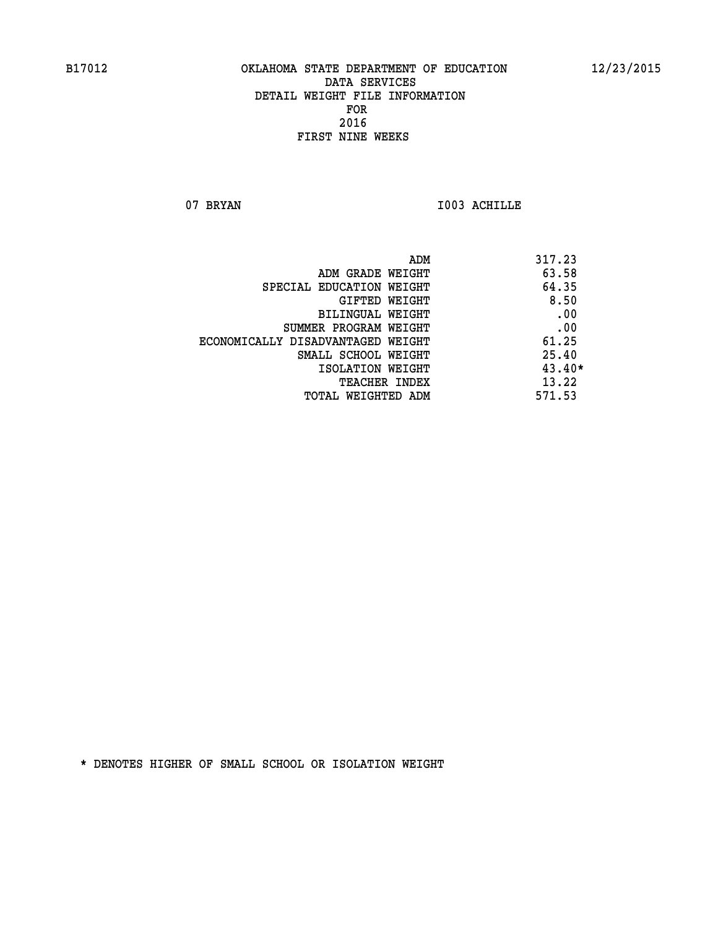07 BRYAN 1003 ACHILLE

| ADM                               | 317.23   |
|-----------------------------------|----------|
| ADM GRADE WEIGHT                  | 63.58    |
| SPECIAL EDUCATION WEIGHT          | 64.35    |
| GIFTED WEIGHT                     | 8.50     |
| BILINGUAL WEIGHT                  | .00      |
| SUMMER PROGRAM WEIGHT             | .00      |
| ECONOMICALLY DISADVANTAGED WEIGHT | 61.25    |
| SMALL SCHOOL WEIGHT               | 25.40    |
| ISOLATION WEIGHT                  | $43.40*$ |
| TEACHER INDEX                     | 13.22    |
| TOTAL WEIGHTED ADM                | 571.53   |
|                                   |          |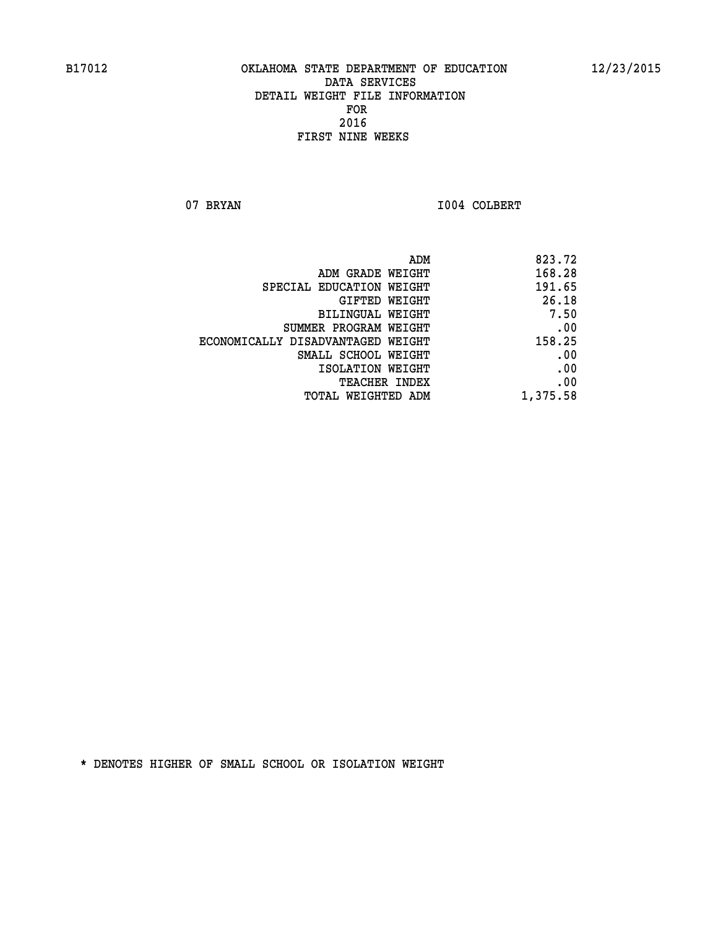07 BRYAN 1004 COLBERT

|                                   | ADM<br>823.72 |
|-----------------------------------|---------------|
| ADM GRADE WEIGHT                  | 168.28        |
| SPECIAL EDUCATION WEIGHT          | 191.65        |
| GIFTED WEIGHT                     | 26.18         |
| BILINGUAL WEIGHT                  | 7.50          |
| SUMMER PROGRAM WEIGHT             | .00           |
| ECONOMICALLY DISADVANTAGED WEIGHT | 158.25        |
| SMALL SCHOOL WEIGHT               | .00           |
| ISOLATION WEIGHT                  | .00           |
| TEACHER INDEX                     | .00           |
| TOTAL WEIGHTED ADM                | 1,375.58      |
|                                   |               |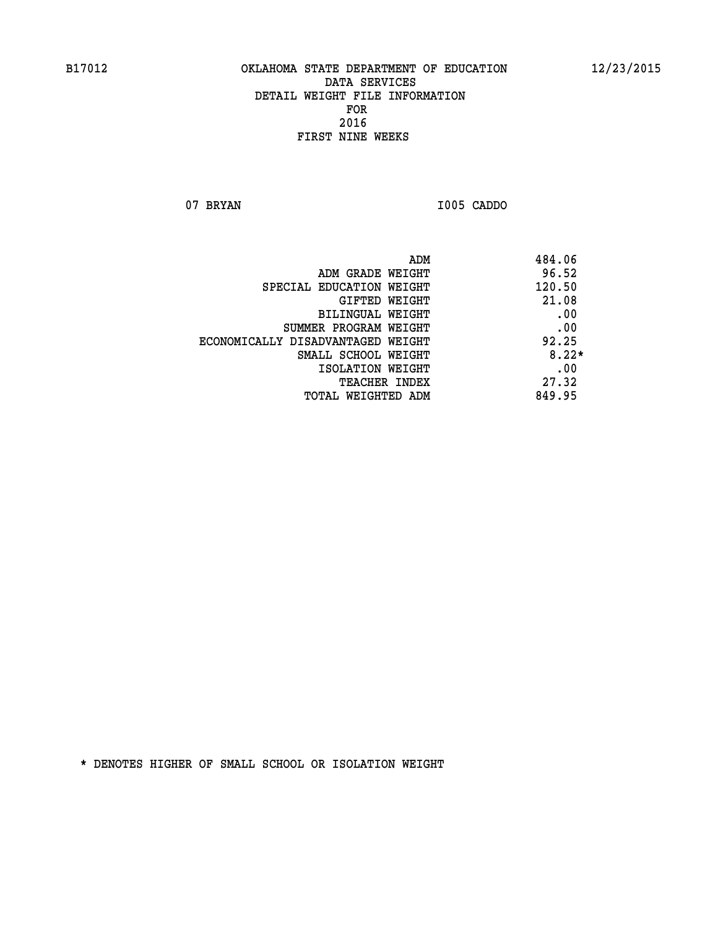**07 BRYAN I005 CADDO** 

| ADM                               | 484.06  |
|-----------------------------------|---------|
| ADM GRADE WEIGHT                  | 96.52   |
| SPECIAL EDUCATION WEIGHT          | 120.50  |
| GIFTED WEIGHT                     | 21.08   |
| BILINGUAL WEIGHT                  | .00     |
| SUMMER PROGRAM WEIGHT             | .00     |
| ECONOMICALLY DISADVANTAGED WEIGHT | 92.25   |
| SMALL SCHOOL WEIGHT               | $8.22*$ |
| ISOLATION WEIGHT                  | .00     |
| <b>TEACHER INDEX</b>              | 27.32   |
| TOTAL WEIGHTED ADM                | 849.95  |
|                                   |         |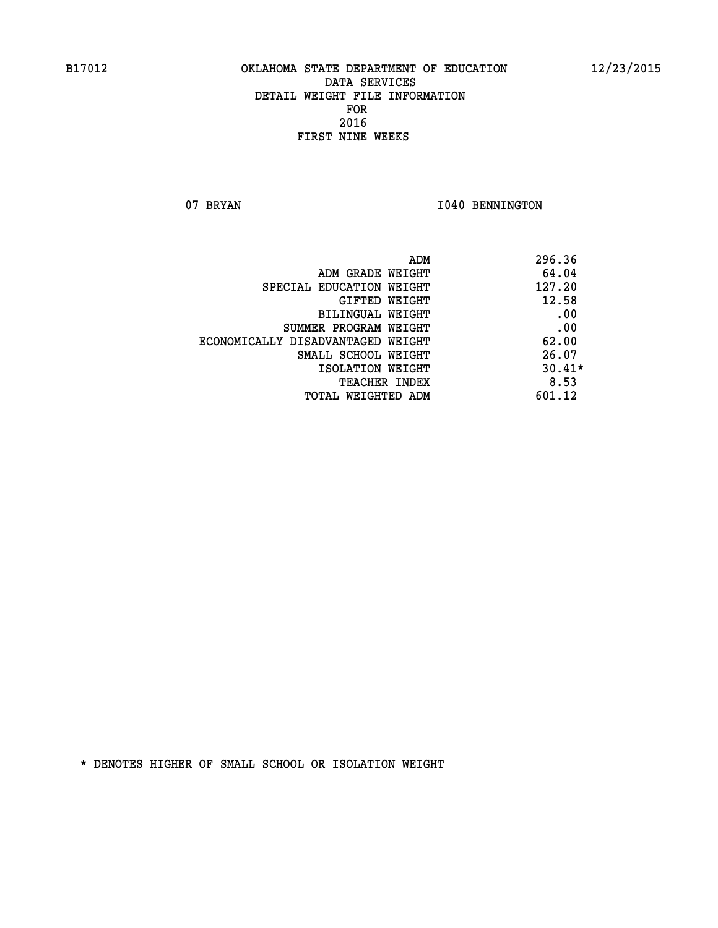07 BRYAN 1040 BENNINGTON

| 296.36<br>ADM                              |          |
|--------------------------------------------|----------|
| 64.04<br>ADM GRADE WEIGHT                  |          |
| 127.20<br>SPECIAL EDUCATION WEIGHT         |          |
| 12.58<br>GIFTED WEIGHT                     |          |
| BILINGUAL WEIGHT                           | .00      |
| SUMMER PROGRAM WEIGHT                      | .00      |
| 62.00<br>ECONOMICALLY DISADVANTAGED WEIGHT |          |
| 26.07<br>SMALL SCHOOL WEIGHT               |          |
| ISOLATION WEIGHT                           | $30.41*$ |
| <b>TEACHER INDEX</b>                       | 8.53     |
| 601.12<br>TOTAL WEIGHTED ADM               |          |
|                                            |          |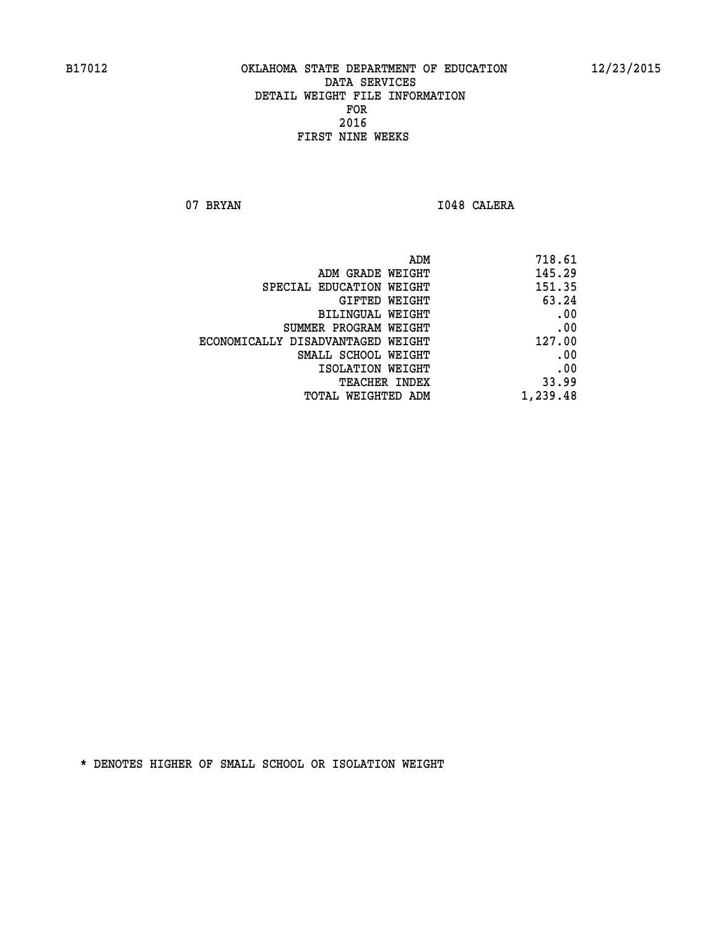07 BRYAN 1048 CALERA

| 718.61   |
|----------|
| 145.29   |
| 151.35   |
| 63.24    |
| .00      |
| .00      |
| 127.00   |
| .00      |
| .00      |
| 33.99    |
| 1,239.48 |
|          |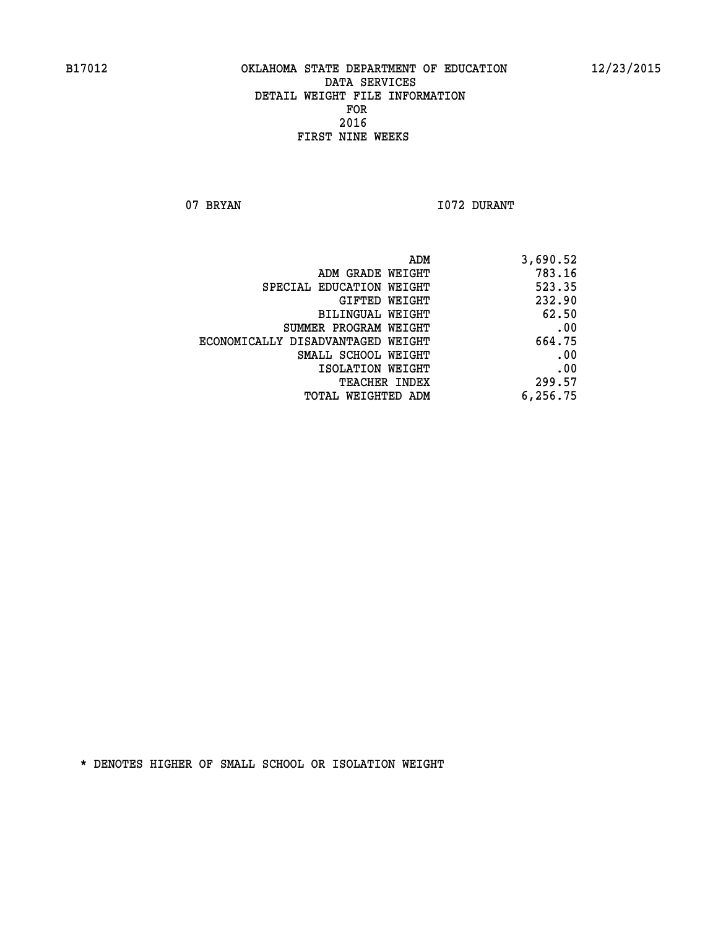07 BRYAN 1072 DURANT

| ADM                               | 3,690.52 |
|-----------------------------------|----------|
| ADM GRADE WEIGHT                  | 783.16   |
| SPECIAL EDUCATION WEIGHT          | 523.35   |
| GIFTED WEIGHT                     | 232.90   |
| BILINGUAL WEIGHT                  | 62.50    |
| SUMMER PROGRAM WEIGHT             | .00      |
| ECONOMICALLY DISADVANTAGED WEIGHT | 664.75   |
| SMALL SCHOOL WEIGHT               | .00      |
| ISOLATION WEIGHT                  | .00      |
| TEACHER INDEX                     | 299.57   |
| TOTAL WEIGHTED ADM                | 6,256.75 |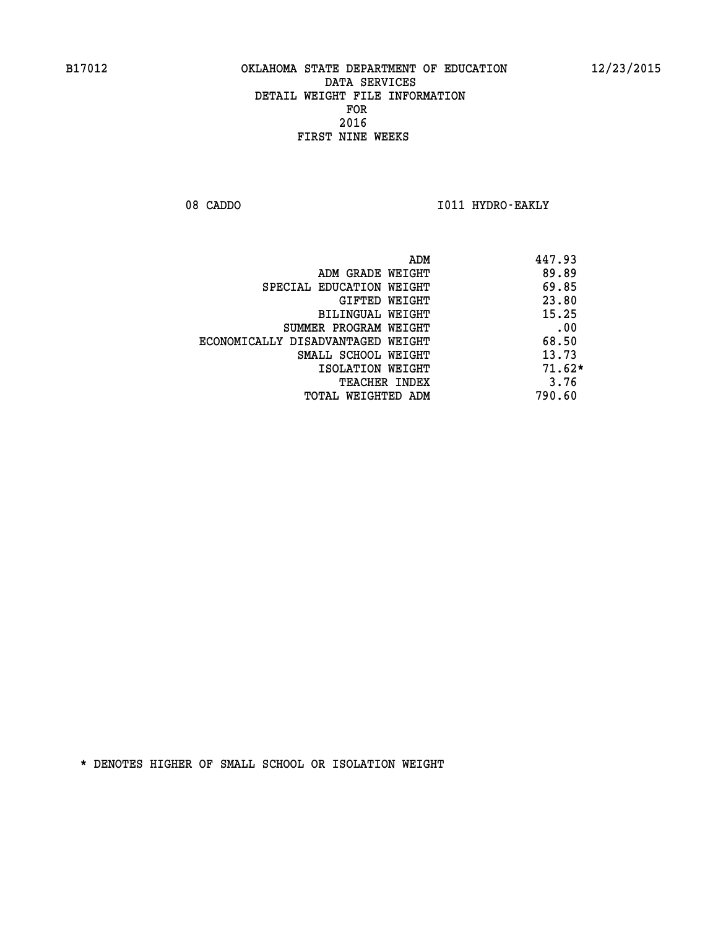08 CADDO **I011 HYDRO-EAKLY** 

|                                   | 447.93<br>ADM |
|-----------------------------------|---------------|
| ADM GRADE WEIGHT                  | 89.89         |
| SPECIAL EDUCATION WEIGHT          | 69.85         |
| GIFTED WEIGHT                     | 23.80         |
| BILINGUAL WEIGHT                  | 15.25         |
| SUMMER PROGRAM WEIGHT             | .00           |
| ECONOMICALLY DISADVANTAGED WEIGHT | 68.50         |
| SMALL SCHOOL WEIGHT               | 13.73         |
| ISOLATION WEIGHT                  | $71.62*$      |
| <b>TEACHER INDEX</b>              | 3.76          |
| TOTAL WEIGHTED ADM                | 790.60        |
|                                   |               |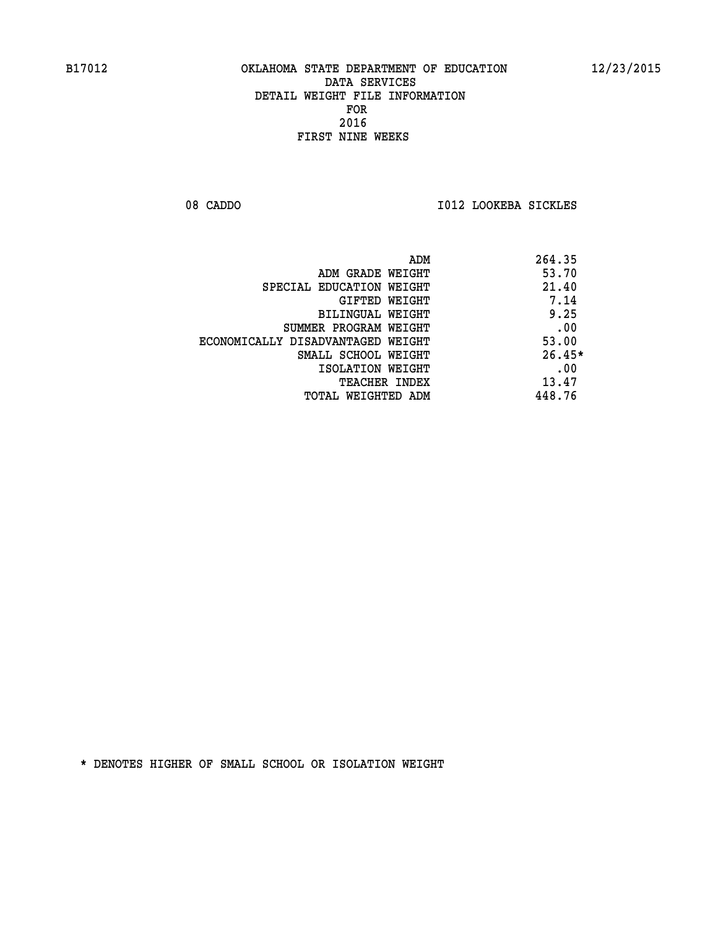08 CADDO **I012 LOOKEBA SICKLES** 

|                                   | 264.35<br>ADM |
|-----------------------------------|---------------|
| ADM GRADE WEIGHT                  | 53.70         |
| SPECIAL EDUCATION WEIGHT          | 21.40         |
| GIFTED WEIGHT                     | 7.14          |
| BILINGUAL WEIGHT                  | 9.25          |
| SUMMER PROGRAM WEIGHT             | .00           |
| ECONOMICALLY DISADVANTAGED WEIGHT | 53.00         |
| SMALL SCHOOL WEIGHT               | $26.45*$      |
| ISOLATION WEIGHT                  | .00           |
| TEACHER INDEX                     | 13.47         |
| TOTAL WEIGHTED ADM                | 448.76        |
|                                   |               |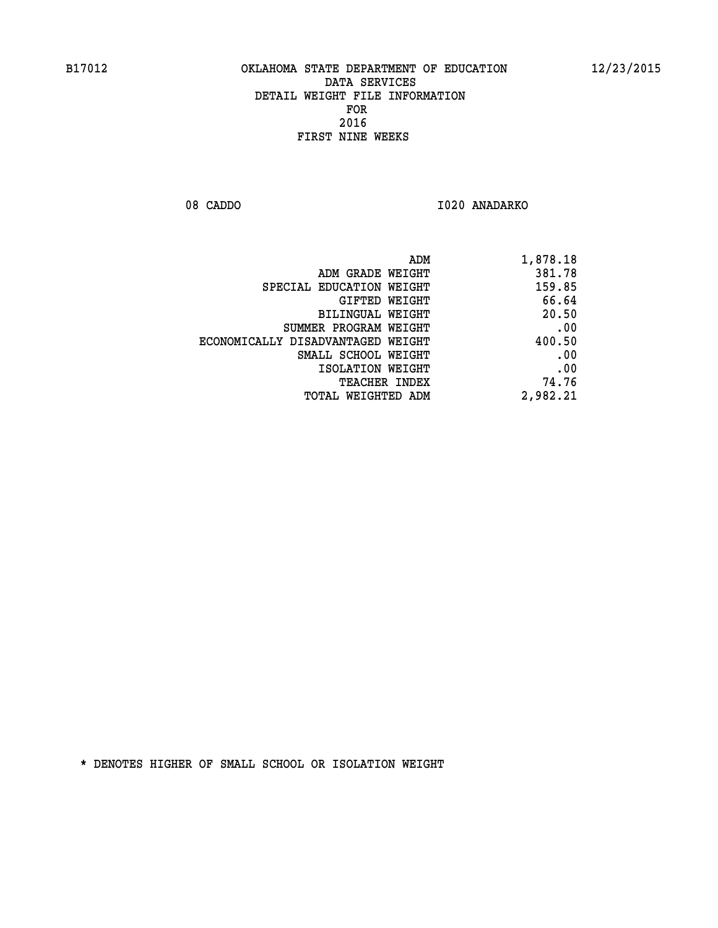08 CADDO 1020 ANADARKO

| 1,878.18 |
|----------|
| 381.78   |
| 159.85   |
| 66.64    |
| 20.50    |
| .00      |
| 400.50   |
| .00      |
| .00      |
| 74.76    |
| 2,982.21 |
|          |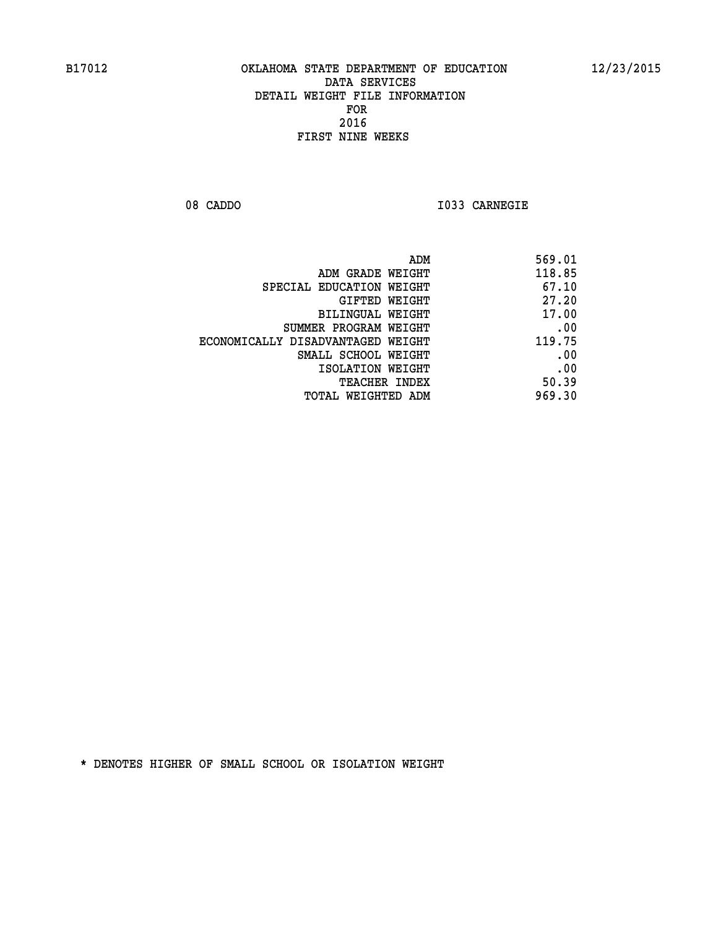**08 CADDO I033 CARNEGIE** 

| 569.01 |
|--------|
| 118.85 |
| 67.10  |
| 27.20  |
| 17.00  |
| .00    |
| 119.75 |
| .00    |
| .00    |
| 50.39  |
| 969.30 |
|        |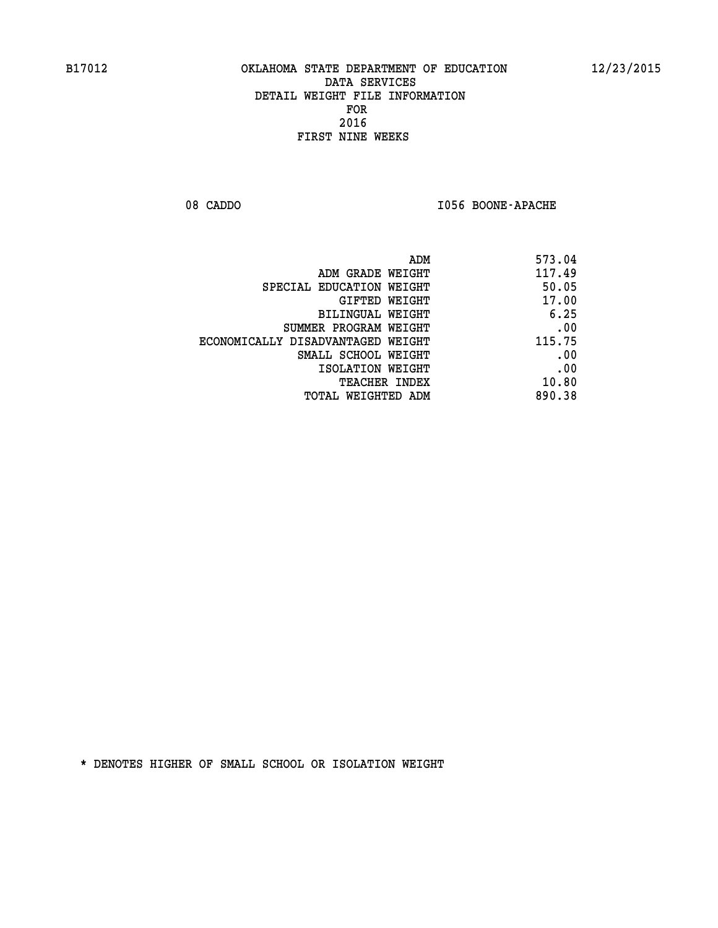08 CADDO **I056 BOONE-APACHE** 

| 573.04 |
|--------|
| 117.49 |
| 50.05  |
| 17.00  |
| 6.25   |
| .00    |
| 115.75 |
| .00    |
| .00    |
| 10.80  |
| 890.38 |
|        |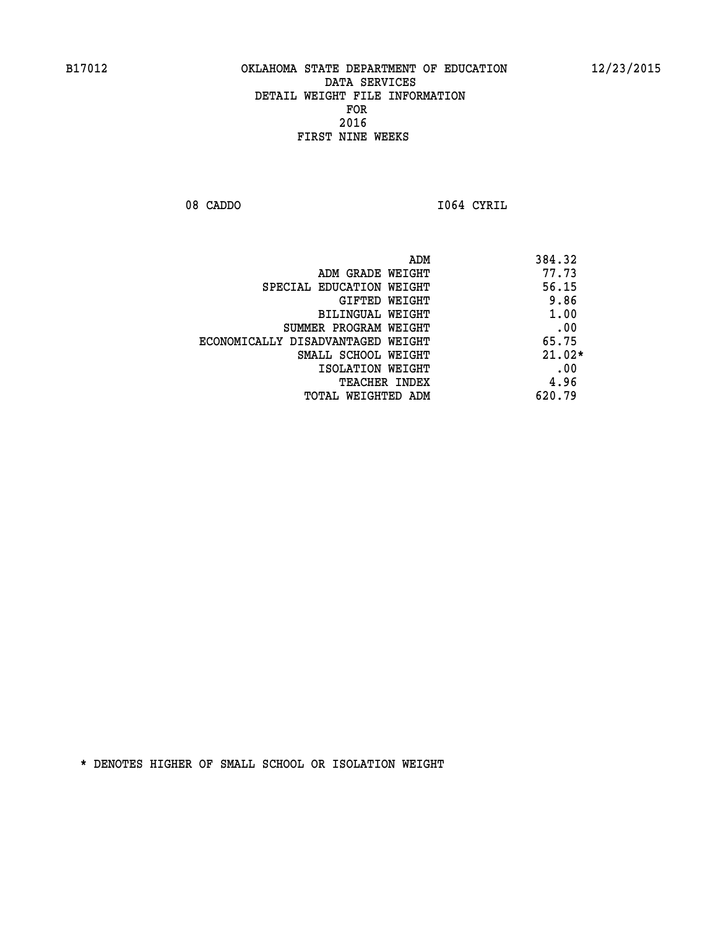**08 CADDO I064 CYRIL** 

|                                   | ADM<br>384.32 |
|-----------------------------------|---------------|
| ADM GRADE WEIGHT                  | 77.73         |
| SPECIAL EDUCATION WEIGHT          | 56.15         |
| GIFTED WEIGHT                     | 9.86          |
| BILINGUAL WEIGHT                  | 1.00          |
| SUMMER PROGRAM WEIGHT             | .00           |
| ECONOMICALLY DISADVANTAGED WEIGHT | 65.75         |
| SMALL SCHOOL WEIGHT               | $21.02*$      |
| ISOLATION WEIGHT                  | .00           |
| <b>TEACHER INDEX</b>              | 4.96          |
| TOTAL WEIGHTED ADM                | 620.79        |
|                                   |               |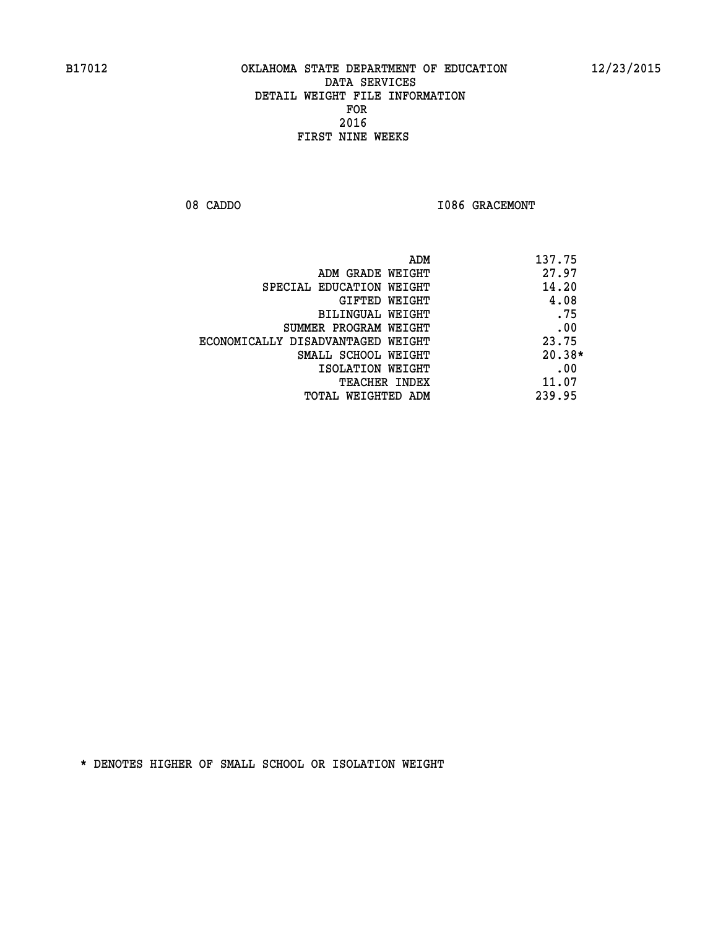08 CADDO **I086 GRACEMONT** 

| ADM                               | 137.75   |
|-----------------------------------|----------|
| ADM GRADE WEIGHT                  | 27.97    |
| SPECIAL EDUCATION WEIGHT          | 14.20    |
| GIFTED WEIGHT                     | 4.08     |
| BILINGUAL WEIGHT                  | .75      |
| SUMMER PROGRAM WEIGHT             | .00      |
| ECONOMICALLY DISADVANTAGED WEIGHT | 23.75    |
| SMALL SCHOOL WEIGHT               | $20.38*$ |
| ISOLATION WEIGHT                  | .00      |
| <b>TEACHER INDEX</b>              | 11.07    |
| TOTAL WEIGHTED ADM                | 239.95   |
|                                   |          |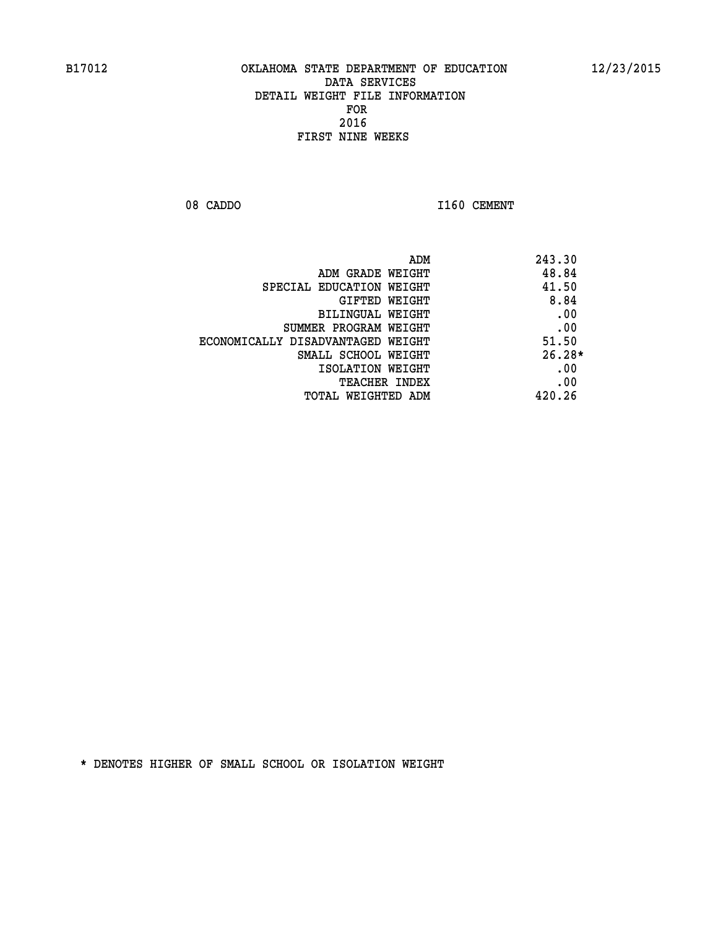08 CADDO 1160 CEMENT

|                                   | 243.30<br>ADM |
|-----------------------------------|---------------|
| ADM GRADE WEIGHT                  | 48.84         |
| SPECIAL EDUCATION WEIGHT          | 41.50         |
| <b>GIFTED WEIGHT</b>              | 8.84          |
| BILINGUAL WEIGHT                  | .00           |
| SUMMER PROGRAM WEIGHT             | .00           |
| ECONOMICALLY DISADVANTAGED WEIGHT | 51.50         |
| SMALL SCHOOL WEIGHT               | $26.28*$      |
| ISOLATION WEIGHT                  | .00           |
| <b>TEACHER INDEX</b>              | .00           |
| TOTAL WEIGHTED ADM                | 420.26        |
|                                   |               |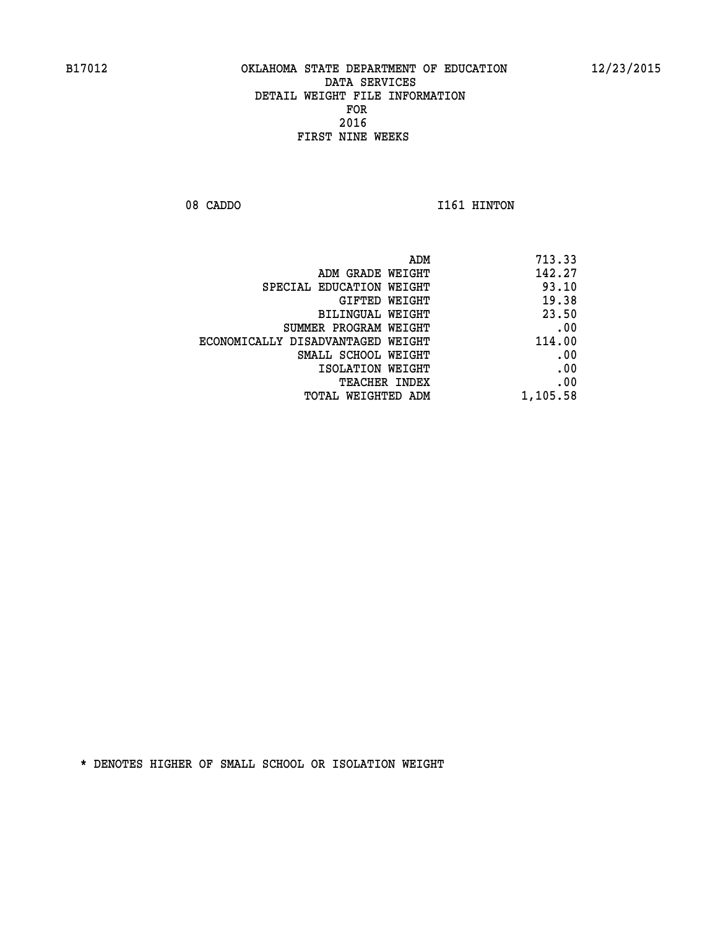08 CADDO 1161 HINTON

| ADM                               | 713.33   |
|-----------------------------------|----------|
| ADM GRADE WEIGHT                  | 142.27   |
| SPECIAL EDUCATION WEIGHT          | 93.10    |
| GIFTED WEIGHT                     | 19.38    |
| BILINGUAL WEIGHT                  | 23.50    |
| SUMMER PROGRAM WEIGHT             | .00      |
| ECONOMICALLY DISADVANTAGED WEIGHT | 114.00   |
| SMALL SCHOOL WEIGHT               | .00      |
| ISOLATION WEIGHT                  | .00      |
| TEACHER INDEX                     | .00      |
| TOTAL WEIGHTED ADM                | 1,105.58 |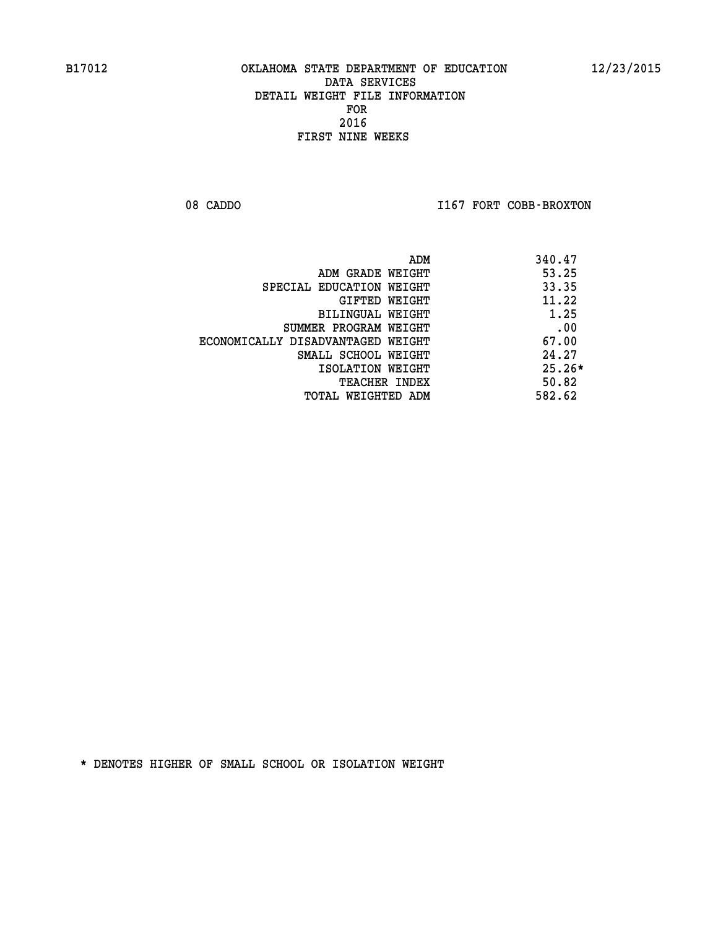08 CADDO **I167 FORT COBB-BROXTON** 

| 340.47<br>ADM                              |  |
|--------------------------------------------|--|
| 53.25<br>ADM GRADE WEIGHT                  |  |
| 33.35<br>SPECIAL EDUCATION WEIGHT          |  |
| 11.22<br>GIFTED WEIGHT                     |  |
| 1.25<br>BILINGUAL WEIGHT                   |  |
| .00<br>SUMMER PROGRAM WEIGHT               |  |
| 67.00<br>ECONOMICALLY DISADVANTAGED WEIGHT |  |
| 24.27<br>SMALL SCHOOL WEIGHT               |  |
| $25.26*$<br>ISOLATION WEIGHT               |  |
| 50.82<br><b>TEACHER INDEX</b>              |  |
| 582.62<br>TOTAL WEIGHTED ADM               |  |
|                                            |  |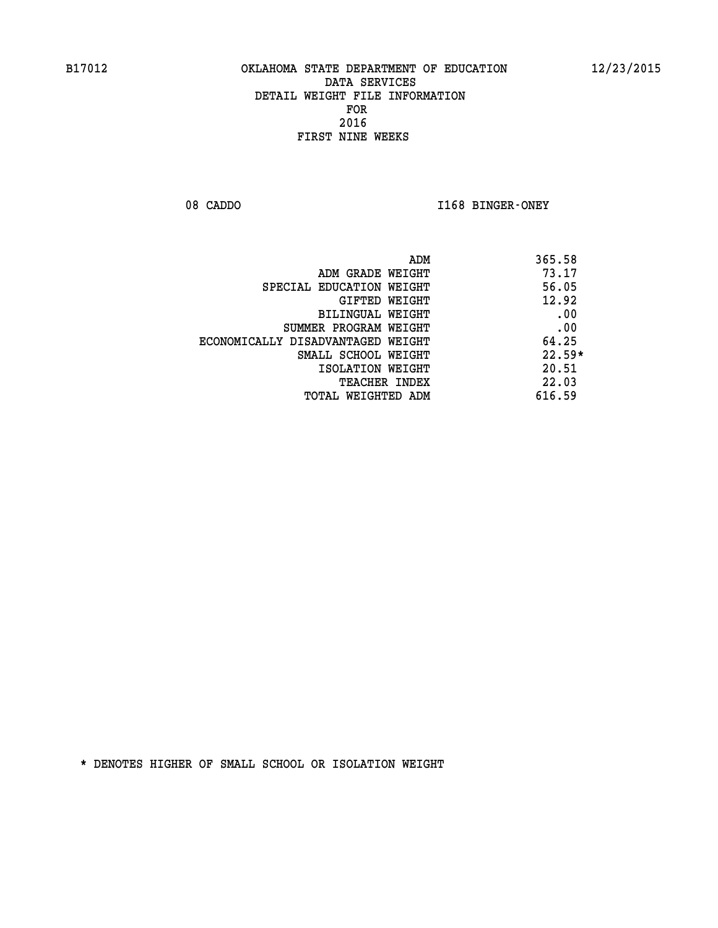08 CADDO **I168 BINGER-ONEY** 

| ADM                               | 365.58   |
|-----------------------------------|----------|
| ADM GRADE WEIGHT                  | 73.17    |
| SPECIAL EDUCATION WEIGHT          | 56.05    |
| GIFTED WEIGHT                     | 12.92    |
| BILINGUAL WEIGHT                  | .00      |
| SUMMER PROGRAM WEIGHT             | .00      |
| ECONOMICALLY DISADVANTAGED WEIGHT | 64.25    |
| SMALL SCHOOL WEIGHT               | $22.59*$ |
| ISOLATION WEIGHT                  | 20.51    |
| <b>TEACHER INDEX</b>              | 22.03    |
| TOTAL WEIGHTED ADM                | 616.59   |
|                                   |          |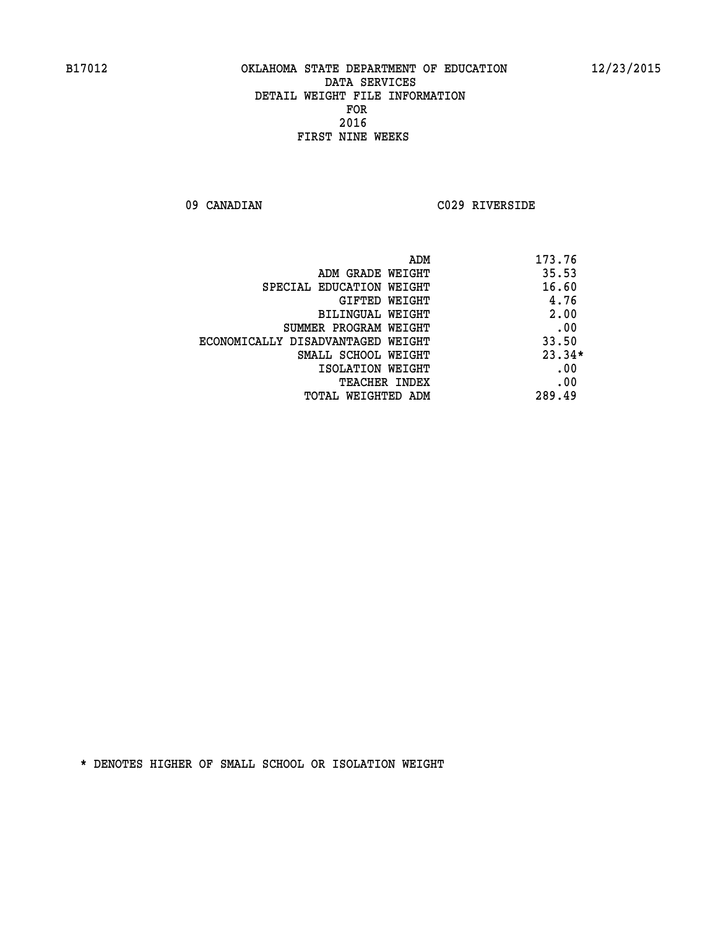**09 CANADIAN C029 RIVERSIDE** 

|                                   | 173.76<br>ADM |          |
|-----------------------------------|---------------|----------|
| ADM GRADE WEIGHT                  | 35.53         |          |
| SPECIAL EDUCATION WEIGHT          | 16.60         |          |
| GIFTED WEIGHT                     |               | 4.76     |
| BILINGUAL WEIGHT                  |               | 2.00     |
| SUMMER PROGRAM WEIGHT             |               | .00      |
| ECONOMICALLY DISADVANTAGED WEIGHT | 33.50         |          |
| SMALL SCHOOL WEIGHT               |               | $23.34*$ |
| ISOLATION WEIGHT                  |               | .00      |
| <b>TEACHER INDEX</b>              |               | .00      |
| TOTAL WEIGHTED ADM                | 289.49        |          |
|                                   |               |          |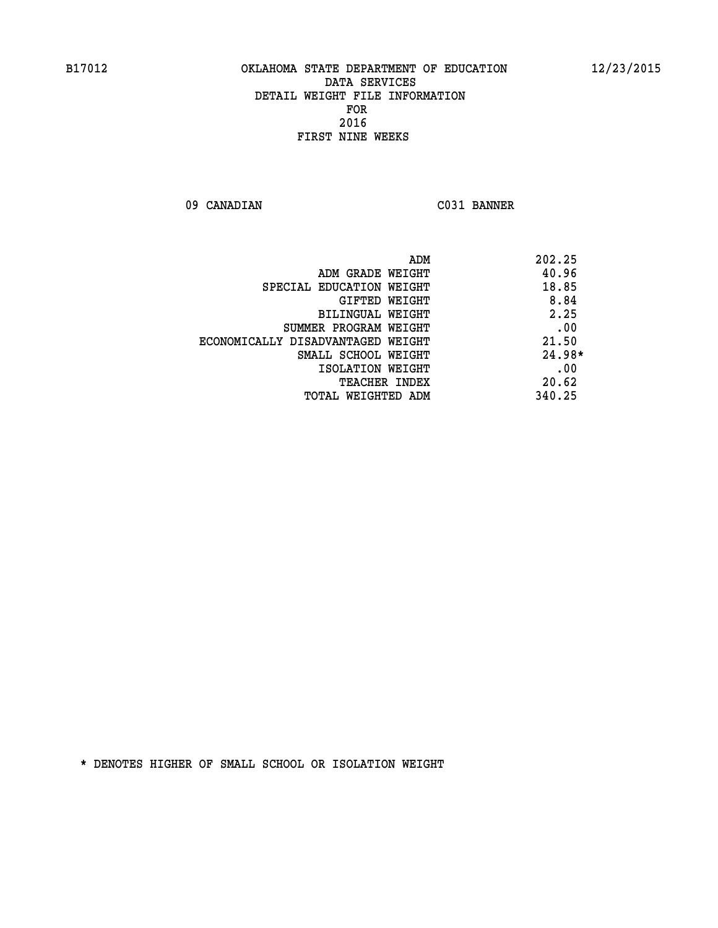**09 CANADIAN C031 BANNER** 

|                                   | 202.25<br>ADM |
|-----------------------------------|---------------|
| ADM GRADE WEIGHT                  | 40.96         |
| SPECIAL EDUCATION WEIGHT          | 18.85         |
| <b>GIFTED WEIGHT</b>              | 8.84          |
| BILINGUAL WEIGHT                  | 2.25          |
| SUMMER PROGRAM WEIGHT             | .00           |
| ECONOMICALLY DISADVANTAGED WEIGHT | 21.50         |
| SMALL SCHOOL WEIGHT               | 24.98*        |
| ISOLATION WEIGHT                  | .00           |
| <b>TEACHER INDEX</b>              | 20.62         |
| TOTAL WEIGHTED ADM                | 340.25        |
|                                   |               |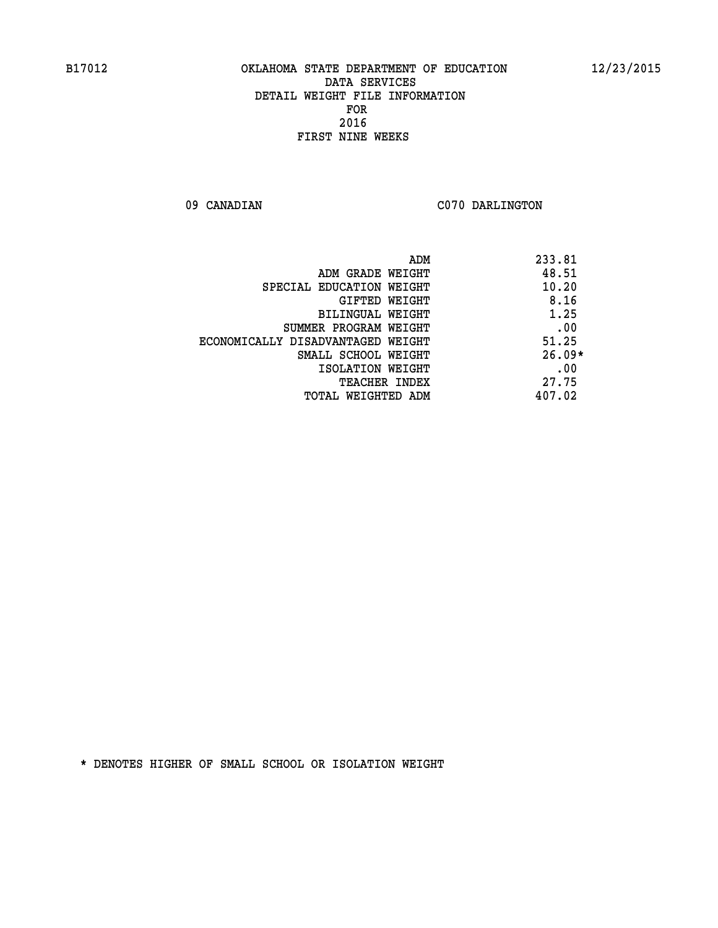09 CANADIAN C070 DARLINGTON

|                                   | 233.81<br>ADM |          |
|-----------------------------------|---------------|----------|
| ADM GRADE WEIGHT                  |               | 48.51    |
| SPECIAL EDUCATION WEIGHT          |               | 10.20    |
| GIFTED WEIGHT                     |               | 8.16     |
| BILINGUAL WEIGHT                  |               | 1.25     |
| SUMMER PROGRAM WEIGHT             |               | .00      |
| ECONOMICALLY DISADVANTAGED WEIGHT |               | 51.25    |
| SMALL SCHOOL WEIGHT               |               | $26.09*$ |
| ISOLATION WEIGHT                  |               | .00      |
| <b>TEACHER INDEX</b>              |               | 27.75    |
| TOTAL WEIGHTED ADM                | 407.02        |          |
|                                   |               |          |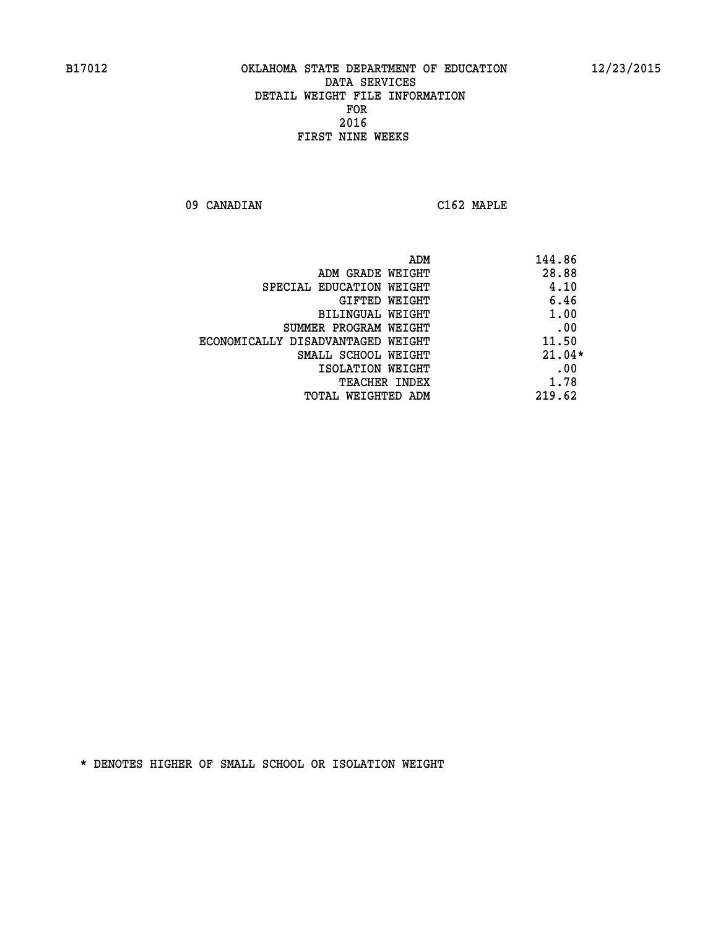**09 CANADIAN C162 MAPLE** 

| ADM                               | 144.86   |
|-----------------------------------|----------|
| ADM GRADE WEIGHT                  | 28.88    |
| SPECIAL EDUCATION WEIGHT          | 4.10     |
| GIFTED WEIGHT                     | 6.46     |
| BILINGUAL WEIGHT                  | 1.00     |
| SUMMER PROGRAM WEIGHT             | .00      |
| ECONOMICALLY DISADVANTAGED WEIGHT | 11.50    |
| SMALL SCHOOL WEIGHT               | $21.04*$ |
| ISOLATION WEIGHT                  | .00      |
| <b>TEACHER INDEX</b>              | 1.78     |
| TOTAL WEIGHTED ADM                | 219.62   |
|                                   |          |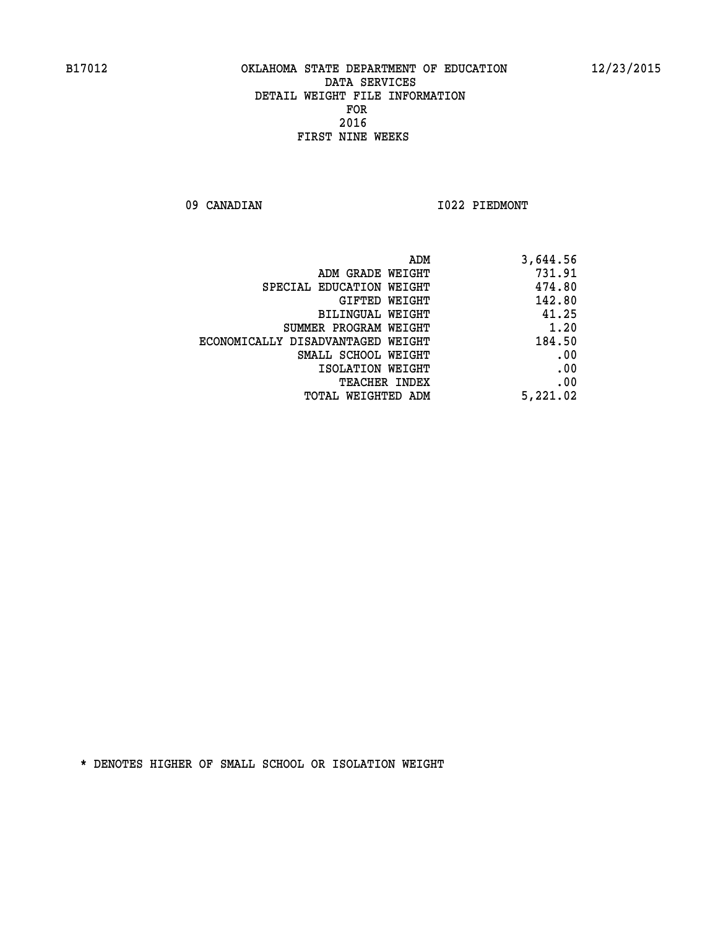**09 CANADIAN I022 PIEDMONT** 

| ADM                               | 3,644.56 |
|-----------------------------------|----------|
| ADM GRADE WEIGHT                  | 731.91   |
| SPECIAL EDUCATION WEIGHT          | 474.80   |
| GIFTED WEIGHT                     | 142.80   |
| BILINGUAL WEIGHT                  | 41.25    |
| SUMMER PROGRAM WEIGHT             | 1.20     |
| ECONOMICALLY DISADVANTAGED WEIGHT | 184.50   |
| SMALL SCHOOL WEIGHT               | .00      |
| ISOLATION WEIGHT                  | .00      |
| <b>TEACHER INDEX</b>              | .00      |
| <b>TOTAL WEIGHTED ADM</b>         | 5,221.02 |
|                                   |          |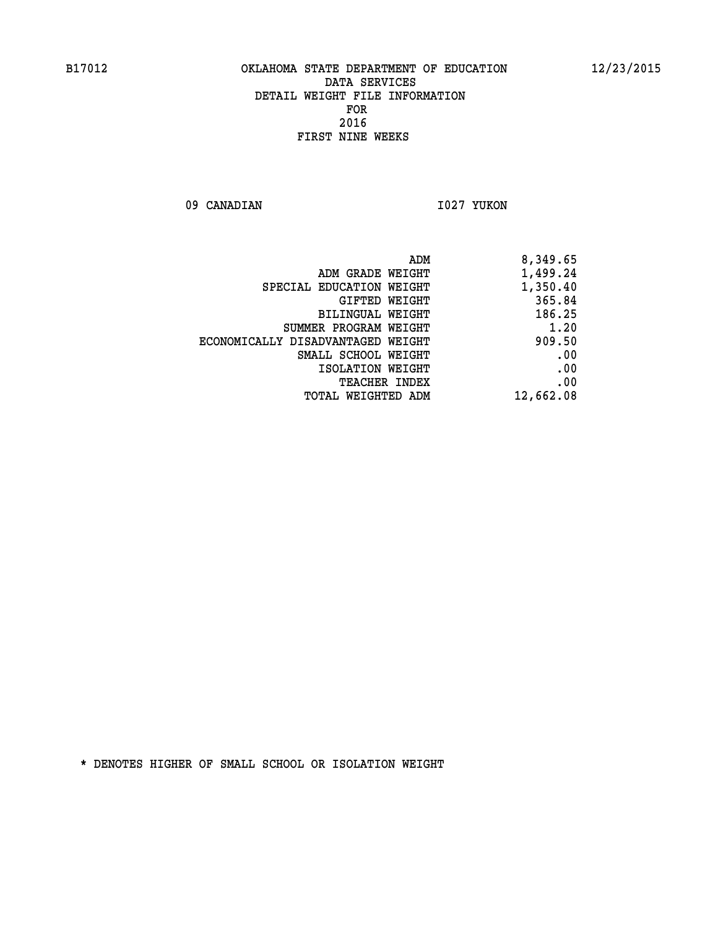09 CANADIAN 1027 YUKON

| ADM                               | 8,349.65  |
|-----------------------------------|-----------|
| ADM GRADE WEIGHT                  | 1,499.24  |
| SPECIAL EDUCATION WEIGHT          | 1,350.40  |
| <b>GIFTED WEIGHT</b>              | 365.84    |
| <b>BILINGUAL WEIGHT</b>           | 186.25    |
| SUMMER PROGRAM WEIGHT             | 1.20      |
| ECONOMICALLY DISADVANTAGED WEIGHT | 909.50    |
| SMALL SCHOOL WEIGHT               | .00       |
| ISOLATION WEIGHT                  | .00       |
| <b>TEACHER INDEX</b>              | .00       |
| TOTAL WEIGHTED ADM                | 12,662.08 |
|                                   |           |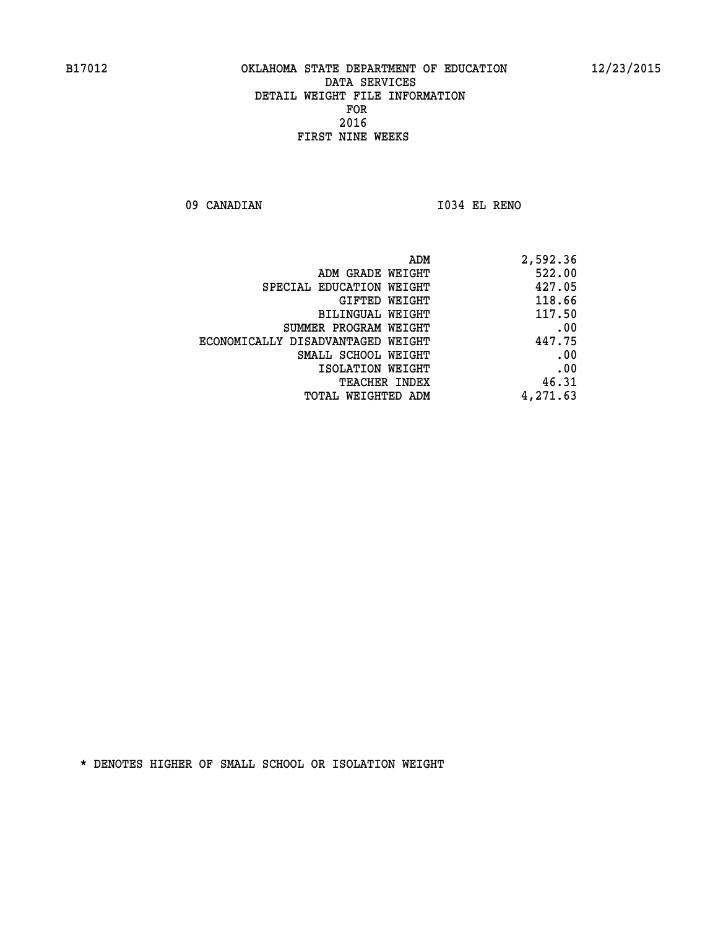**09 CANADIAN I034 EL RENO** 

| 2,592.36 |
|----------|
| 522.00   |
| 427.05   |
| 118.66   |
| 117.50   |
| .00      |
| 447.75   |
| .00      |
| .00      |
| 46.31    |
| 4,271.63 |
|          |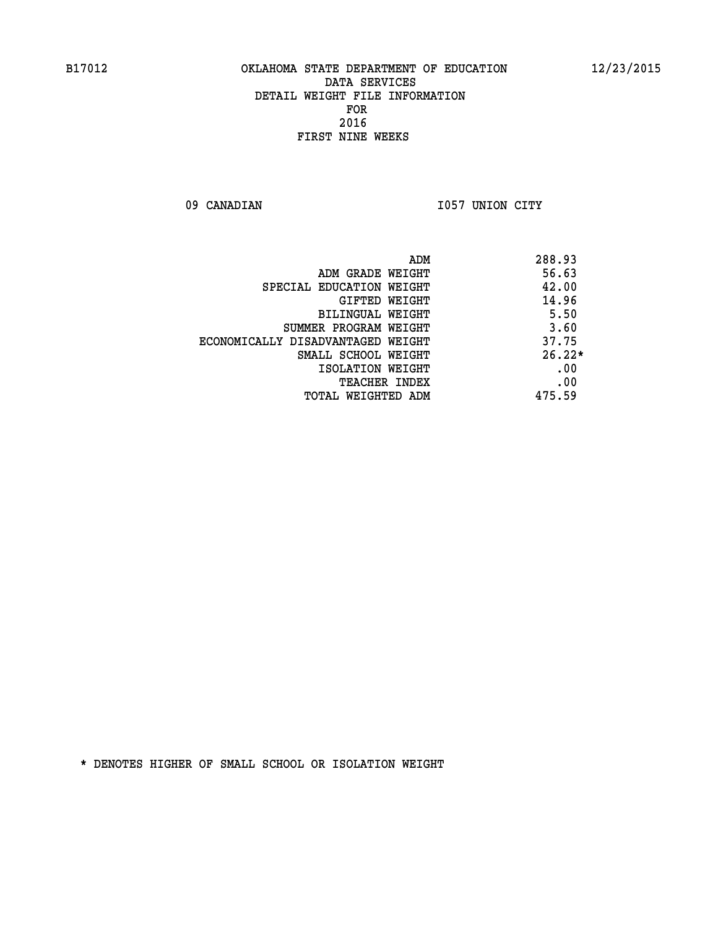09 CANADIAN 1057 UNION CITY

|                                   | ADM | 288.93   |
|-----------------------------------|-----|----------|
| ADM GRADE WEIGHT                  |     | 56.63    |
| SPECIAL EDUCATION WEIGHT          |     | 42.00    |
| GIFTED WEIGHT                     |     | 14.96    |
| BILINGUAL WEIGHT                  |     | 5.50     |
| SUMMER PROGRAM WEIGHT             |     | 3.60     |
| ECONOMICALLY DISADVANTAGED WEIGHT |     | 37.75    |
| SMALL SCHOOL WEIGHT               |     | $26.22*$ |
| ISOLATION WEIGHT                  |     | .00      |
| <b>TEACHER INDEX</b>              |     | .00      |
| TOTAL WEIGHTED ADM                |     | 475.59   |
|                                   |     |          |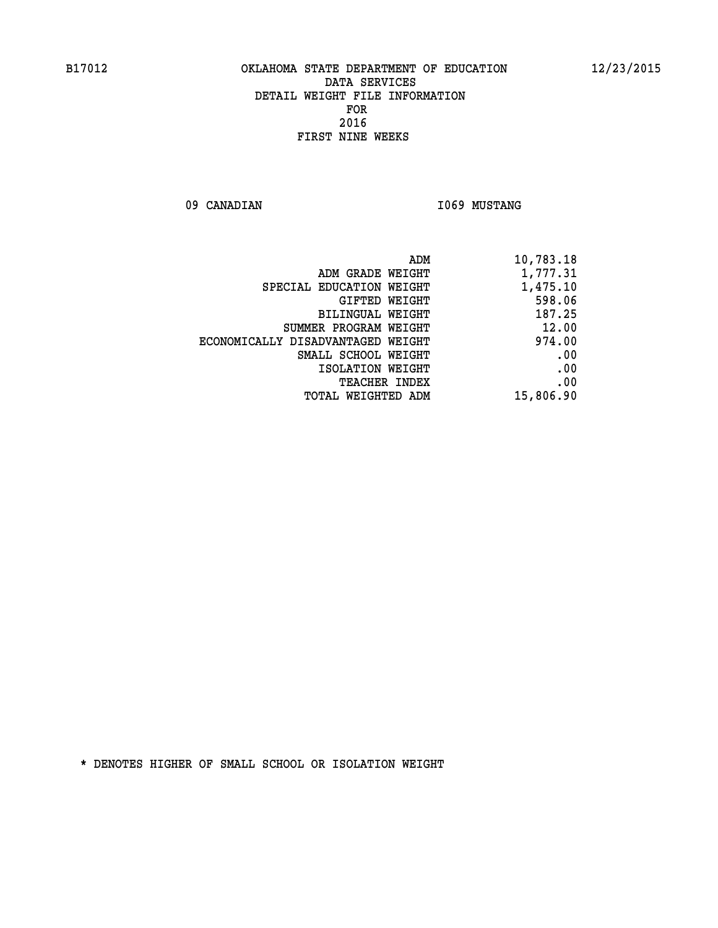09 CANADIAN 1069 MUSTANG

| 10,783.18 |
|-----------|
| 1,777.31  |
| 1,475.10  |
| 598.06    |
| 187.25    |
| 12.00     |
| 974.00    |
| .00       |
| .00       |
| .00       |
| 15,806.90 |
|           |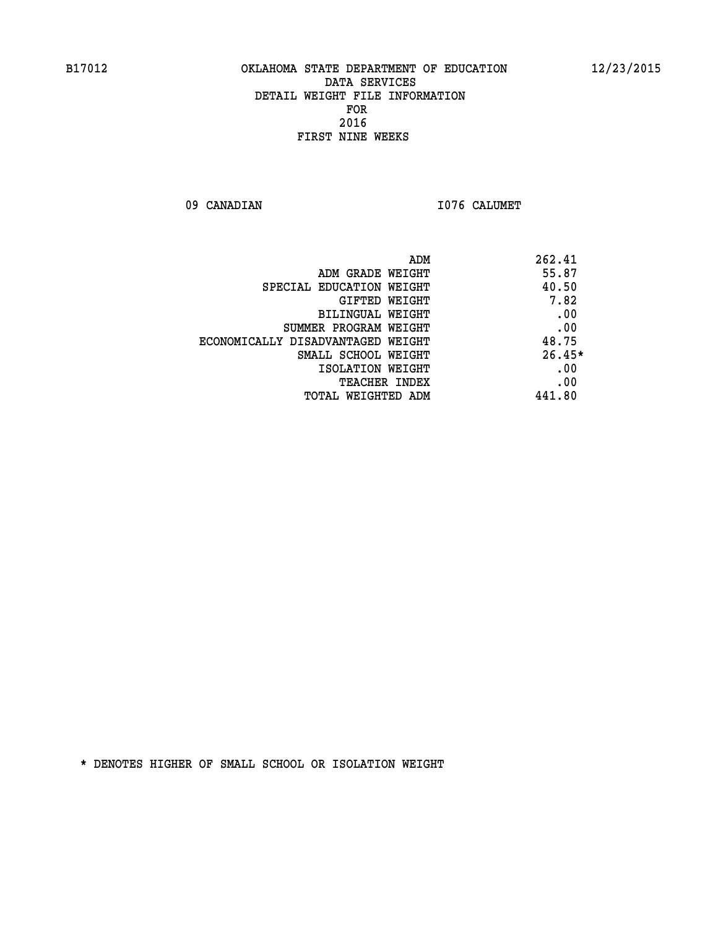09 CANADIAN 1076 CALUMET

| ADM                               | 262.41   |
|-----------------------------------|----------|
| ADM GRADE WEIGHT                  | 55.87    |
| SPECIAL EDUCATION WEIGHT          | 40.50    |
| <b>GIFTED WEIGHT</b>              | 7.82     |
| BILINGUAL WEIGHT                  | .00      |
| SUMMER PROGRAM WEIGHT             | .00      |
| ECONOMICALLY DISADVANTAGED WEIGHT | 48.75    |
| SMALL SCHOOL WEIGHT               | $26.45*$ |
| ISOLATION WEIGHT                  | .00      |
| <b>TEACHER INDEX</b>              | .00      |
| TOTAL WEIGHTED ADM                | 441.80   |
|                                   |          |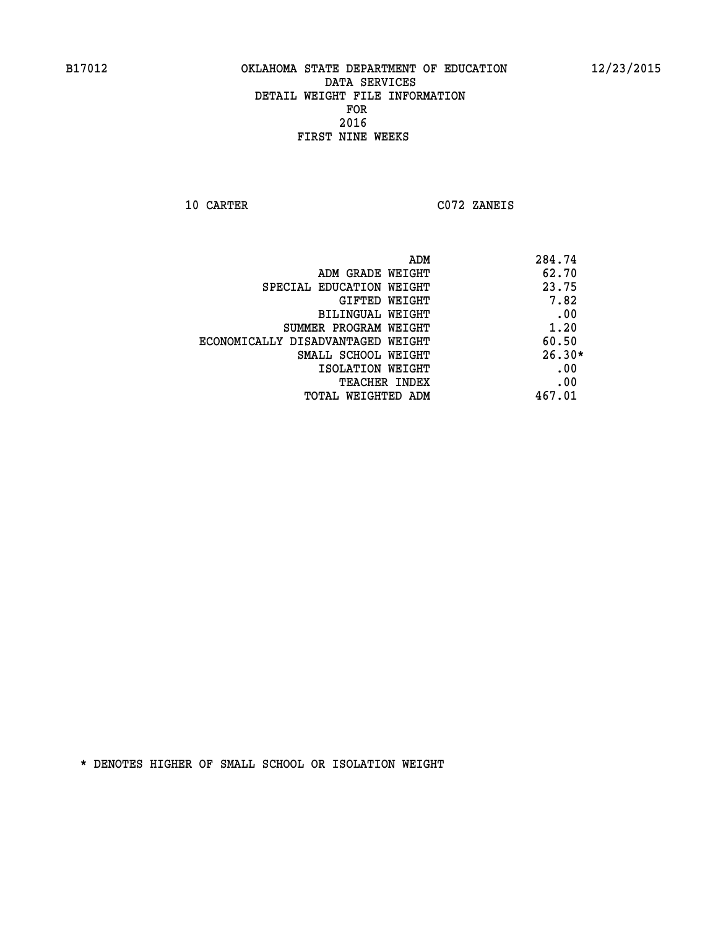**10 CARTER C072 ZANEIS** 

| 284.74   |
|----------|
| 62.70    |
| 23.75    |
| 7.82     |
| .00      |
| 1.20     |
| 60.50    |
| $26.30*$ |
| .00      |
| .00      |
| 467.01   |
|          |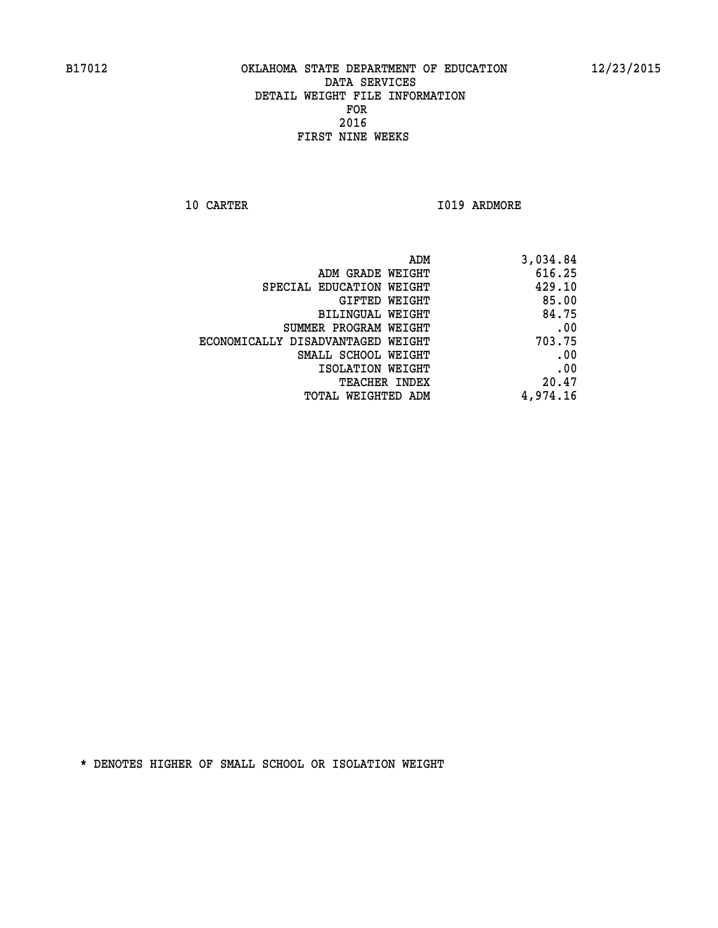**10 CARTER 1019 ARDMORE** 

| ADM                               | 3,034.84 |
|-----------------------------------|----------|
| ADM GRADE WEIGHT                  | 616.25   |
| SPECIAL EDUCATION WEIGHT          | 429.10   |
| GIFTED WEIGHT                     | 85.00    |
| <b>BILINGUAL WEIGHT</b>           | 84.75    |
| SUMMER PROGRAM WEIGHT             | .00      |
| ECONOMICALLY DISADVANTAGED WEIGHT | 703.75   |
| SMALL SCHOOL WEIGHT               | .00      |
| ISOLATION WEIGHT                  | .00      |
| TEACHER INDEX                     | 20.47    |
| TOTAL WEIGHTED ADM                | 4,974.16 |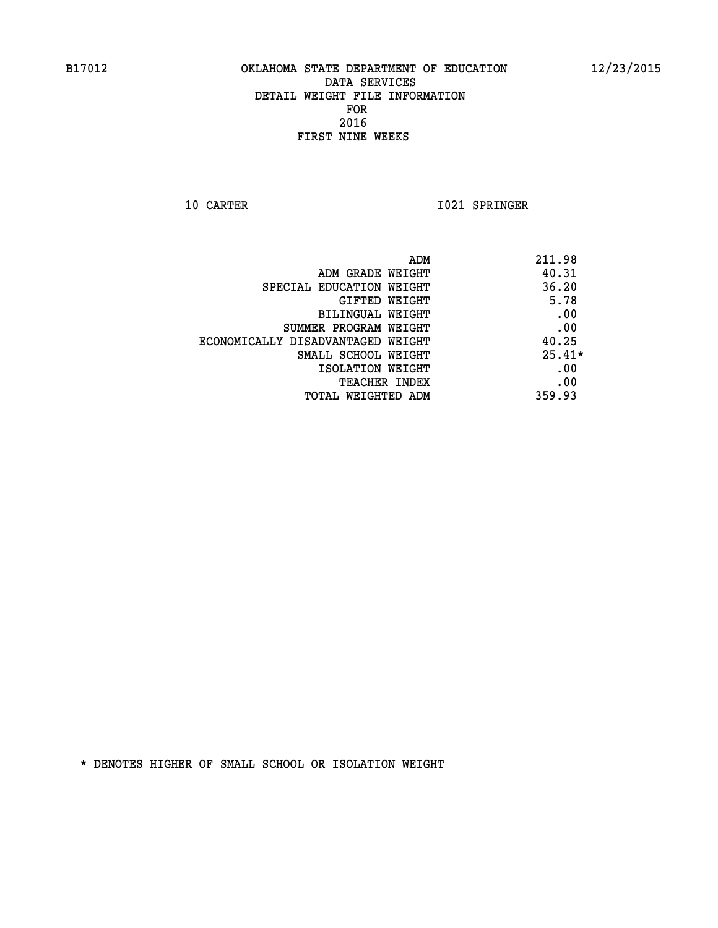**10 CARTER 1021 SPRINGER** 

|                                   | 211.98<br>ADM |
|-----------------------------------|---------------|
| ADM GRADE WEIGHT                  | 40.31         |
| SPECIAL EDUCATION WEIGHT          | 36.20         |
| <b>GIFTED WEIGHT</b>              | 5.78          |
| BILINGUAL WEIGHT                  | .00           |
| SUMMER PROGRAM WEIGHT             | .00           |
| ECONOMICALLY DISADVANTAGED WEIGHT | 40.25         |
| SMALL SCHOOL WEIGHT               | $25.41*$      |
| ISOLATION WEIGHT                  | .00           |
| <b>TEACHER INDEX</b>              | .00           |
| TOTAL WEIGHTED ADM                | 359.93        |
|                                   |               |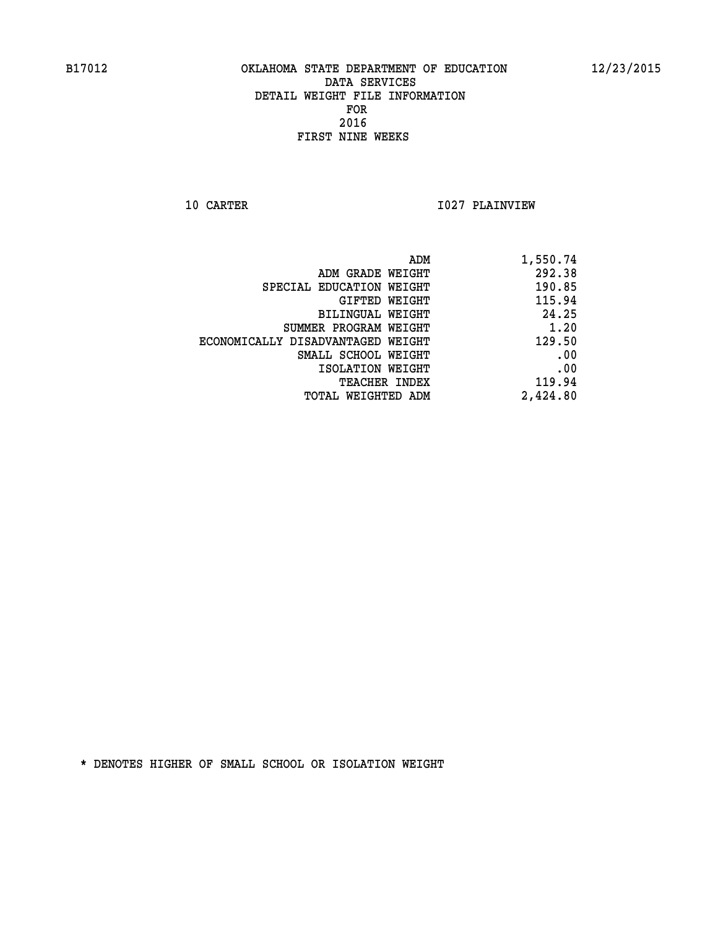**10 CARTER 1027 PLAINVIEW** 

| 1,550.74 |
|----------|
| 292.38   |
| 190.85   |
| 115.94   |
| 24.25    |
| 1.20     |
| 129.50   |
| .00      |
| .00      |
| 119.94   |
| 2,424.80 |
|          |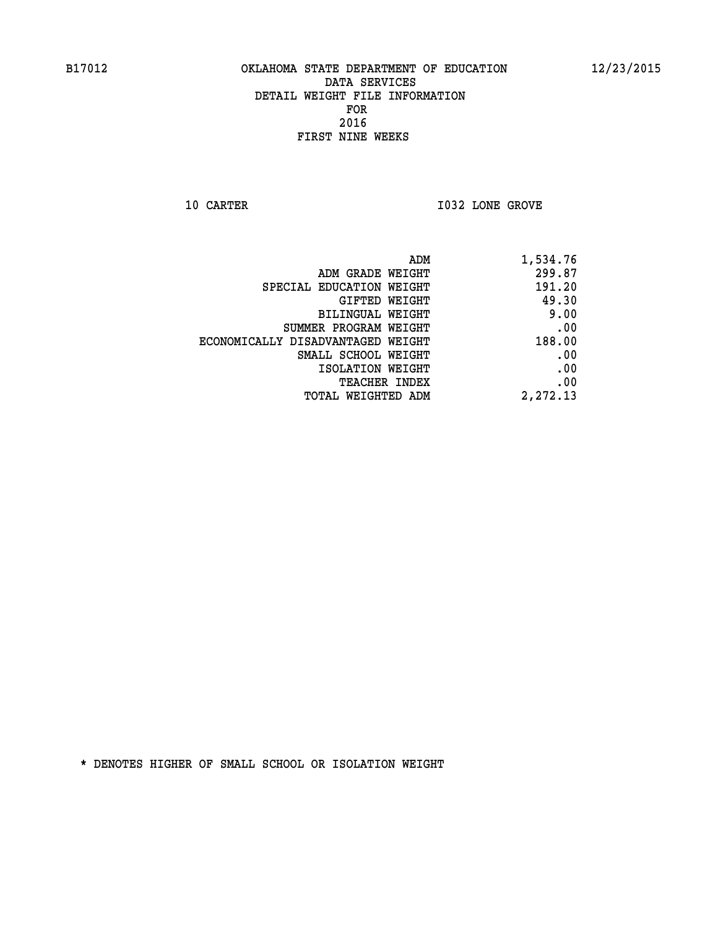**10 CARTER 10 CARTER 1032 LONE GROVE** 

| ADM                               | 1,534.76 |
|-----------------------------------|----------|
| ADM GRADE WEIGHT                  | 299.87   |
| SPECIAL EDUCATION WEIGHT          | 191.20   |
| <b>GIFTED WEIGHT</b>              | 49.30    |
| BILINGUAL WEIGHT                  | 9.00     |
| SUMMER PROGRAM WEIGHT             | .00      |
| ECONOMICALLY DISADVANTAGED WEIGHT | 188.00   |
| SMALL SCHOOL WEIGHT               | .00      |
| ISOLATION WEIGHT                  | .00      |
| <b>TEACHER INDEX</b>              | .00      |
| <b>TOTAL WEIGHTED ADM</b>         | 2,272.13 |
|                                   |          |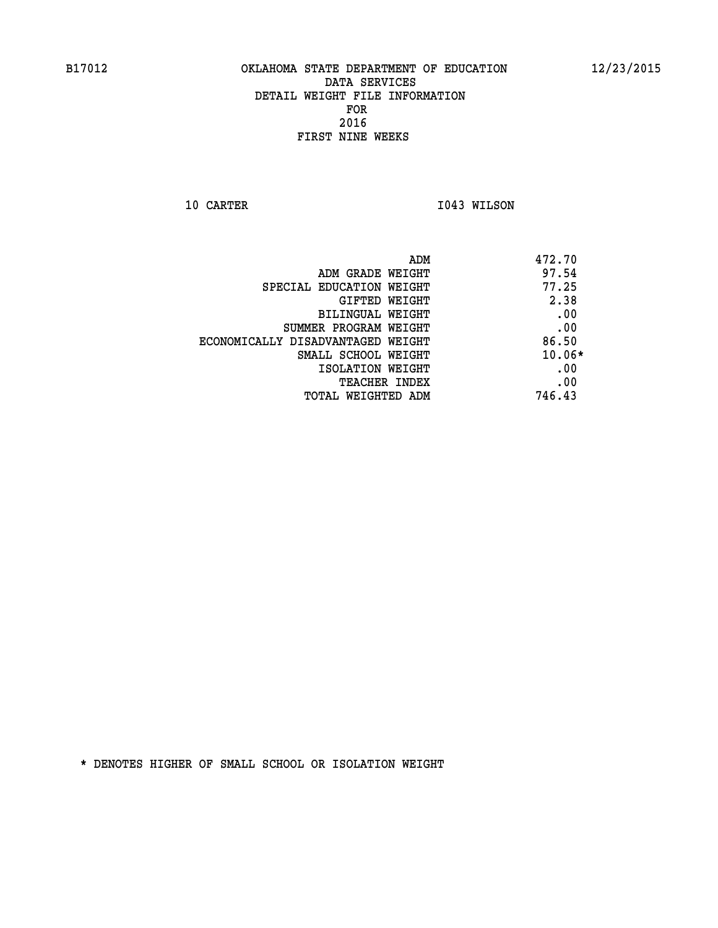**10 CARTER 1043 WILSON** 

| 472.70   | ADM                               |
|----------|-----------------------------------|
| 97.54    | ADM GRADE WEIGHT                  |
| 77.25    | SPECIAL EDUCATION WEIGHT          |
| 2.38     | <b>GIFTED WEIGHT</b>              |
| .00      | BILINGUAL WEIGHT                  |
| .00      | SUMMER PROGRAM WEIGHT             |
| 86.50    | ECONOMICALLY DISADVANTAGED WEIGHT |
| $10.06*$ | SMALL SCHOOL WEIGHT               |
| .00      | ISOLATION WEIGHT                  |
| .00      | <b>TEACHER INDEX</b>              |
| 746.43   | TOTAL WEIGHTED ADM                |
|          |                                   |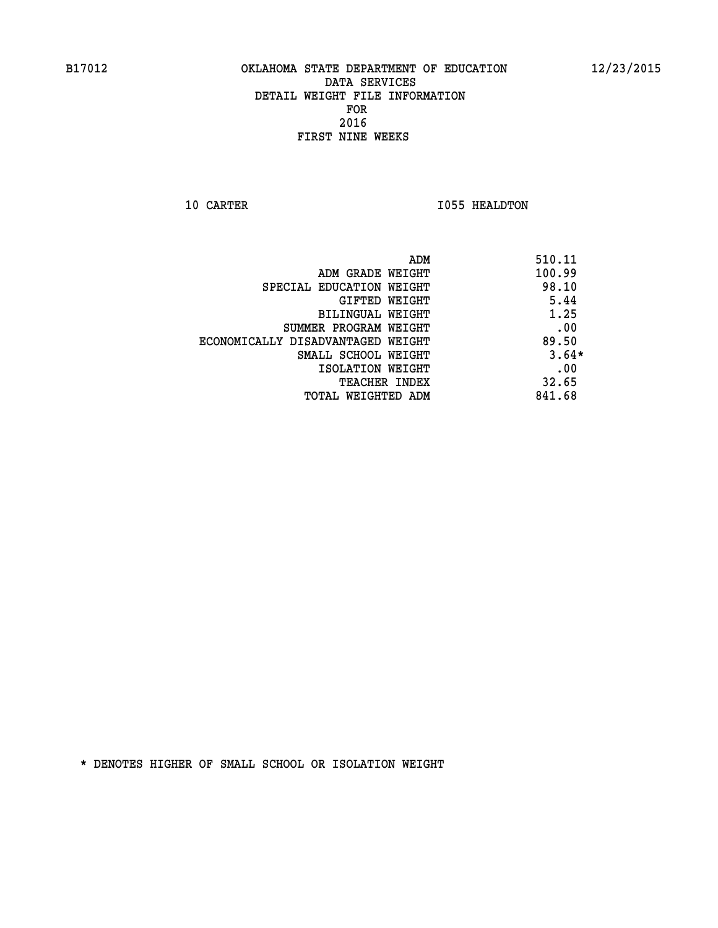**10 CARTER 1055 HEALDTON** 

| ADM                               | 510.11  |
|-----------------------------------|---------|
| ADM GRADE WEIGHT                  | 100.99  |
| SPECIAL EDUCATION WEIGHT          | 98.10   |
| <b>GIFTED WEIGHT</b>              | 5.44    |
| BILINGUAL WEIGHT                  | 1.25    |
| SUMMER PROGRAM WEIGHT             | .00     |
| ECONOMICALLY DISADVANTAGED WEIGHT | 89.50   |
| SMALL SCHOOL WEIGHT               | $3.64*$ |
| ISOLATION WEIGHT                  | .00     |
| <b>TEACHER INDEX</b>              | 32.65   |
| TOTAL WEIGHTED ADM                | 841.68  |
|                                   |         |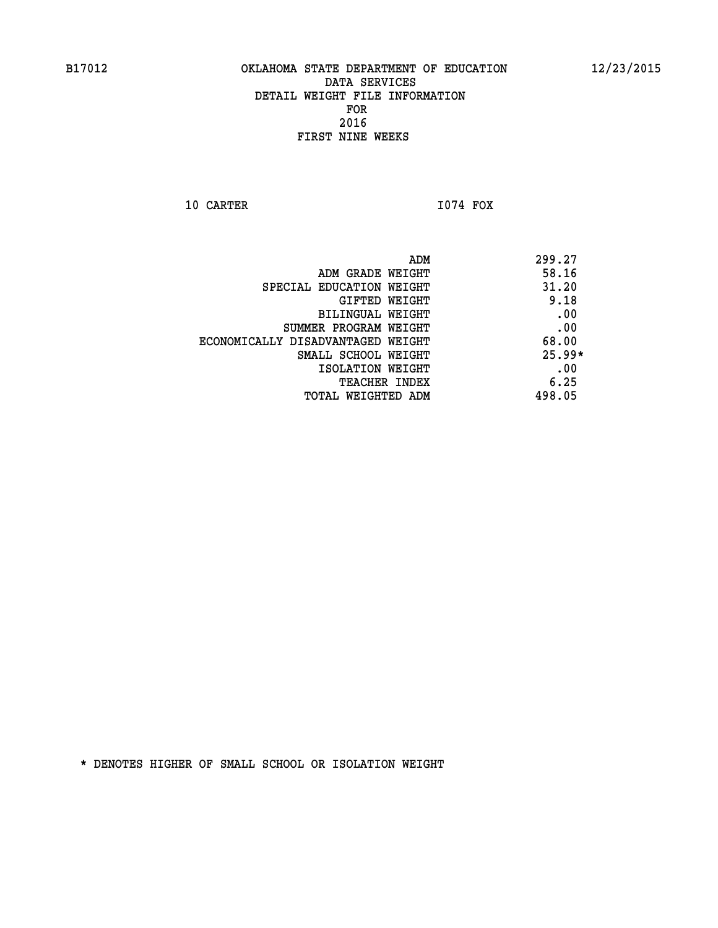**10 CARTER I074 FOX** 

 **ADM 299.27 ADM GRADE WEIGHT 58.16 SPECIAL EDUCATION WEIGHT 41.20 GIFTED WEIGHT** 9.18 **BILINGUAL WEIGHT .00 SUMMER PROGRAM WEIGHT .00 ECONOMICALLY DISADVANTAGED WEIGHT 68.00 SMALL SCHOOL WEIGHT 25.99\* EXECUTED ISOLATION WEIGHT AND RESOLATION WEIGHT TEACHER INDEX** 6.25  **TOTAL WEIGHTED ADM 498.05**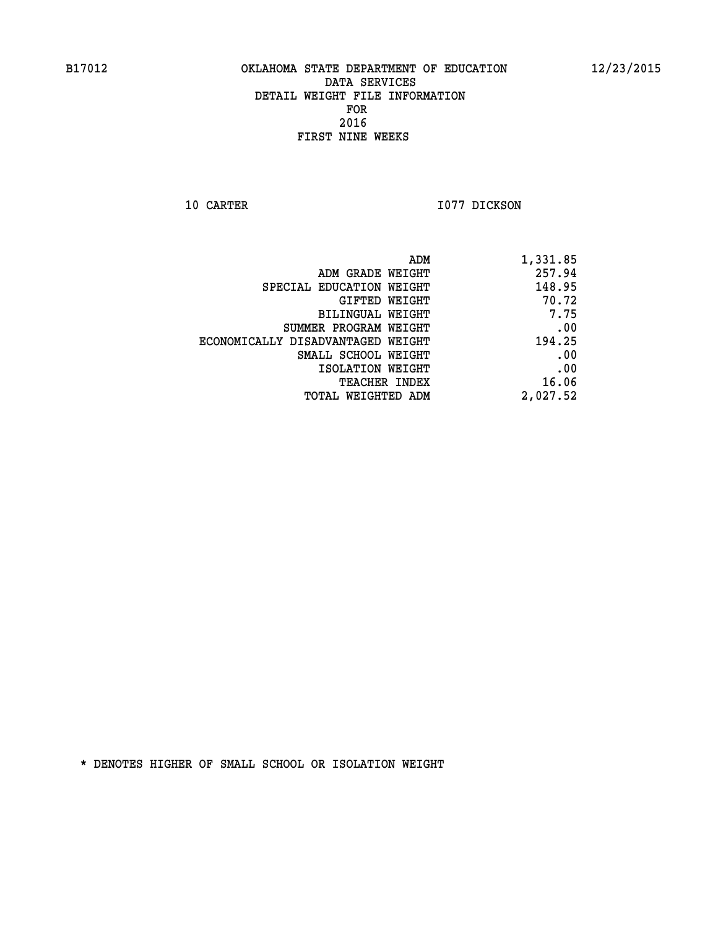**10 CARTER 1077 DICKSON** 

| 1,331.85 |
|----------|
| 257.94   |
| 148.95   |
| 70.72    |
| 7.75     |
| .00      |
| 194.25   |
| .00      |
| .00      |
| 16.06    |
| 2,027.52 |
|          |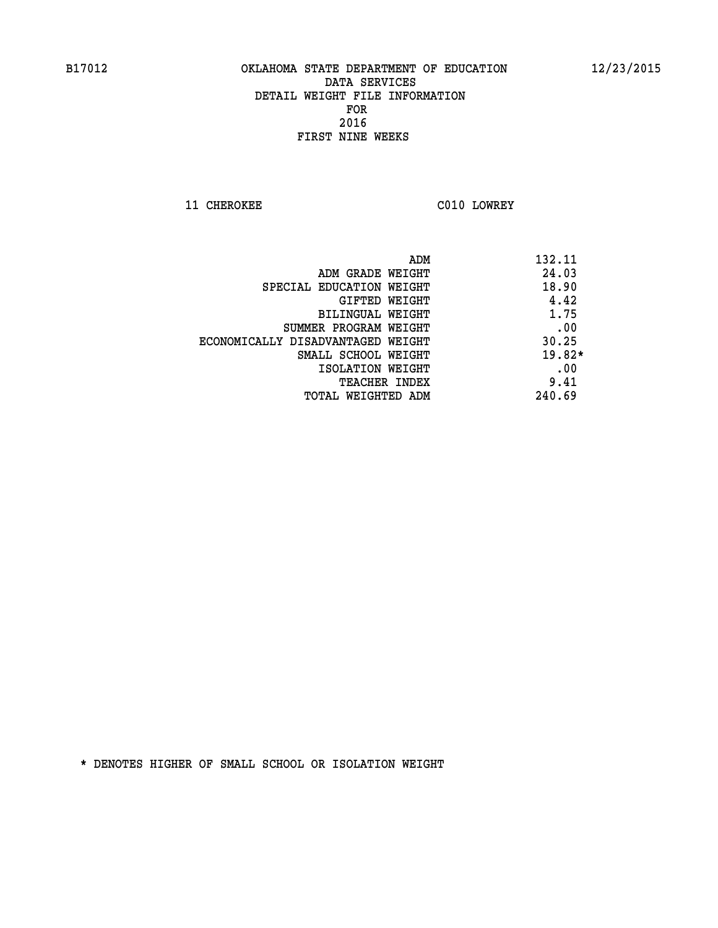**11 CHEROKEE CO10 LOWREY** 

| ADM                               | 132.11   |
|-----------------------------------|----------|
| ADM GRADE WEIGHT                  | 24.03    |
| SPECIAL EDUCATION WEIGHT          | 18.90    |
| <b>GIFTED WEIGHT</b>              | 4.42     |
| BILINGUAL WEIGHT                  | 1.75     |
| SUMMER PROGRAM WEIGHT             | .00      |
| ECONOMICALLY DISADVANTAGED WEIGHT | 30.25    |
| SMALL SCHOOL WEIGHT               | $19.82*$ |
| ISOLATION WEIGHT                  | .00      |
| <b>TEACHER INDEX</b>              | 9.41     |
| TOTAL WEIGHTED ADM                | 240.69   |
|                                   |          |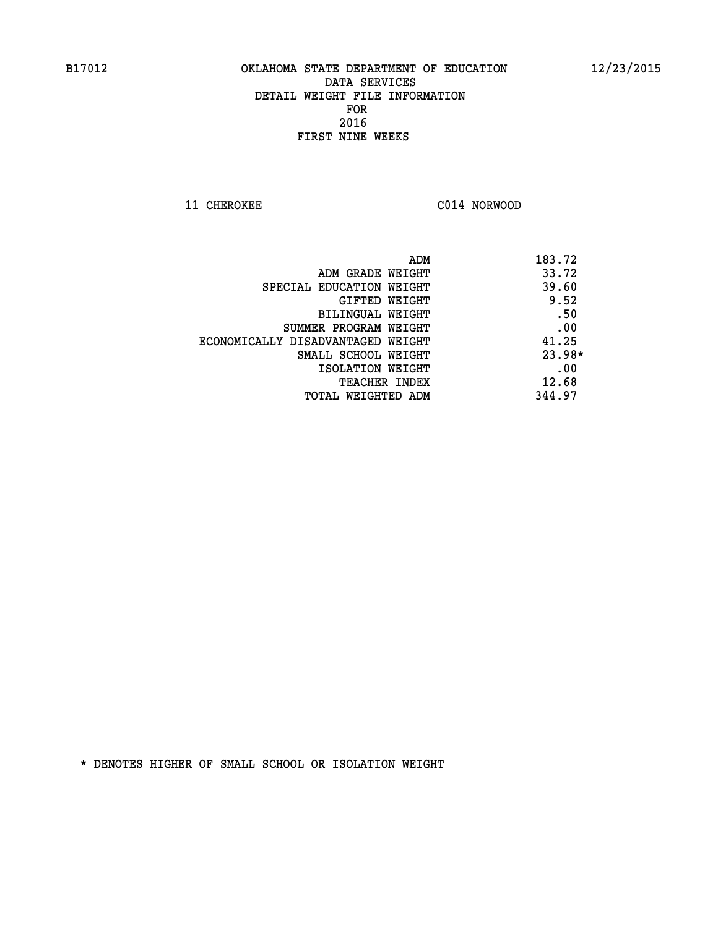**11 CHEROKEE C014 NORWOOD** 

| ADM                               | 183.72   |
|-----------------------------------|----------|
| ADM GRADE WEIGHT                  | 33.72    |
| SPECIAL EDUCATION WEIGHT          | 39.60    |
| GIFTED WEIGHT                     | 9.52     |
| BILINGUAL WEIGHT                  | .50      |
| SUMMER PROGRAM WEIGHT             | .00      |
| ECONOMICALLY DISADVANTAGED WEIGHT | 41.25    |
| SMALL SCHOOL WEIGHT               | $23.98*$ |
| ISOLATION WEIGHT                  | .00      |
| <b>TEACHER INDEX</b>              | 12.68    |
| TOTAL WEIGHTED ADM                | 344.97   |
|                                   |          |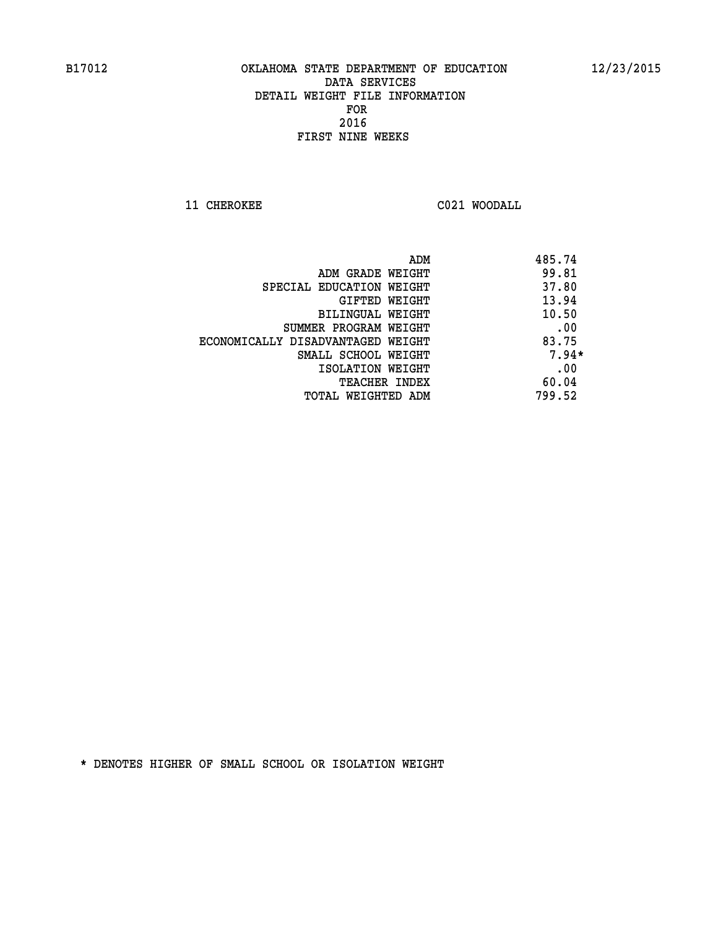**11 CHEROKEE C021 WOODALL** 

|                                   | ADM | 485.74  |
|-----------------------------------|-----|---------|
| ADM GRADE WEIGHT                  |     | 99.81   |
| SPECIAL EDUCATION WEIGHT          |     | 37.80   |
| GIFTED WEIGHT                     |     | 13.94   |
| BILINGUAL WEIGHT                  |     | 10.50   |
| SUMMER PROGRAM WEIGHT             |     | .00     |
| ECONOMICALLY DISADVANTAGED WEIGHT |     | 83.75   |
| SMALL SCHOOL WEIGHT               |     | $7.94*$ |
| ISOLATION WEIGHT                  |     | .00     |
| <b>TEACHER INDEX</b>              |     | 60.04   |
| TOTAL WEIGHTED ADM                |     | 799.52  |
|                                   |     |         |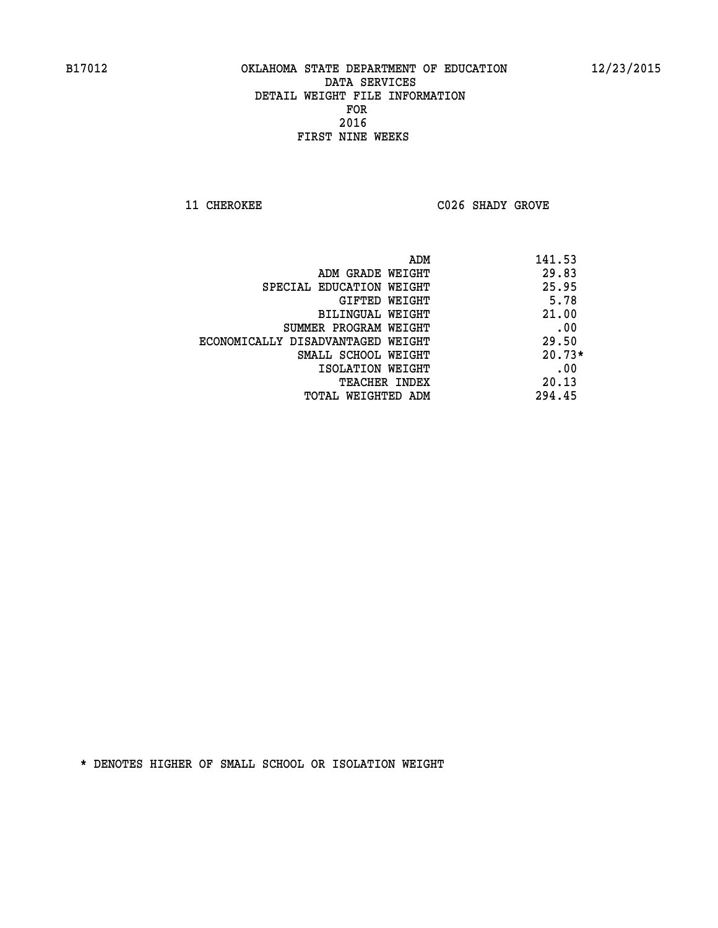**11 CHEROKEE C026 SHADY GROVE** 

| ADM                               | 141.53   |
|-----------------------------------|----------|
| ADM GRADE WEIGHT                  | 29.83    |
| SPECIAL EDUCATION WEIGHT          | 25.95    |
| GIFTED WEIGHT                     | 5.78     |
| BILINGUAL WEIGHT                  | 21.00    |
| SUMMER PROGRAM WEIGHT             | .00      |
| ECONOMICALLY DISADVANTAGED WEIGHT | 29.50    |
| SMALL SCHOOL WEIGHT               | $20.73*$ |
| ISOLATION WEIGHT                  | .00      |
| <b>TEACHER INDEX</b>              | 20.13    |
| TOTAL WEIGHTED ADM                | 294.45   |
|                                   |          |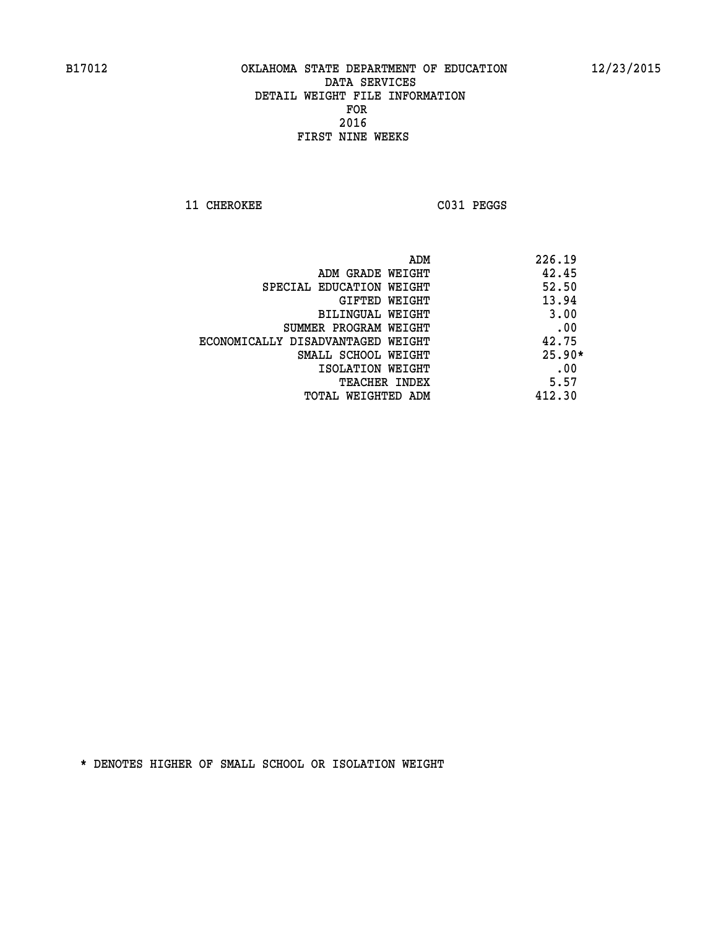11 CHEROKEE C031 PEGGS

|                                   | 226.19<br>ADM |
|-----------------------------------|---------------|
| ADM GRADE WEIGHT                  | 42.45         |
| SPECIAL EDUCATION WEIGHT          | 52.50         |
| GIFTED WEIGHT                     | 13.94         |
| BILINGUAL WEIGHT                  | 3.00          |
| SUMMER PROGRAM WEIGHT             | .00           |
| ECONOMICALLY DISADVANTAGED WEIGHT | 42.75         |
| SMALL SCHOOL WEIGHT               | $25.90*$      |
| ISOLATION WEIGHT                  | .00           |
| <b>TEACHER INDEX</b>              | 5.57          |
| TOTAL WEIGHTED ADM                | 412.30        |
|                                   |               |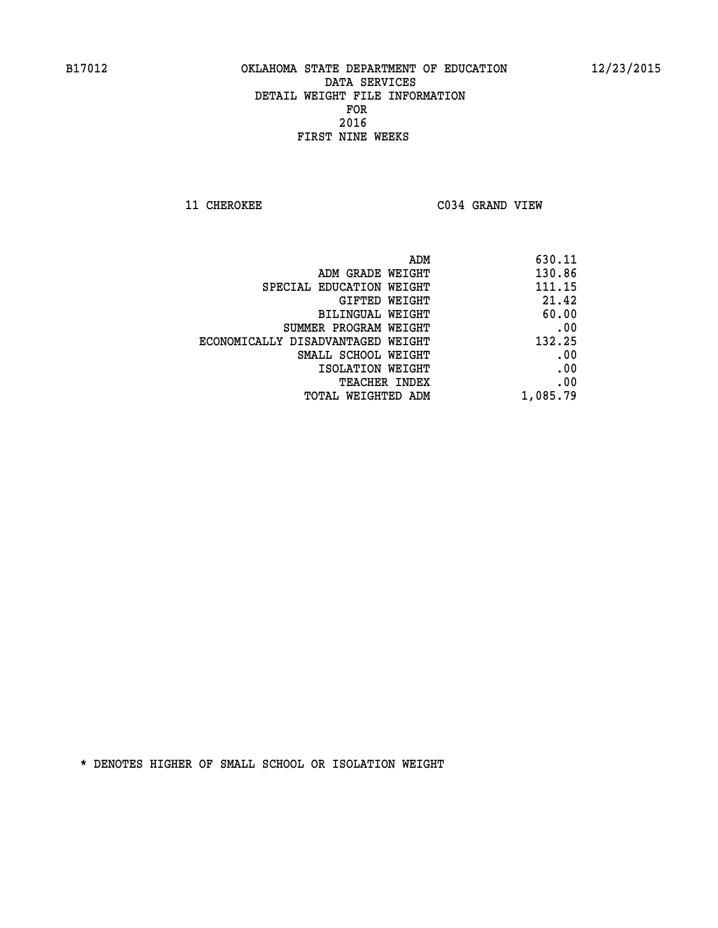**11 CHEROKEE C034 GRAND VIEW** 

| ADM<br>630.11 |                                   |
|---------------|-----------------------------------|
| 130.86        | ADM GRADE WEIGHT                  |
| 111.15        | SPECIAL EDUCATION WEIGHT          |
| 21.42         | GIFTED WEIGHT                     |
| 60.00         | <b>BILINGUAL WEIGHT</b>           |
| .00           | SUMMER PROGRAM WEIGHT             |
| 132.25        | ECONOMICALLY DISADVANTAGED WEIGHT |
| .00           | SMALL SCHOOL WEIGHT               |
| .00           | ISOLATION WEIGHT                  |
| .00           | <b>TEACHER INDEX</b>              |
| 1,085.79      | TOTAL WEIGHTED ADM                |
|               |                                   |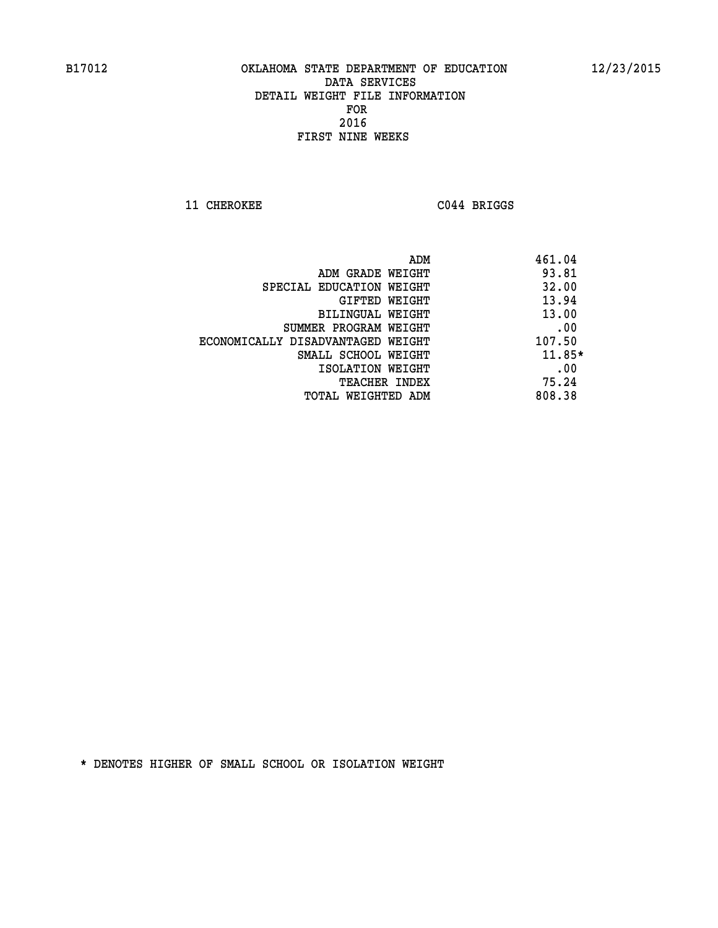**11 CHEROKEE C044 BRIGGS** 

|                                   | ADM | 461.04   |
|-----------------------------------|-----|----------|
| ADM GRADE WEIGHT                  |     | 93.81    |
| SPECIAL EDUCATION WEIGHT          |     | 32.00    |
| GIFTED WEIGHT                     |     | 13.94    |
| <b>BILINGUAL WEIGHT</b>           |     | 13.00    |
| SUMMER PROGRAM WEIGHT             |     | .00      |
| ECONOMICALLY DISADVANTAGED WEIGHT |     | 107.50   |
| SMALL SCHOOL WEIGHT               |     | $11.85*$ |
| ISOLATION WEIGHT                  |     | .00      |
| <b>TEACHER INDEX</b>              |     | 75.24    |
| TOTAL WEIGHTED ADM                |     | 808.38   |
|                                   |     |          |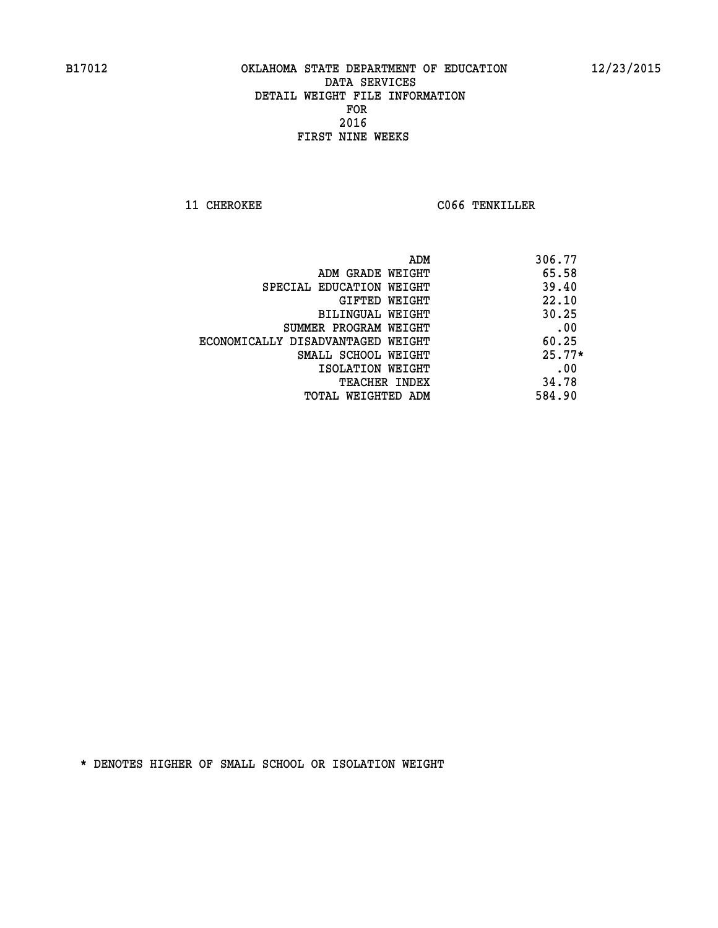**11 CHEROKEE CO66 TENKILLER** 

| ADM                               | 306.77   |
|-----------------------------------|----------|
| ADM GRADE WEIGHT                  | 65.58    |
| SPECIAL EDUCATION WEIGHT          | 39.40    |
| GIFTED WEIGHT                     | 22.10    |
| BILINGUAL WEIGHT                  | 30.25    |
| SUMMER PROGRAM WEIGHT             | .00      |
| ECONOMICALLY DISADVANTAGED WEIGHT | 60.25    |
| SMALL SCHOOL WEIGHT               | $25.77*$ |
| ISOLATION WEIGHT                  | .00      |
| <b>TEACHER INDEX</b>              | 34.78    |
| TOTAL WEIGHTED ADM                | 584.90   |
|                                   |          |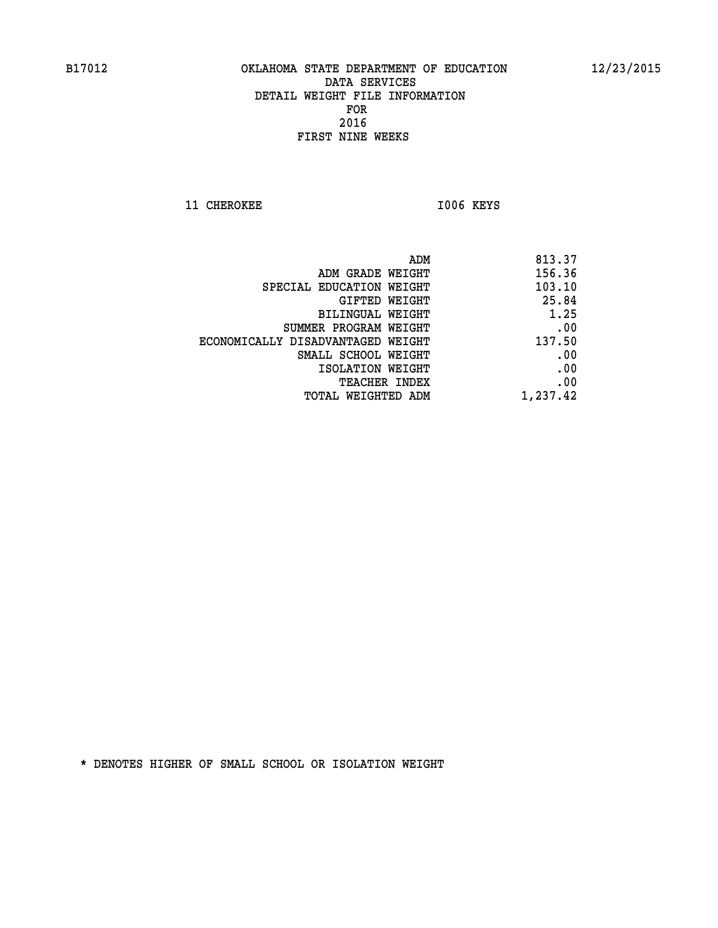**11 CHEROKEE 1006 KEYS** 

| ADM                               | 813.37   |
|-----------------------------------|----------|
| ADM GRADE WEIGHT                  | 156.36   |
| SPECIAL EDUCATION WEIGHT          | 103.10   |
| GIFTED WEIGHT                     | 25.84    |
| BILINGUAL WEIGHT                  | 1.25     |
| SUMMER PROGRAM WEIGHT             | .00      |
| ECONOMICALLY DISADVANTAGED WEIGHT | 137.50   |
| SMALL SCHOOL WEIGHT               | .00      |
| ISOLATION WEIGHT                  | .00      |
| TEACHER INDEX                     | .00      |
| TOTAL WEIGHTED ADM                | 1,237.42 |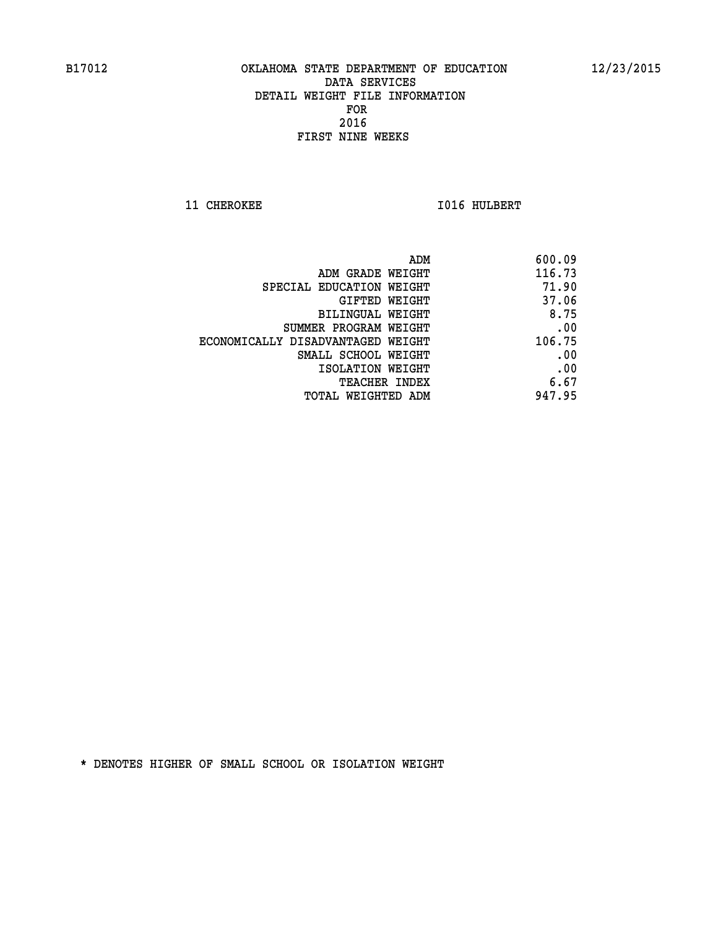**11 CHEROKEE 1016 HULBERT** 

| 600.09 |
|--------|
| 116.73 |
| 71.90  |
| 37.06  |
| 8.75   |
| .00    |
| 106.75 |
| .00    |
| .00    |
| 6.67   |
| 947.95 |
|        |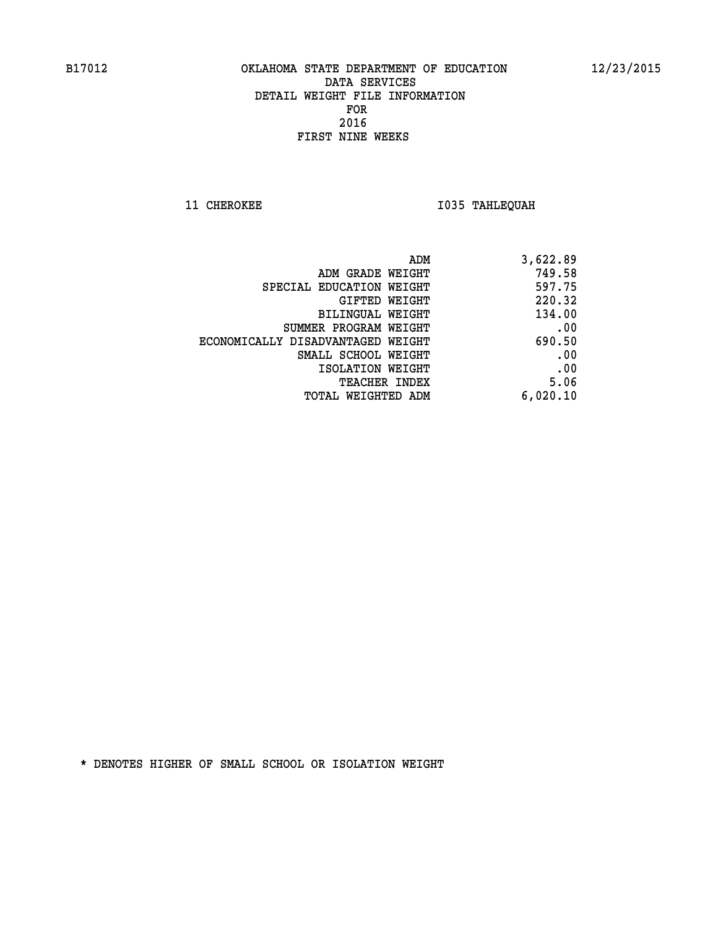**11 CHEROKEE 1035 TAHLEQUAH** 

| 3,622.89 |
|----------|
| 749.58   |
| 597.75   |
| 220.32   |
| 134.00   |
| .00      |
| 690.50   |
| .00      |
| .00      |
| 5.06     |
| 6,020.10 |
|          |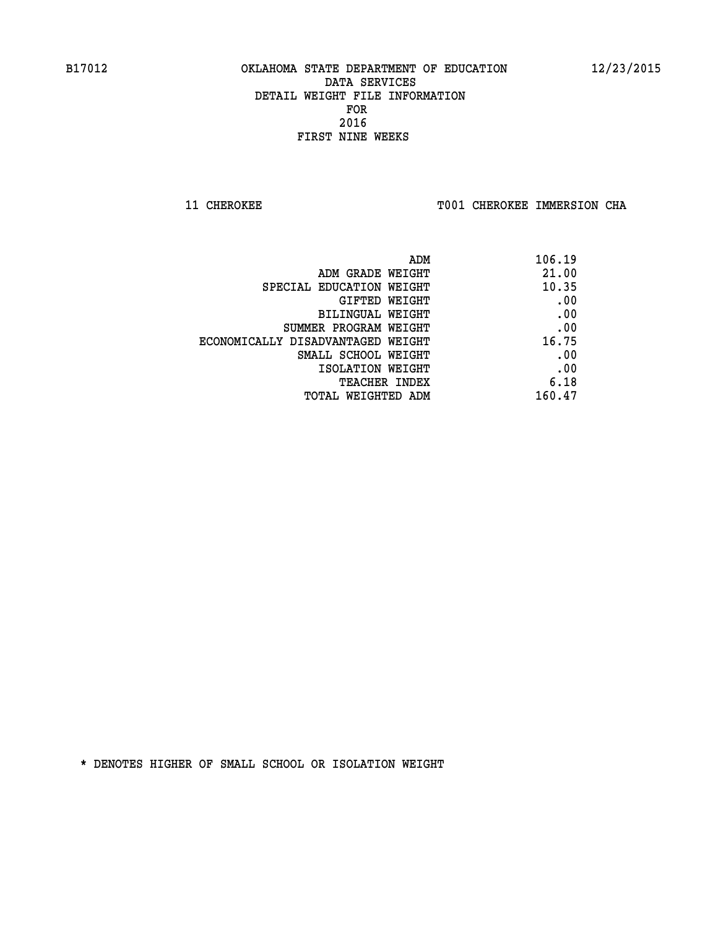**11 CHEROKEE TOO1 CHEROKEE IMMERSION CHA** 

| 106.19 |
|--------|
| 21.00  |
| 10.35  |
| .00    |
| .00    |
| .00    |
| 16.75  |
| .00    |
| .00    |
| 6.18   |
| 160.47 |
|        |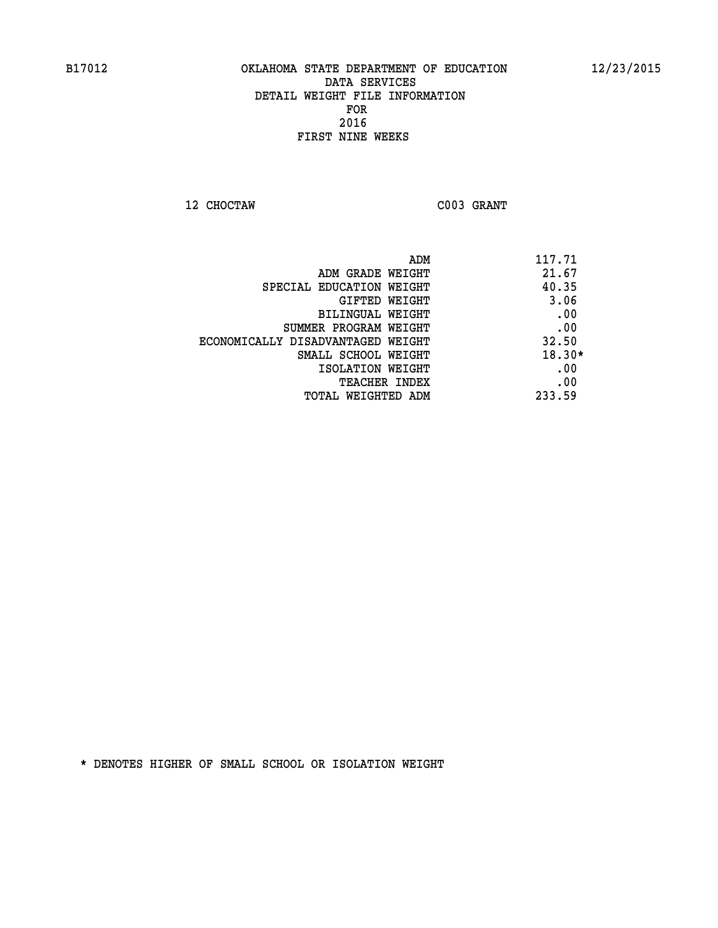**12 CHOCTAW C003 GRANT** 

|                                   | ADM<br>117.71 |
|-----------------------------------|---------------|
| ADM GRADE WEIGHT                  | 21.67         |
| SPECIAL EDUCATION WEIGHT          | 40.35         |
| GIFTED WEIGHT                     | 3.06          |
| BILINGUAL WEIGHT                  | .00           |
| SUMMER PROGRAM WEIGHT             | .00           |
| ECONOMICALLY DISADVANTAGED WEIGHT | 32.50         |
| SMALL SCHOOL WEIGHT               | $18.30*$      |
| ISOLATION WEIGHT                  | .00           |
| <b>TEACHER INDEX</b>              | .00           |
| TOTAL WEIGHTED ADM                | 233.59        |
|                                   |               |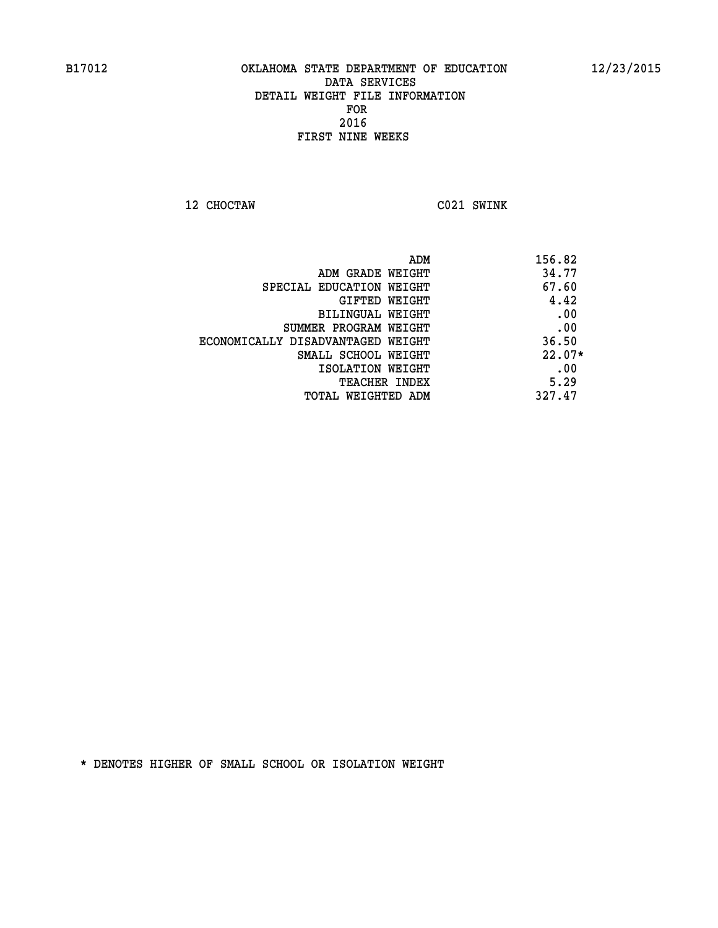**12 CHOCTAW C021 SWINK** 

| ADM                               | 156.82   |
|-----------------------------------|----------|
| ADM GRADE WEIGHT                  | 34.77    |
| SPECIAL EDUCATION WEIGHT          | 67.60    |
| GIFTED WEIGHT                     | 4.42     |
| BILINGUAL WEIGHT                  | .00      |
| SUMMER PROGRAM WEIGHT             | .00      |
| ECONOMICALLY DISADVANTAGED WEIGHT | 36.50    |
| SMALL SCHOOL WEIGHT               | $22.07*$ |
| ISOLATION WEIGHT                  | .00      |
| <b>TEACHER INDEX</b>              | 5.29     |
| TOTAL WEIGHTED ADM                | 327.47   |
|                                   |          |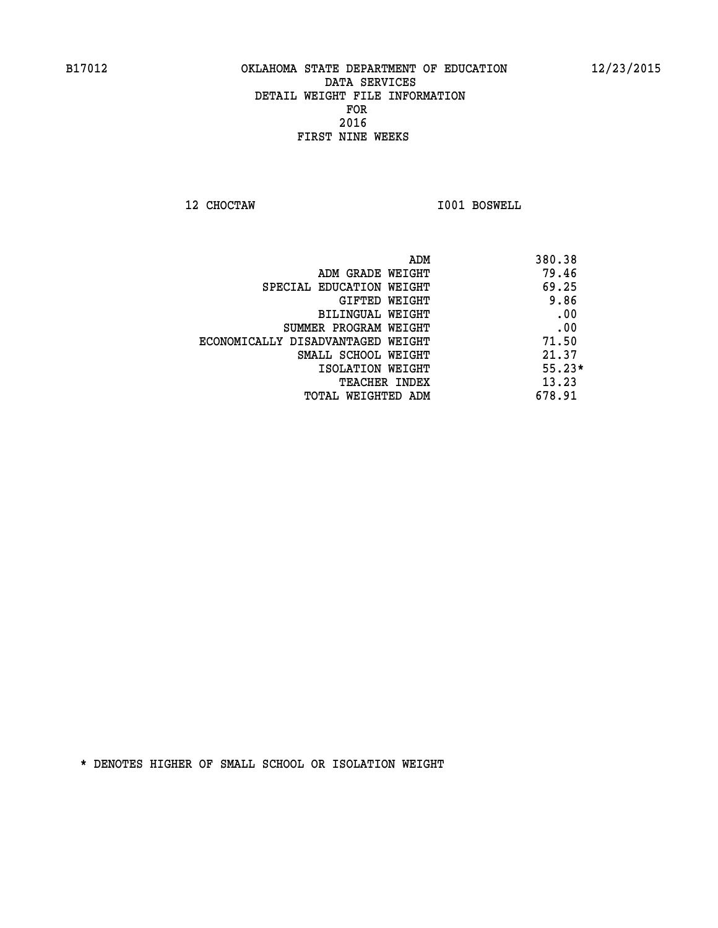**12 CHOCTAW I001 BOSWELL** 

|                                   | ADM | 380.38   |
|-----------------------------------|-----|----------|
| ADM GRADE WEIGHT                  |     | 79.46    |
| SPECIAL EDUCATION WEIGHT          |     | 69.25    |
| GIFTED WEIGHT                     |     | 9.86     |
| BILINGUAL WEIGHT                  |     | .00      |
| SUMMER PROGRAM WEIGHT             |     | .00      |
| ECONOMICALLY DISADVANTAGED WEIGHT |     | 71.50    |
| SMALL SCHOOL WEIGHT               |     | 21.37    |
| ISOLATION WEIGHT                  |     | $55.23*$ |
| <b>TEACHER INDEX</b>              |     | 13.23    |
| TOTAL WEIGHTED ADM                |     | 678.91   |
|                                   |     |          |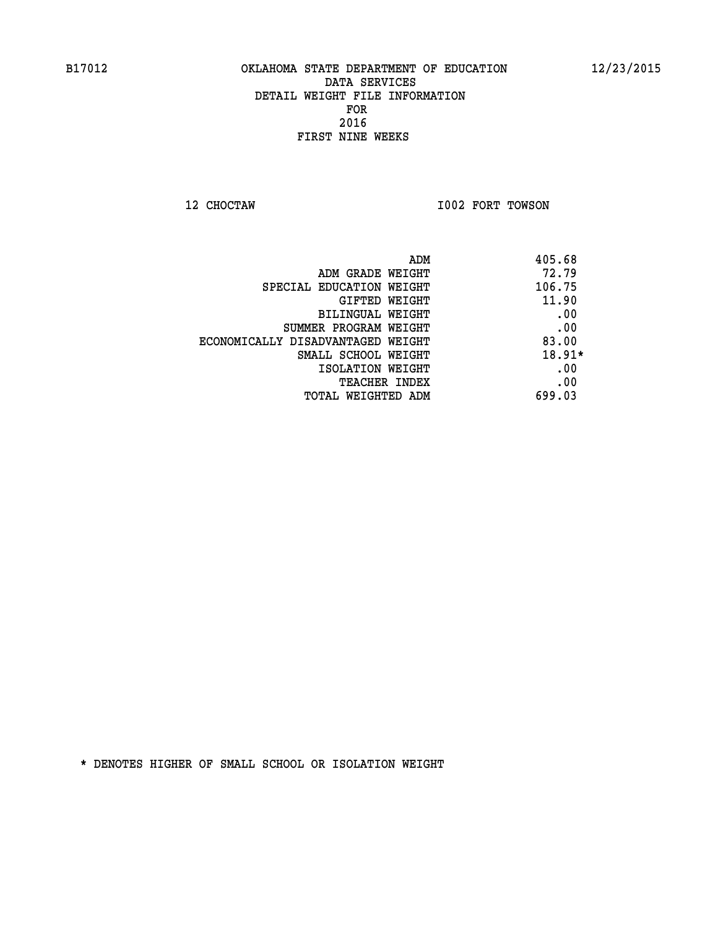**12 CHOCTAW I002 FORT TOWSON** 

| ADM                               | 405.68   |
|-----------------------------------|----------|
| ADM GRADE WEIGHT                  | 72.79    |
| SPECIAL EDUCATION WEIGHT          | 106.75   |
| GIFTED WEIGHT                     | 11.90    |
| BILINGUAL WEIGHT                  | .00      |
| SUMMER PROGRAM WEIGHT             | .00      |
| ECONOMICALLY DISADVANTAGED WEIGHT | 83.00    |
| SMALL SCHOOL WEIGHT               | $18.91*$ |
| ISOLATION WEIGHT                  | .00      |
| TEACHER INDEX                     | .00      |
| TOTAL WEIGHTED ADM                | 699.03   |
|                                   |          |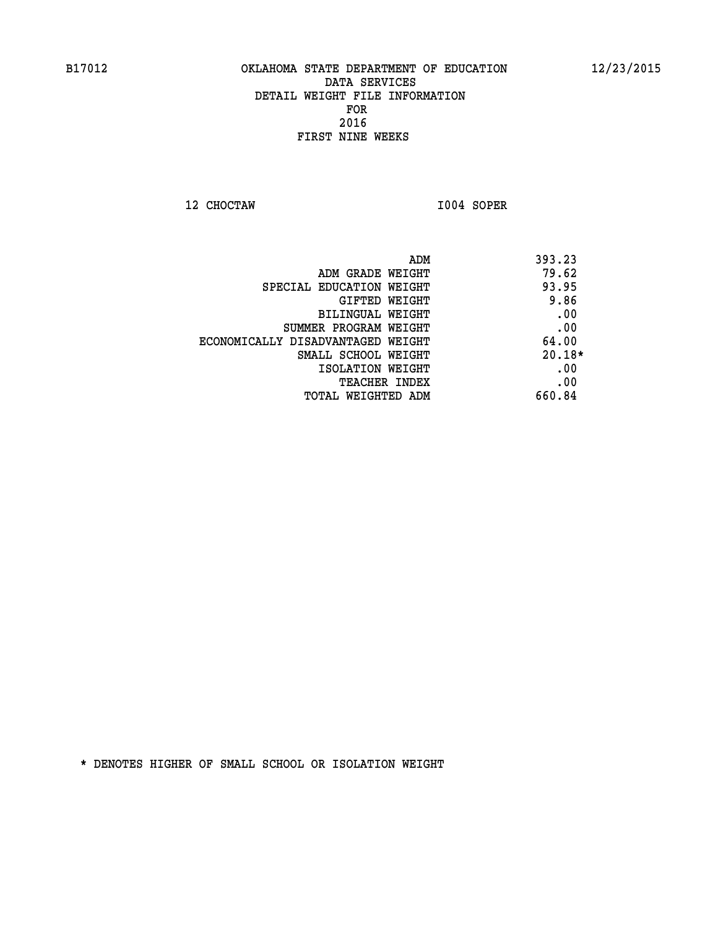**12 CHOCTAW I004 SOPER** 

|                                   | 393.23<br>ADM |
|-----------------------------------|---------------|
| ADM GRADE WEIGHT                  | 79.62         |
| SPECIAL EDUCATION WEIGHT          | 93.95         |
| GIFTED WEIGHT                     | 9.86          |
| BILINGUAL WEIGHT                  | .00           |
| SUMMER PROGRAM WEIGHT             | .00           |
| ECONOMICALLY DISADVANTAGED WEIGHT | 64.00         |
| SMALL SCHOOL WEIGHT               | $20.18*$      |
| ISOLATION WEIGHT                  | .00           |
| <b>TEACHER INDEX</b>              | .00           |
| TOTAL WEIGHTED ADM                | 660.84        |
|                                   |               |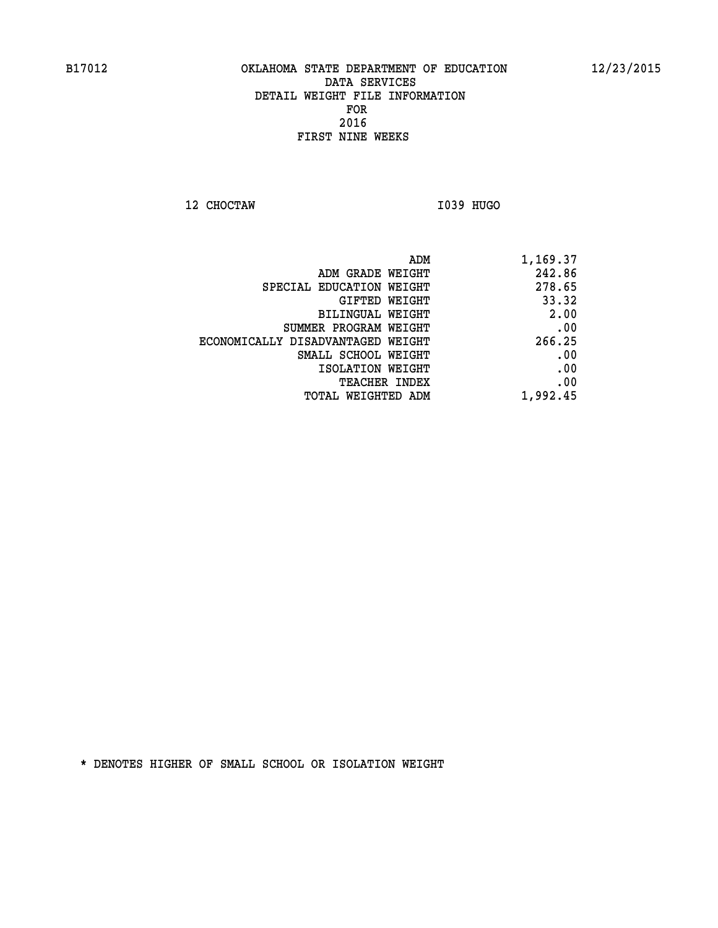**12 CHOCTAW I039 HUGO** 

| ADM                               | 1,169.37 |
|-----------------------------------|----------|
| ADM GRADE WEIGHT                  | 242.86   |
| SPECIAL EDUCATION WEIGHT          | 278.65   |
| GIFTED WEIGHT                     | 33.32    |
| BILINGUAL WEIGHT                  | 2.00     |
| SUMMER PROGRAM WEIGHT             | .00      |
| ECONOMICALLY DISADVANTAGED WEIGHT | 266.25   |
| SMALL SCHOOL WEIGHT               | .00      |
| ISOLATION WEIGHT                  | .00      |
| <b>TEACHER INDEX</b>              | .00      |
| <b>TOTAL WEIGHTED ADM</b>         | 1,992.45 |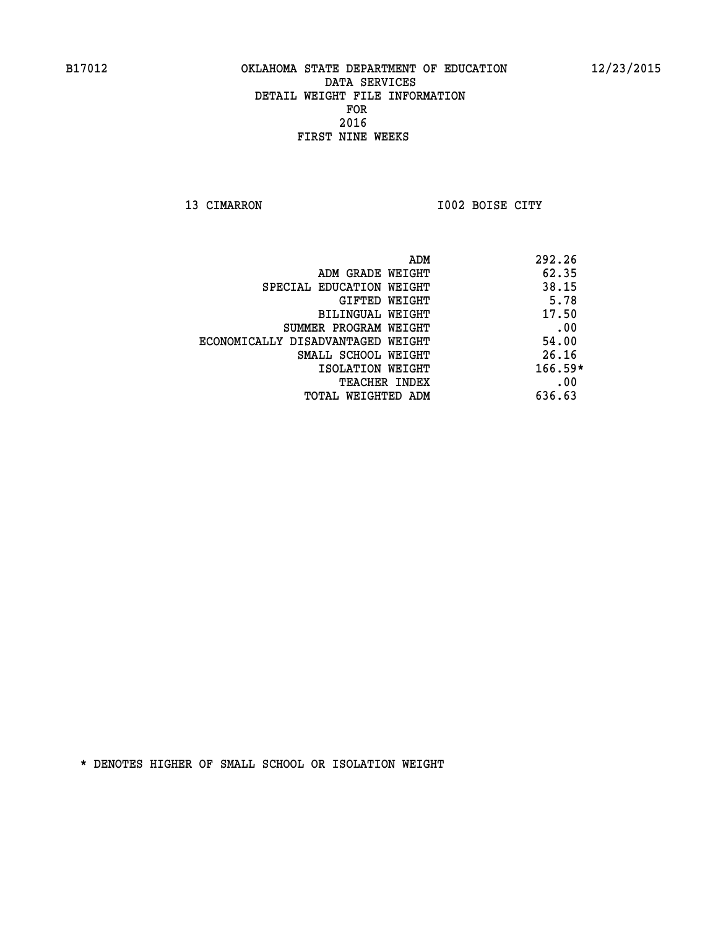**13 CIMARRON 1002 BOISE CITY** 

|                                   | ADM | 292.26    |
|-----------------------------------|-----|-----------|
| ADM GRADE WEIGHT                  |     | 62.35     |
| SPECIAL EDUCATION WEIGHT          |     | 38.15     |
| GIFTED WEIGHT                     |     | 5.78      |
| BILINGUAL WEIGHT                  |     | 17.50     |
| SUMMER PROGRAM WEIGHT             |     | .00       |
| ECONOMICALLY DISADVANTAGED WEIGHT |     | 54.00     |
| SMALL SCHOOL WEIGHT               |     | 26.16     |
| ISOLATION WEIGHT                  |     | $166.59*$ |
| TEACHER INDEX                     |     | .00       |
| TOTAL WEIGHTED ADM                |     | 636.63    |
|                                   |     |           |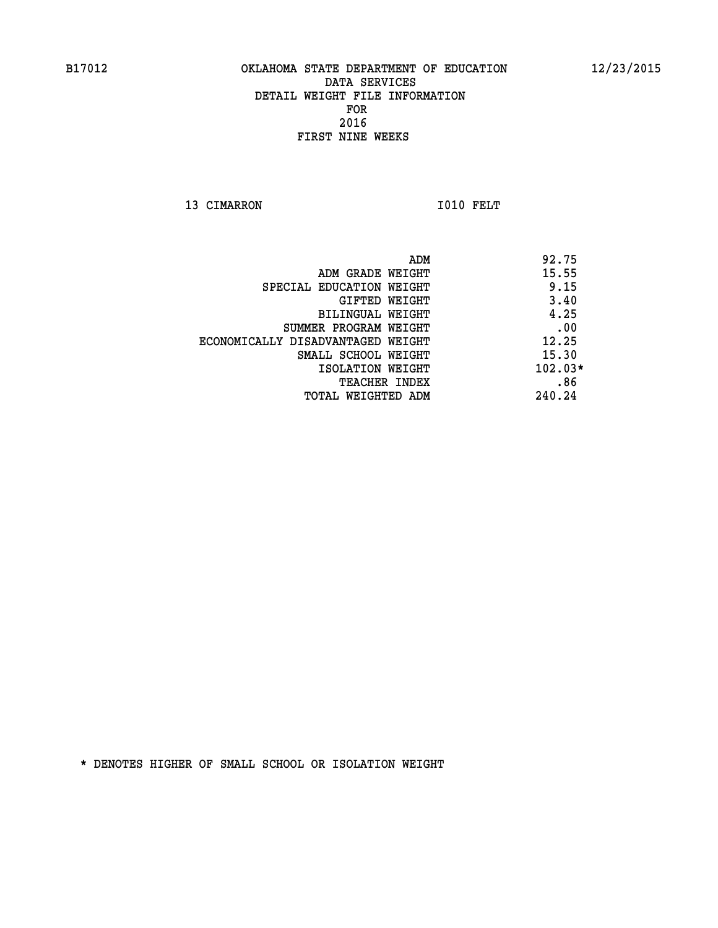13 CIMARRON 1010 FELT

 **ADM 92.75 ADM GRADE WEIGHT 15.55 SPECIAL EDUCATION WEIGHT 1.15 GIFTED WEIGHT** 3.40  **BILINGUAL WEIGHT 4.25 SUMMER PROGRAM WEIGHT .00 ECONOMICALLY DISADVANTAGED WEIGHT 12.25 SMALL SCHOOL WEIGHT 15.30 ISOLATION WEIGHT 102.03\* TEACHER INDEX .86 TOTAL WEIGHTED ADM 240.24**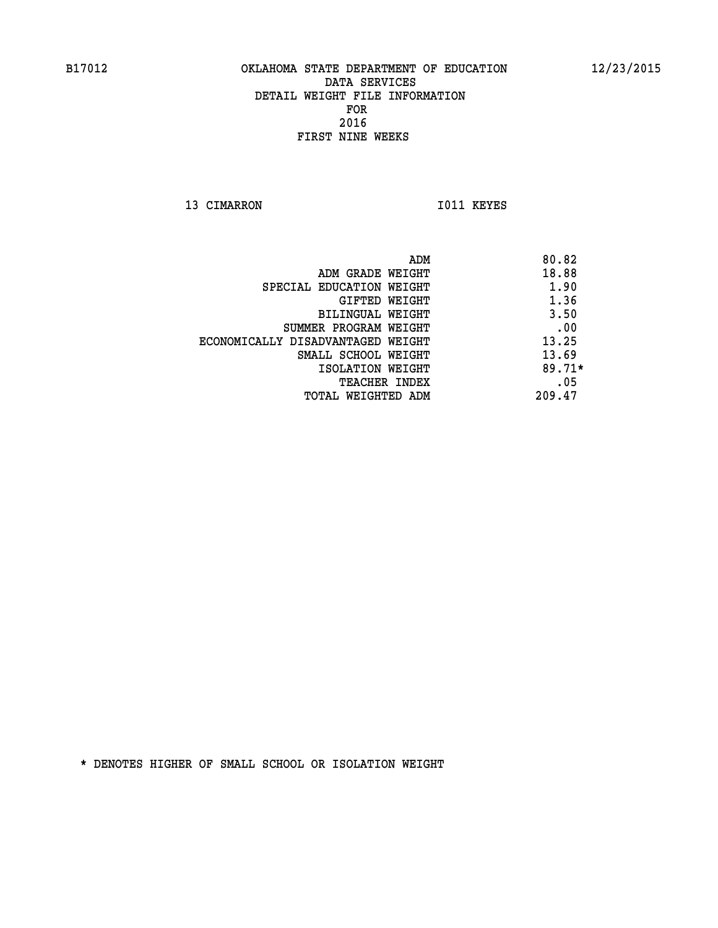13 CIMARRON 1011 KEYES

 **ADM 80.82 ADM GRADE WEIGHT 18.88 SPECIAL EDUCATION WEIGHT 1.90 GIFTED WEIGHT 1.36 BILINGUAL WEIGHT** 3.50 **SUMMER PROGRAM WEIGHT .00 ECONOMICALLY DISADVANTAGED WEIGHT 13.25 SMALL SCHOOL WEIGHT** 13.69  **ISOLATION WEIGHT 89.71\* TEACHER INDEX** .05  **TOTAL WEIGHTED ADM 209.47**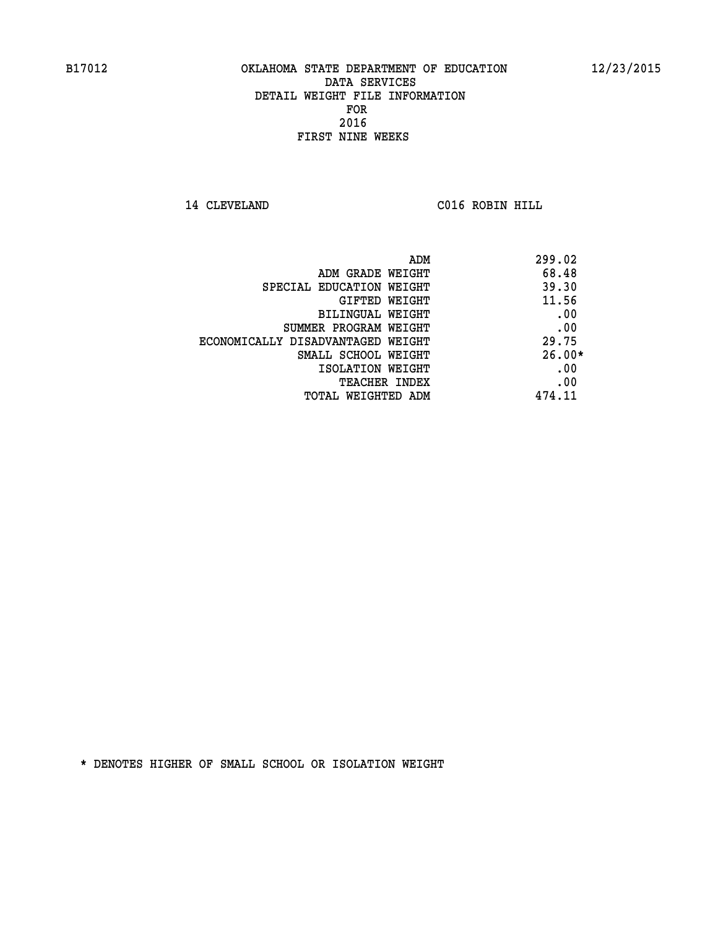**14 CLEVELAND C016 ROBIN HILL** 

| ADM                               | 299.02   |
|-----------------------------------|----------|
| ADM GRADE WEIGHT                  | 68.48    |
| SPECIAL EDUCATION WEIGHT          | 39.30    |
| GIFTED WEIGHT                     | 11.56    |
| BILINGUAL WEIGHT                  | .00      |
| SUMMER PROGRAM WEIGHT             | .00      |
| ECONOMICALLY DISADVANTAGED WEIGHT | 29.75    |
| SMALL SCHOOL WEIGHT               | $26.00*$ |
| ISOLATION WEIGHT                  | .00      |
| <b>TEACHER INDEX</b>              | .00      |
| TOTAL WEIGHTED ADM                | 474.11   |
|                                   |          |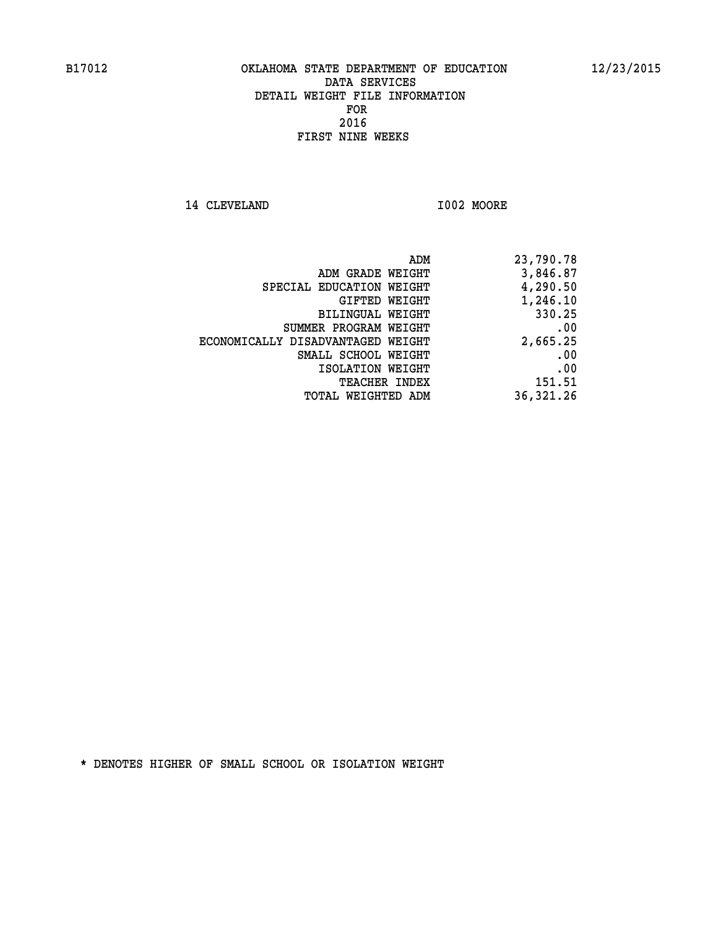**14 CLEVELAND I002 MOORE** 

| 23,790.78  |
|------------|
| 3,846.87   |
| 4,290.50   |
| 1,246.10   |
| 330.25     |
| .00        |
| 2,665.25   |
| .00        |
| .00        |
| 151.51     |
| 36, 321.26 |
|            |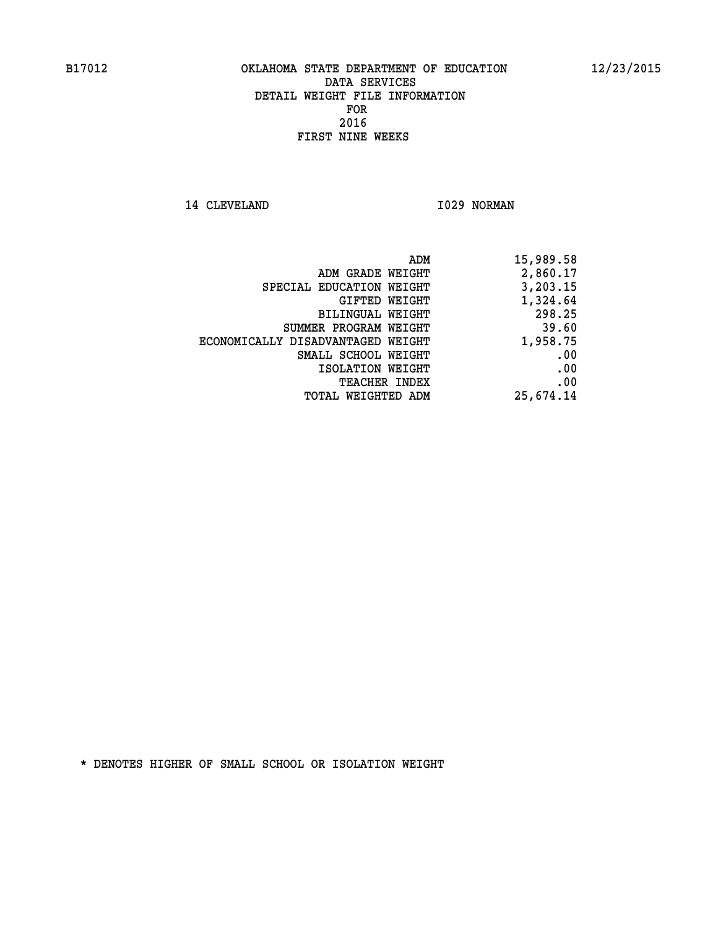14 CLEVELAND 1029 NORMAN

|                                   | ADM<br>15,989.58 |  |
|-----------------------------------|------------------|--|
| ADM GRADE WEIGHT                  | 2,860.17         |  |
| SPECIAL EDUCATION WEIGHT          | 3,203.15         |  |
| GIFTED WEIGHT                     | 1,324.64         |  |
| <b>BILINGUAL WEIGHT</b>           | 298.25           |  |
| SUMMER PROGRAM WEIGHT             | 39.60            |  |
| ECONOMICALLY DISADVANTAGED WEIGHT | 1,958.75         |  |
| SMALL SCHOOL WEIGHT               | .00              |  |
| ISOLATION WEIGHT                  | .00              |  |
| TEACHER INDEX                     | .00              |  |
| TOTAL WEIGHTED ADM                | 25,674.14        |  |
|                                   |                  |  |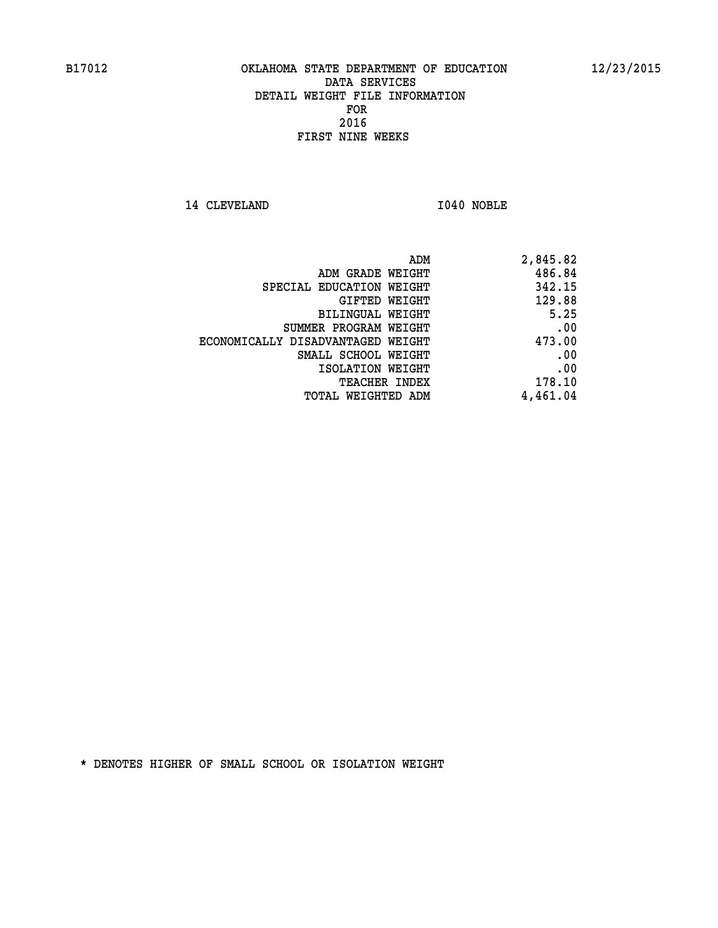**14 CLEVELAND I040 NOBLE** 

|                                   | 2,845.82<br>ADM |
|-----------------------------------|-----------------|
| ADM GRADE WEIGHT                  | 486.84          |
| SPECIAL EDUCATION WEIGHT          | 342.15          |
| <b>GIFTED WEIGHT</b>              | 129.88          |
| BILINGUAL WEIGHT                  | 5.25            |
| SUMMER PROGRAM WEIGHT             | .00             |
| ECONOMICALLY DISADVANTAGED WEIGHT | 473.00          |
| SMALL SCHOOL WEIGHT               | .00             |
| ISOLATION WEIGHT                  | .00             |
| <b>TEACHER INDEX</b>              | 178.10          |
| <b>TOTAL WEIGHTED ADM</b>         | 4,461.04        |
|                                   |                 |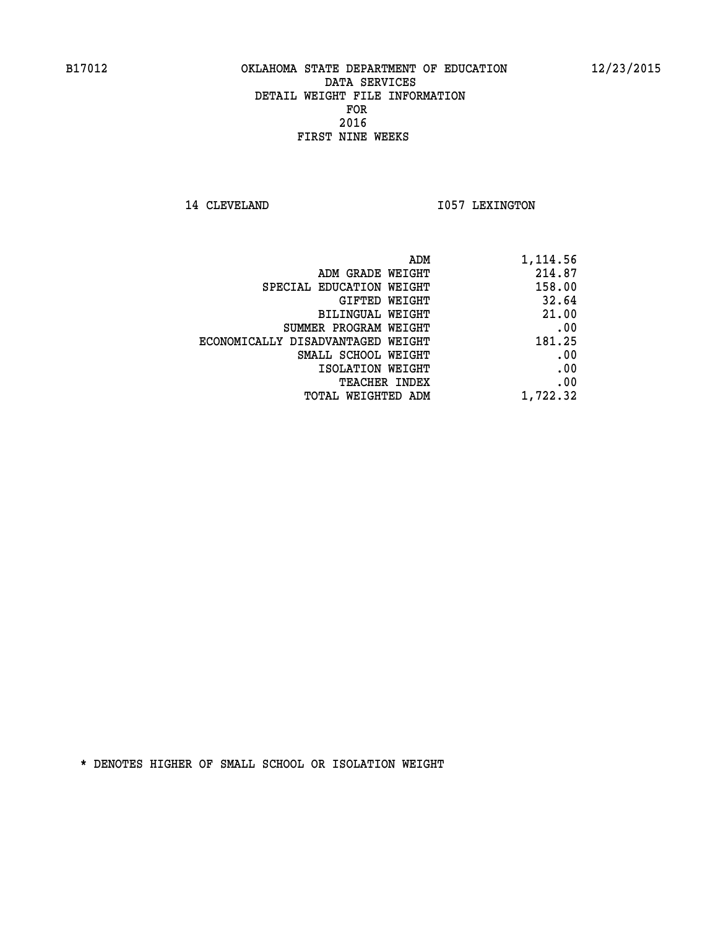14 CLEVELAND 1057 LEXINGTON

|                                   | ADM<br>1,114.56 |
|-----------------------------------|-----------------|
| ADM GRADE WEIGHT                  | 214.87          |
| SPECIAL EDUCATION WEIGHT          | 158.00          |
| GIFTED WEIGHT                     | 32.64           |
| <b>BILINGUAL WEIGHT</b>           | 21.00           |
| SUMMER PROGRAM WEIGHT             | .00             |
| ECONOMICALLY DISADVANTAGED WEIGHT | 181.25          |
| SMALL SCHOOL WEIGHT               | .00             |
| ISOLATION WEIGHT                  | .00             |
| TEACHER INDEX                     | .00             |
| TOTAL WEIGHTED ADM                | 1,722.32        |
|                                   |                 |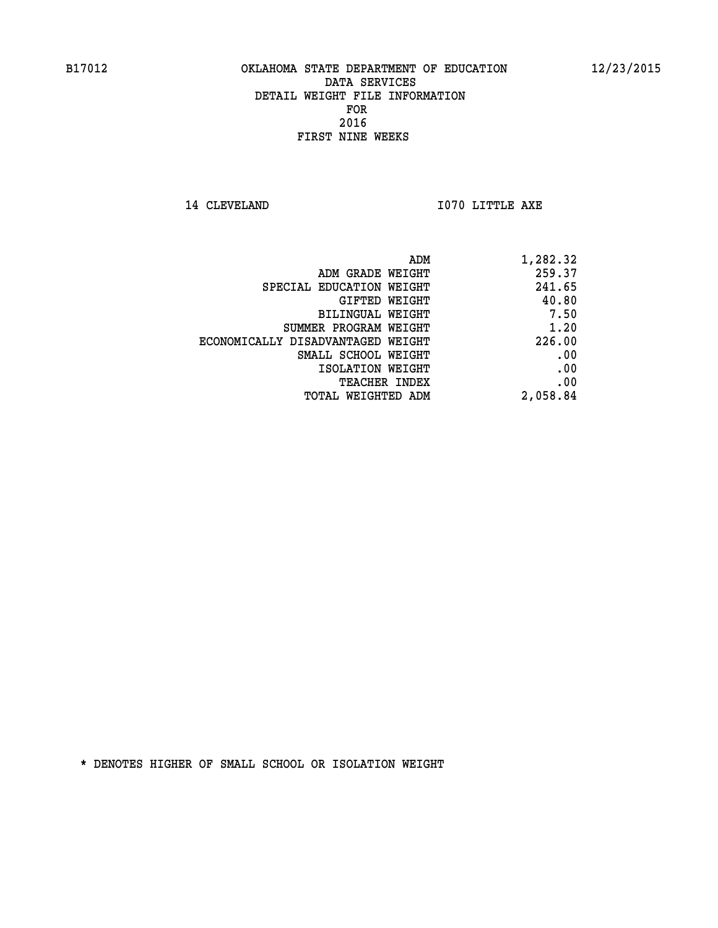**14 CLEVELAND 1070 LITTLE AXE** 

| ADM                               | 1,282.32 |
|-----------------------------------|----------|
| ADM GRADE WEIGHT                  | 259.37   |
| SPECIAL EDUCATION WEIGHT          | 241.65   |
| GIFTED WEIGHT                     | 40.80    |
| BILINGUAL WEIGHT                  | 7.50     |
| SUMMER PROGRAM WEIGHT             | 1.20     |
| ECONOMICALLY DISADVANTAGED WEIGHT | 226.00   |
| SMALL SCHOOL WEIGHT               | .00      |
| ISOLATION WEIGHT                  | .00      |
| TEACHER INDEX                     | .00      |
| TOTAL WEIGHTED ADM                | 2,058.84 |
|                                   |          |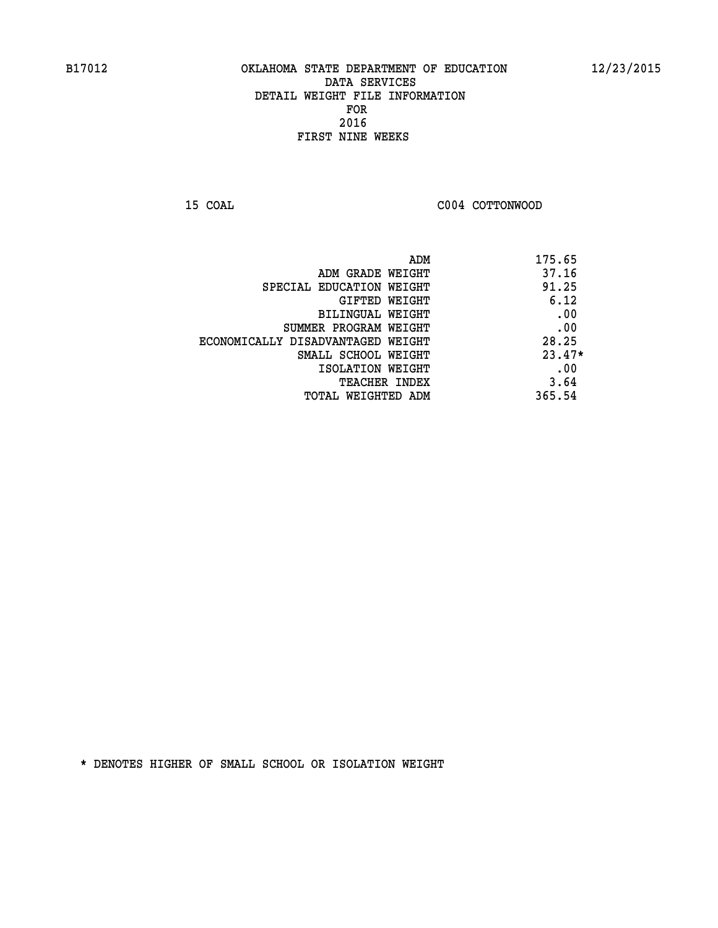**15 COAL COAL COAL COOP COTTONWOOD** 

| ADM                               | 175.65   |
|-----------------------------------|----------|
| ADM GRADE WEIGHT                  | 37.16    |
| SPECIAL EDUCATION WEIGHT          | 91.25    |
| GIFTED WEIGHT                     | 6.12     |
| BILINGUAL WEIGHT                  | .00      |
| SUMMER PROGRAM WEIGHT             | .00      |
| ECONOMICALLY DISADVANTAGED WEIGHT | 28.25    |
| SMALL SCHOOL WEIGHT               | $23.47*$ |
| ISOLATION WEIGHT                  | .00      |
| <b>TEACHER INDEX</b>              | 3.64     |
| TOTAL WEIGHTED ADM                | 365.54   |
|                                   |          |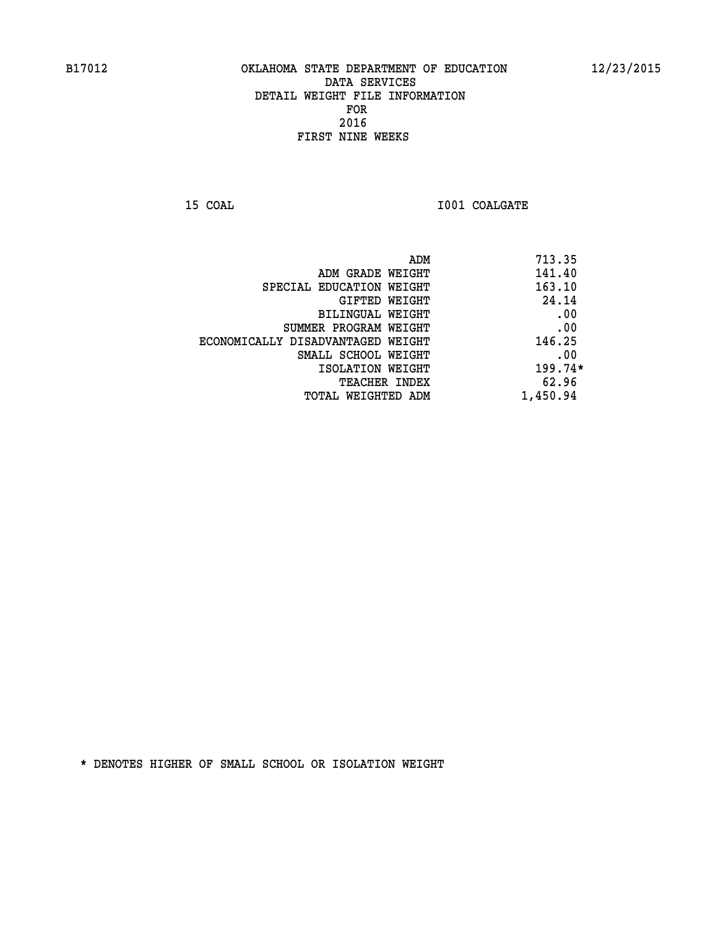**15 COAL 15 COAL I001 COALGATE** 

| ADM                               | 713.35    |
|-----------------------------------|-----------|
| ADM GRADE WEIGHT                  | 141.40    |
| SPECIAL EDUCATION WEIGHT          | 163.10    |
| GIFTED WEIGHT                     | 24.14     |
| BILINGUAL WEIGHT                  | .00       |
| SUMMER PROGRAM WEIGHT             | .00       |
| ECONOMICALLY DISADVANTAGED WEIGHT | 146.25    |
| SMALL SCHOOL WEIGHT               | .00       |
| ISOLATION WEIGHT                  | $199.74*$ |
| <b>TEACHER INDEX</b>              | 62.96     |
| TOTAL WEIGHTED ADM                | 1,450.94  |
|                                   |           |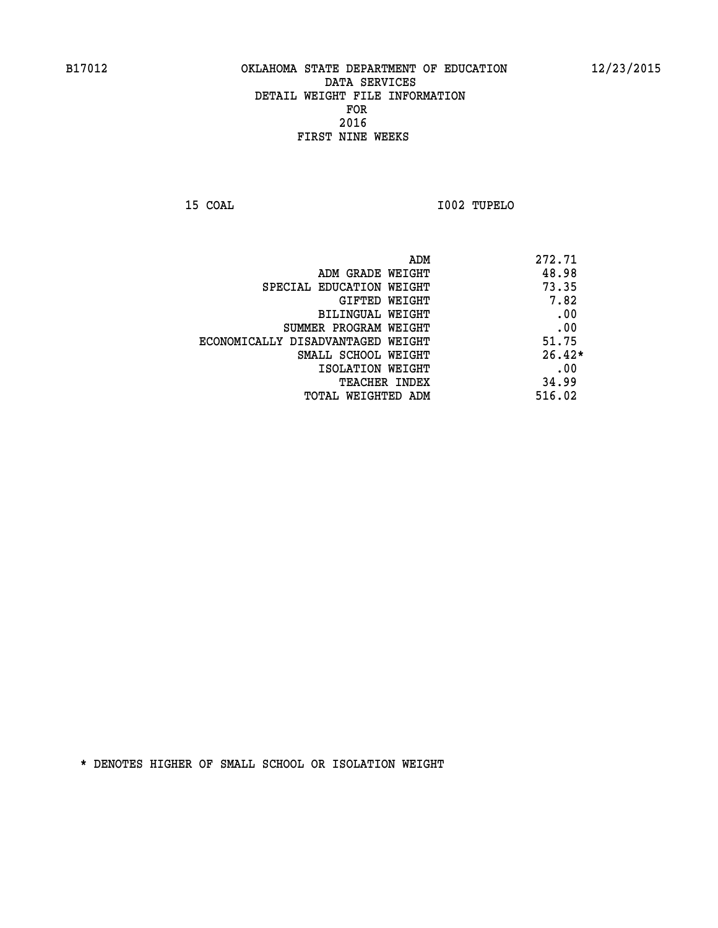**15 COAL I002 TUPELO** 

| ADM                               | 272.71   |
|-----------------------------------|----------|
| ADM GRADE WEIGHT                  | 48.98    |
| SPECIAL EDUCATION WEIGHT          | 73.35    |
| GIFTED WEIGHT                     | 7.82     |
| BILINGUAL WEIGHT                  | .00      |
| SUMMER PROGRAM WEIGHT             | .00      |
| ECONOMICALLY DISADVANTAGED WEIGHT | 51.75    |
| SMALL SCHOOL WEIGHT               | $26.42*$ |
| ISOLATION WEIGHT                  | .00      |
| <b>TEACHER INDEX</b>              | 34.99    |
| TOTAL WEIGHTED ADM                | 516.02   |
|                                   |          |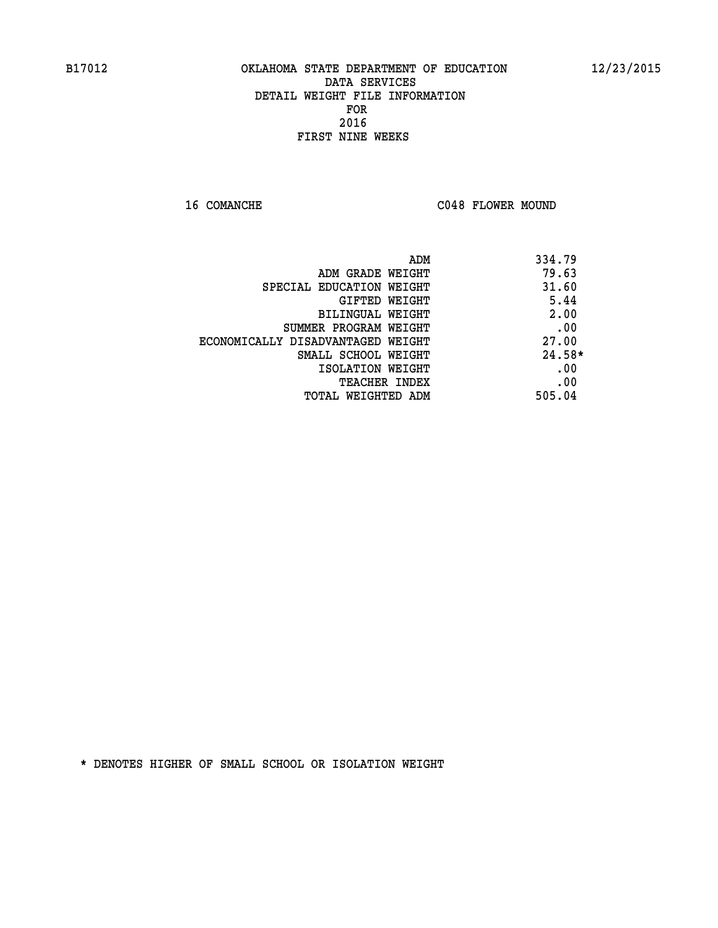16 COMANCHE C048 FLOWER MOUND

|                                   | ADM<br>334.79 |  |
|-----------------------------------|---------------|--|
| ADM GRADE WEIGHT                  | 79.63         |  |
| SPECIAL EDUCATION WEIGHT          | 31.60         |  |
| <b>GIFTED WEIGHT</b>              | 5.44          |  |
| BILINGUAL WEIGHT                  | 2.00          |  |
| SUMMER PROGRAM WEIGHT             | .00           |  |
| ECONOMICALLY DISADVANTAGED WEIGHT | 27.00         |  |
| SMALL SCHOOL WEIGHT               | $24.58*$      |  |
| ISOLATION WEIGHT                  | .00           |  |
| <b>TEACHER INDEX</b>              | .00           |  |
| TOTAL WEIGHTED ADM                | 505.04        |  |
|                                   |               |  |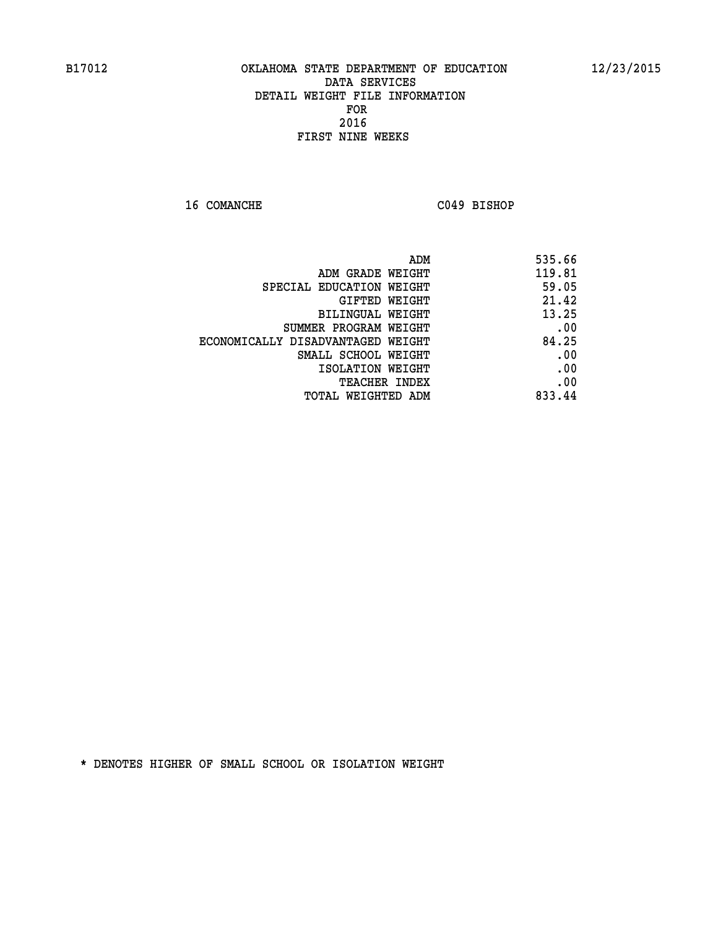**16 COMANCHE C049 BISHOP** 

| ADM                               | 535.66 |
|-----------------------------------|--------|
| ADM GRADE WEIGHT                  | 119.81 |
| SPECIAL EDUCATION WEIGHT          | 59.05  |
| GIFTED WEIGHT                     | 21.42  |
| BILINGUAL WEIGHT                  | 13.25  |
| SUMMER PROGRAM WEIGHT             | .00    |
| ECONOMICALLY DISADVANTAGED WEIGHT | 84.25  |
| SMALL SCHOOL WEIGHT               | .00    |
| ISOLATION WEIGHT                  | .00    |
| TEACHER INDEX                     | .00    |
| TOTAL WEIGHTED ADM                | 833.44 |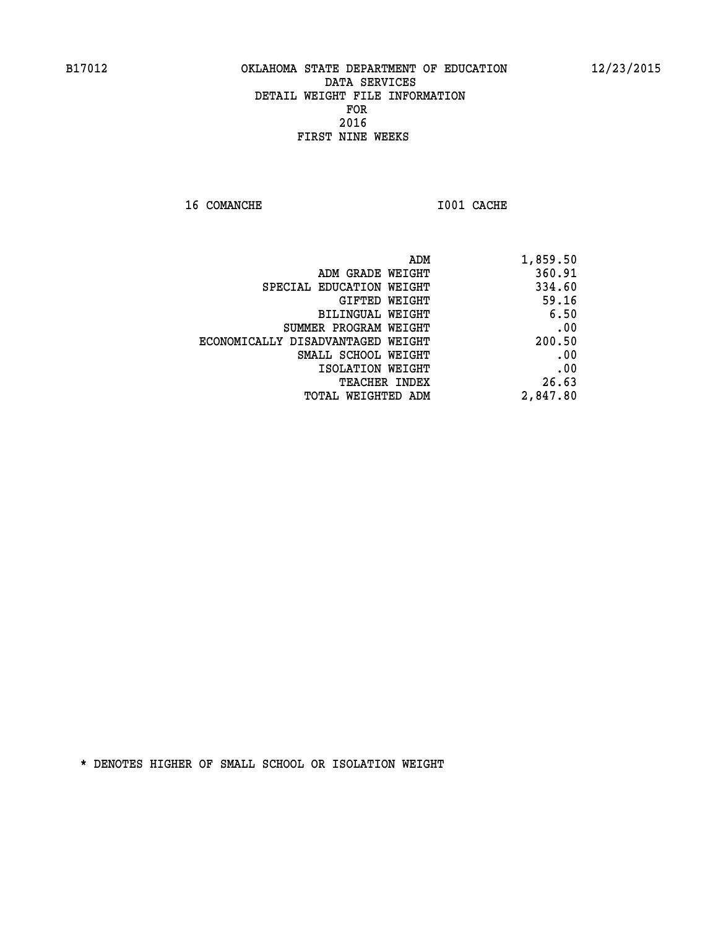**16 COMANCHE 1001 CACHE** 

| 1,859.50 |
|----------|
| 360.91   |
| 334.60   |
| 59.16    |
| 6.50     |
| .00      |
| 200.50   |
| .00      |
| .00      |
| 26.63    |
| 2,847.80 |
|          |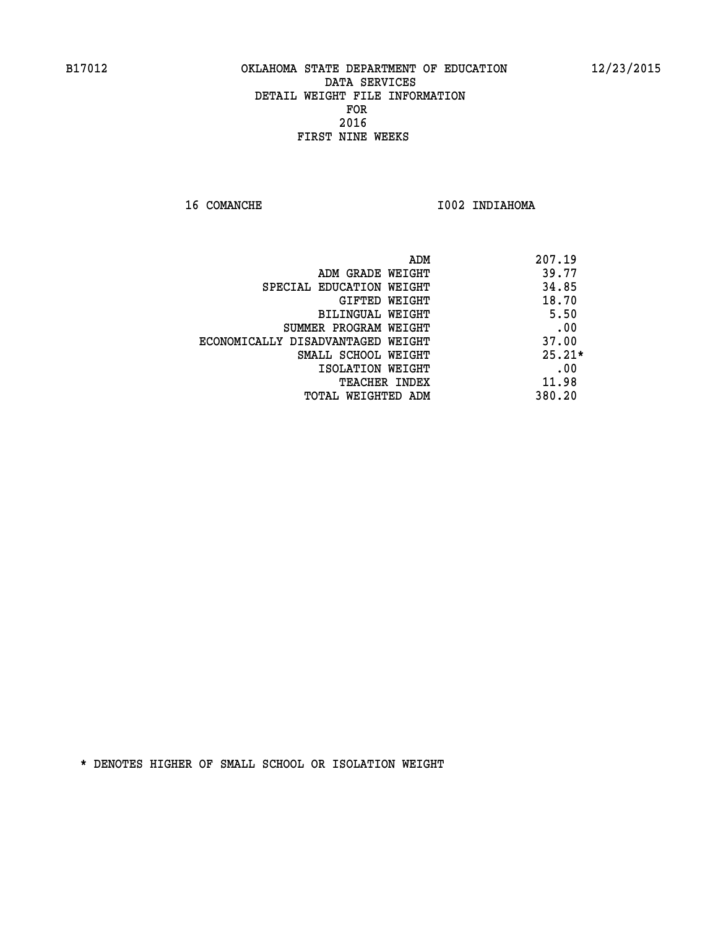16 COMANCHE 1002 INDIAHOMA

|                                   | 207.19<br>ADM |  |
|-----------------------------------|---------------|--|
| ADM GRADE WEIGHT                  | 39.77         |  |
| SPECIAL EDUCATION WEIGHT          | 34.85         |  |
| GIFTED WEIGHT                     | 18.70         |  |
| BILINGUAL WEIGHT                  | 5.50          |  |
| SUMMER PROGRAM WEIGHT             | .00           |  |
| ECONOMICALLY DISADVANTAGED WEIGHT | 37.00         |  |
| SMALL SCHOOL WEIGHT               | $25.21*$      |  |
| ISOLATION WEIGHT                  | .00           |  |
| <b>TEACHER INDEX</b>              | 11.98         |  |
| TOTAL WEIGHTED ADM                | 380.20        |  |
|                                   |               |  |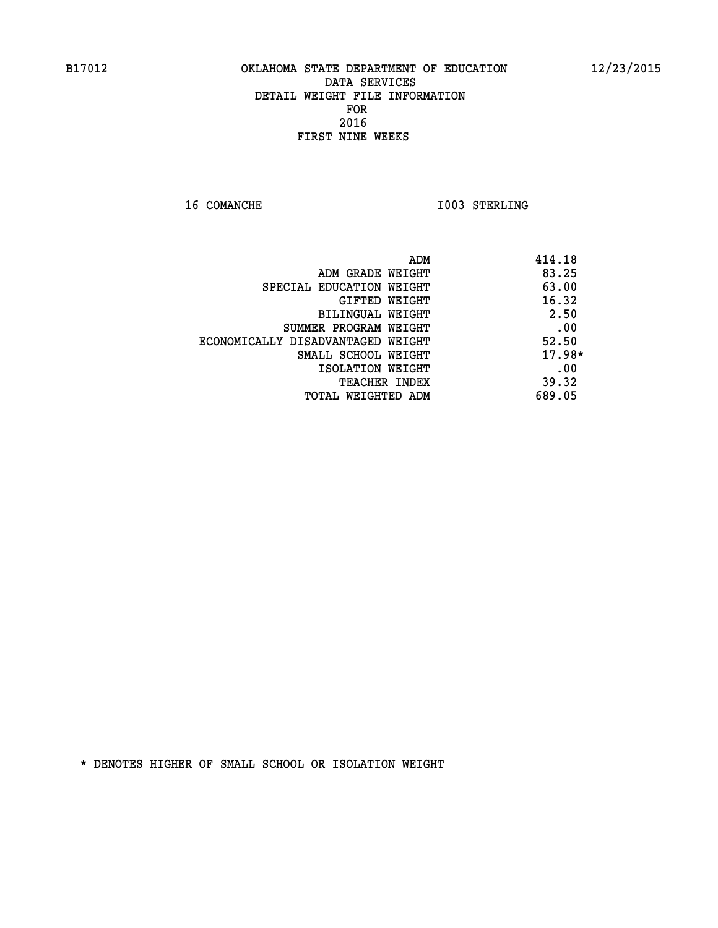**16 COMANCHE 1003 STERLING** 

|                                   | 414.18<br>ADM |
|-----------------------------------|---------------|
| ADM GRADE WEIGHT                  | 83.25         |
| SPECIAL EDUCATION WEIGHT          | 63.00         |
| GIFTED WEIGHT                     | 16.32         |
| <b>BILINGUAL WEIGHT</b>           | 2.50          |
| SUMMER PROGRAM WEIGHT             | .00           |
| ECONOMICALLY DISADVANTAGED WEIGHT | 52.50         |
| SMALL SCHOOL WEIGHT               | $17.98*$      |
| ISOLATION WEIGHT                  | .00           |
| <b>TEACHER INDEX</b>              | 39.32         |
| TOTAL WEIGHTED ADM                | 689.05        |
|                                   |               |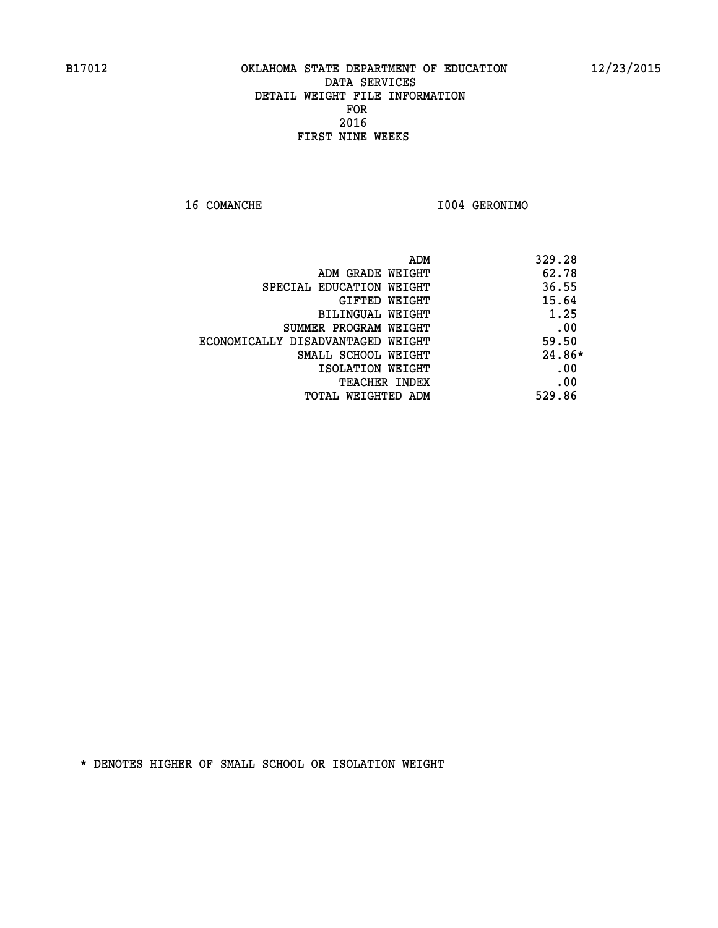**16 COMANCHE I004 GERONIMO** 

|                                   | ADM<br>329.28 |     |
|-----------------------------------|---------------|-----|
| ADM GRADE WEIGHT                  | 62.78         |     |
| SPECIAL EDUCATION WEIGHT          | 36.55         |     |
| GIFTED WEIGHT                     | 15.64         |     |
| BILINGUAL WEIGHT                  | 1.25          |     |
| SUMMER PROGRAM WEIGHT             |               | .00 |
| ECONOMICALLY DISADVANTAGED WEIGHT | 59.50         |     |
| SMALL SCHOOL WEIGHT               | $24.86*$      |     |
| ISOLATION WEIGHT                  |               | .00 |
| <b>TEACHER INDEX</b>              |               | .00 |
| TOTAL WEIGHTED ADM                | 529.86        |     |
|                                   |               |     |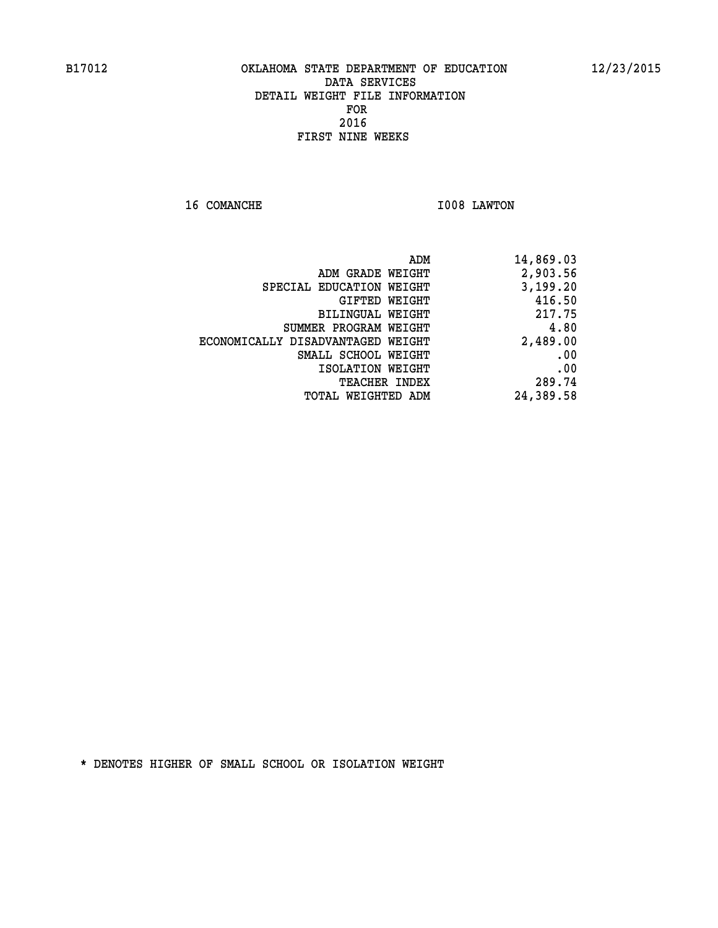**16 COMANCHE 1008 LAWTON** 

| 14,869.03 |
|-----------|
| 2,903.56  |
| 3,199.20  |
| 416.50    |
| 217.75    |
| 4.80      |
| 2,489.00  |
| .00       |
| .00       |
| 289.74    |
| 24,389.58 |
|           |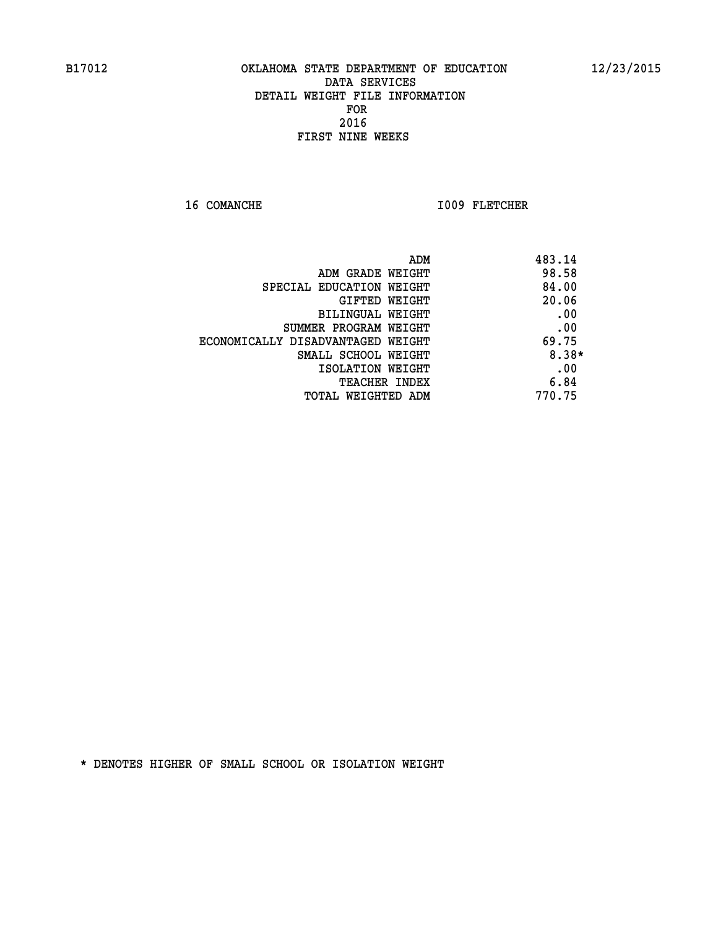16 COMANCHE 1009 FLETCHER

|                                   | 483.14<br>ADM |
|-----------------------------------|---------------|
| ADM GRADE WEIGHT                  | 98.58         |
| SPECIAL EDUCATION WEIGHT          | 84.00         |
| <b>GIFTED WEIGHT</b>              | 20.06         |
| BILINGUAL WEIGHT                  | .00           |
| SUMMER PROGRAM WEIGHT             | .00           |
| ECONOMICALLY DISADVANTAGED WEIGHT | 69.75         |
| SMALL SCHOOL WEIGHT               | 8.38*         |
| ISOLATION WEIGHT                  | .00           |
| <b>TEACHER INDEX</b>              | 6.84          |
| TOTAL WEIGHTED ADM                | 770.75        |
|                                   |               |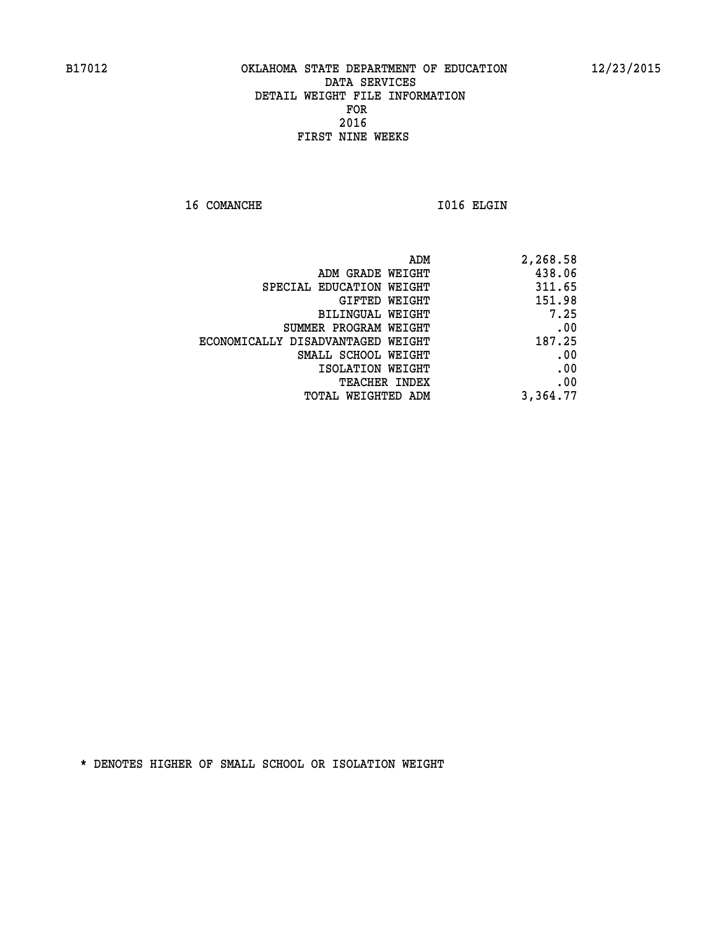16 COMANCHE 1016 ELGIN

|                                   | ADM<br>2,268.58 |
|-----------------------------------|-----------------|
| ADM GRADE WEIGHT                  | 438.06          |
| SPECIAL EDUCATION WEIGHT          | 311.65          |
| GIFTED WEIGHT                     | 151.98          |
| <b>BILINGUAL WEIGHT</b>           | 7.25            |
| SUMMER PROGRAM WEIGHT             | .00             |
| ECONOMICALLY DISADVANTAGED WEIGHT | 187.25          |
| SMALL SCHOOL WEIGHT               | .00             |
| ISOLATION WEIGHT                  | .00             |
| TEACHER INDEX                     | .00             |
| TOTAL WEIGHTED ADM                | 3,364.77        |
|                                   |                 |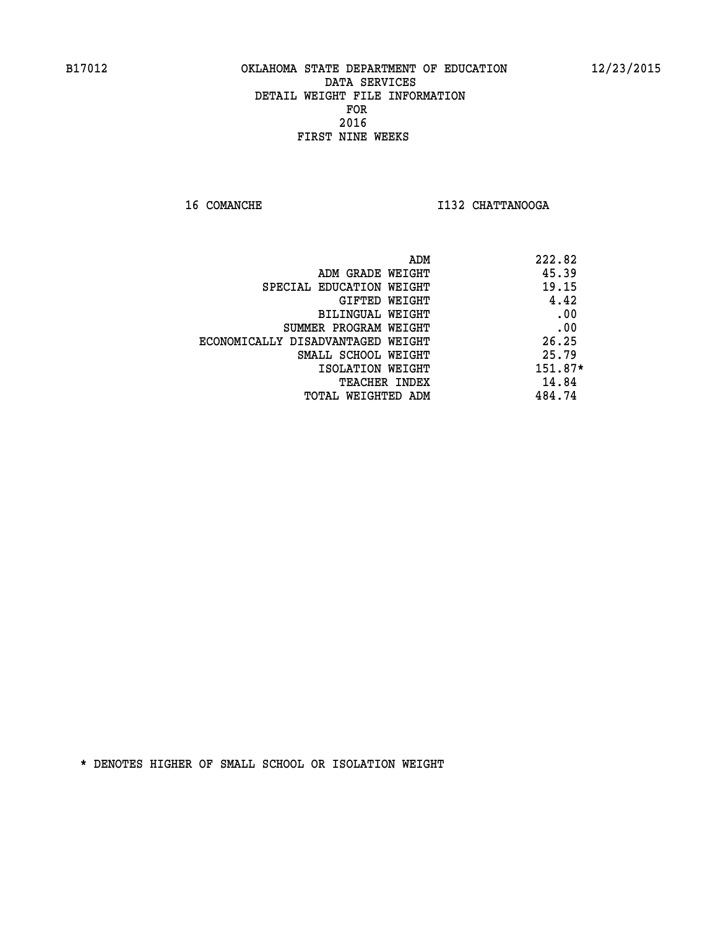**16 COMANCHE I132 CHATTANOOGA** 

| 222.82<br>ADM |                                   |
|---------------|-----------------------------------|
| 45.39         | ADM GRADE WEIGHT                  |
| 19.15         | SPECIAL EDUCATION WEIGHT          |
| 4.42          | GIFTED WEIGHT                     |
| .00           | BILINGUAL WEIGHT                  |
| .00           | SUMMER PROGRAM WEIGHT             |
| 26.25         | ECONOMICALLY DISADVANTAGED WEIGHT |
| 25.79         | SMALL SCHOOL WEIGHT               |
| $151.87*$     | ISOLATION WEIGHT                  |
| 14.84         | <b>TEACHER INDEX</b>              |
| 484.74        | TOTAL WEIGHTED ADM                |
|               |                                   |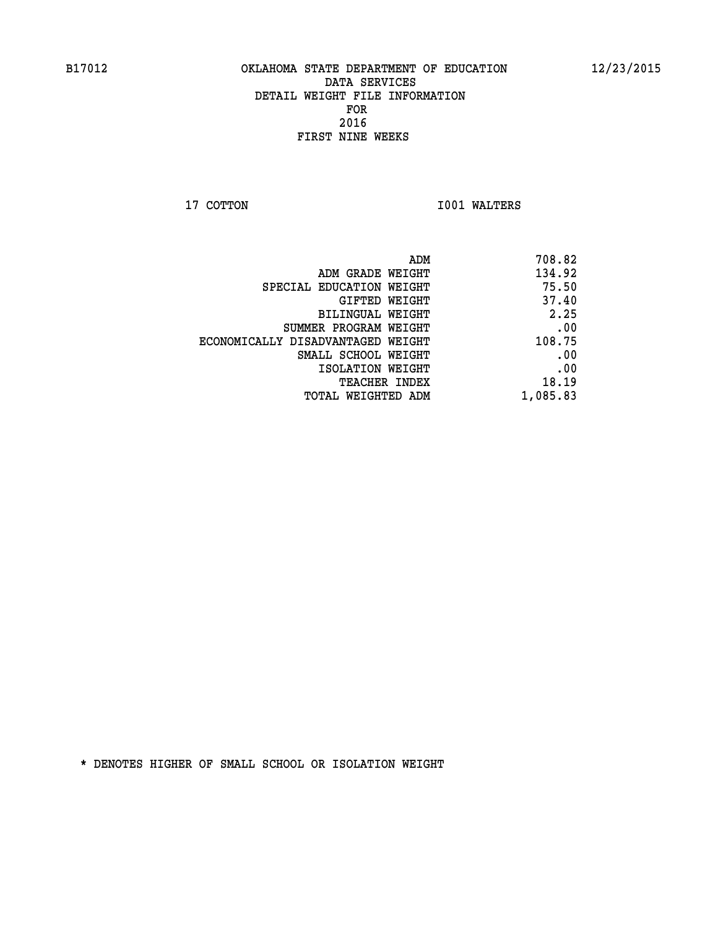**17 COTTON 1001 WALTERS** 

| ADM                               | 708.82   |
|-----------------------------------|----------|
| ADM GRADE WEIGHT                  | 134.92   |
| SPECIAL EDUCATION WEIGHT          | 75.50    |
| GIFTED WEIGHT                     | 37.40    |
| BILINGUAL WEIGHT                  | 2.25     |
| SUMMER PROGRAM WEIGHT             | .00      |
| ECONOMICALLY DISADVANTAGED WEIGHT | 108.75   |
| SMALL SCHOOL WEIGHT               | .00      |
| ISOLATION WEIGHT                  | .00      |
| <b>TEACHER INDEX</b>              | 18.19    |
| TOTAL WEIGHTED ADM                | 1,085.83 |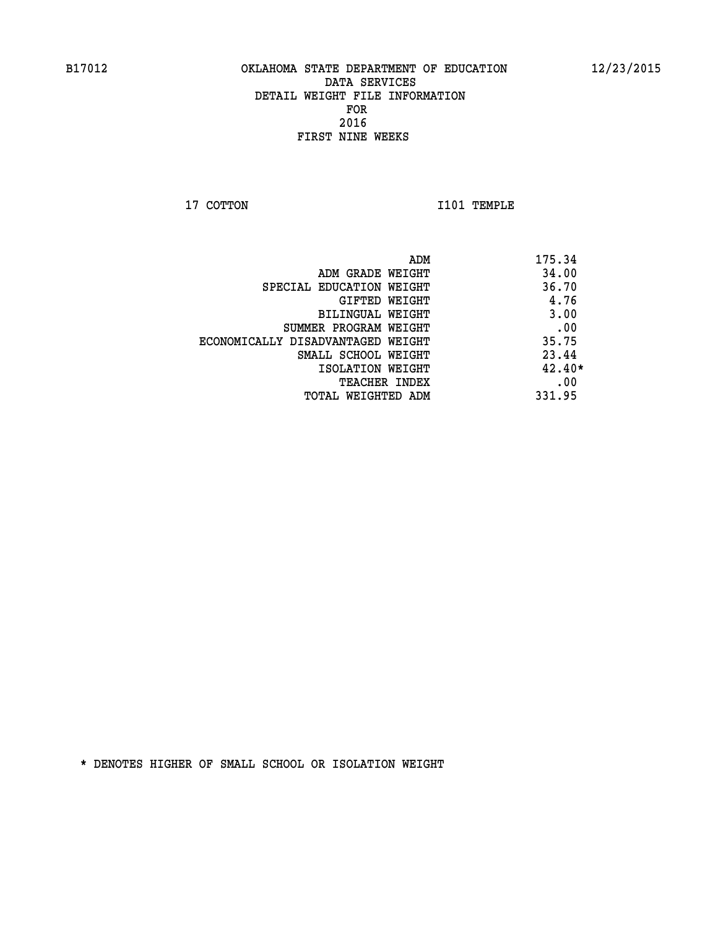**17 COTTON 1101 TEMPLE** 

|                                   | ADM | 175.34   |
|-----------------------------------|-----|----------|
| ADM GRADE WEIGHT                  |     | 34.00    |
| SPECIAL EDUCATION WEIGHT          |     | 36.70    |
| GIFTED WEIGHT                     |     | 4.76     |
| BILINGUAL WEIGHT                  |     | 3.00     |
| SUMMER PROGRAM WEIGHT             |     | .00      |
| ECONOMICALLY DISADVANTAGED WEIGHT |     | 35.75    |
| SMALL SCHOOL WEIGHT               |     | 23.44    |
| ISOLATION WEIGHT                  |     | $42.40*$ |
| TEACHER INDEX                     |     | .00      |
| TOTAL WEIGHTED ADM                |     | 331.95   |
|                                   |     |          |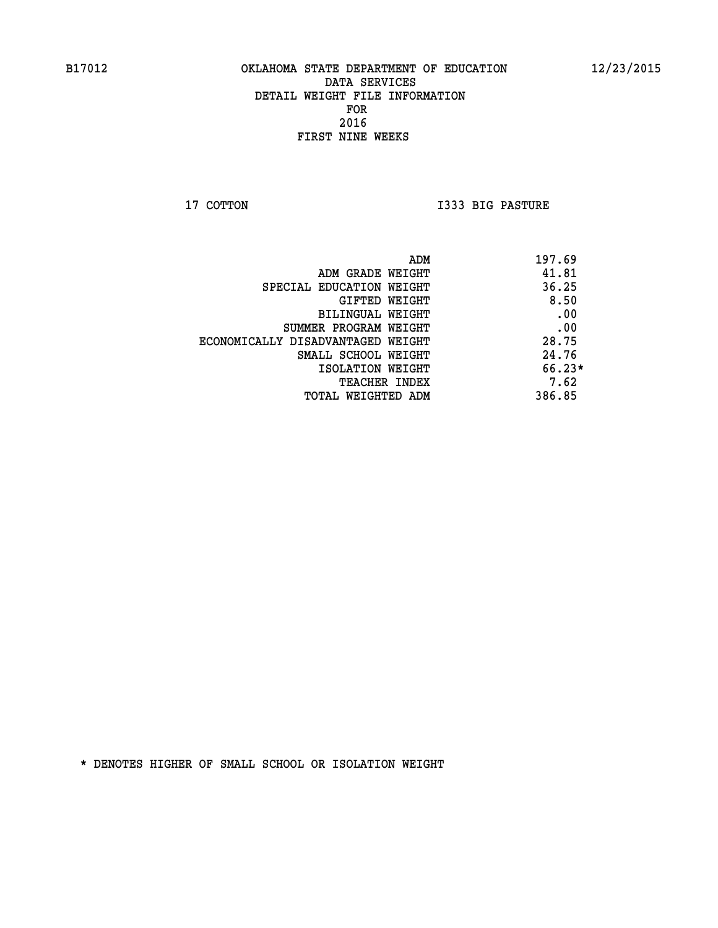**17 COTTON I333 BIG PASTURE** 

| ADM                               | 197.69   |
|-----------------------------------|----------|
| ADM GRADE WEIGHT                  | 41.81    |
| SPECIAL EDUCATION WEIGHT          | 36.25    |
| GIFTED WEIGHT                     | 8.50     |
| BILINGUAL WEIGHT                  | .00      |
| SUMMER PROGRAM WEIGHT             | .00      |
| ECONOMICALLY DISADVANTAGED WEIGHT | 28.75    |
| SMALL SCHOOL WEIGHT               | 24.76    |
| ISOLATION WEIGHT                  | $66.23*$ |
| <b>TEACHER INDEX</b>              | 7.62     |
| TOTAL WEIGHTED ADM                | 386.85   |
|                                   |          |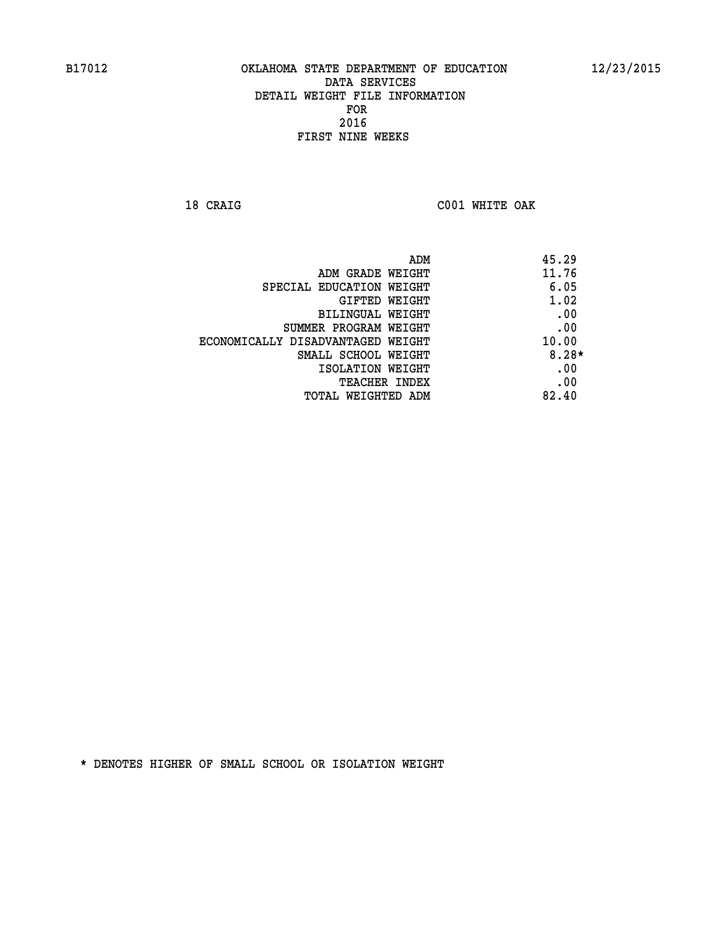**18 CRAIG C001 WHITE OAK** 

| ADM                               | 45.29   |
|-----------------------------------|---------|
| ADM GRADE WEIGHT                  | 11.76   |
| SPECIAL EDUCATION WEIGHT          | 6.05    |
| GIFTED WEIGHT                     | 1.02    |
| BILINGUAL WEIGHT                  | .00     |
| SUMMER PROGRAM WEIGHT             | .00     |
| ECONOMICALLY DISADVANTAGED WEIGHT | 10.00   |
| SMALL SCHOOL WEIGHT               | $8.28*$ |
| ISOLATION WEIGHT                  | .00     |
| <b>TEACHER INDEX</b>              | .00     |
| TOTAL WEIGHTED ADM                | 82.40   |
|                                   |         |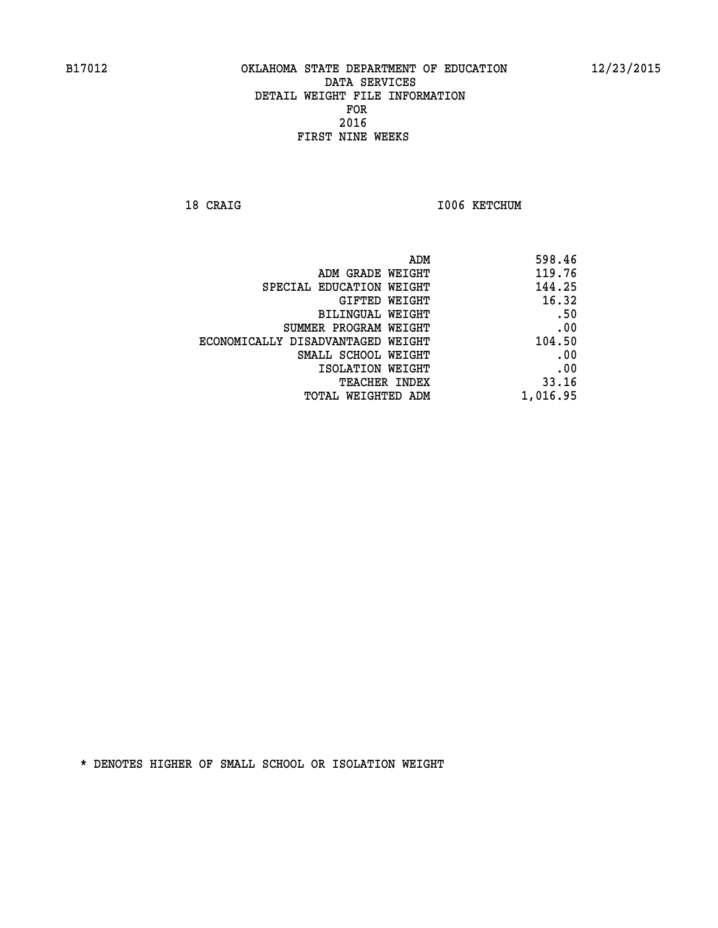18 CRAIG **I006 KETCHUM** 

| ADM                               | 598.46   |
|-----------------------------------|----------|
| ADM GRADE WEIGHT                  | 119.76   |
| SPECIAL EDUCATION WEIGHT          | 144.25   |
| GIFTED WEIGHT                     | 16.32    |
| BILINGUAL WEIGHT                  | .50      |
| SUMMER PROGRAM WEIGHT             | .00      |
| ECONOMICALLY DISADVANTAGED WEIGHT | 104.50   |
| SMALL SCHOOL WEIGHT               | .00      |
| ISOLATION WEIGHT                  | .00      |
| TEACHER INDEX                     | 33.16    |
| TOTAL WEIGHTED ADM                | 1,016.95 |
|                                   |          |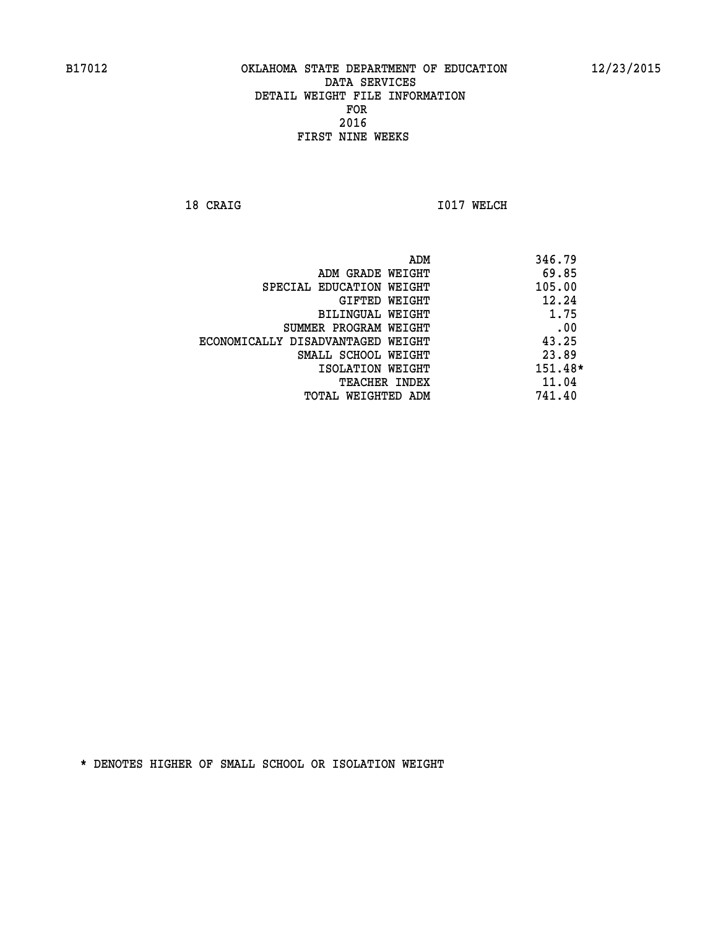**18 CRAIG 1017 WELCH** 

|                                   | 346.79<br>ADM |
|-----------------------------------|---------------|
| ADM GRADE WEIGHT                  | 69.85         |
| SPECIAL EDUCATION WEIGHT          | 105.00        |
| GIFTED WEIGHT                     | 12.24         |
| BILINGUAL WEIGHT                  | 1.75          |
| SUMMER PROGRAM WEIGHT             | .00           |
| ECONOMICALLY DISADVANTAGED WEIGHT | 43.25         |
| SMALL SCHOOL WEIGHT               | 23.89         |
| ISOLATION WEIGHT                  | 151.48*       |
| <b>TEACHER INDEX</b>              | 11.04         |
| TOTAL WEIGHTED ADM                | 741.40        |
|                                   |               |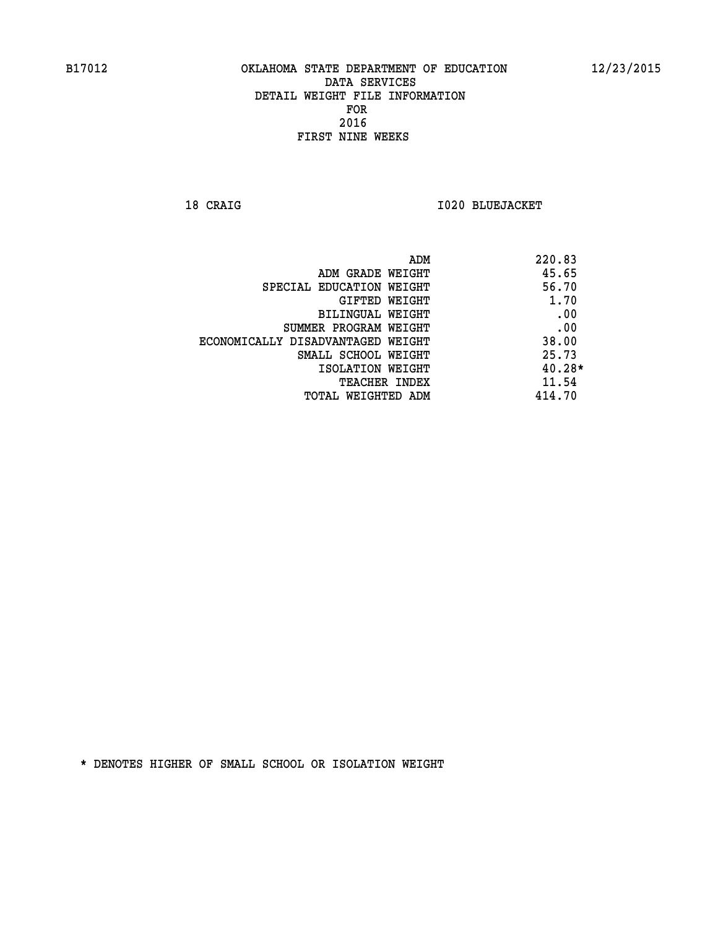**18 CRAIG I020 BLUEJACKET** 

| ADM                               | 220.83   |
|-----------------------------------|----------|
| ADM GRADE WEIGHT                  | 45.65    |
| SPECIAL EDUCATION WEIGHT          | 56.70    |
| GIFTED WEIGHT                     | 1.70     |
| <b>BILINGUAL WEIGHT</b>           | .00      |
| SUMMER PROGRAM WEIGHT             | .00      |
| ECONOMICALLY DISADVANTAGED WEIGHT | 38.00    |
| SMALL SCHOOL WEIGHT               | 25.73    |
| ISOLATION WEIGHT                  | $40.28*$ |
| <b>TEACHER INDEX</b>              | 11.54    |
| TOTAL WEIGHTED ADM                | 414.70   |
|                                   |          |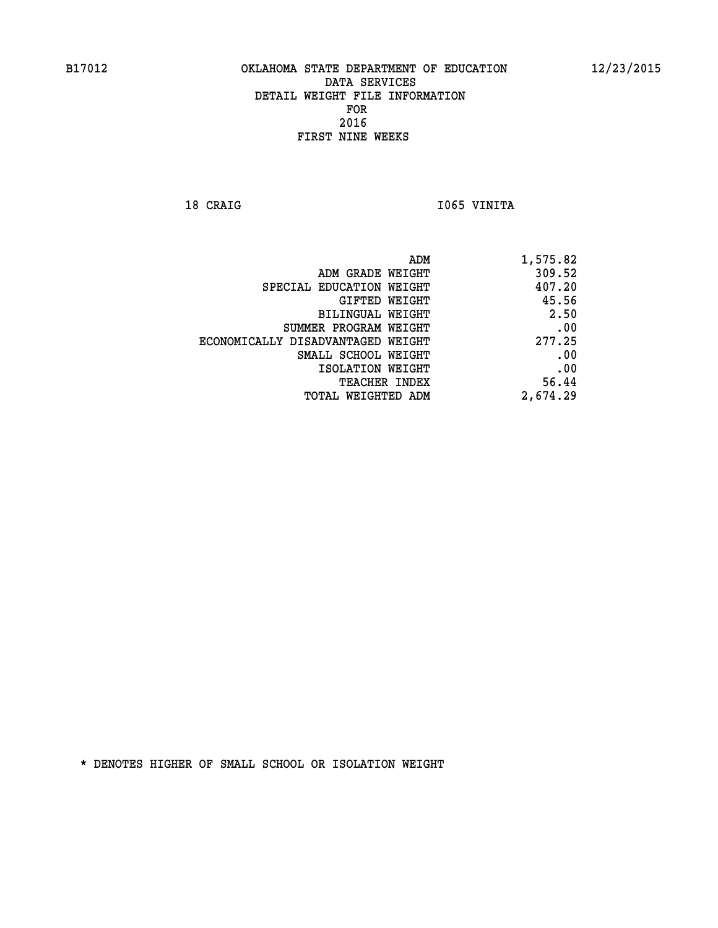18 CRAIG **I**065 VINITA

| ADM GRADE WEIGHT                  | 309.52   |
|-----------------------------------|----------|
| SPECIAL EDUCATION WEIGHT          | 407.20   |
| GIFTED WEIGHT                     | 45.56    |
| <b>BILINGUAL WEIGHT</b>           | 2.50     |
| SUMMER PROGRAM WEIGHT             | .00      |
| ECONOMICALLY DISADVANTAGED WEIGHT | 277.25   |
| SMALL SCHOOL WEIGHT               | .00      |
| ISOLATION WEIGHT                  | .00      |
| TEACHER INDEX                     | 56.44    |
| TOTAL WEIGHTED ADM                | 2,674.29 |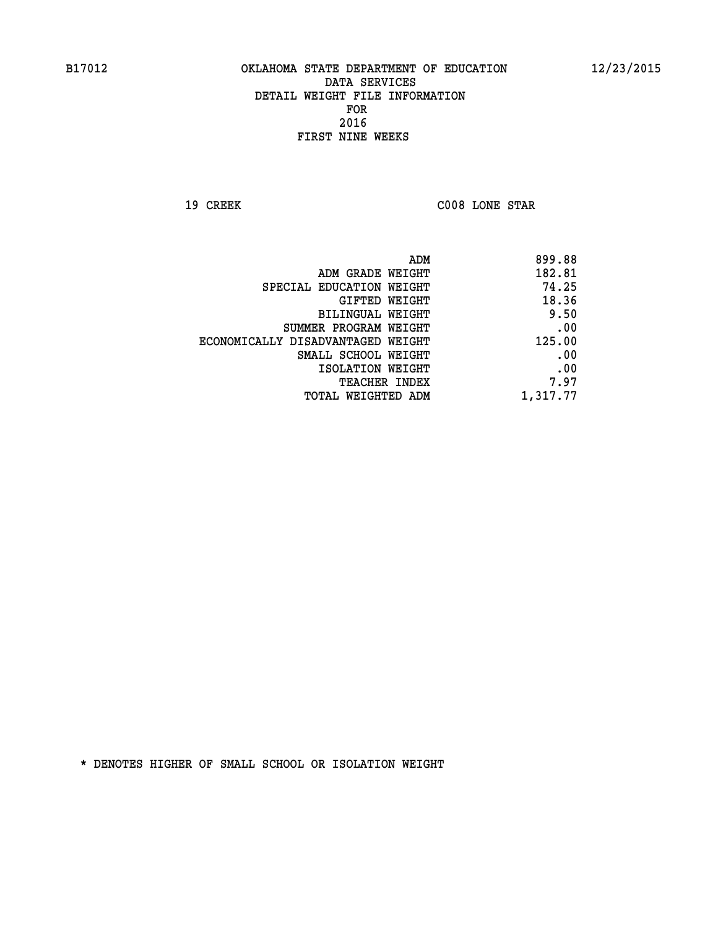**19 CREEK C008 LONE STAR** 

| 899.88   |
|----------|
| 182.81   |
| 74.25    |
| 18.36    |
| 9.50     |
| .00      |
| 125.00   |
| .00      |
| .00      |
| 7.97     |
| 1,317.77 |
|          |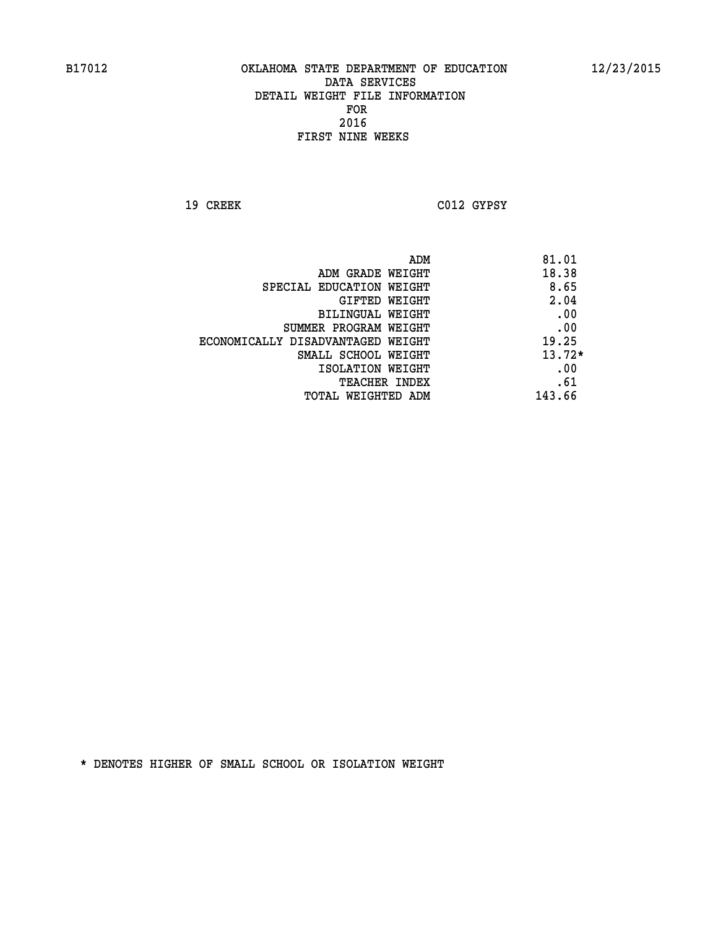**19 CREEK C012 GYPSY** 

| ADM                               | 81.01    |
|-----------------------------------|----------|
| ADM GRADE WEIGHT                  | 18.38    |
| SPECIAL EDUCATION WEIGHT          | 8.65     |
| <b>GIFTED WEIGHT</b>              | 2.04     |
| BILINGUAL WEIGHT                  | .00      |
| SUMMER PROGRAM WEIGHT             | .00      |
| ECONOMICALLY DISADVANTAGED WEIGHT | 19.25    |
| SMALL SCHOOL WEIGHT               | $13.72*$ |
| ISOLATION WEIGHT                  | .00      |
| <b>TEACHER INDEX</b>              | .61      |
| TOTAL WEIGHTED ADM                | 143.66   |
|                                   |          |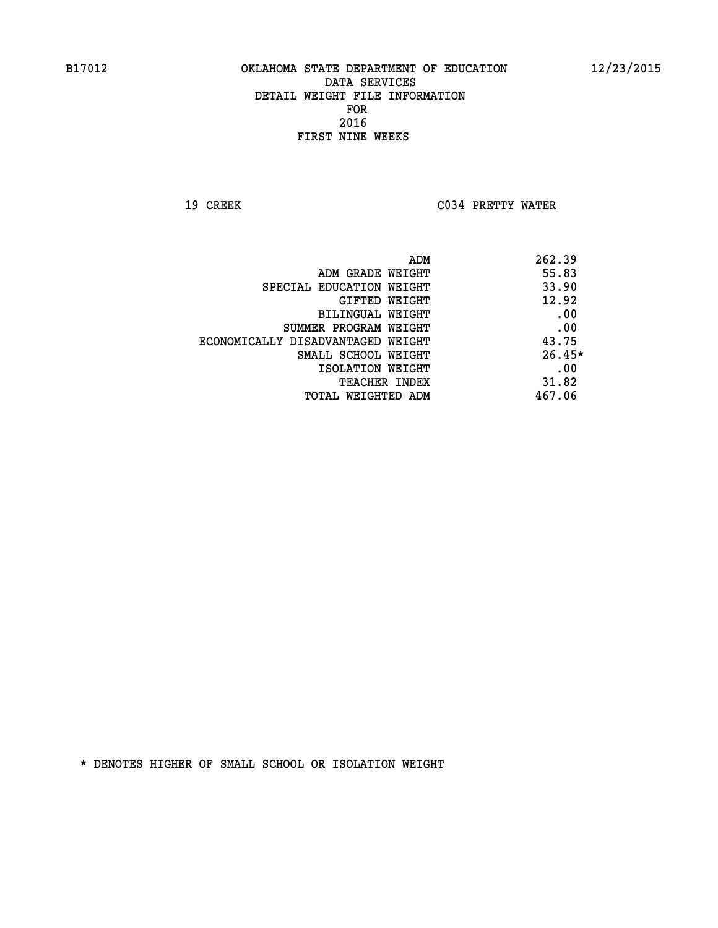**19 CREEK C034 PRETTY WATER** 

| ADM<br>262.39                              |  |
|--------------------------------------------|--|
| 55.83<br>ADM GRADE WEIGHT                  |  |
| 33.90<br>SPECIAL EDUCATION WEIGHT          |  |
| 12.92<br><b>GIFTED WEIGHT</b>              |  |
| .00<br>BILINGUAL WEIGHT                    |  |
| .00<br>SUMMER PROGRAM WEIGHT               |  |
| 43.75<br>ECONOMICALLY DISADVANTAGED WEIGHT |  |
| $26.45*$<br>SMALL SCHOOL WEIGHT            |  |
| .00<br>ISOLATION WEIGHT                    |  |
| 31.82<br><b>TEACHER INDEX</b>              |  |
| 467.06<br>TOTAL WEIGHTED ADM               |  |
|                                            |  |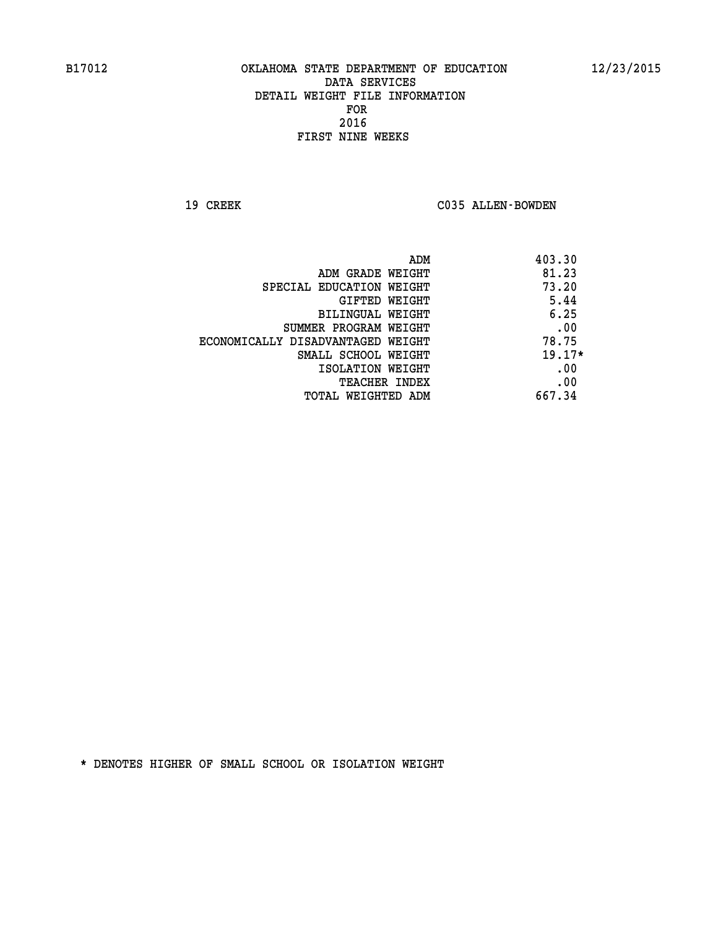19 CREEK C035 ALLEN-BOWDEN

|                                   | 403.30<br>ADM |
|-----------------------------------|---------------|
| ADM GRADE WEIGHT                  | 81.23         |
| SPECIAL EDUCATION WEIGHT          | 73.20         |
| GIFTED WEIGHT                     | 5.44          |
| BILINGUAL WEIGHT                  | 6.25          |
| SUMMER PROGRAM WEIGHT             | .00           |
| ECONOMICALLY DISADVANTAGED WEIGHT | 78.75         |
| SMALL SCHOOL WEIGHT               | $19.17*$      |
| ISOLATION WEIGHT                  | .00           |
| TEACHER INDEX                     | .00           |
| TOTAL WEIGHTED ADM                | 667.34        |
|                                   |               |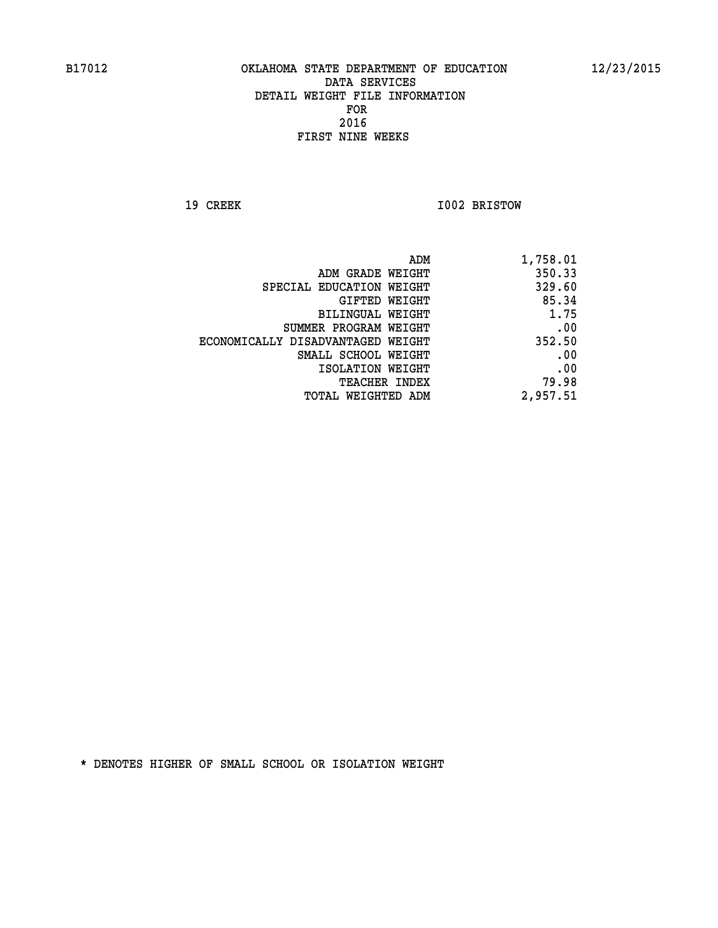**19 CREEK 1002 BRISTOW** 

| 1,758.01 |
|----------|
| 350.33   |
| 329.60   |
| 85.34    |
| 1.75     |
| .00      |
| 352.50   |
| .00      |
| .00      |
| 79.98    |
| 2,957.51 |
|          |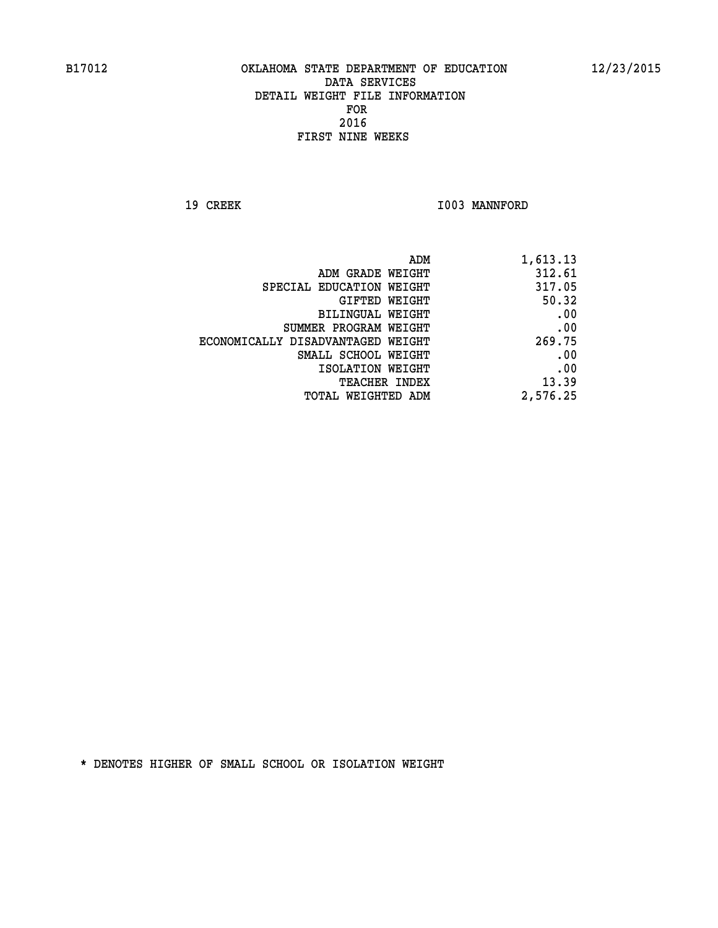19 CREEK 1003 MANNFORD

| 1,613.13 |
|----------|
| 312.61   |
| 317.05   |
| 50.32    |
| .00      |
| .00      |
| 269.75   |
| .00      |
| .00      |
| 13.39    |
| 2,576.25 |
|          |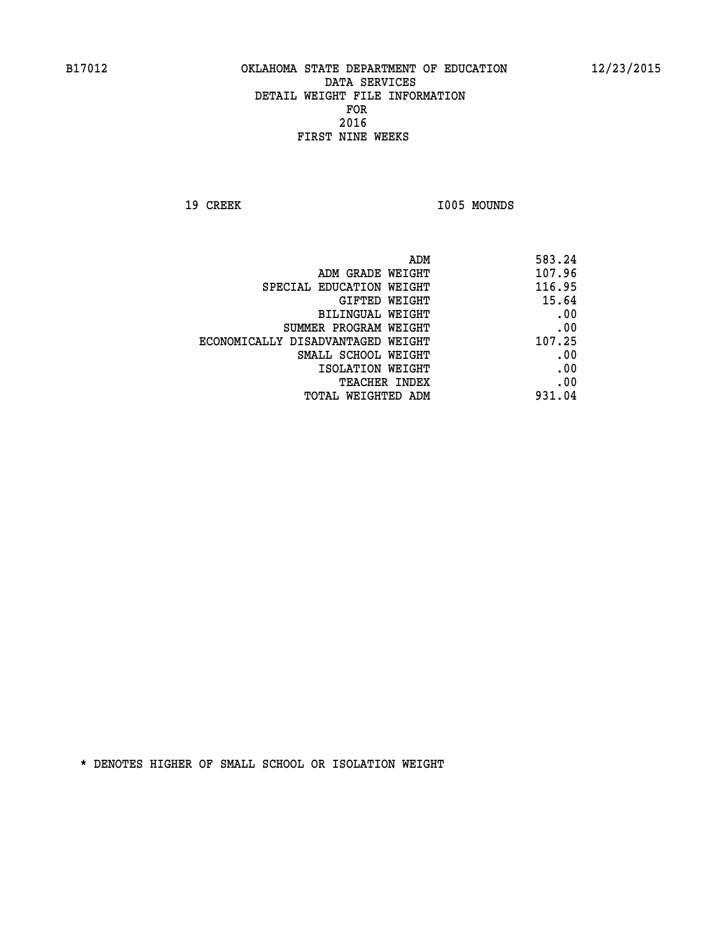19 CREEK 1005 MOUNDS

|                                   | ADM<br>583.24 |
|-----------------------------------|---------------|
| ADM GRADE WEIGHT                  | 107.96        |
| SPECIAL EDUCATION WEIGHT          | 116.95        |
| <b>GIFTED WEIGHT</b>              | 15.64         |
| <b>BILINGUAL WEIGHT</b>           | .00           |
| SUMMER PROGRAM WEIGHT             | .00           |
| ECONOMICALLY DISADVANTAGED WEIGHT | 107.25        |
| SMALL SCHOOL WEIGHT               | .00           |
| ISOLATION WEIGHT                  | .00           |
| TEACHER INDEX                     | .00           |
| TOTAL WEIGHTED ADM                | 931.04        |
|                                   |               |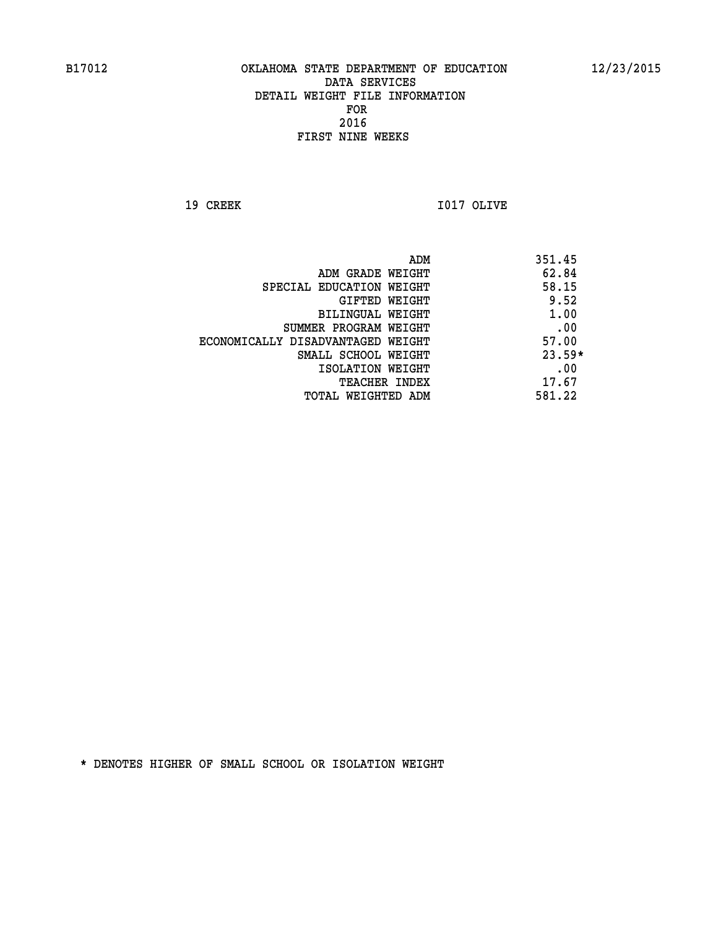**19 CREEK I017 OLIVE** 

| 351.45   |
|----------|
| 62.84    |
| 58.15    |
| 9.52     |
| 1.00     |
| .00      |
| 57.00    |
| $23.59*$ |
| .00      |
| 17.67    |
| 581.22   |
|          |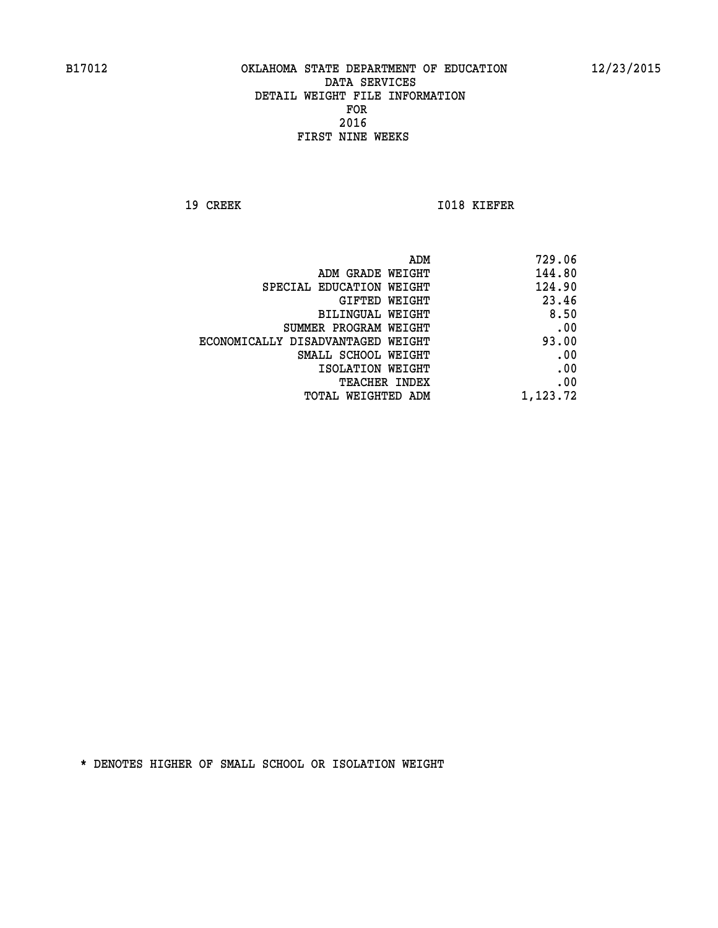**19 CREEK 1018 KIEFER** 

| 729.06   |
|----------|
| 144.80   |
| 124.90   |
| 23.46    |
| 8.50     |
| .00      |
| 93.00    |
| .00      |
| .00      |
| .00      |
| 1,123.72 |
|          |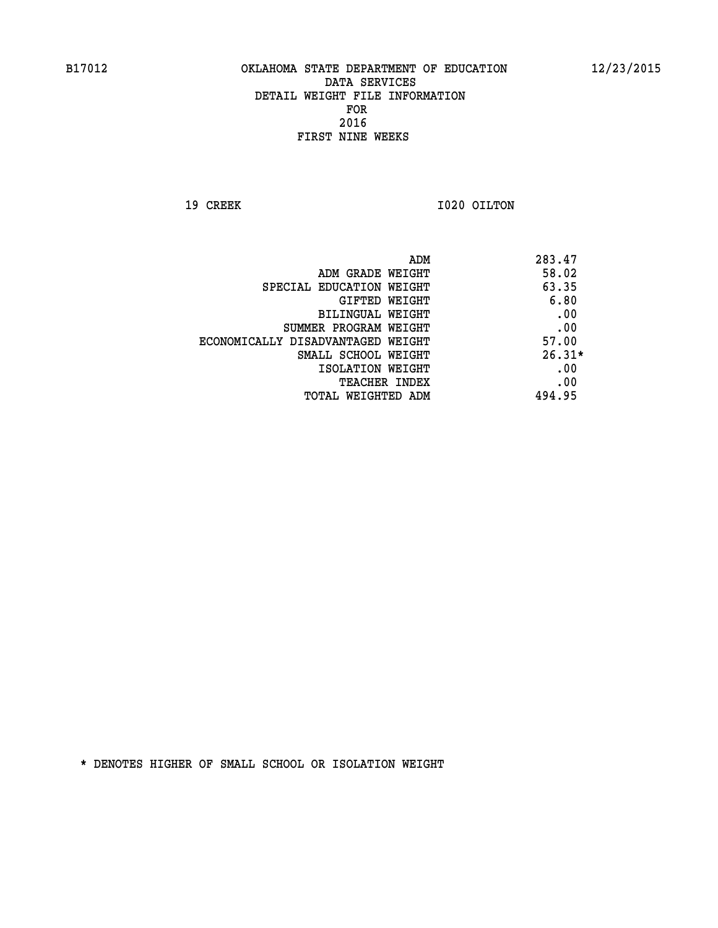**19 CREEK 1020 OILTON** 

|                                   | ADM | 283.47   |
|-----------------------------------|-----|----------|
| ADM GRADE WEIGHT                  |     | 58.02    |
| SPECIAL EDUCATION WEIGHT          |     | 63.35    |
| GIFTED WEIGHT                     |     | 6.80     |
| BILINGUAL WEIGHT                  |     | .00      |
| SUMMER PROGRAM WEIGHT             |     | .00      |
| ECONOMICALLY DISADVANTAGED WEIGHT |     | 57.00    |
| SMALL SCHOOL WEIGHT               |     | $26.31*$ |
| ISOLATION WEIGHT                  |     | .00      |
| <b>TEACHER INDEX</b>              |     | .00      |
| TOTAL WEIGHTED ADM                |     | 494.95   |
|                                   |     |          |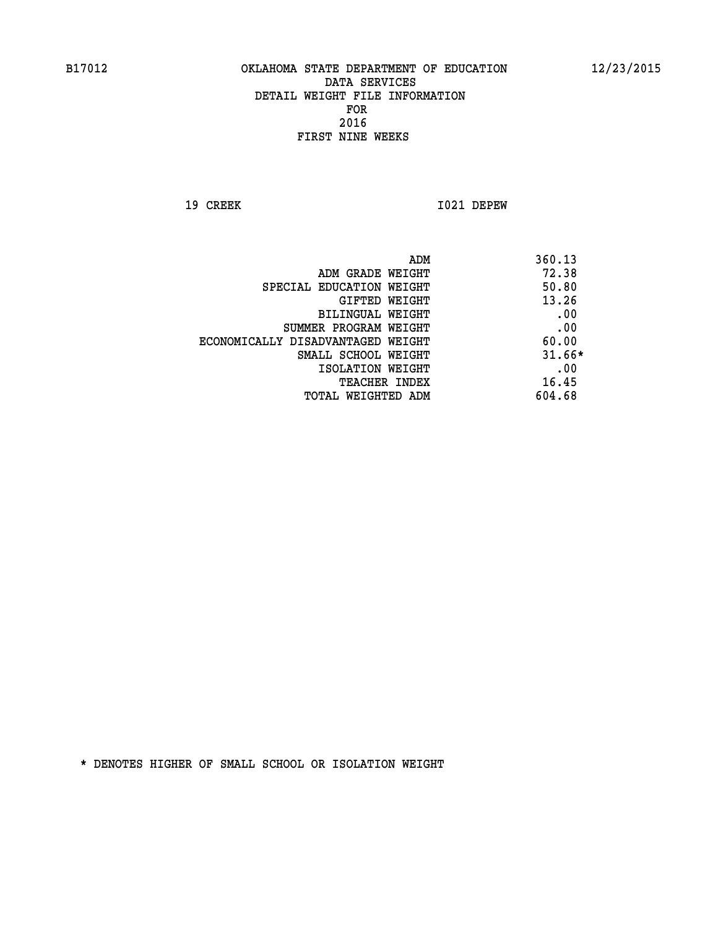**19 CREEK I021 DEPEW** 

|                                   | 360.13<br>ADM |
|-----------------------------------|---------------|
| ADM GRADE WEIGHT                  | 72.38         |
| SPECIAL EDUCATION WEIGHT          | 50.80         |
| GIFTED WEIGHT                     | 13.26         |
| BILINGUAL WEIGHT                  | .00           |
| SUMMER PROGRAM WEIGHT             | .00           |
| ECONOMICALLY DISADVANTAGED WEIGHT | 60.00         |
| SMALL SCHOOL WEIGHT               | $31.66*$      |
| ISOLATION WEIGHT                  | .00           |
| <b>TEACHER INDEX</b>              | 16.45         |
| TOTAL WEIGHTED ADM                | 604.68        |
|                                   |               |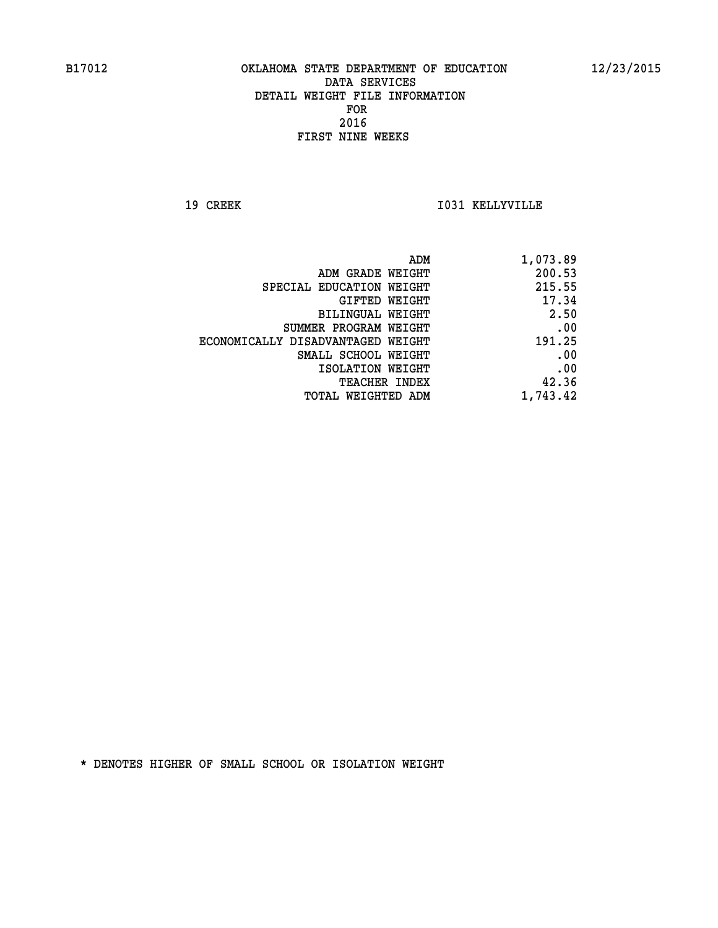**19 CREEK I031 KELLYVILLE** 

| ADM                               | 1,073.89 |
|-----------------------------------|----------|
| ADM GRADE WEIGHT                  | 200.53   |
| SPECIAL EDUCATION WEIGHT          | 215.55   |
| GIFTED WEIGHT                     | 17.34    |
| BILINGUAL WEIGHT                  | 2.50     |
| SUMMER PROGRAM WEIGHT             | .00      |
| ECONOMICALLY DISADVANTAGED WEIGHT | 191.25   |
| SMALL SCHOOL WEIGHT               | .00      |
| ISOLATION WEIGHT                  | .00      |
| <b>TEACHER INDEX</b>              | 42.36    |
| TOTAL WEIGHTED ADM                | 1,743.42 |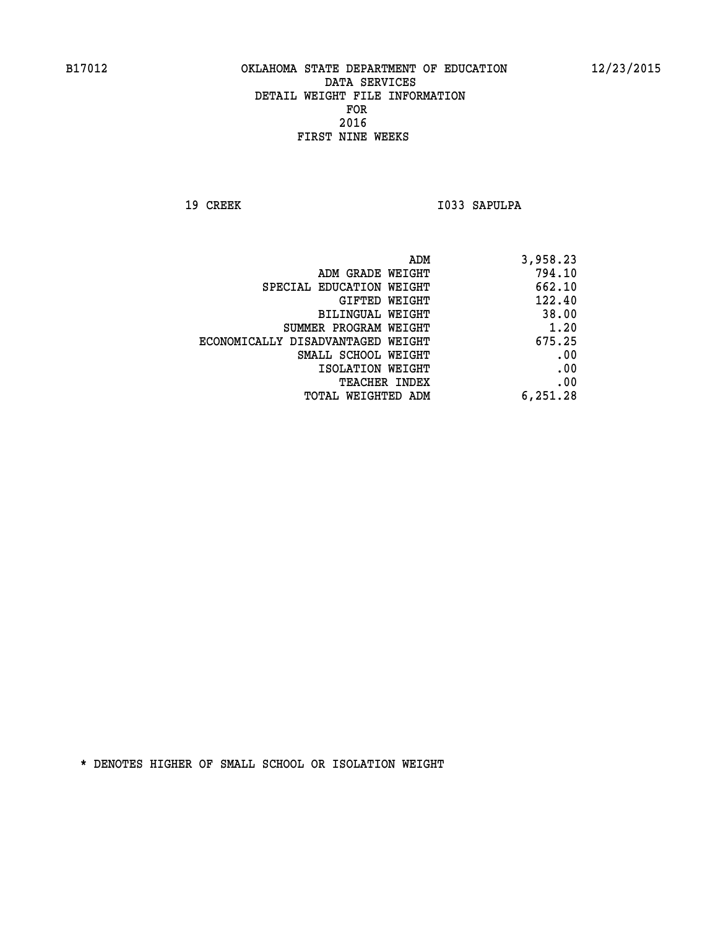19 CREEK 1033 SAPULPA

| 3,958.23 |
|----------|
| 794.10   |
| 662.10   |
| 122.40   |
| 38.00    |
| 1.20     |
| 675.25   |
| .00      |
| .00      |
| .00      |
| 6,251.28 |
|          |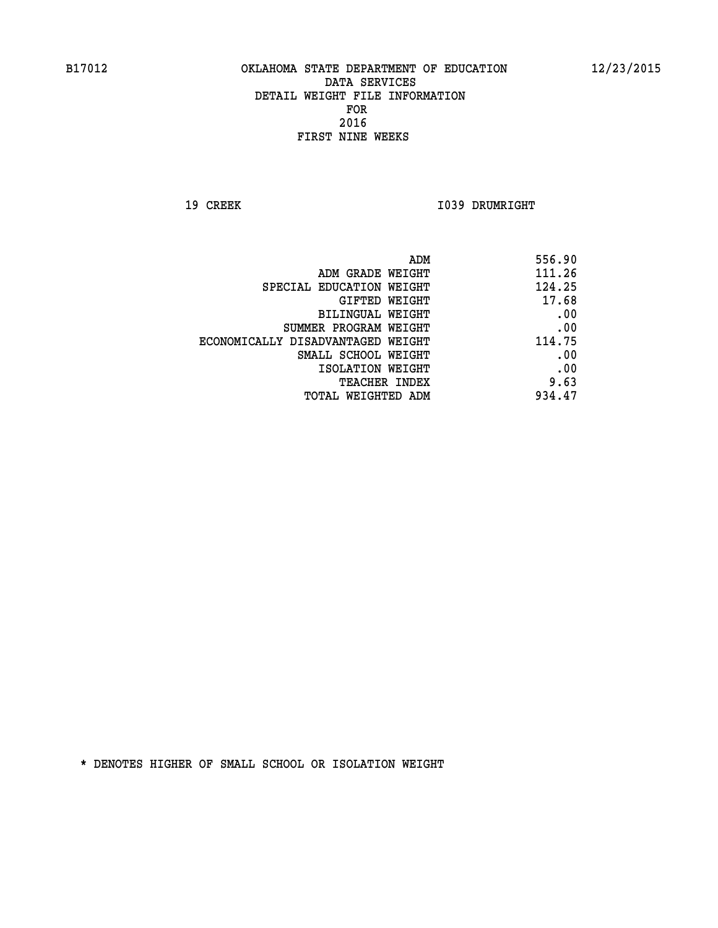**19 CREEK 1039 DRUMRIGHT** 

| 556.90 |
|--------|
| 111.26 |
| 124.25 |
| 17.68  |
| .00    |
| .00    |
| 114.75 |
| .00    |
| .00    |
| 9.63   |
| 934.47 |
|        |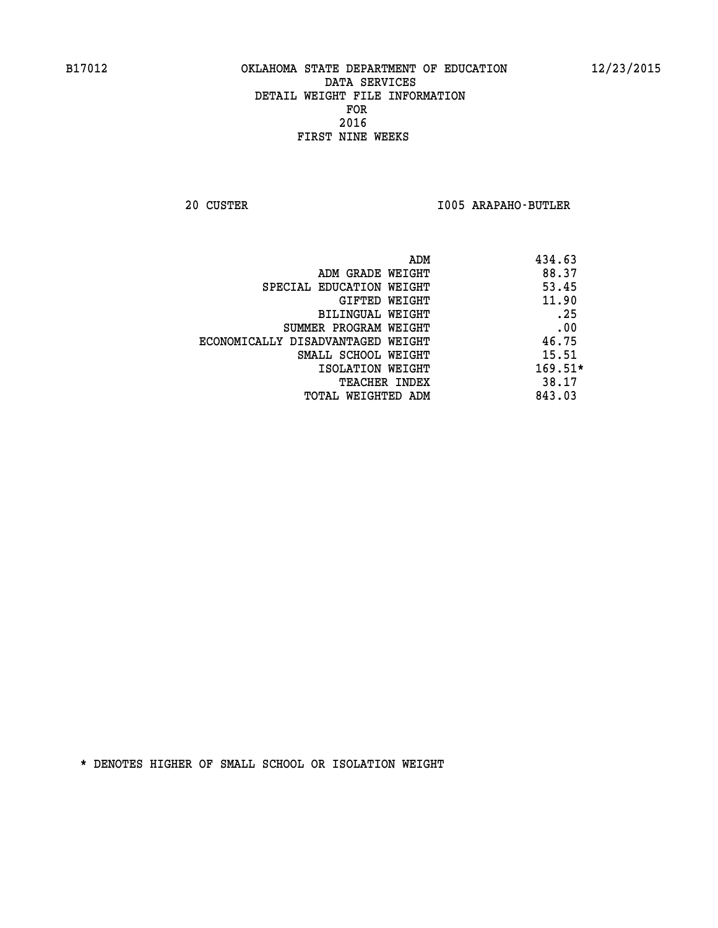**20 CUSTER I005 ARAPAHO-BUTLER** 

| ADM                               | 434.63    |
|-----------------------------------|-----------|
| ADM GRADE WEIGHT                  | 88.37     |
| SPECIAL EDUCATION WEIGHT          | 53.45     |
| GIFTED WEIGHT                     | 11.90     |
| BILINGUAL WEIGHT                  | .25       |
| SUMMER PROGRAM WEIGHT             | .00       |
| ECONOMICALLY DISADVANTAGED WEIGHT | 46.75     |
| SMALL SCHOOL WEIGHT               | 15.51     |
| ISOLATION WEIGHT                  | $169.51*$ |
| <b>TEACHER INDEX</b>              | 38.17     |
| TOTAL WEIGHTED ADM                | 843.03    |
|                                   |           |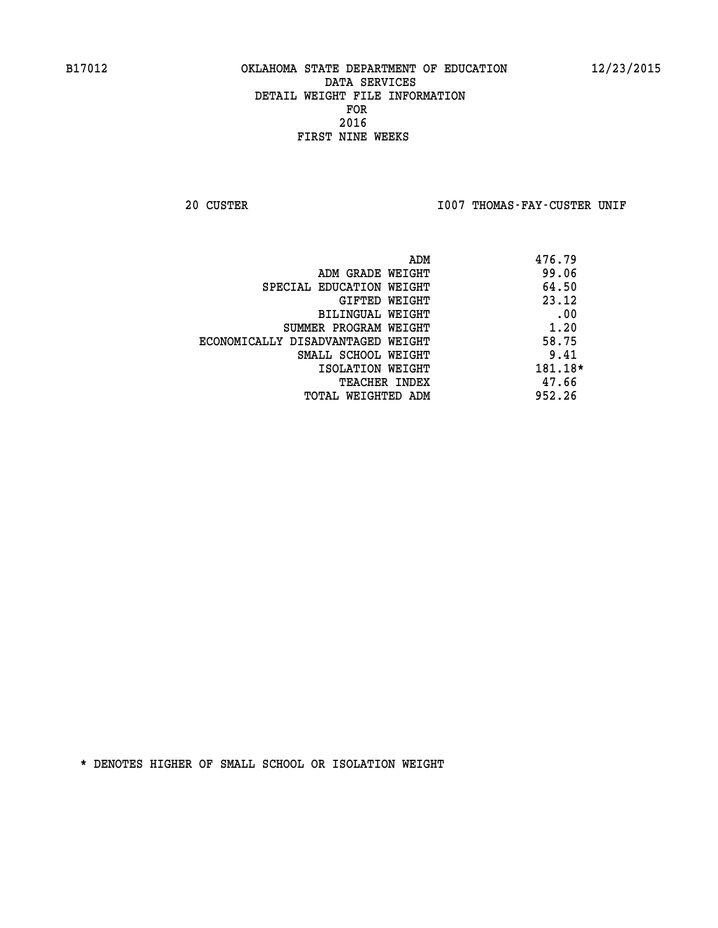20 CUSTER **IDO7 THOMAS-FAY-CUSTER UNIF** 

| 476.79  |
|---------|
| 99.06   |
| 64.50   |
| 23.12   |
| .00     |
| 1.20    |
| 58.75   |
| 9.41    |
| 181.18* |
| 47.66   |
| 952.26  |
|         |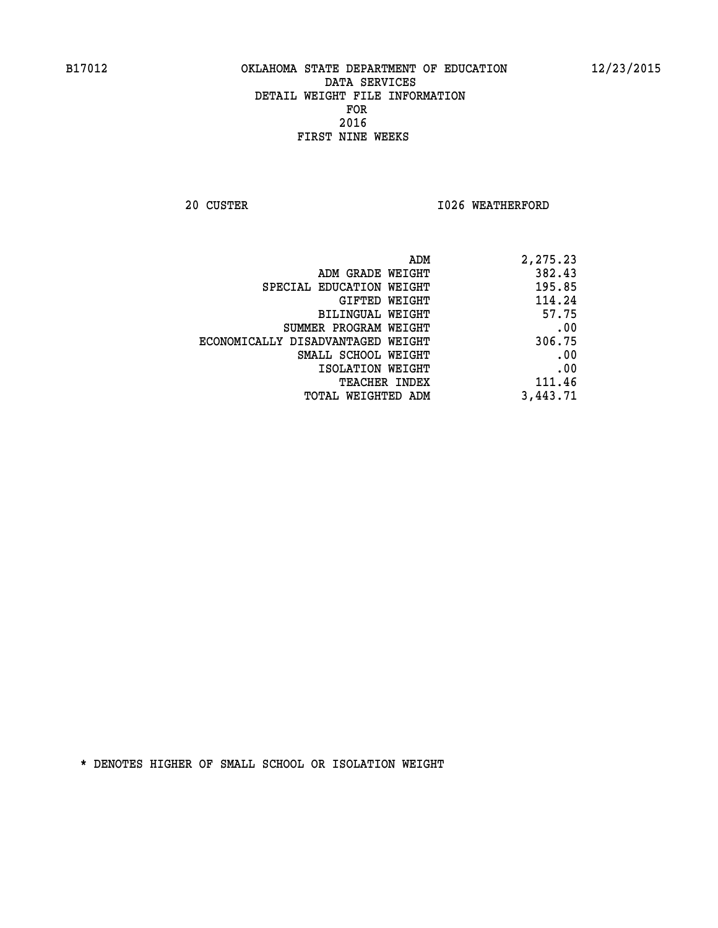**20 CUSTER 1026 WEATHERFORD** 

| 2,275.23 |
|----------|
| 382.43   |
| 195.85   |
| 114.24   |
| 57.75    |
| .00      |
| 306.75   |
| .00      |
| .00      |
| 111.46   |
| 3,443.71 |
|          |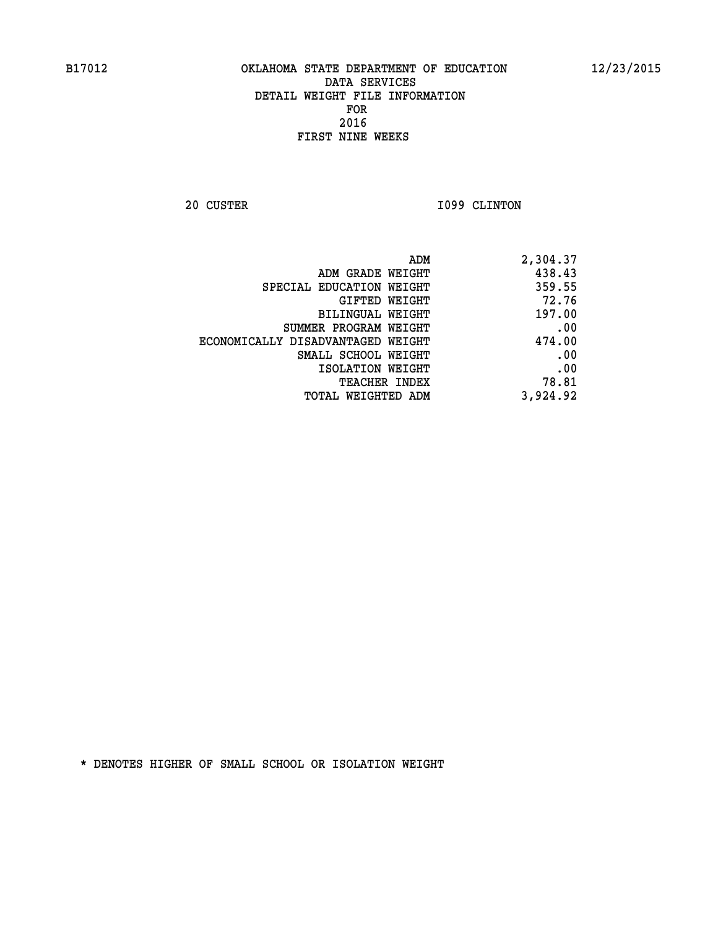**20 CUSTER 1099 CLINTON** 

| ADM                               | 2,304.37 |
|-----------------------------------|----------|
| ADM GRADE WEIGHT                  | 438.43   |
| SPECIAL EDUCATION WEIGHT          | 359.55   |
| GIFTED WEIGHT                     | 72.76    |
| BILINGUAL WEIGHT                  | 197.00   |
| SUMMER PROGRAM WEIGHT             | .00      |
| ECONOMICALLY DISADVANTAGED WEIGHT | 474.00   |
| SMALL SCHOOL WEIGHT               | .00      |
| ISOLATION WEIGHT                  | .00      |
| <b>TEACHER INDEX</b>              | 78.81    |
| TOTAL WEIGHTED ADM                | 3,924.92 |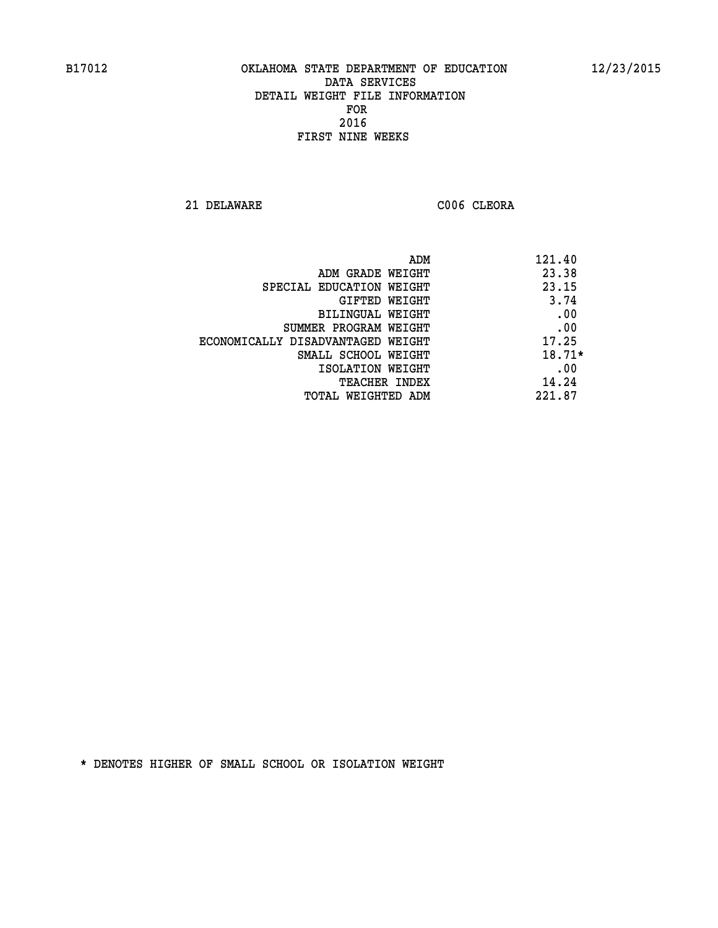**21 DELAWARE C006 CLEORA** 

| ADM                               | 121.40   |
|-----------------------------------|----------|
| ADM GRADE WEIGHT                  | 23.38    |
| SPECIAL EDUCATION WEIGHT          | 23.15    |
| GIFTED WEIGHT                     | 3.74     |
| BILINGUAL WEIGHT                  | .00      |
| SUMMER PROGRAM WEIGHT             | .00      |
| ECONOMICALLY DISADVANTAGED WEIGHT | 17.25    |
| SMALL SCHOOL WEIGHT               | $18.71*$ |
| ISOLATION WEIGHT                  | .00      |
| <b>TEACHER INDEX</b>              | 14.24    |
| TOTAL WEIGHTED ADM                | 221.87   |
|                                   |          |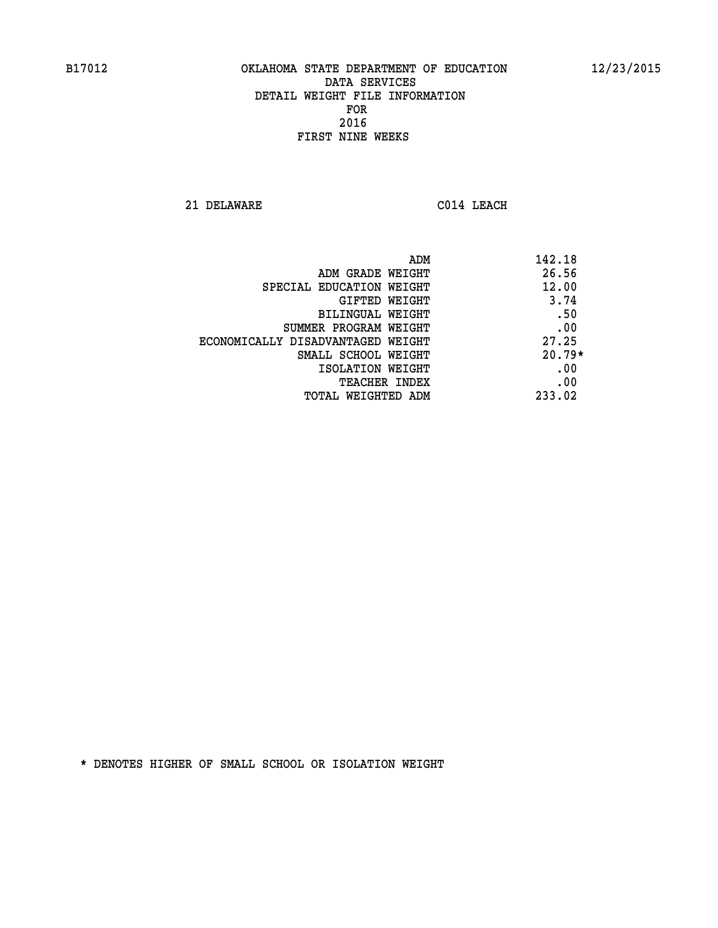**21 DELAWARE C014 LEACH** 

| ADM                               | 142.18   |
|-----------------------------------|----------|
| ADM GRADE WEIGHT                  | 26.56    |
| SPECIAL EDUCATION WEIGHT          | 12.00    |
| GIFTED WEIGHT                     | 3.74     |
| BILINGUAL WEIGHT                  | .50      |
| SUMMER PROGRAM WEIGHT             | .00      |
| ECONOMICALLY DISADVANTAGED WEIGHT | 27.25    |
| SMALL SCHOOL WEIGHT               | $20.79*$ |
| ISOLATION WEIGHT                  | .00      |
| <b>TEACHER INDEX</b>              | .00      |
| TOTAL WEIGHTED ADM                | 233.02   |
|                                   |          |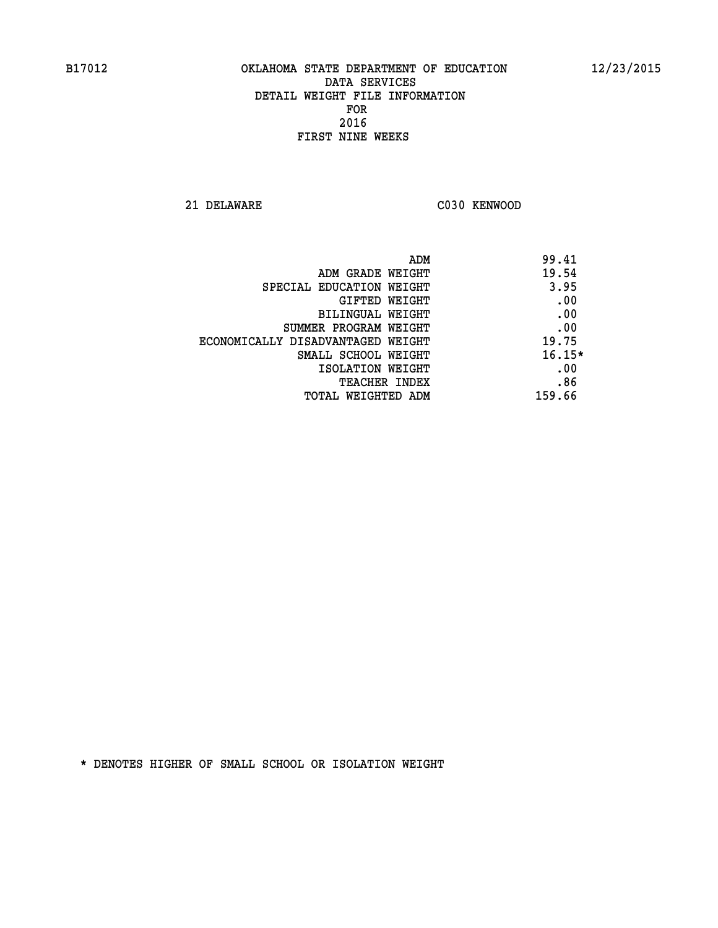**21 DELAWARE C030 KENWOOD** 

| ADM                               | 99.41    |
|-----------------------------------|----------|
| ADM GRADE WEIGHT                  | 19.54    |
| SPECIAL EDUCATION WEIGHT          | 3.95     |
| GIFTED WEIGHT                     | .00      |
| <b>BILINGUAL WEIGHT</b>           | .00      |
| SUMMER PROGRAM WEIGHT             | .00      |
| ECONOMICALLY DISADVANTAGED WEIGHT | 19.75    |
| SMALL SCHOOL WEIGHT               | $16.15*$ |
| ISOLATION WEIGHT                  | .00      |
| <b>TEACHER INDEX</b>              | .86      |
| TOTAL WEIGHTED ADM                | 159.66   |
|                                   |          |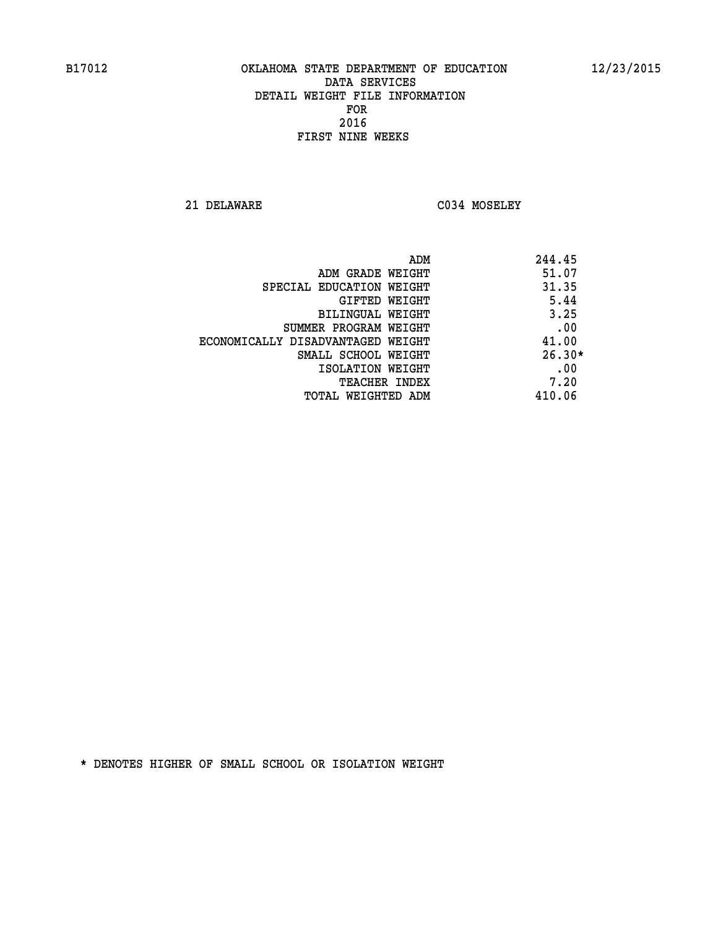**21 DELAWARE C034 MOSELEY** 

|                                   | 244.45<br>ADM |
|-----------------------------------|---------------|
| ADM GRADE WEIGHT                  | 51.07         |
| SPECIAL EDUCATION WEIGHT          | 31.35         |
| GIFTED WEIGHT                     | 5.44          |
| BILINGUAL WEIGHT                  | 3.25          |
| SUMMER PROGRAM WEIGHT             | .00           |
| ECONOMICALLY DISADVANTAGED WEIGHT | 41.00         |
| SMALL SCHOOL WEIGHT               | $26.30*$      |
| ISOLATION WEIGHT                  | .00           |
| <b>TEACHER INDEX</b>              | 7.20          |
| TOTAL WEIGHTED ADM                | 410.06        |
|                                   |               |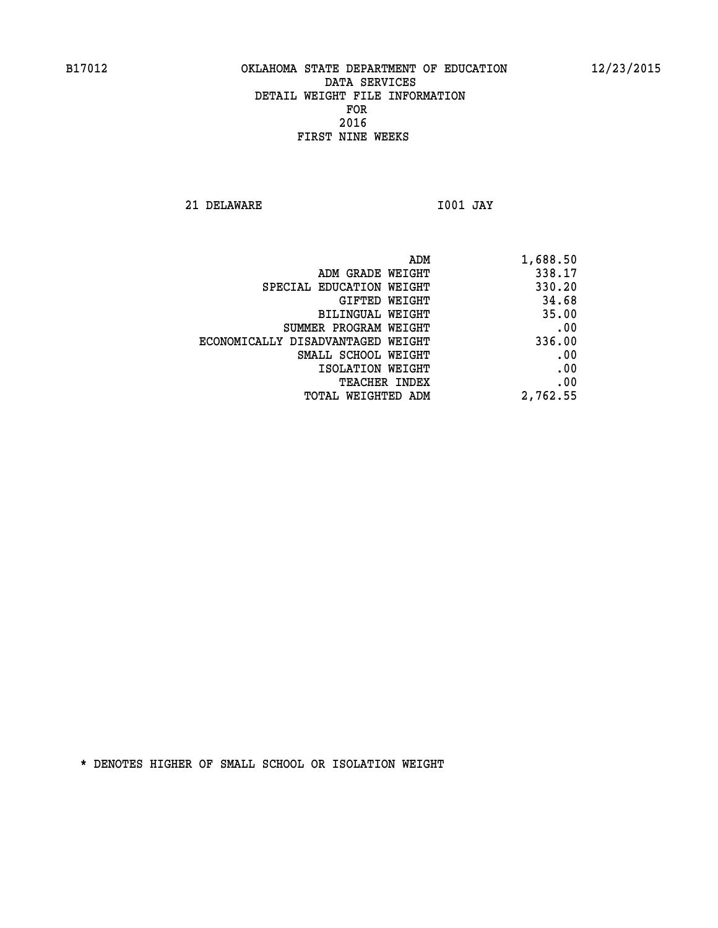**21 DELAWARE I001 JAY** 

| ADM                               | 1,688.50 |
|-----------------------------------|----------|
| ADM GRADE WEIGHT                  | 338.17   |
| SPECIAL EDUCATION WEIGHT          | 330.20   |
| GIFTED WEIGHT                     | 34.68    |
| BILINGUAL WEIGHT                  | 35.00    |
| SUMMER PROGRAM WEIGHT             | .00      |
| ECONOMICALLY DISADVANTAGED WEIGHT | 336.00   |
| SMALL SCHOOL WEIGHT               | .00      |
| ISOLATION WEIGHT                  | .00      |
| <b>TEACHER INDEX</b>              | .00      |
| WEIGHTED ADM<br>TOTAL             | 2,762.55 |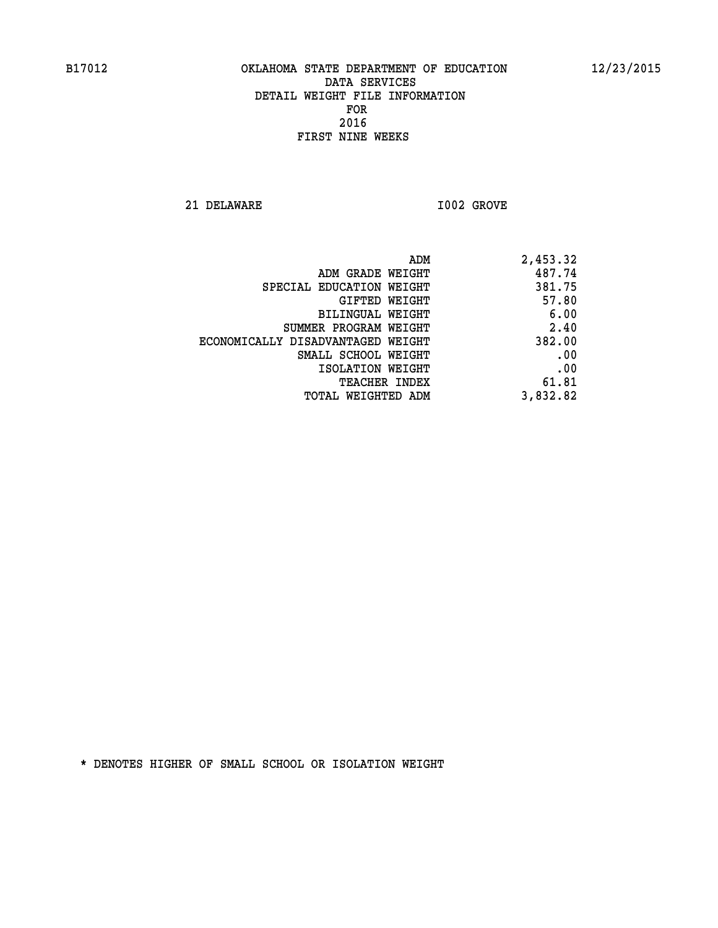**21 DELAWARE I002 GROVE** 

| 2,453.32 |
|----------|
| 487.74   |
| 381.75   |
| 57.80    |
| 6.00     |
| 2.40     |
| 382.00   |
| .00      |
| .00      |
| 61.81    |
| 3,832.82 |
|          |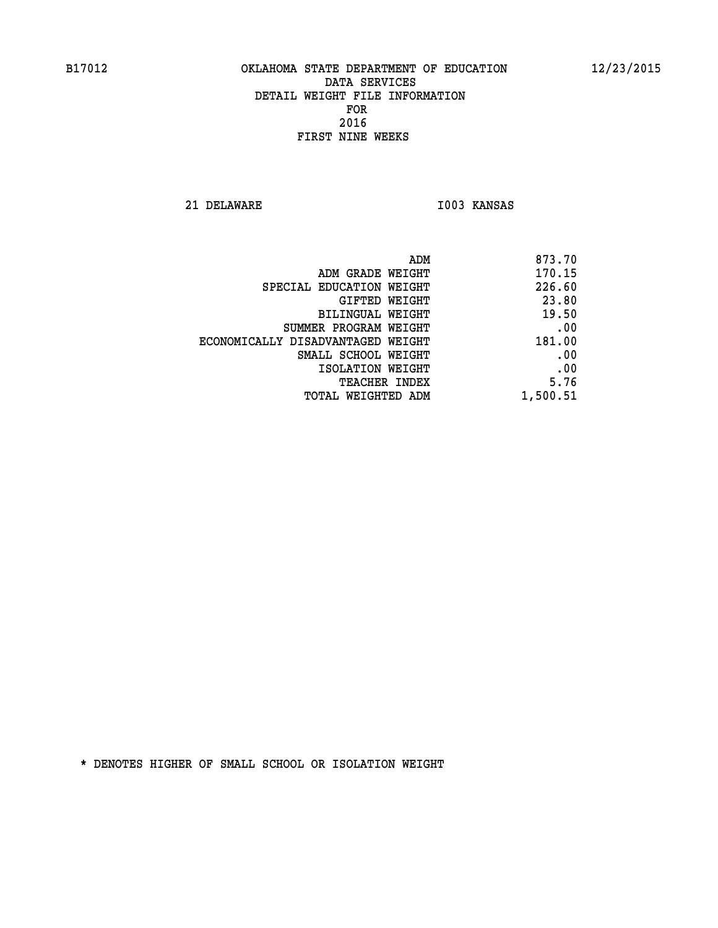**21 DELAWARE I003 KANSAS** 

| 873.70   |
|----------|
| 170.15   |
| 226.60   |
| 23.80    |
| 19.50    |
| .00      |
| 181.00   |
| .00      |
| .00      |
| 5.76     |
| 1,500.51 |
|          |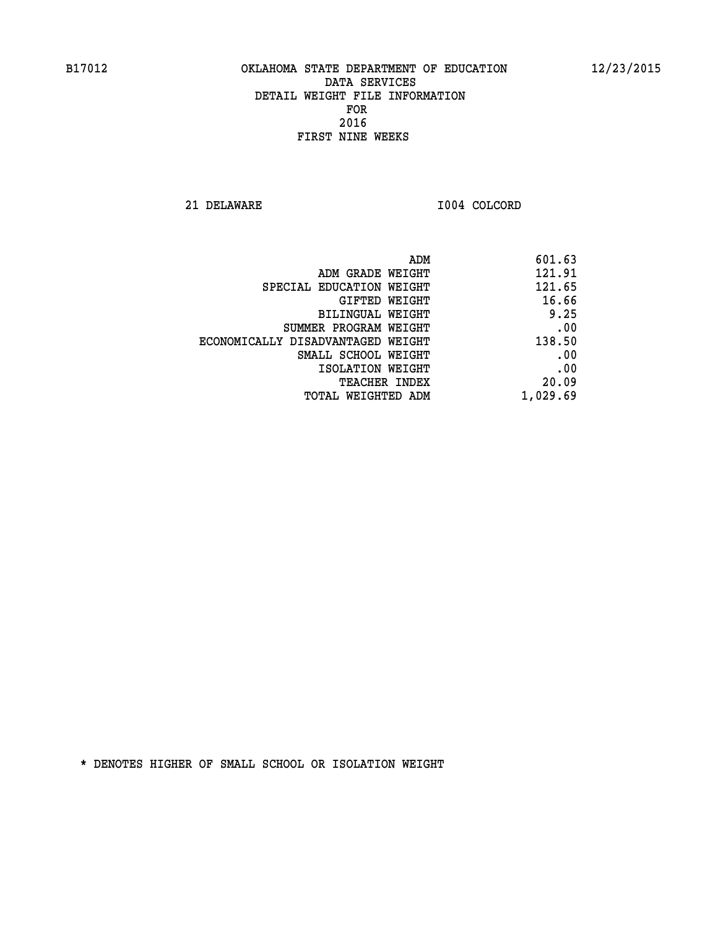**21 DELAWARE I004 COLCORD** 

| 601.63   |
|----------|
| 121.91   |
| 121.65   |
| 16.66    |
| 9.25     |
| .00      |
| 138.50   |
| .00      |
| .00      |
| 20.09    |
| 1,029.69 |
|          |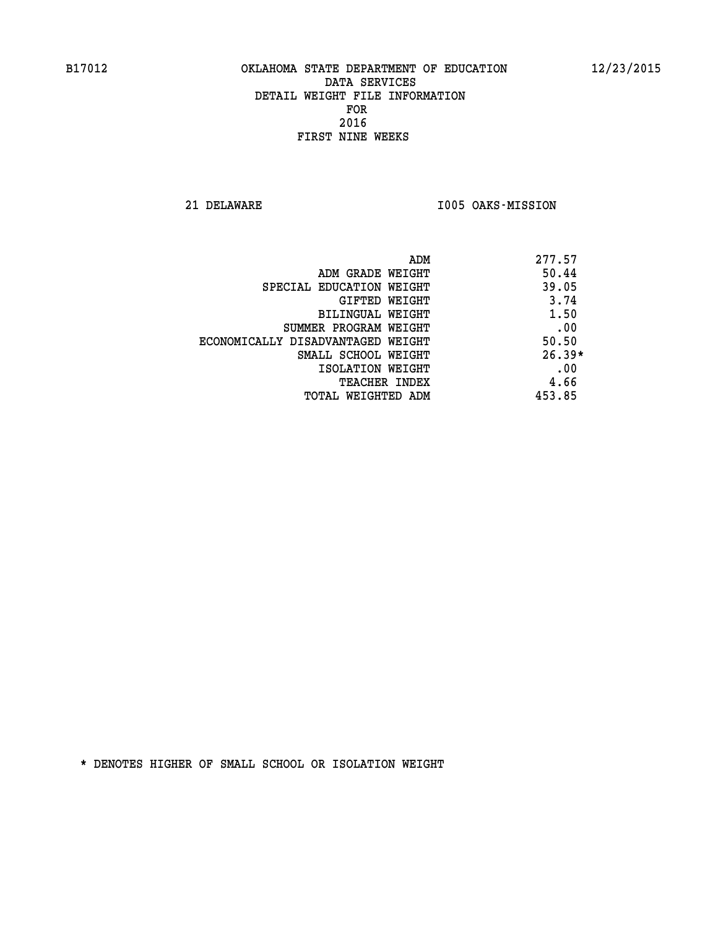**21 DELAWARE I005 OAKS-MISSION** 

|                                   | 277.57<br>ADM |     |
|-----------------------------------|---------------|-----|
| ADM GRADE WEIGHT                  | 50.44         |     |
| SPECIAL EDUCATION WEIGHT          | 39.05         |     |
| GIFTED WEIGHT                     | 3.74          |     |
| BILINGUAL WEIGHT                  | 1.50          |     |
| SUMMER PROGRAM WEIGHT             |               | .00 |
| ECONOMICALLY DISADVANTAGED WEIGHT | 50.50         |     |
| SMALL SCHOOL WEIGHT               | $26.39*$      |     |
| ISOLATION WEIGHT                  |               | .00 |
| TEACHER INDEX                     | 4.66          |     |
| TOTAL WEIGHTED ADM                | 453.85        |     |
|                                   |               |     |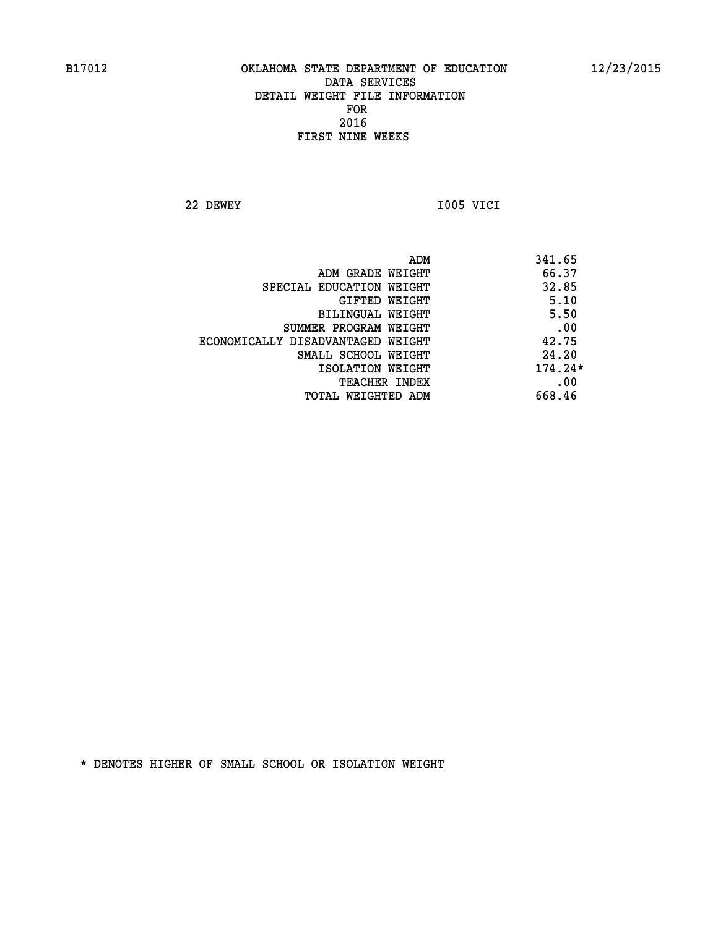**22 DEWEY I005 VICI** 

| ADM                               | 341.65    |
|-----------------------------------|-----------|
| ADM GRADE WEIGHT                  | 66.37     |
| SPECIAL EDUCATION WEIGHT          | 32.85     |
| GIFTED WEIGHT                     | 5.10      |
| BILINGUAL WEIGHT                  | 5.50      |
| SUMMER PROGRAM WEIGHT             | .00       |
| ECONOMICALLY DISADVANTAGED WEIGHT | 42.75     |
| SMALL SCHOOL WEIGHT               | 24.20     |
| ISOLATION WEIGHT                  | $174.24*$ |
| <b>TEACHER INDEX</b>              | .00       |
| TOTAL WEIGHTED ADM                | 668.46    |
|                                   |           |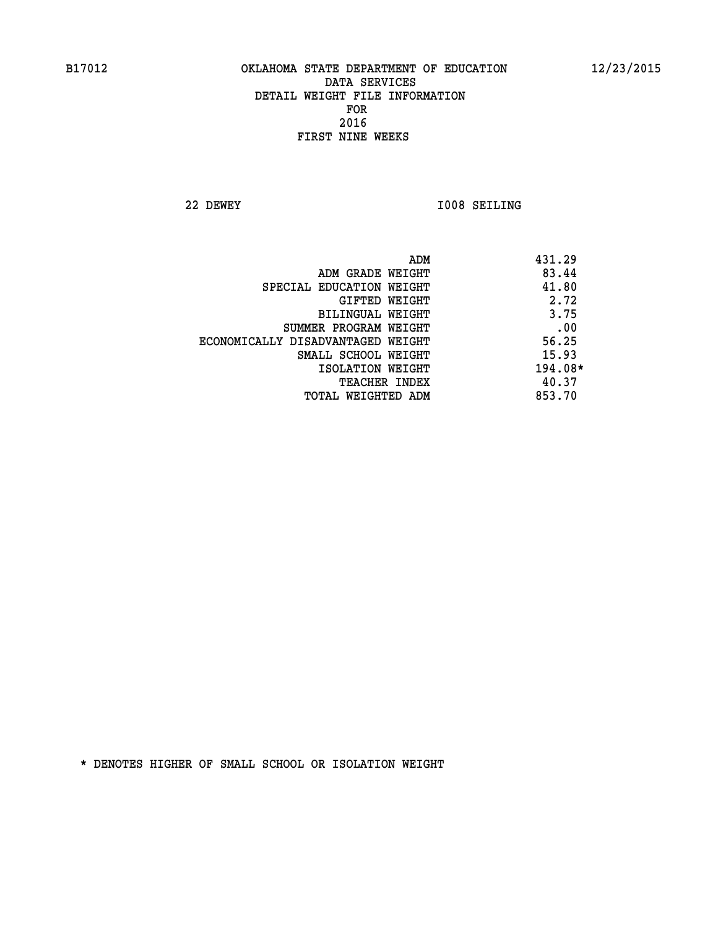**22 DEWEY I008 SEILING** 

| ADM                               | 431.29  |
|-----------------------------------|---------|
| ADM GRADE WEIGHT                  | 83.44   |
| SPECIAL EDUCATION WEIGHT          | 41.80   |
| GIFTED WEIGHT                     | 2.72    |
| BILINGUAL WEIGHT                  | 3.75    |
| SUMMER PROGRAM WEIGHT             | .00     |
| ECONOMICALLY DISADVANTAGED WEIGHT | 56.25   |
| SMALL SCHOOL WEIGHT               | 15.93   |
| ISOLATION WEIGHT                  | 194.08* |
| <b>TEACHER INDEX</b>              | 40.37   |
| TOTAL WEIGHTED ADM                | 853.70  |
|                                   |         |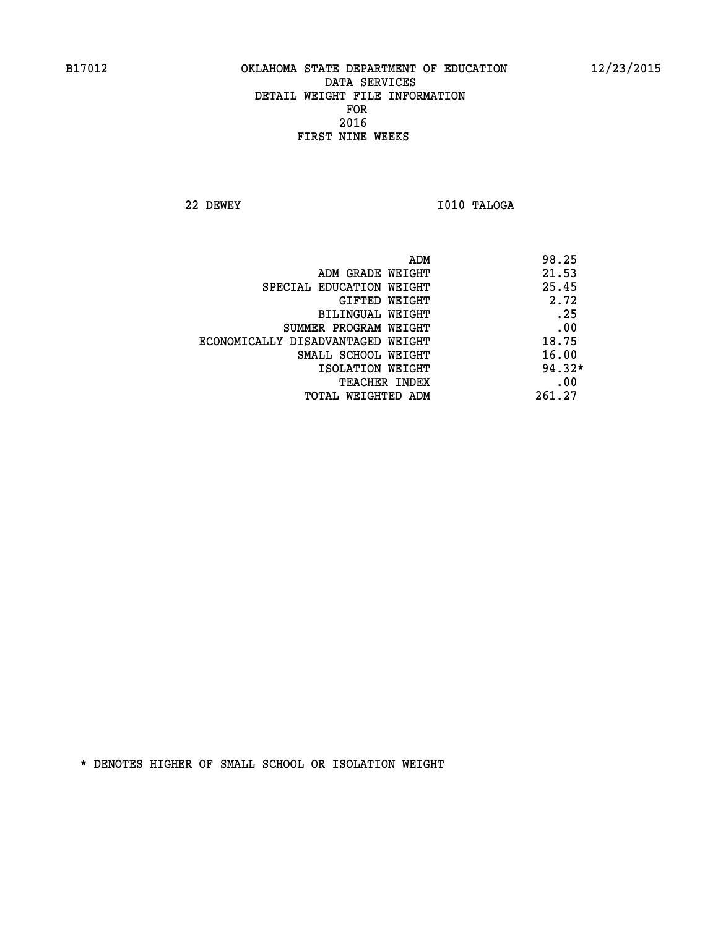**22 DEWEY I010 TALOGA** 

|                                   | ADM | 98.25    |
|-----------------------------------|-----|----------|
| ADM GRADE WEIGHT                  |     | 21.53    |
| SPECIAL EDUCATION WEIGHT          |     | 25.45    |
| GIFTED WEIGHT                     |     | 2.72     |
| BILINGUAL WEIGHT                  |     | .25      |
| SUMMER PROGRAM WEIGHT             |     | .00      |
| ECONOMICALLY DISADVANTAGED WEIGHT |     | 18.75    |
| SMALL SCHOOL WEIGHT               |     | 16.00    |
| ISOLATION WEIGHT                  |     | $94.32*$ |
| TEACHER INDEX                     |     | .00      |
| TOTAL WEIGHTED ADM                |     | 261.27   |
|                                   |     |          |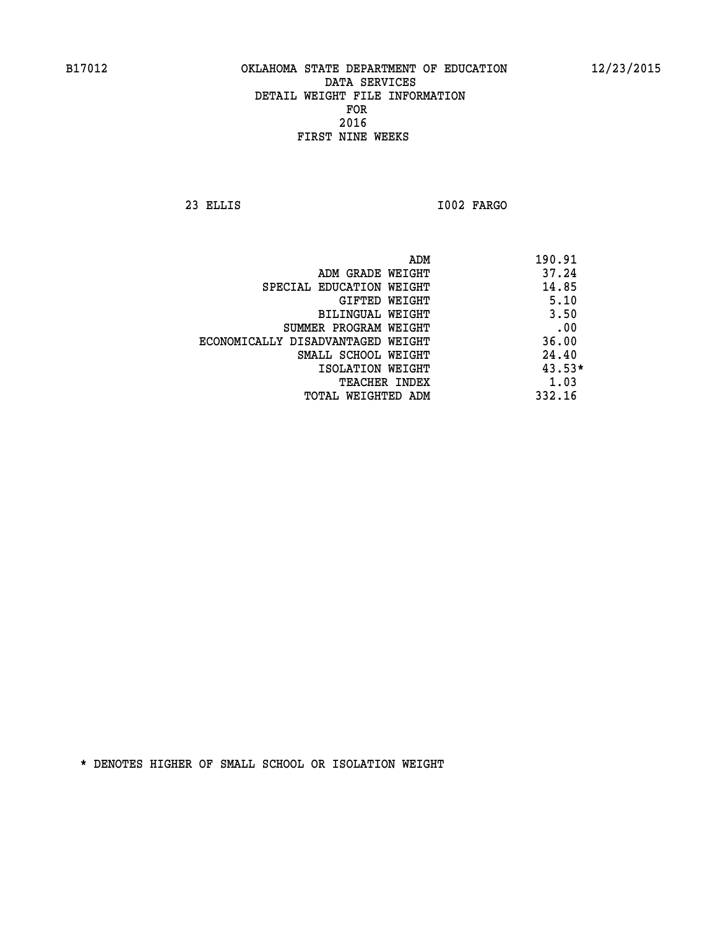**23 ELLIS I002 FARGO** 

|                                   | ADM | 190.91   |
|-----------------------------------|-----|----------|
| ADM GRADE WEIGHT                  |     | 37.24    |
| SPECIAL EDUCATION WEIGHT          |     | 14.85    |
| GIFTED WEIGHT                     |     | 5.10     |
| BILINGUAL WEIGHT                  |     | 3.50     |
| SUMMER PROGRAM WEIGHT             |     | .00      |
| ECONOMICALLY DISADVANTAGED WEIGHT |     | 36.00    |
| SMALL SCHOOL WEIGHT               |     | 24.40    |
| ISOLATION WEIGHT                  |     | $43.53*$ |
| TEACHER INDEX                     |     | 1.03     |
| TOTAL WEIGHTED ADM                |     | 332.16   |
|                                   |     |          |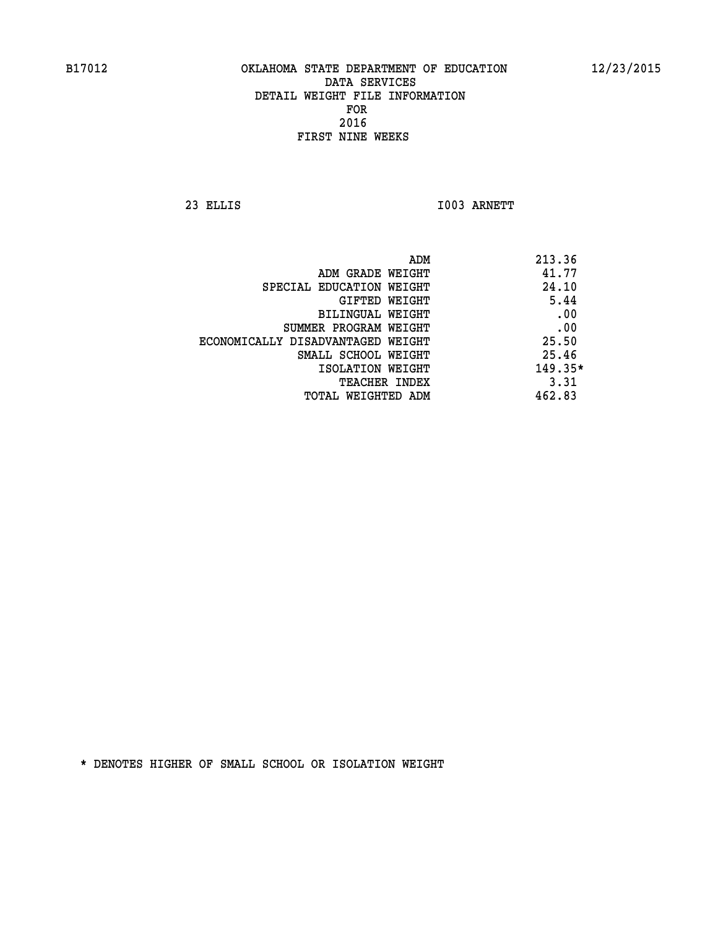**23 ELLIS I003 ARNETT** 

| ADM                               | 213.36    |
|-----------------------------------|-----------|
| ADM GRADE WEIGHT                  | 41.77     |
| SPECIAL EDUCATION WEIGHT          | 24.10     |
| GIFTED WEIGHT                     | 5.44      |
| BILINGUAL WEIGHT                  | .00       |
| SUMMER PROGRAM WEIGHT             | .00       |
| ECONOMICALLY DISADVANTAGED WEIGHT | 25.50     |
| SMALL SCHOOL WEIGHT               | 25.46     |
| ISOLATION WEIGHT                  | $149.35*$ |
| TEACHER INDEX                     | 3.31      |
| TOTAL WEIGHTED ADM                | 462.83    |
|                                   |           |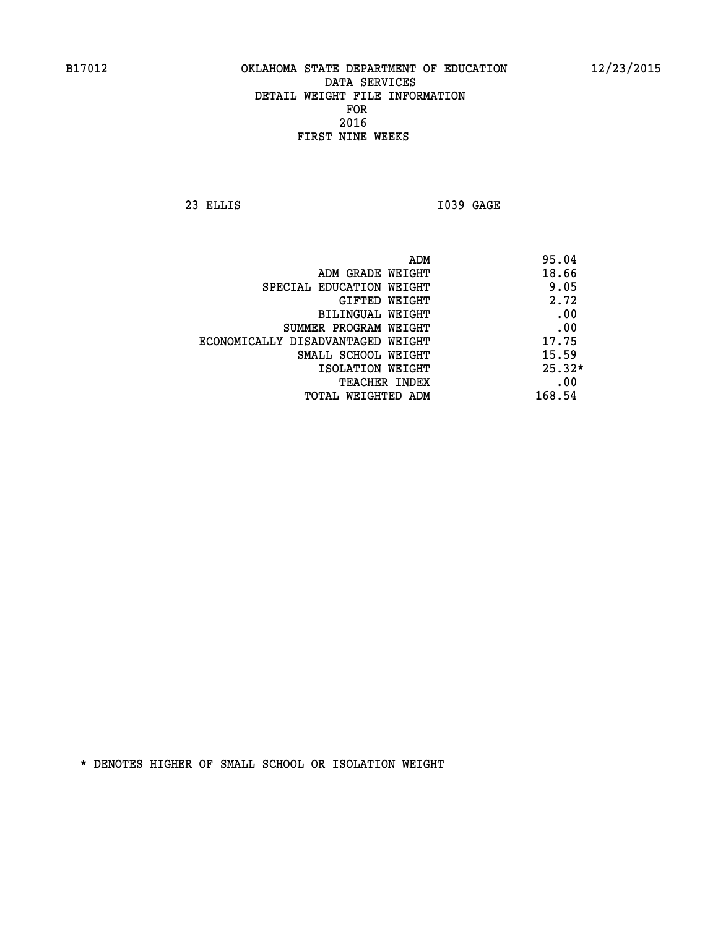**23 ELLIS I039 GAGE** 

|                                   | 95.04<br>ADM |
|-----------------------------------|--------------|
| ADM GRADE WEIGHT                  | 18.66        |
| SPECIAL EDUCATION WEIGHT          | 9.05         |
| GIFTED WEIGHT                     | 2.72         |
| BILINGUAL WEIGHT                  | .00          |
| SUMMER PROGRAM WEIGHT             | .00          |
| ECONOMICALLY DISADVANTAGED WEIGHT | 17.75        |
| SMALL SCHOOL WEIGHT               | 15.59        |
| ISOLATION WEIGHT                  | $25.32*$     |
| TEACHER INDEX                     | .00          |
| TOTAL WEIGHTED ADM                | 168.54       |
|                                   |              |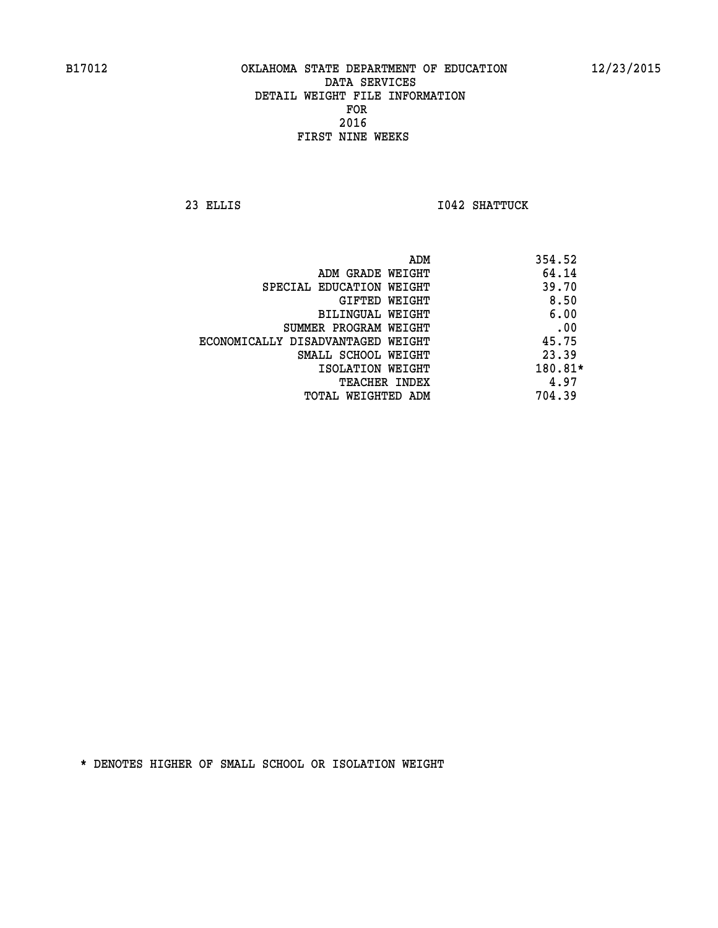**23 ELLIS I042 SHATTUCK** 

|                                   | ADM | 354.52  |
|-----------------------------------|-----|---------|
| ADM GRADE WEIGHT                  |     | 64.14   |
| SPECIAL EDUCATION WEIGHT          |     | 39.70   |
| GIFTED WEIGHT                     |     | 8.50    |
| BILINGUAL WEIGHT                  |     | 6.00    |
| SUMMER PROGRAM WEIGHT             |     | .00     |
| ECONOMICALLY DISADVANTAGED WEIGHT |     | 45.75   |
| SMALL SCHOOL WEIGHT               |     | 23.39   |
| ISOLATION WEIGHT                  |     | 180.81* |
| TEACHER INDEX                     |     | 4.97    |
| TOTAL WEIGHTED ADM                |     | 704.39  |
|                                   |     |         |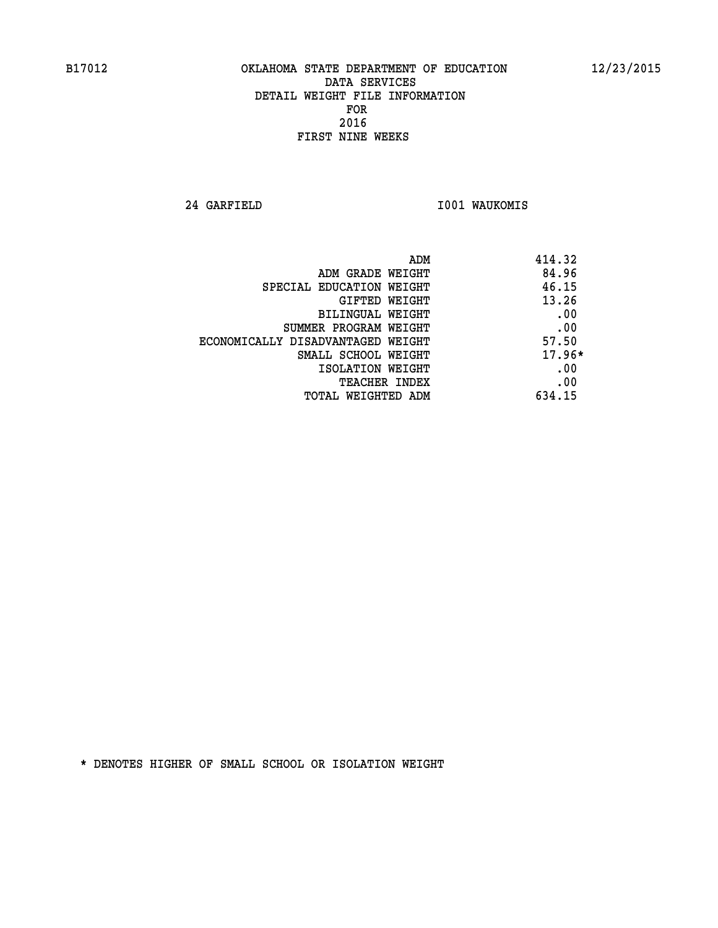**24 GARFIELD I001 WAUKOMIS** 

| ADM<br>414.32                              |  |
|--------------------------------------------|--|
| 84.96<br>ADM GRADE WEIGHT                  |  |
| 46.15<br>SPECIAL EDUCATION WEIGHT          |  |
| 13.26<br>GIFTED WEIGHT                     |  |
| .00<br>BILINGUAL WEIGHT                    |  |
| .00<br>SUMMER PROGRAM WEIGHT               |  |
| 57.50<br>ECONOMICALLY DISADVANTAGED WEIGHT |  |
| $17.96*$<br>SMALL SCHOOL WEIGHT            |  |
| .00<br>ISOLATION WEIGHT                    |  |
| .00<br><b>TEACHER INDEX</b>                |  |
| 634.15<br>TOTAL WEIGHTED ADM               |  |
|                                            |  |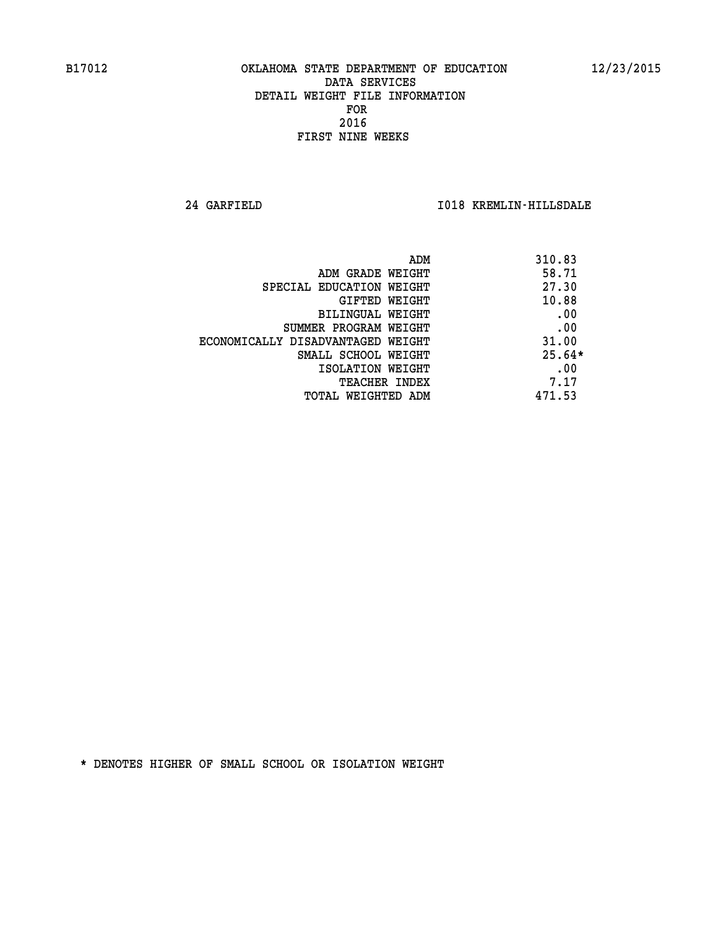**24 GARFIELD I018 KREMLIN-HILLSDALE** 

|                                   | 310.83<br>ADM |     |
|-----------------------------------|---------------|-----|
| ADM GRADE WEIGHT                  | 58.71         |     |
| SPECIAL EDUCATION WEIGHT          | 27.30         |     |
| GIFTED WEIGHT                     | 10.88         |     |
| BILINGUAL WEIGHT                  | .00           |     |
| SUMMER PROGRAM WEIGHT             | .00           |     |
| ECONOMICALLY DISADVANTAGED WEIGHT | 31.00         |     |
| SMALL SCHOOL WEIGHT               | $25.64*$      |     |
| ISOLATION WEIGHT                  |               | .00 |
| TEACHER INDEX                     | 7.17          |     |
| TOTAL WEIGHTED ADM                | 471.53        |     |
|                                   |               |     |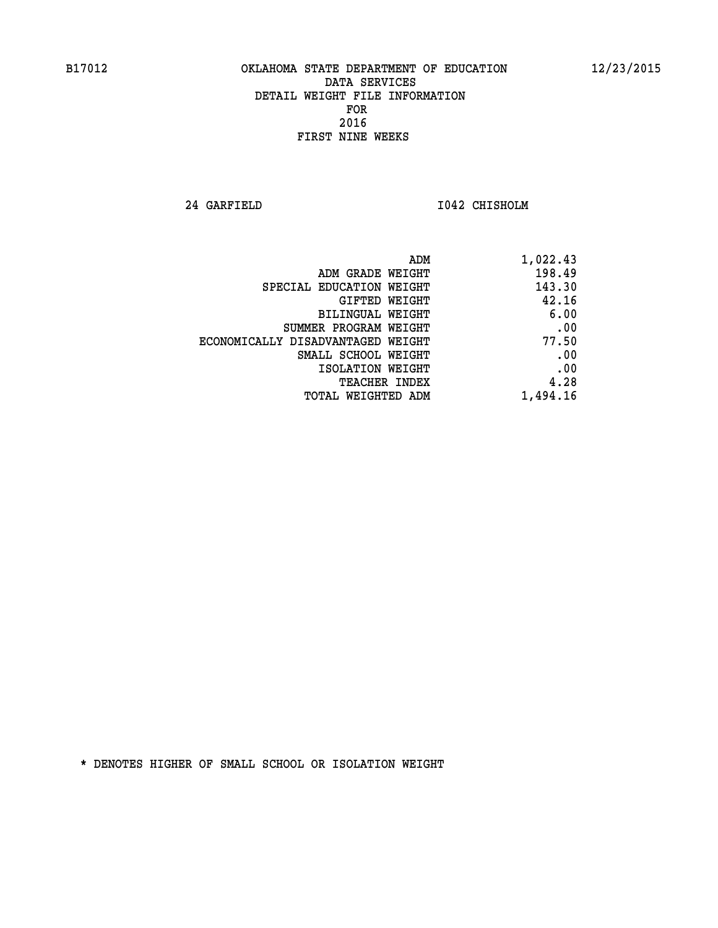**24 GARFIELD I042 CHISHOLM** 

| ADM                               | 1,022.43 |
|-----------------------------------|----------|
| ADM GRADE WEIGHT                  | 198.49   |
| SPECIAL EDUCATION WEIGHT          | 143.30   |
| GIFTED WEIGHT                     | 42.16    |
| BILINGUAL WEIGHT                  | 6.00     |
| SUMMER PROGRAM WEIGHT             | .00      |
| ECONOMICALLY DISADVANTAGED WEIGHT | 77.50    |
| SMALL SCHOOL WEIGHT               | .00      |
| ISOLATION WEIGHT                  | .00      |
| <b>TEACHER INDEX</b>              | 4.28     |
| <b>TOTAL WEIGHTED ADM</b>         | 1,494.16 |
|                                   |          |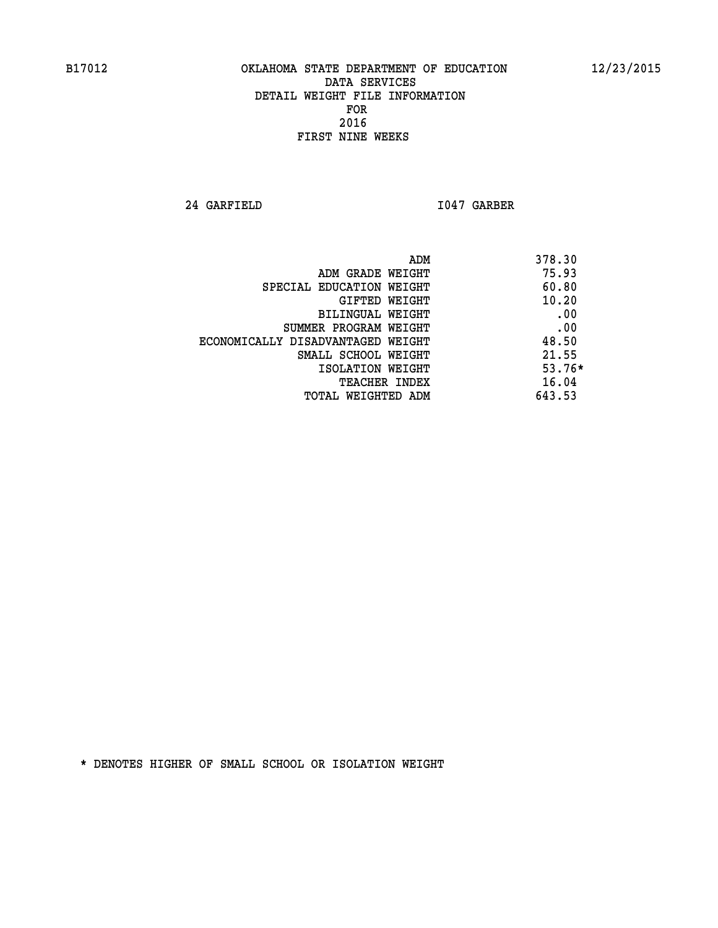**24 GARFIELD I047 GARBER** 

| ADM<br>378.30                              |  |
|--------------------------------------------|--|
| 75.93<br>ADM GRADE WEIGHT                  |  |
| 60.80<br>SPECIAL EDUCATION WEIGHT          |  |
| 10.20<br><b>GIFTED WEIGHT</b>              |  |
| .00<br>BILINGUAL WEIGHT                    |  |
| .00<br>SUMMER PROGRAM WEIGHT               |  |
| 48.50<br>ECONOMICALLY DISADVANTAGED WEIGHT |  |
| 21.55<br>SMALL SCHOOL WEIGHT               |  |
| $53.76*$<br>ISOLATION WEIGHT               |  |
| 16.04<br><b>TEACHER INDEX</b>              |  |
| 643.53<br>TOTAL WEIGHTED ADM               |  |
|                                            |  |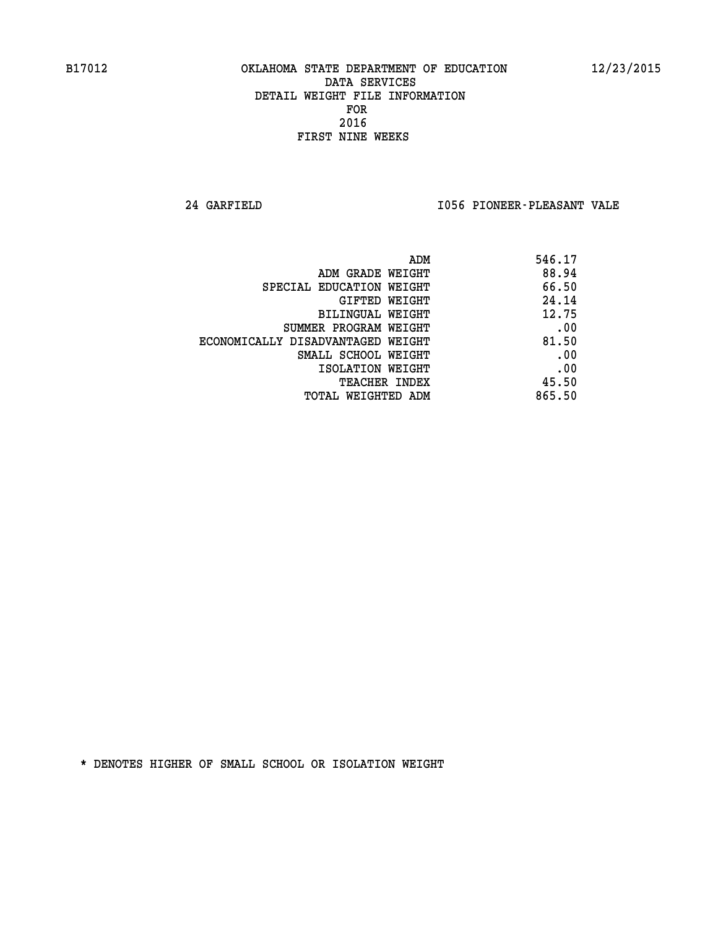**24 GARFIELD I056 PIONEER-PLEASANT VALE** 

| 546.17 |
|--------|
| 88.94  |
| 66.50  |
| 24.14  |
| 12.75  |
| .00    |
| 81.50  |
| .00    |
| .00    |
| 45.50  |
| 865.50 |
|        |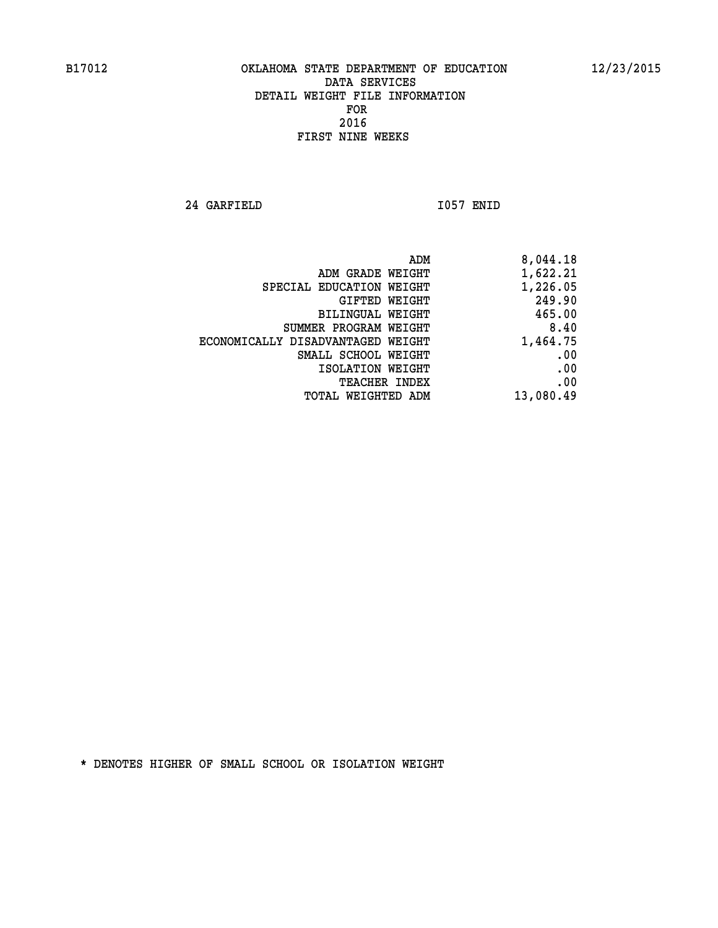**24 GARFIELD I057 ENID** 

| ADM                               | 8,044.18  |
|-----------------------------------|-----------|
| ADM GRADE WEIGHT                  | 1,622.21  |
| SPECIAL EDUCATION WEIGHT          | 1,226.05  |
| GIFTED WEIGHT                     | 249.90    |
| <b>BILINGUAL WEIGHT</b>           | 465.00    |
| SUMMER PROGRAM WEIGHT             | 8.40      |
| ECONOMICALLY DISADVANTAGED WEIGHT | 1,464.75  |
| SMALL SCHOOL WEIGHT               | .00       |
| ISOLATION WEIGHT                  | .00       |
| TEACHER INDEX                     | .00       |
| TOTAL WEIGHTED ADM                | 13,080.49 |
|                                   |           |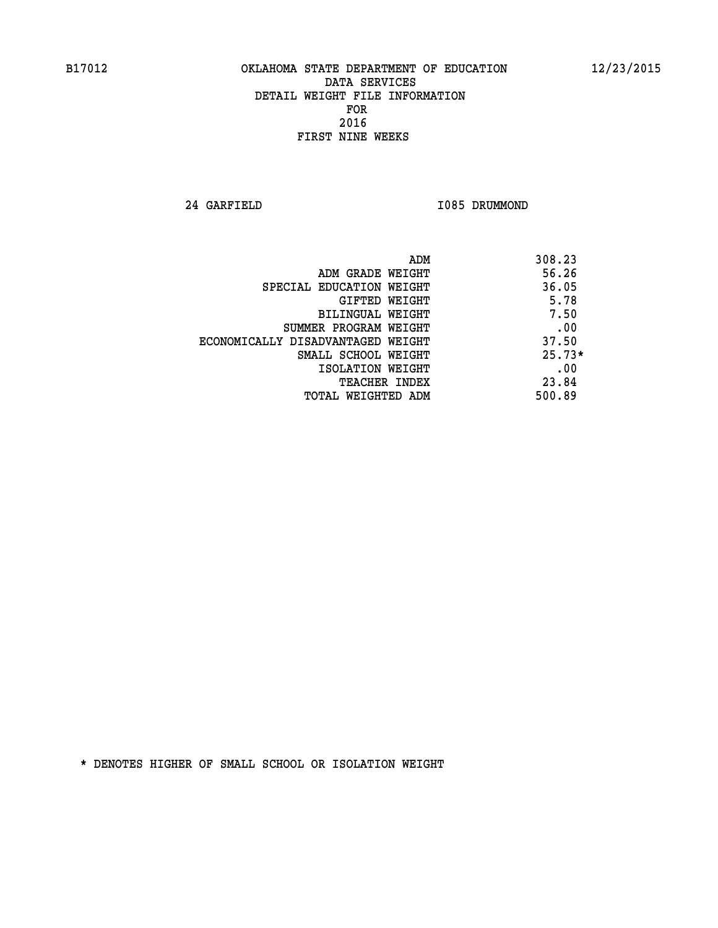**24 GARFIELD I085 DRUMMOND** 

|                                   | 308.23<br>ADM |     |
|-----------------------------------|---------------|-----|
| ADM GRADE WEIGHT                  | 56.26         |     |
| SPECIAL EDUCATION WEIGHT          | 36.05         |     |
| GIFTED WEIGHT                     | 5.78          |     |
| BILINGUAL WEIGHT                  | 7.50          |     |
| SUMMER PROGRAM WEIGHT             |               | .00 |
| ECONOMICALLY DISADVANTAGED WEIGHT | 37.50         |     |
| SMALL SCHOOL WEIGHT               | $25.73*$      |     |
| ISOLATION WEIGHT                  |               | .00 |
| TEACHER INDEX                     | 23.84         |     |
| TOTAL WEIGHTED ADM                | 500.89        |     |
|                                   |               |     |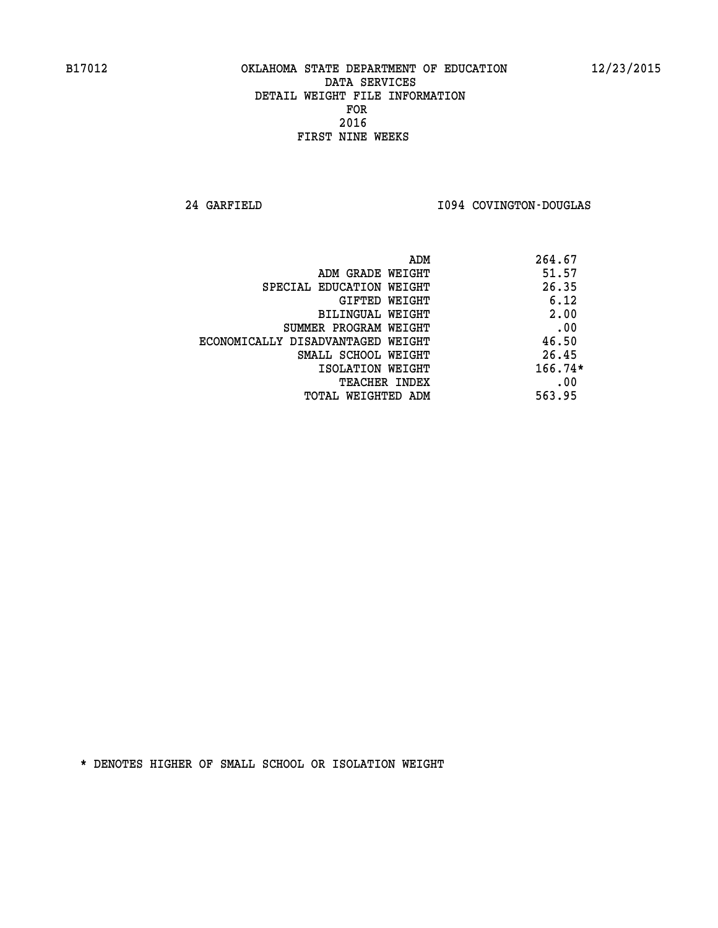**24 GARFIELD I094 COVINGTON-DOUGLAS** 

| 264.67<br>ADM |                                   |
|---------------|-----------------------------------|
| 51.57         | ADM GRADE WEIGHT                  |
| 26.35         | SPECIAL EDUCATION WEIGHT          |
| 6.12          | GIFTED WEIGHT                     |
| 2.00          | BILINGUAL WEIGHT                  |
| .00           | SUMMER PROGRAM WEIGHT             |
| 46.50         | ECONOMICALLY DISADVANTAGED WEIGHT |
| 26.45         | SMALL SCHOOL WEIGHT               |
| $166.74*$     | ISOLATION WEIGHT                  |
| .00           | <b>TEACHER INDEX</b>              |
| 563.95        | TOTAL WEIGHTED ADM                |
|               |                                   |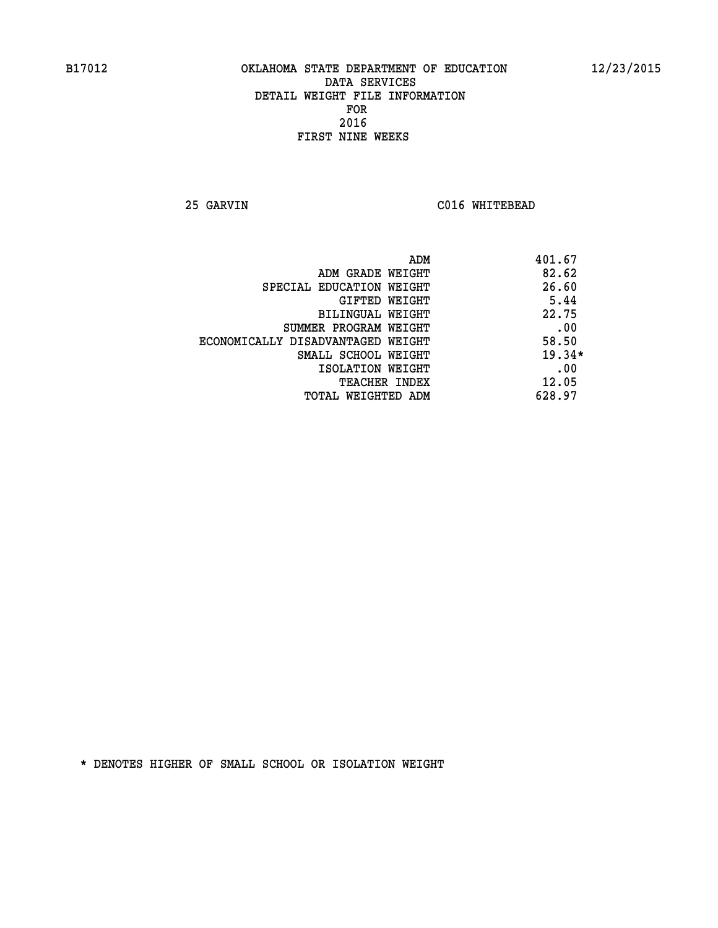**25 GARVIN C016 WHITEBEAD** 

| ADM                               | 401.67   |
|-----------------------------------|----------|
| ADM GRADE WEIGHT                  | 82.62    |
| SPECIAL EDUCATION WEIGHT          | 26.60    |
| GIFTED WEIGHT                     | 5.44     |
| BILINGUAL WEIGHT                  | 22.75    |
| SUMMER PROGRAM WEIGHT             | .00      |
| ECONOMICALLY DISADVANTAGED WEIGHT | 58.50    |
| SMALL SCHOOL WEIGHT               | $19.34*$ |
| ISOLATION WEIGHT                  | .00      |
| <b>TEACHER INDEX</b>              | 12.05    |
| TOTAL WEIGHTED ADM                | 628.97   |
|                                   |          |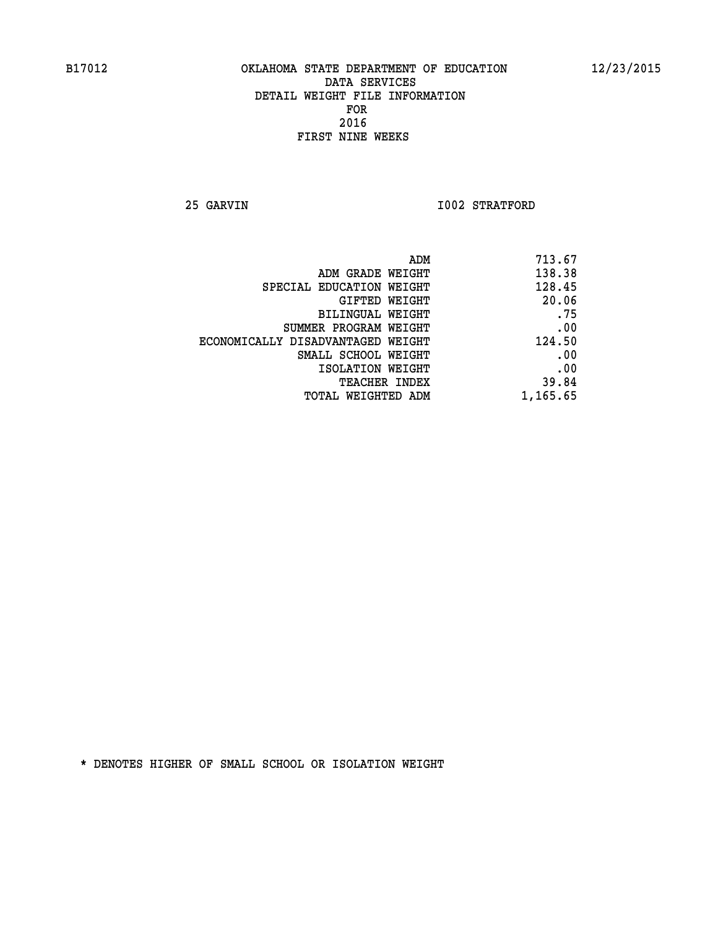**25 GARVIN 1002 STRATFORD** 

| ADM                               | 713.67   |
|-----------------------------------|----------|
| ADM GRADE WEIGHT                  | 138.38   |
| SPECIAL EDUCATION WEIGHT          | 128.45   |
| <b>GIFTED WEIGHT</b>              | 20.06    |
| <b>BILINGUAL WEIGHT</b>           | .75      |
| SUMMER PROGRAM WEIGHT             | .00      |
| ECONOMICALLY DISADVANTAGED WEIGHT | 124.50   |
| SMALL SCHOOL WEIGHT               | .00      |
| ISOLATION WEIGHT                  | .00      |
| TEACHER INDEX                     | 39.84    |
| TOTAL WEIGHTED ADM                | 1,165.65 |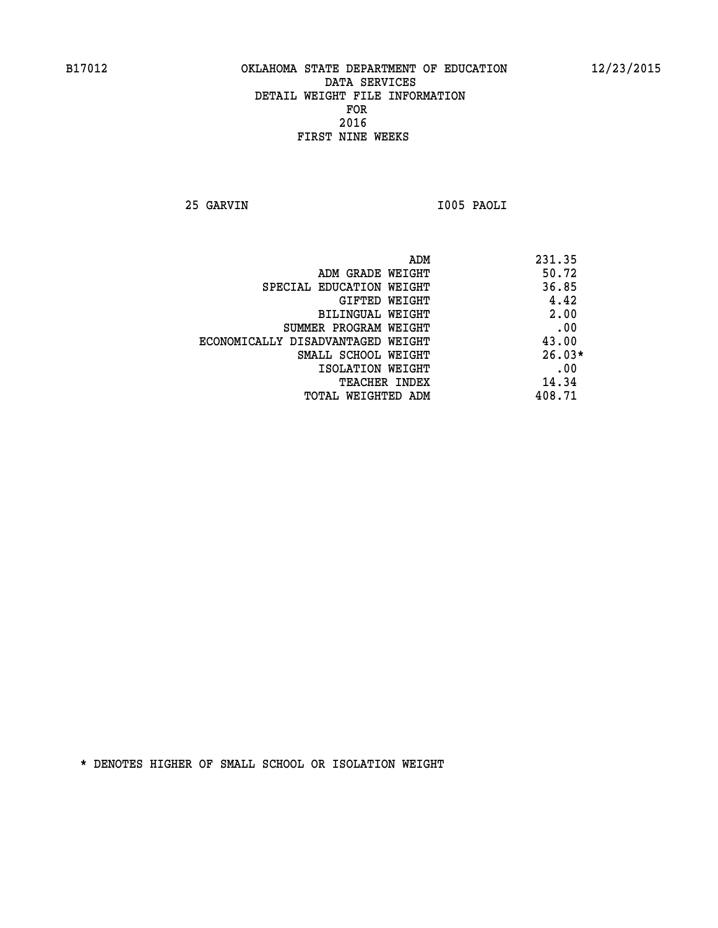**25 GARVIN I005 PAOLI** 

| ADM<br>231.35                              |  |
|--------------------------------------------|--|
| 50.72<br>ADM GRADE WEIGHT                  |  |
| 36.85<br>SPECIAL EDUCATION WEIGHT          |  |
| 4.42<br>GIFTED WEIGHT                      |  |
| 2.00<br><b>BILINGUAL WEIGHT</b>            |  |
| .00<br>SUMMER PROGRAM WEIGHT               |  |
| 43.00<br>ECONOMICALLY DISADVANTAGED WEIGHT |  |
| $26.03*$<br>SMALL SCHOOL WEIGHT            |  |
| .00<br>ISOLATION WEIGHT                    |  |
| 14.34<br><b>TEACHER INDEX</b>              |  |
| 408.71<br>TOTAL WEIGHTED ADM               |  |
|                                            |  |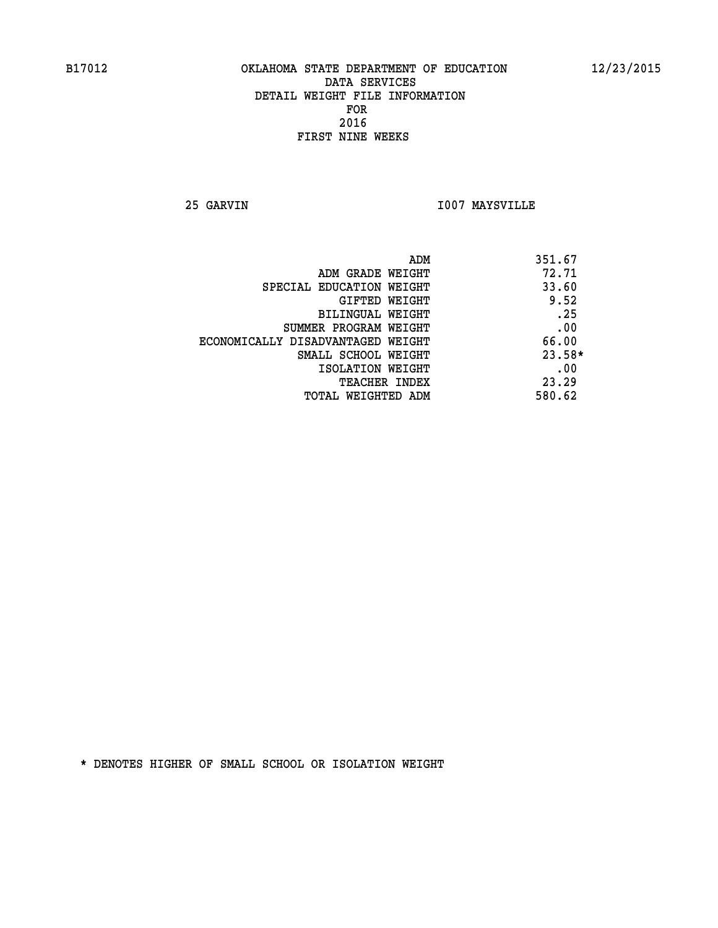**25 GARVIN I007 MAYSVILLE** 

| ADM                               | 351.67   |
|-----------------------------------|----------|
| ADM GRADE WEIGHT                  | 72.71    |
| SPECIAL EDUCATION WEIGHT          | 33.60    |
| GIFTED WEIGHT                     | 9.52     |
| BILINGUAL WEIGHT                  | .25      |
| SUMMER PROGRAM WEIGHT             | .00      |
| ECONOMICALLY DISADVANTAGED WEIGHT | 66.00    |
| SMALL SCHOOL WEIGHT               | $23.58*$ |
| ISOLATION WEIGHT                  | .00      |
| <b>TEACHER INDEX</b>              | 23.29    |
| TOTAL WEIGHTED ADM                | 580.62   |
|                                   |          |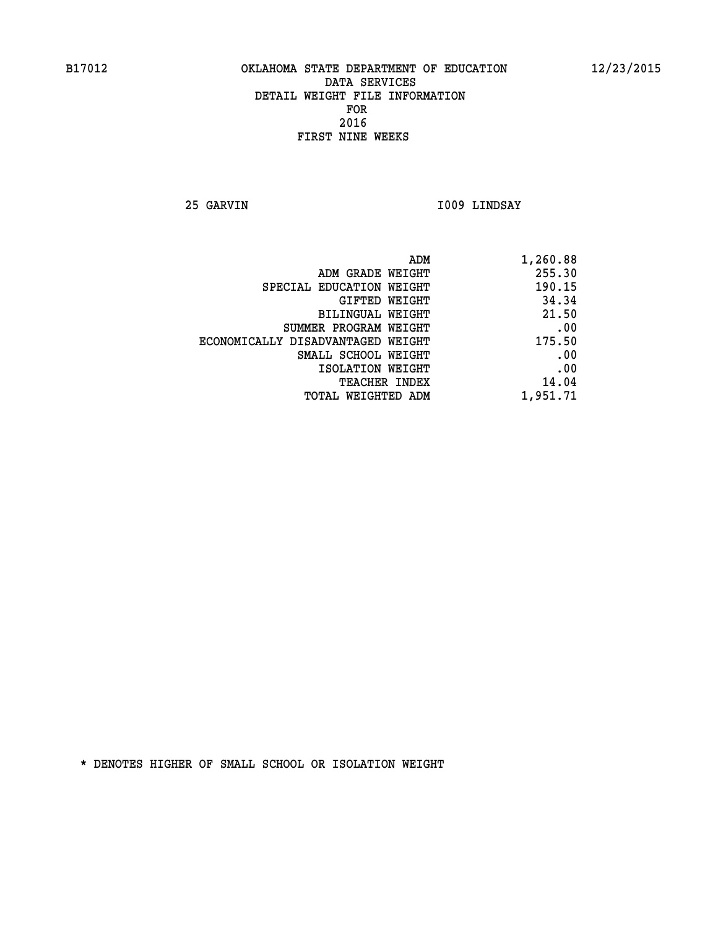**25 GARVIN I009 LINDSAY** 

| 1,260.88 |
|----------|
| 255.30   |
| 190.15   |
| 34.34    |
| 21.50    |
| .00      |
| 175.50   |
| .00      |
| .00      |
| 14.04    |
| 1,951.71 |
|          |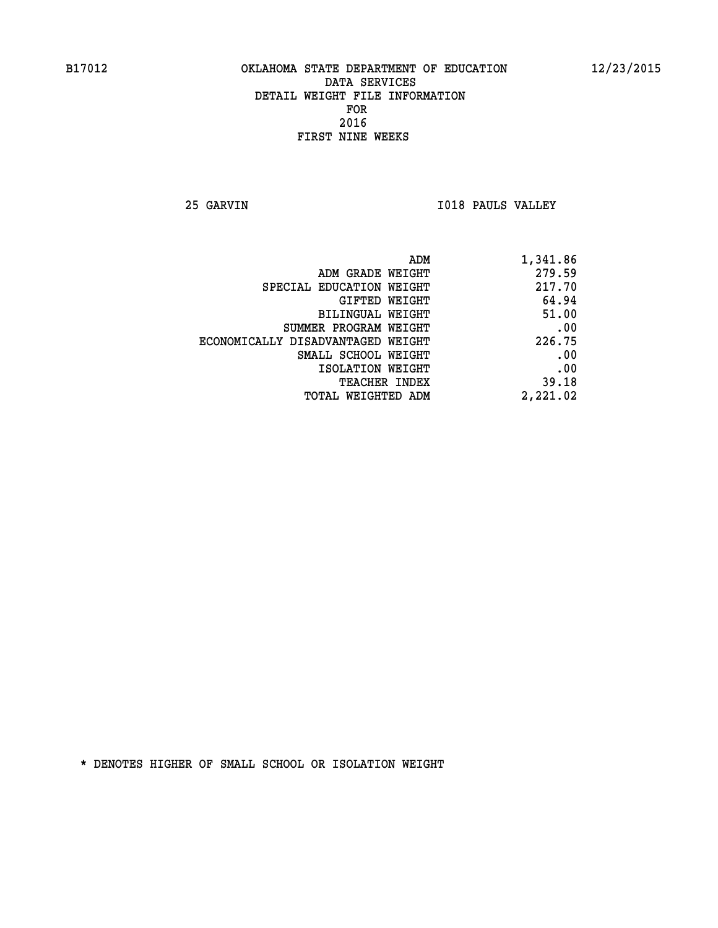**25 GARVIN I018 PAULS VALLEY** 

| ADM                               | 1,341.86 |
|-----------------------------------|----------|
| ADM GRADE WEIGHT                  | 279.59   |
| SPECIAL EDUCATION WEIGHT          | 217.70   |
| <b>GIFTED WEIGHT</b>              | 64.94    |
| BILINGUAL WEIGHT                  | 51.00    |
| SUMMER PROGRAM WEIGHT             | .00      |
| ECONOMICALLY DISADVANTAGED WEIGHT | 226.75   |
| SMALL SCHOOL WEIGHT               | .00      |
| ISOLATION WEIGHT                  | .00      |
| <b>TEACHER INDEX</b>              | 39.18    |
| <b>TOTAL WEIGHTED ADM</b>         | 2,221.02 |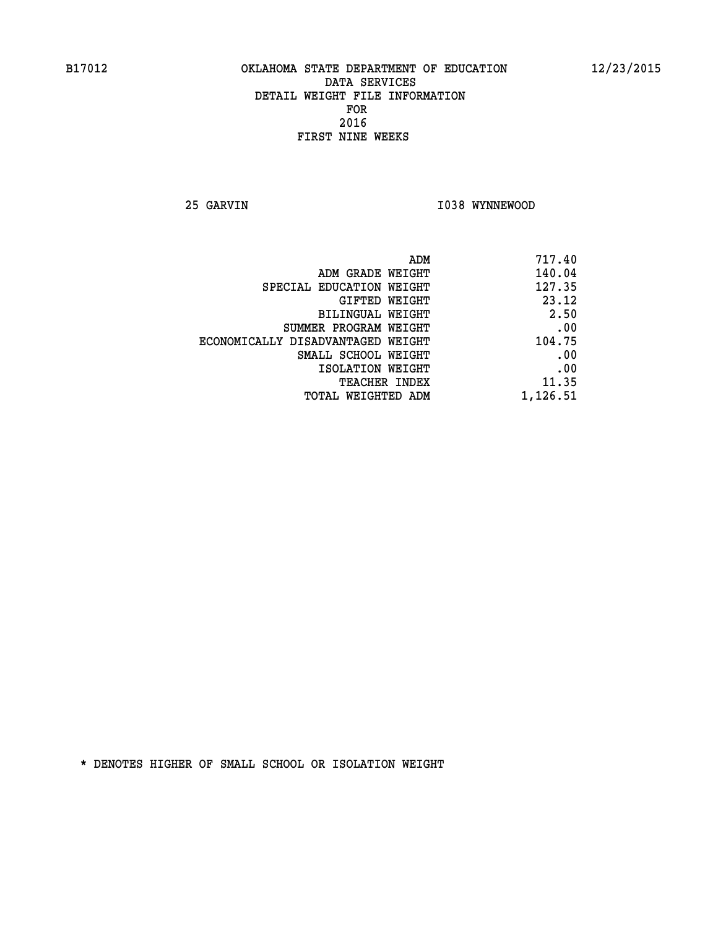**25 GARVIN 1038 WYNNEWOOD** 

| 717.40   |
|----------|
| 140.04   |
| 127.35   |
| 23.12    |
| 2.50     |
| .00      |
| 104.75   |
| .00      |
| .00      |
| 11.35    |
| 1,126.51 |
|          |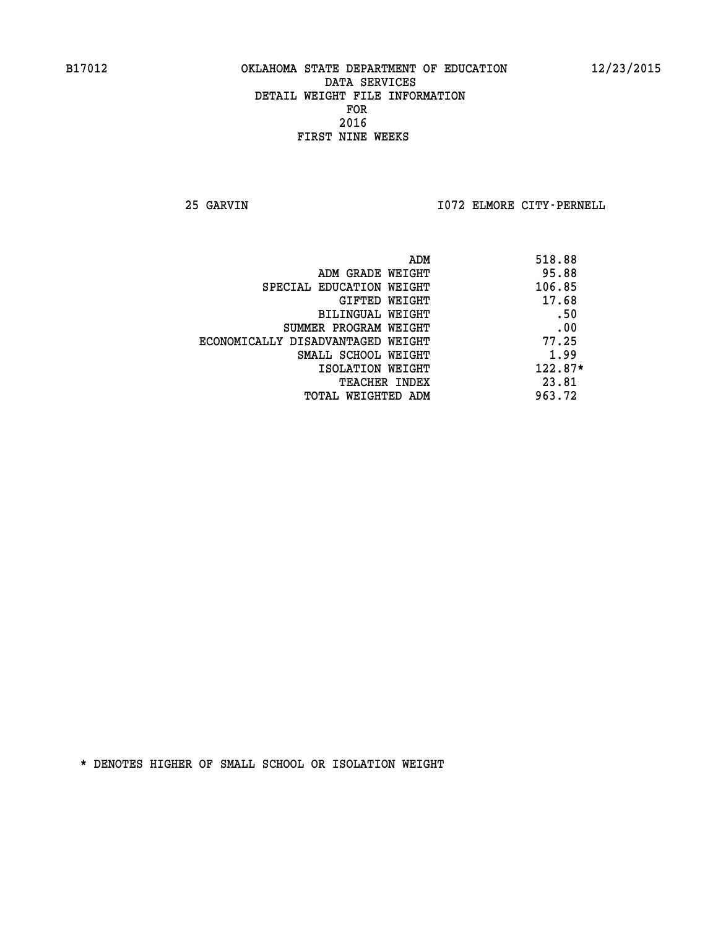**25 GARVIN I072 ELMORE CITY-PERNELL** 

| ADM                               | 518.88    |
|-----------------------------------|-----------|
| ADM GRADE WEIGHT                  | 95.88     |
| SPECIAL EDUCATION WEIGHT          | 106.85    |
| GIFTED WEIGHT                     | 17.68     |
| BILINGUAL WEIGHT                  | .50       |
| SUMMER PROGRAM WEIGHT             | .00       |
| ECONOMICALLY DISADVANTAGED WEIGHT | 77.25     |
| SMALL SCHOOL WEIGHT               | 1.99      |
| ISOLATION WEIGHT                  | $122.87*$ |
| <b>TEACHER INDEX</b>              | 23.81     |
| TOTAL WEIGHTED ADM                | 963.72    |
|                                   |           |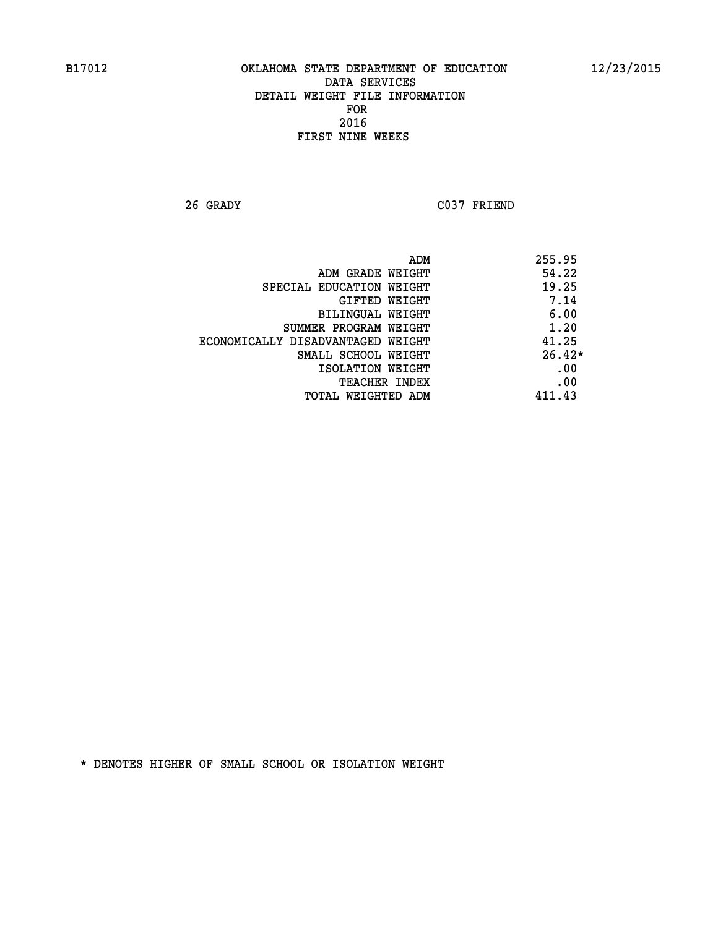**26 GRADY C037 FRIEND** 

|                                   | ADM | 255.95   |
|-----------------------------------|-----|----------|
| ADM GRADE WEIGHT                  |     | 54.22    |
| SPECIAL EDUCATION WEIGHT          |     | 19.25    |
| GIFTED WEIGHT                     |     | 7.14     |
| BILINGUAL WEIGHT                  |     | 6.00     |
| SUMMER PROGRAM WEIGHT             |     | 1.20     |
| ECONOMICALLY DISADVANTAGED WEIGHT |     | 41.25    |
| SMALL SCHOOL WEIGHT               |     | $26.42*$ |
| ISOLATION WEIGHT                  |     | .00      |
| TEACHER INDEX                     |     | .00      |
| TOTAL WEIGHTED ADM                |     | 411.43   |
|                                   |     |          |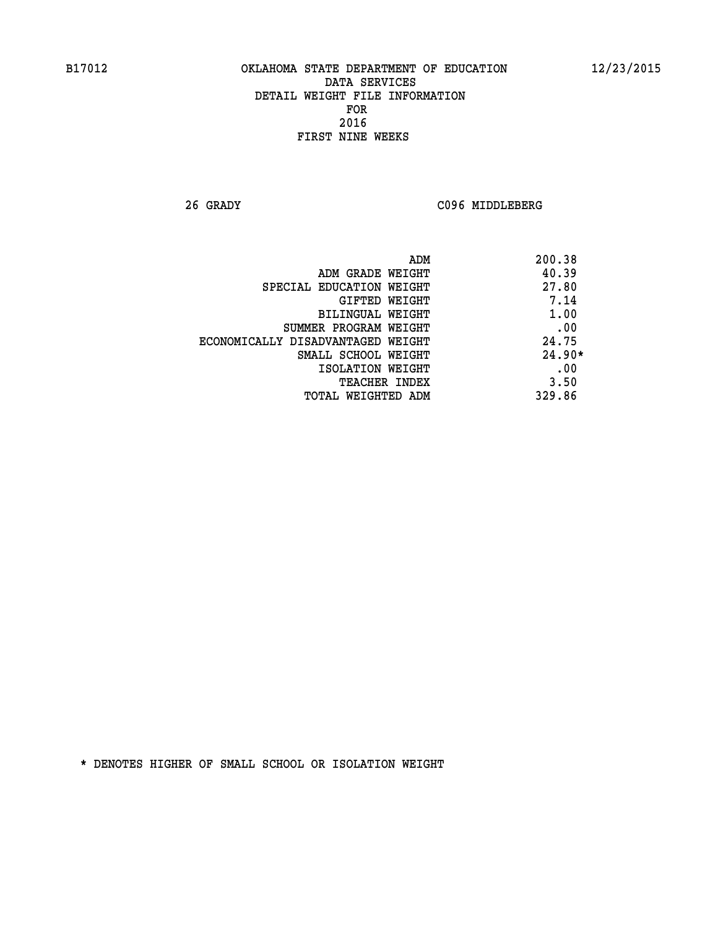**26 GRADY C096 MIDDLEBERG** 

| ADM                               | 200.38   |
|-----------------------------------|----------|
| ADM GRADE WEIGHT                  | 40.39    |
| SPECIAL EDUCATION WEIGHT          | 27.80    |
| GIFTED WEIGHT                     | 7.14     |
| BILINGUAL WEIGHT                  | 1.00     |
| SUMMER PROGRAM WEIGHT             | .00      |
| ECONOMICALLY DISADVANTAGED WEIGHT | 24.75    |
| SMALL SCHOOL WEIGHT               | $24.90*$ |
| ISOLATION WEIGHT                  | .00      |
| <b>TEACHER INDEX</b>              | 3.50     |
| TOTAL WEIGHTED ADM                | 329.86   |
|                                   |          |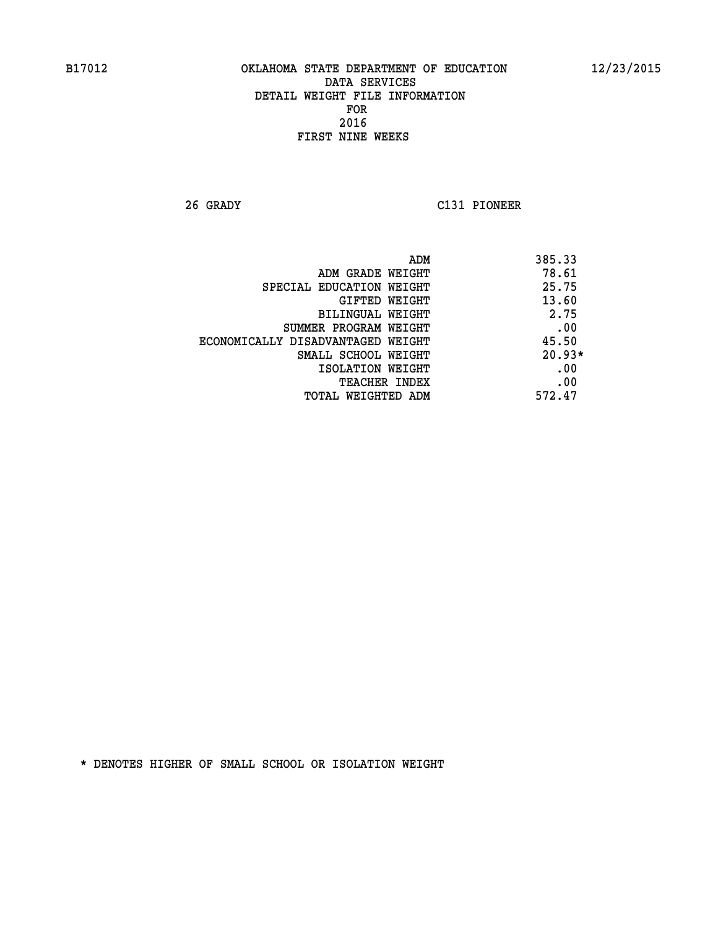**26 GRADY C131 PIONEER** 

|                                   | 385.33<br>ADM |  |
|-----------------------------------|---------------|--|
| ADM GRADE WEIGHT                  | 78.61         |  |
| SPECIAL EDUCATION WEIGHT          | 25.75         |  |
| <b>GIFTED WEIGHT</b>              | 13.60         |  |
| BILINGUAL WEIGHT                  | 2.75          |  |
| SUMMER PROGRAM WEIGHT             | .00           |  |
| ECONOMICALLY DISADVANTAGED WEIGHT | 45.50         |  |
| SMALL SCHOOL WEIGHT               | $20.93*$      |  |
| ISOLATION WEIGHT                  | .00           |  |
| <b>TEACHER INDEX</b>              | .00           |  |
| TOTAL WEIGHTED ADM                | 572.47        |  |
|                                   |               |  |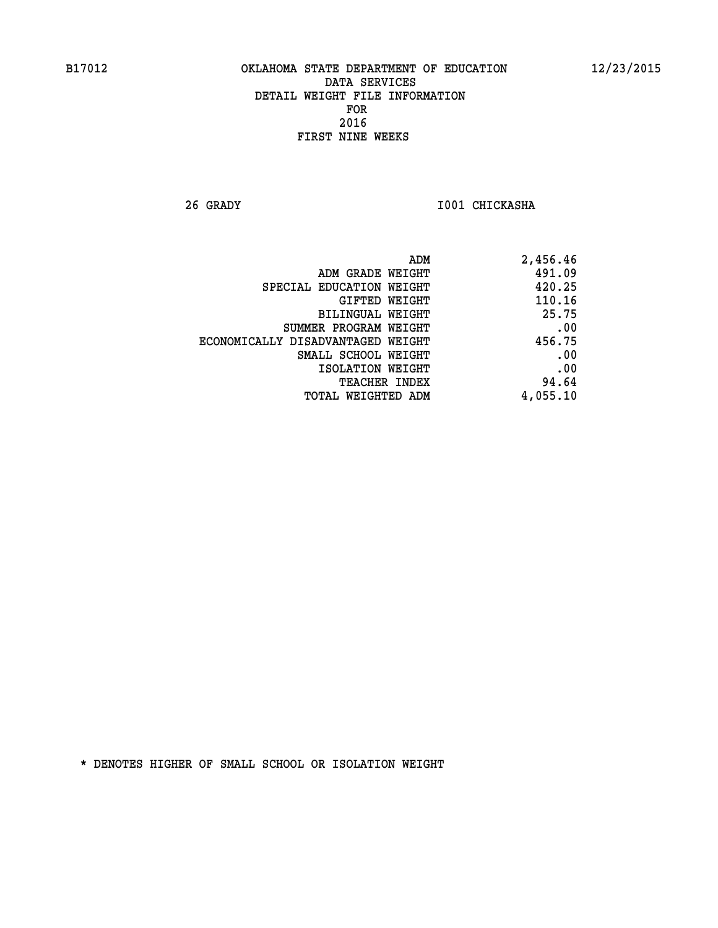**26 GRADY I001 CHICKASHA** 

| 2,456.46 |
|----------|
| 491.09   |
| 420.25   |
| 110.16   |
| 25.75    |
| .00      |
| 456.75   |
| .00      |
| .00      |
| 94.64    |
| 4,055.10 |
|          |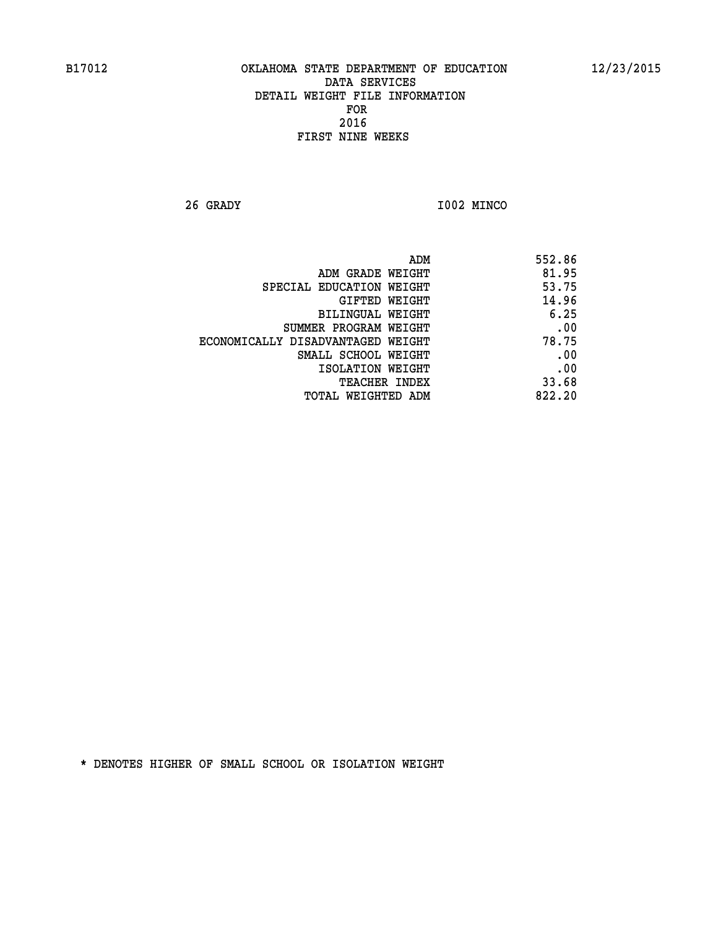**26 GRADY I002 MINCO** 

| ADM                               | 552.86 |
|-----------------------------------|--------|
| ADM GRADE WEIGHT                  | 81.95  |
| SPECIAL EDUCATION WEIGHT          | 53.75  |
| GIFTED WEIGHT                     | 14.96  |
| BILINGUAL WEIGHT                  | 6.25   |
| SUMMER PROGRAM WEIGHT             | .00    |
| ECONOMICALLY DISADVANTAGED WEIGHT | 78.75  |
| SMALL SCHOOL WEIGHT               | .00    |
| ISOLATION WEIGHT                  | .00    |
| <b>TEACHER INDEX</b>              | 33.68  |
| TOTAL WEIGHTED ADM                | 822.20 |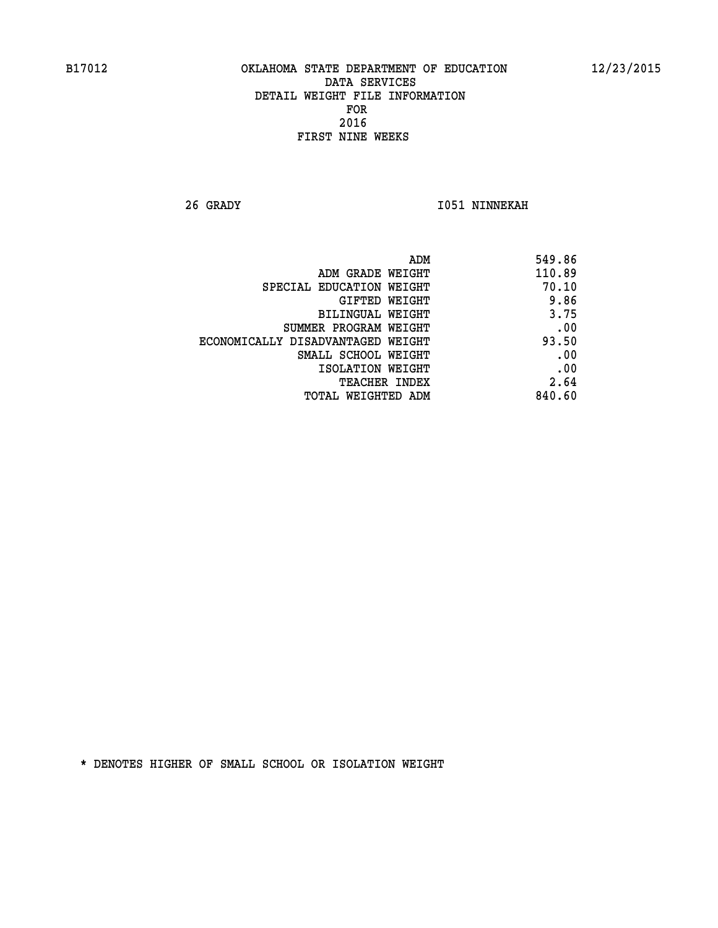**26 GRADY I051 NINNEKAH** 

| 549.86 |
|--------|
| 110.89 |
| 70.10  |
| 9.86   |
| 3.75   |
| .00    |
| 93.50  |
| .00    |
| .00    |
| 2.64   |
| 840.60 |
|        |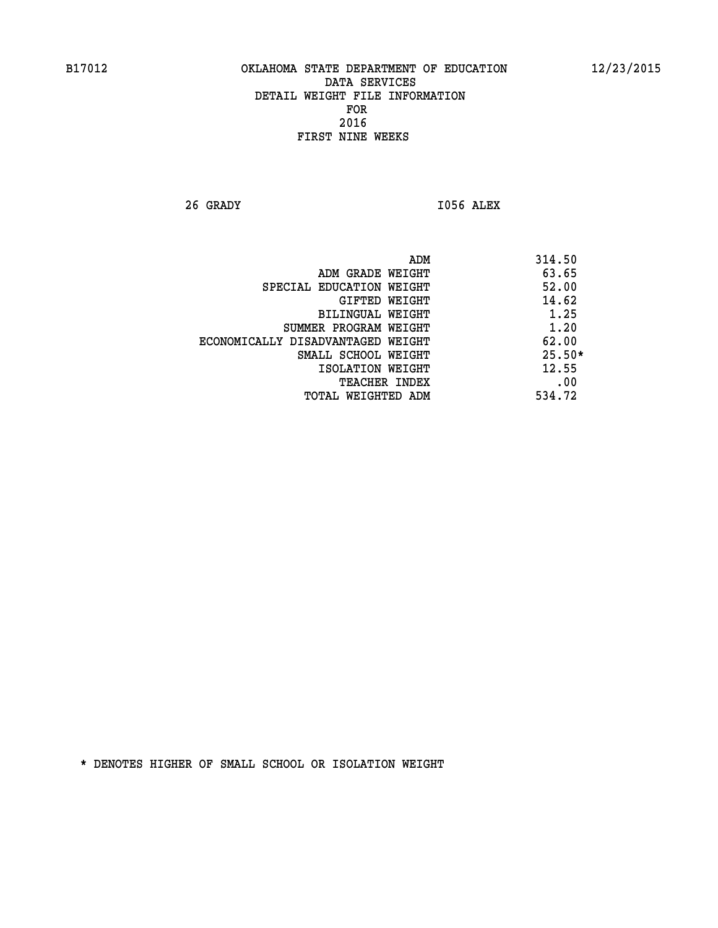**26 GRADY I056 ALEX** 

 **ADM 314.50 ADM GRADE WEIGHT 63.65 SPECIAL EDUCATION WEIGHT 52.00 GIFTED WEIGHT 4.62 BILINGUAL WEIGHT 1.25 SUMMER PROGRAM WEIGHT 1.20 ECONOMICALLY DISADVANTAGED WEIGHT 62.00 SMALL SCHOOL WEIGHT 25.50\* 12.55** ISOLATION WEIGHT 12.55 **TEACHER INDEX** .00  **TOTAL WEIGHTED ADM 534.72**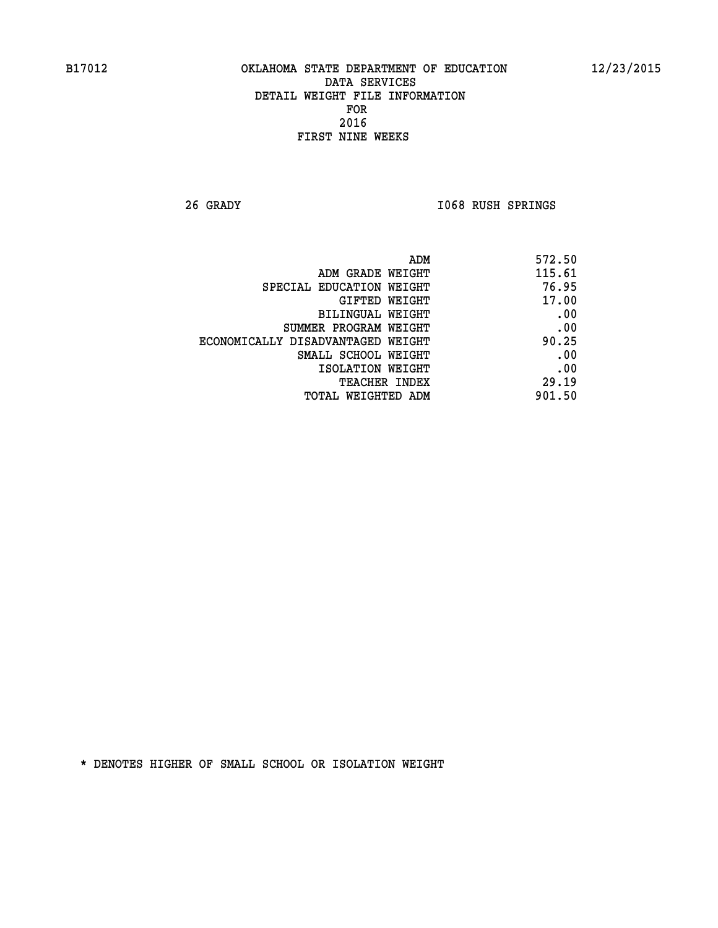**26 GRADY I068 RUSH SPRINGS** 

| 572.50 |
|--------|
| 115.61 |
| 76.95  |
| 17.00  |
| .00    |
| .00    |
| 90.25  |
| .00    |
| .00    |
| 29.19  |
| 901.50 |
|        |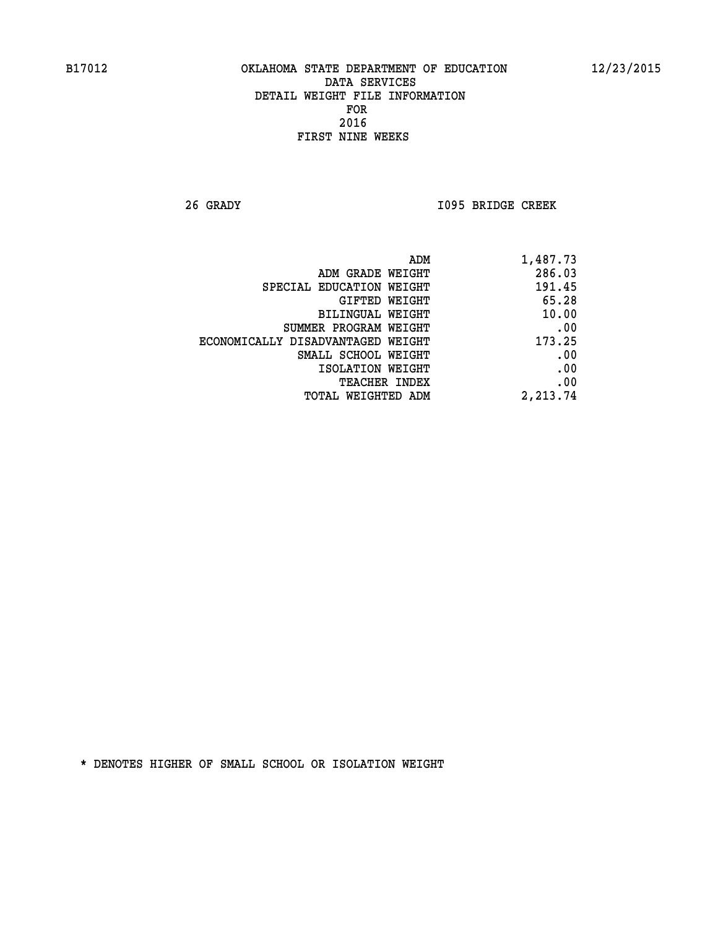**26 GRADY I095 BRIDGE CREEK** 

| ADM                               | 1,487.73 |
|-----------------------------------|----------|
| ADM GRADE WEIGHT                  | 286.03   |
| SPECIAL EDUCATION WEIGHT          | 191.45   |
| GIFTED WEIGHT                     | 65.28    |
| BILINGUAL WEIGHT                  | 10.00    |
| SUMMER PROGRAM WEIGHT             | .00      |
| ECONOMICALLY DISADVANTAGED WEIGHT | 173.25   |
| SMALL SCHOOL WEIGHT               | .00      |
| ISOLATION WEIGHT                  | .00      |
| <b>TEACHER INDEX</b>              | .00      |
| <b>TOTAL WEIGHTED ADM</b>         | 2,213.74 |
|                                   |          |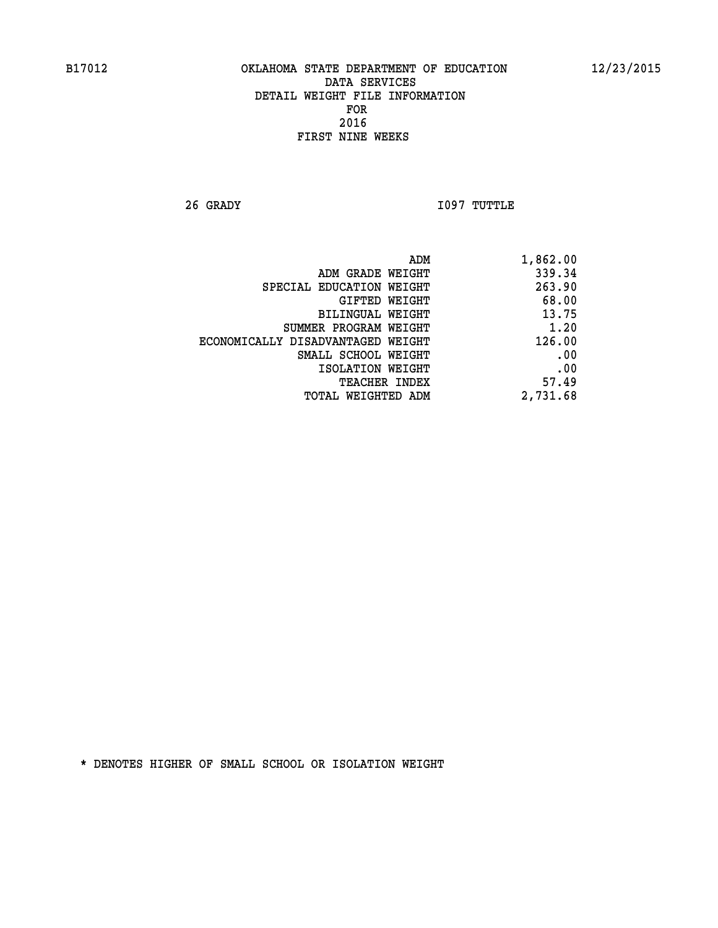**26 GRADY I097 TUTTLE** 

| 1,862.00 |
|----------|
| 339.34   |
| 263.90   |
| 68.00    |
| 13.75    |
| 1.20     |
| 126.00   |
| .00      |
| .00      |
| 57.49    |
| 2,731.68 |
|          |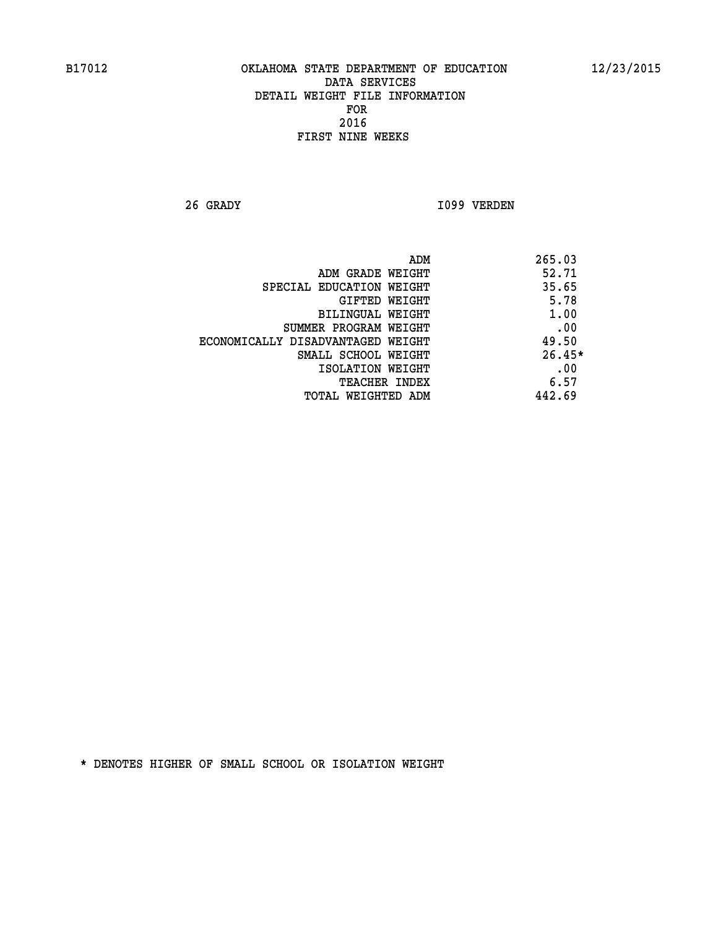**26 GRADY I099 VERDEN** 

| ADM                               | 265.03   |
|-----------------------------------|----------|
| ADM GRADE WEIGHT                  | 52.71    |
| SPECIAL EDUCATION WEIGHT          | 35.65    |
| GIFTED WEIGHT                     | 5.78     |
| BILINGUAL WEIGHT                  | 1.00     |
| SUMMER PROGRAM WEIGHT             | .00      |
| ECONOMICALLY DISADVANTAGED WEIGHT | 49.50    |
| SMALL SCHOOL WEIGHT               | $26.45*$ |
| ISOLATION WEIGHT                  | .00      |
| <b>TEACHER INDEX</b>              | 6.57     |
| TOTAL WEIGHTED ADM                | 442.69   |
|                                   |          |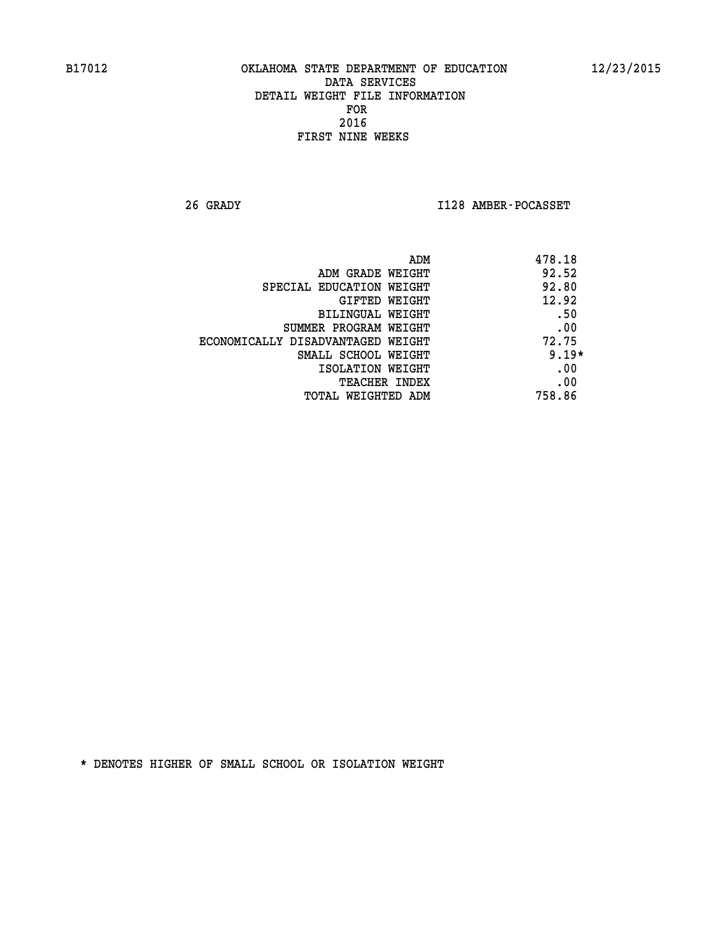**26 GRADY I128 AMBER-POCASSET** 

| ADM                               | 478.18  |
|-----------------------------------|---------|
| ADM GRADE WEIGHT                  | 92.52   |
| SPECIAL EDUCATION WEIGHT          | 92.80   |
| <b>GIFTED WEIGHT</b>              | 12.92   |
| BILINGUAL WEIGHT                  | .50     |
| SUMMER PROGRAM WEIGHT             | .00     |
| ECONOMICALLY DISADVANTAGED WEIGHT | 72.75   |
| SMALL SCHOOL WEIGHT               | $9.19*$ |
| ISOLATION WEIGHT                  | .00     |
| <b>TEACHER INDEX</b>              | .00     |
| TOTAL WEIGHTED ADM                | 758.86  |
|                                   |         |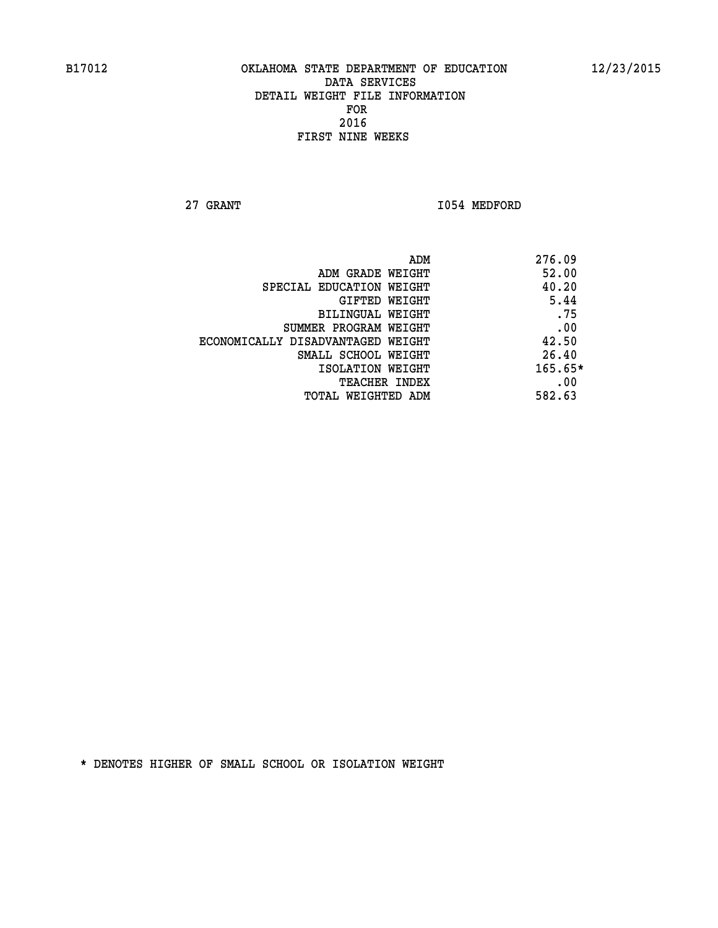**27 GRANT 1054 MEDFORD** 

| 276.09<br>ADM |                                   |
|---------------|-----------------------------------|
| 52.00         | ADM GRADE WEIGHT                  |
| 40.20         | SPECIAL EDUCATION WEIGHT          |
| 5.44          | GIFTED WEIGHT                     |
| .75           | BILINGUAL WEIGHT                  |
| .00           | SUMMER PROGRAM WEIGHT             |
| 42.50         | ECONOMICALLY DISADVANTAGED WEIGHT |
| 26.40         | SMALL SCHOOL WEIGHT               |
| 165.65*       | ISOLATION WEIGHT                  |
| .00           | <b>TEACHER INDEX</b>              |
| 582.63        | TOTAL WEIGHTED ADM                |
|               |                                   |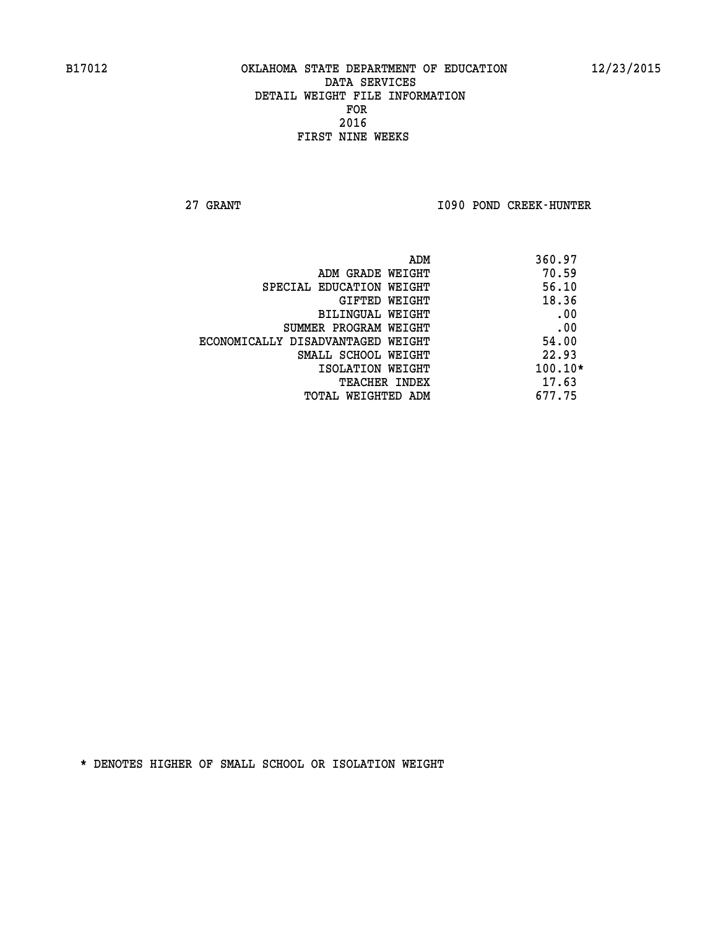**27 GRANT I090 POND CREEK-HUNTER** 

| ADM                               | 360.97    |
|-----------------------------------|-----------|
| ADM GRADE WEIGHT                  | 70.59     |
| SPECIAL EDUCATION WEIGHT          | 56.10     |
| GIFTED WEIGHT                     | 18.36     |
| BILINGUAL WEIGHT                  | .00       |
| SUMMER PROGRAM WEIGHT             | .00       |
| ECONOMICALLY DISADVANTAGED WEIGHT | 54.00     |
| SMALL SCHOOL WEIGHT               | 22.93     |
| ISOLATION WEIGHT                  | $100.10*$ |
| <b>TEACHER INDEX</b>              | 17.63     |
| TOTAL WEIGHTED ADM                | 677.75    |
|                                   |           |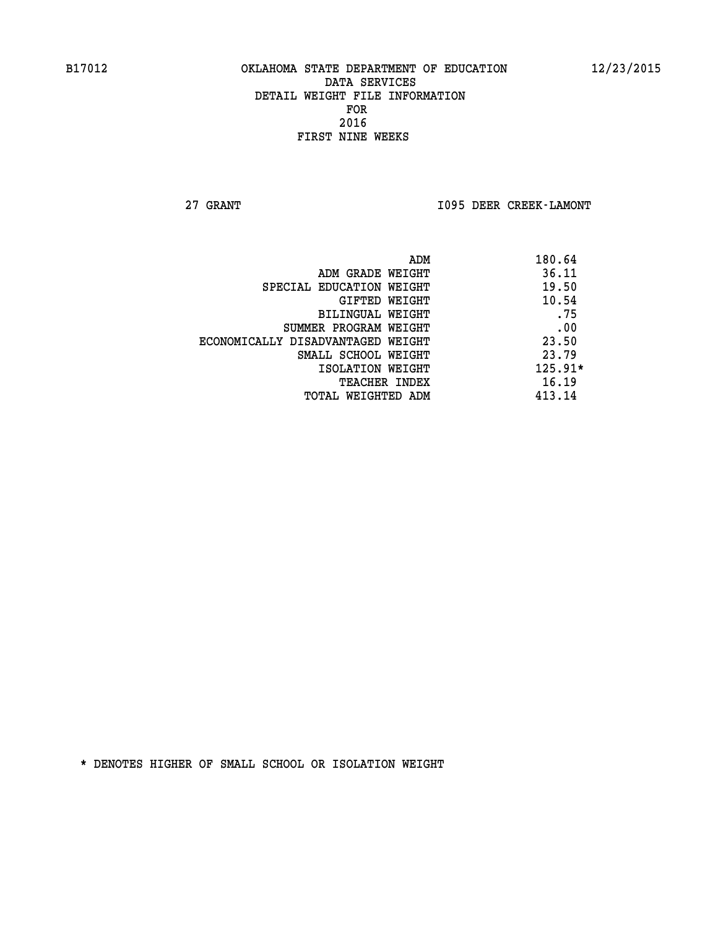**27 GRANT I095 DEER CREEK-LAMONT** 

| ADM                               | 180.64    |
|-----------------------------------|-----------|
| ADM GRADE WEIGHT                  | 36.11     |
| SPECIAL EDUCATION WEIGHT          | 19.50     |
| GIFTED WEIGHT                     | 10.54     |
| BILINGUAL WEIGHT                  | .75       |
| SUMMER PROGRAM WEIGHT             | .00       |
| ECONOMICALLY DISADVANTAGED WEIGHT | 23.50     |
| SMALL SCHOOL WEIGHT               | 23.79     |
| ISOLATION WEIGHT                  | $125.91*$ |
| <b>TEACHER INDEX</b>              | 16.19     |
| TOTAL WEIGHTED ADM                | 413.14    |
|                                   |           |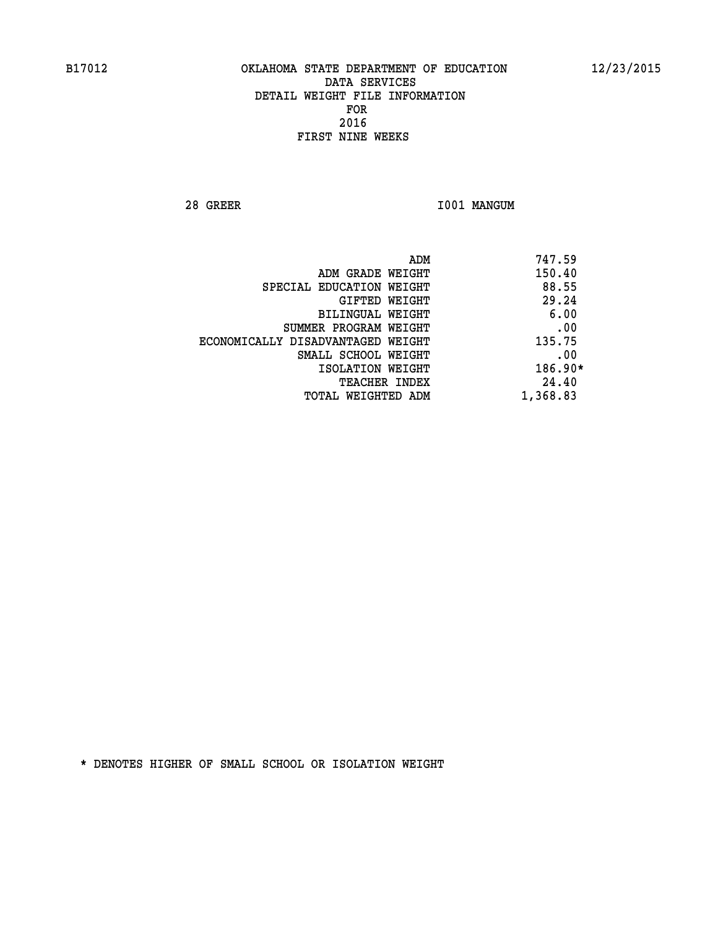**28 GREER I001 MANGUM** 

|                                   | ADM | 747.59    |
|-----------------------------------|-----|-----------|
| ADM GRADE WEIGHT                  |     | 150.40    |
| SPECIAL EDUCATION WEIGHT          |     | 88.55     |
| GIFTED WEIGHT                     |     | 29.24     |
| BILINGUAL WEIGHT                  |     | 6.00      |
| SUMMER PROGRAM WEIGHT             |     | .00       |
| ECONOMICALLY DISADVANTAGED WEIGHT |     | 135.75    |
| SMALL SCHOOL WEIGHT               |     | .00       |
| ISOLATION WEIGHT                  |     | $186.90*$ |
| TEACHER INDEX                     |     | 24.40     |
| TOTAL WEIGHTED ADM                |     | 1,368.83  |
|                                   |     |           |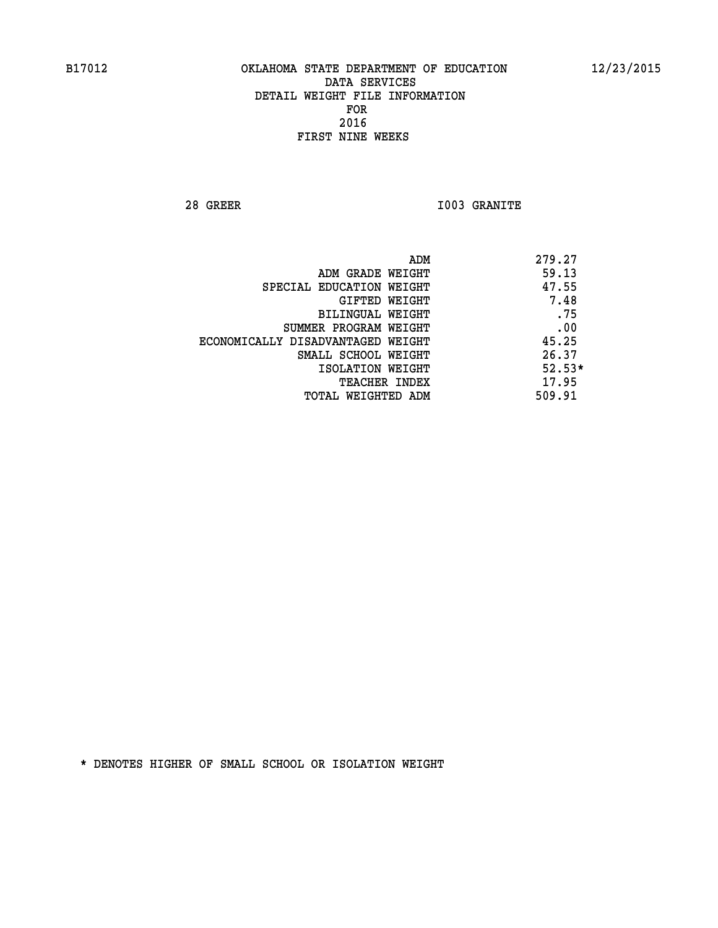**28 GREER I003 GRANITE** 

|                                   | ADM | 279.27   |
|-----------------------------------|-----|----------|
| ADM GRADE WEIGHT                  |     | 59.13    |
| SPECIAL EDUCATION WEIGHT          |     | 47.55    |
| GIFTED WEIGHT                     |     | 7.48     |
| BILINGUAL WEIGHT                  |     | .75      |
| SUMMER PROGRAM WEIGHT             |     | .00      |
| ECONOMICALLY DISADVANTAGED WEIGHT |     | 45.25    |
| SMALL SCHOOL WEIGHT               |     | 26.37    |
| ISOLATION WEIGHT                  |     | $52.53*$ |
| TEACHER INDEX                     |     | 17.95    |
| TOTAL WEIGHTED ADM                |     | 509.91   |
|                                   |     |          |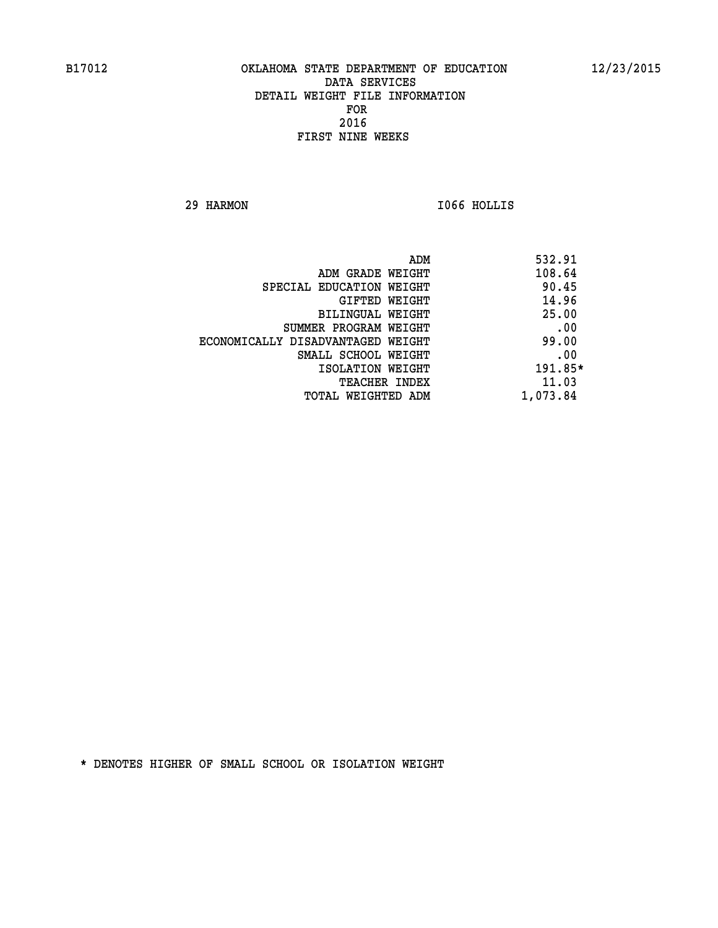**29 HARMON I066 HOLLIS** 

|                                   | ADM | 532.91    |
|-----------------------------------|-----|-----------|
| ADM GRADE WEIGHT                  |     | 108.64    |
| SPECIAL EDUCATION WEIGHT          |     | 90.45     |
| GIFTED WEIGHT                     |     | 14.96     |
| BILINGUAL WEIGHT                  |     | 25.00     |
| SUMMER PROGRAM WEIGHT             |     | .00       |
| ECONOMICALLY DISADVANTAGED WEIGHT |     | 99.00     |
| SMALL SCHOOL WEIGHT               |     | .00       |
| ISOLATION WEIGHT                  |     | $191.85*$ |
| TEACHER INDEX                     |     | 11.03     |
| TOTAL WEIGHTED ADM                |     | 1,073.84  |
|                                   |     |           |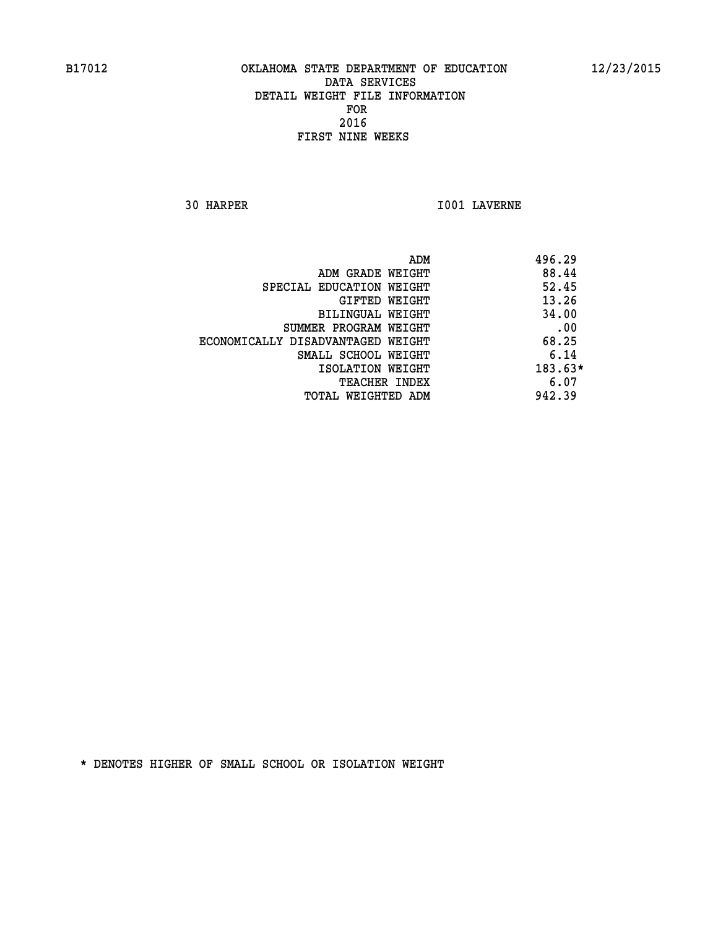**30 HARPER I001 LAVERNE** 

| 496.29<br>ADM |                                   |
|---------------|-----------------------------------|
| 88.44         | ADM GRADE WEIGHT                  |
| 52.45         | SPECIAL EDUCATION WEIGHT          |
| 13.26         | GIFTED WEIGHT                     |
| 34.00         | <b>BILINGUAL WEIGHT</b>           |
| .00           | SUMMER PROGRAM WEIGHT             |
| 68.25         | ECONOMICALLY DISADVANTAGED WEIGHT |
| 6.14          | SMALL SCHOOL WEIGHT               |
| $183.63*$     | ISOLATION WEIGHT                  |
| 6.07          | <b>TEACHER INDEX</b>              |
| 942.39        | TOTAL WEIGHTED ADM                |
|               |                                   |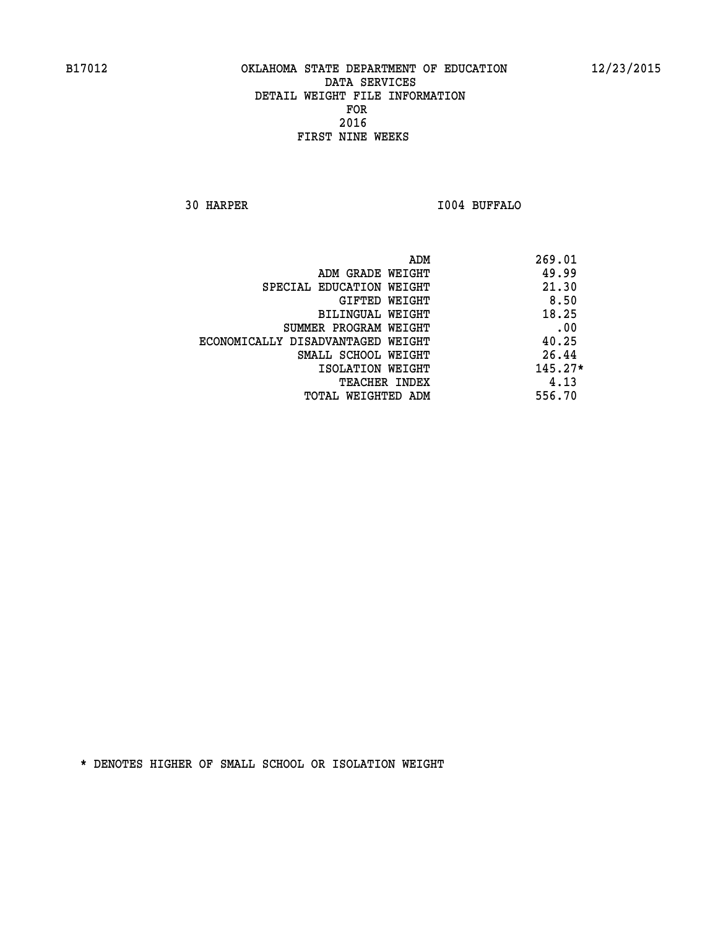**30 HARPER I004 BUFFALO** 

| ADM                               | 269.01    |
|-----------------------------------|-----------|
| ADM GRADE WEIGHT                  | 49.99     |
| SPECIAL EDUCATION WEIGHT          | 21.30     |
| GIFTED WEIGHT                     | 8.50      |
| BILINGUAL WEIGHT                  | 18.25     |
| SUMMER PROGRAM WEIGHT             | .00       |
| ECONOMICALLY DISADVANTAGED WEIGHT | 40.25     |
| SMALL SCHOOL WEIGHT               | 26.44     |
| ISOLATION WEIGHT                  | $145.27*$ |
| TEACHER INDEX                     | 4.13      |
| TOTAL WEIGHTED ADM                | 556.70    |
|                                   |           |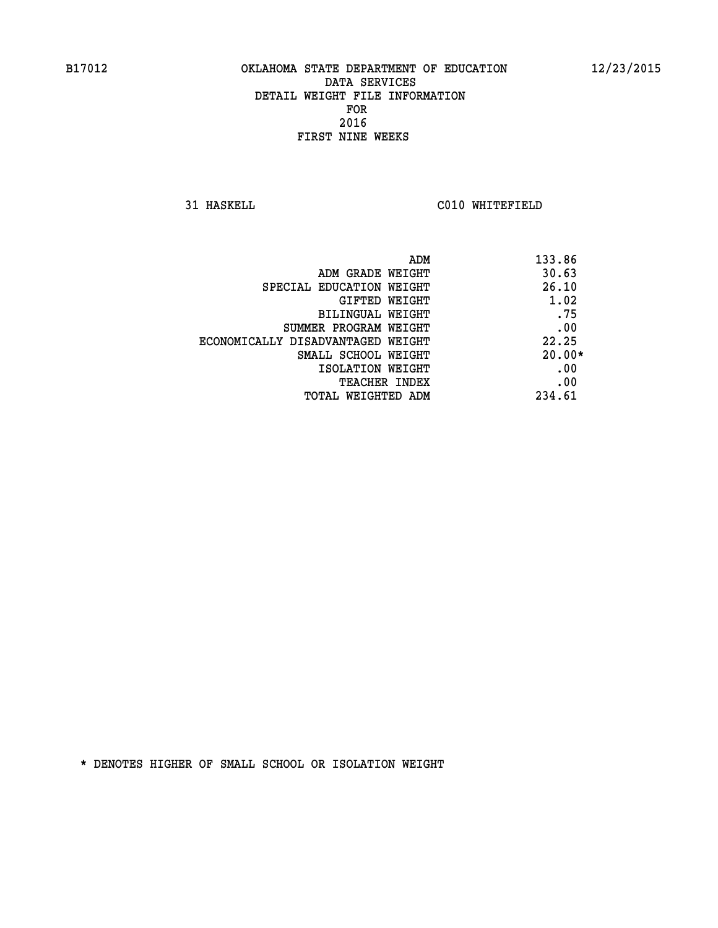**31 HASKELL C010 WHITEFIELD** 

| ADM                               | 133.86   |
|-----------------------------------|----------|
| ADM GRADE WEIGHT                  | 30.63    |
| SPECIAL EDUCATION WEIGHT          | 26.10    |
| GIFTED WEIGHT                     | 1.02     |
| BILINGUAL WEIGHT                  | .75      |
| SUMMER PROGRAM WEIGHT             | .00      |
| ECONOMICALLY DISADVANTAGED WEIGHT | 22.25    |
| SMALL SCHOOL WEIGHT               | $20.00*$ |
| ISOLATION WEIGHT                  | .00      |
| <b>TEACHER INDEX</b>              | .00      |
| TOTAL WEIGHTED ADM                | 234.61   |
|                                   |          |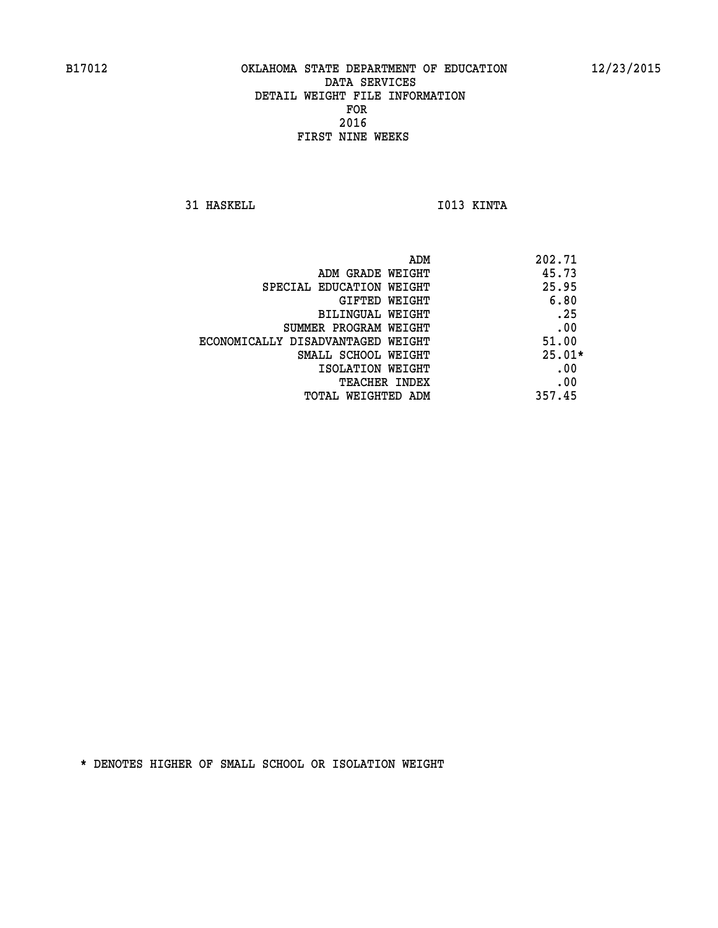**31 HASKELL IO13 KINTA** 

| ADM                               | 202.71   |
|-----------------------------------|----------|
| ADM GRADE WEIGHT                  | 45.73    |
| SPECIAL EDUCATION WEIGHT          | 25.95    |
| GIFTED WEIGHT                     | 6.80     |
| BILINGUAL WEIGHT                  | .25      |
| SUMMER PROGRAM WEIGHT             | .00      |
| ECONOMICALLY DISADVANTAGED WEIGHT | 51.00    |
| SMALL SCHOOL WEIGHT               | $25.01*$ |
| ISOLATION WEIGHT                  | .00      |
| <b>TEACHER INDEX</b>              | .00      |
| <b>TOTAL WEIGHTED ADM</b>         | 357.45   |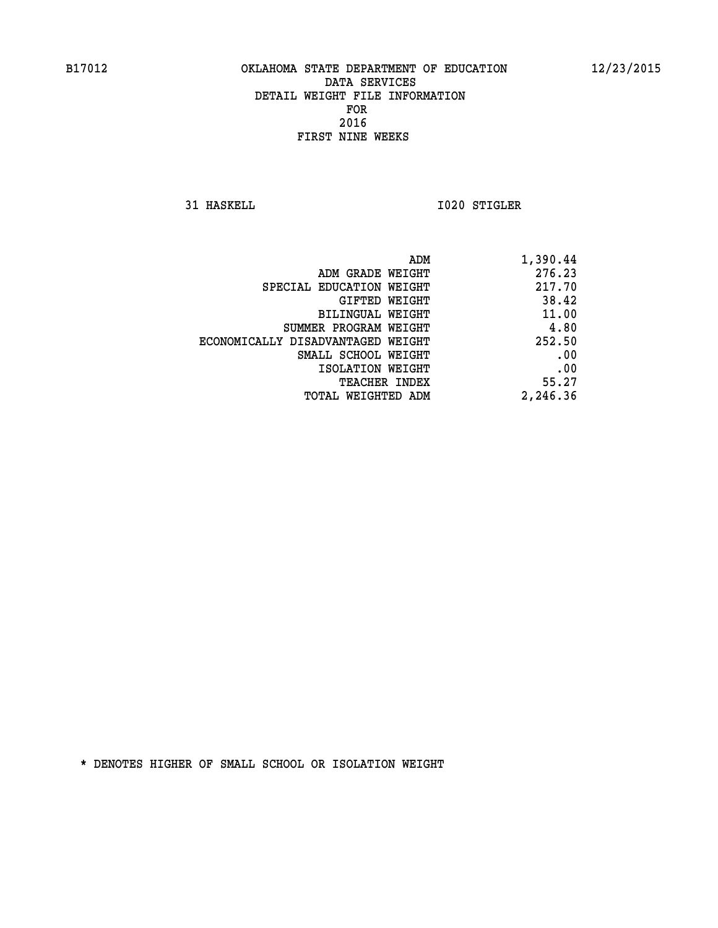**31 HASKELL 1020 STIGLER** 

| 1,390.44 |
|----------|
| 276.23   |
| 217.70   |
| 38.42    |
| 11.00    |
| 4.80     |
| 252.50   |
| .00      |
| .00      |
| 55.27    |
| 2,246.36 |
|          |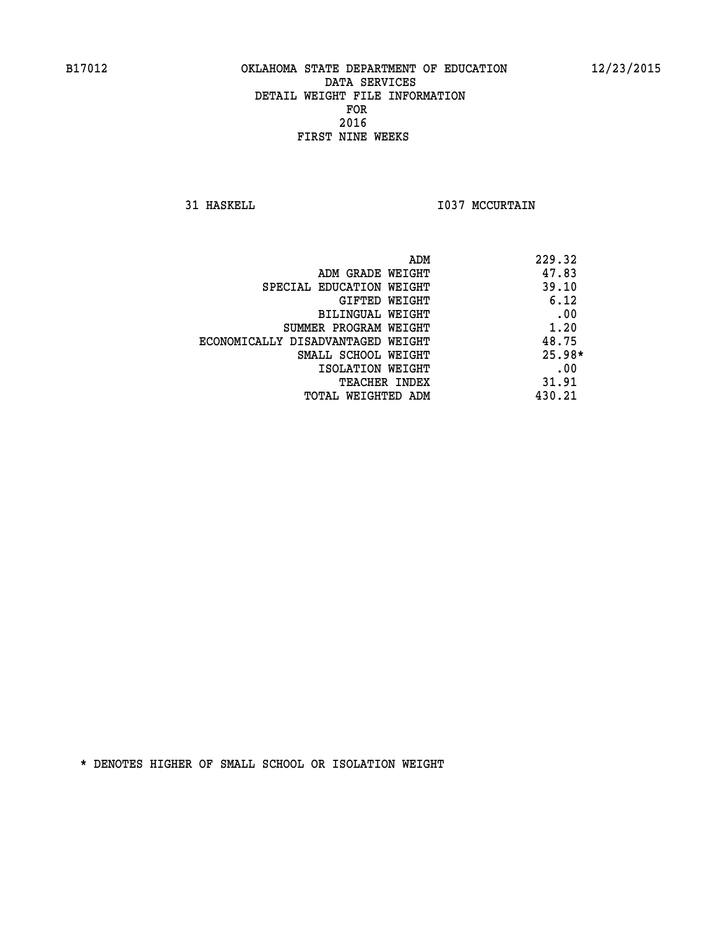**31 HASKELL 1037 MCCURTAIN** 

| ADM                               | 229.32   |
|-----------------------------------|----------|
| ADM GRADE WEIGHT                  | 47.83    |
| SPECIAL EDUCATION WEIGHT          | 39.10    |
| GIFTED WEIGHT                     | 6.12     |
| BILINGUAL WEIGHT                  | .00      |
| SUMMER PROGRAM WEIGHT             | 1.20     |
| ECONOMICALLY DISADVANTAGED WEIGHT | 48.75    |
| SMALL SCHOOL WEIGHT               | $25.98*$ |
| ISOLATION WEIGHT                  | .00      |
| <b>TEACHER INDEX</b>              | 31.91    |
| TOTAL WEIGHTED ADM                | 430.21   |
|                                   |          |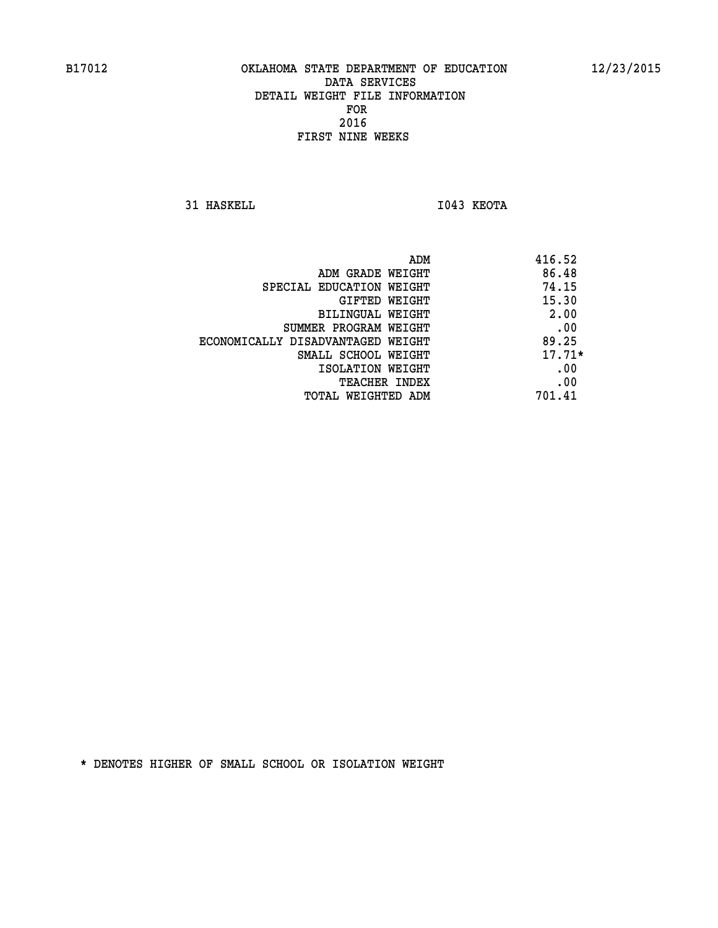**31 HASKELL IO43 KEOTA** 

|                                   | ADM | 416.52   |
|-----------------------------------|-----|----------|
| ADM GRADE WEIGHT                  |     | 86.48    |
| SPECIAL EDUCATION WEIGHT          |     | 74.15    |
| GIFTED WEIGHT                     |     | 15.30    |
| BILINGUAL WEIGHT                  |     | 2.00     |
| SUMMER PROGRAM WEIGHT             |     | .00      |
| ECONOMICALLY DISADVANTAGED WEIGHT |     | 89.25    |
| SMALL SCHOOL WEIGHT               |     | $17.71*$ |
| ISOLATION WEIGHT                  |     | .00      |
| <b>TEACHER INDEX</b>              |     | .00      |
| TOTAL WEIGHTED ADM                |     | 701.41   |
|                                   |     |          |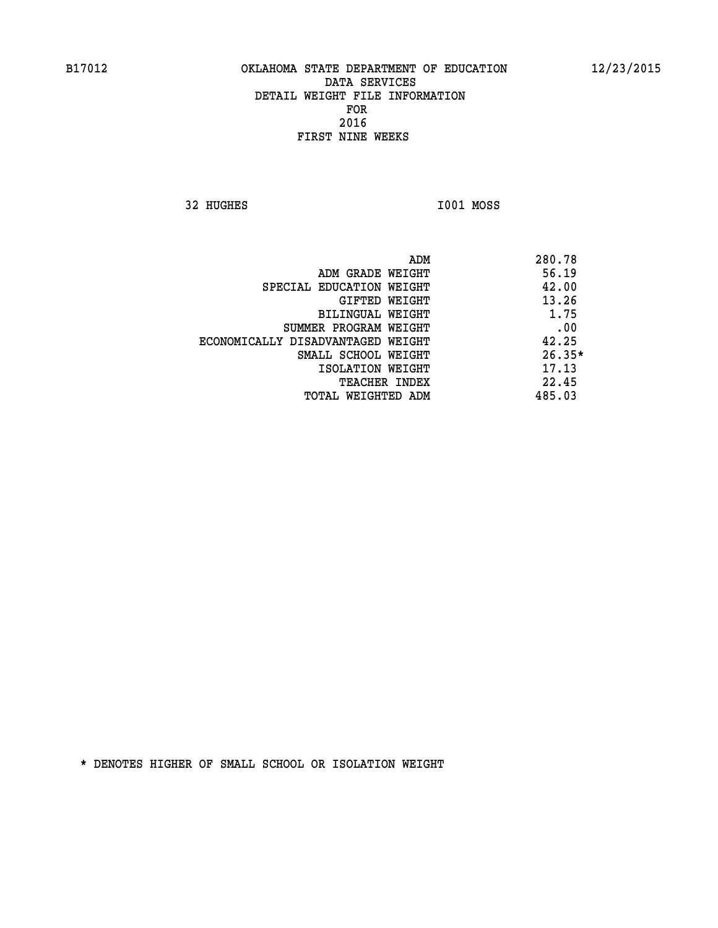**32 HUGHES I001 MOSS** 

 **ADM 280.78 ADM GRADE WEIGHT 56.19 SPECIAL EDUCATION WEIGHT 42.00 GIFTED WEIGHT 43.26 BILINGUAL WEIGHT 1.75 SUMMER PROGRAM WEIGHT .00 ECONOMICALLY DISADVANTAGED WEIGHT 42.25 SMALL SCHOOL WEIGHT 26.35\* 17.13** ISOLATION WEIGHT **17.13 TEACHER INDEX** 22.45  **TOTAL WEIGHTED ADM 485.03**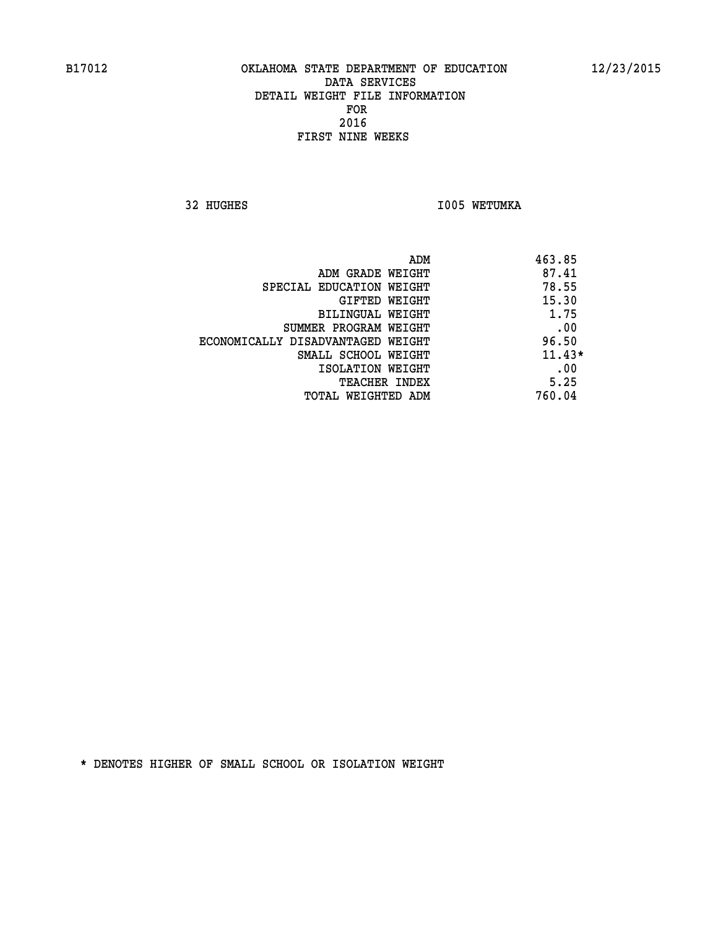**32 HUGHES 1005 WETUMKA** 

|                                   | ADM<br>463.85 |
|-----------------------------------|---------------|
| ADM GRADE WEIGHT                  | 87.41         |
| SPECIAL EDUCATION WEIGHT          | 78.55         |
| GIFTED WEIGHT                     | 15.30         |
| BILINGUAL WEIGHT                  | 1.75          |
| SUMMER PROGRAM WEIGHT             | .00           |
| ECONOMICALLY DISADVANTAGED WEIGHT | 96.50         |
| SMALL SCHOOL WEIGHT               | $11.43*$      |
| ISOLATION WEIGHT                  | .00           |
| <b>TEACHER INDEX</b>              | 5.25          |
| TOTAL WEIGHTED ADM                | 760.04        |
|                                   |               |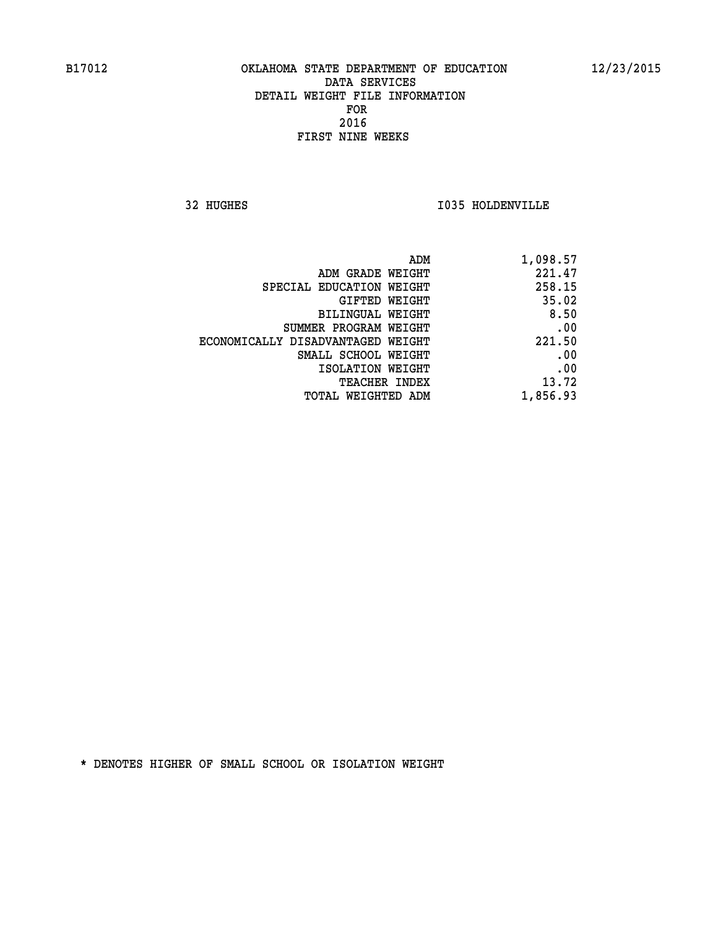**32 HUGHES I035 HOLDENVILLE** 

| 1,098.57 |
|----------|
| 221.47   |
| 258.15   |
| 35.02    |
| 8.50     |
| .00      |
| 221.50   |
| .00      |
| .00      |
| 13.72    |
| 1,856.93 |
|          |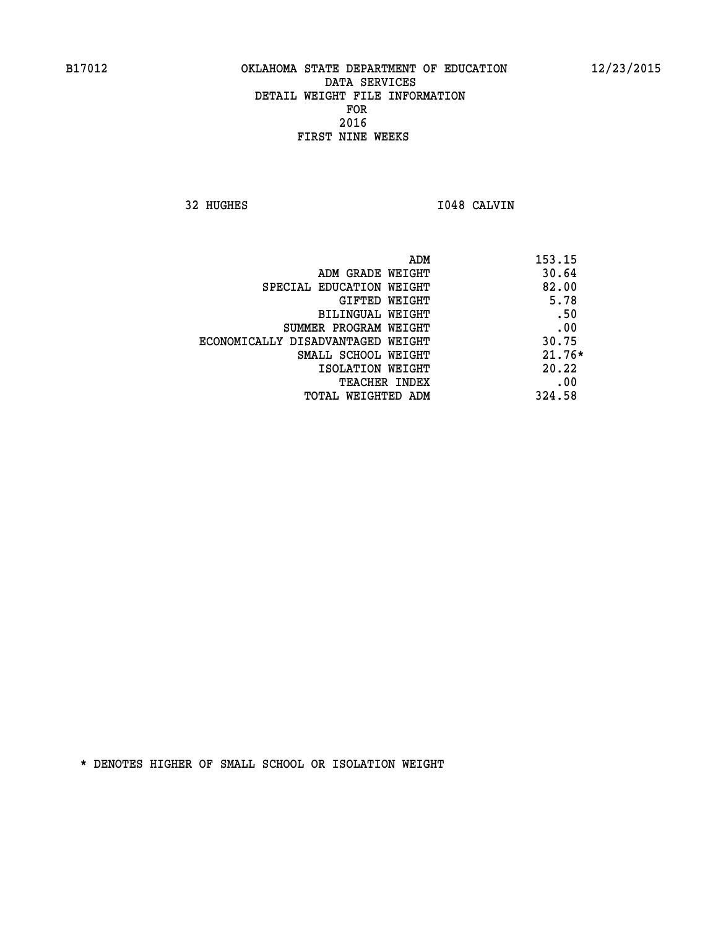**32 HUGHES I048 CALVIN** 

| ADM                               | 153.15   |
|-----------------------------------|----------|
| ADM GRADE WEIGHT                  | 30.64    |
| SPECIAL EDUCATION WEIGHT          | 82.00    |
| GIFTED WEIGHT                     | 5.78     |
| BILINGUAL WEIGHT                  | .50      |
| SUMMER PROGRAM WEIGHT             | .00      |
| ECONOMICALLY DISADVANTAGED WEIGHT | 30.75    |
| SMALL SCHOOL WEIGHT               | $21.76*$ |
| ISOLATION WEIGHT                  | 20.22    |
| TEACHER INDEX                     | .00      |
| TOTAL WEIGHTED ADM                | 324.58   |
|                                   |          |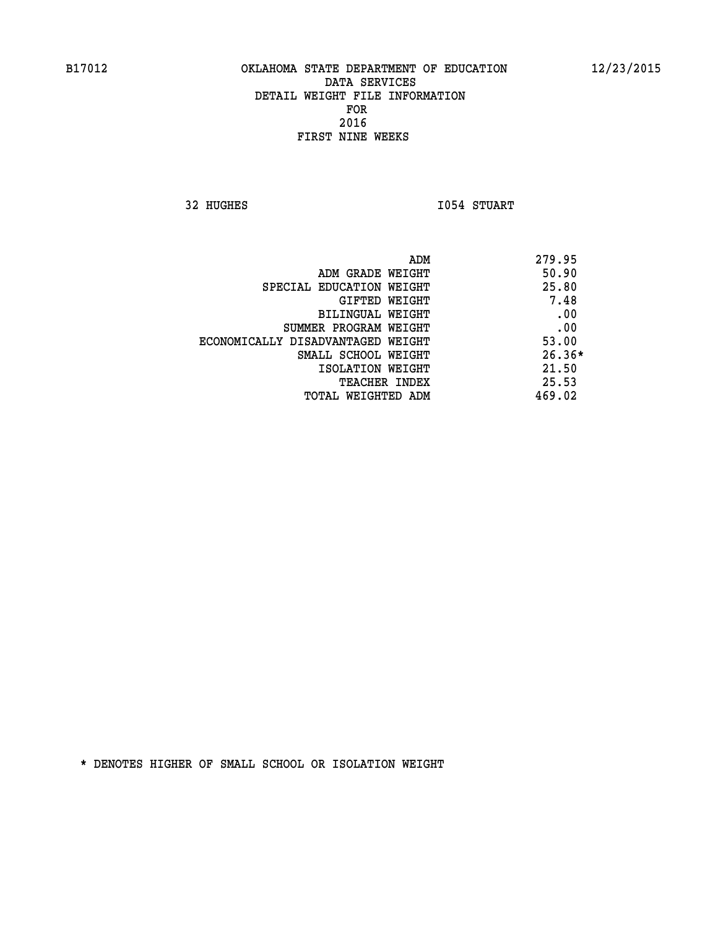**32 HUGHES 1054 STUART** 

| 279.95<br>ADM                              |  |
|--------------------------------------------|--|
| 50.90<br>ADM GRADE WEIGHT                  |  |
| 25.80<br>SPECIAL EDUCATION WEIGHT          |  |
| 7.48<br>GIFTED WEIGHT                      |  |
| .00<br>BILINGUAL WEIGHT                    |  |
| .00<br>SUMMER PROGRAM WEIGHT               |  |
| 53.00<br>ECONOMICALLY DISADVANTAGED WEIGHT |  |
| $26.36*$<br>SMALL SCHOOL WEIGHT            |  |
| 21.50<br>ISOLATION WEIGHT                  |  |
| 25.53<br>TEACHER INDEX                     |  |
| 469.02<br>TOTAL WEIGHTED ADM               |  |
|                                            |  |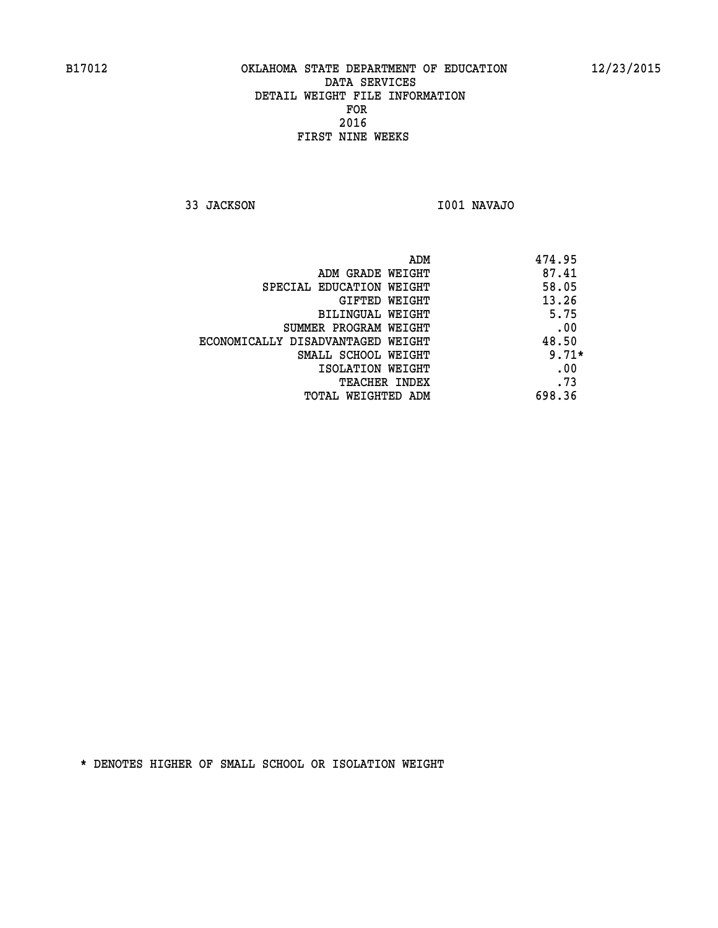**33 JACKSON I001 NAVAJO** 

| ADM<br>474.95                              |
|--------------------------------------------|
| 87.41<br>ADM GRADE WEIGHT                  |
| 58.05<br>SPECIAL EDUCATION WEIGHT          |
| 13.26<br>GIFTED WEIGHT                     |
| 5.75<br>BILINGUAL WEIGHT                   |
| .00<br>SUMMER PROGRAM WEIGHT               |
| 48.50<br>ECONOMICALLY DISADVANTAGED WEIGHT |
| $9.71*$<br>SMALL SCHOOL WEIGHT             |
| .00<br>ISOLATION WEIGHT                    |
| .73<br><b>TEACHER INDEX</b>                |
| 698.36<br>TOTAL WEIGHTED ADM               |
|                                            |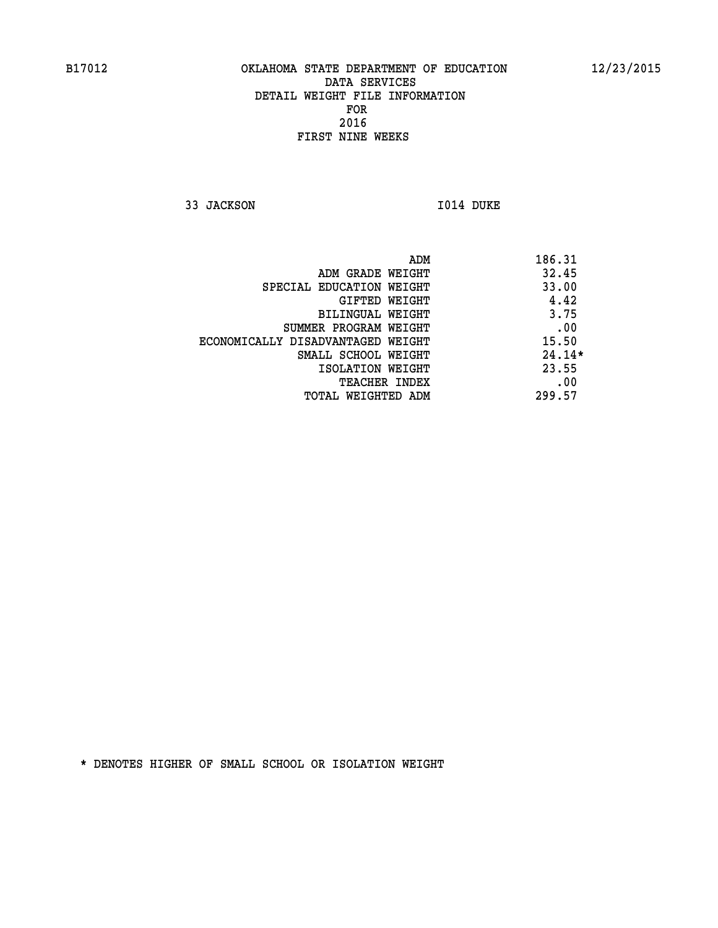**33 JACKSON 1014 DUKE** 

|                                   | 186.31<br>ADM |     |
|-----------------------------------|---------------|-----|
| ADM GRADE WEIGHT                  | 32.45         |     |
| SPECIAL EDUCATION WEIGHT          | 33.00         |     |
| GIFTED WEIGHT                     | 4.42          |     |
| BILINGUAL WEIGHT                  | 3.75          |     |
| SUMMER PROGRAM WEIGHT             |               | .00 |
| ECONOMICALLY DISADVANTAGED WEIGHT | 15.50         |     |
| SMALL SCHOOL WEIGHT               | $24.14*$      |     |
| ISOLATION WEIGHT                  | 23.55         |     |
| <b>TEACHER INDEX</b>              |               | .00 |
| TOTAL WEIGHTED ADM                | 299.57        |     |
|                                   |               |     |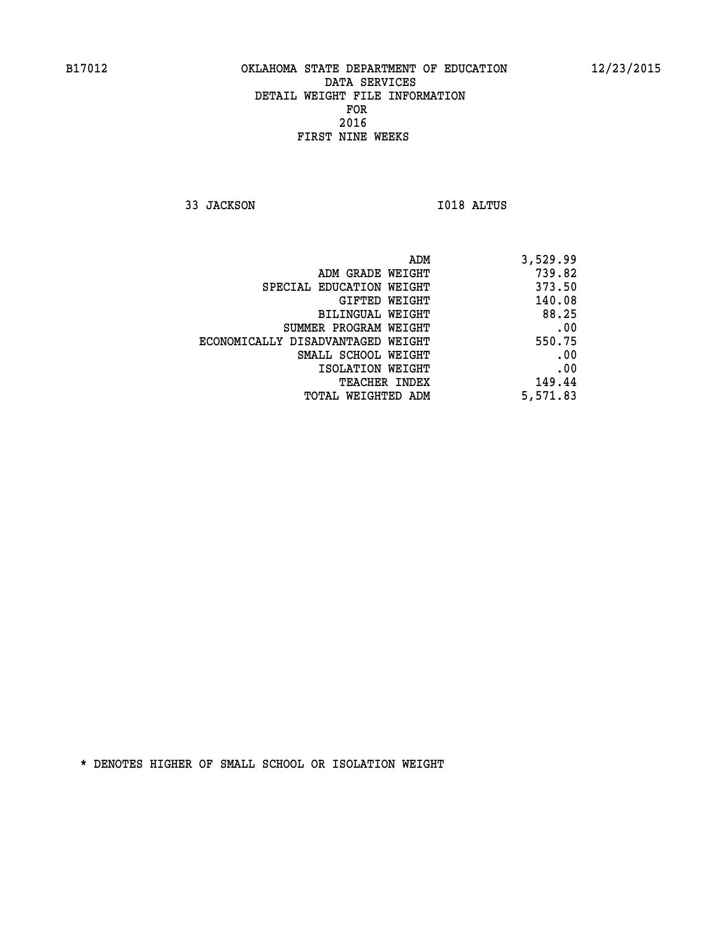**33 JACKSON I018 ALTUS** 

| 3,529.99 |
|----------|
| 739.82   |
| 373.50   |
| 140.08   |
| 88.25    |
| .00      |
| 550.75   |
| .00      |
| .00      |
| 149.44   |
| 5,571.83 |
|          |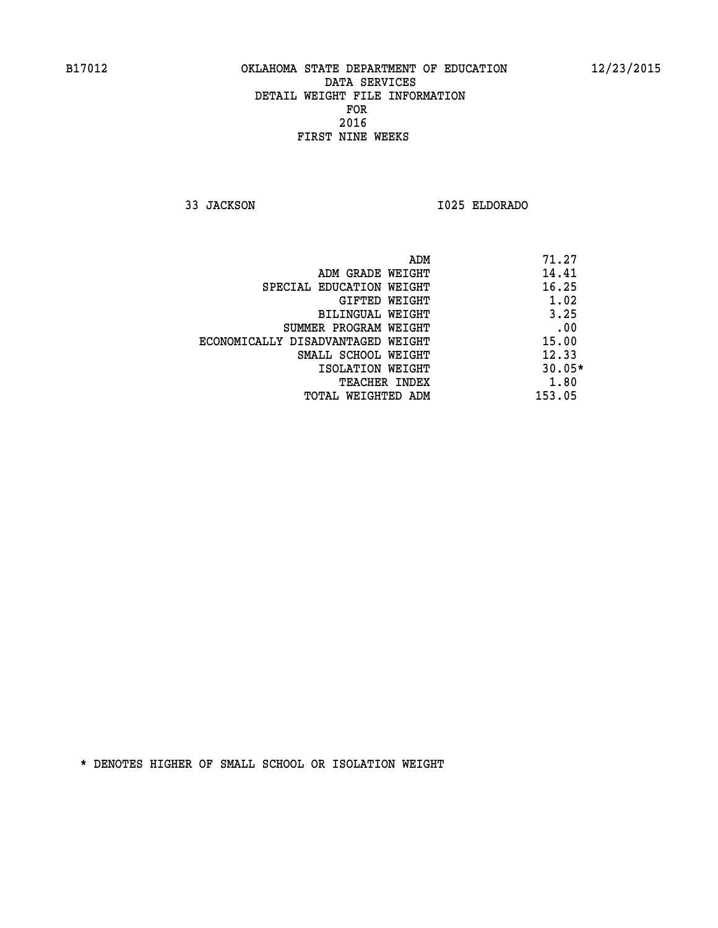**33 JACKSON I025 ELDORADO** 

|                                   | ADM | 71.27    |
|-----------------------------------|-----|----------|
| ADM GRADE WEIGHT                  |     | 14.41    |
| SPECIAL EDUCATION WEIGHT          |     | 16.25    |
| GIFTED WEIGHT                     |     | 1.02     |
| BILINGUAL WEIGHT                  |     | 3.25     |
| SUMMER PROGRAM WEIGHT             |     | .00      |
| ECONOMICALLY DISADVANTAGED WEIGHT |     | 15.00    |
| SMALL SCHOOL WEIGHT               |     | 12.33    |
| ISOLATION WEIGHT                  |     | $30.05*$ |
| TEACHER INDEX                     |     | 1.80     |
| TOTAL WEIGHTED ADM                |     | 153.05   |
|                                   |     |          |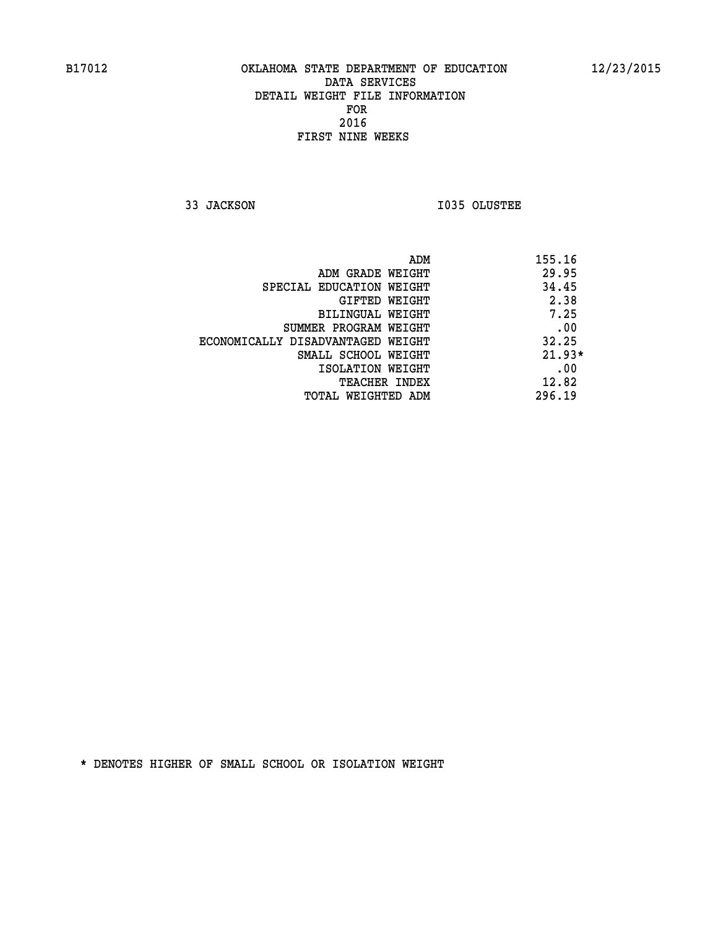**33 JACKSON I035 OLUSTEE** 

|                                   | ADM | 155.16   |
|-----------------------------------|-----|----------|
| ADM GRADE WEIGHT                  |     | 29.95    |
| SPECIAL EDUCATION WEIGHT          |     | 34.45    |
| GIFTED WEIGHT                     |     | 2.38     |
| BILINGUAL WEIGHT                  |     | 7.25     |
| SUMMER PROGRAM WEIGHT             |     | .00      |
| ECONOMICALLY DISADVANTAGED WEIGHT |     | 32.25    |
| SMALL SCHOOL WEIGHT               |     | $21.93*$ |
| ISOLATION WEIGHT                  |     | .00      |
| TEACHER INDEX                     |     | 12.82    |
| TOTAL WEIGHTED ADM                |     | 296.19   |
|                                   |     |          |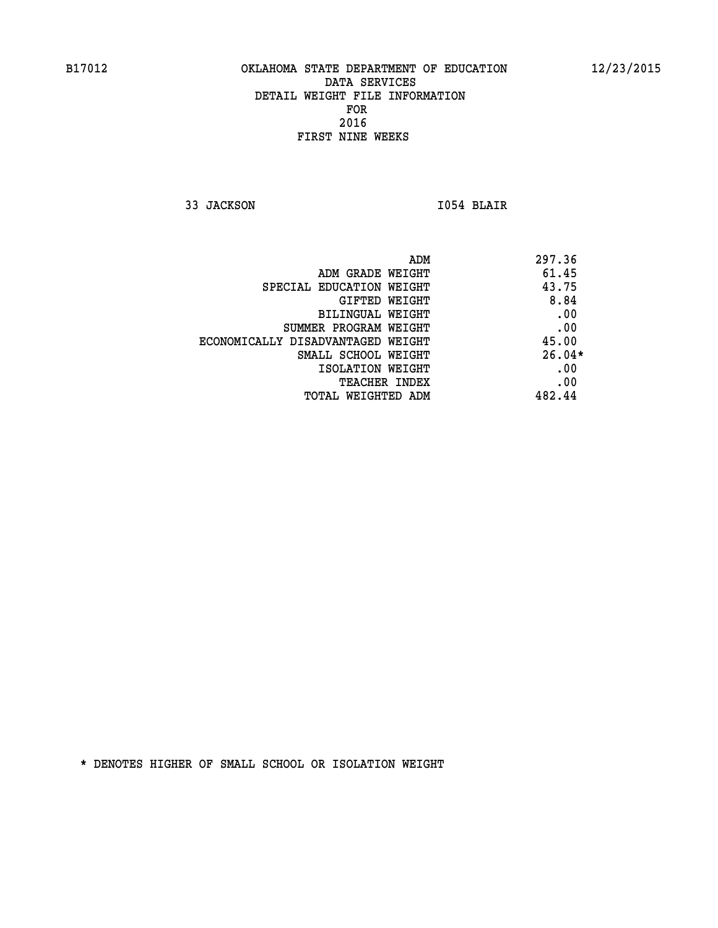**33 JACKSON I054 BLAIR** 

|                                   | ADM | 297.36   |
|-----------------------------------|-----|----------|
| ADM GRADE WEIGHT                  |     | 61.45    |
| SPECIAL EDUCATION WEIGHT          |     | 43.75    |
| GIFTED WEIGHT                     |     | 8.84     |
| BILINGUAL WEIGHT                  |     | .00      |
| SUMMER PROGRAM WEIGHT             |     | .00      |
| ECONOMICALLY DISADVANTAGED WEIGHT |     | 45.00    |
| SMALL SCHOOL WEIGHT               |     | $26.04*$ |
| ISOLATION WEIGHT                  |     | .00      |
| TEACHER INDEX                     |     | .00      |
| TOTAL WEIGHTED ADM                |     | 482.44   |
|                                   |     |          |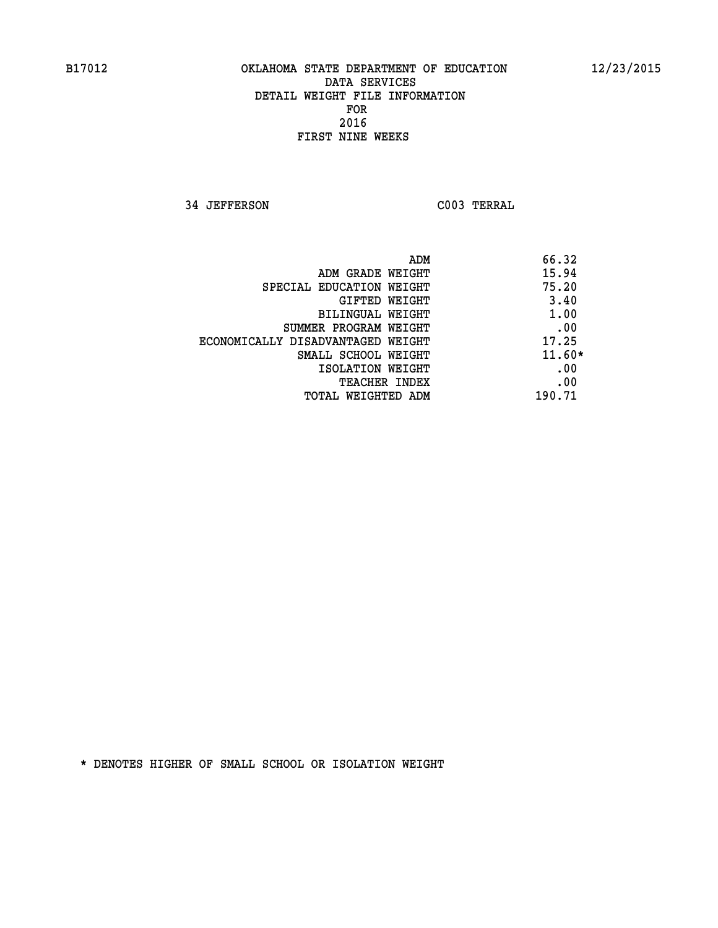**34 JEFFERSON C003 TERRAL** 

| ADM                               | 66.32    |
|-----------------------------------|----------|
| ADM GRADE WEIGHT                  | 15.94    |
| SPECIAL EDUCATION WEIGHT          | 75.20    |
| GIFTED WEIGHT                     | 3.40     |
| BILINGUAL WEIGHT                  | 1.00     |
| SUMMER PROGRAM WEIGHT             | .00      |
| ECONOMICALLY DISADVANTAGED WEIGHT | 17.25    |
| SMALL SCHOOL WEIGHT               | $11.60*$ |
| ISOLATION WEIGHT                  | .00      |
| <b>TEACHER INDEX</b>              | .00      |
| TOTAL WEIGHTED ADM                | 190.71   |
|                                   |          |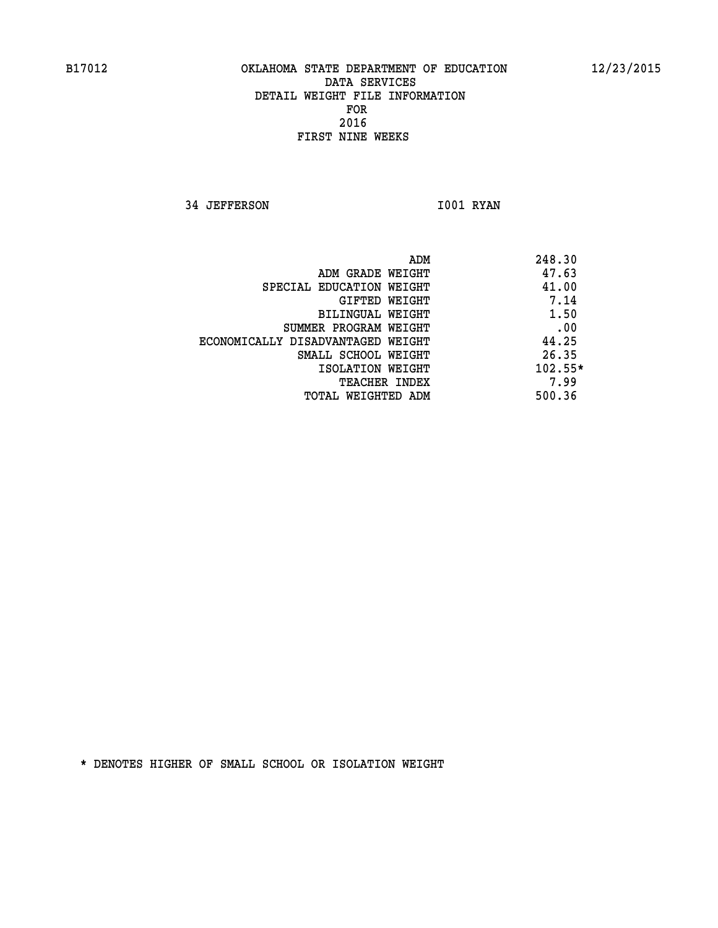**34 JEFFERSON 1001 RYAN** 

|                                   | 248.30<br>ADM |
|-----------------------------------|---------------|
| ADM GRADE WEIGHT                  | 47.63         |
| SPECIAL EDUCATION WEIGHT          | 41.00         |
| GIFTED WEIGHT                     | 7.14          |
| BILINGUAL WEIGHT                  | 1.50          |
| SUMMER PROGRAM WEIGHT             | .00           |
| ECONOMICALLY DISADVANTAGED WEIGHT | 44.25         |
| SMALL SCHOOL WEIGHT               | 26.35         |
| ISOLATION WEIGHT                  | $102.55*$     |
| <b>TEACHER INDEX</b>              | 7.99          |
| TOTAL WEIGHTED ADM                | 500.36        |
|                                   |               |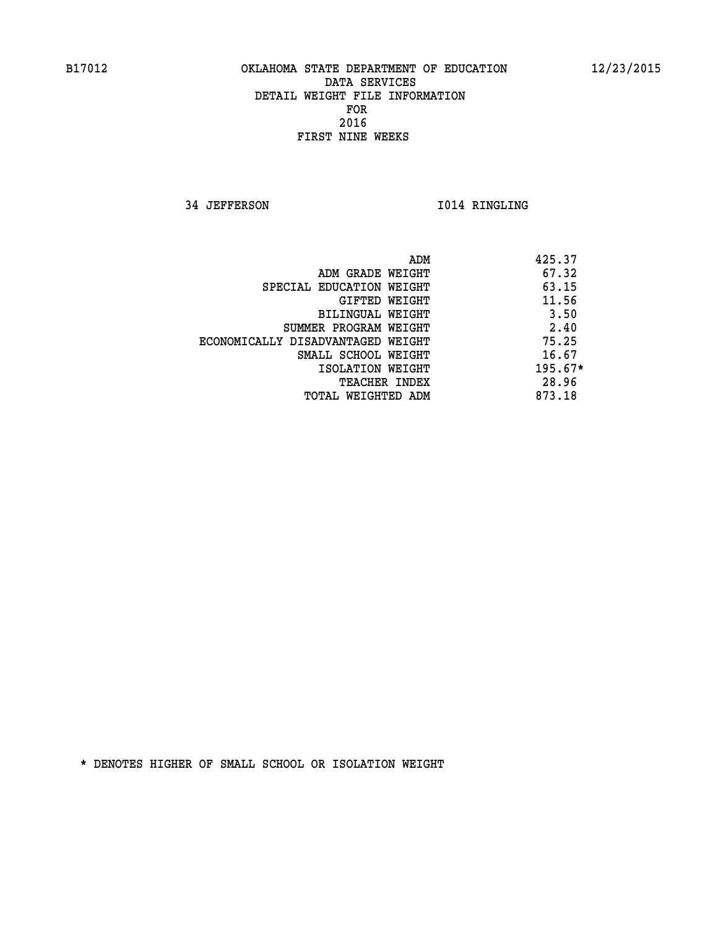**34 JEFFERSON 1014 RINGLING** 

|                                   | ADM | 425.37    |
|-----------------------------------|-----|-----------|
| ADM GRADE WEIGHT                  |     | 67.32     |
| SPECIAL EDUCATION WEIGHT          |     | 63.15     |
| GIFTED WEIGHT                     |     | 11.56     |
| BILINGUAL WEIGHT                  |     | 3.50      |
| SUMMER PROGRAM WEIGHT             |     | 2.40      |
| ECONOMICALLY DISADVANTAGED WEIGHT |     | 75.25     |
| SMALL SCHOOL WEIGHT               |     | 16.67     |
| ISOLATION WEIGHT                  |     | $195.67*$ |
| TEACHER INDEX                     |     | 28.96     |
| TOTAL WEIGHTED ADM                |     | 873.18    |
|                                   |     |           |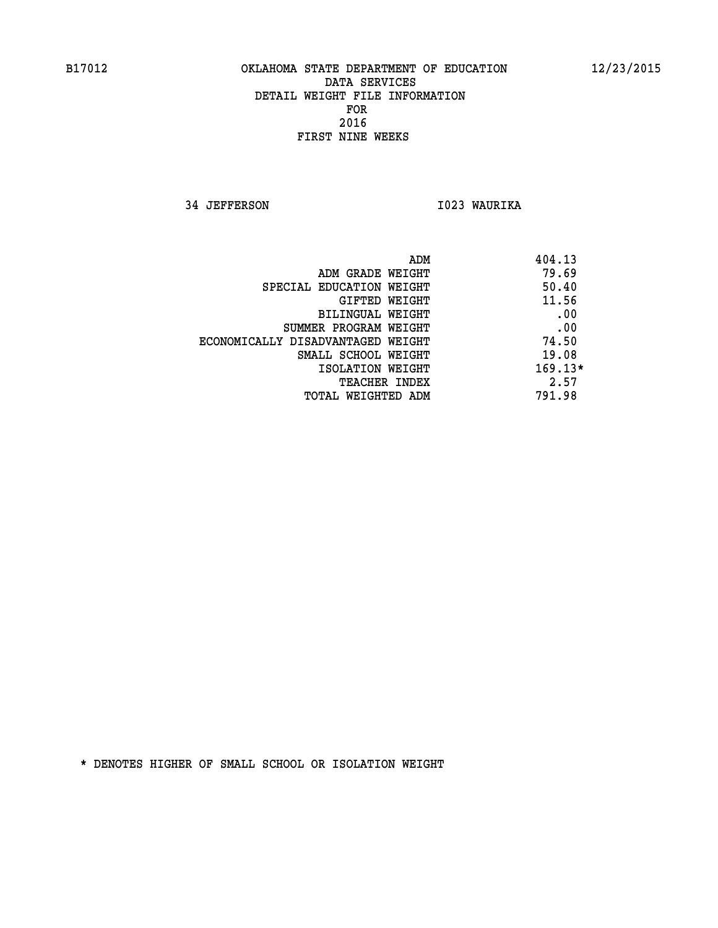**34 JEFFERSON I023 WAURIKA** 

| ADM                               | 404.13    |
|-----------------------------------|-----------|
| ADM GRADE WEIGHT                  | 79.69     |
| SPECIAL EDUCATION WEIGHT          | 50.40     |
| GIFTED WEIGHT                     | 11.56     |
| BILINGUAL WEIGHT                  | .00       |
| SUMMER PROGRAM WEIGHT             | .00       |
| ECONOMICALLY DISADVANTAGED WEIGHT | 74.50     |
| SMALL SCHOOL WEIGHT               | 19.08     |
| ISOLATION WEIGHT                  | $169.13*$ |
| <b>TEACHER INDEX</b>              | 2.57      |
| TOTAL WEIGHTED ADM                | 791.98    |
|                                   |           |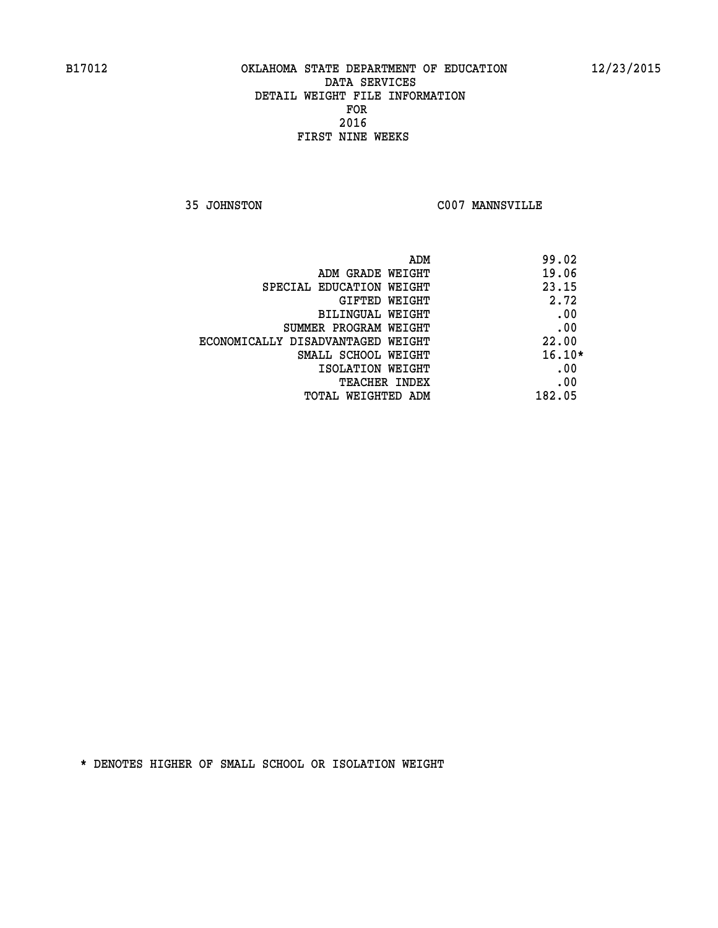**35 JOHNSTON C007 MANNSVILLE** 

| 99.02    | ADM                               |
|----------|-----------------------------------|
| 19.06    | ADM GRADE WEIGHT                  |
| 23.15    | SPECIAL EDUCATION WEIGHT          |
| 2.72     | <b>GIFTED WEIGHT</b>              |
| .00      | BILINGUAL WEIGHT                  |
| .00      | SUMMER PROGRAM WEIGHT             |
| 22.00    | ECONOMICALLY DISADVANTAGED WEIGHT |
| $16.10*$ | SMALL SCHOOL WEIGHT               |
| .00      | ISOLATION WEIGHT                  |
| .00      | <b>TEACHER INDEX</b>              |
| 182.05   | TOTAL WEIGHTED ADM                |
|          |                                   |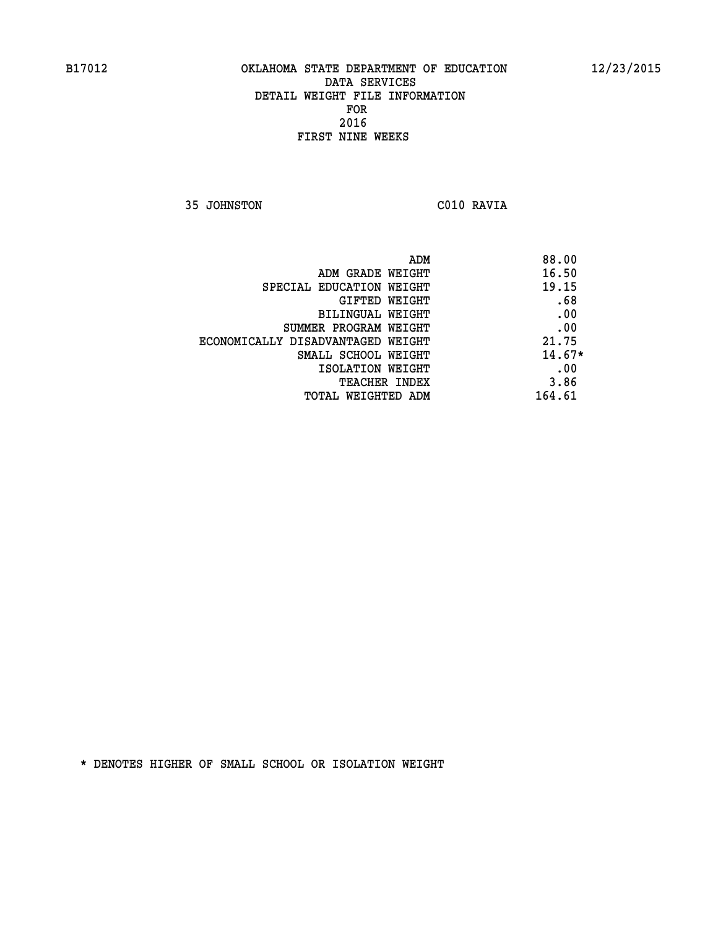**35 JOHNSTON C010 RAVIA** 

| ADM                               | 88.00    |
|-----------------------------------|----------|
| ADM GRADE WEIGHT                  | 16.50    |
| SPECIAL EDUCATION WEIGHT          | 19.15    |
| <b>GIFTED WEIGHT</b>              | .68      |
| BILINGUAL WEIGHT                  | .00      |
| SUMMER PROGRAM WEIGHT             | .00      |
| ECONOMICALLY DISADVANTAGED WEIGHT | 21.75    |
| SMALL SCHOOL WEIGHT               | $14.67*$ |
| ISOLATION WEIGHT                  | .00      |
| <b>TEACHER INDEX</b>              | 3.86     |
| TOTAL WEIGHTED ADM                | 164.61   |
|                                   |          |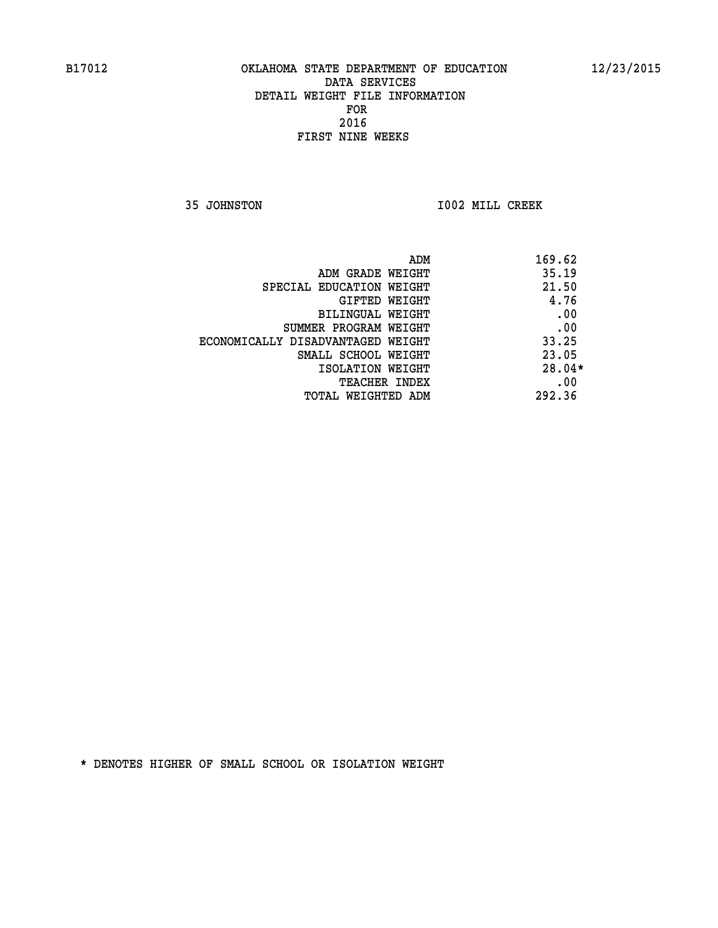**35 JOHNSTON I002 MILL CREEK** 

| ADM                               | 169.62   |
|-----------------------------------|----------|
| ADM GRADE WEIGHT                  | 35.19    |
| SPECIAL EDUCATION WEIGHT          | 21.50    |
| GIFTED WEIGHT                     | 4.76     |
| BILINGUAL WEIGHT                  | .00      |
| SUMMER PROGRAM WEIGHT             | .00      |
| ECONOMICALLY DISADVANTAGED WEIGHT | 33.25    |
| SMALL SCHOOL WEIGHT               | 23.05    |
| ISOLATION WEIGHT                  | $28.04*$ |
| <b>TEACHER INDEX</b>              | .00      |
| TOTAL WEIGHTED ADM                | 292.36   |
|                                   |          |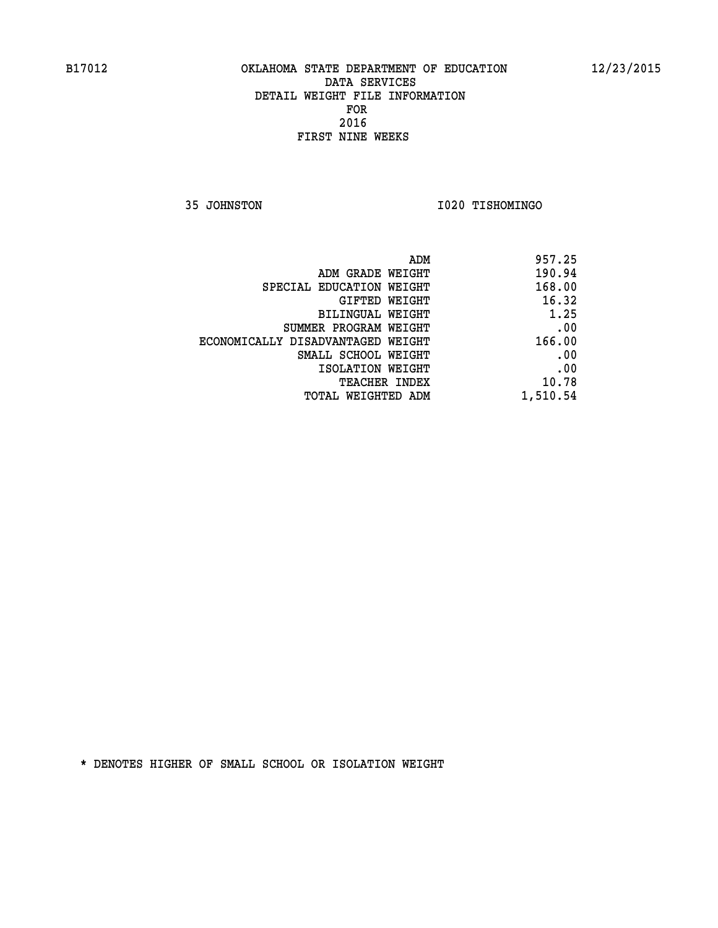**35 JOHNSTON I020 TISHOMINGO** 

| 957.25   |
|----------|
| 190.94   |
| 168.00   |
| 16.32    |
| 1.25     |
| .00      |
| 166.00   |
| .00      |
| .00      |
| 10.78    |
| 1,510.54 |
|          |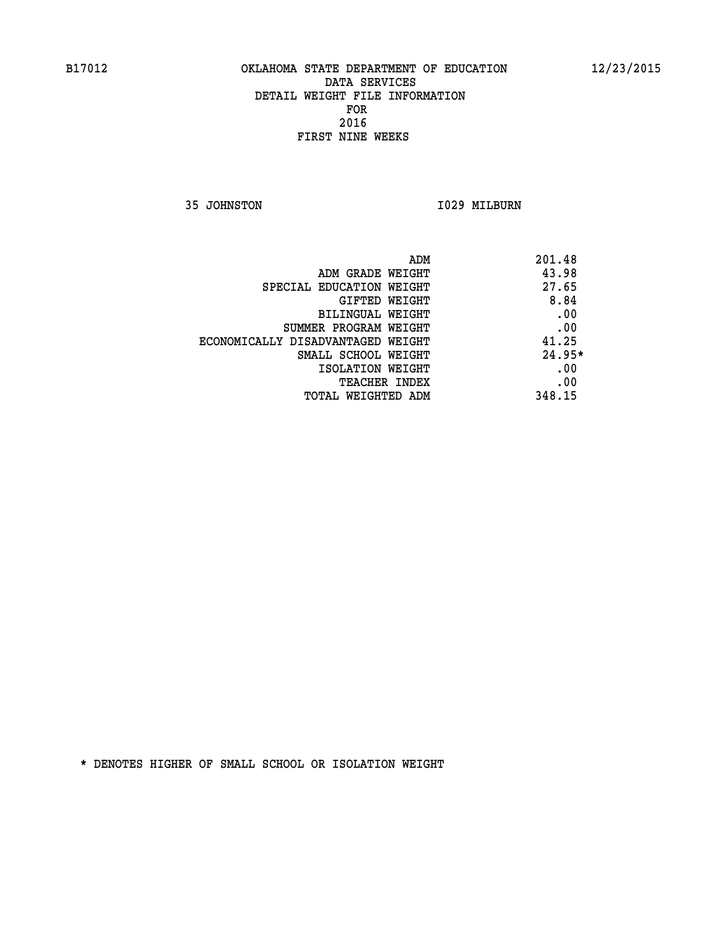**35 JOHNSTON 1029 MILBURN** 

| 201.48   | ADM                               |
|----------|-----------------------------------|
| 43.98    | ADM GRADE WEIGHT                  |
| 27.65    | SPECIAL EDUCATION WEIGHT          |
| 8.84     | <b>GIFTED WEIGHT</b>              |
| .00      | BILINGUAL WEIGHT                  |
| .00      | SUMMER PROGRAM WEIGHT             |
| 41.25    | ECONOMICALLY DISADVANTAGED WEIGHT |
| $24.95*$ | SMALL SCHOOL WEIGHT               |
| .00      | ISOLATION WEIGHT                  |
| .00      | <b>TEACHER INDEX</b>              |
| 348.15   | TOTAL WEIGHTED ADM                |
|          |                                   |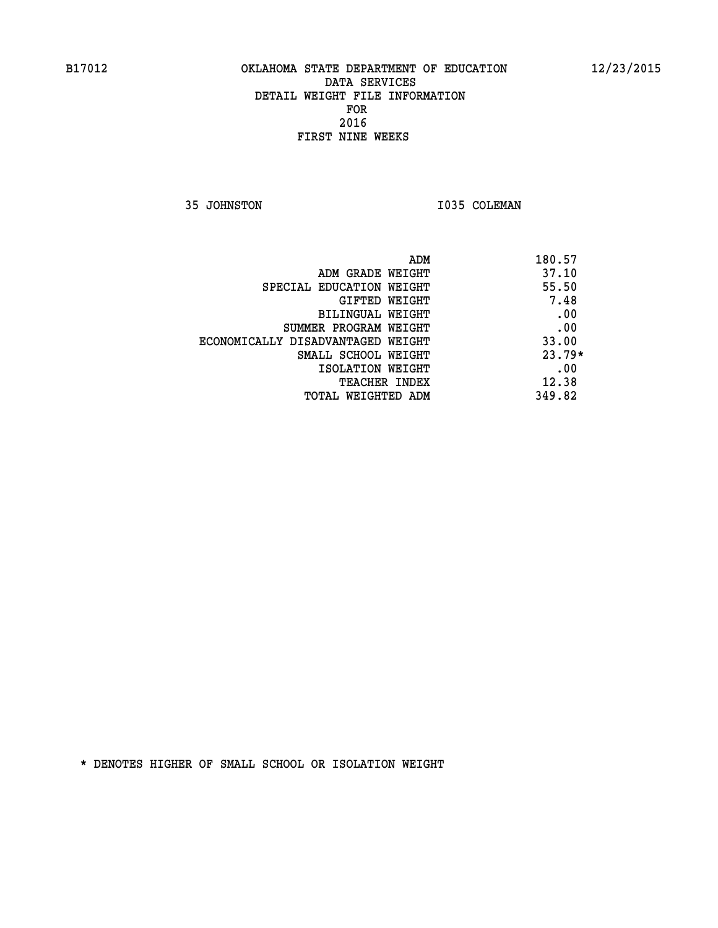**35 JOHNSTON 1035 COLEMAN** 

| 180.57   | ADM                               |
|----------|-----------------------------------|
| 37.10    | ADM GRADE WEIGHT                  |
| 55.50    | SPECIAL EDUCATION WEIGHT          |
| 7.48     | <b>GIFTED WEIGHT</b>              |
| .00      | BILINGUAL WEIGHT                  |
| .00      | SUMMER PROGRAM WEIGHT             |
| 33.00    | ECONOMICALLY DISADVANTAGED WEIGHT |
| $23.79*$ | SMALL SCHOOL WEIGHT               |
| .00      | ISOLATION WEIGHT                  |
| 12.38    | <b>TEACHER INDEX</b>              |
| 349.82   | TOTAL WEIGHTED ADM                |
|          |                                   |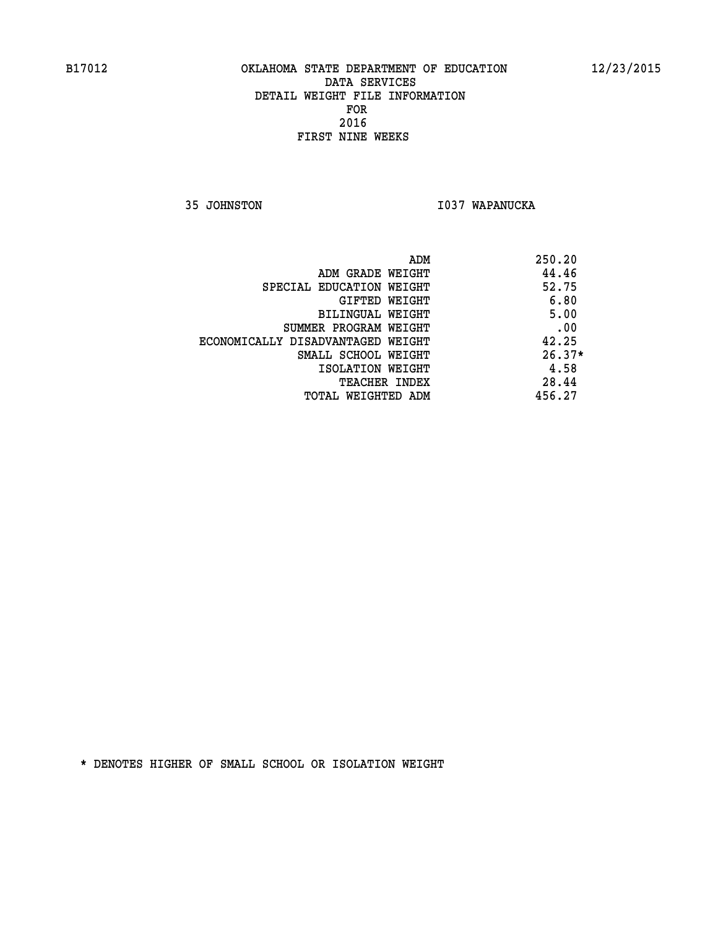**35 JOHNSTON I037 WAPANUCKA** 

| ADM                               | 250.20   |
|-----------------------------------|----------|
| ADM GRADE WEIGHT                  | 44.46    |
| SPECIAL EDUCATION WEIGHT          | 52.75    |
| GIFTED WEIGHT                     | 6.80     |
| BILINGUAL WEIGHT                  | 5.00     |
| SUMMER PROGRAM WEIGHT             | .00      |
| ECONOMICALLY DISADVANTAGED WEIGHT | 42.25    |
| SMALL SCHOOL WEIGHT               | $26.37*$ |
| ISOLATION WEIGHT                  | 4.58     |
| TEACHER INDEX                     | 28.44    |
| TOTAL WEIGHTED ADM                | 456.27   |
|                                   |          |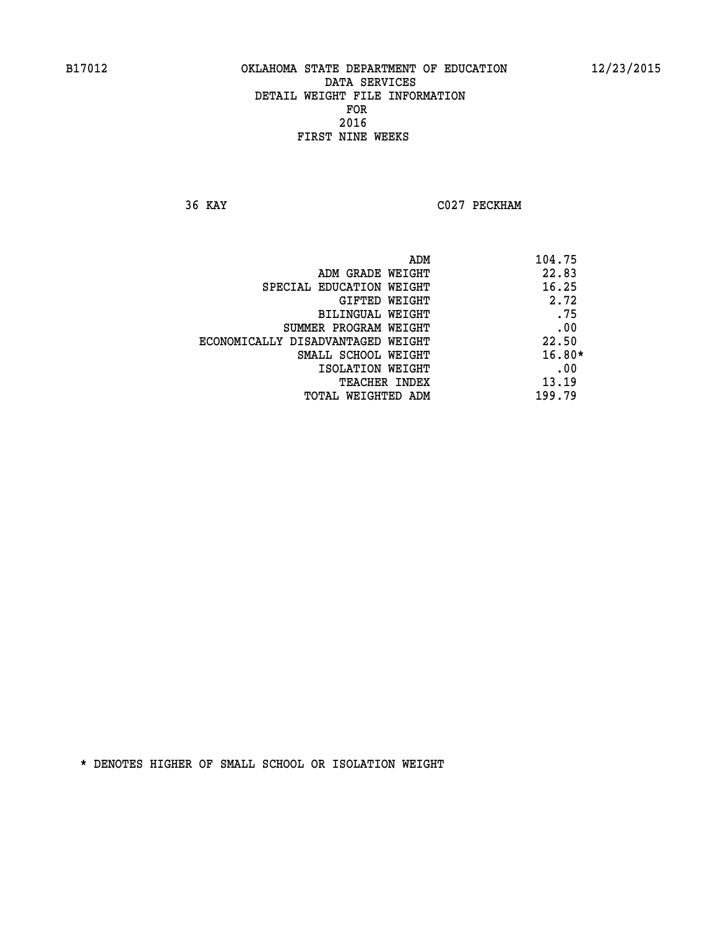**36 KAY C027 PECKHAM** 

|                                   | ADM | 104.75   |
|-----------------------------------|-----|----------|
| ADM GRADE WEIGHT                  |     | 22.83    |
| SPECIAL EDUCATION WEIGHT          |     | 16.25    |
| GIFTED WEIGHT                     |     | 2.72     |
| BILINGUAL WEIGHT                  |     | .75      |
| SUMMER PROGRAM WEIGHT             |     | .00      |
| ECONOMICALLY DISADVANTAGED WEIGHT |     | 22.50    |
| SMALL SCHOOL WEIGHT               |     | $16.80*$ |
| ISOLATION WEIGHT                  |     | .00      |
| <b>TEACHER INDEX</b>              |     | 13.19    |
| TOTAL WEIGHTED ADM                |     | 199.79   |
|                                   |     |          |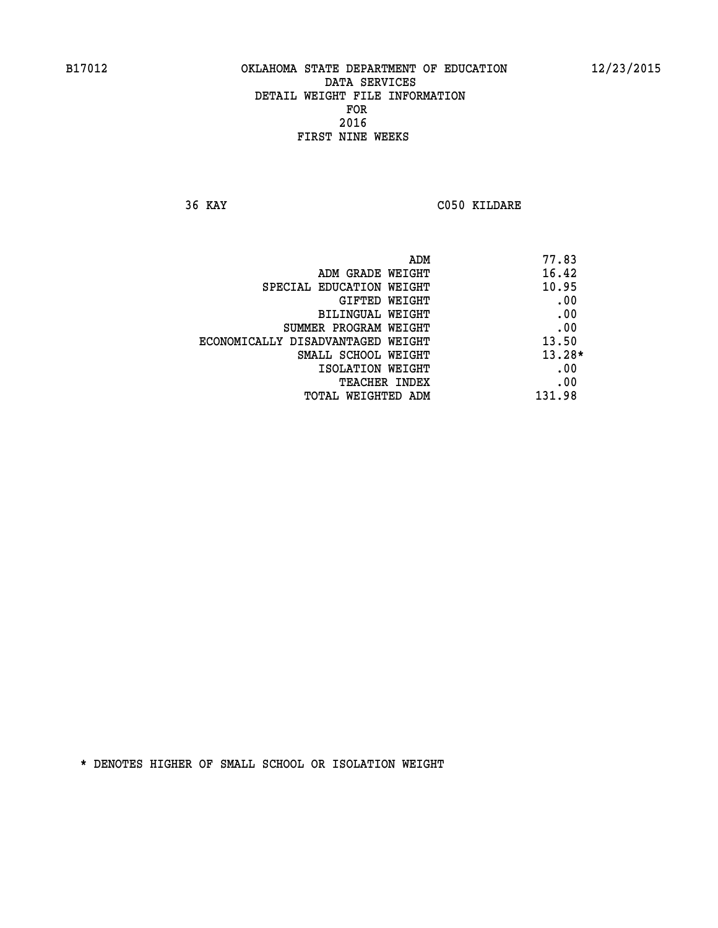**36 KAY C050 KILDARE** 

|                                   | ADM | 77.83    |
|-----------------------------------|-----|----------|
| ADM GRADE WEIGHT                  |     | 16.42    |
| SPECIAL EDUCATION WEIGHT          |     | 10.95    |
| GIFTED WEIGHT                     |     | .00      |
| BILINGUAL WEIGHT                  |     | .00      |
| SUMMER PROGRAM WEIGHT             |     | .00      |
| ECONOMICALLY DISADVANTAGED WEIGHT |     | 13.50    |
| SMALL SCHOOL WEIGHT               |     | $13.28*$ |
| ISOLATION WEIGHT                  |     | .00      |
| TEACHER INDEX                     |     | .00      |
| TOTAL WEIGHTED ADM                |     | 131.98   |
|                                   |     |          |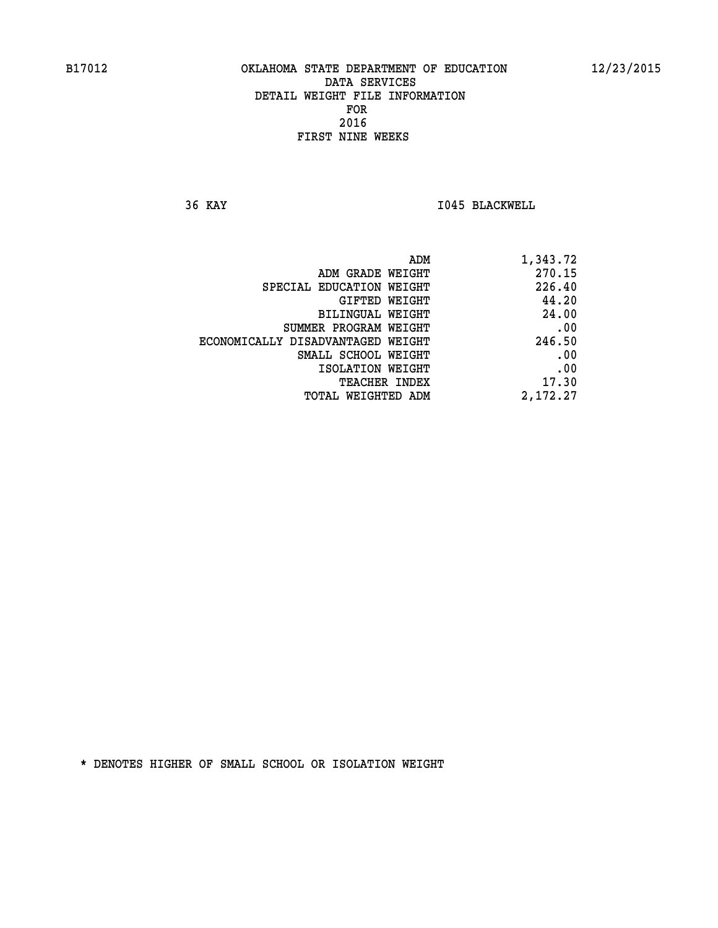**36 KAY I045 BLACKWELL** 

| 1,343.72 |
|----------|
| 270.15   |
| 226.40   |
| 44.20    |
| 24.00    |
| .00      |
| 246.50   |
| .00      |
| .00      |
| 17.30    |
| 2,172.27 |
|          |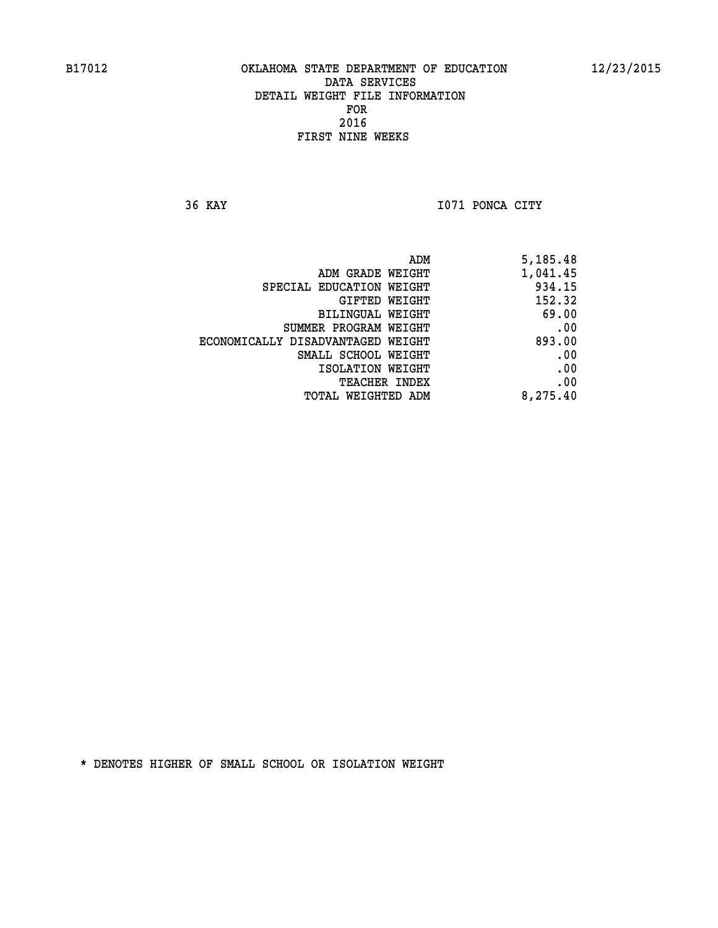**36 KAY I071 PONCA CITY** 

| 5,185.48 |
|----------|
| 1,041.45 |
| 934.15   |
| 152.32   |
| 69.00    |
| .00      |
| 893.00   |
| .00      |
| .00      |
| .00      |
| 8,275.40 |
|          |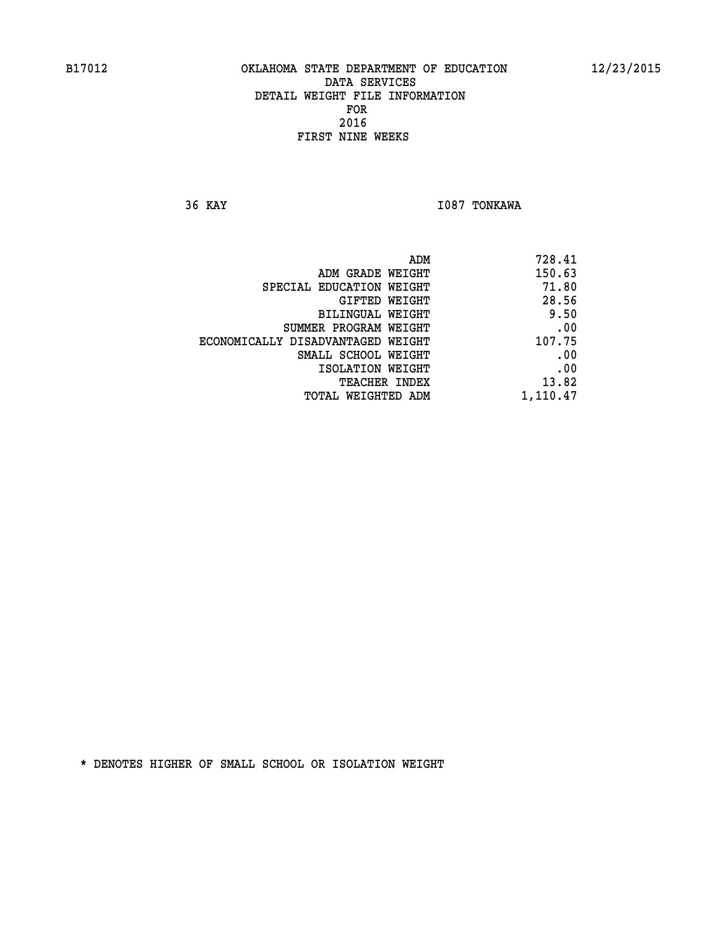**36 KAY I087 TONKAWA** 

| 728.41   |
|----------|
| 150.63   |
| 71.80    |
| 28.56    |
| 9.50     |
| .00      |
| 107.75   |
| .00      |
| .00      |
| 13.82    |
| 1,110.47 |
|          |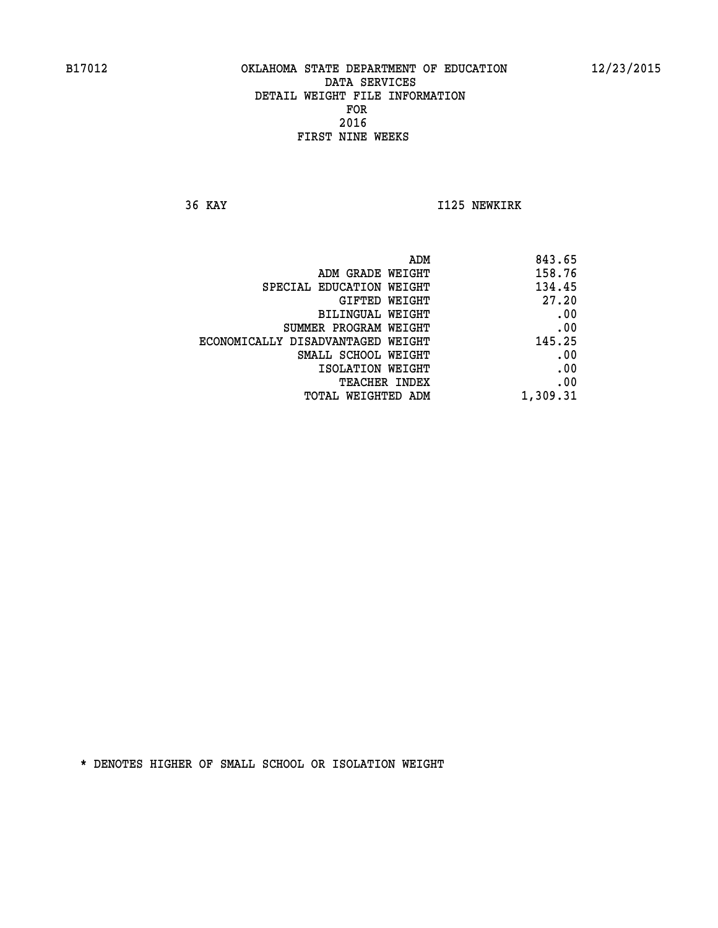**36 KAY I125 NEWKIRK** 

| 843.65   |
|----------|
| 158.76   |
| 134.45   |
| 27.20    |
| .00      |
| .00      |
| 145.25   |
| .00      |
| .00      |
| .00      |
| 1,309.31 |
|          |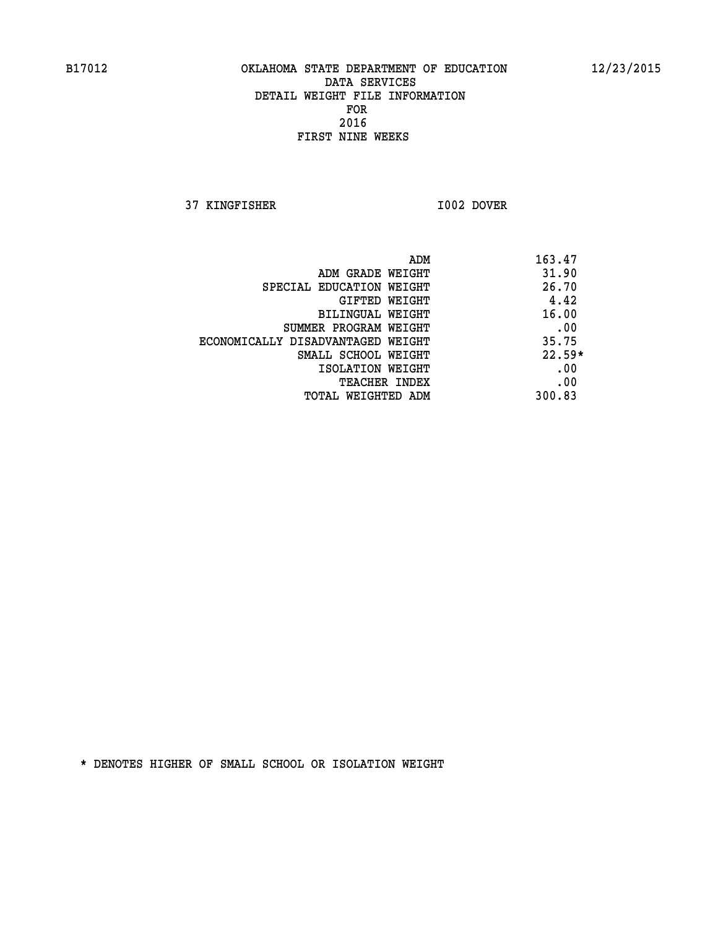**37 KINGFISHER I002 DOVER** 

| ADM                               | 163.47   |
|-----------------------------------|----------|
| ADM GRADE WEIGHT                  | 31.90    |
| SPECIAL EDUCATION WEIGHT          | 26.70    |
| GIFTED WEIGHT                     | 4.42     |
| BILINGUAL WEIGHT                  | 16.00    |
| SUMMER PROGRAM WEIGHT             | .00      |
| ECONOMICALLY DISADVANTAGED WEIGHT | 35.75    |
| SMALL SCHOOL WEIGHT               | $22.59*$ |
| ISOLATION WEIGHT                  | .00      |
| <b>TEACHER INDEX</b>              | .00      |
| TOTAL WEIGHTED ADM                | 300.83   |
|                                   |          |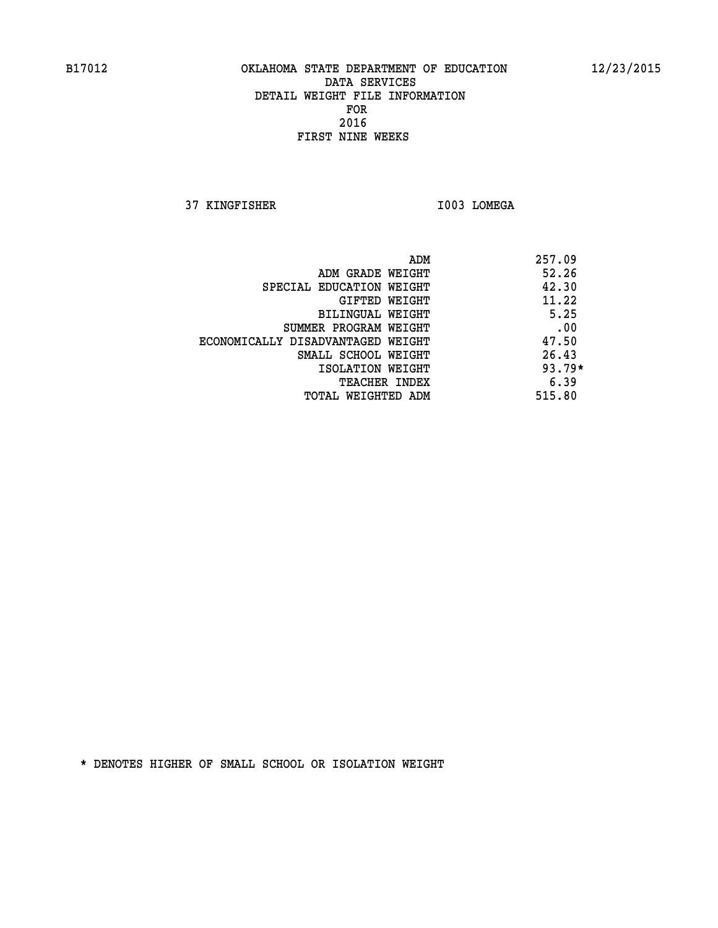**37 KINGFISHER I003 LOMEGA** 

| ADM                               | 257.09   |
|-----------------------------------|----------|
| ADM GRADE WEIGHT                  | 52.26    |
| SPECIAL EDUCATION WEIGHT          | 42.30    |
| GIFTED WEIGHT                     | 11.22    |
| BILINGUAL WEIGHT                  | 5.25     |
| SUMMER PROGRAM WEIGHT             | .00      |
| ECONOMICALLY DISADVANTAGED WEIGHT | 47.50    |
| SMALL SCHOOL WEIGHT               | 26.43    |
| ISOLATION WEIGHT                  | $93.79*$ |
| <b>TEACHER INDEX</b>              | 6.39     |
| TOTAL WEIGHTED ADM                | 515.80   |
|                                   |          |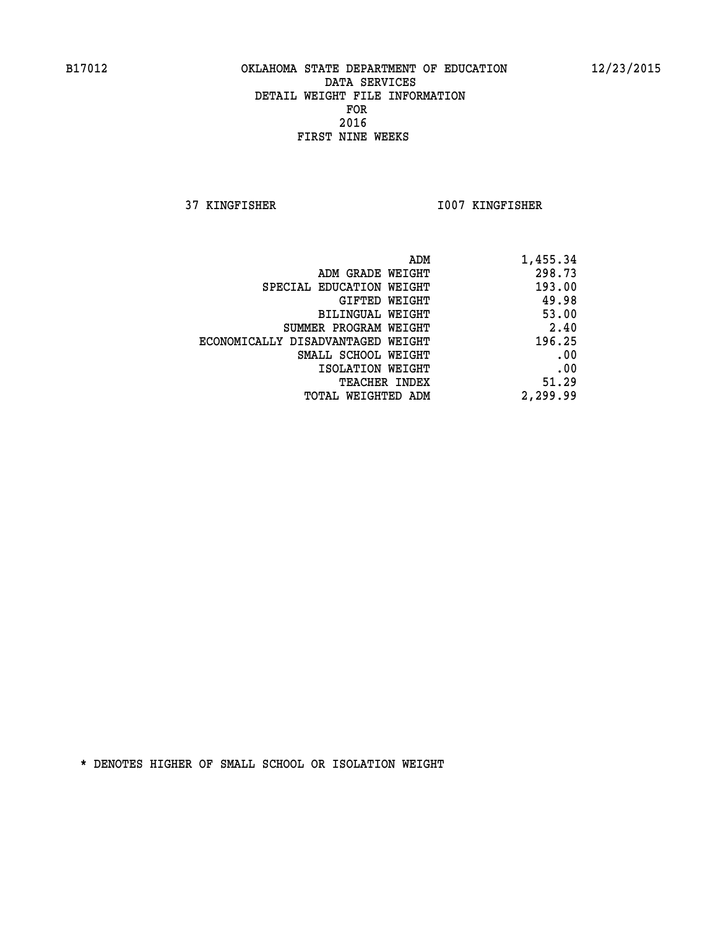**37 KINGFISHER I007 KINGFISHER** 

| 1,455.34 |
|----------|
| 298.73   |
| 193.00   |
| 49.98    |
| 53.00    |
| 2.40     |
| 196.25   |
| .00      |
| .00      |
| 51.29    |
| 2,299.99 |
|          |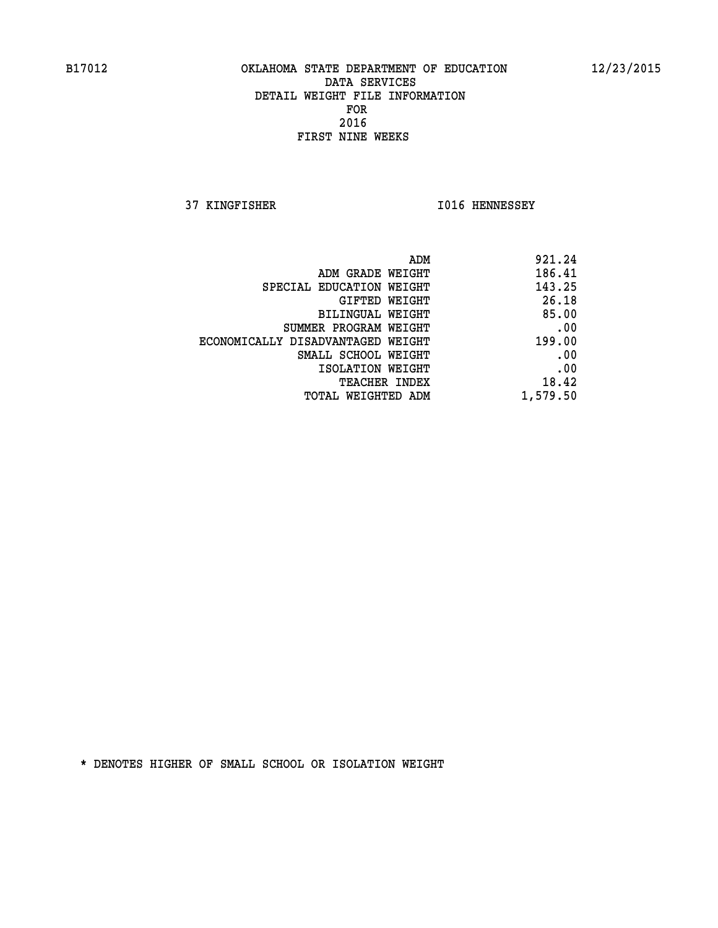**37 KINGFISHER I016 HENNESSEY** 

| 921.24   |
|----------|
| 186.41   |
| 143.25   |
| 26.18    |
| 85.00    |
| .00      |
| 199.00   |
| .00      |
| .00      |
| 18.42    |
| 1,579.50 |
|          |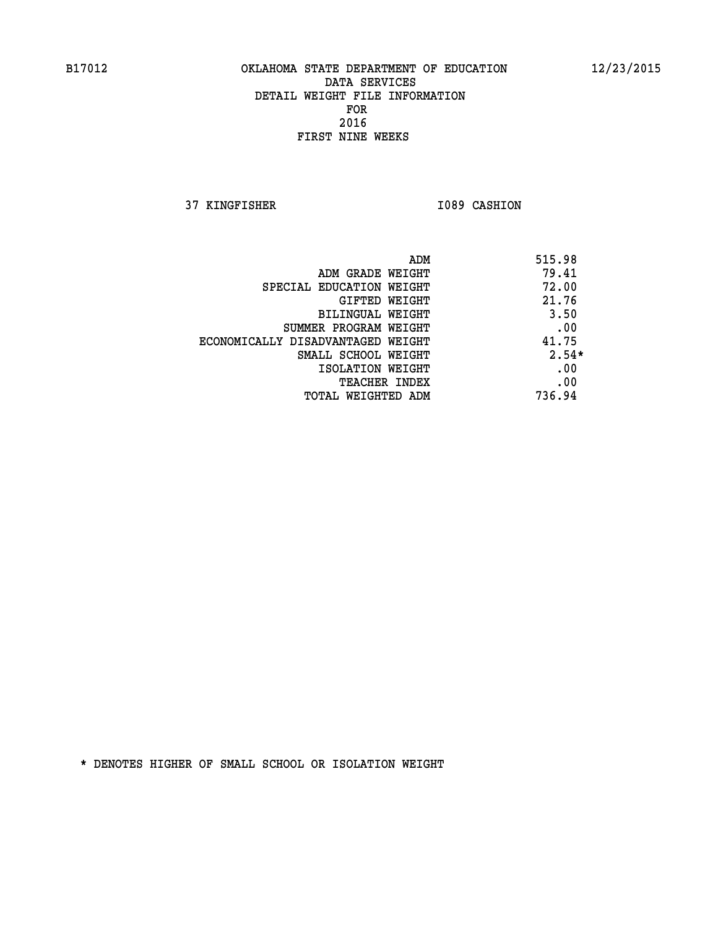**37 KINGFISHER I089 CASHION** 

| ADM                               | 515.98  |
|-----------------------------------|---------|
| ADM GRADE WEIGHT                  | 79.41   |
| SPECIAL EDUCATION WEIGHT          | 72.00   |
| GIFTED WEIGHT                     | 21.76   |
| <b>BILINGUAL WEIGHT</b>           | 3.50    |
| SUMMER PROGRAM WEIGHT             | .00     |
| ECONOMICALLY DISADVANTAGED WEIGHT | 41.75   |
| SMALL SCHOOL WEIGHT               | $2.54*$ |
| ISOLATION WEIGHT                  | .00     |
| <b>TEACHER INDEX</b>              | .00     |
| TOTAL WEIGHTED ADM                | 736.94  |
|                                   |         |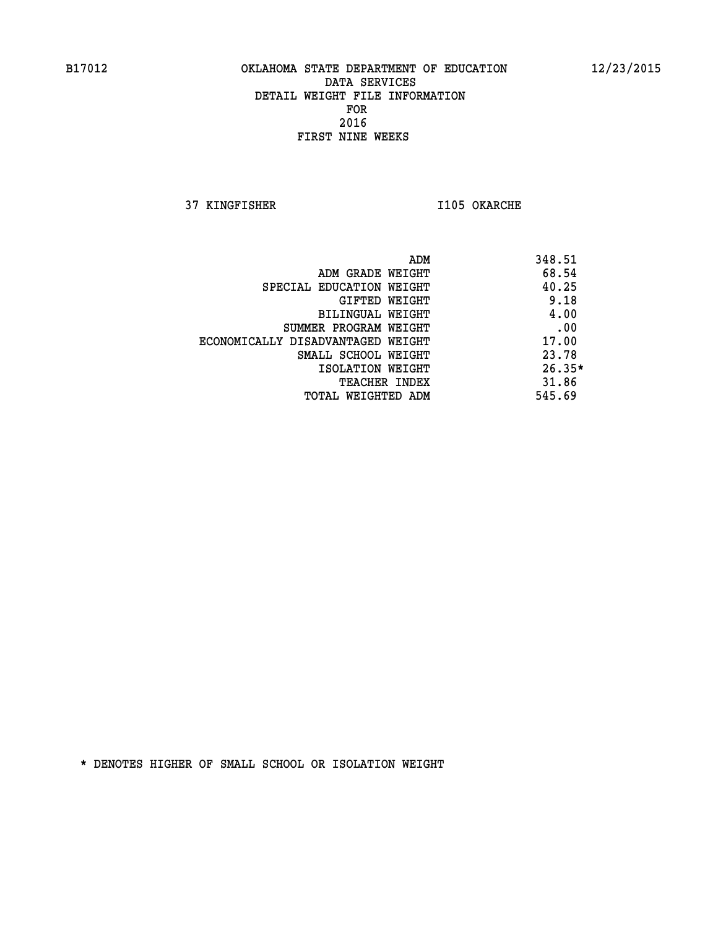**37 KINGFISHER I105 OKARCHE** 

| ADM                               | 348.51   |
|-----------------------------------|----------|
| ADM GRADE WEIGHT                  | 68.54    |
| SPECIAL EDUCATION WEIGHT          | 40.25    |
| GIFTED WEIGHT                     | 9.18     |
| BILINGUAL WEIGHT                  | 4.00     |
| SUMMER PROGRAM WEIGHT             | .00      |
| ECONOMICALLY DISADVANTAGED WEIGHT | 17.00    |
| SMALL SCHOOL WEIGHT               | 23.78    |
| ISOLATION WEIGHT                  | $26.35*$ |
| <b>TEACHER INDEX</b>              | 31.86    |
| TOTAL WEIGHTED ADM                | 545.69   |
|                                   |          |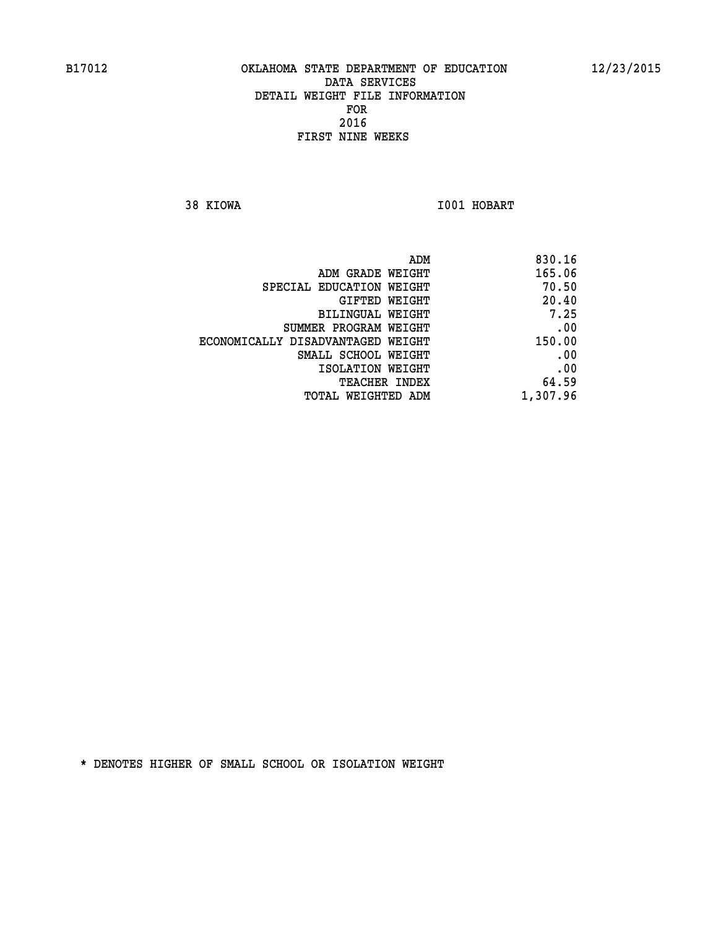**38 KIOWA I001 HOBART** 

| 830.16   |
|----------|
| 165.06   |
| 70.50    |
| 20.40    |
| 7.25     |
| .00      |
| 150.00   |
| .00      |
| .00      |
| 64.59    |
| 1,307.96 |
|          |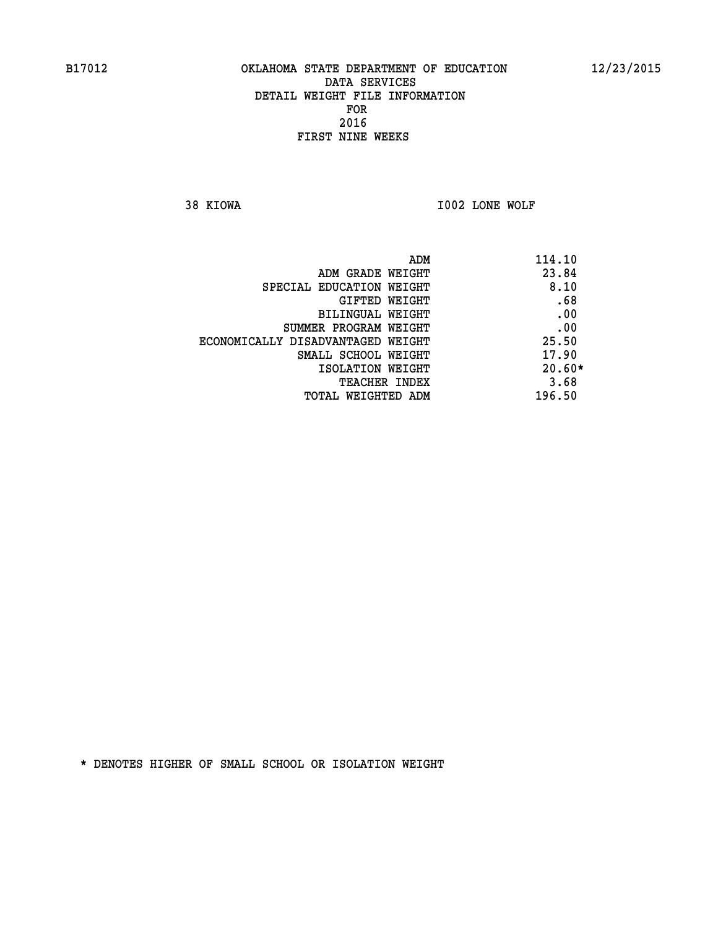**38 KIOWA I002 LONE WOLF** 

|                                   | 114.10<br>ADM |
|-----------------------------------|---------------|
| ADM GRADE WEIGHT                  | 23.84         |
| SPECIAL EDUCATION WEIGHT          | 8.10          |
| GIFTED WEIGHT                     | .68           |
| BILINGUAL WEIGHT                  | .00           |
| SUMMER PROGRAM WEIGHT             | .00           |
| ECONOMICALLY DISADVANTAGED WEIGHT | 25.50         |
| SMALL SCHOOL WEIGHT               | 17.90         |
| ISOLATION WEIGHT                  | $20.60*$      |
| <b>TEACHER INDEX</b>              | 3.68          |
| TOTAL WEIGHTED ADM                | 196.50        |
|                                   |               |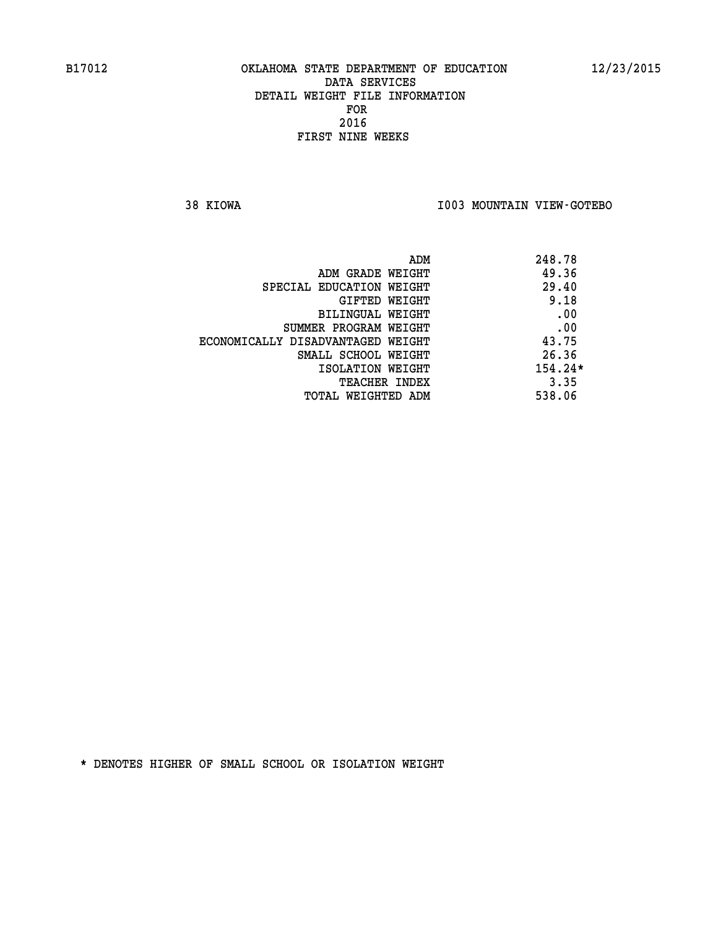**38 KIOWA I003 MOUNTAIN VIEW-GOTEBO** 

|                                   | 248.78<br>ADM |
|-----------------------------------|---------------|
| ADM GRADE WEIGHT                  | 49.36         |
| SPECIAL EDUCATION WEIGHT          | 29.40         |
| GIFTED WEIGHT                     | 9.18          |
| BILINGUAL WEIGHT                  | .00           |
| SUMMER PROGRAM WEIGHT             | .00           |
| ECONOMICALLY DISADVANTAGED WEIGHT | 43.75         |
| SMALL SCHOOL WEIGHT               | 26.36         |
| ISOLATION WEIGHT                  | $154.24*$     |
| <b>TEACHER INDEX</b>              | 3.35          |
| TOTAL WEIGHTED ADM                | 538.06        |
|                                   |               |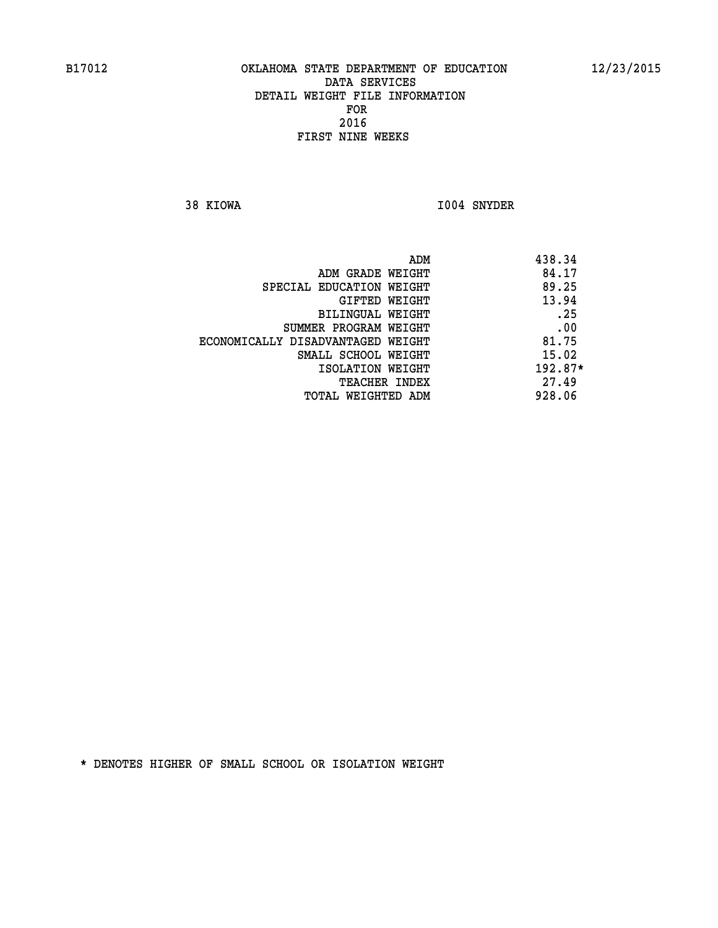**38 KIOWA I004 SNYDER** 

|                                   | ADM | 438.34    |
|-----------------------------------|-----|-----------|
| ADM GRADE WEIGHT                  |     | 84.17     |
| SPECIAL EDUCATION WEIGHT          |     | 89.25     |
| GIFTED WEIGHT                     |     | 13.94     |
| BILINGUAL WEIGHT                  |     | .25       |
| SUMMER PROGRAM WEIGHT             |     | .00       |
| ECONOMICALLY DISADVANTAGED WEIGHT |     | 81.75     |
| SMALL SCHOOL WEIGHT               |     | 15.02     |
| ISOLATION WEIGHT                  |     | $192.87*$ |
| <b>TEACHER INDEX</b>              |     | 27.49     |
| TOTAL WEIGHTED ADM                |     | 928.06    |
|                                   |     |           |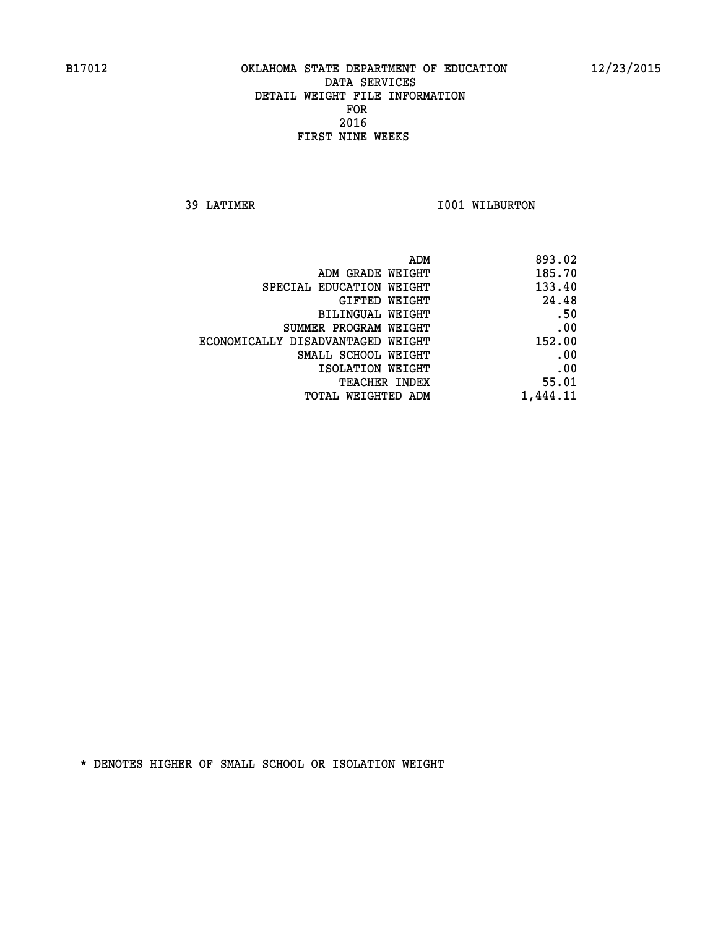**39 LATIMER 1001 WILBURTON** 

| 893.02   |
|----------|
| 185.70   |
| 133.40   |
| 24.48    |
| .50      |
| .00      |
| 152.00   |
| .00      |
| .00      |
| 55.01    |
| 1,444.11 |
|          |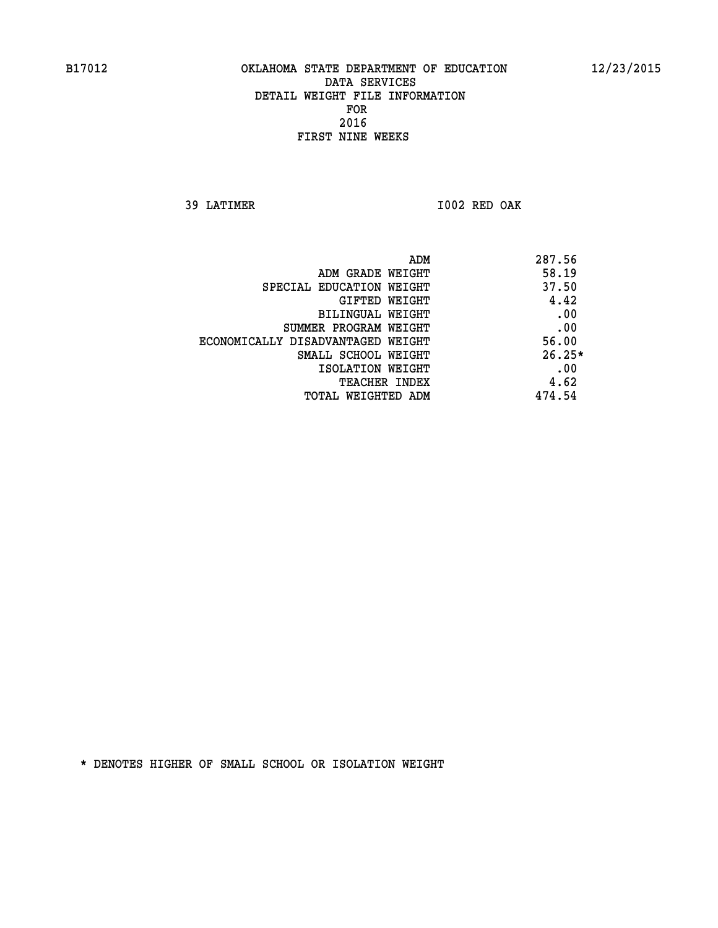**39 LATIMER I002 RED OAK** 

| ADM<br>287.56 |                                   |
|---------------|-----------------------------------|
| 58.19         | ADM GRADE WEIGHT                  |
| 37.50         | SPECIAL EDUCATION WEIGHT          |
| 4.42          | GIFTED WEIGHT                     |
| .00           | BILINGUAL WEIGHT                  |
| .00           | SUMMER PROGRAM WEIGHT             |
| 56.00         | ECONOMICALLY DISADVANTAGED WEIGHT |
| $26.25*$      | SMALL SCHOOL WEIGHT               |
| .00           | ISOLATION WEIGHT                  |
| 4.62          | <b>TEACHER INDEX</b>              |
| 474.54        | TOTAL WEIGHTED ADM                |
|               |                                   |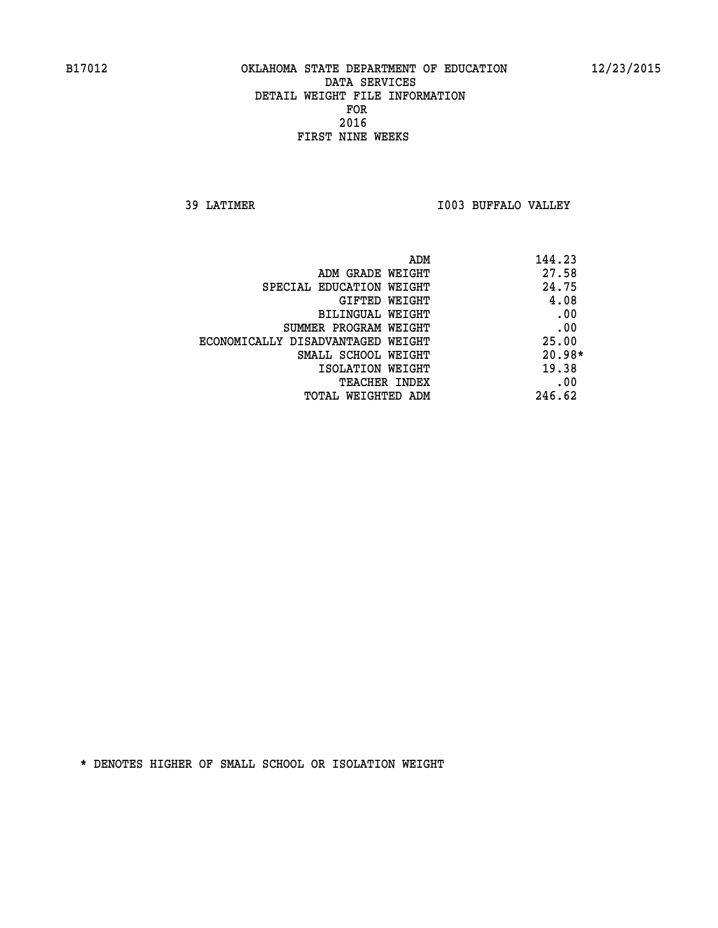**39 LATIMER I003 BUFFALO VALLEY** 

| ADM                               | 144.23   |
|-----------------------------------|----------|
| ADM GRADE WEIGHT                  | 27.58    |
| SPECIAL EDUCATION WEIGHT          | 24.75    |
| GIFTED WEIGHT                     | 4.08     |
| BILINGUAL WEIGHT                  | .00      |
| SUMMER PROGRAM WEIGHT             | .00      |
| ECONOMICALLY DISADVANTAGED WEIGHT | 25.00    |
| SMALL SCHOOL WEIGHT               | $20.98*$ |
| ISOLATION WEIGHT                  | 19.38    |
| <b>TEACHER INDEX</b>              | .00      |
| TOTAL WEIGHTED ADM                | 246.62   |
|                                   |          |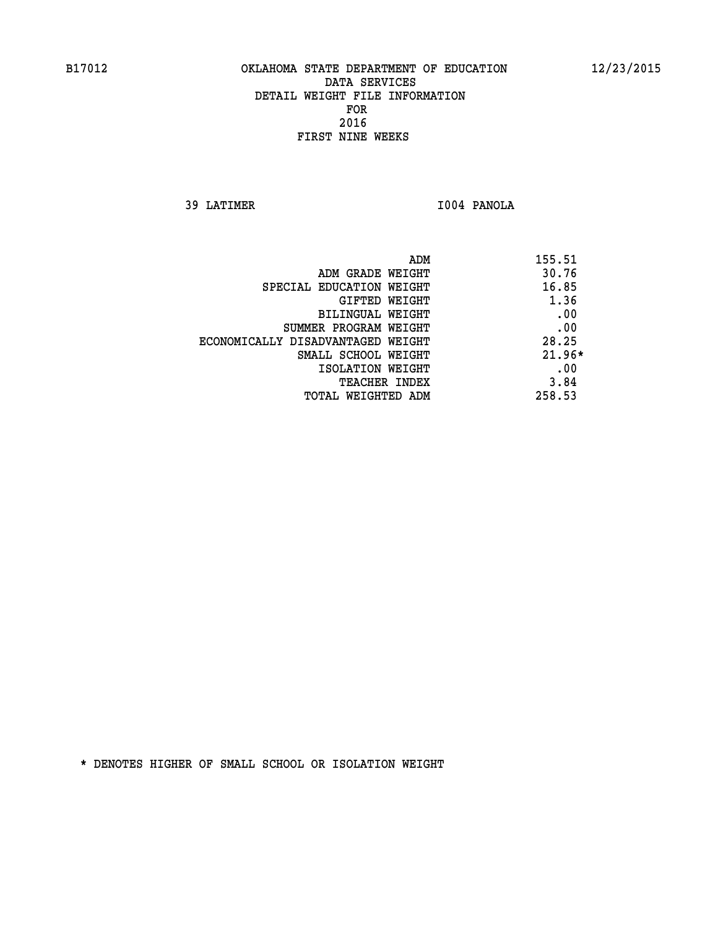**39 LATIMER I004 PANOLA** 

| 155.51<br>ADM                     |          |
|-----------------------------------|----------|
| ADM GRADE WEIGHT                  | 30.76    |
| SPECIAL EDUCATION WEIGHT          | 16.85    |
| GIFTED WEIGHT                     | 1.36     |
| BILINGUAL WEIGHT                  | .00      |
| SUMMER PROGRAM WEIGHT             | .00      |
| ECONOMICALLY DISADVANTAGED WEIGHT | 28.25    |
| SMALL SCHOOL WEIGHT               | $21.96*$ |
| ISOLATION WEIGHT                  | .00      |
| <b>TEACHER INDEX</b>              | 3.84     |
| 258.53<br>TOTAL WEIGHTED ADM      |          |
|                                   |          |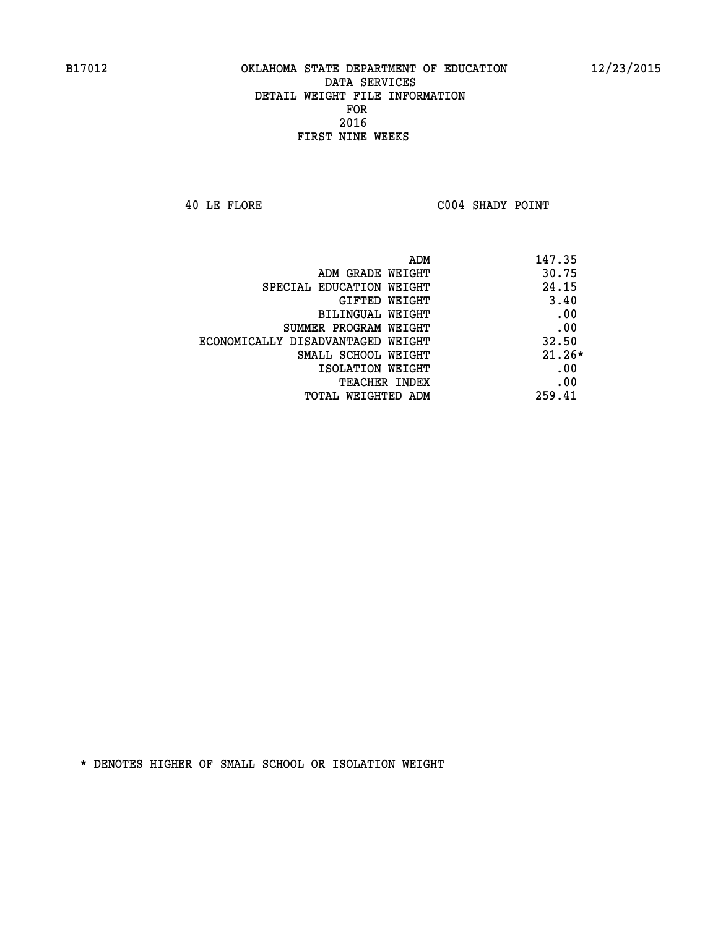**40 LE FLORE C004 SHADY POINT** 

| ADM                               | 147.35   |
|-----------------------------------|----------|
| ADM GRADE WEIGHT                  | 30.75    |
| SPECIAL EDUCATION WEIGHT          | 24.15    |
| <b>GIFTED WEIGHT</b>              | 3.40     |
| BILINGUAL WEIGHT                  | .00      |
| SUMMER PROGRAM WEIGHT             | .00      |
| ECONOMICALLY DISADVANTAGED WEIGHT | 32.50    |
| SMALL SCHOOL WEIGHT               | $21.26*$ |
| ISOLATION WEIGHT                  | .00      |
| <b>TEACHER INDEX</b>              | .00      |
| TOTAL WEIGHTED ADM                | 259.41   |
|                                   |          |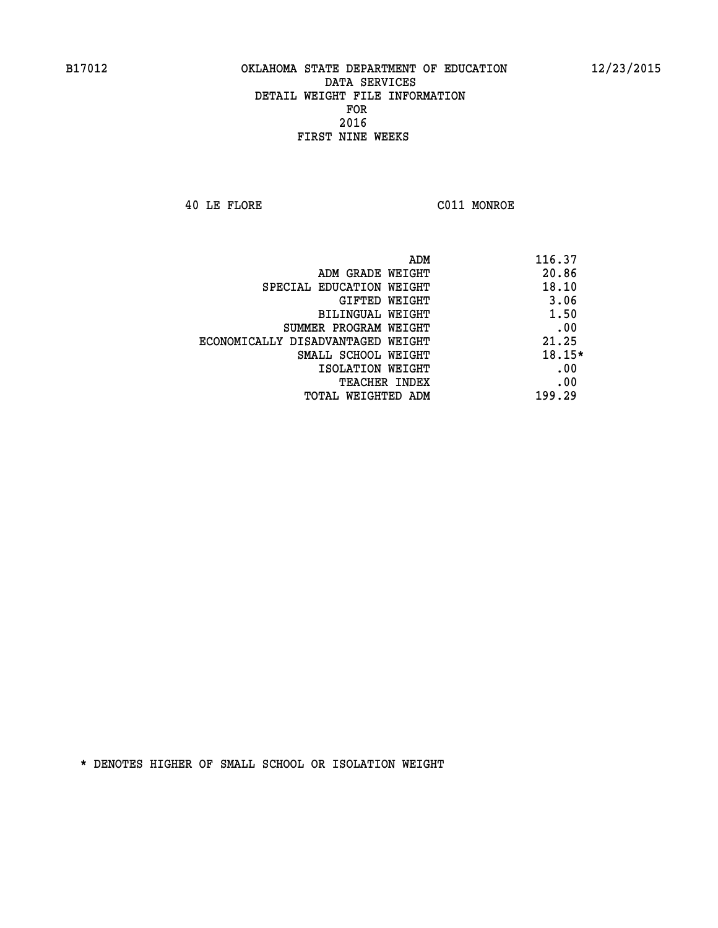**40 LE FLORE C011 MONROE** 

| ADM                               | 116.37   |
|-----------------------------------|----------|
| ADM GRADE WEIGHT                  | 20.86    |
| SPECIAL EDUCATION WEIGHT          | 18.10    |
| <b>GIFTED WEIGHT</b>              | 3.06     |
| BILINGUAL WEIGHT                  | 1.50     |
| SUMMER PROGRAM WEIGHT             | .00      |
| ECONOMICALLY DISADVANTAGED WEIGHT | 21.25    |
| SMALL SCHOOL WEIGHT               | $18.15*$ |
| ISOLATION WEIGHT                  | .00      |
| <b>TEACHER INDEX</b>              | .00      |
| TOTAL WEIGHTED ADM                | 199.29   |
|                                   |          |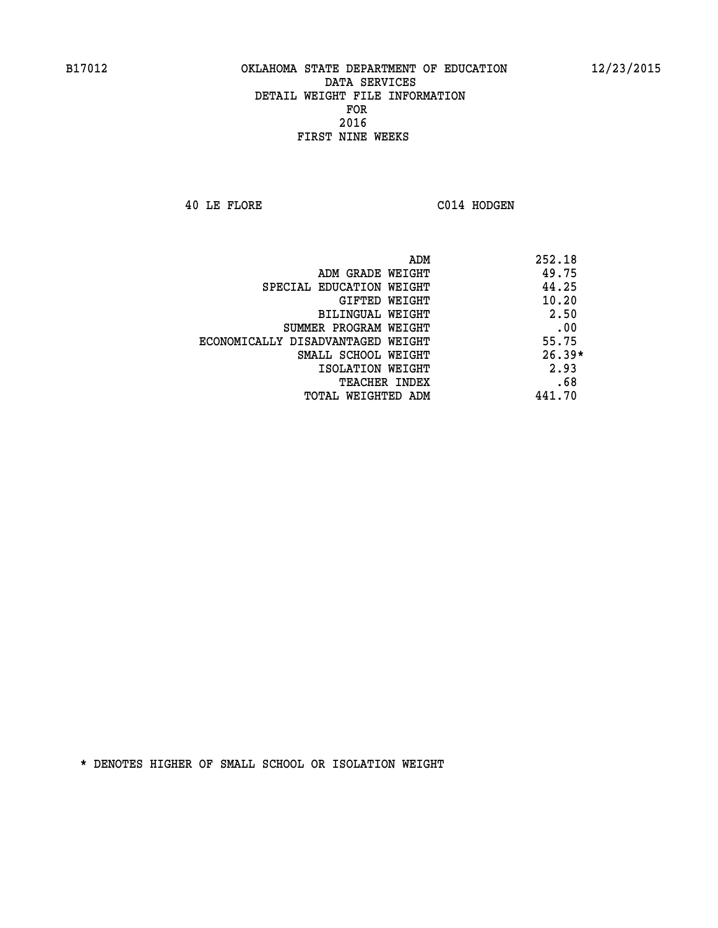**40 LE FLORE C014 HODGEN** 

| ADM<br>252.18                              |     |
|--------------------------------------------|-----|
| 49.75<br>ADM GRADE WEIGHT                  |     |
| 44.25<br>SPECIAL EDUCATION WEIGHT          |     |
| 10.20<br>GIFTED WEIGHT                     |     |
| 2.50<br><b>BILINGUAL WEIGHT</b>            |     |
| SUMMER PROGRAM WEIGHT                      | .00 |
| 55.75<br>ECONOMICALLY DISADVANTAGED WEIGHT |     |
| $26.39*$<br>SMALL SCHOOL WEIGHT            |     |
| 2.93<br>ISOLATION WEIGHT                   |     |
| <b>TEACHER INDEX</b>                       | .68 |
| 441.70<br>TOTAL WEIGHTED ADM               |     |
|                                            |     |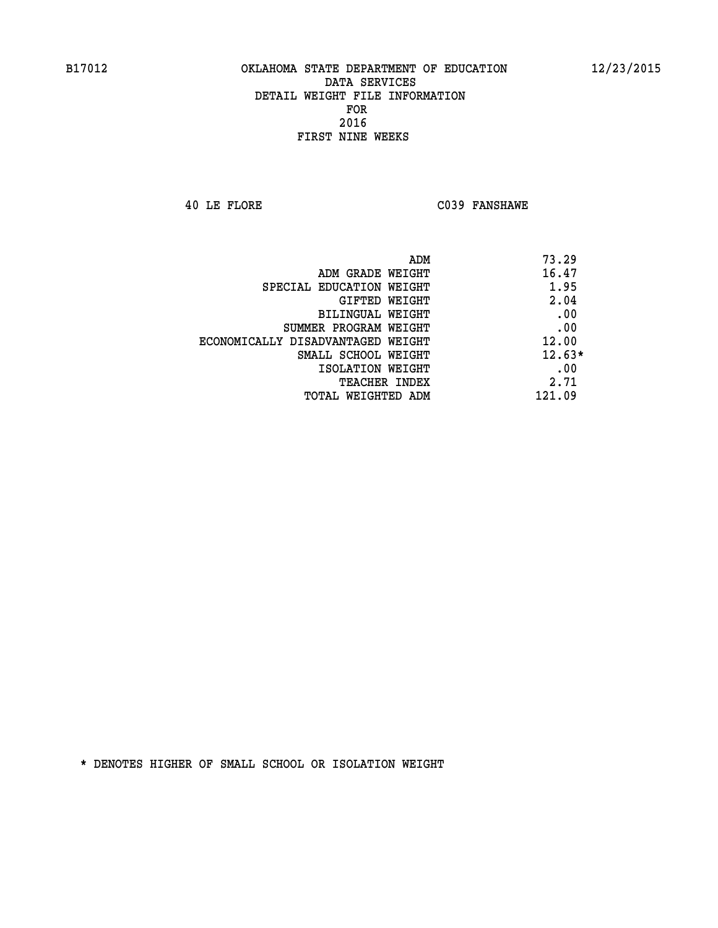**40 LE FLORE C039 FANSHAWE** 

| ADM<br>73.29                               |  |
|--------------------------------------------|--|
| 16.47<br>ADM GRADE WEIGHT                  |  |
| 1.95<br>SPECIAL EDUCATION WEIGHT           |  |
| 2.04<br>GIFTED WEIGHT                      |  |
| .00<br><b>BILINGUAL WEIGHT</b>             |  |
| .00<br>SUMMER PROGRAM WEIGHT               |  |
| 12.00<br>ECONOMICALLY DISADVANTAGED WEIGHT |  |
| $12.63*$<br>SMALL SCHOOL WEIGHT            |  |
| .00<br>ISOLATION WEIGHT                    |  |
| 2.71<br><b>TEACHER INDEX</b>               |  |
| 121.09<br>TOTAL WEIGHTED ADM               |  |
|                                            |  |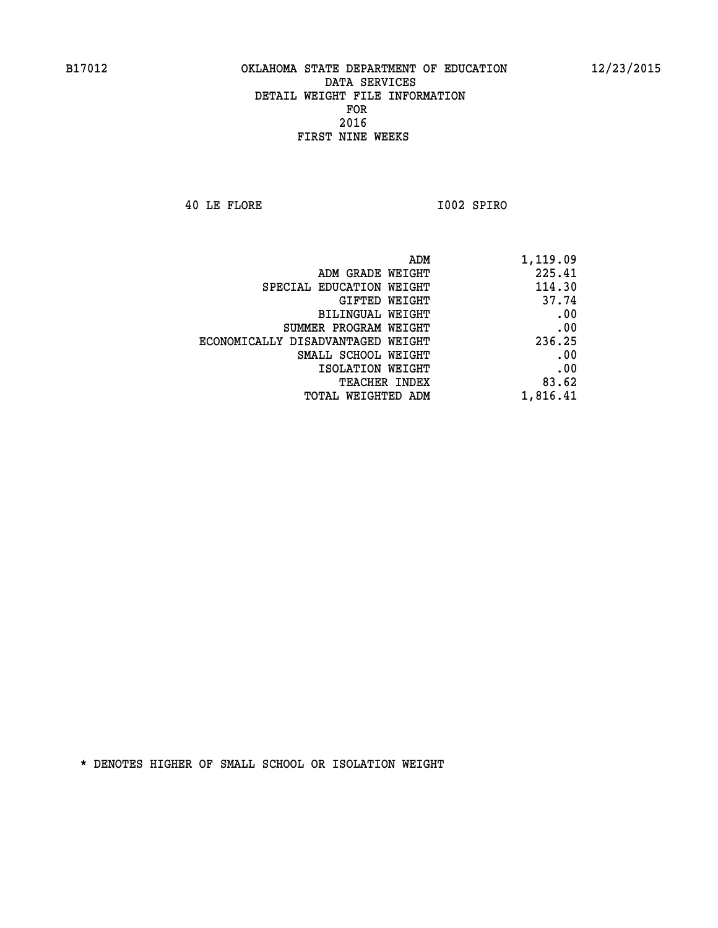**40 LE FLORE I002 SPIRO** 

| 1,119.09 |
|----------|
| 225.41   |
| 114.30   |
| 37.74    |
| .00      |
| .00      |
| 236.25   |
| .00      |
| .00      |
| 83.62    |
| 1,816.41 |
|          |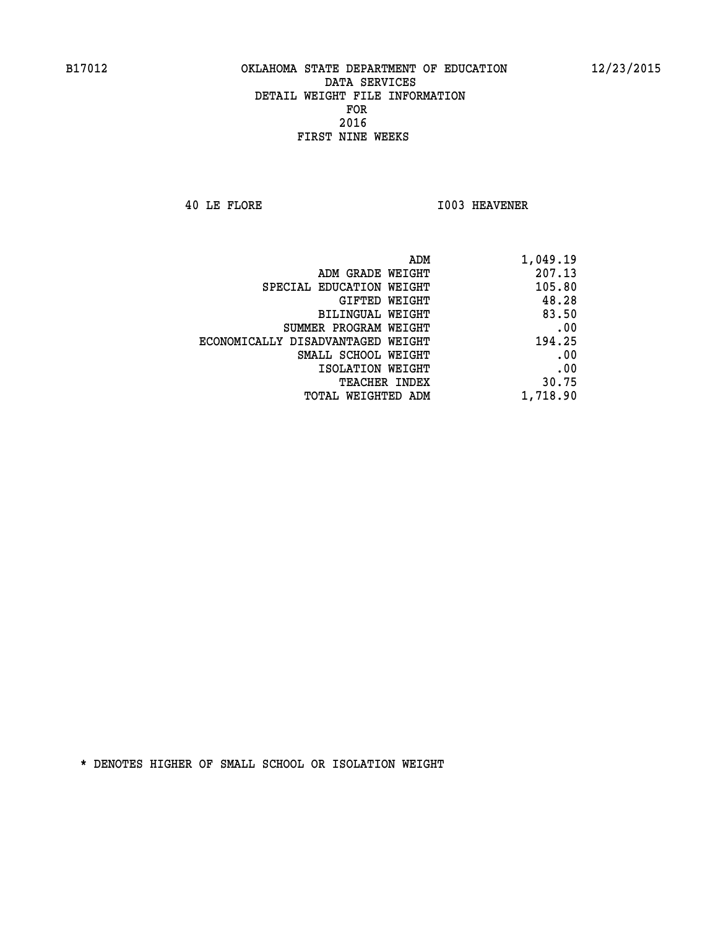**40 LE FLORE I003 HEAVENER** 

| ADM                               | 1,049.19 |
|-----------------------------------|----------|
| ADM GRADE WEIGHT                  | 207.13   |
| SPECIAL EDUCATION WEIGHT          | 105.80   |
| GIFTED WEIGHT                     | 48.28    |
| BILINGUAL WEIGHT                  | 83.50    |
| SUMMER PROGRAM WEIGHT             | .00      |
| ECONOMICALLY DISADVANTAGED WEIGHT | 194.25   |
| SMALL SCHOOL WEIGHT               | .00      |
| ISOLATION WEIGHT                  | .00      |
| <b>TEACHER INDEX</b>              | 30.75    |
| <b>TOTAL WEIGHTED ADM</b>         | 1,718.90 |
|                                   |          |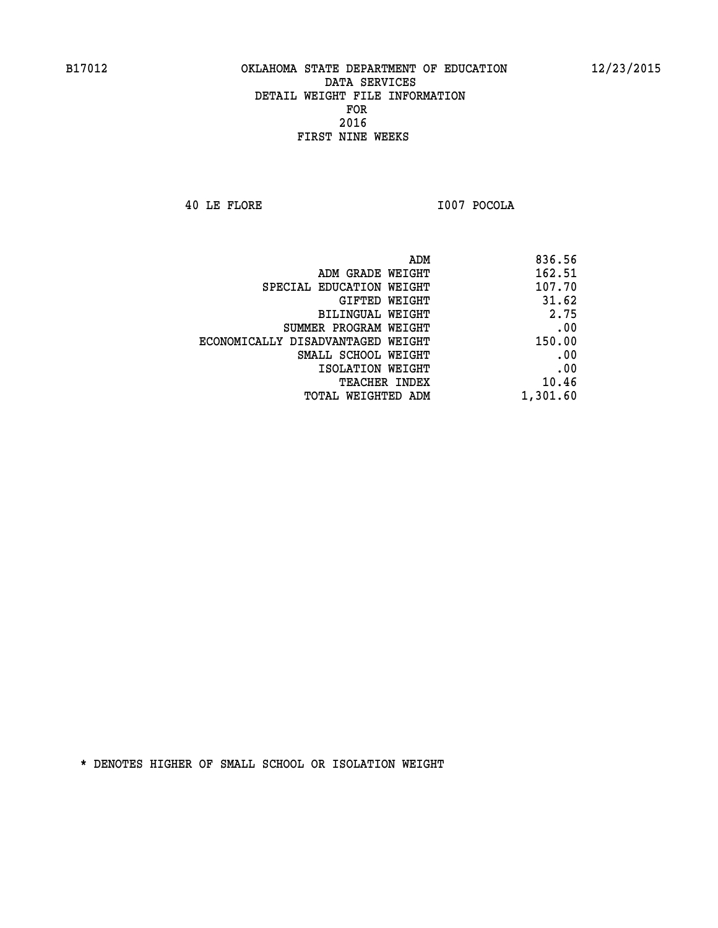**40 LE FLORE I007 POCOLA** 

| ADM GRADE WEIGHT                  | 162.51   |
|-----------------------------------|----------|
|                                   |          |
| SPECIAL EDUCATION WEIGHT          | 107.70   |
| GIFTED WEIGHT                     | 31.62    |
| BILINGUAL WEIGHT                  | 2.75     |
| SUMMER PROGRAM WEIGHT             | .00      |
| ECONOMICALLY DISADVANTAGED WEIGHT | 150.00   |
| SMALL SCHOOL WEIGHT               | .00      |
| ISOLATION WEIGHT                  | .00      |
| TEACHER INDEX                     | 10.46    |
| TOTAL WEIGHTED ADM                | 1,301.60 |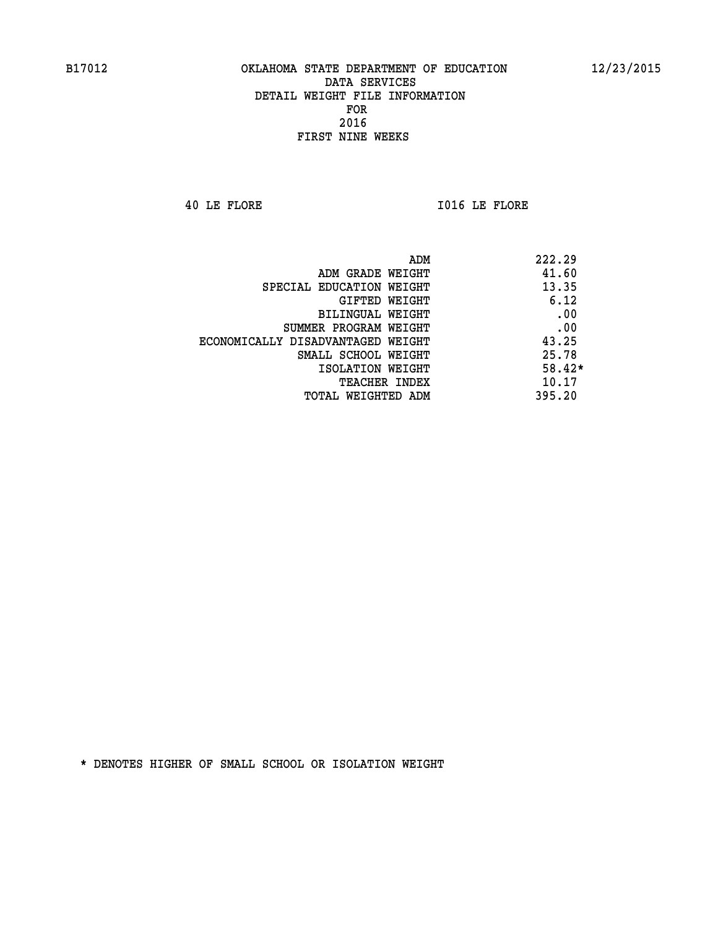**40 LE FLORE I016 LE FLORE** 

| ADM                               | 222.29   |
|-----------------------------------|----------|
| ADM GRADE WEIGHT                  | 41.60    |
| SPECIAL EDUCATION WEIGHT          | 13.35    |
| GIFTED WEIGHT                     | 6.12     |
| <b>BILINGUAL WEIGHT</b>           | .00      |
| SUMMER PROGRAM WEIGHT             | .00      |
| ECONOMICALLY DISADVANTAGED WEIGHT | 43.25    |
| SMALL SCHOOL WEIGHT               | 25.78    |
| ISOLATION WEIGHT                  | $58.42*$ |
| <b>TEACHER INDEX</b>              | 10.17    |
| TOTAL WEIGHTED ADM                | 395.20   |
|                                   |          |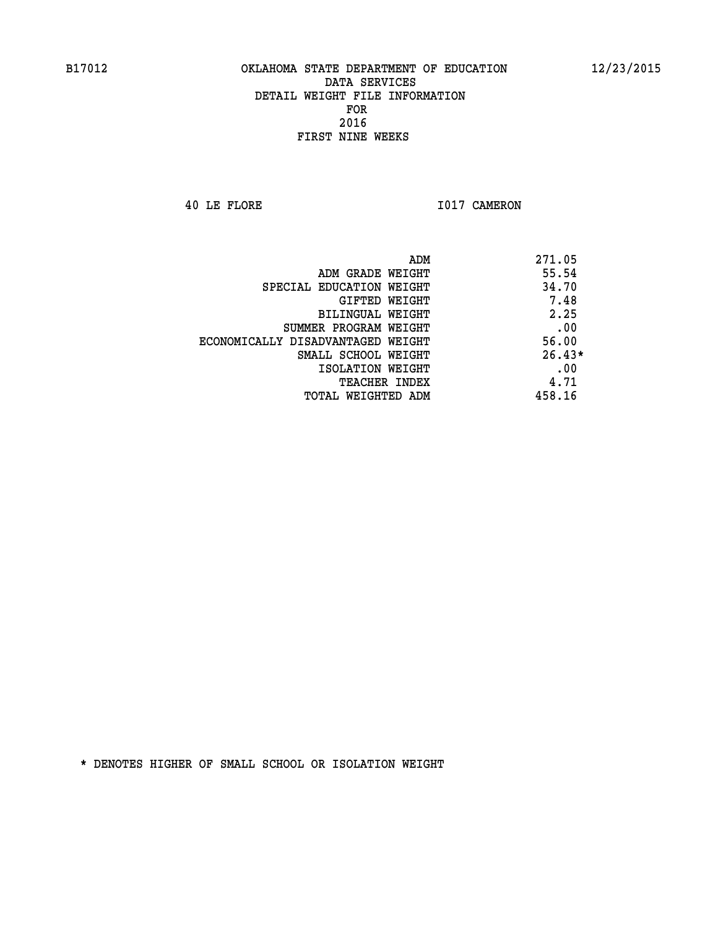**40 LE FLORE 1017 CAMERON** 

|                                   | 271.05<br>ADM |
|-----------------------------------|---------------|
| ADM GRADE WEIGHT                  | 55.54         |
| SPECIAL EDUCATION WEIGHT          | 34.70         |
| <b>GIFTED WEIGHT</b>              | 7.48          |
| BILINGUAL WEIGHT                  | 2.25          |
| SUMMER PROGRAM WEIGHT             | .00           |
| ECONOMICALLY DISADVANTAGED WEIGHT | 56.00         |
| SMALL SCHOOL WEIGHT               | $26.43*$      |
| ISOLATION WEIGHT                  | .00           |
| <b>TEACHER INDEX</b>              | 4.71          |
| TOTAL WEIGHTED ADM                | 458.16        |
|                                   |               |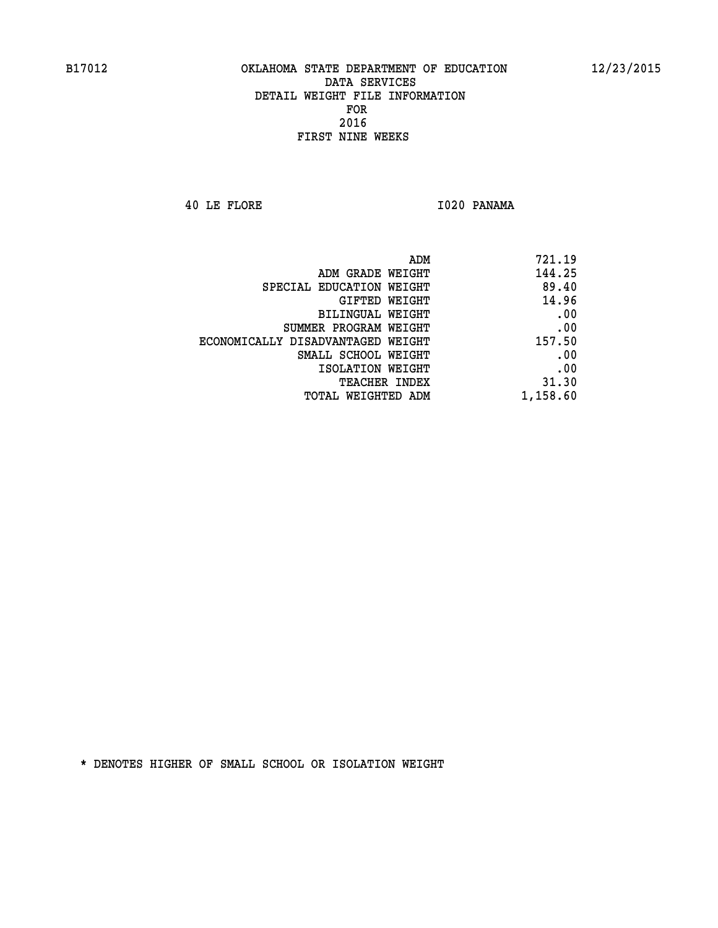**40 LE FLORE I020 PANAMA** 

| 721.19   |
|----------|
| 144.25   |
| 89.40    |
| 14.96    |
| .00      |
| .00      |
| 157.50   |
| .00      |
| .00      |
| 31.30    |
| 1,158.60 |
|          |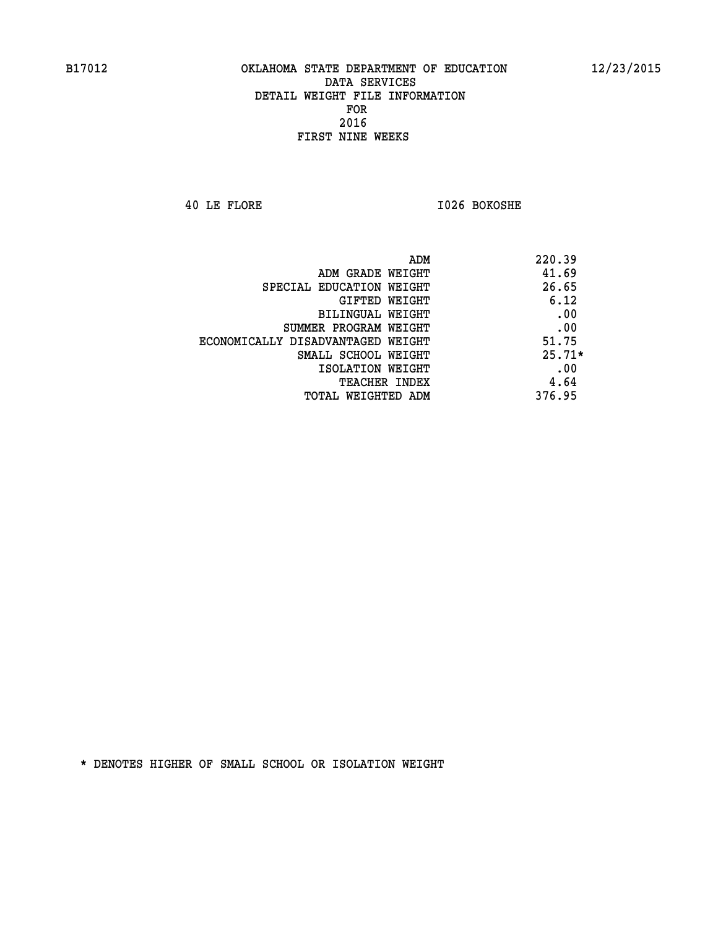**40 LE FLORE I026 BOKOSHE** 

| 220.39   | ADM                               |
|----------|-----------------------------------|
| 41.69    | ADM GRADE WEIGHT                  |
| 26.65    | SPECIAL EDUCATION WEIGHT          |
| 6.12     | <b>GIFTED WEIGHT</b>              |
| .00      | BILINGUAL WEIGHT                  |
| .00      | SUMMER PROGRAM WEIGHT             |
| 51.75    | ECONOMICALLY DISADVANTAGED WEIGHT |
| $25.71*$ | SMALL SCHOOL WEIGHT               |
| .00      | ISOLATION WEIGHT                  |
| 4.64     | <b>TEACHER INDEX</b>              |
| 376.95   | TOTAL WEIGHTED ADM                |
|          |                                   |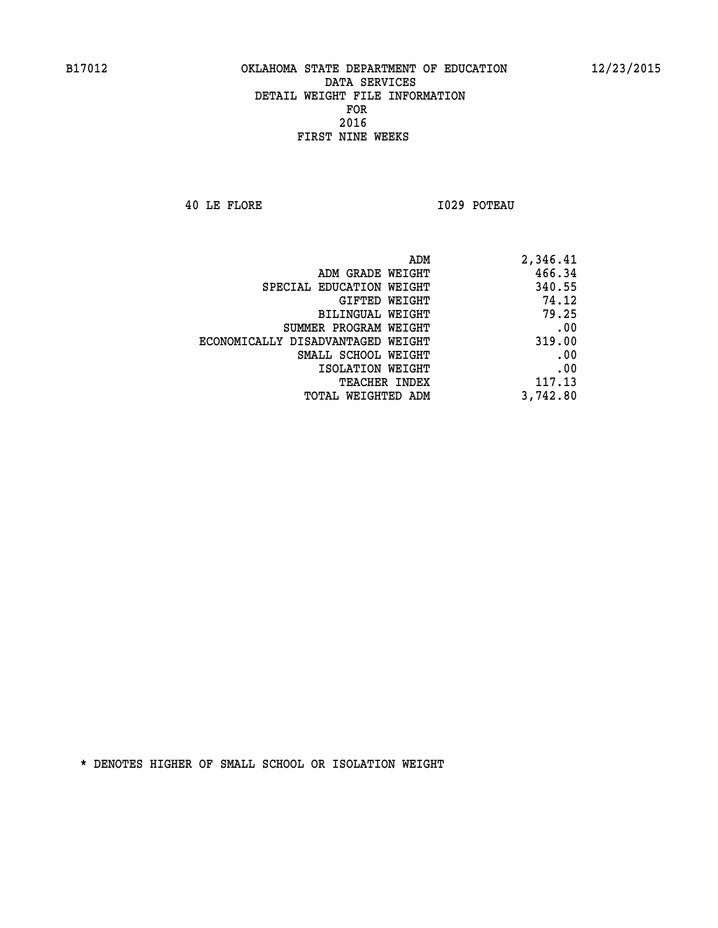**40 LE FLORE I029 POTEAU** 

| 2,346.41 |
|----------|
| 466.34   |
| 340.55   |
| 74.12    |
| 79.25    |
| .00      |
| 319.00   |
| .00      |
| .00      |
| 117.13   |
| 3,742.80 |
|          |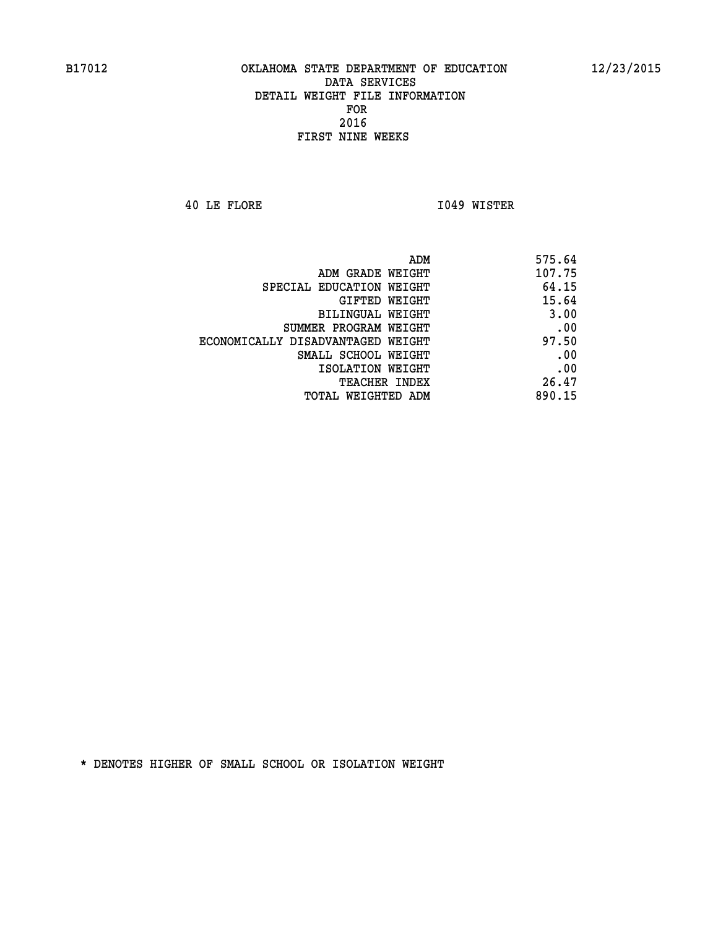**40 LE FLORE I049 WISTER** 

|                                   | ADM<br>575.64 |
|-----------------------------------|---------------|
| ADM GRADE WEIGHT                  | 107.75        |
| SPECIAL EDUCATION WEIGHT          | 64.15         |
| GIFTED WEIGHT                     | 15.64         |
| <b>BILINGUAL WEIGHT</b>           | 3.00          |
| SUMMER PROGRAM WEIGHT             | .00           |
| ECONOMICALLY DISADVANTAGED WEIGHT | 97.50         |
| SMALL SCHOOL WEIGHT               | .00           |
| ISOLATION WEIGHT                  | .00           |
| TEACHER INDEX                     | 26.47         |
| TOTAL WEIGHTED ADM                | 890.15        |
|                                   |               |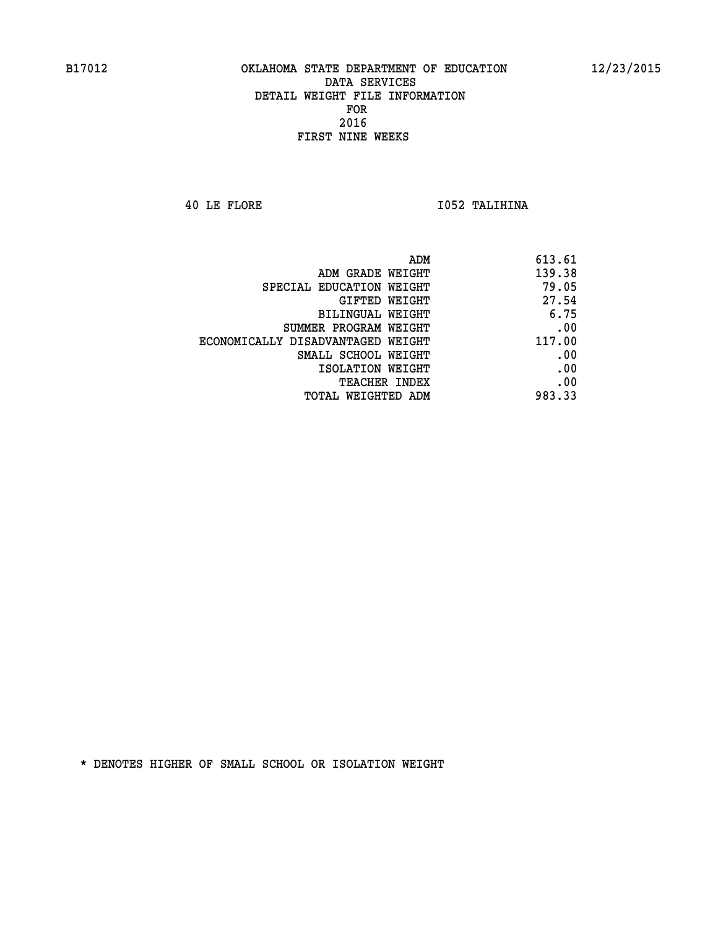**40 LE FLORE I052 TALIHINA** 

| 613.61 | ADM                               |
|--------|-----------------------------------|
| 139.38 | ADM GRADE WEIGHT                  |
| 79.05  | SPECIAL EDUCATION WEIGHT          |
| 27.54  | GIFTED WEIGHT                     |
| 6.75   | BILINGUAL WEIGHT                  |
| .00    | SUMMER PROGRAM WEIGHT             |
| 117.00 | ECONOMICALLY DISADVANTAGED WEIGHT |
| .00    | SMALL SCHOOL WEIGHT               |
| .00    | ISOLATION WEIGHT                  |
| .00    | <b>TEACHER INDEX</b>              |
| 983.33 | TOTAL WEIGHTED ADM                |
|        |                                   |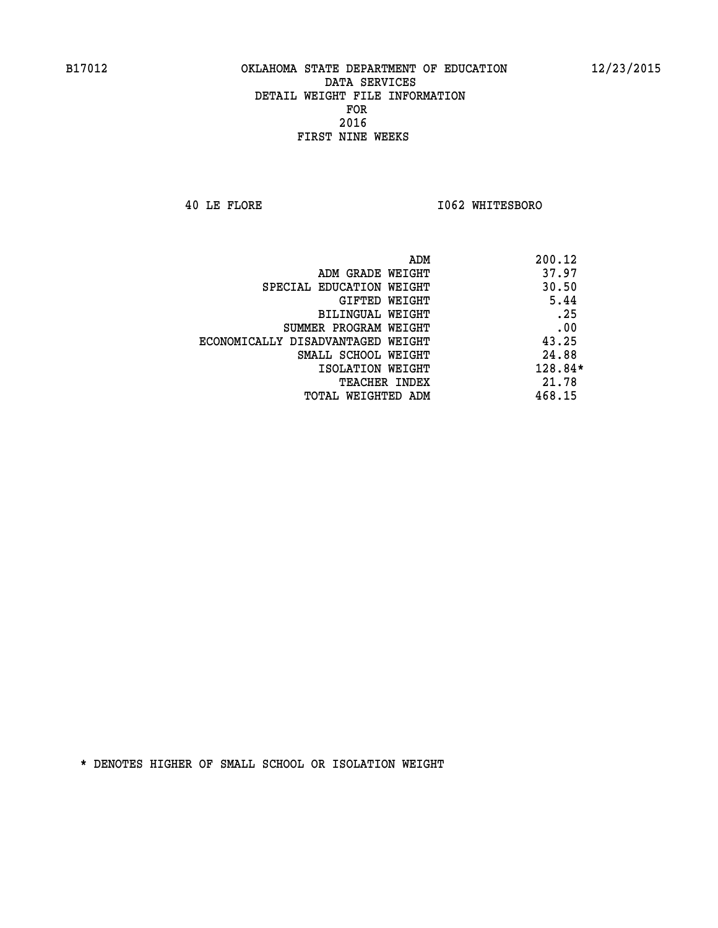**40 LE FLORE I062 WHITESBORO** 

|                                   | ADM | 200.12    |
|-----------------------------------|-----|-----------|
| ADM GRADE WEIGHT                  |     | 37.97     |
| SPECIAL EDUCATION WEIGHT          |     | 30.50     |
| GIFTED WEIGHT                     |     | 5.44      |
| BILINGUAL WEIGHT                  |     | .25       |
| SUMMER PROGRAM WEIGHT             |     | .00       |
| ECONOMICALLY DISADVANTAGED WEIGHT |     | 43.25     |
| SMALL SCHOOL WEIGHT               |     | 24.88     |
| ISOLATION WEIGHT                  |     | $128.84*$ |
| TEACHER INDEX                     |     | 21.78     |
| TOTAL WEIGHTED ADM                |     | 468.15    |
|                                   |     |           |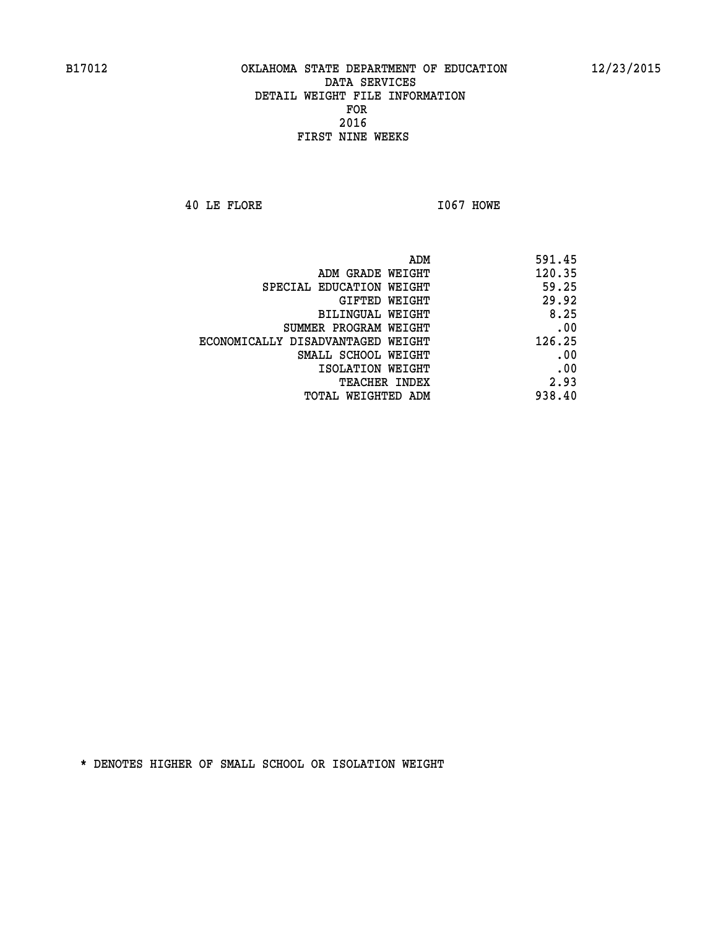**40 LE FLORE I067 HOWE** 

| 591.45 |
|--------|
| 120.35 |
| 59.25  |
| 29.92  |
| 8.25   |
| .00    |
| 126.25 |
| .00    |
| .00    |
| 2.93   |
| 938.40 |
|        |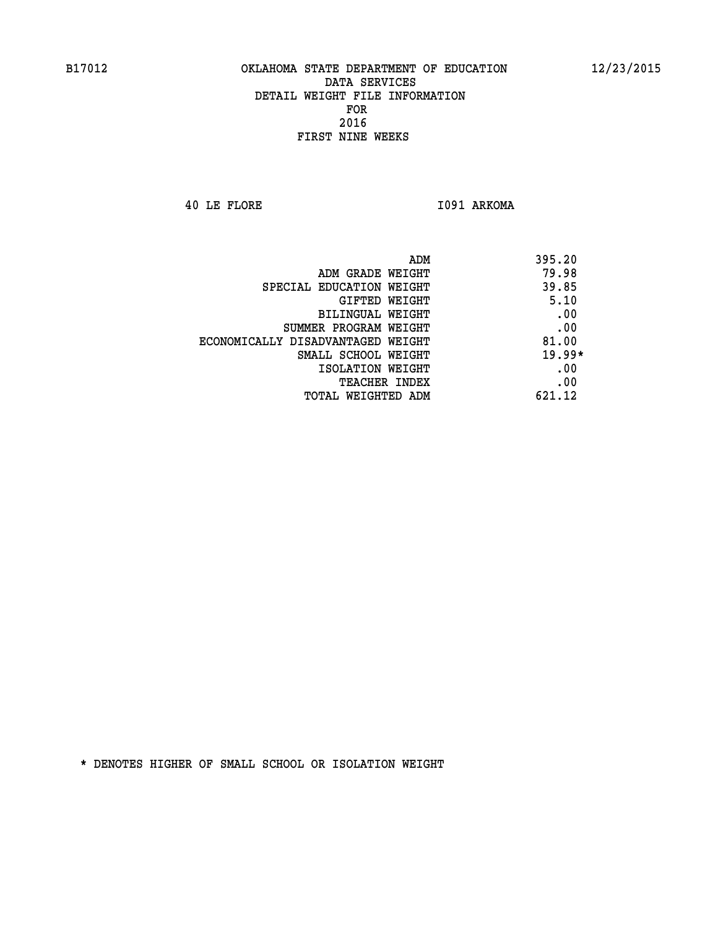**40 LE FLORE I091 ARKOMA** 

| ADM<br>395.20                              |  |
|--------------------------------------------|--|
| 79.98<br>ADM GRADE WEIGHT                  |  |
| 39.85<br>SPECIAL EDUCATION WEIGHT          |  |
| 5.10<br><b>GIFTED WEIGHT</b>               |  |
| .00<br>BILINGUAL WEIGHT                    |  |
| .00<br>SUMMER PROGRAM WEIGHT               |  |
| 81.00<br>ECONOMICALLY DISADVANTAGED WEIGHT |  |
| $19.99*$<br>SMALL SCHOOL WEIGHT            |  |
| .00<br>ISOLATION WEIGHT                    |  |
| .00<br><b>TEACHER INDEX</b>                |  |
| 621.12<br>TOTAL WEIGHTED ADM               |  |
|                                            |  |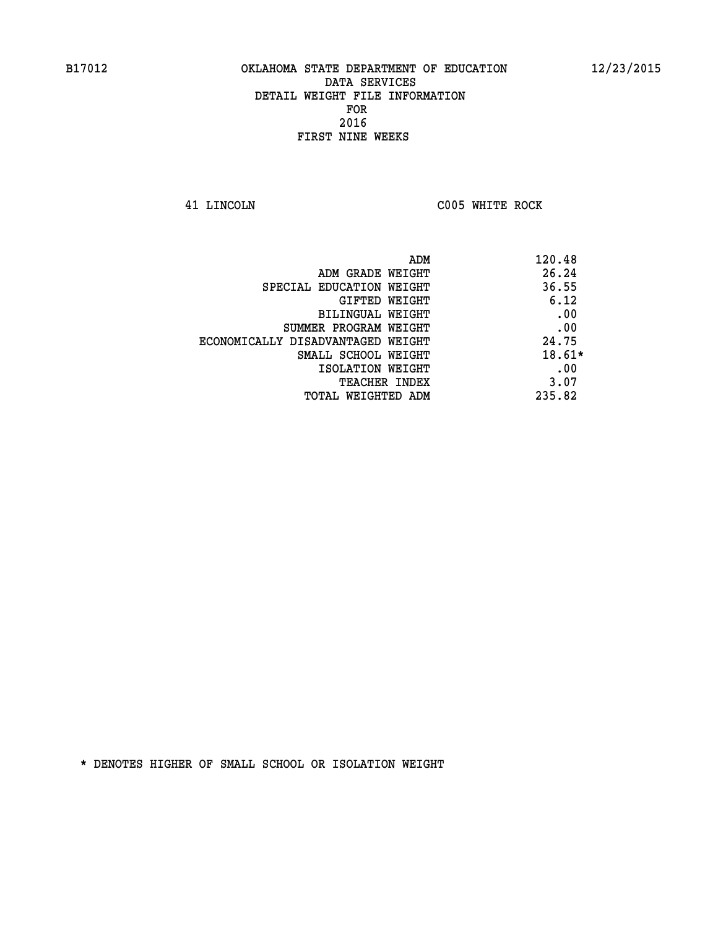**41 LINCOLN C005 WHITE ROCK** 

| ADM                               | 120.48   |
|-----------------------------------|----------|
| ADM GRADE WEIGHT                  | 26.24    |
| SPECIAL EDUCATION WEIGHT          | 36.55    |
| GIFTED WEIGHT                     | 6.12     |
| BILINGUAL WEIGHT                  | .00      |
| SUMMER PROGRAM WEIGHT             | .00      |
| ECONOMICALLY DISADVANTAGED WEIGHT | 24.75    |
| SMALL SCHOOL WEIGHT               | $18.61*$ |
| ISOLATION WEIGHT                  | .00      |
| <b>TEACHER INDEX</b>              | 3.07     |
| TOTAL WEIGHTED ADM                | 235.82   |
|                                   |          |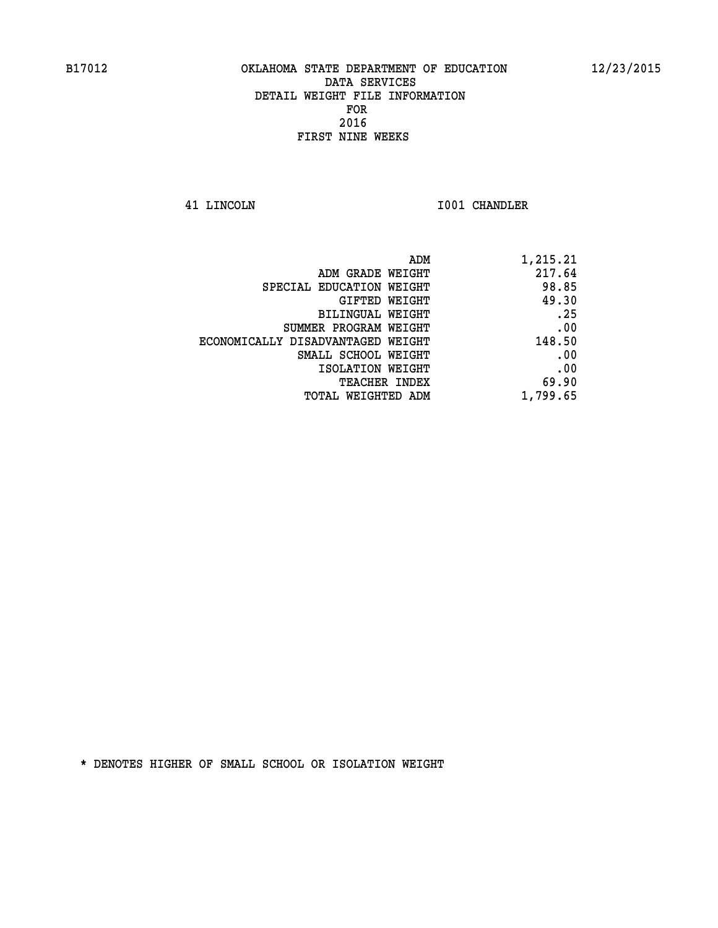**41 LINCOLN I001 CHANDLER** 

| 1,215.21 |
|----------|
| 217.64   |
| 98.85    |
| 49.30    |
| .25      |
| .00      |
| 148.50   |
| .00      |
| .00      |
| 69.90    |
| 1,799.65 |
|          |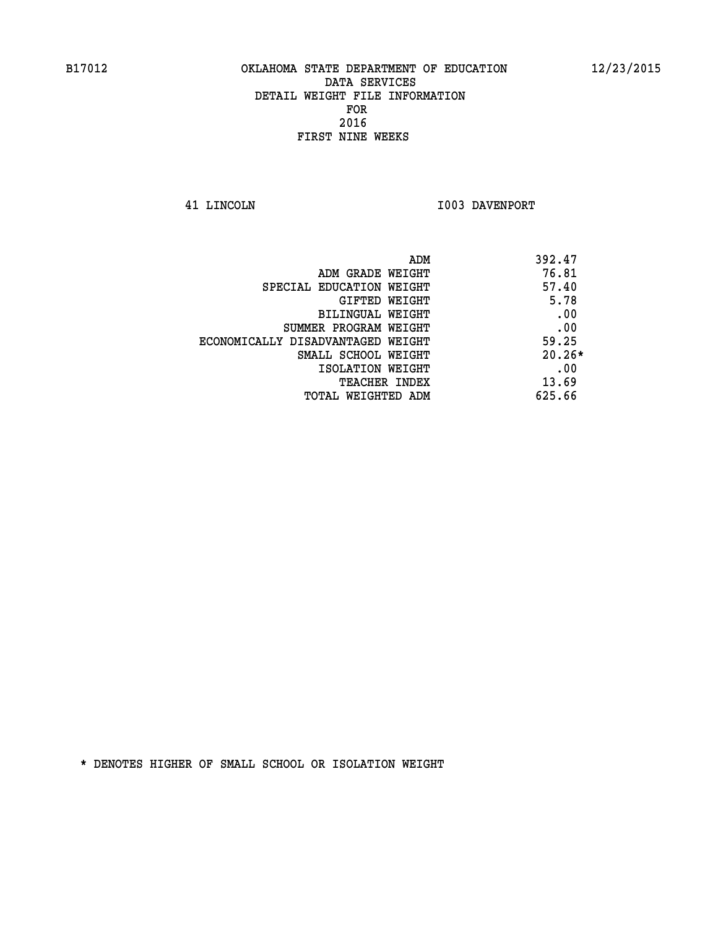**41 LINCOLN 1003 DAVENPORT** 

| ADM                               | 392.47   |
|-----------------------------------|----------|
| ADM GRADE WEIGHT                  | 76.81    |
| SPECIAL EDUCATION WEIGHT          | 57.40    |
| GIFTED WEIGHT                     | 5.78     |
| BILINGUAL WEIGHT                  | .00      |
| SUMMER PROGRAM WEIGHT             | .00      |
| ECONOMICALLY DISADVANTAGED WEIGHT | 59.25    |
| SMALL SCHOOL WEIGHT               | $20.26*$ |
| ISOLATION WEIGHT                  | .00      |
| <b>TEACHER INDEX</b>              | 13.69    |
| TOTAL WEIGHTED ADM                | 625.66   |
|                                   |          |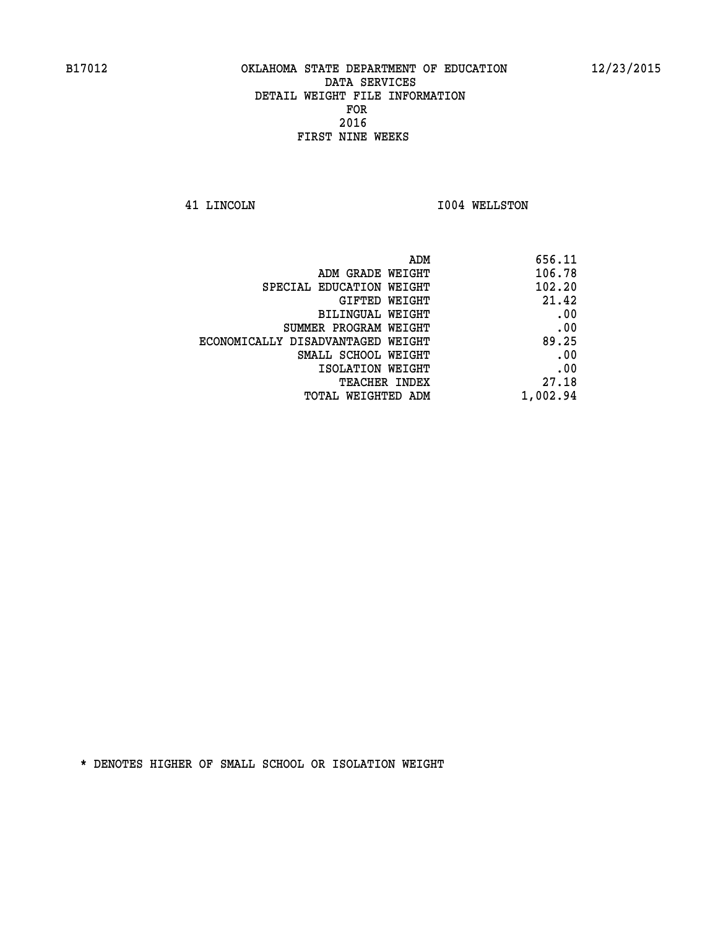**41 LINCOLN I004 WELLSTON** 

| 656.11   |
|----------|
| 106.78   |
| 102.20   |
| 21.42    |
| .00      |
| .00      |
| 89.25    |
| .00      |
| .00      |
| 27.18    |
| 1,002.94 |
|          |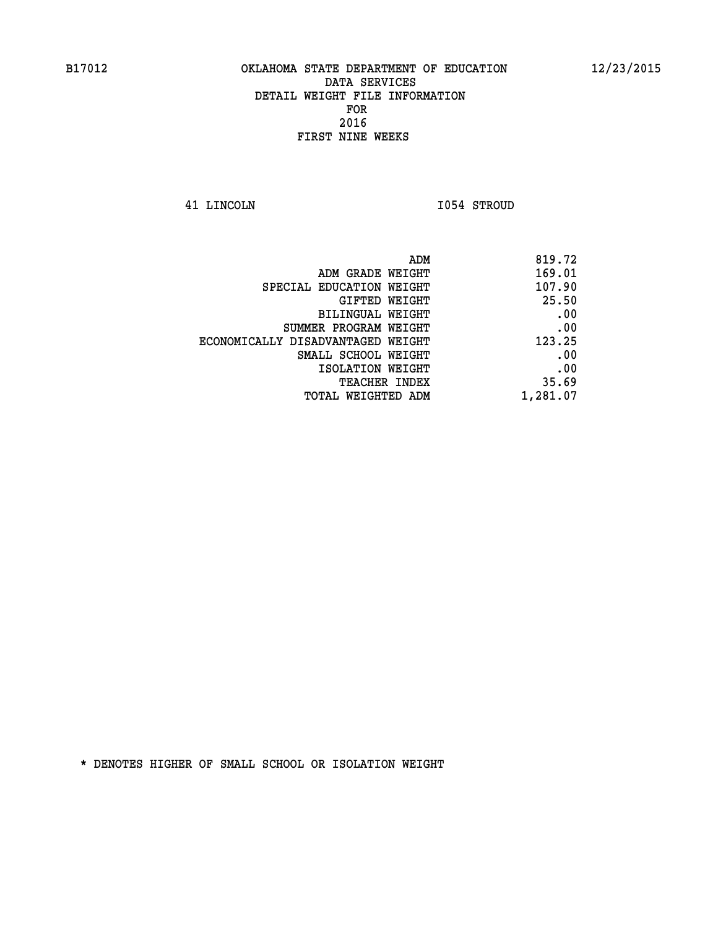**41 LINCOLN I054 STROUD** 

| 169.01<br>ADM GRADE WEIGHT<br>107.90<br>SPECIAL EDUCATION WEIGHT<br>25.50<br>GIFTED WEIGHT<br>.00<br>BILINGUAL WEIGHT<br>.00<br>SUMMER PROGRAM WEIGHT<br>123.25<br>ECONOMICALLY DISADVANTAGED WEIGHT<br>.00<br>SMALL SCHOOL WEIGHT<br>.00<br>ISOLATION WEIGHT<br>35.69<br>TEACHER INDEX<br>1,281.07<br>TOTAL WEIGHTED ADM | ADM | 819.72 |
|---------------------------------------------------------------------------------------------------------------------------------------------------------------------------------------------------------------------------------------------------------------------------------------------------------------------------|-----|--------|
|                                                                                                                                                                                                                                                                                                                           |     |        |
|                                                                                                                                                                                                                                                                                                                           |     |        |
|                                                                                                                                                                                                                                                                                                                           |     |        |
|                                                                                                                                                                                                                                                                                                                           |     |        |
|                                                                                                                                                                                                                                                                                                                           |     |        |
|                                                                                                                                                                                                                                                                                                                           |     |        |
|                                                                                                                                                                                                                                                                                                                           |     |        |
|                                                                                                                                                                                                                                                                                                                           |     |        |
|                                                                                                                                                                                                                                                                                                                           |     |        |
|                                                                                                                                                                                                                                                                                                                           |     |        |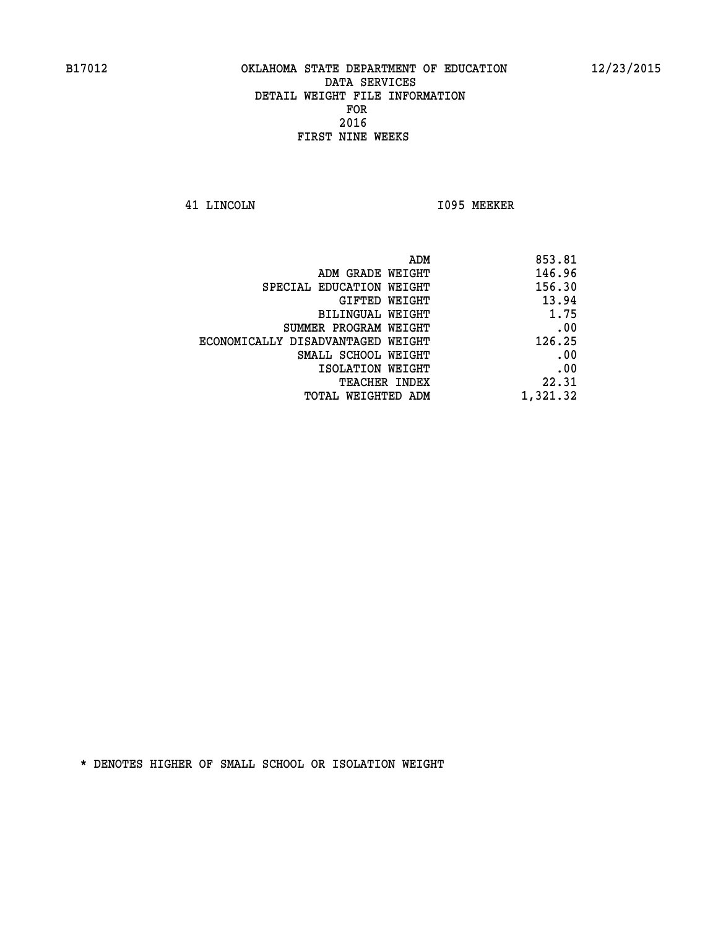**41 LINCOLN I095 MEEKER** 

| 853.81   |
|----------|
| 146.96   |
| 156.30   |
| 13.94    |
| 1.75     |
| .00      |
| 126.25   |
| .00      |
| .00      |
| 22.31    |
| 1,321.32 |
|          |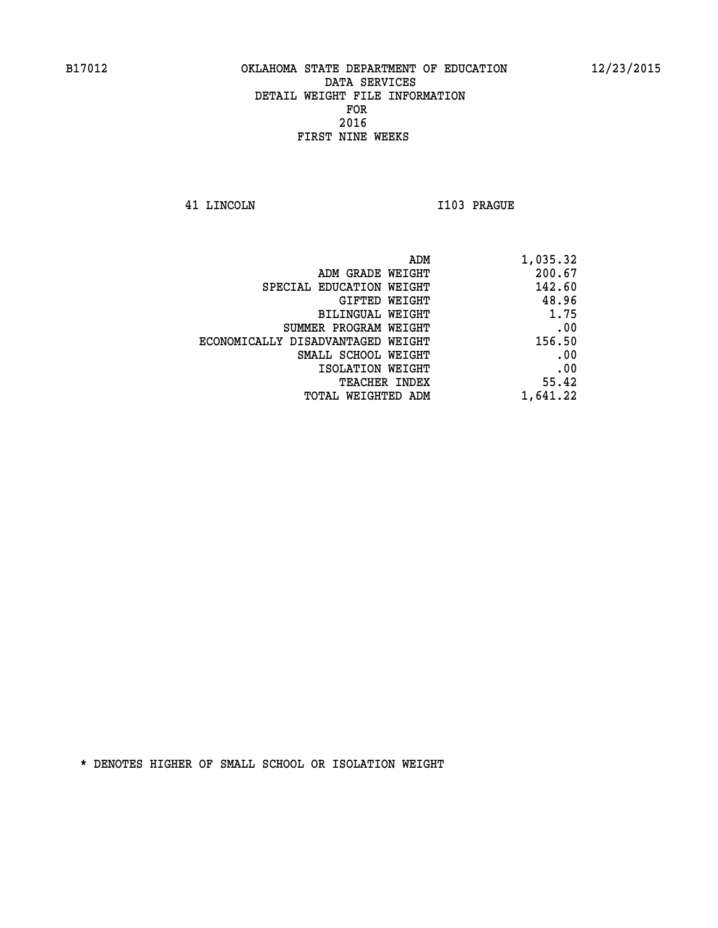**41 LINCOLN I103 PRAGUE** 

| 1,035.32 |
|----------|
| 200.67   |
| 142.60   |
| 48.96    |
| 1.75     |
| .00      |
| 156.50   |
| .00      |
| .00      |
| 55.42    |
| 1,641.22 |
|          |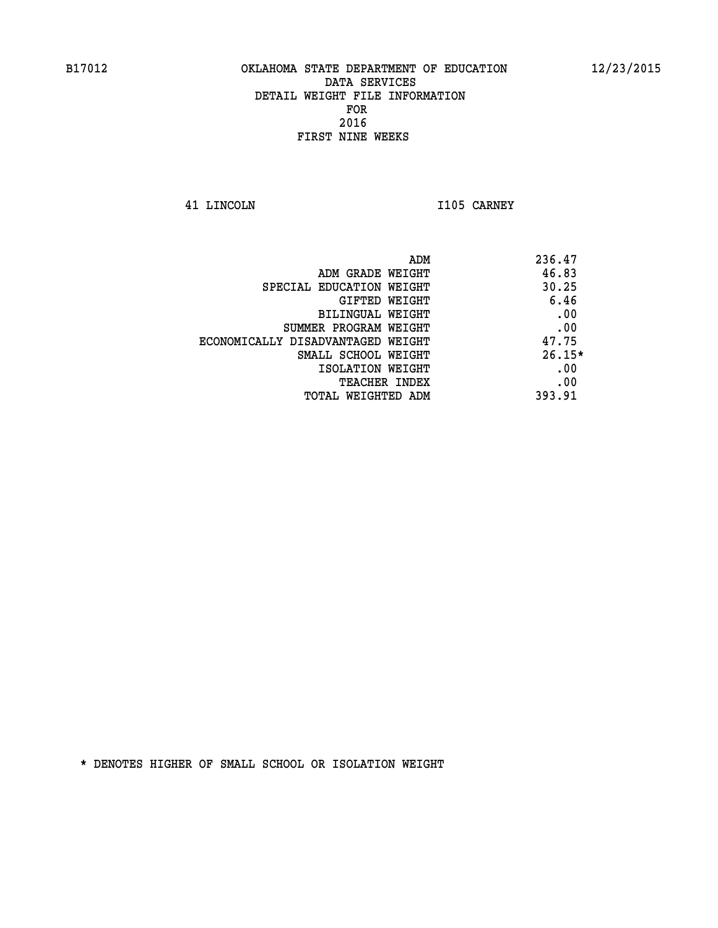**41 LINCOLN I105 CARNEY** 

| ADM<br>236.47                              |     |
|--------------------------------------------|-----|
| 46.83<br>ADM GRADE WEIGHT                  |     |
| 30.25<br>SPECIAL EDUCATION WEIGHT          |     |
| 6.46<br>GIFTED WEIGHT                      |     |
| BILINGUAL WEIGHT                           | .00 |
| SUMMER PROGRAM WEIGHT                      | .00 |
| 47.75<br>ECONOMICALLY DISADVANTAGED WEIGHT |     |
| $26.15*$<br>SMALL SCHOOL WEIGHT            |     |
| ISOLATION WEIGHT                           | .00 |
| <b>TEACHER INDEX</b>                       | .00 |
| 393.91<br>TOTAL WEIGHTED ADM               |     |
|                                            |     |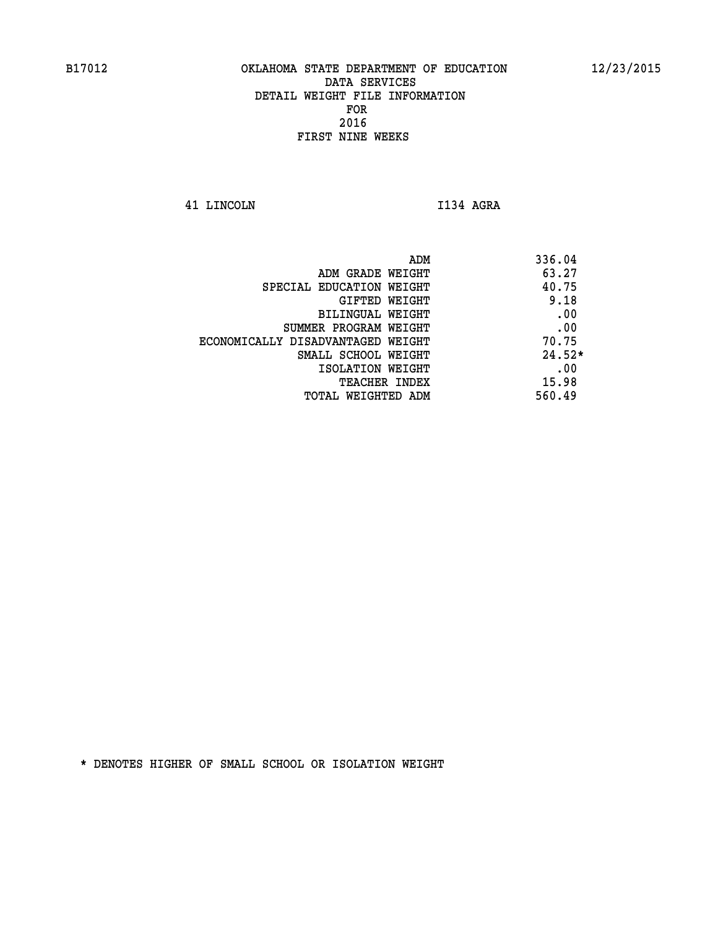**41 LINCOLN I134 AGRA** 

 **ADM 336.04 ADM GRADE WEIGHT 63.27 SPECIAL EDUCATION WEIGHT 40.75 GIFTED WEIGHT** 9.18 **BILINGUAL WEIGHT .00 SUMMER PROGRAM WEIGHT .00 ECONOMICALLY DISADVANTAGED WEIGHT 70.75 SMALL SCHOOL WEIGHT 24.52\* EXECUTED ISOLATION WEIGHT AND RESOLATION WEIGHT TEACHER INDEX** 15.98  **TOTAL WEIGHTED ADM 560.49**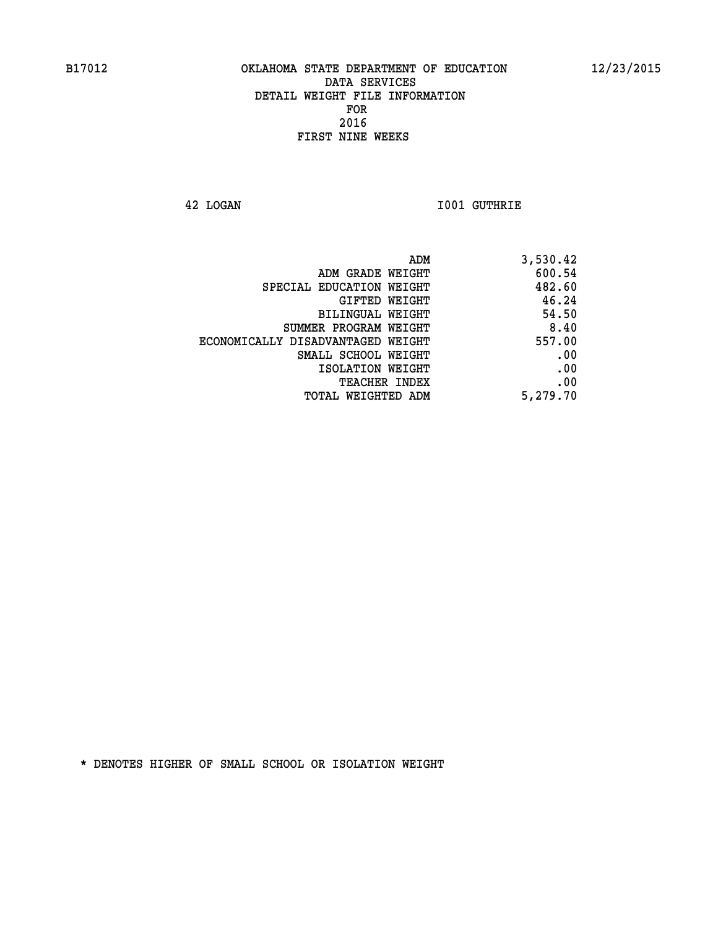**42 LOGAN I001 GUTHRIE** 

| 3,530.42 |
|----------|
| 600.54   |
| 482.60   |
| 46.24    |
| 54.50    |
| 8.40     |
| 557.00   |
| .00      |
| .00      |
| .00      |
| 5,279.70 |
|          |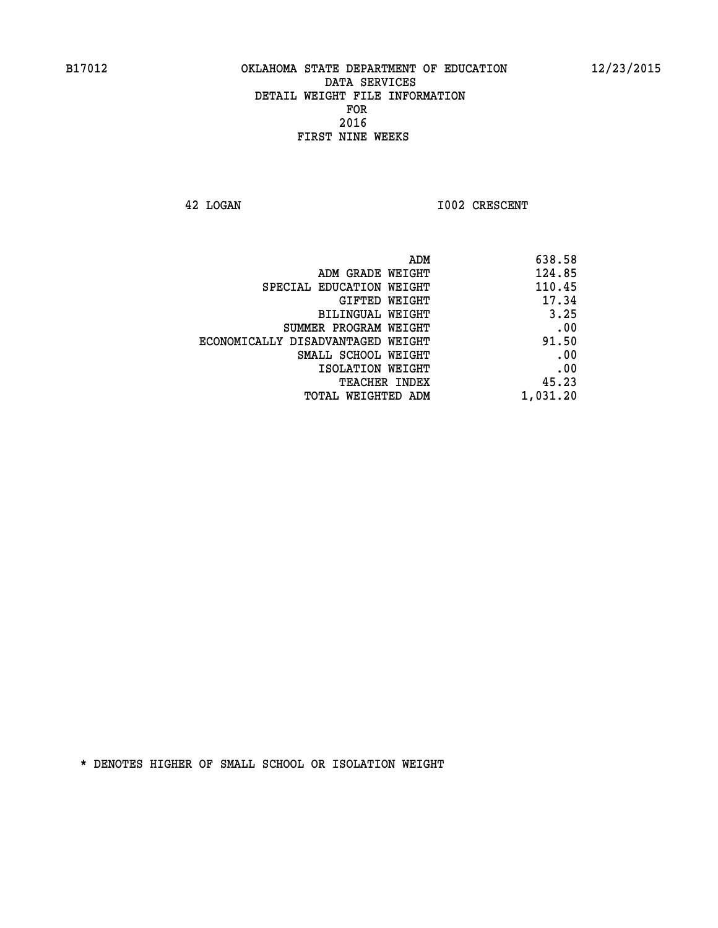**42 LOGAN 1002 CRESCENT** 

| ADM                               | 638.58   |
|-----------------------------------|----------|
| ADM GRADE WEIGHT                  | 124.85   |
| SPECIAL EDUCATION WEIGHT          | 110.45   |
| <b>GIFTED WEIGHT</b>              | 17.34    |
| BILINGUAL WEIGHT                  | 3.25     |
| SUMMER PROGRAM WEIGHT             | .00      |
| ECONOMICALLY DISADVANTAGED WEIGHT | 91.50    |
| SMALL SCHOOL WEIGHT               | .00      |
| ISOLATION WEIGHT                  | .00      |
| TEACHER INDEX                     | 45.23    |
| TOTAL WEIGHTED ADM                | 1,031.20 |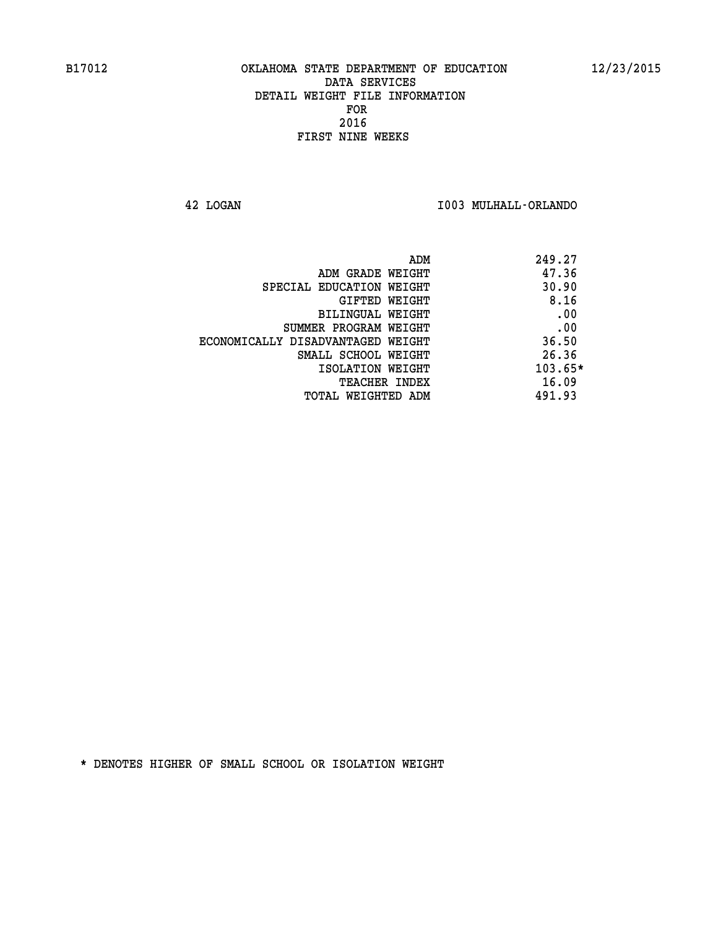**42 LOGAN I003 MULHALL-ORLANDO** 

| ADM                               | 249.27  |
|-----------------------------------|---------|
| ADM GRADE WEIGHT                  | 47.36   |
| SPECIAL EDUCATION WEIGHT          | 30.90   |
| GIFTED WEIGHT                     | 8.16    |
| BILINGUAL WEIGHT                  | .00     |
| SUMMER PROGRAM WEIGHT             | .00     |
| ECONOMICALLY DISADVANTAGED WEIGHT | 36.50   |
| SMALL SCHOOL WEIGHT               | 26.36   |
| ISOLATION WEIGHT                  | 103.65* |
| <b>TEACHER INDEX</b>              | 16.09   |
| TOTAL WEIGHTED ADM                | 491.93  |
|                                   |         |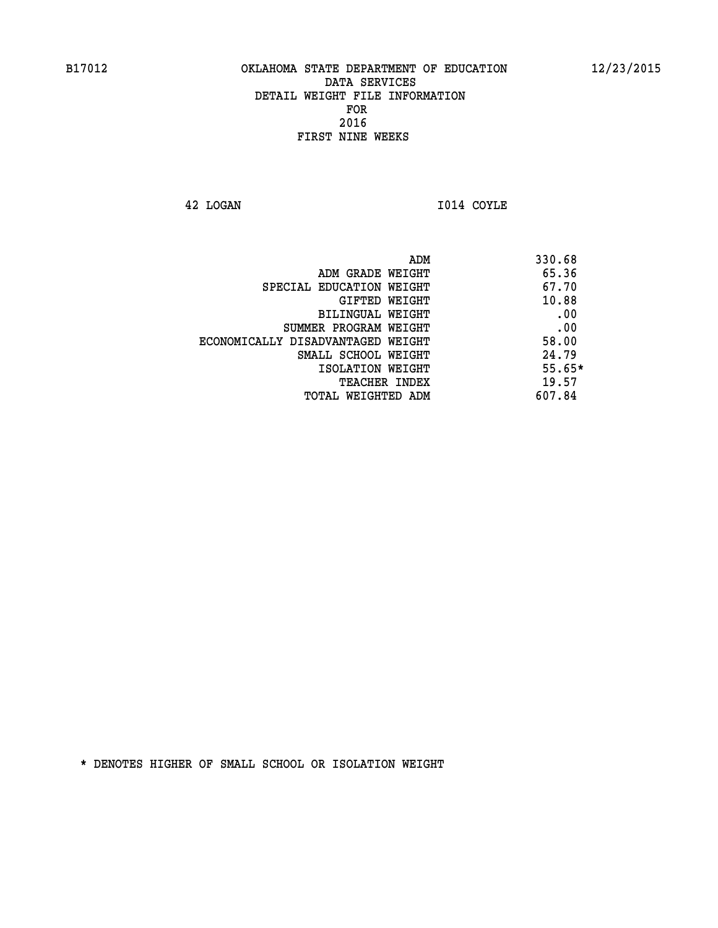**42 LOGAN I014 COYLE** 

|                                   | 330.68<br>ADM |     |
|-----------------------------------|---------------|-----|
| ADM GRADE WEIGHT                  | 65.36         |     |
| SPECIAL EDUCATION WEIGHT          | 67.70         |     |
| GIFTED WEIGHT                     | 10.88         |     |
| BILINGUAL WEIGHT                  |               | .00 |
| SUMMER PROGRAM WEIGHT             |               | .00 |
| ECONOMICALLY DISADVANTAGED WEIGHT | 58.00         |     |
| SMALL SCHOOL WEIGHT               | 24.79         |     |
| ISOLATION WEIGHT                  | $55.65*$      |     |
| <b>TEACHER INDEX</b>              | 19.57         |     |
| TOTAL WEIGHTED ADM                | 607.84        |     |
|                                   |               |     |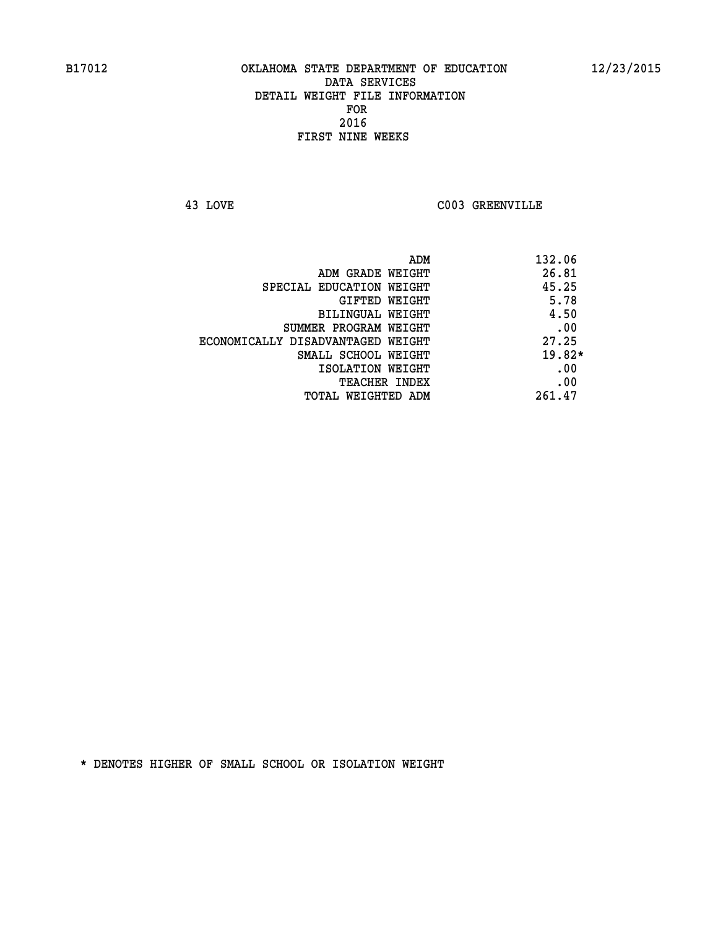**43 LOVE C003 GREENVILLE** 

| ADM                               | 132.06   |
|-----------------------------------|----------|
| ADM GRADE WEIGHT                  | 26.81    |
| SPECIAL EDUCATION WEIGHT          | 45.25    |
| GIFTED WEIGHT                     | 5.78     |
| BILINGUAL WEIGHT                  | 4.50     |
| SUMMER PROGRAM WEIGHT             | .00      |
| ECONOMICALLY DISADVANTAGED WEIGHT | 27.25    |
| SMALL SCHOOL WEIGHT               | $19.82*$ |
| ISOLATION WEIGHT                  | .00      |
| <b>TEACHER INDEX</b>              | .00      |
| TOTAL WEIGHTED ADM                | 261.47   |
|                                   |          |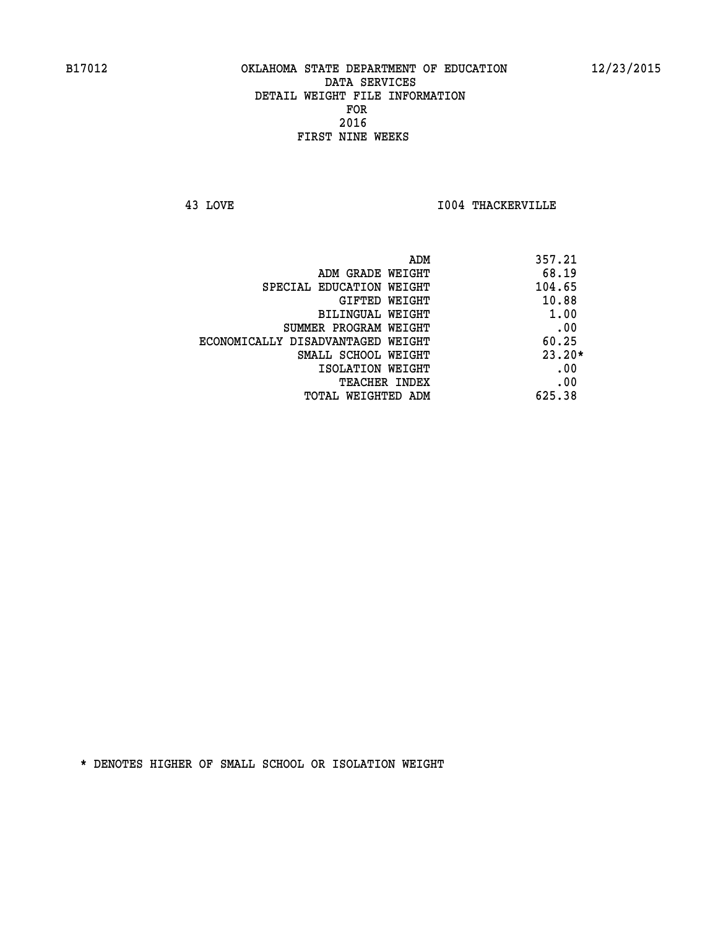**43 LOVE I004 THACKERVILLE** 

|                                   | 357.21<br>ADM |
|-----------------------------------|---------------|
| ADM GRADE WEIGHT                  | 68.19         |
| SPECIAL EDUCATION WEIGHT          | 104.65        |
| GIFTED WEIGHT                     | 10.88         |
| BILINGUAL WEIGHT                  | 1.00          |
| SUMMER PROGRAM WEIGHT             | .00           |
| ECONOMICALLY DISADVANTAGED WEIGHT | 60.25         |
| SMALL SCHOOL WEIGHT               | $23.20*$      |
| ISOLATION WEIGHT                  | .00           |
| TEACHER INDEX                     | .00           |
| TOTAL WEIGHTED ADM                | 625.38        |
|                                   |               |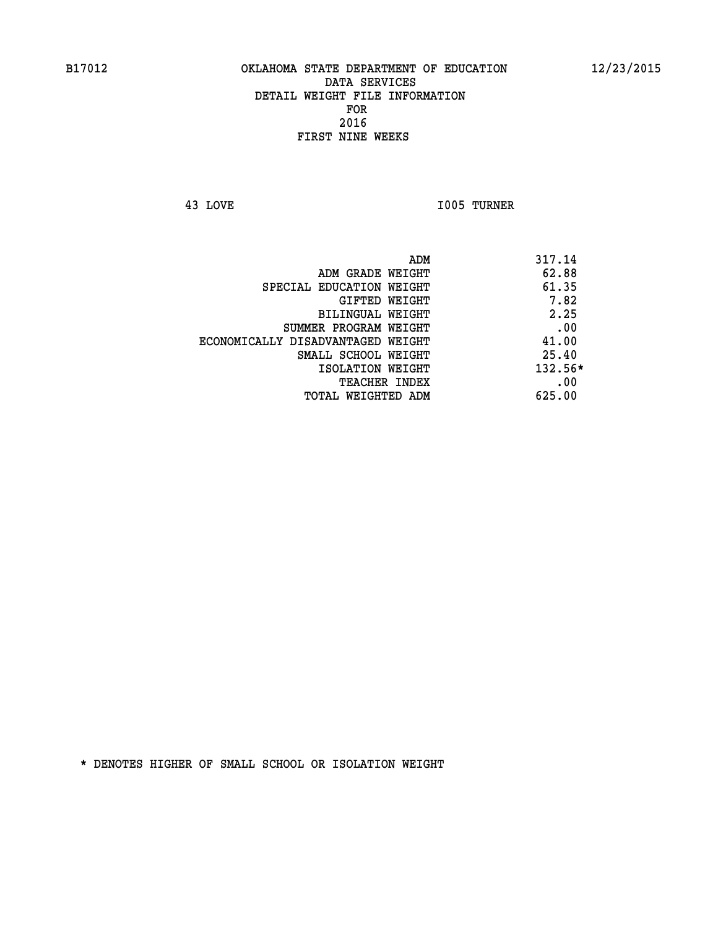**43 LOVE I005 TURNER** 

| ADM                               | 317.14    |
|-----------------------------------|-----------|
| ADM GRADE WEIGHT                  | 62.88     |
| SPECIAL EDUCATION WEIGHT          | 61.35     |
| GIFTED WEIGHT                     | 7.82      |
| BILINGUAL WEIGHT                  | 2.25      |
| SUMMER PROGRAM WEIGHT             | .00       |
| ECONOMICALLY DISADVANTAGED WEIGHT | 41.00     |
| SMALL SCHOOL WEIGHT               | 25.40     |
| ISOLATION WEIGHT                  | $132.56*$ |
| TEACHER INDEX                     | .00       |
| TOTAL WEIGHTED ADM                | 625.00    |
|                                   |           |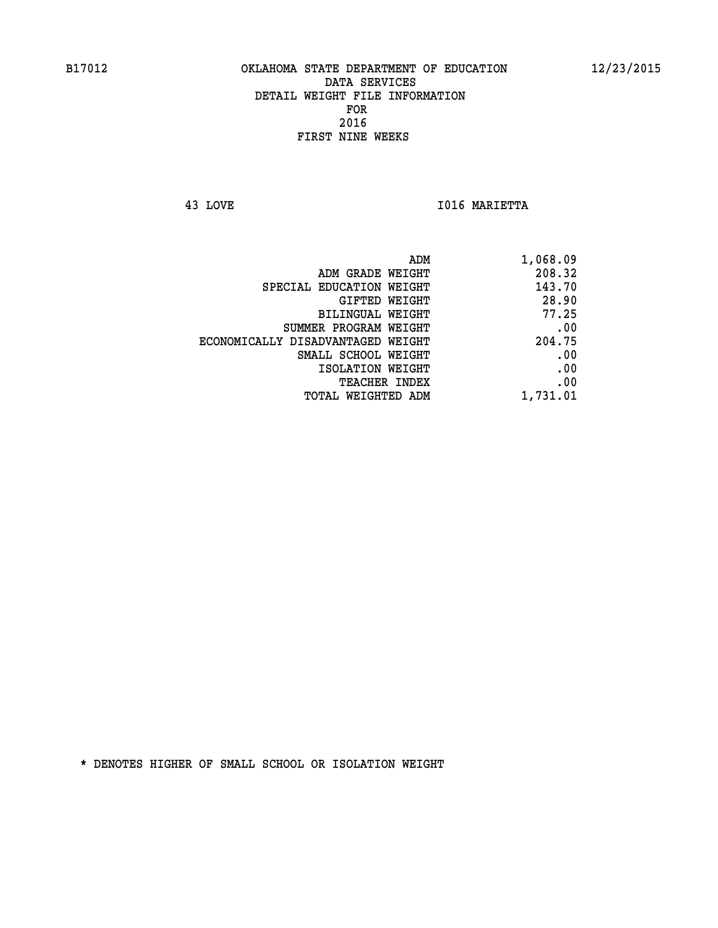**43 LOVE I016 MARIETTA** 

|                                   | ADM<br>1,068.09 |
|-----------------------------------|-----------------|
| ADM GRADE WEIGHT                  | 208.32          |
| SPECIAL EDUCATION WEIGHT          | 143.70          |
| GIFTED WEIGHT                     | 28.90           |
| <b>BILINGUAL WEIGHT</b>           | 77.25           |
| SUMMER PROGRAM WEIGHT             | .00             |
| ECONOMICALLY DISADVANTAGED WEIGHT | 204.75          |
| SMALL SCHOOL WEIGHT               | .00             |
| ISOLATION WEIGHT                  | .00             |
| TEACHER INDEX                     | .00             |
| TOTAL WEIGHTED ADM                | 1,731.01        |
|                                   |                 |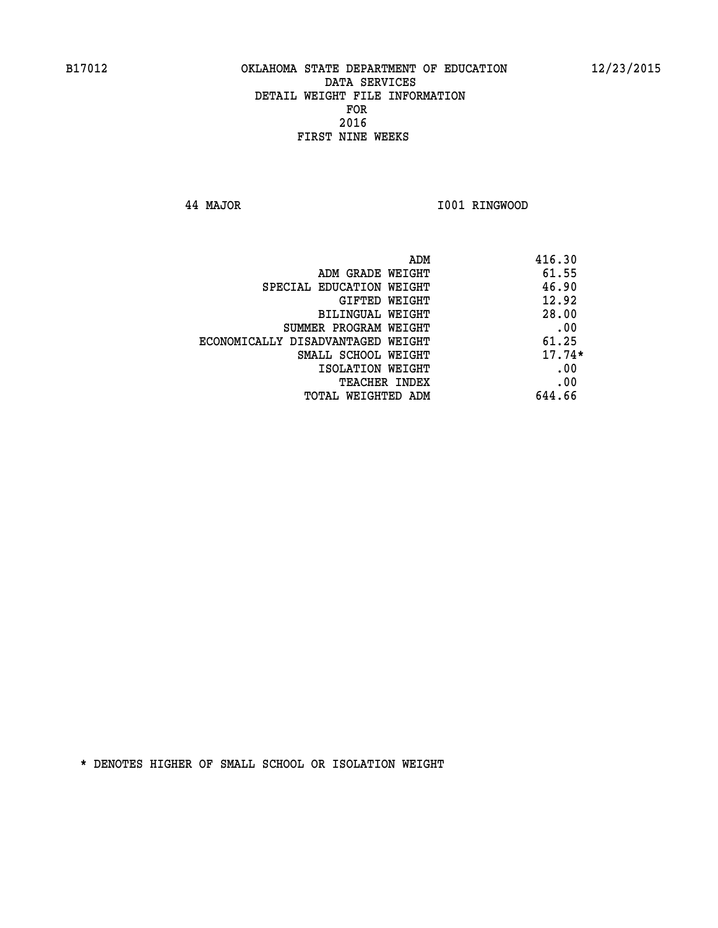**44 MAJOR I001 RINGWOOD** 

| ADM                               | 416.30   |
|-----------------------------------|----------|
| ADM GRADE WEIGHT                  | 61.55    |
| SPECIAL EDUCATION WEIGHT          | 46.90    |
| GIFTED WEIGHT                     | 12.92    |
| <b>BILINGUAL WEIGHT</b>           | 28.00    |
| SUMMER PROGRAM WEIGHT             | .00      |
| ECONOMICALLY DISADVANTAGED WEIGHT | 61.25    |
| SMALL SCHOOL WEIGHT               | $17.74*$ |
| ISOLATION WEIGHT                  | .00      |
| <b>TEACHER INDEX</b>              | .00      |
| TOTAL WEIGHTED ADM                | 644.66   |
|                                   |          |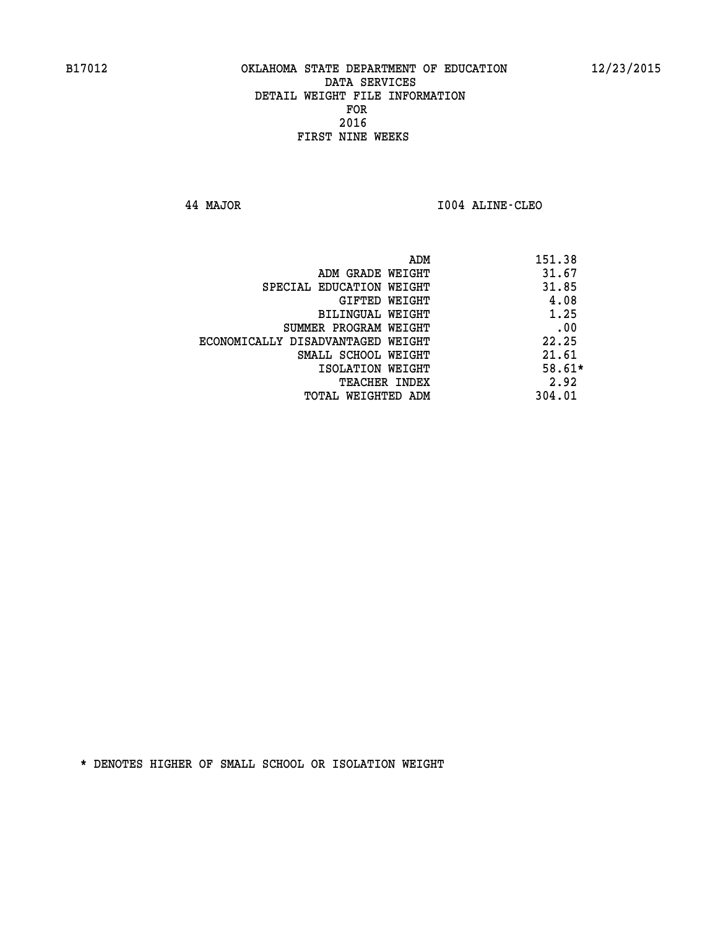**44 MAJOR I004 ALINE-CLEO** 

|                                   | ADM | 151.38   |
|-----------------------------------|-----|----------|
| ADM GRADE WEIGHT                  |     | 31.67    |
| SPECIAL EDUCATION WEIGHT          |     | 31.85    |
| GIFTED WEIGHT                     |     | 4.08     |
| BILINGUAL WEIGHT                  |     | 1.25     |
| SUMMER PROGRAM WEIGHT             |     | .00      |
| ECONOMICALLY DISADVANTAGED WEIGHT |     | 22.25    |
| SMALL SCHOOL WEIGHT               |     | 21.61    |
| ISOLATION WEIGHT                  |     | $58.61*$ |
| TEACHER INDEX                     |     | 2.92     |
| TOTAL WEIGHTED ADM                |     | 304.01   |
|                                   |     |          |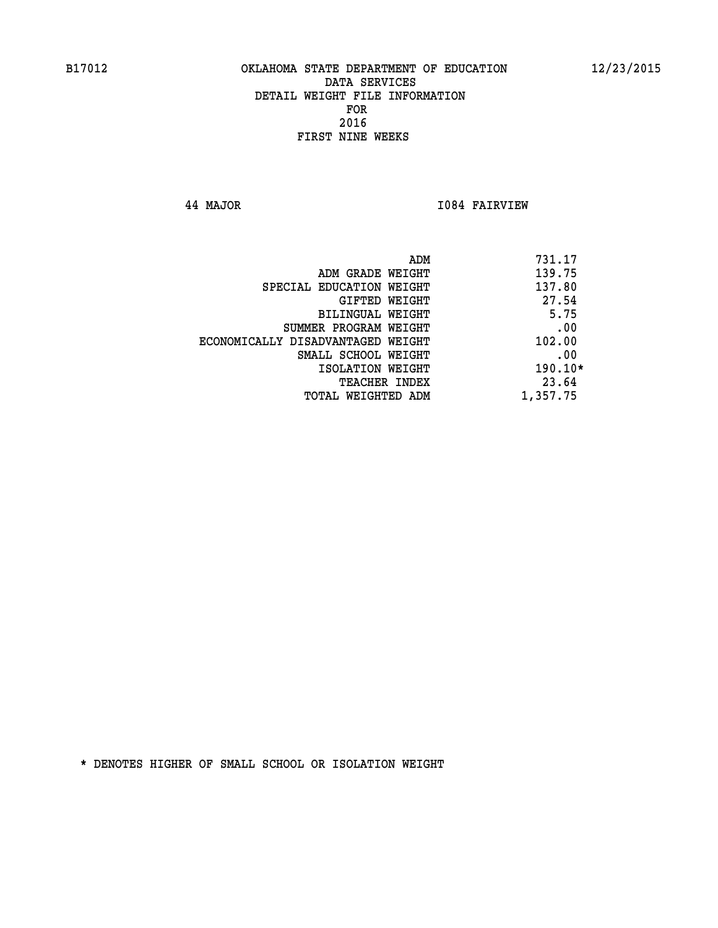**44 MAJOR I084 FAIRVIEW** 

| 731.17<br>ADM                      |          |  |
|------------------------------------|----------|--|
| 139.75<br>ADM GRADE WEIGHT         |          |  |
| 137.80<br>SPECIAL EDUCATION WEIGHT |          |  |
| 27.54<br>GIFTED WEIGHT             |          |  |
| BILINGUAL WEIGHT                   | 5.75     |  |
| .00<br>SUMMER PROGRAM WEIGHT       |          |  |
| ECONOMICALLY DISADVANTAGED WEIGHT  | 102.00   |  |
| .00<br>SMALL SCHOOL WEIGHT         |          |  |
| ISOLATION WEIGHT                   | 190.10*  |  |
| <b>TEACHER INDEX</b>               | 23.64    |  |
| TOTAL WEIGHTED ADM                 | 1,357.75 |  |
|                                    |          |  |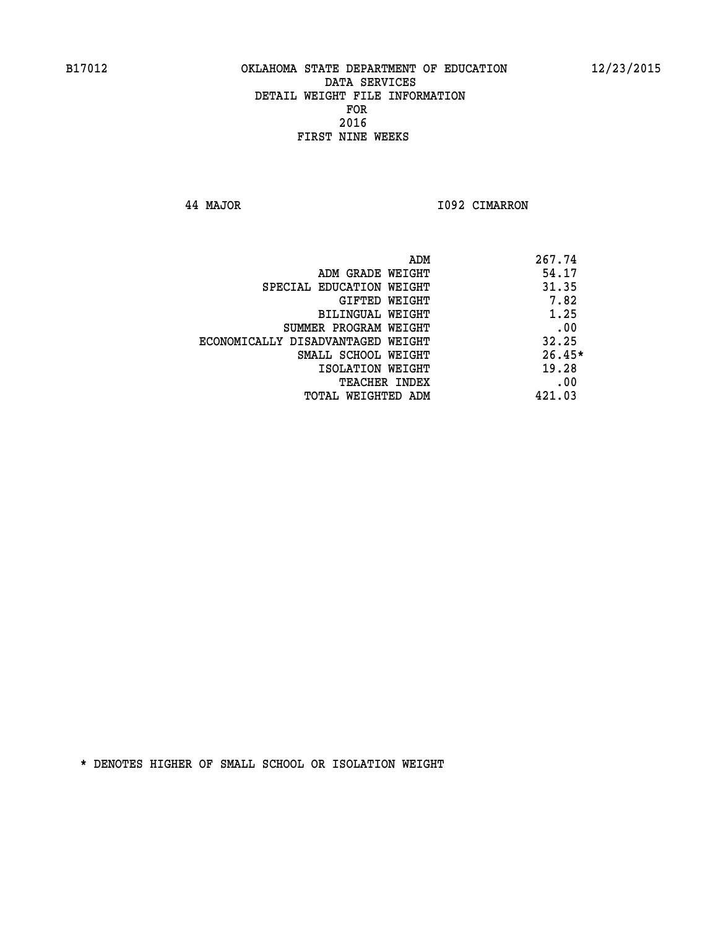**44 MAJOR I092 CIMARRON** 

|                                   | ADM | 267.74   |
|-----------------------------------|-----|----------|
| ADM GRADE WEIGHT                  |     | 54.17    |
| SPECIAL EDUCATION WEIGHT          |     | 31.35    |
| <b>GIFTED WEIGHT</b>              |     | 7.82     |
| BILINGUAL WEIGHT                  |     | 1.25     |
| SUMMER PROGRAM WEIGHT             |     | .00      |
| ECONOMICALLY DISADVANTAGED WEIGHT |     | 32.25    |
| SMALL SCHOOL WEIGHT               |     | $26.45*$ |
| ISOLATION WEIGHT                  |     | 19.28    |
| TEACHER INDEX                     |     | .00      |
| TOTAL WEIGHTED ADM                |     | 421.03   |
|                                   |     |          |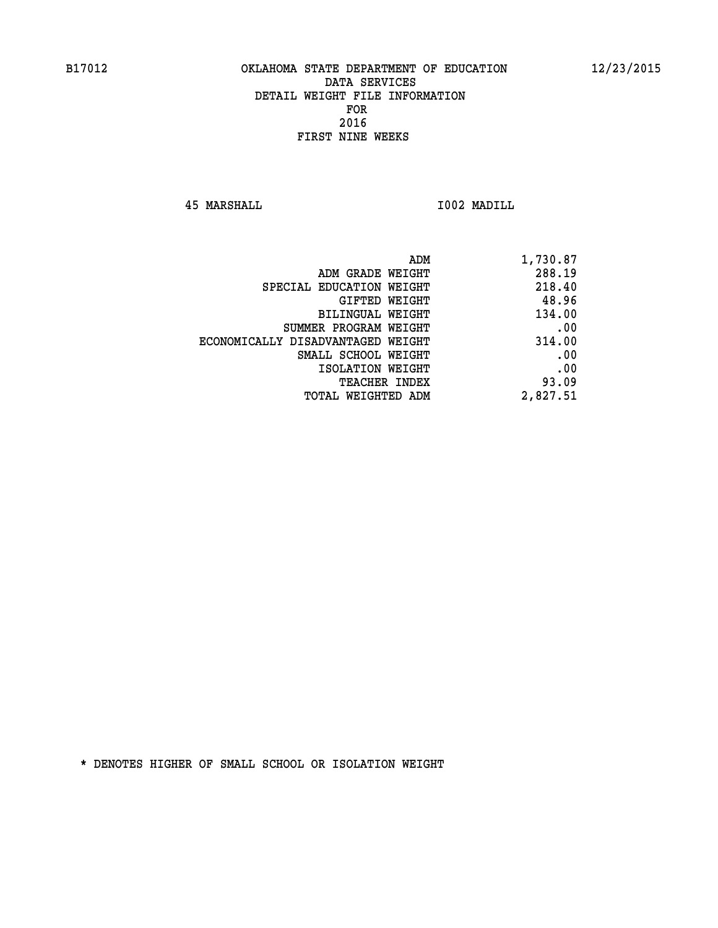**45 MARSHALL I002 MADILL** 

| ADM                               | 1,730.87 |
|-----------------------------------|----------|
| ADM GRADE WEIGHT                  | 288.19   |
| SPECIAL EDUCATION WEIGHT          | 218.40   |
| GIFTED WEIGHT                     | 48.96    |
| BILINGUAL WEIGHT                  | 134.00   |
| SUMMER PROGRAM WEIGHT             | .00      |
| ECONOMICALLY DISADVANTAGED WEIGHT | 314.00   |
| SMALL SCHOOL WEIGHT               | .00      |
| ISOLATION WEIGHT                  | .00      |
| <b>TEACHER INDEX</b>              | 93.09    |
| TOTAL WEIGHTED ADM                | 2,827.51 |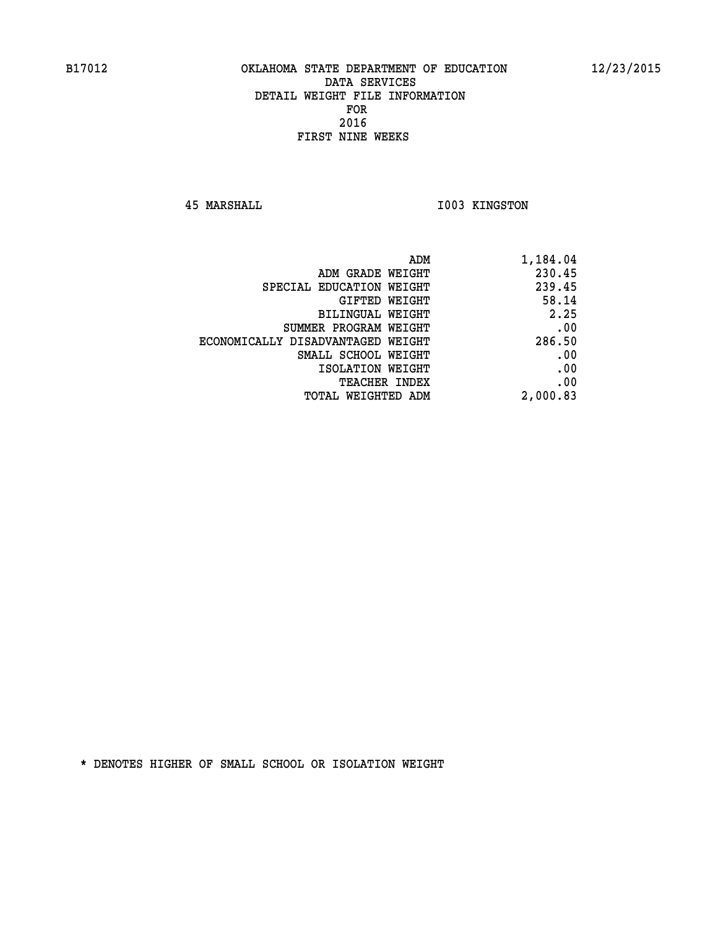**45 MARSHALL I003 KINGSTON** 

|                                   | 1,184.04<br>ADM |
|-----------------------------------|-----------------|
| ADM GRADE WEIGHT                  | 230.45          |
| SPECIAL EDUCATION WEIGHT          | 239.45          |
| GIFTED WEIGHT                     | 58.14           |
| BILINGUAL WEIGHT                  | 2.25            |
| SUMMER PROGRAM WEIGHT             | .00             |
| ECONOMICALLY DISADVANTAGED WEIGHT | 286.50          |
| SMALL SCHOOL WEIGHT               | .00             |
| ISOLATION WEIGHT                  | .00             |
| <b>TEACHER INDEX</b>              | .00             |
| TOTAL WEIGHTED ADM                | 2,000.83        |
|                                   |                 |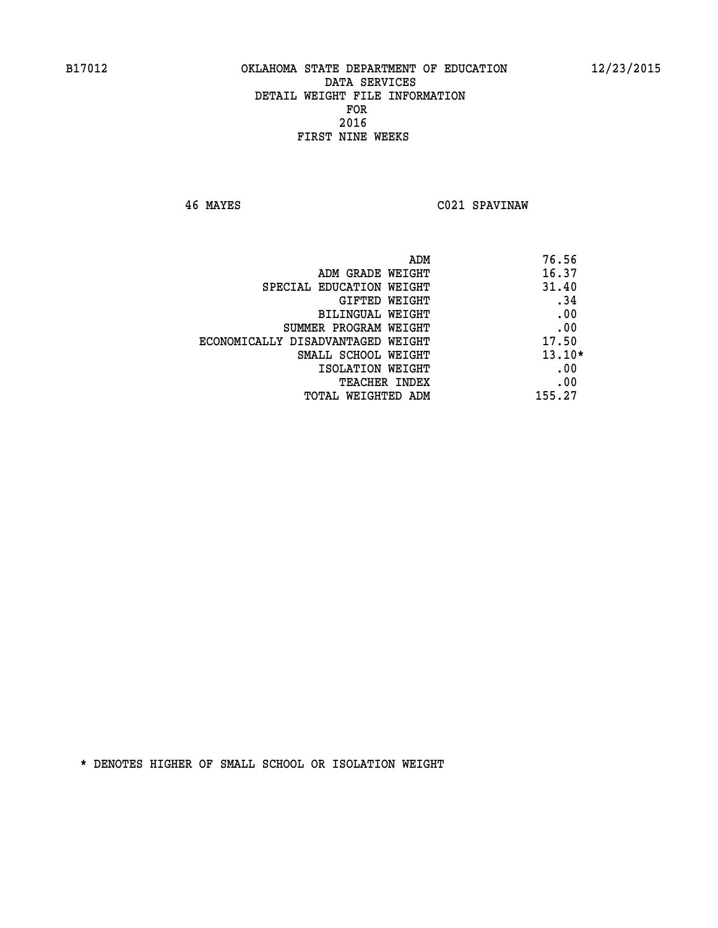**46 MAYES C021 SPAVINAW** 

|                                   | ADM | 76.56    |
|-----------------------------------|-----|----------|
| ADM GRADE WEIGHT                  |     | 16.37    |
| SPECIAL EDUCATION WEIGHT          |     | 31.40    |
| GIFTED WEIGHT                     |     | .34      |
| <b>BILINGUAL WEIGHT</b>           |     | .00      |
| SUMMER PROGRAM WEIGHT             |     | .00      |
| ECONOMICALLY DISADVANTAGED WEIGHT |     | 17.50    |
| SMALL SCHOOL WEIGHT               |     | $13.10*$ |
| ISOLATION WEIGHT                  |     | .00      |
| <b>TEACHER INDEX</b>              |     | .00      |
| TOTAL WEIGHTED ADM                |     | 155.27   |
|                                   |     |          |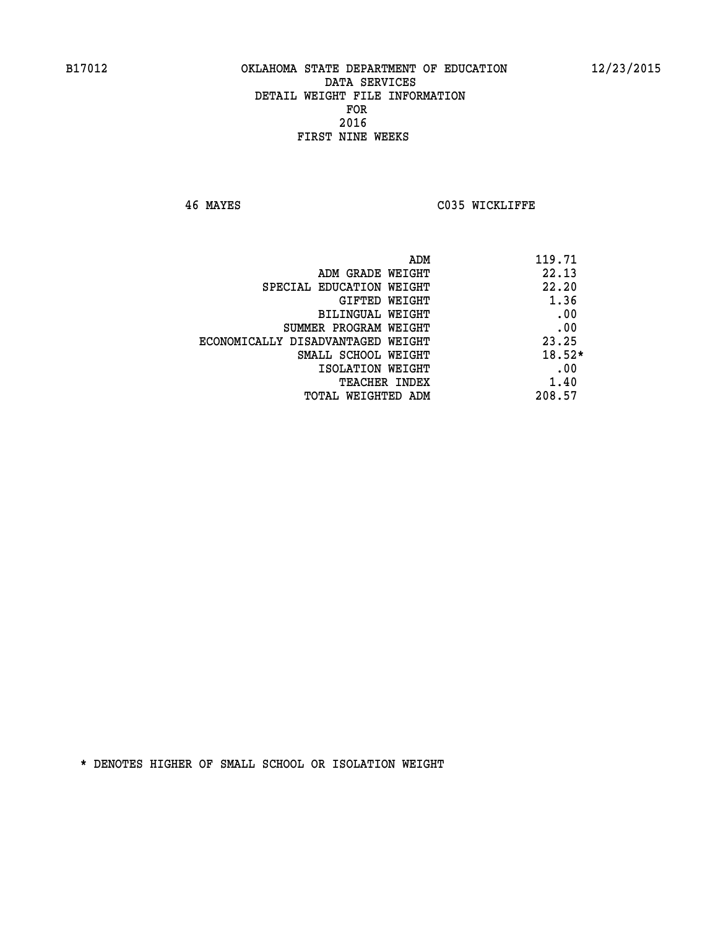**46 MAYES C035 WICKLIFFE** 

| ADM                               | 119.71   |
|-----------------------------------|----------|
| ADM GRADE WEIGHT                  | 22.13    |
| SPECIAL EDUCATION WEIGHT          | 22.20    |
| GIFTED WEIGHT                     | 1.36     |
| BILINGUAL WEIGHT                  | .00      |
| SUMMER PROGRAM WEIGHT             | .00      |
| ECONOMICALLY DISADVANTAGED WEIGHT | 23.25    |
| SMALL SCHOOL WEIGHT               | $18.52*$ |
| ISOLATION WEIGHT                  | .00      |
| <b>TEACHER INDEX</b>              | 1.40     |
| TOTAL WEIGHTED ADM                | 208.57   |
|                                   |          |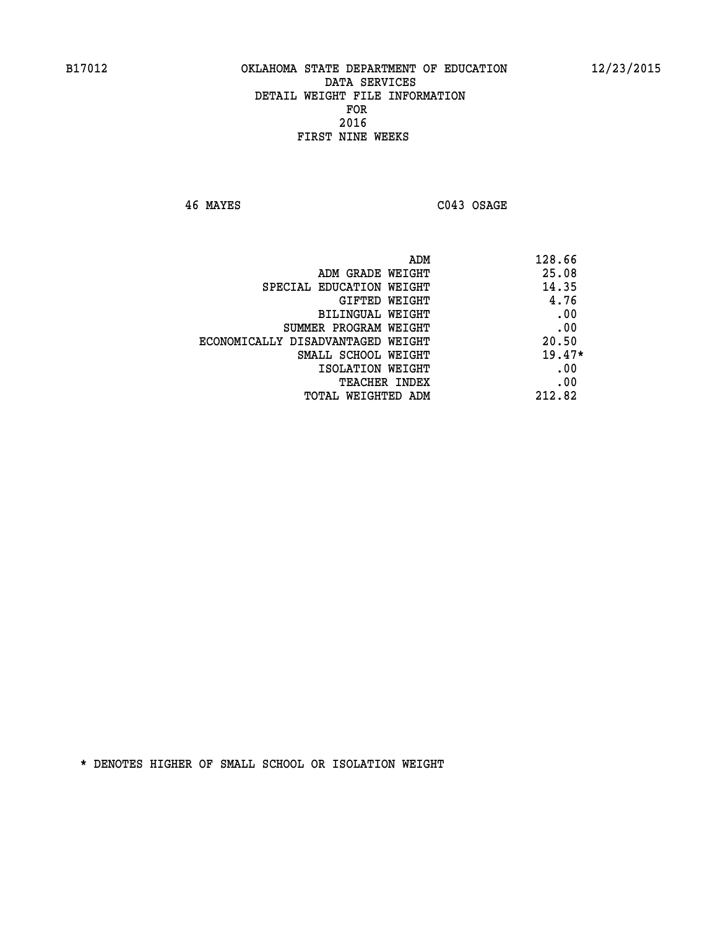**46 MAYES C043 OSAGE** 

|                                   | 128.66<br>ADM |
|-----------------------------------|---------------|
| ADM GRADE WEIGHT                  | 25.08         |
| SPECIAL EDUCATION WEIGHT          | 14.35         |
| GIFTED WEIGHT                     | 4.76          |
| BILINGUAL WEIGHT                  | .00           |
| SUMMER PROGRAM WEIGHT             | .00           |
| ECONOMICALLY DISADVANTAGED WEIGHT | 20.50         |
| SMALL SCHOOL WEIGHT               | $19.47*$      |
| ISOLATION WEIGHT                  | .00           |
| TEACHER INDEX                     | .00           |
| TOTAL WEIGHTED ADM                | 212.82        |
|                                   |               |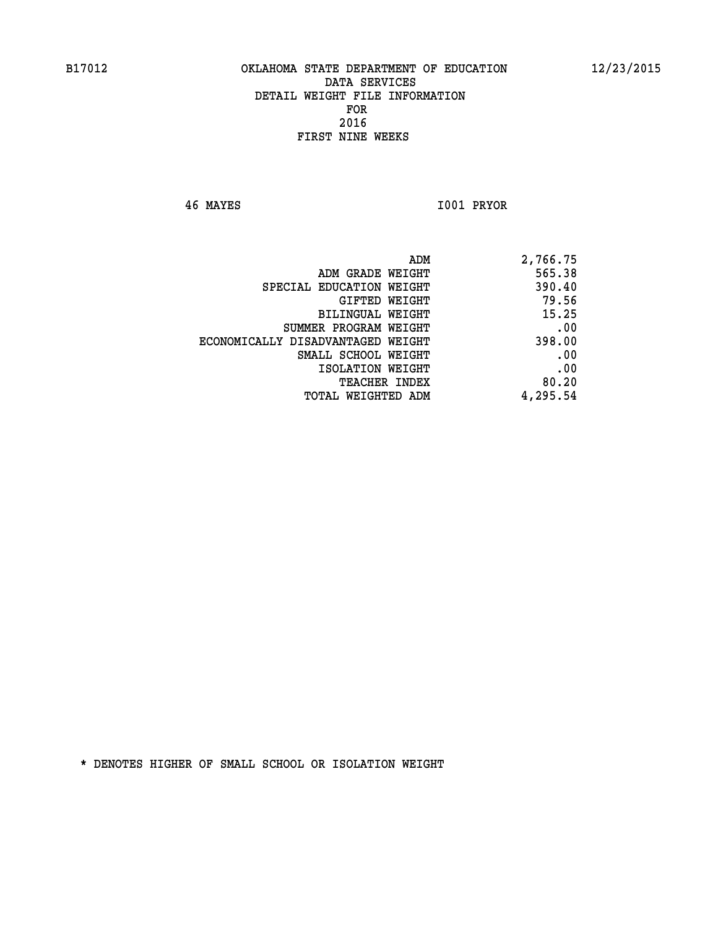**46 MAYES I001 PRYOR** 

| ADM                               | 2,766.75 |
|-----------------------------------|----------|
| ADM GRADE WEIGHT                  | 565.38   |
| SPECIAL EDUCATION WEIGHT          | 390.40   |
| GIFTED WEIGHT                     | 79.56    |
| <b>BILINGUAL WEIGHT</b>           | 15.25    |
| SUMMER PROGRAM WEIGHT             | .00      |
| ECONOMICALLY DISADVANTAGED WEIGHT | 398.00   |
| SMALL SCHOOL WEIGHT               | .00      |
| ISOLATION WEIGHT                  | .00      |
| TEACHER INDEX                     | 80.20    |
| TOTAL WEIGHTED ADM                | 4,295.54 |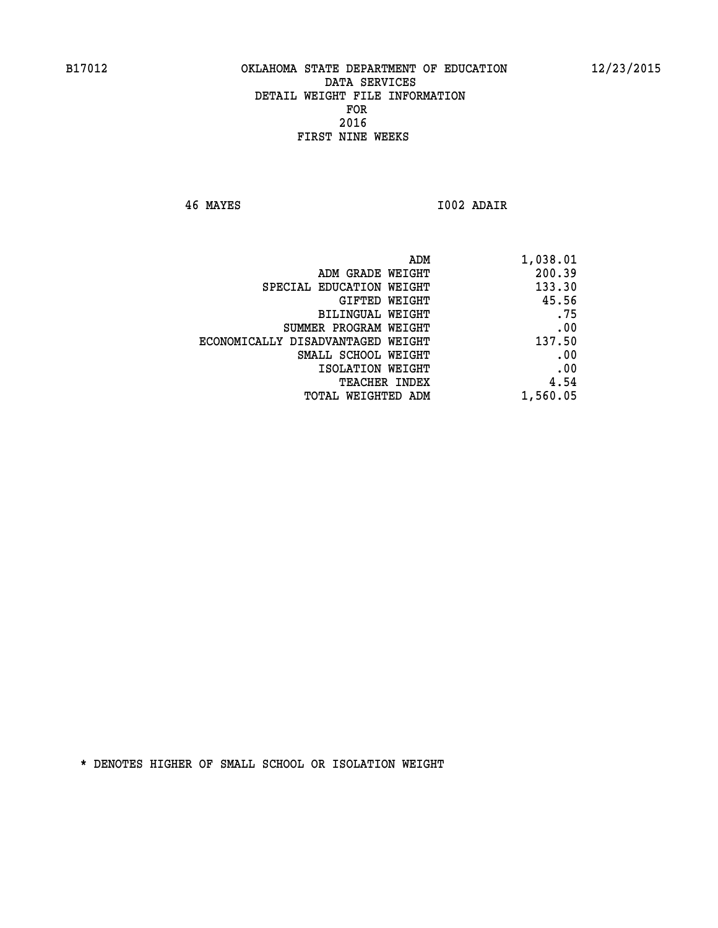**46 MAYES I002 ADAIR** 

| ADM                               | 1,038.01 |
|-----------------------------------|----------|
| ADM GRADE WEIGHT                  | 200.39   |
| SPECIAL EDUCATION WEIGHT          | 133.30   |
| GIFTED WEIGHT                     | 45.56    |
| <b>BILINGUAL WEIGHT</b>           | .75      |
| SUMMER PROGRAM WEIGHT             | .00      |
| ECONOMICALLY DISADVANTAGED WEIGHT | 137.50   |
| SMALL SCHOOL WEIGHT               | .00      |
| ISOLATION WEIGHT                  | .00      |
| TEACHER INDEX                     | 4.54     |
| TOTAL WEIGHTED ADM                | 1,560.05 |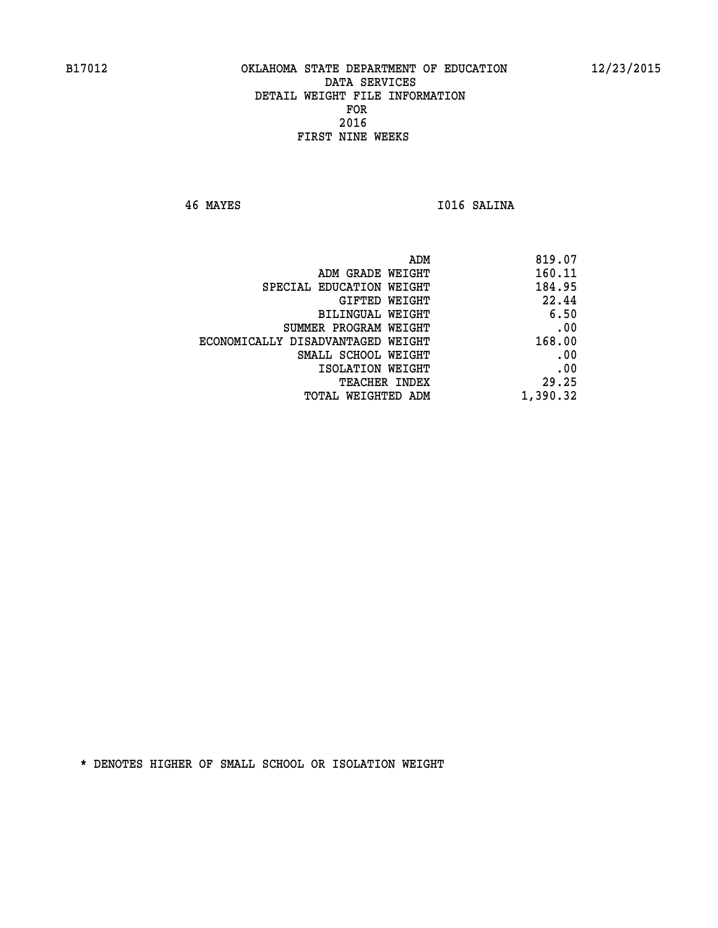**46 MAYES I016 SALINA** 

| 819.07   |
|----------|
| 160.11   |
| 184.95   |
| 22.44    |
| 6.50     |
| .00      |
| 168.00   |
| .00      |
| .00      |
| 29.25    |
| 1,390.32 |
|          |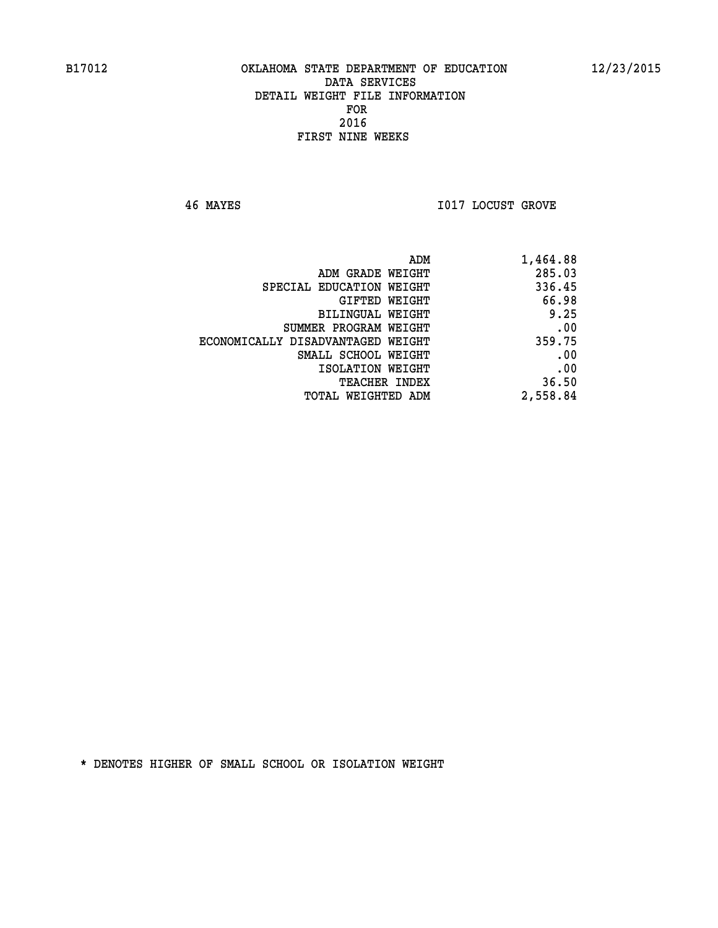**46 MAYES I017 LOCUST GROVE** 

| 1,464.88 |
|----------|
| 285.03   |
| 336.45   |
| 66.98    |
| 9.25     |
| .00      |
| 359.75   |
| .00      |
| .00      |
| 36.50    |
| 2,558.84 |
|          |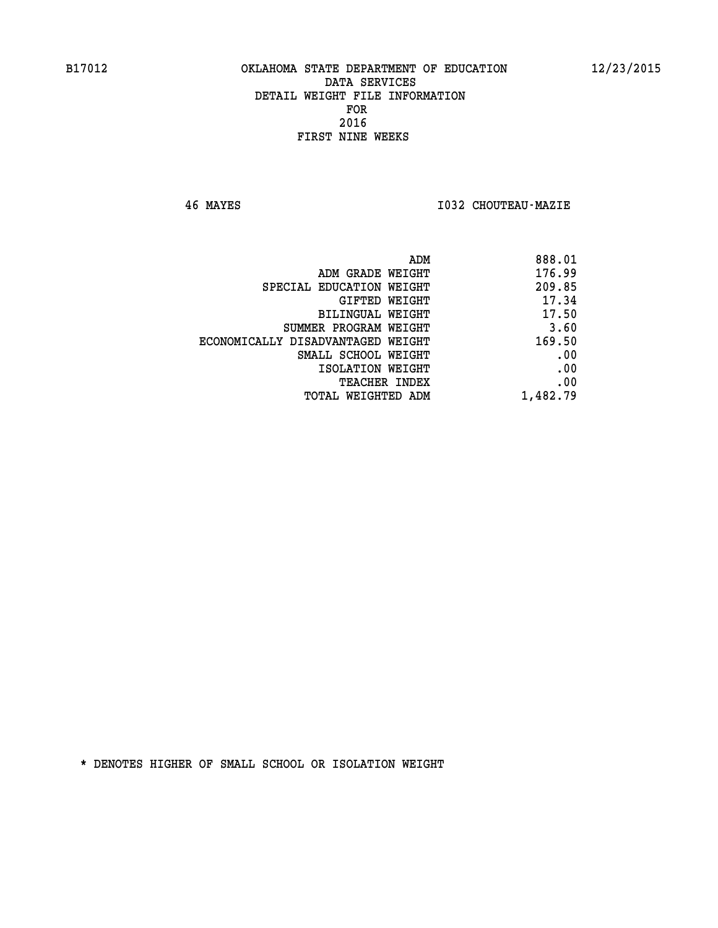**46 MAYES I032 CHOUTEAU-MAZIE** 

| ADM                               | 888.01   |
|-----------------------------------|----------|
| ADM GRADE WEIGHT                  | 176.99   |
| SPECIAL EDUCATION WEIGHT          | 209.85   |
| GIFTED WEIGHT                     | 17.34    |
| BILINGUAL WEIGHT                  | 17.50    |
| SUMMER PROGRAM WEIGHT             | 3.60     |
| ECONOMICALLY DISADVANTAGED WEIGHT | 169.50   |
| SMALL SCHOOL WEIGHT               | .00      |
| ISOLATION WEIGHT                  | .00      |
| <b>TEACHER INDEX</b>              | .00      |
| TOTAL WEIGHTED ADM                | 1,482.79 |
|                                   |          |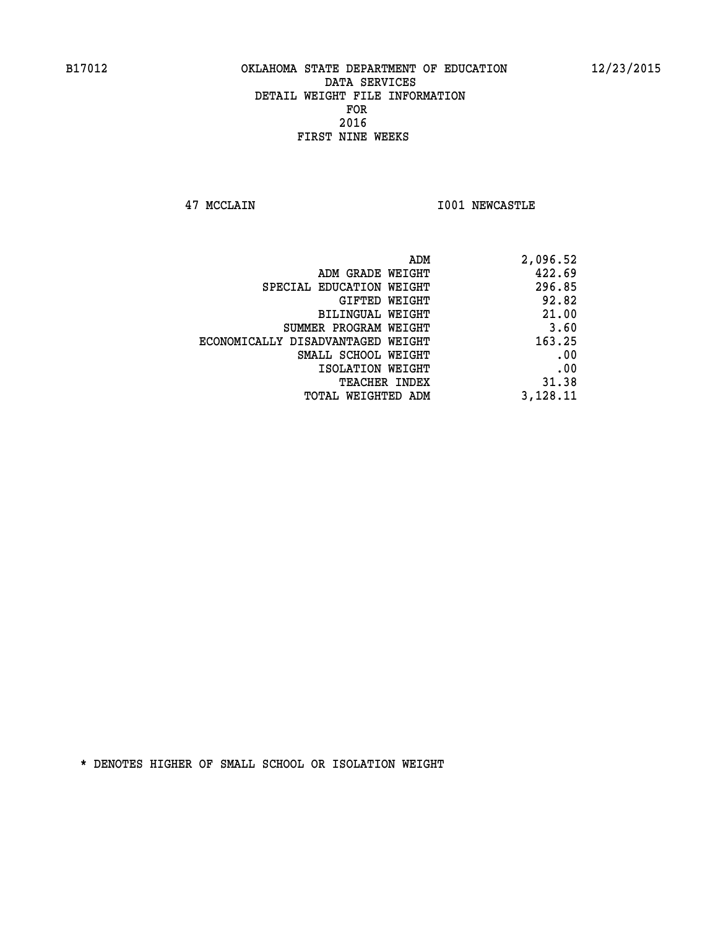**47 MCCLAIN I001 NEWCASTLE** 

| 2,096.52 |
|----------|
| 422.69   |
| 296.85   |
| 92.82    |
| 21.00    |
| 3.60     |
| 163.25   |
| .00      |
| .00      |
| 31.38    |
| 3,128.11 |
|          |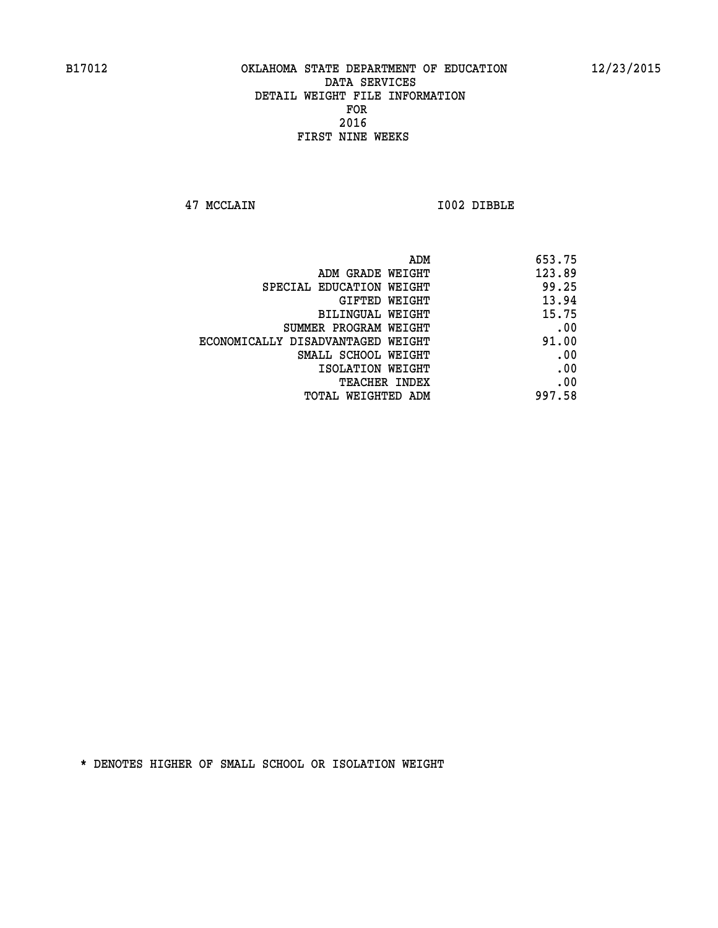**47 MCCLAIN I002 DIBBLE** 

| 653.75 |
|--------|
| 123.89 |
| 99.25  |
| 13.94  |
| 15.75  |
| .00    |
| 91.00  |
| .00    |
| .00    |
| .00    |
| 997.58 |
|        |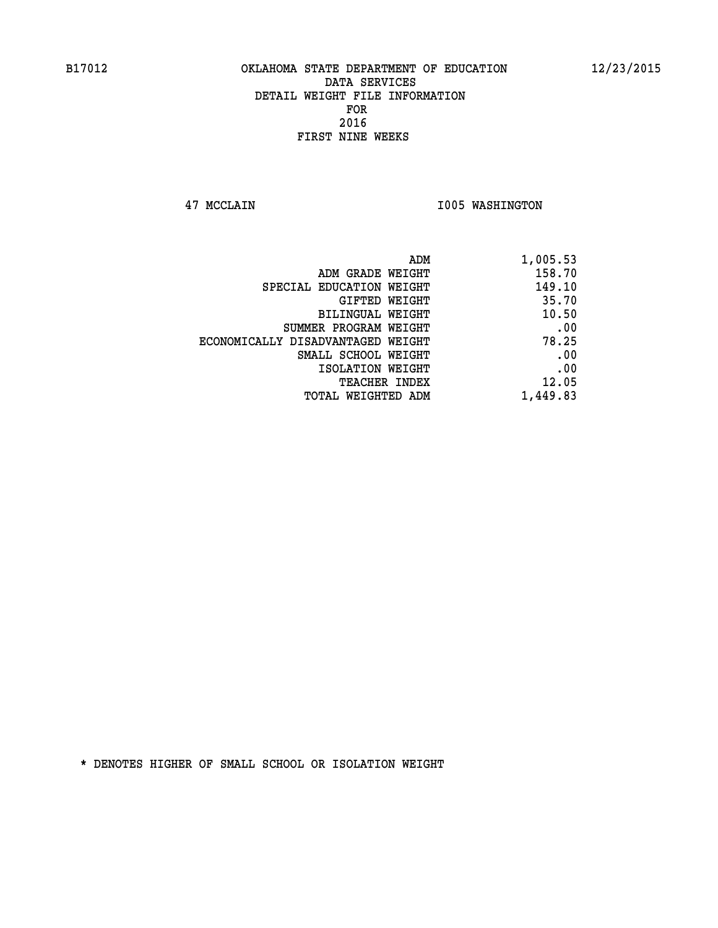**47 MCCLAIN I005 WASHINGTON** 

| ADM                               | 1,005.53 |
|-----------------------------------|----------|
| ADM GRADE WEIGHT                  | 158.70   |
| SPECIAL EDUCATION WEIGHT          | 149.10   |
| <b>GIFTED WEIGHT</b>              | 35.70    |
| BILINGUAL WEIGHT                  | 10.50    |
| SUMMER PROGRAM WEIGHT             | .00      |
| ECONOMICALLY DISADVANTAGED WEIGHT | 78.25    |
| SMALL SCHOOL WEIGHT               | .00      |
| ISOLATION WEIGHT                  | .00      |
| <b>TEACHER INDEX</b>              | 12.05    |
| TOTAL WEIGHTED ADM                | 1,449.83 |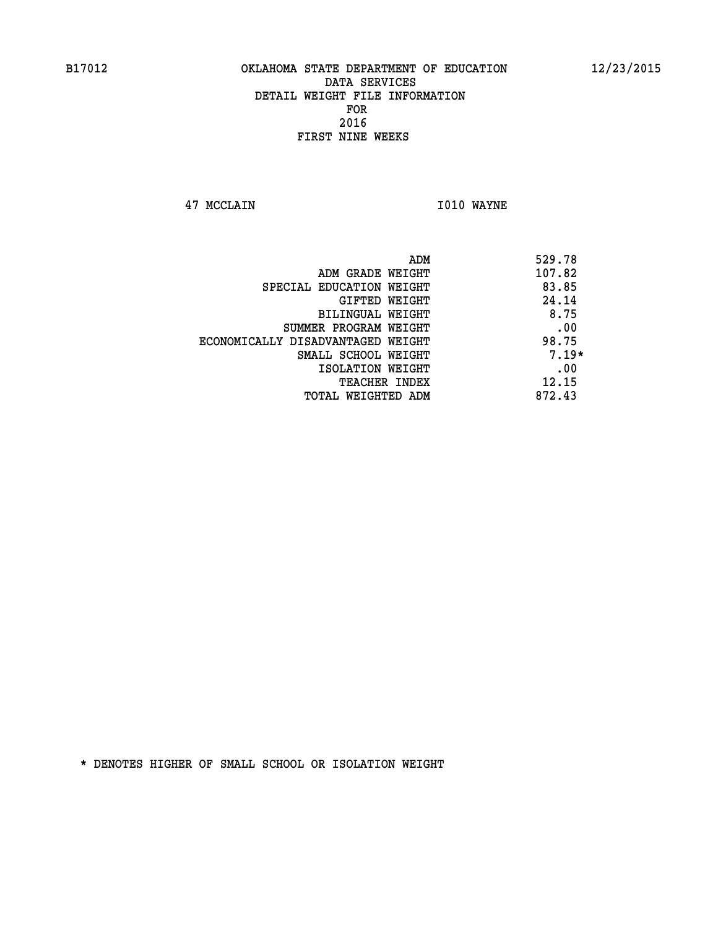**47 MCCLAIN I010 WAYNE** 

|                                   | ADM | 529.78  |
|-----------------------------------|-----|---------|
| ADM GRADE WEIGHT                  |     | 107.82  |
| SPECIAL EDUCATION WEIGHT          |     | 83.85   |
| GIFTED WEIGHT                     |     | 24.14   |
| BILINGUAL WEIGHT                  |     | 8.75    |
| SUMMER PROGRAM WEIGHT             |     | .00     |
| ECONOMICALLY DISADVANTAGED WEIGHT |     | 98.75   |
| SMALL SCHOOL WEIGHT               |     | $7.19*$ |
| ISOLATION WEIGHT                  |     | .00     |
| TEACHER INDEX                     |     | 12.15   |
| TOTAL WEIGHTED ADM                |     | 872.43  |
|                                   |     |         |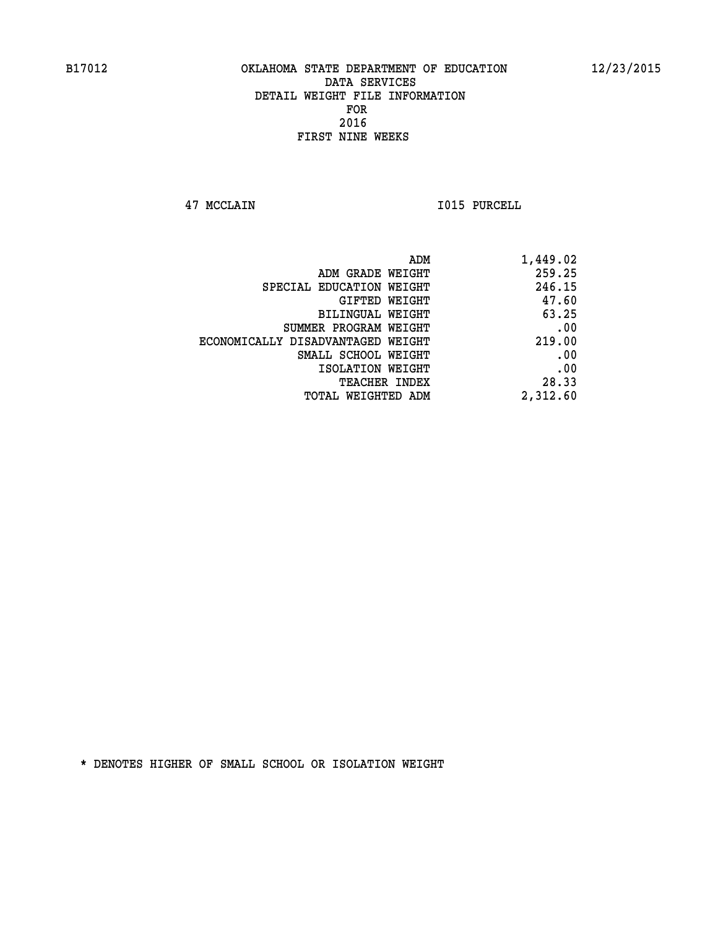**47 MCCLAIN I015 PURCELL** 

| 1,449.02 |
|----------|
| 259.25   |
| 246.15   |
| 47.60    |
| 63.25    |
| .00      |
| 219.00   |
| .00      |
| .00      |
| 28.33    |
| 2,312.60 |
|          |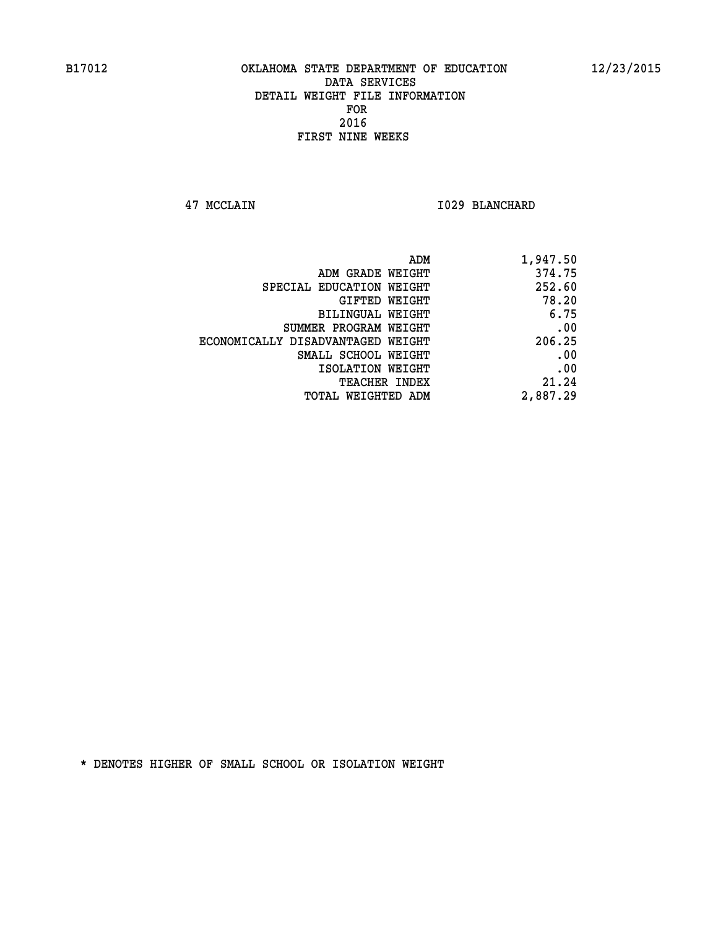**47 MCCLAIN I029 BLANCHARD** 

| ADM                               | 1,947.50 |
|-----------------------------------|----------|
| ADM GRADE WEIGHT                  | 374.75   |
| SPECIAL EDUCATION WEIGHT          | 252.60   |
| GIFTED WEIGHT                     | 78.20    |
| BILINGUAL WEIGHT                  | 6.75     |
| SUMMER PROGRAM WEIGHT             | .00      |
| ECONOMICALLY DISADVANTAGED WEIGHT | 206.25   |
| SMALL SCHOOL WEIGHT               | .00      |
| ISOLATION WEIGHT                  | .00      |
| <b>TEACHER INDEX</b>              | 21.24    |
| TOTAL WEIGHTED ADM                | 2,887.29 |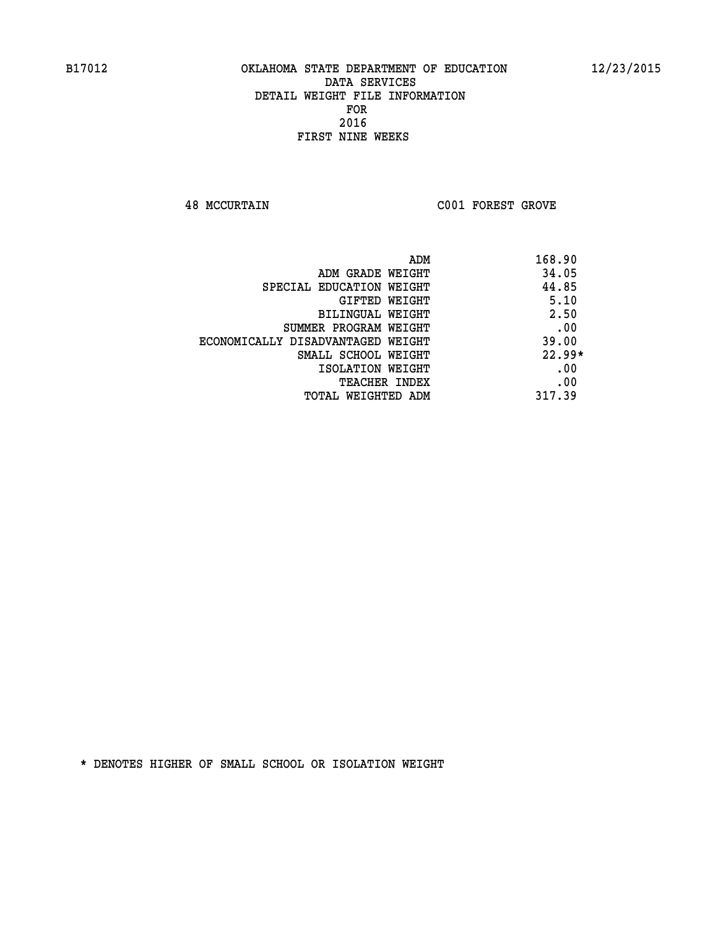**48 MCCURTAIN C001 FOREST GROVE** 

|                                   | ADM<br>168.90 |
|-----------------------------------|---------------|
| ADM GRADE WEIGHT                  | 34.05         |
| SPECIAL EDUCATION WEIGHT          | 44.85         |
| <b>GIFTED WEIGHT</b>              | 5.10          |
| BILINGUAL WEIGHT                  | 2.50          |
| SUMMER PROGRAM WEIGHT             | .00           |
| ECONOMICALLY DISADVANTAGED WEIGHT | 39.00         |
| SMALL SCHOOL WEIGHT               | $22.99*$      |
| ISOLATION WEIGHT                  | .00           |
| <b>TEACHER INDEX</b>              | .00           |
| TOTAL WEIGHTED ADM                | 317.39        |
|                                   |               |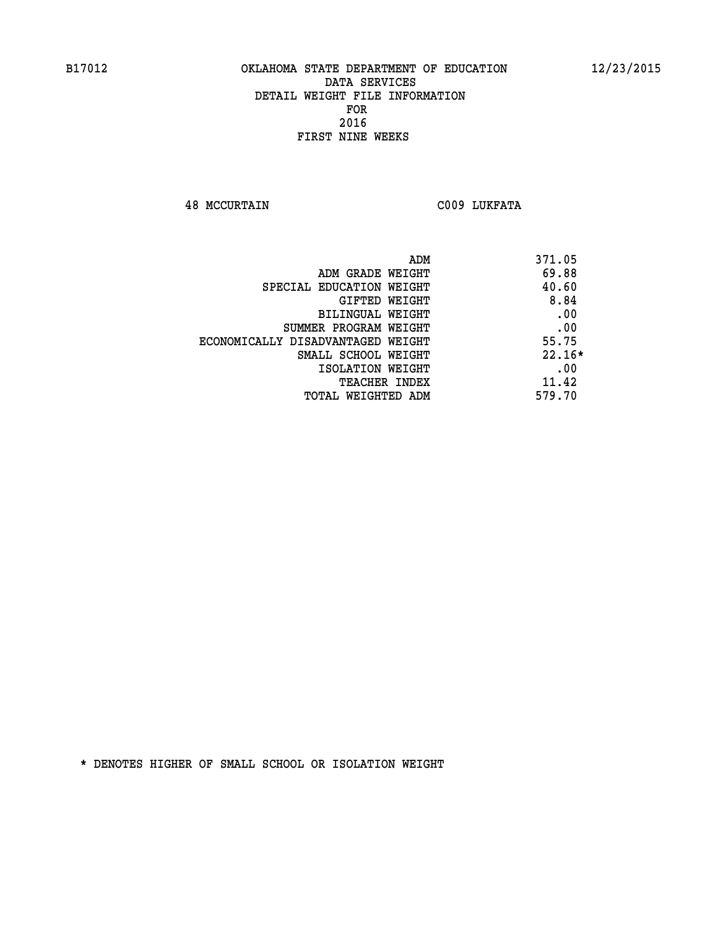**48 MCCURTAIN C009 LUKFATA** 

| ADM                               | 371.05   |
|-----------------------------------|----------|
| ADM GRADE WEIGHT                  | 69.88    |
| SPECIAL EDUCATION WEIGHT          | 40.60    |
| GIFTED WEIGHT                     | 8.84     |
| BILINGUAL WEIGHT                  | .00      |
| SUMMER PROGRAM WEIGHT             | .00      |
| ECONOMICALLY DISADVANTAGED WEIGHT | 55.75    |
| SMALL SCHOOL WEIGHT               | $22.16*$ |
| ISOLATION WEIGHT                  | .00      |
| <b>TEACHER INDEX</b>              | 11.42    |
| TOTAL WEIGHTED ADM                | 579.70   |
|                                   |          |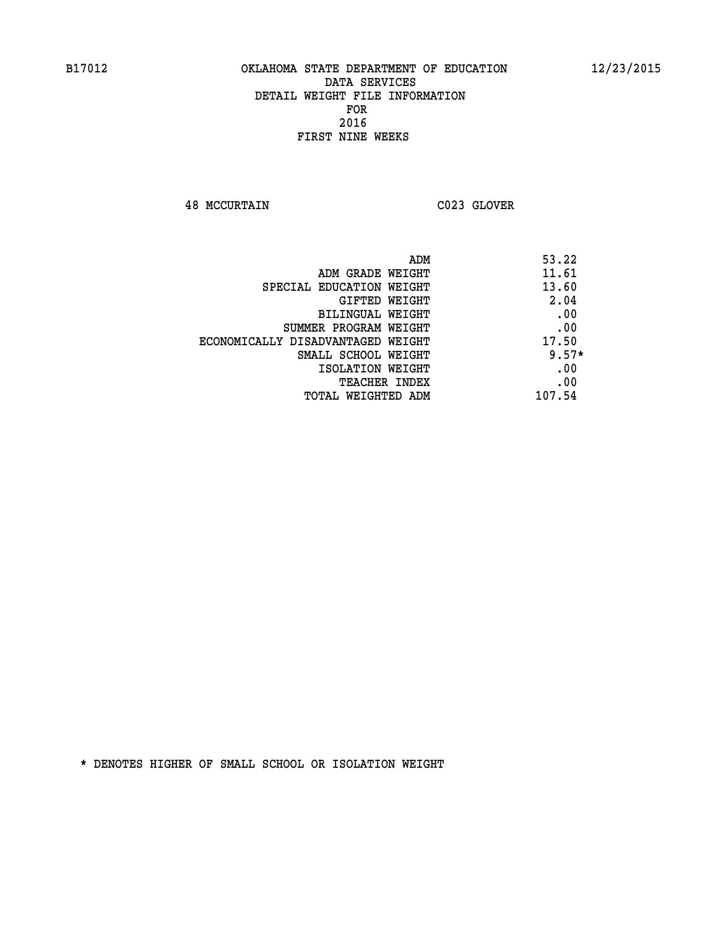**48 MCCURTAIN C023 GLOVER** 

| ADM                               | 53.22   |
|-----------------------------------|---------|
| ADM GRADE WEIGHT                  | 11.61   |
| SPECIAL EDUCATION WEIGHT          | 13.60   |
| GIFTED WEIGHT                     | 2.04    |
| <b>BILINGUAL WEIGHT</b>           | .00     |
| SUMMER PROGRAM WEIGHT             | .00     |
| ECONOMICALLY DISADVANTAGED WEIGHT | 17.50   |
| SMALL SCHOOL WEIGHT               | $9.57*$ |
| ISOLATION WEIGHT                  | .00     |
| <b>TEACHER INDEX</b>              | .00     |
| TOTAL WEIGHTED ADM                | 107.54  |
|                                   |         |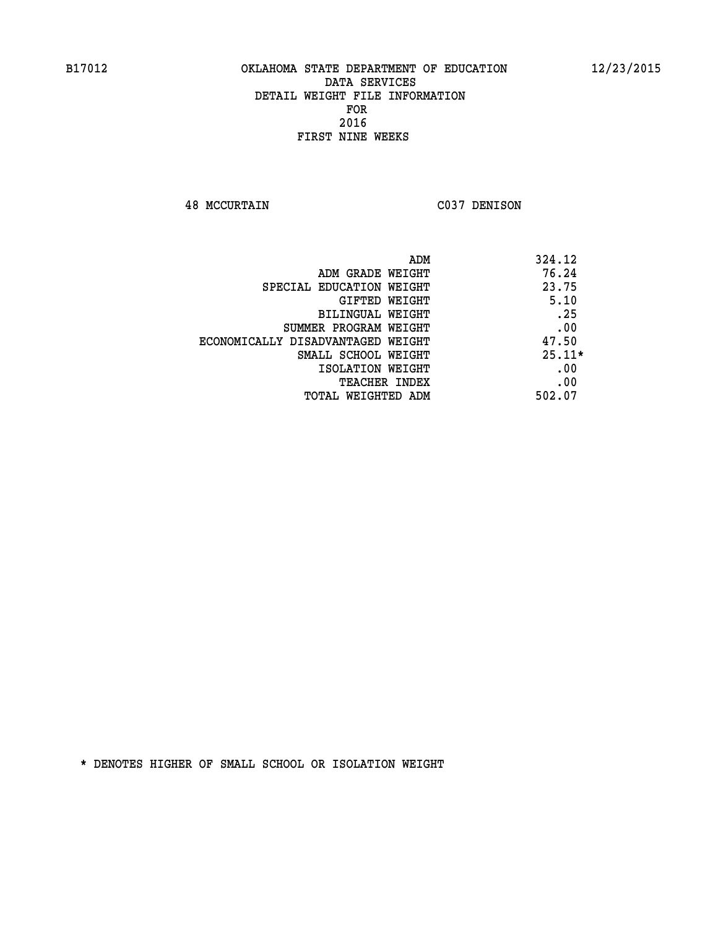**48 MCCURTAIN C037 DENISON** 

|                                   | 324.12<br>ADM |
|-----------------------------------|---------------|
| ADM GRADE WEIGHT                  | 76.24         |
| SPECIAL EDUCATION WEIGHT          | 23.75         |
| GIFTED WEIGHT                     | 5.10          |
| BILINGUAL WEIGHT                  | .25           |
| SUMMER PROGRAM WEIGHT             | .00           |
| ECONOMICALLY DISADVANTAGED WEIGHT | 47.50         |
| SMALL SCHOOL WEIGHT               | $25.11*$      |
| ISOLATION WEIGHT                  | .00           |
| <b>TEACHER INDEX</b>              | .00           |
| TOTAL WEIGHTED ADM                | 502.07        |
|                                   |               |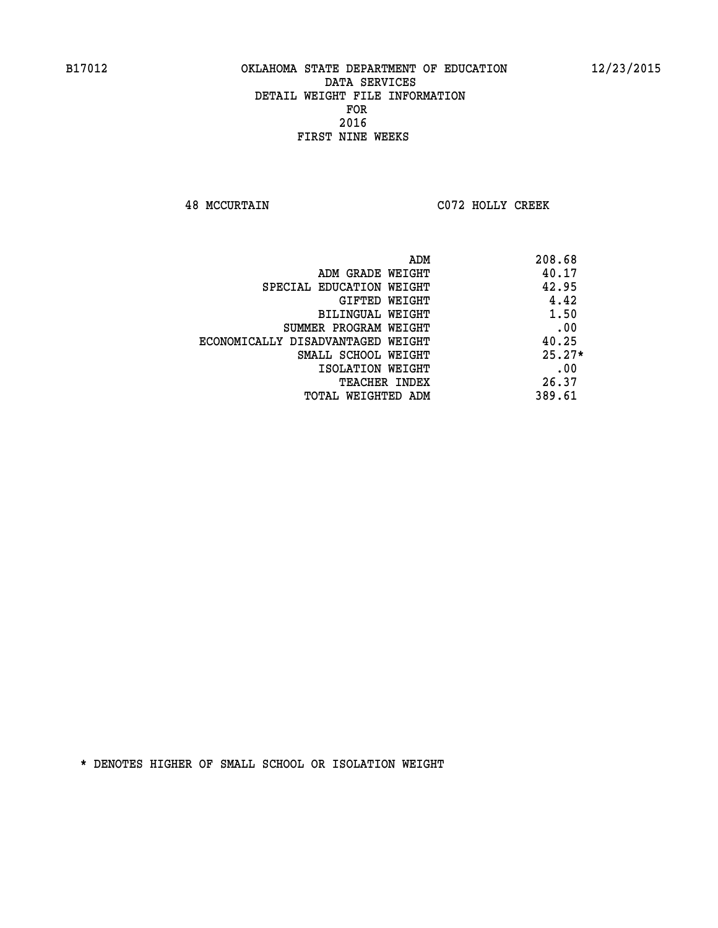**48 MCCURTAIN C072 HOLLY CREEK** 

|                                   | 208.68<br>ADM |
|-----------------------------------|---------------|
| ADM GRADE WEIGHT                  | 40.17         |
| SPECIAL EDUCATION WEIGHT          | 42.95         |
| GIFTED WEIGHT                     | 4.42          |
| BILINGUAL WEIGHT                  | 1.50          |
| SUMMER PROGRAM WEIGHT             | .00           |
| ECONOMICALLY DISADVANTAGED WEIGHT | 40.25         |
| SMALL SCHOOL WEIGHT               | $25.27*$      |
| ISOLATION WEIGHT                  | .00           |
| <b>TEACHER INDEX</b>              | 26.37         |
| TOTAL WEIGHTED ADM                | 389.61        |
|                                   |               |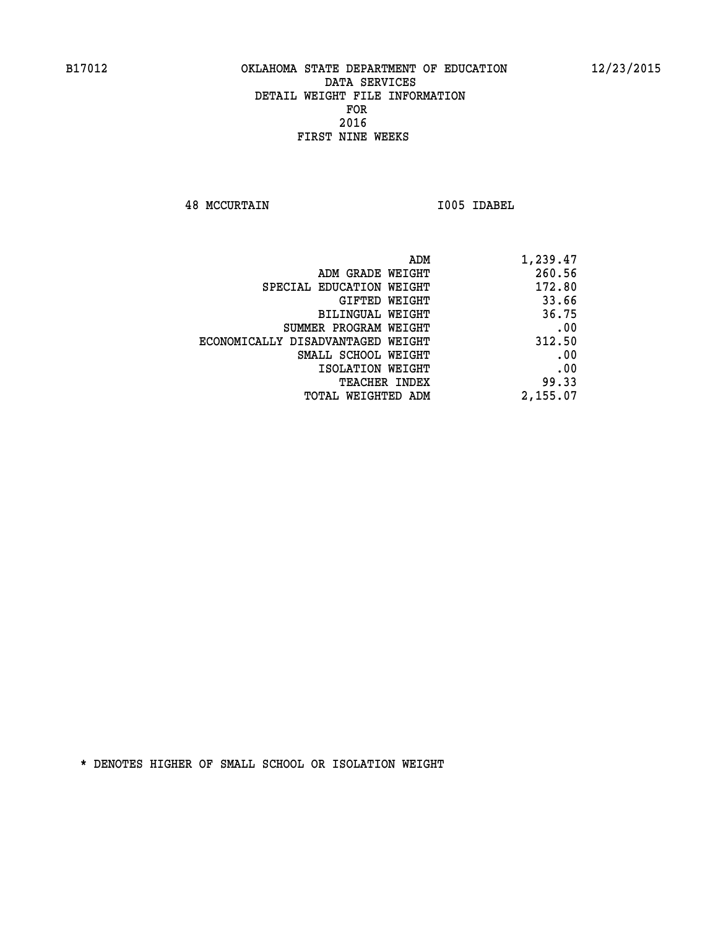**48 MCCURTAIN I005 IDABEL** 

| ADM                               | 1,239.47 |
|-----------------------------------|----------|
| ADM GRADE WEIGHT                  | 260.56   |
| SPECIAL EDUCATION WEIGHT          | 172.80   |
| GIFTED WEIGHT                     | 33.66    |
| <b>BILINGUAL WEIGHT</b>           | 36.75    |
| SUMMER PROGRAM WEIGHT             | .00      |
| ECONOMICALLY DISADVANTAGED WEIGHT | 312.50   |
| SMALL SCHOOL WEIGHT               | .00      |
| ISOLATION WEIGHT                  | .00      |
| TEACHER INDEX                     | 99.33    |
| TOTAL WEIGHTED ADM                | 2,155.07 |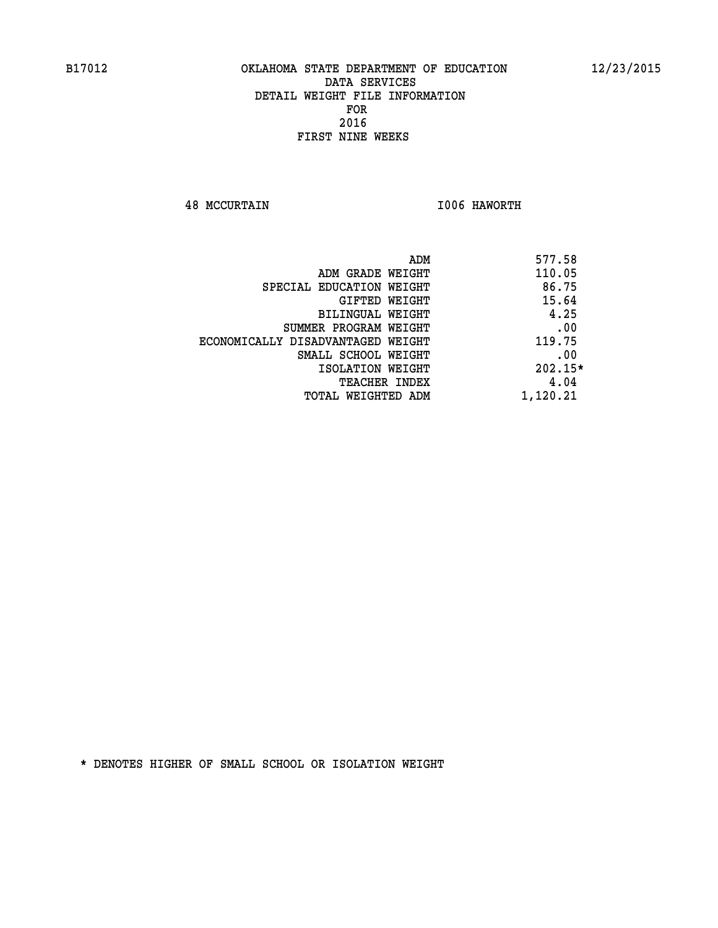**48 MCCURTAIN I006 HAWORTH** 

| ADM                               | 577.58    |
|-----------------------------------|-----------|
| ADM GRADE WEIGHT                  | 110.05    |
| SPECIAL EDUCATION WEIGHT          | 86.75     |
| GIFTED WEIGHT                     | 15.64     |
| BILINGUAL WEIGHT                  | 4.25      |
| SUMMER PROGRAM WEIGHT             | .00       |
| ECONOMICALLY DISADVANTAGED WEIGHT | 119.75    |
| SMALL SCHOOL WEIGHT               | .00       |
| ISOLATION WEIGHT                  | $202.15*$ |
| TEACHER INDEX                     | 4.04      |
| TOTAL WEIGHTED ADM                | 1,120.21  |
|                                   |           |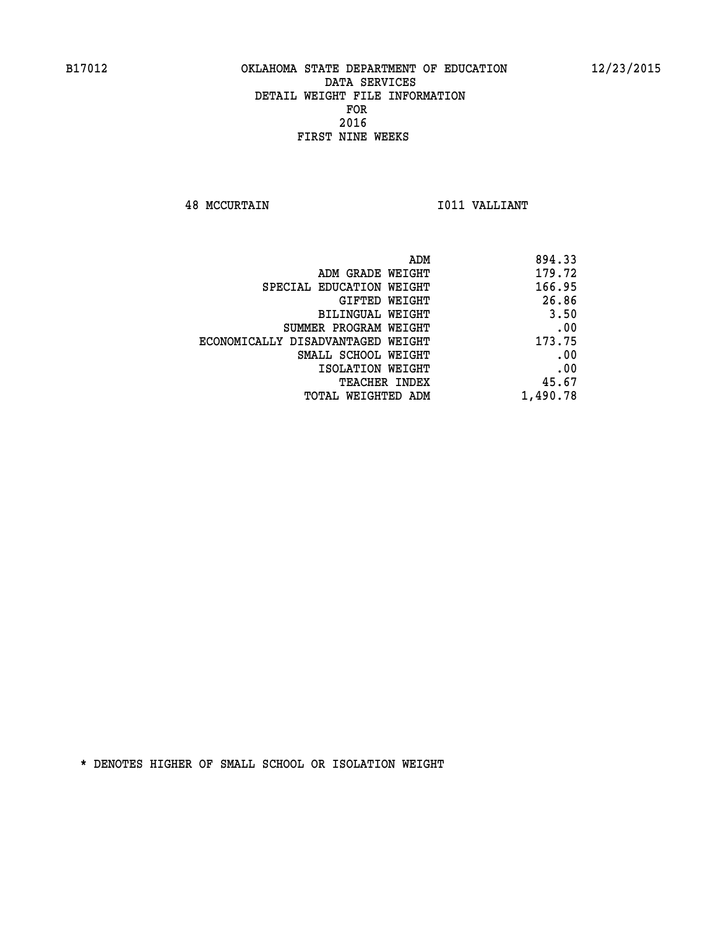**48 MCCURTAIN I011 VALLIANT** 

|                                   | 894.33<br>ADM |
|-----------------------------------|---------------|
| ADM GRADE WEIGHT                  | 179.72        |
| SPECIAL EDUCATION WEIGHT          | 166.95        |
| GIFTED WEIGHT                     | 26.86         |
| BILINGUAL WEIGHT                  | 3.50          |
| SUMMER PROGRAM WEIGHT             | .00           |
| ECONOMICALLY DISADVANTAGED WEIGHT | 173.75        |
| SMALL SCHOOL WEIGHT               | .00           |
| ISOLATION WEIGHT                  | .00           |
| TEACHER INDEX                     | 45.67         |
| TOTAL WEIGHTED ADM                | 1,490.78      |
|                                   |               |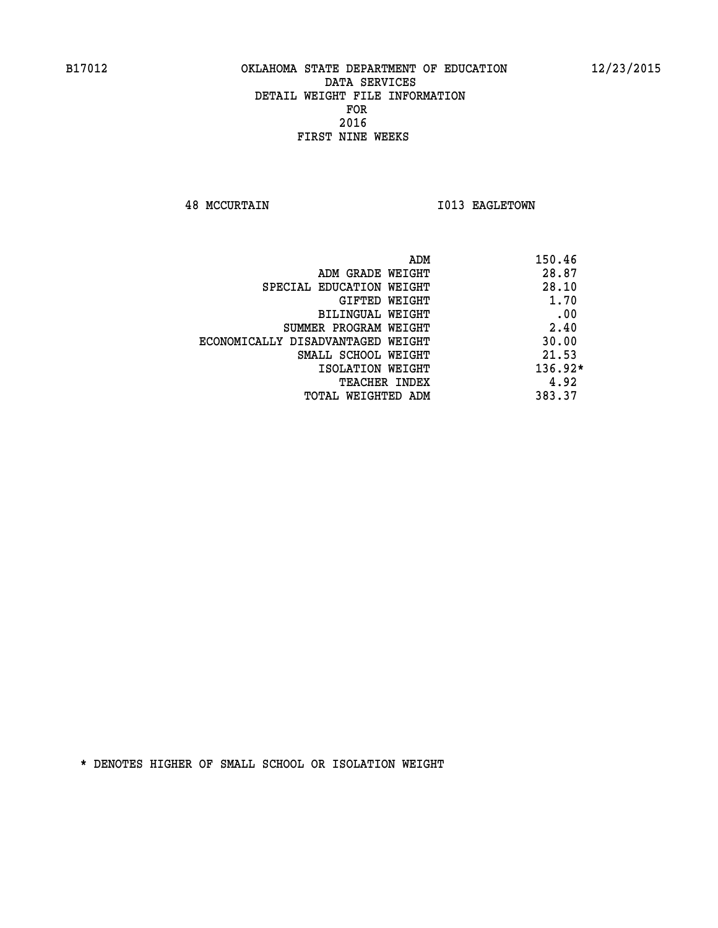**48 MCCURTAIN I013 EAGLETOWN** 

|                                   | ADM | 150.46    |
|-----------------------------------|-----|-----------|
| ADM GRADE WEIGHT                  |     | 28.87     |
| SPECIAL EDUCATION WEIGHT          |     | 28.10     |
| GIFTED WEIGHT                     |     | 1.70      |
| BILINGUAL WEIGHT                  |     | .00       |
| SUMMER PROGRAM WEIGHT             |     | 2.40      |
| ECONOMICALLY DISADVANTAGED WEIGHT |     | 30.00     |
| SMALL SCHOOL WEIGHT               |     | 21.53     |
| ISOLATION WEIGHT                  |     | $136.92*$ |
| TEACHER INDEX                     |     | 4.92      |
| TOTAL WEIGHTED ADM                |     | 383.37    |
|                                   |     |           |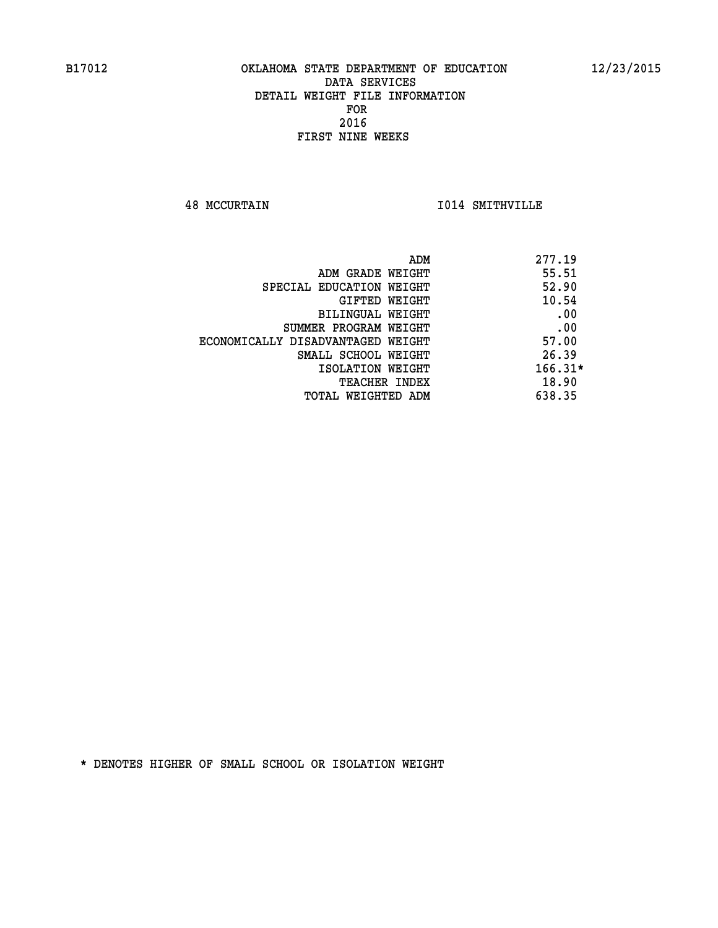**48 MCCURTAIN I014 SMITHVILLE** 

| 277.19<br>ADM                              |     |
|--------------------------------------------|-----|
| 55.51<br>ADM GRADE WEIGHT                  |     |
| 52.90<br>SPECIAL EDUCATION WEIGHT          |     |
| 10.54<br>GIFTED WEIGHT                     |     |
| BILINGUAL WEIGHT                           | .00 |
| SUMMER PROGRAM WEIGHT                      | .00 |
| 57.00<br>ECONOMICALLY DISADVANTAGED WEIGHT |     |
| 26.39<br>SMALL SCHOOL WEIGHT               |     |
| $166.31*$<br>ISOLATION WEIGHT              |     |
| 18.90<br>TEACHER INDEX                     |     |
| 638.35<br>TOTAL WEIGHTED ADM               |     |
|                                            |     |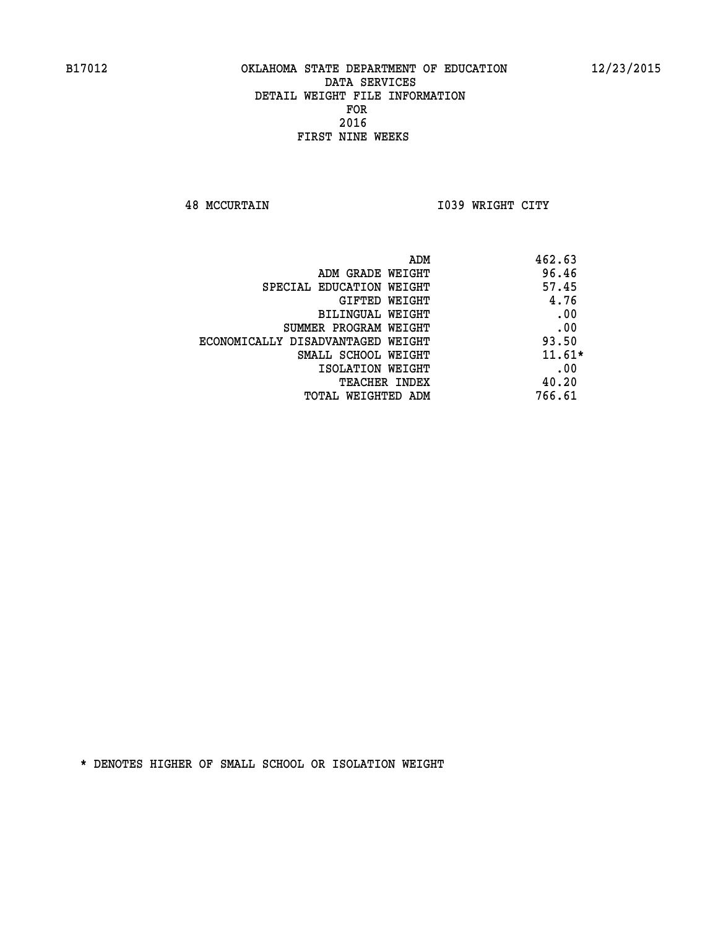**48 MCCURTAIN I039 WRIGHT CITY** 

| ADM                               | 462.63   |
|-----------------------------------|----------|
| ADM GRADE WEIGHT                  | 96.46    |
| SPECIAL EDUCATION WEIGHT          | 57.45    |
| <b>GIFTED WEIGHT</b>              | 4.76     |
| BILINGUAL WEIGHT                  | .00      |
| SUMMER PROGRAM WEIGHT             | .00      |
| ECONOMICALLY DISADVANTAGED WEIGHT | 93.50    |
| SMALL SCHOOL WEIGHT               | $11.61*$ |
| ISOLATION WEIGHT                  | .00      |
| <b>TEACHER INDEX</b>              | 40.20    |
| TOTAL WEIGHTED ADM                | 766.61   |
|                                   |          |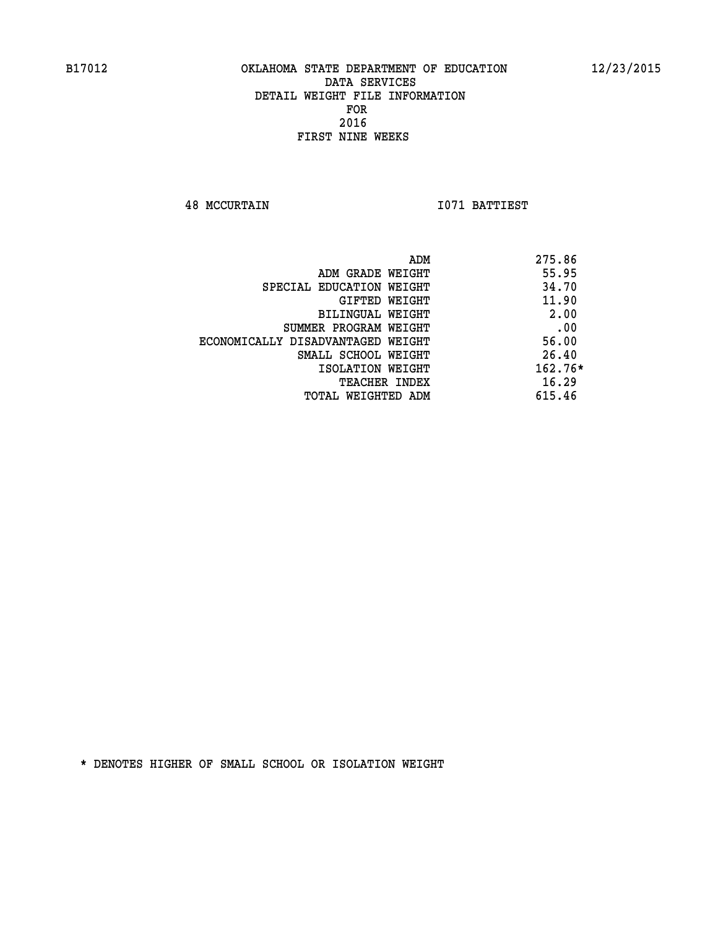**48 MCCURTAIN I071 BATTIEST** 

|                                   | 275.86<br>ADM |  |
|-----------------------------------|---------------|--|
| ADM GRADE WEIGHT                  | 55.95         |  |
| SPECIAL EDUCATION WEIGHT          | 34.70         |  |
| GIFTED WEIGHT                     | 11.90         |  |
| BILINGUAL WEIGHT                  | 2.00          |  |
| SUMMER PROGRAM WEIGHT             | .00           |  |
| ECONOMICALLY DISADVANTAGED WEIGHT | 56.00         |  |
| SMALL SCHOOL WEIGHT               | 26.40         |  |
| ISOLATION WEIGHT                  | $162.76*$     |  |
| TEACHER INDEX                     | 16.29         |  |
| TOTAL WEIGHTED ADM                | 615.46        |  |
|                                   |               |  |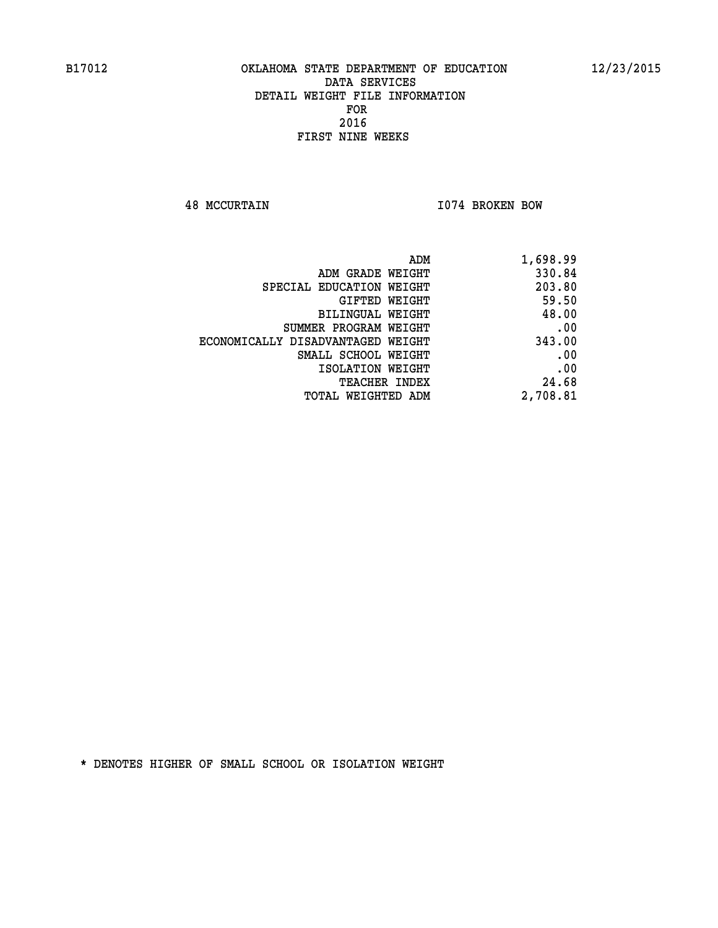**48 MCCURTAIN I074 BROKEN BOW** 

| ADM<br>1,698.99                       |        |
|---------------------------------------|--------|
| 330.84<br>ADM GRADE WEIGHT            |        |
| 203.80<br>SPECIAL EDUCATION WEIGHT    |        |
| GIFTED WEIGHT                         | 59.50  |
| BILINGUAL WEIGHT                      | 48.00  |
| SUMMER PROGRAM WEIGHT                 | .00    |
| ECONOMICALLY DISADVANTAGED WEIGHT     | 343.00 |
| SMALL SCHOOL WEIGHT                   | .00    |
| ISOLATION WEIGHT                      | .00    |
| <b>TEACHER INDEX</b>                  | 24.68  |
| 2,708.81<br><b>TOTAL WEIGHTED ADM</b> |        |
|                                       |        |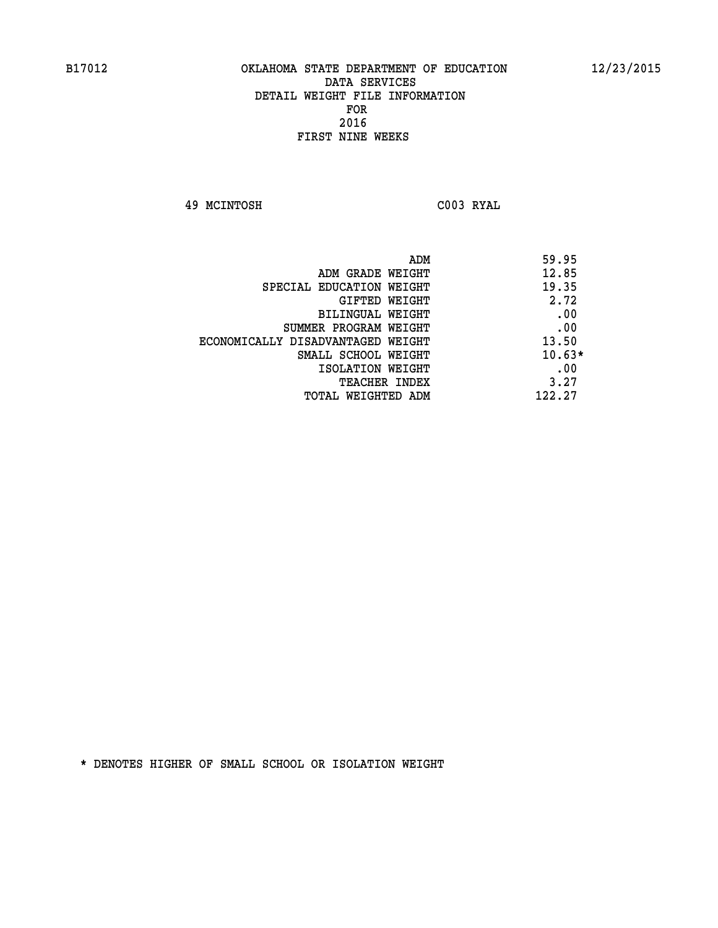**49 MCINTOSH C003 RYAL** 

| ADM<br>59.95                 |                                   |
|------------------------------|-----------------------------------|
| 12.85                        | ADM GRADE WEIGHT                  |
| 19.35                        | SPECIAL EDUCATION WEIGHT          |
| 2.72<br>GIFTED WEIGHT        |                                   |
| .00                          | BILINGUAL WEIGHT                  |
| .00                          | SUMMER PROGRAM WEIGHT             |
| 13.50                        | ECONOMICALLY DISADVANTAGED WEIGHT |
| $10.63*$                     | SMALL SCHOOL WEIGHT               |
| .00                          | ISOLATION WEIGHT                  |
| 3.27<br><b>TEACHER INDEX</b> |                                   |
| 122.27                       | TOTAL WEIGHTED ADM                |
|                              |                                   |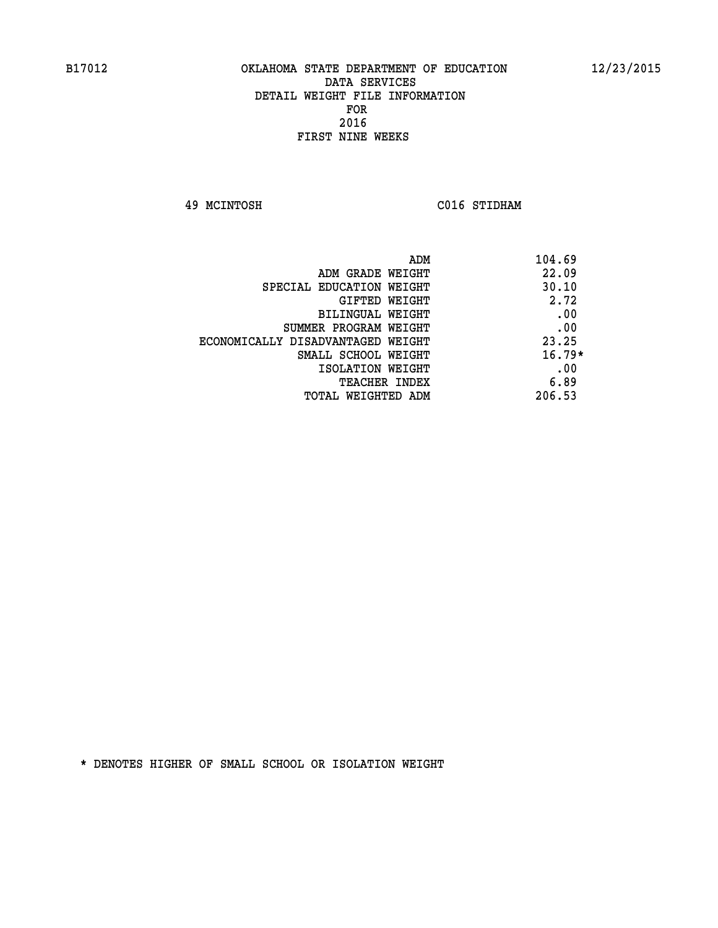**49 MCINTOSH C016 STIDHAM** 

| 104.69   | ADM                               |
|----------|-----------------------------------|
| 22.09    | ADM GRADE WEIGHT                  |
| 30.10    | SPECIAL EDUCATION WEIGHT          |
| 2.72     | <b>GIFTED WEIGHT</b>              |
| .00      | BILINGUAL WEIGHT                  |
| .00      | SUMMER PROGRAM WEIGHT             |
| 23.25    | ECONOMICALLY DISADVANTAGED WEIGHT |
| $16.79*$ | SMALL SCHOOL WEIGHT               |
| .00      | ISOLATION WEIGHT                  |
| 6.89     | <b>TEACHER INDEX</b>              |
| 206.53   | TOTAL WEIGHTED ADM                |
|          |                                   |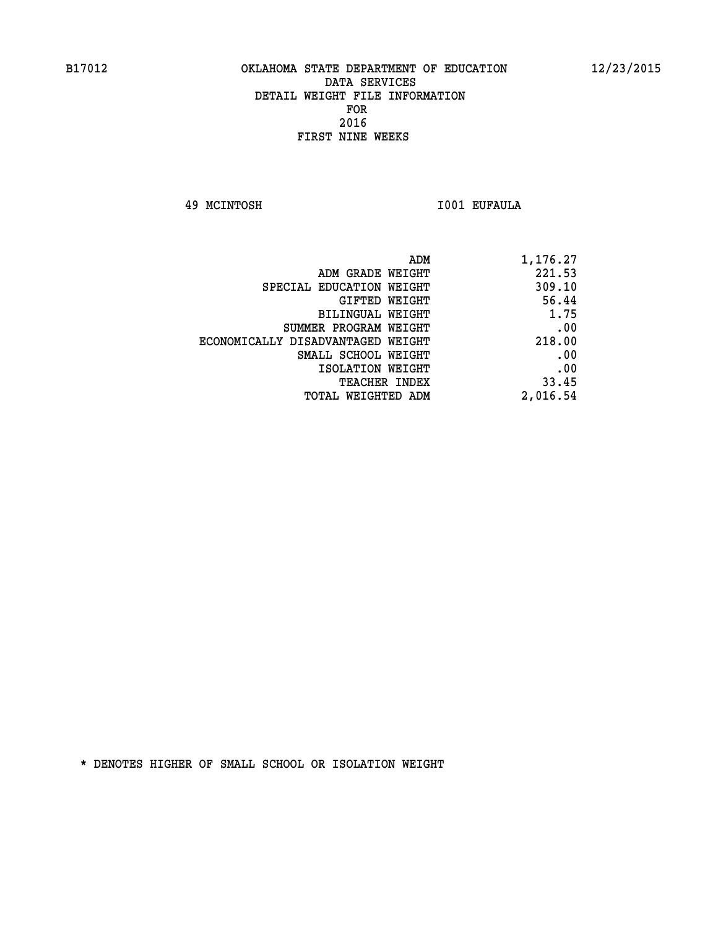**49 MCINTOSH I001 EUFAULA** 

| 1,176.27 |
|----------|
| 221.53   |
| 309.10   |
| 56.44    |
| 1.75     |
| .00      |
| 218.00   |
| .00      |
| .00      |
| 33.45    |
| 2,016.54 |
|          |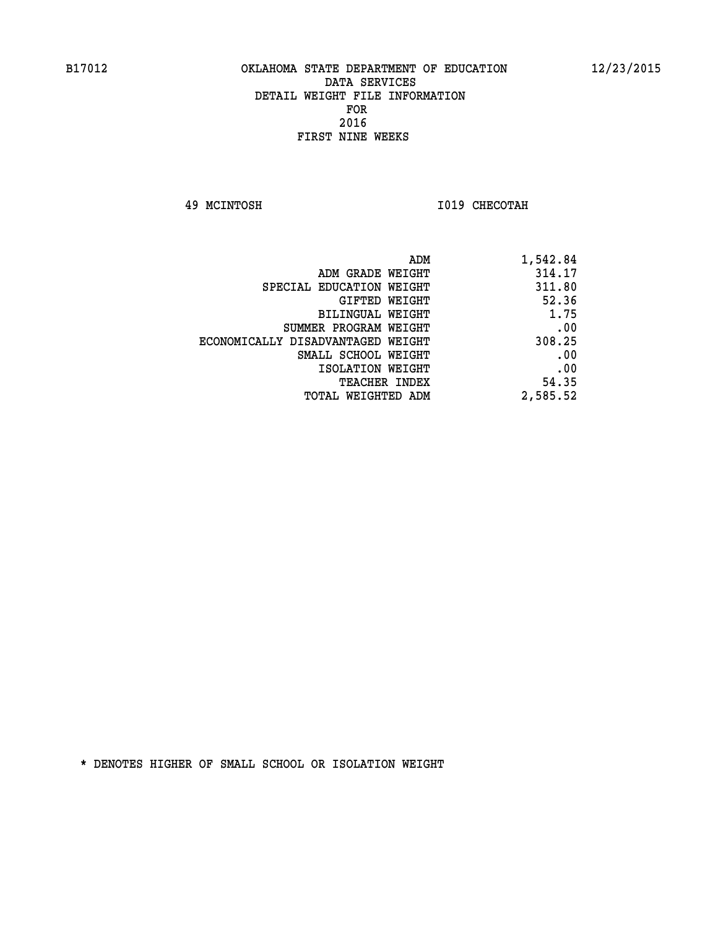**49 MCINTOSH I019 CHECOTAH** 

| 1,542.84 |
|----------|
| 314.17   |
| 311.80   |
| 52.36    |
| 1.75     |
| .00      |
| 308.25   |
| .00      |
| .00      |
| 54.35    |
| 2,585.52 |
|          |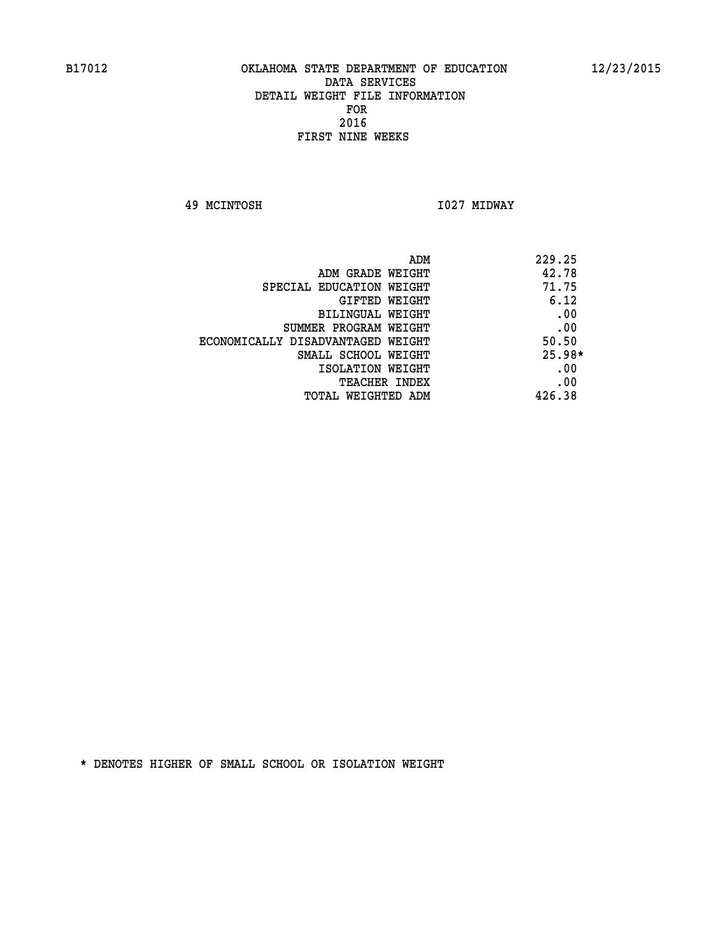**49 MCINTOSH I027 MIDWAY** 

| ADM                               | 229.25   |
|-----------------------------------|----------|
| ADM GRADE WEIGHT                  | 42.78    |
| SPECIAL EDUCATION WEIGHT          | 71.75    |
| GIFTED WEIGHT                     | 6.12     |
| BILINGUAL WEIGHT                  | .00      |
| SUMMER PROGRAM WEIGHT             | .00      |
| ECONOMICALLY DISADVANTAGED WEIGHT | 50.50    |
| SMALL SCHOOL WEIGHT               | $25.98*$ |
| ISOLATION WEIGHT                  | .00      |
| <b>TEACHER INDEX</b>              | .00      |
| TOTAL WEIGHTED ADM                | 426.38   |
|                                   |          |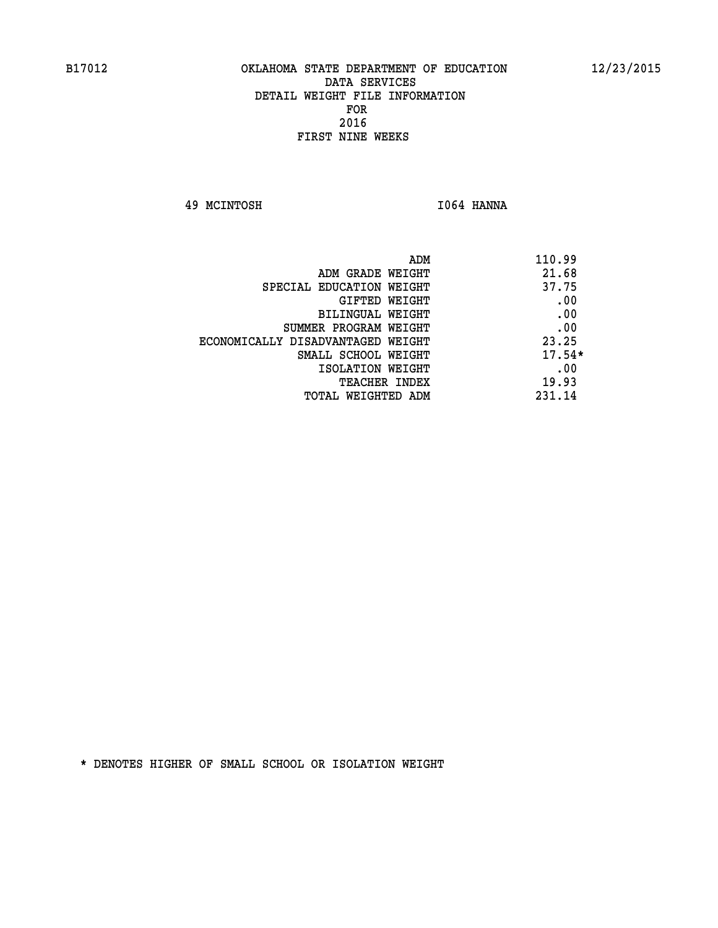**49 MCINTOSH I064 HANNA** 

| ADM<br>110.99                              |  |
|--------------------------------------------|--|
| 21.68<br>ADM GRADE WEIGHT                  |  |
| 37.75<br>SPECIAL EDUCATION WEIGHT          |  |
| .00<br><b>GIFTED WEIGHT</b>                |  |
| .00<br>BILINGUAL WEIGHT                    |  |
| .00<br>SUMMER PROGRAM WEIGHT               |  |
| 23.25<br>ECONOMICALLY DISADVANTAGED WEIGHT |  |
| $17.54*$<br>SMALL SCHOOL WEIGHT            |  |
| .00<br>ISOLATION WEIGHT                    |  |
| 19.93<br><b>TEACHER INDEX</b>              |  |
| 231.14<br>TOTAL WEIGHTED ADM               |  |
|                                            |  |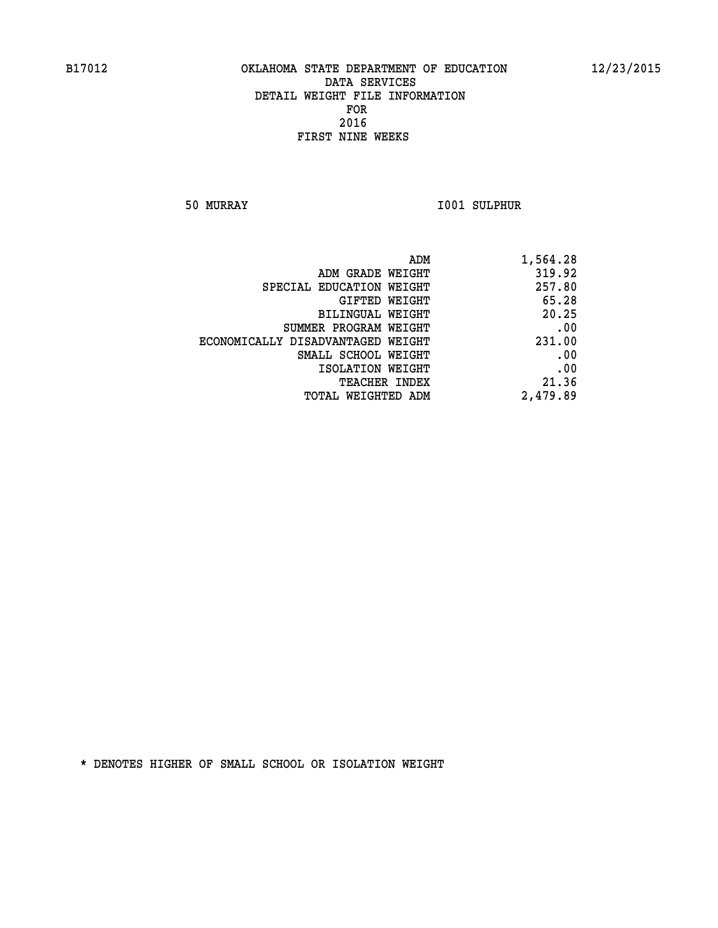**50 MURRAY I001 SULPHUR** 

| 1,564.28 |
|----------|
| 319.92   |
| 257.80   |
| 65.28    |
| 20.25    |
| .00      |
| 231.00   |
| .00      |
| .00      |
| 21.36    |
| 2,479.89 |
|          |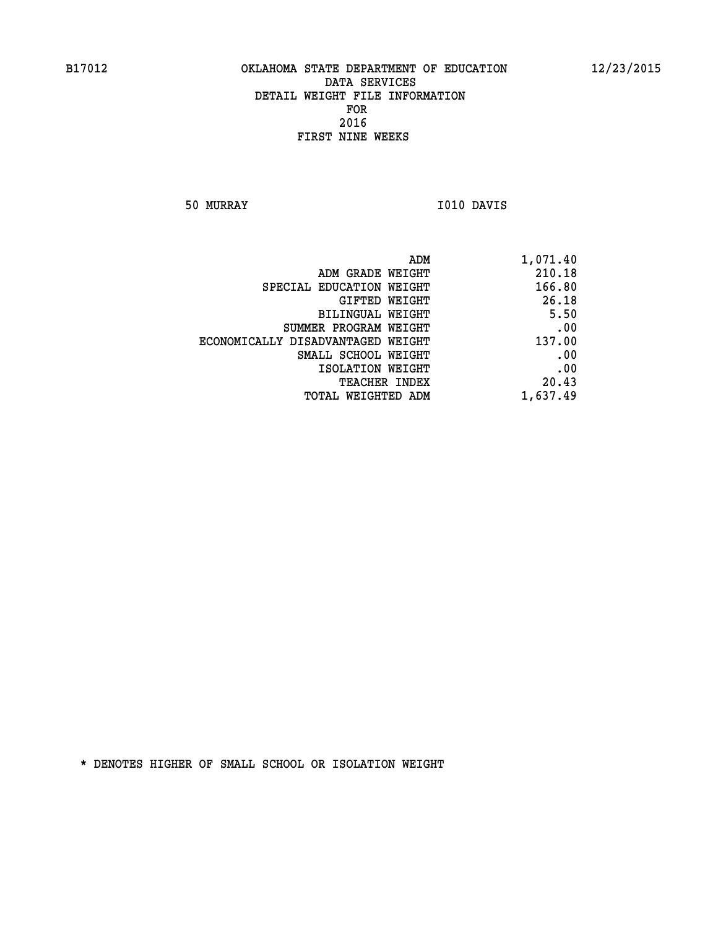**50 MURRAY I010 DAVIS** 

| 1,071.40 |
|----------|
| 210.18   |
| 166.80   |
| 26.18    |
| 5.50     |
| .00      |
| 137.00   |
| .00      |
| .00      |
| 20.43    |
| 1,637.49 |
|          |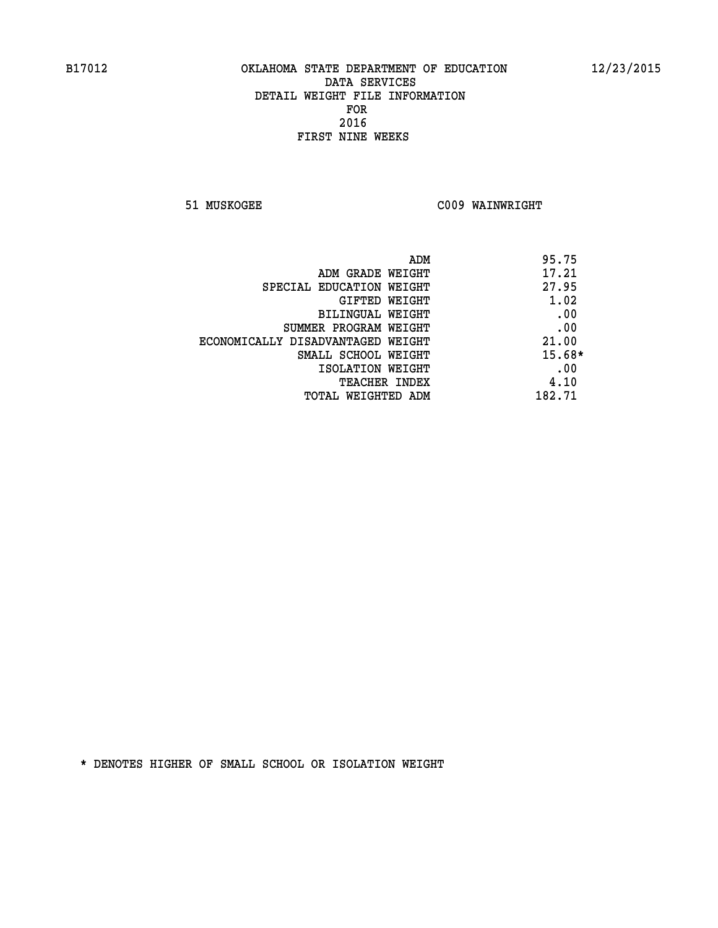**51 MUSKOGEE C009 WAINWRIGHT** 

| 95.75<br>ADM                 |                                   |
|------------------------------|-----------------------------------|
| 17.21                        | ADM GRADE WEIGHT                  |
| 27.95                        | SPECIAL EDUCATION WEIGHT          |
| 1.02<br>GIFTED WEIGHT        |                                   |
| .00                          | BILINGUAL WEIGHT                  |
| .00                          | SUMMER PROGRAM WEIGHT             |
| 21.00                        | ECONOMICALLY DISADVANTAGED WEIGHT |
| $15.68*$                     | SMALL SCHOOL WEIGHT               |
| .00                          | ISOLATION WEIGHT                  |
| 4.10<br><b>TEACHER INDEX</b> |                                   |
| 182.71                       | TOTAL WEIGHTED ADM                |
|                              |                                   |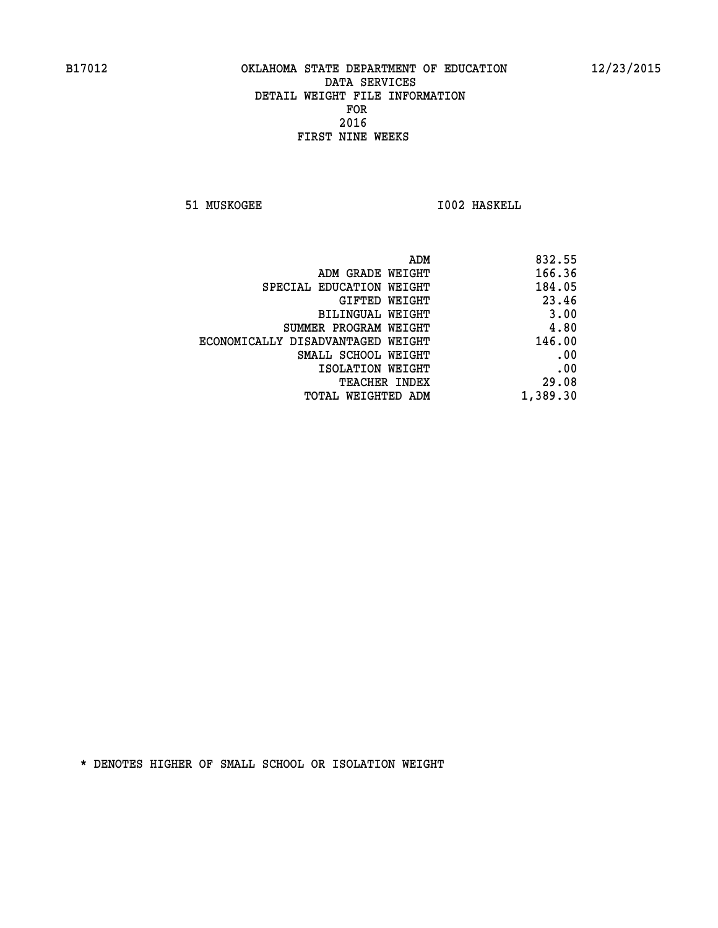**51 MUSKOGEE 1002 HASKELL** 

| 832.55   |
|----------|
| 166.36   |
| 184.05   |
| 23.46    |
| 3.00     |
| 4.80     |
| 146.00   |
| .00      |
| .00      |
| 29.08    |
| 1,389.30 |
|          |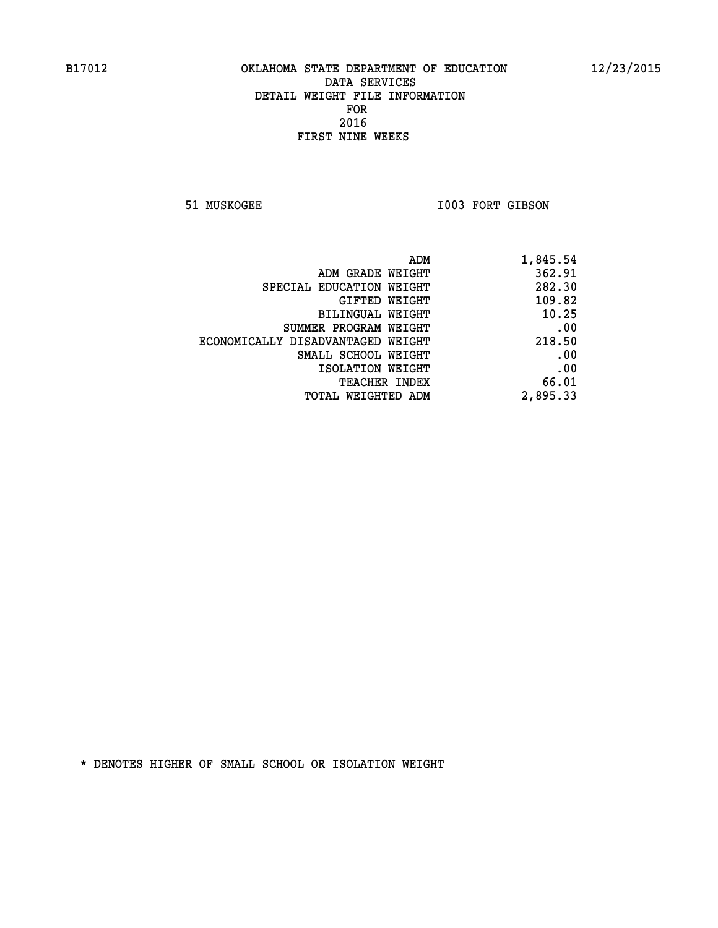51 MUSKOGEE 1003 FORT GIBSON

| ADM                               | 1,845.54 |
|-----------------------------------|----------|
| ADM GRADE WEIGHT                  | 362.91   |
| SPECIAL EDUCATION WEIGHT          | 282.30   |
| GIFTED WEIGHT                     | 109.82   |
| <b>BILINGUAL WEIGHT</b>           | 10.25    |
| SUMMER PROGRAM WEIGHT             | .00      |
| ECONOMICALLY DISADVANTAGED WEIGHT | 218.50   |
| SMALL SCHOOL WEIGHT               | .00      |
| ISOLATION WEIGHT                  | .00      |
| TEACHER INDEX                     | 66.01    |
| TOTAL WEIGHTED ADM                | 2,895.33 |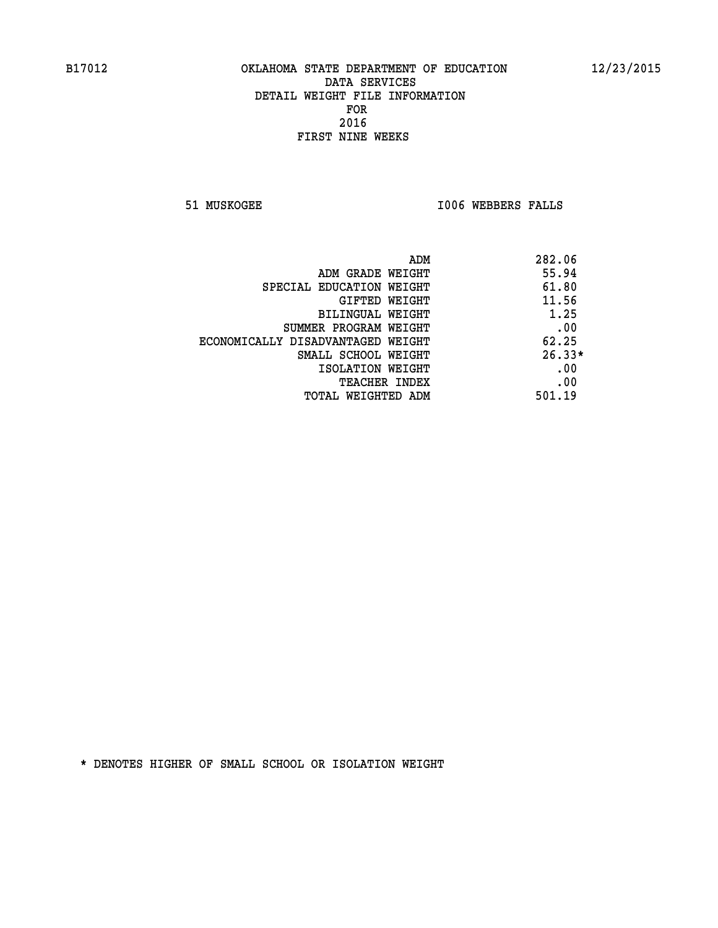**51 MUSKOGEE I006 WEBBERS FALLS** 

|                                   | 282.06<br>ADM |
|-----------------------------------|---------------|
| ADM GRADE WEIGHT                  | 55.94         |
| SPECIAL EDUCATION WEIGHT          | 61.80         |
| GIFTED WEIGHT                     | 11.56         |
| BILINGUAL WEIGHT                  | 1.25          |
| SUMMER PROGRAM WEIGHT             | .00           |
| ECONOMICALLY DISADVANTAGED WEIGHT | 62.25         |
| SMALL SCHOOL WEIGHT               | $26.33*$      |
| ISOLATION WEIGHT                  | .00           |
| <b>TEACHER INDEX</b>              | .00           |
| TOTAL WEIGHTED ADM                | 501.19        |
|                                   |               |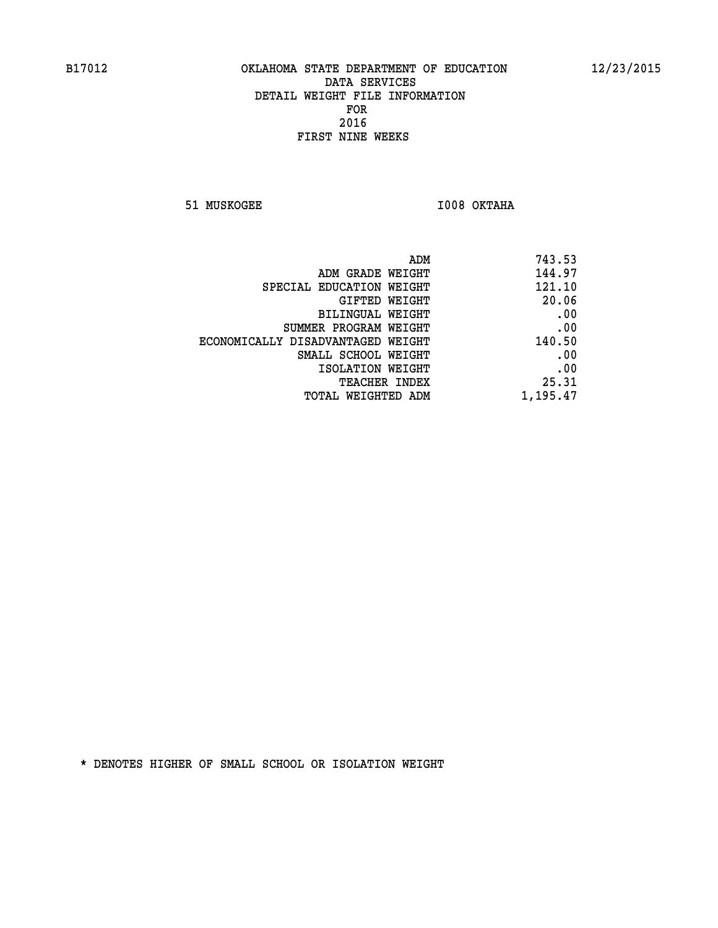**51 MUSKOGEE I008 OKTAHA** 

| 743.53   |
|----------|
| 144.97   |
| 121.10   |
| 20.06    |
| .00      |
| .00      |
| 140.50   |
| .00      |
| .00      |
| 25.31    |
| 1,195.47 |
|          |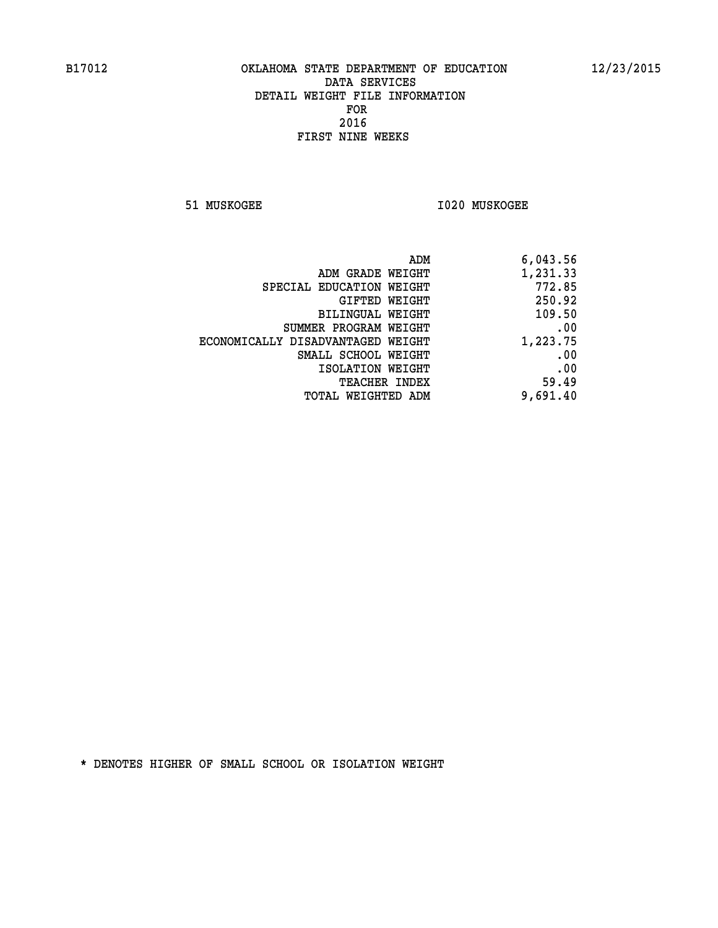**51 MUSKOGEE I020 MUSKOGEE** 

| 6,043.56 |
|----------|
| 1,231.33 |
| 772.85   |
| 250.92   |
| 109.50   |
| .00      |
| 1,223.75 |
| .00      |
| .00      |
| 59.49    |
| 9,691.40 |
|          |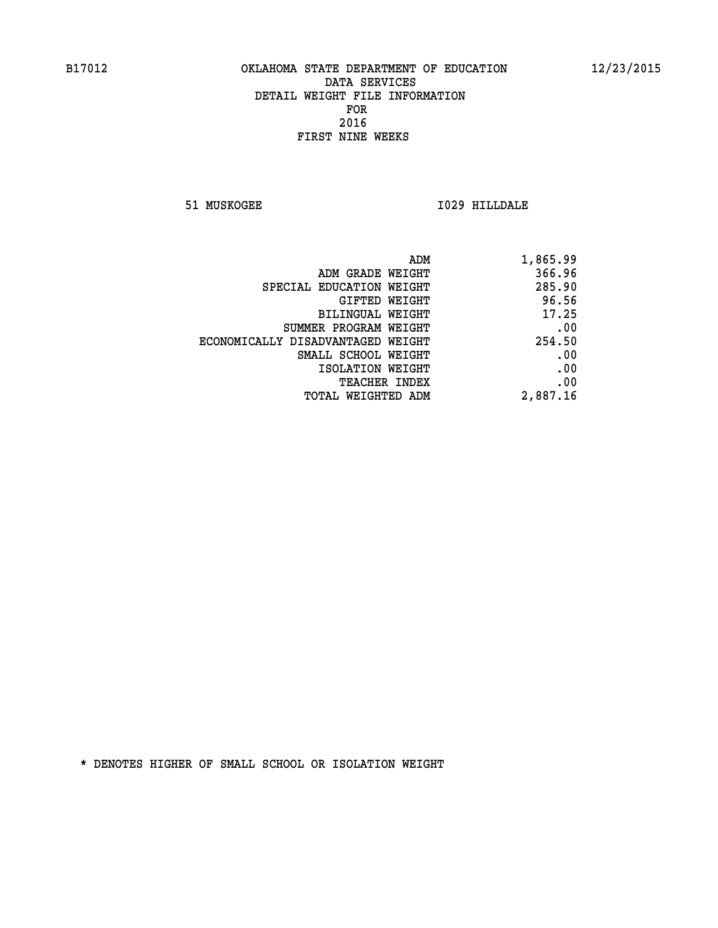**51 MUSKOGEE I029 HILLDALE** 

| ADM                               | 1,865.99 |
|-----------------------------------|----------|
| ADM GRADE WEIGHT                  | 366.96   |
| SPECIAL EDUCATION WEIGHT          | 285.90   |
| <b>GIFTED WEIGHT</b>              | 96.56    |
| BILINGUAL WEIGHT                  | 17.25    |
| SUMMER PROGRAM WEIGHT             | .00      |
| ECONOMICALLY DISADVANTAGED WEIGHT | 254.50   |
| SMALL SCHOOL WEIGHT               | .00      |
| ISOLATION WEIGHT                  | .00      |
| <b>TEACHER INDEX</b>              | .00      |
| <b>TOTAL WEIGHTED ADM</b>         | 2,887.16 |
|                                   |          |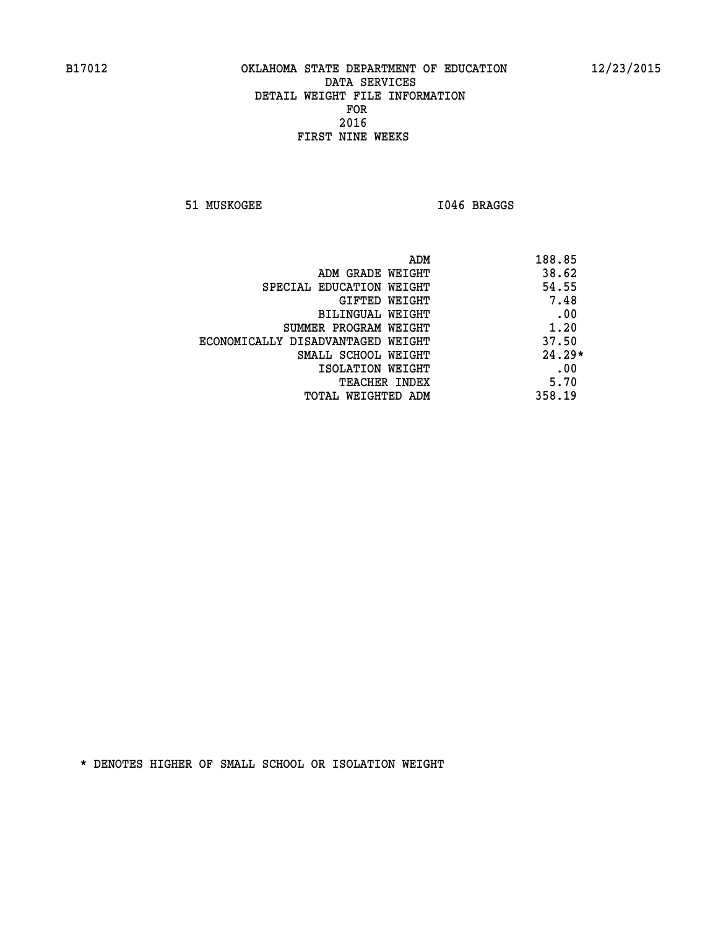**51 MUSKOGEE I046 BRAGGS** 

| ADM                               | 188.85   |
|-----------------------------------|----------|
| ADM GRADE WEIGHT                  | 38.62    |
| SPECIAL EDUCATION WEIGHT          | 54.55    |
| GIFTED WEIGHT                     | 7.48     |
| BILINGUAL WEIGHT                  | .00      |
| SUMMER PROGRAM WEIGHT             | 1.20     |
| ECONOMICALLY DISADVANTAGED WEIGHT | 37.50    |
| SMALL SCHOOL WEIGHT               | $24.29*$ |
| ISOLATION WEIGHT                  | .00      |
| <b>TEACHER INDEX</b>              | 5.70     |
| TOTAL WEIGHTED ADM                | 358.19   |
|                                   |          |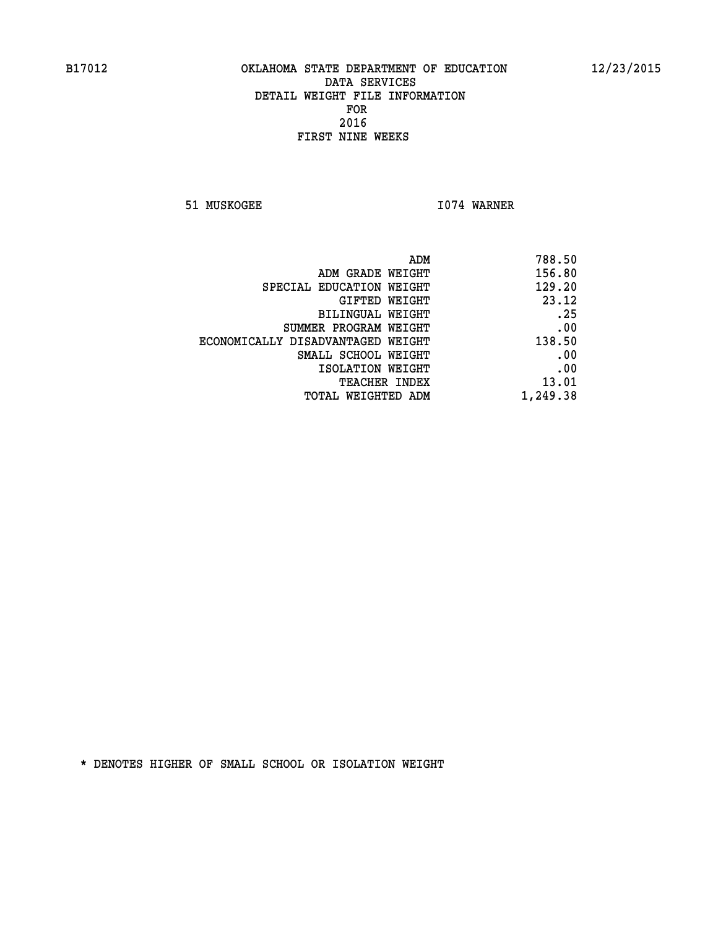**51 MUSKOGEE 1074 WARNER** 

| ADM                               | 788.50   |
|-----------------------------------|----------|
| ADM GRADE WEIGHT                  | 156.80   |
| SPECIAL EDUCATION WEIGHT          | 129.20   |
| GIFTED WEIGHT                     | 23.12    |
| <b>BILINGUAL WEIGHT</b>           | .25      |
| SUMMER PROGRAM WEIGHT             | .00      |
| ECONOMICALLY DISADVANTAGED WEIGHT | 138.50   |
| SMALL SCHOOL WEIGHT               | .00      |
| ISOLATION WEIGHT                  | .00      |
| <b>TEACHER INDEX</b>              | 13.01    |
| TOTAL WEIGHTED ADM                | 1,249.38 |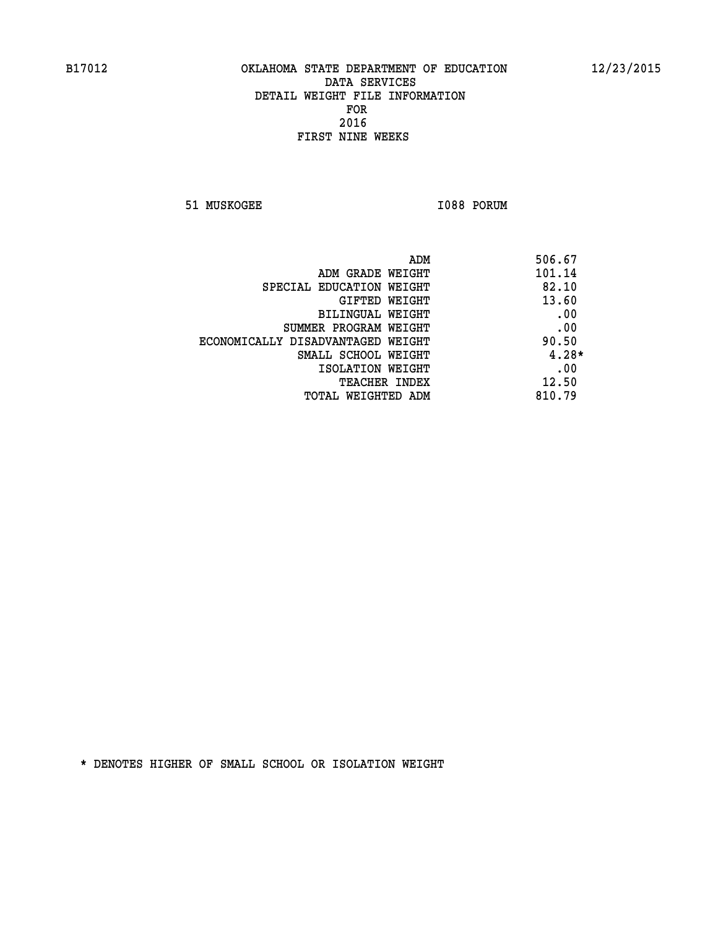**51 MUSKOGEE 1088 PORUM** 

| ADM                               | 506.67  |
|-----------------------------------|---------|
| ADM GRADE WEIGHT                  | 101.14  |
| SPECIAL EDUCATION WEIGHT          | 82.10   |
| GIFTED WEIGHT                     | 13.60   |
| BILINGUAL WEIGHT                  | .00     |
| SUMMER PROGRAM WEIGHT             | .00     |
| ECONOMICALLY DISADVANTAGED WEIGHT | 90.50   |
| SMALL SCHOOL WEIGHT               | $4.28*$ |
| ISOLATION WEIGHT                  | .00     |
| <b>TEACHER INDEX</b>              | 12.50   |
| TOTAL WEIGHTED ADM                | 810.79  |
|                                   |         |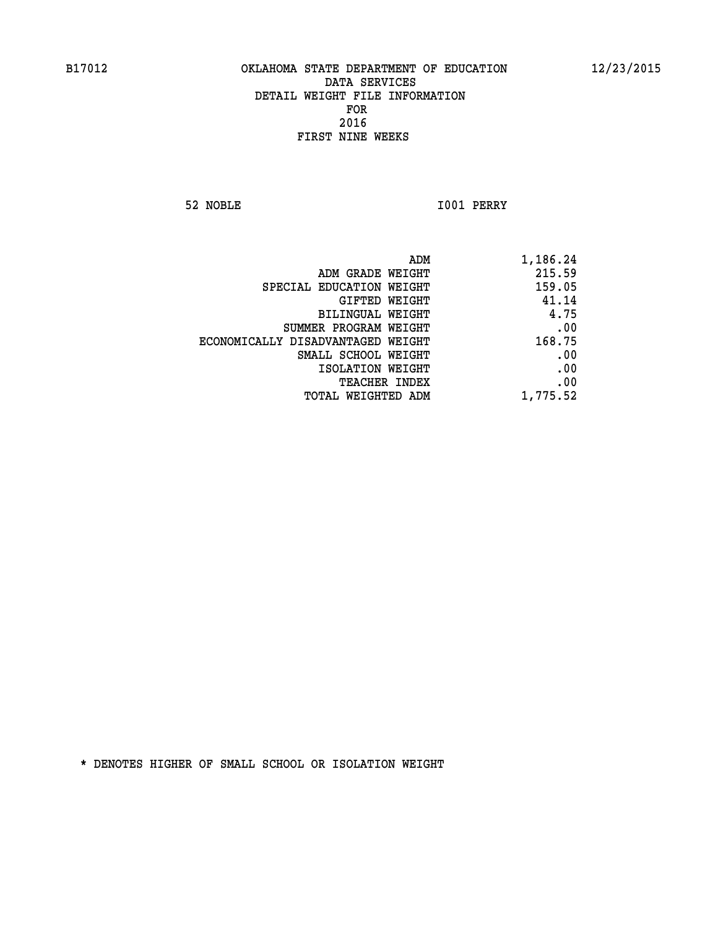**52 NOBLE I001 PERRY** 

|                                   | ADM<br>1,186.24 |
|-----------------------------------|-----------------|
| ADM GRADE WEIGHT                  | 215.59          |
| SPECIAL EDUCATION WEIGHT          | 159.05          |
| GIFTED WEIGHT                     | 41.14           |
| <b>BILINGUAL WEIGHT</b>           | 4.75            |
| SUMMER PROGRAM WEIGHT             | .00             |
| ECONOMICALLY DISADVANTAGED WEIGHT | 168.75          |
| SMALL SCHOOL WEIGHT               | .00             |
| ISOLATION WEIGHT                  | .00             |
| TEACHER INDEX                     | .00             |
| TOTAL WEIGHTED ADM                | 1,775.52        |
|                                   |                 |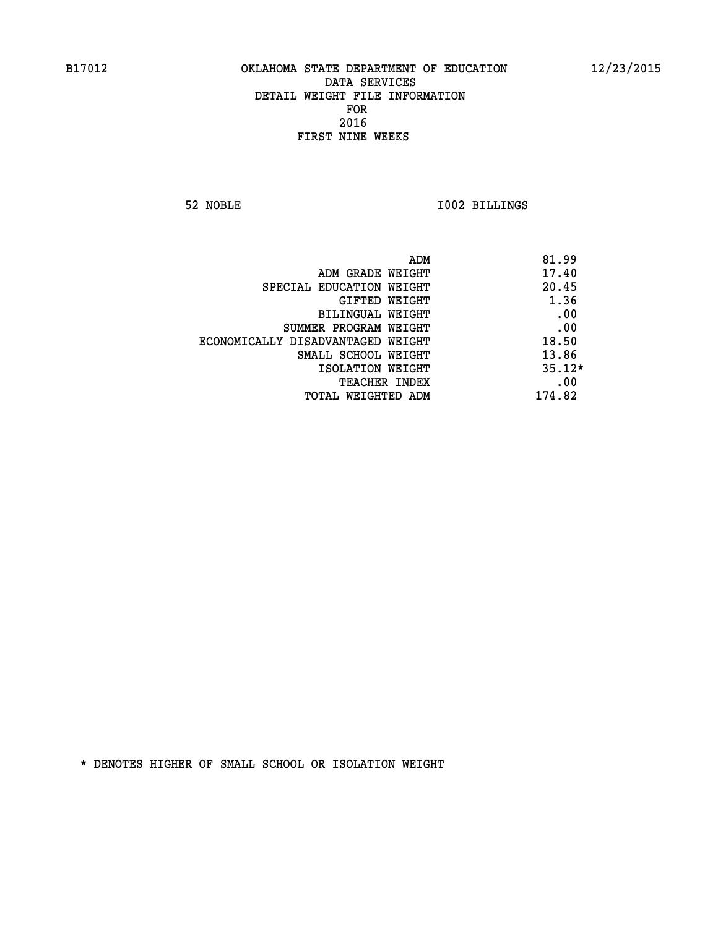**52 NOBLE I002 BILLINGS** 

| ADM                               | 81.99    |
|-----------------------------------|----------|
| ADM GRADE WEIGHT                  | 17.40    |
| SPECIAL EDUCATION WEIGHT          | 20.45    |
| GIFTED WEIGHT                     | 1.36     |
| BILINGUAL WEIGHT                  | .00      |
| SUMMER PROGRAM WEIGHT             | .00      |
| ECONOMICALLY DISADVANTAGED WEIGHT | 18.50    |
| SMALL SCHOOL WEIGHT               | 13.86    |
| ISOLATION WEIGHT                  | $35.12*$ |
| TEACHER INDEX                     | .00      |
| TOTAL WEIGHTED ADM                | 174.82   |
|                                   |          |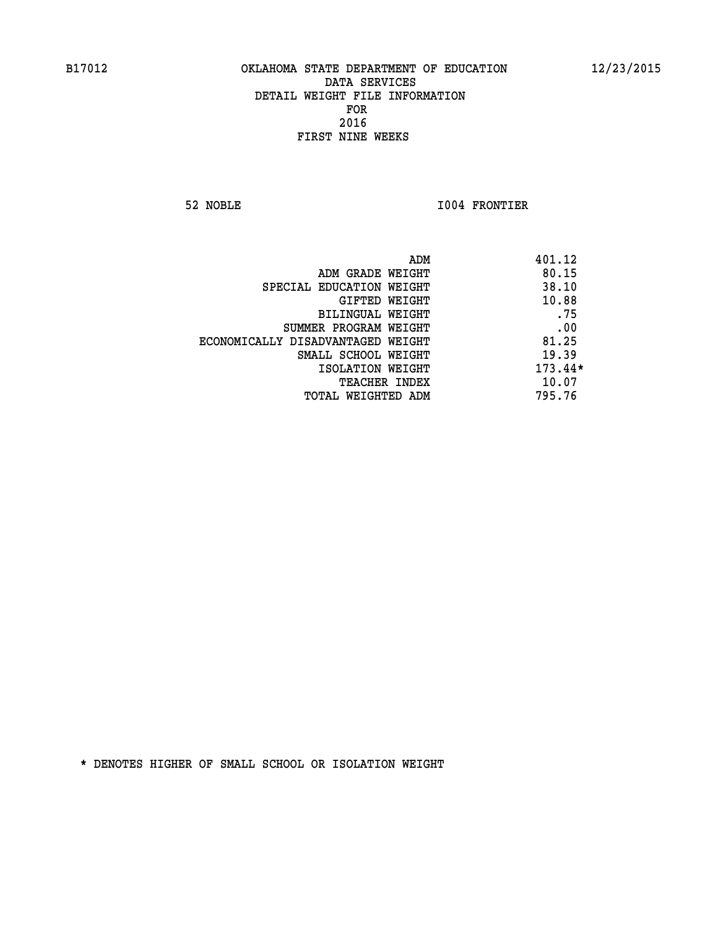**52 NOBLE I004 FRONTIER** 

|                                   | ADM | 401.12    |
|-----------------------------------|-----|-----------|
| ADM GRADE WEIGHT                  |     | 80.15     |
| SPECIAL EDUCATION WEIGHT          |     | 38.10     |
| GIFTED WEIGHT                     |     | 10.88     |
| BILINGUAL WEIGHT                  |     | .75       |
| SUMMER PROGRAM WEIGHT             |     | .00       |
| ECONOMICALLY DISADVANTAGED WEIGHT |     | 81.25     |
| SMALL SCHOOL WEIGHT               |     | 19.39     |
| ISOLATION WEIGHT                  |     | $173.44*$ |
| <b>TEACHER INDEX</b>              |     | 10.07     |
| TOTAL WEIGHTED ADM                |     | 795.76    |
|                                   |     |           |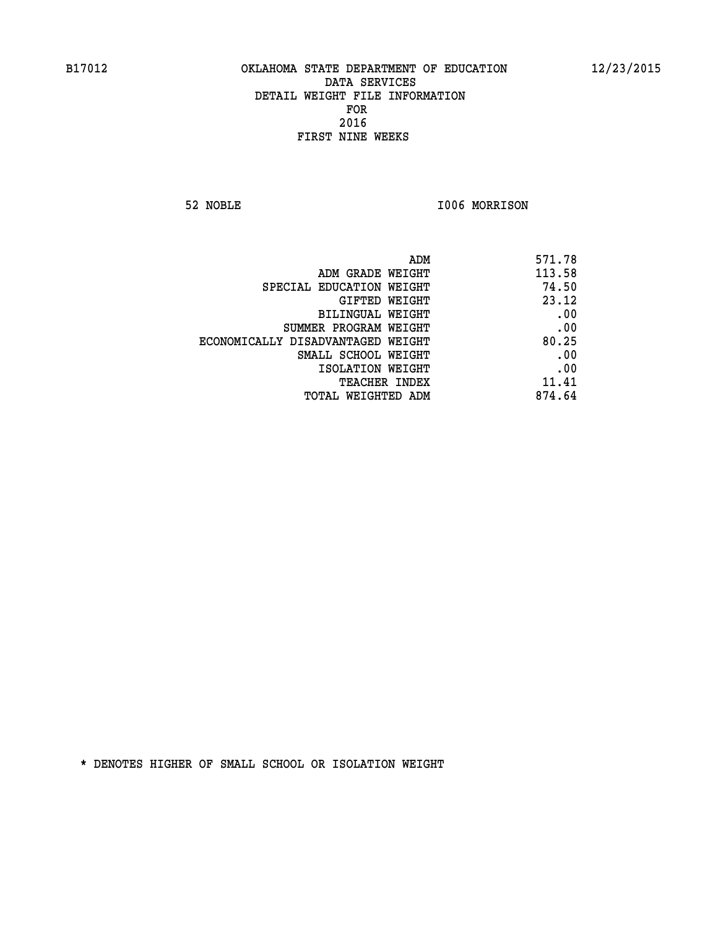**52 NOBLE I006 MORRISON** 

| ADM                               | 571.78 |
|-----------------------------------|--------|
| ADM GRADE WEIGHT                  | 113.58 |
| SPECIAL EDUCATION WEIGHT          | 74.50  |
| GIFTED WEIGHT                     | 23.12  |
| BILINGUAL WEIGHT                  | .00    |
| SUMMER PROGRAM WEIGHT             | .00    |
| ECONOMICALLY DISADVANTAGED WEIGHT | 80.25  |
| SMALL SCHOOL WEIGHT               | .00    |
| ISOLATION WEIGHT                  | .00    |
| TEACHER INDEX                     | 11.41  |
| TOTAL WEIGHTED ADM                | 874.64 |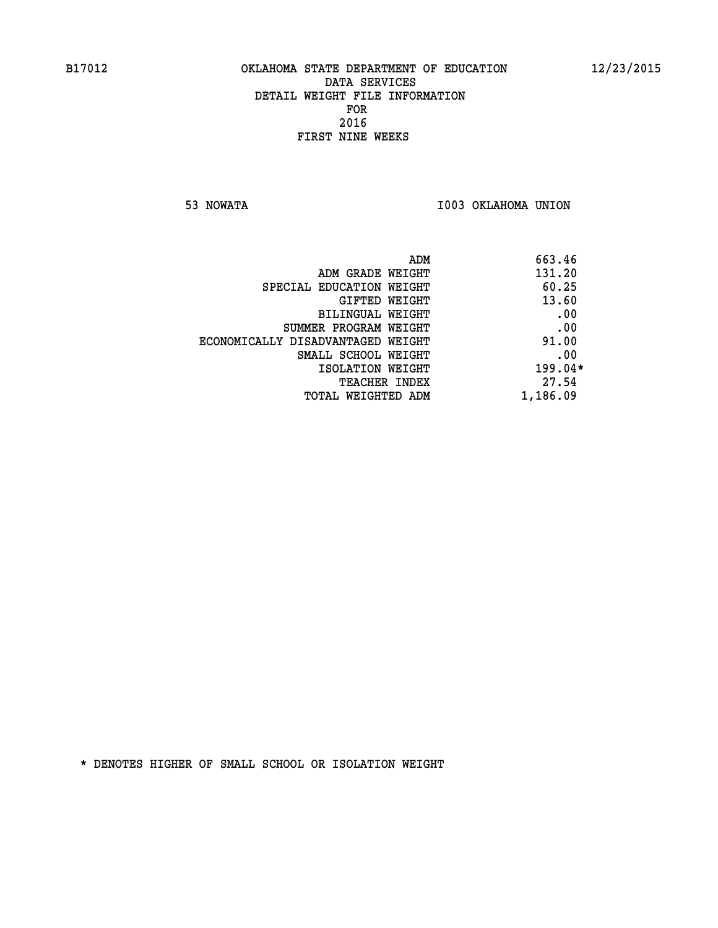**53 NOWATA I003 OKLAHOMA UNION** 

| 663.46    | ADM                               |
|-----------|-----------------------------------|
| 131.20    | ADM GRADE WEIGHT                  |
| 60.25     | SPECIAL EDUCATION WEIGHT          |
| 13.60     | <b>GIFTED WEIGHT</b>              |
| .00       | BILINGUAL WEIGHT                  |
| .00       | SUMMER PROGRAM WEIGHT             |
| 91.00     | ECONOMICALLY DISADVANTAGED WEIGHT |
| .00       | SMALL SCHOOL WEIGHT               |
| $199.04*$ | ISOLATION WEIGHT                  |
| 27.54     | <b>TEACHER INDEX</b>              |
| 1,186.09  | TOTAL WEIGHTED ADM                |
|           |                                   |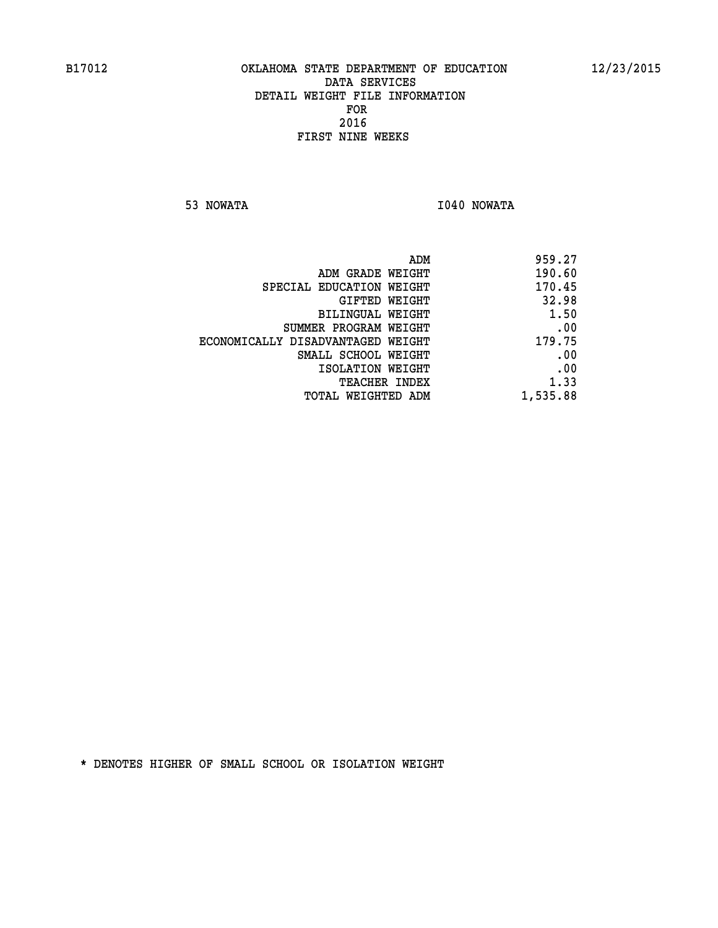**53 NOWATA I040 NOWATA** 

| 959.27   |
|----------|
| 190.60   |
| 170.45   |
| 32.98    |
| 1.50     |
| .00      |
| 179.75   |
| .00      |
| .00      |
| 1.33     |
| 1,535.88 |
|          |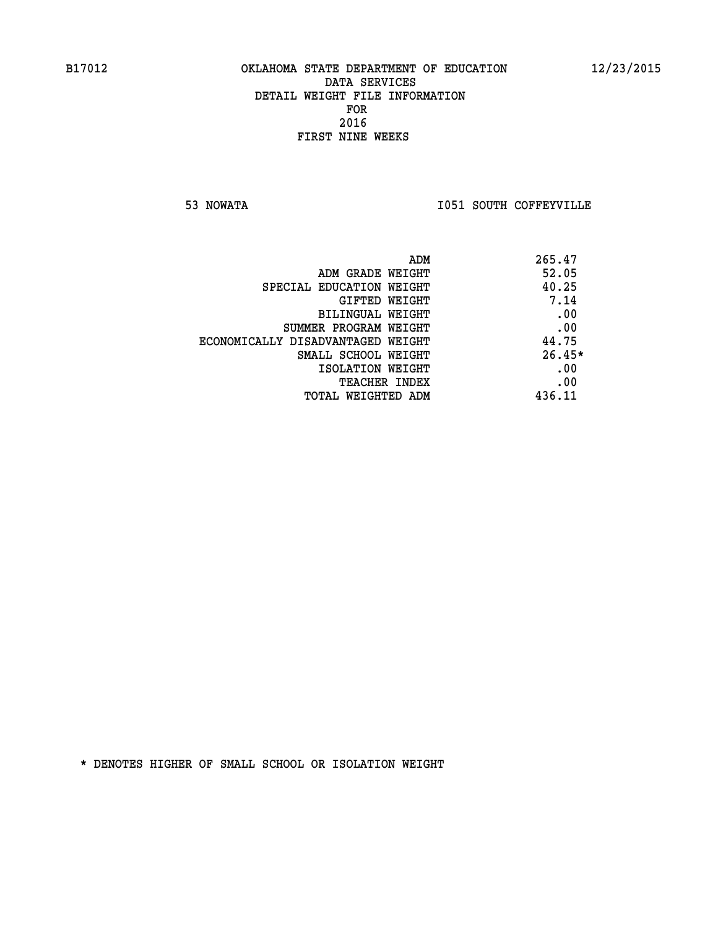**53 NOWATA I051 SOUTH COFFEYVILLE** 

|                                   | 265.47<br>ADM |
|-----------------------------------|---------------|
| ADM GRADE WEIGHT                  | 52.05         |
| SPECIAL EDUCATION WEIGHT          | 40.25         |
| GIFTED WEIGHT                     | 7.14          |
| BILINGUAL WEIGHT                  | .00           |
| SUMMER PROGRAM WEIGHT             | .00           |
| ECONOMICALLY DISADVANTAGED WEIGHT | 44.75         |
| SMALL SCHOOL WEIGHT               | $26.45*$      |
| ISOLATION WEIGHT                  | .00           |
| TEACHER INDEX                     | .00           |
| TOTAL WEIGHTED ADM                | 436.11        |
|                                   |               |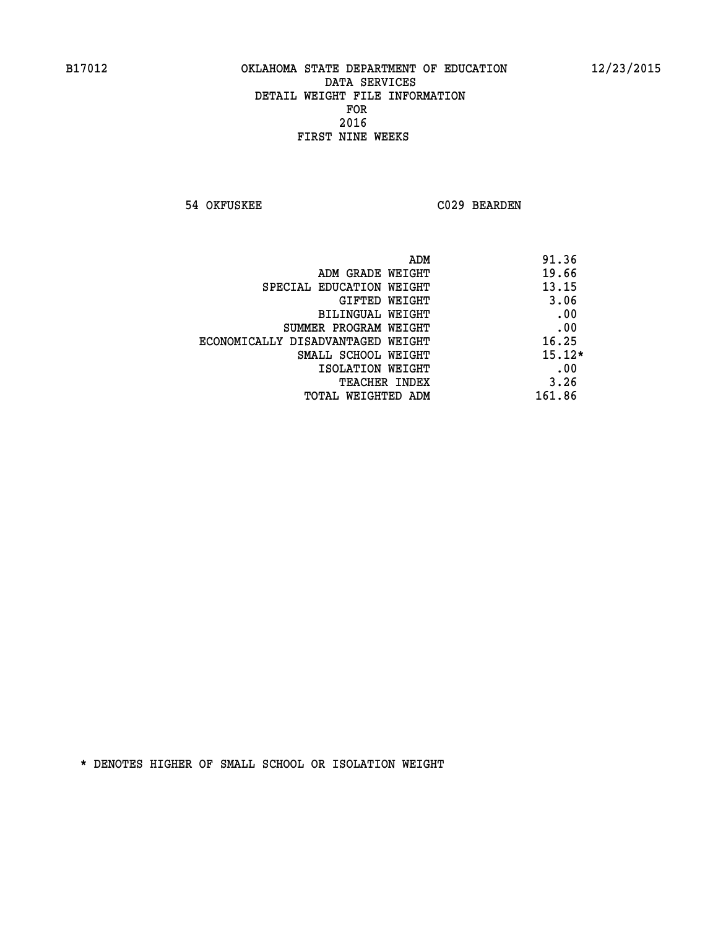**54 OKFUSKEE C029 BEARDEN** 

| ADM<br>91.36                    |                                   |
|---------------------------------|-----------------------------------|
| 19.66<br>ADM GRADE WEIGHT       |                                   |
| 13.15                           | SPECIAL EDUCATION WEIGHT          |
| 3.06<br><b>GIFTED WEIGHT</b>    |                                   |
| .00<br><b>BILINGUAL WEIGHT</b>  |                                   |
| .00                             | SUMMER PROGRAM WEIGHT             |
| 16.25                           | ECONOMICALLY DISADVANTAGED WEIGHT |
| $15.12*$<br>SMALL SCHOOL WEIGHT |                                   |
| .00<br>ISOLATION WEIGHT         |                                   |
| 3.26<br><b>TEACHER INDEX</b>    |                                   |
| 161.86<br>TOTAL WEIGHTED ADM    |                                   |
|                                 |                                   |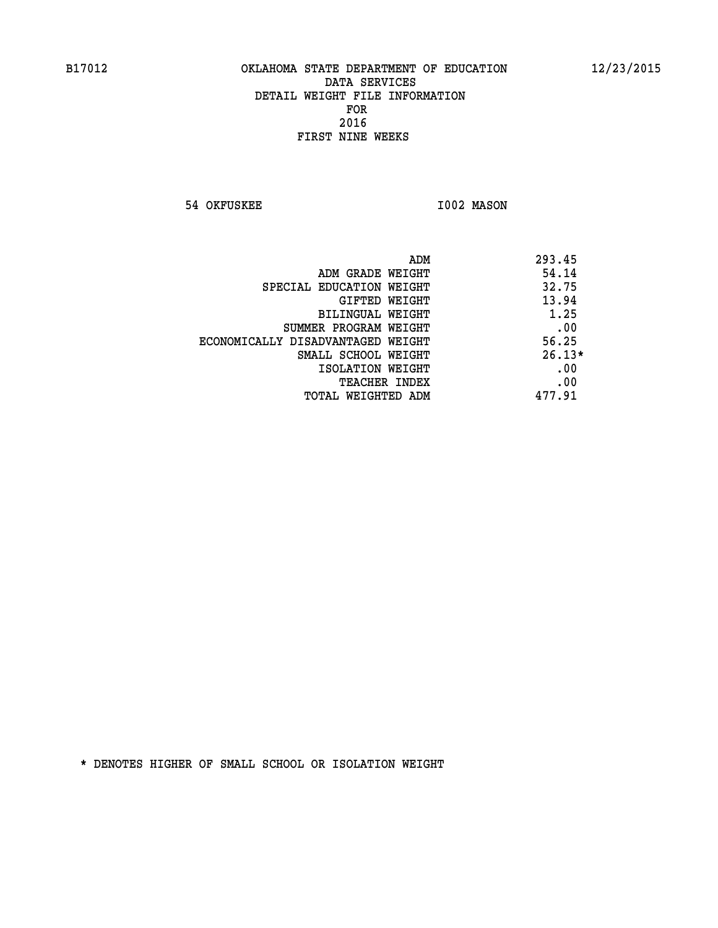**54 OKFUSKEE 1002 MASON** 

|                                   | ADM | 293.45   |
|-----------------------------------|-----|----------|
| ADM GRADE WEIGHT                  |     | 54.14    |
| SPECIAL EDUCATION WEIGHT          |     | 32.75    |
| GIFTED WEIGHT                     |     | 13.94    |
| BILINGUAL WEIGHT                  |     | 1.25     |
| SUMMER PROGRAM WEIGHT             |     | .00      |
| ECONOMICALLY DISADVANTAGED WEIGHT |     | 56.25    |
| SMALL SCHOOL WEIGHT               |     | $26.13*$ |
| ISOLATION WEIGHT                  |     | .00      |
| <b>TEACHER INDEX</b>              |     | .00      |
| TOTAL WEIGHTED ADM                |     | 477.91   |
|                                   |     |          |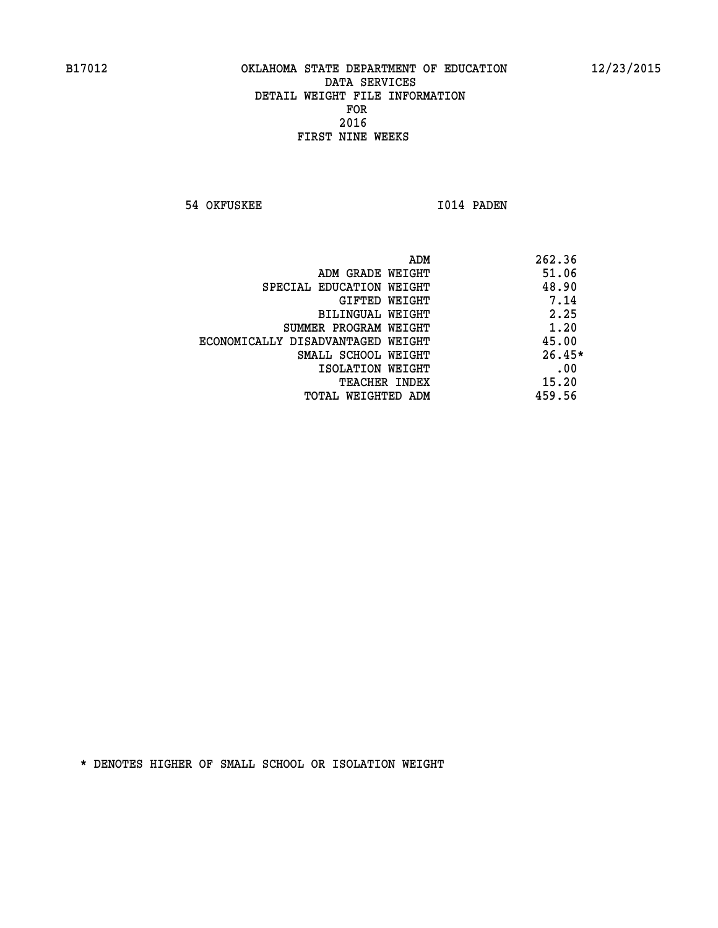**54 OKFUSKEE 1014 PADEN** 

|                                   | ADM | 262.36   |
|-----------------------------------|-----|----------|
| ADM GRADE WEIGHT                  |     | 51.06    |
| SPECIAL EDUCATION WEIGHT          |     | 48.90    |
| GIFTED WEIGHT                     |     | 7.14     |
| BILINGUAL WEIGHT                  |     | 2.25     |
| SUMMER PROGRAM WEIGHT             |     | 1.20     |
| ECONOMICALLY DISADVANTAGED WEIGHT |     | 45.00    |
| SMALL SCHOOL WEIGHT               |     | $26.45*$ |
| ISOLATION WEIGHT                  |     | .00      |
| <b>TEACHER INDEX</b>              |     | 15.20    |
| TOTAL WEIGHTED ADM                |     | 459.56   |
|                                   |     |          |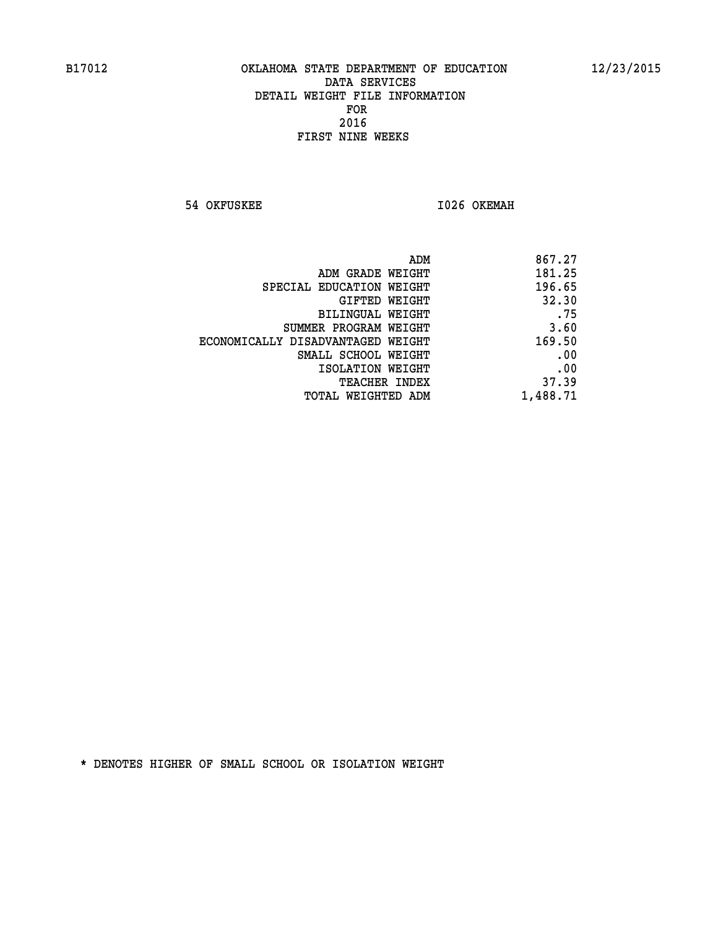**54 OKFUSKEE 1026 OKEMAH** 

| 867.27   |
|----------|
| 181.25   |
| 196.65   |
| 32.30    |
| .75      |
| 3.60     |
| 169.50   |
| .00      |
| .00      |
| 37.39    |
| 1,488.71 |
|          |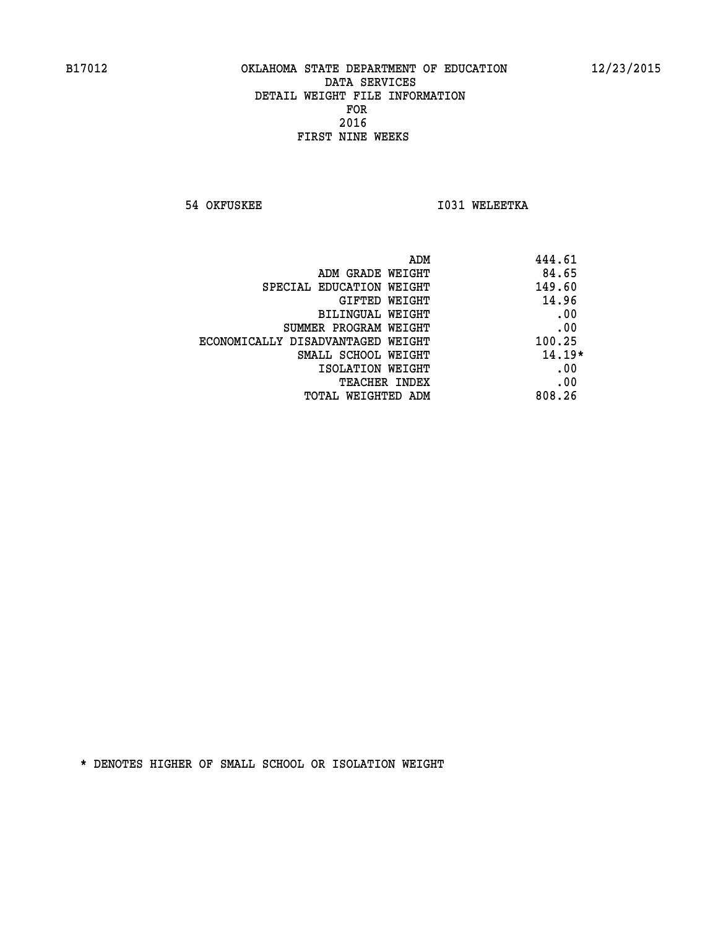**54 OKFUSKEE 1031 WELEETKA** 

| 444.61   | ADM                               |
|----------|-----------------------------------|
| 84.65    | ADM GRADE WEIGHT                  |
| 149.60   | SPECIAL EDUCATION WEIGHT          |
| 14.96    | <b>GIFTED WEIGHT</b>              |
| .00      | BILINGUAL WEIGHT                  |
| .00      | SUMMER PROGRAM WEIGHT             |
| 100.25   | ECONOMICALLY DISADVANTAGED WEIGHT |
| $14.19*$ | SMALL SCHOOL WEIGHT               |
| .00      | ISOLATION WEIGHT                  |
| .00      | <b>TEACHER INDEX</b>              |
| 808.26   | TOTAL WEIGHTED ADM                |
|          |                                   |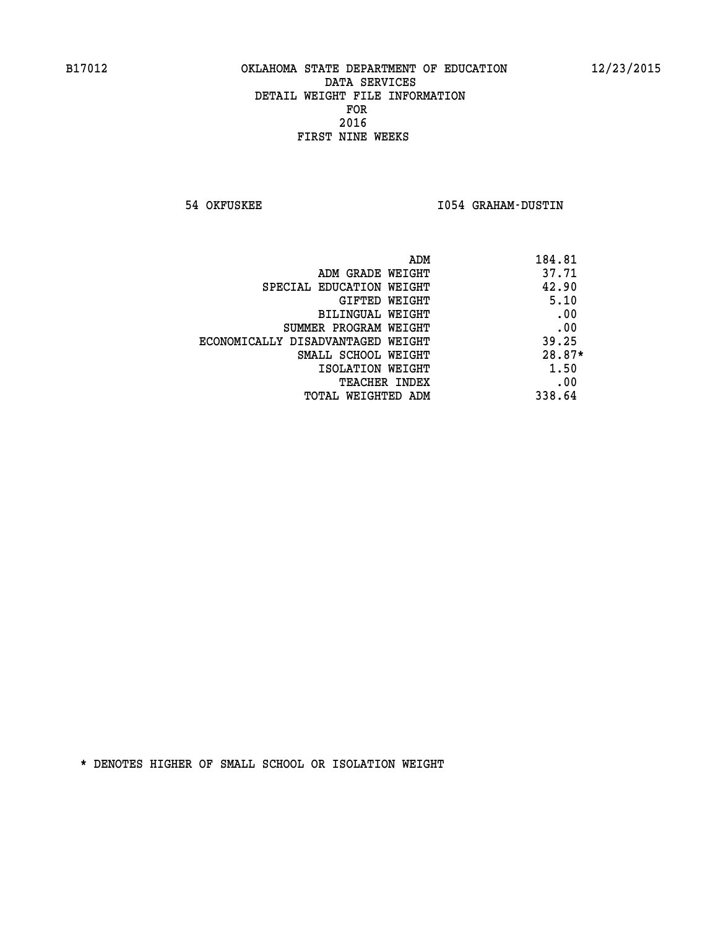**54 OKFUSKEE I054 GRAHAM-DUSTIN** 

|                                   | 184.81<br>ADM |  |
|-----------------------------------|---------------|--|
| ADM GRADE WEIGHT                  | 37.71         |  |
| SPECIAL EDUCATION WEIGHT          | 42.90         |  |
| GIFTED WEIGHT                     | 5.10          |  |
| BILINGUAL WEIGHT                  | .00           |  |
| SUMMER PROGRAM WEIGHT             | .00           |  |
| ECONOMICALLY DISADVANTAGED WEIGHT | 39.25         |  |
| SMALL SCHOOL WEIGHT               | $28.87*$      |  |
| ISOLATION WEIGHT                  | 1.50          |  |
| <b>TEACHER INDEX</b>              | .00           |  |
| TOTAL WEIGHTED ADM                | 338.64        |  |
|                                   |               |  |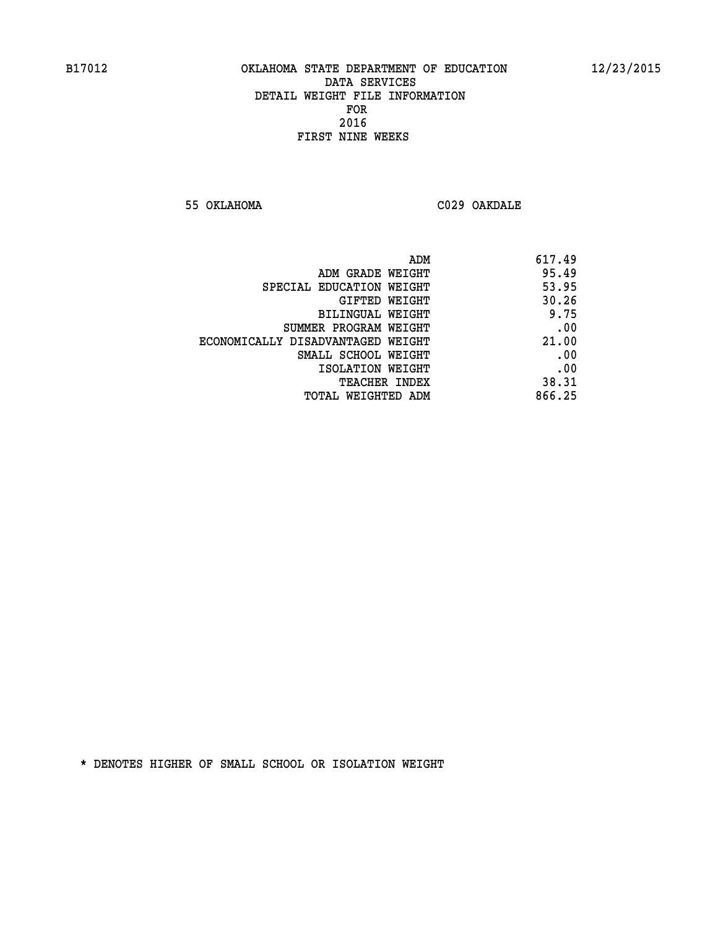**55 OKLAHOMA C029 OAKDALE** 

| ADM                               | 617.49 |
|-----------------------------------|--------|
| ADM GRADE WEIGHT                  | 95.49  |
| SPECIAL EDUCATION WEIGHT          | 53.95  |
| GIFTED WEIGHT                     | 30.26  |
| BILINGUAL WEIGHT                  | 9.75   |
| SUMMER PROGRAM WEIGHT             | .00    |
| ECONOMICALLY DISADVANTAGED WEIGHT | 21.00  |
| SMALL SCHOOL WEIGHT               | .00    |
| ISOLATION WEIGHT                  | .00    |
| TEACHER INDEX                     | 38.31  |
| TOTAL WEIGHTED ADM                | 866.25 |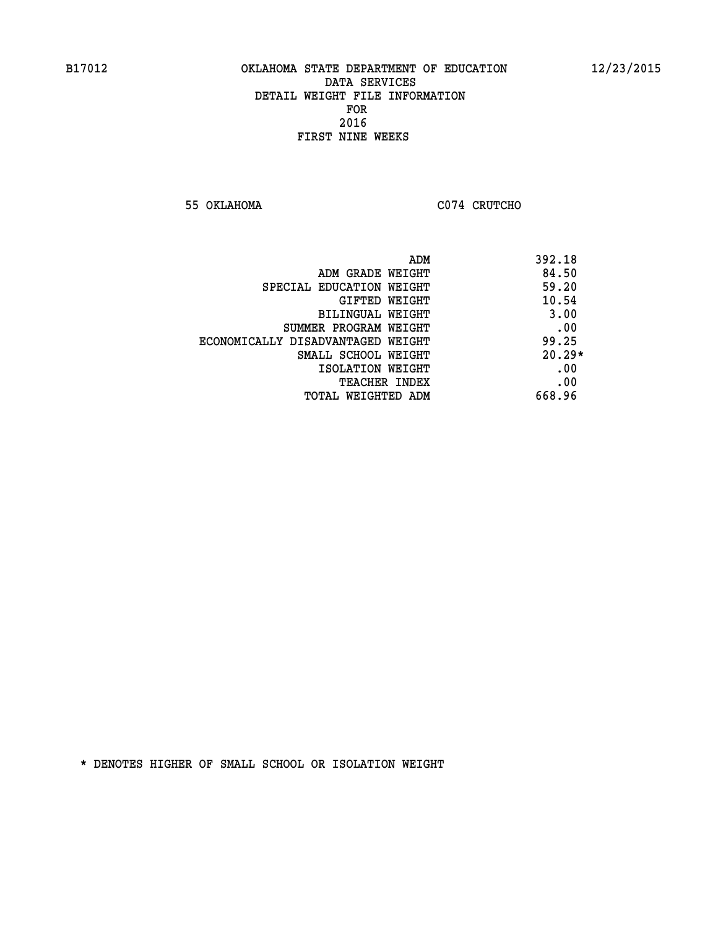**55 OKLAHOMA C074 CRUTCHO** 

| ADM                               | 392.18   |
|-----------------------------------|----------|
| ADM GRADE WEIGHT                  | 84.50    |
| SPECIAL EDUCATION WEIGHT          | 59.20    |
| GIFTED WEIGHT                     | 10.54    |
| BILINGUAL WEIGHT                  | 3.00     |
| SUMMER PROGRAM WEIGHT             | .00      |
| ECONOMICALLY DISADVANTAGED WEIGHT | 99.25    |
| SMALL SCHOOL WEIGHT               | $20.29*$ |
| ISOLATION WEIGHT                  | .00      |
| <b>TEACHER INDEX</b>              | .00      |
| TOTAL WEIGHTED ADM                | 668.96   |
|                                   |          |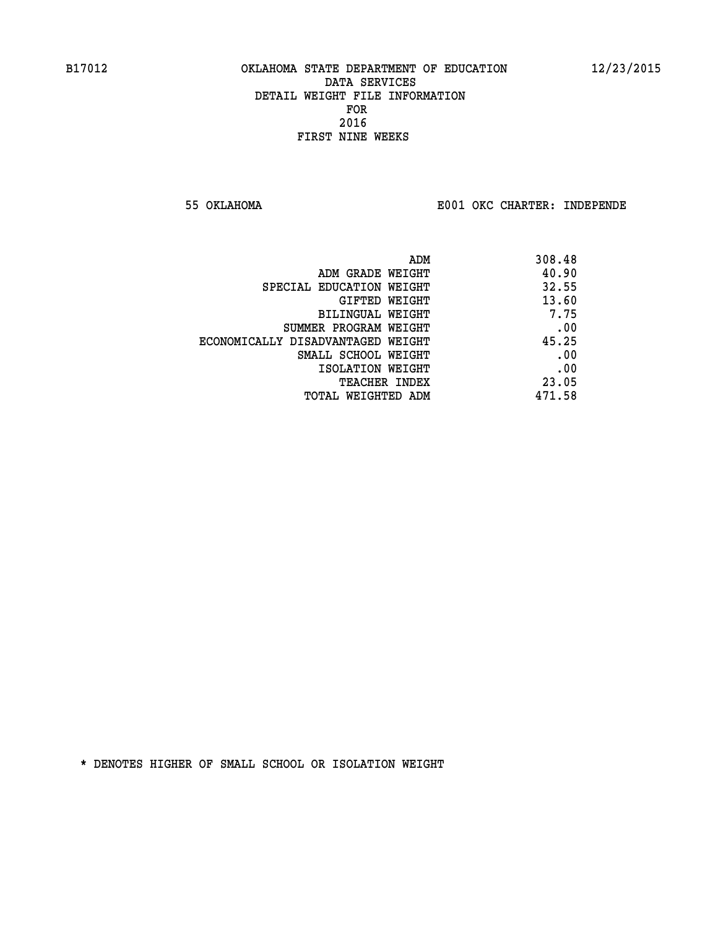**55 OKLAHOMA E001 OKC CHARTER: INDEPENDE**

| ADM                               | 308.48 |
|-----------------------------------|--------|
| ADM GRADE WEIGHT                  | 40.90  |
| SPECIAL EDUCATION WEIGHT          | 32.55  |
| GIFTED WEIGHT                     | 13.60  |
| BILINGUAL WEIGHT                  | 7.75   |
| SUMMER PROGRAM WEIGHT             | .00    |
| ECONOMICALLY DISADVANTAGED WEIGHT | 45.25  |
| SMALL SCHOOL WEIGHT               | .00    |
| ISOLATION WEIGHT                  | .00    |
| <b>TEACHER INDEX</b>              | 23.05  |
| TOTAL WEIGHTED ADM                | 471.58 |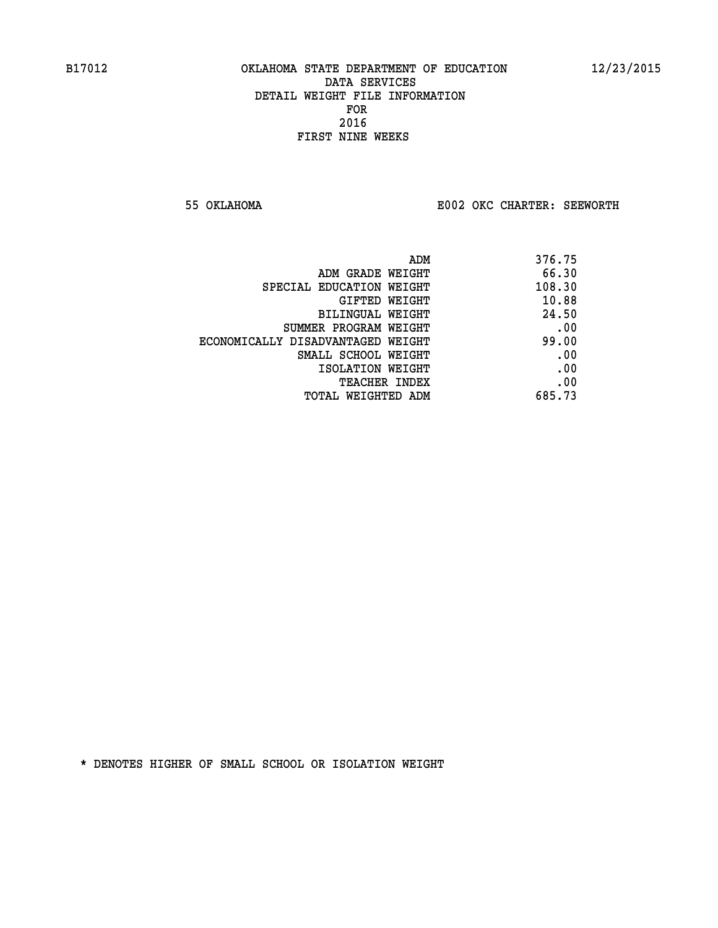**55 OKLAHOMA E002 OKC CHARTER: SEEWORTH** 

| 376.75 |
|--------|
| 66.30  |
| 108.30 |
| 10.88  |
| 24.50  |
| .00    |
| 99.00  |
| .00    |
| .00    |
| .00    |
| 685.73 |
|        |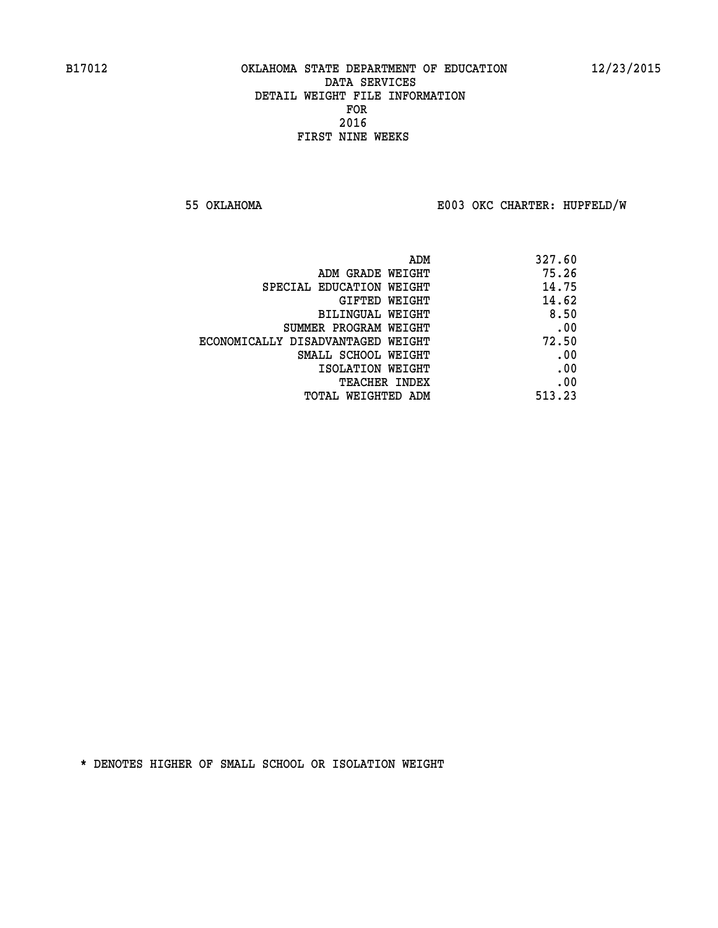**55 OKLAHOMA E003 OKC CHARTER: HUPFELD/W**

|                                   | 327.60<br>ADM |  |
|-----------------------------------|---------------|--|
| ADM GRADE WEIGHT                  | 75.26         |  |
| SPECIAL EDUCATION WEIGHT          | 14.75         |  |
| <b>GIFTED WEIGHT</b>              | 14.62         |  |
| BILINGUAL WEIGHT                  | 8.50          |  |
| SUMMER PROGRAM WEIGHT             | .00           |  |
| ECONOMICALLY DISADVANTAGED WEIGHT | 72.50         |  |
| SMALL SCHOOL WEIGHT               | .00           |  |
| ISOLATION WEIGHT                  | .00           |  |
| TEACHER INDEX                     | .00           |  |
| TOTAL WEIGHTED ADM                | 513.23        |  |
|                                   |               |  |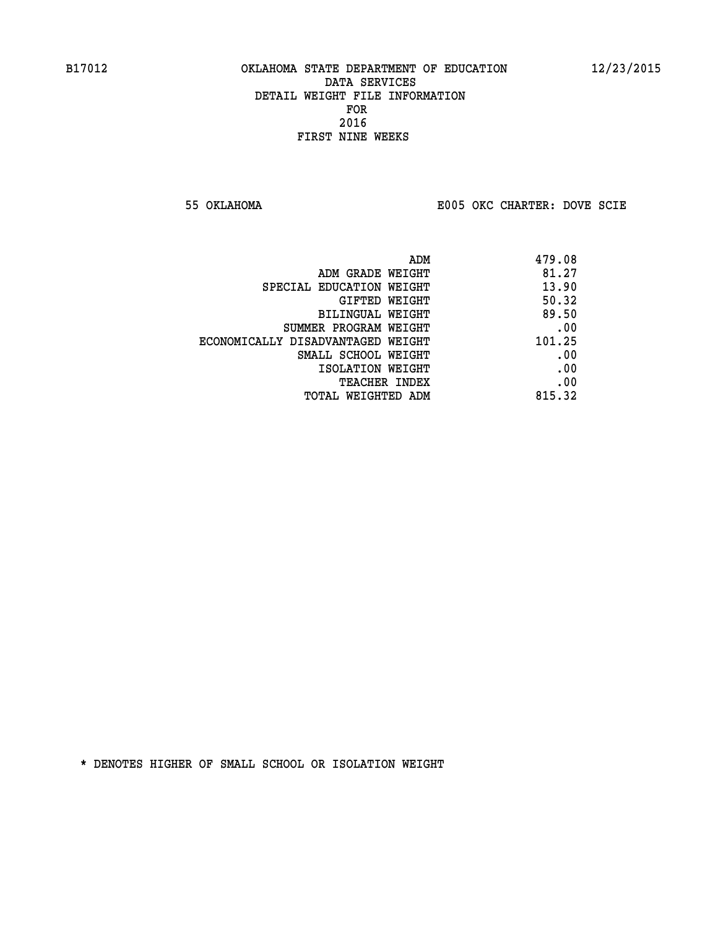**55 OKLAHOMA E005 OKC CHARTER: DOVE SCIE**

|                                   | ADM | 479.08 |
|-----------------------------------|-----|--------|
| ADM GRADE WEIGHT                  |     | 81.27  |
| SPECIAL EDUCATION WEIGHT          |     | 13.90  |
| GIFTED WEIGHT                     |     | 50.32  |
| BILINGUAL WEIGHT                  |     | 89.50  |
| SUMMER PROGRAM WEIGHT             |     | .00    |
| ECONOMICALLY DISADVANTAGED WEIGHT |     | 101.25 |
| SMALL SCHOOL WEIGHT               |     | .00    |
| ISOLATION WEIGHT                  |     | .00    |
| TEACHER INDEX                     |     | .00    |
| TOTAL WEIGHTED ADM                |     | 815.32 |
|                                   |     |        |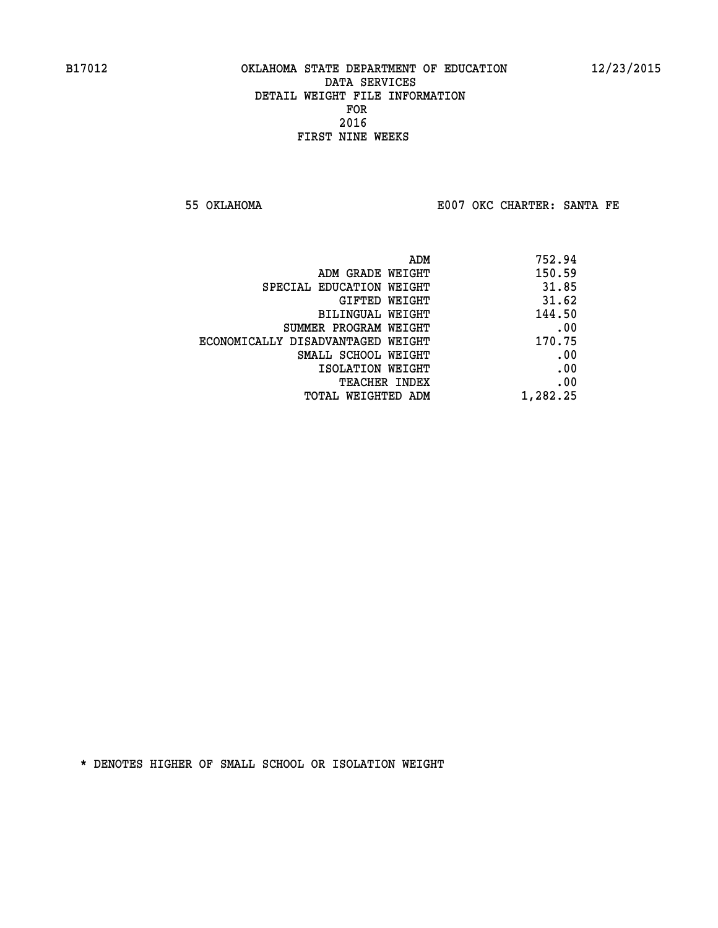**55 OKLAHOMA E007 OKC CHARTER: SANTA FE** 

| 752.94   |
|----------|
| 150.59   |
| 31.85    |
| 31.62    |
| 144.50   |
| .00      |
| 170.75   |
| .00      |
| .00      |
| .00      |
| 1,282.25 |
|          |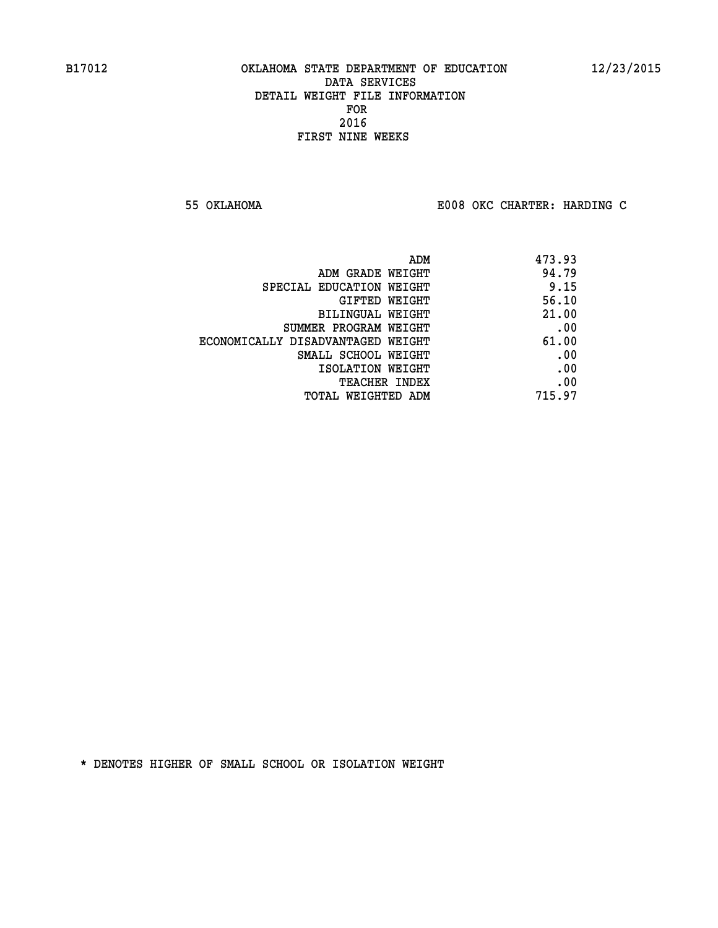**55 OKLAHOMA E008 OKC CHARTER: HARDING C**

| 473.93 |
|--------|
| 94.79  |
| 9.15   |
| 56.10  |
| 21.00  |
| .00    |
| 61.00  |
| .00    |
| .00    |
| .00    |
| 715.97 |
|        |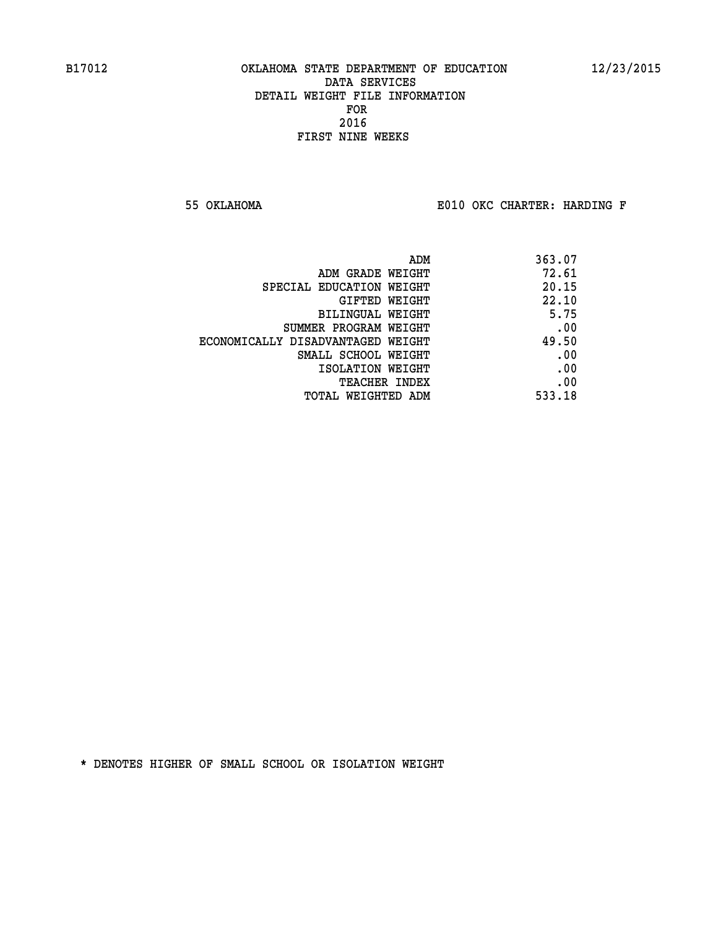**55 OKLAHOMA E010 OKC CHARTER: HARDING F**

| ADM                               | 363.07 |
|-----------------------------------|--------|
| ADM GRADE WEIGHT                  | 72.61  |
| SPECIAL EDUCATION WEIGHT          | 20.15  |
| GIFTED WEIGHT                     | 22.10  |
| BILINGUAL WEIGHT                  | 5.75   |
| SUMMER PROGRAM WEIGHT             | .00    |
| ECONOMICALLY DISADVANTAGED WEIGHT | 49.50  |
| SMALL SCHOOL WEIGHT               | .00    |
| ISOLATION WEIGHT                  | .00    |
| <b>TEACHER INDEX</b>              | .00    |
| TOTAL WEIGHTED ADM                | 533.18 |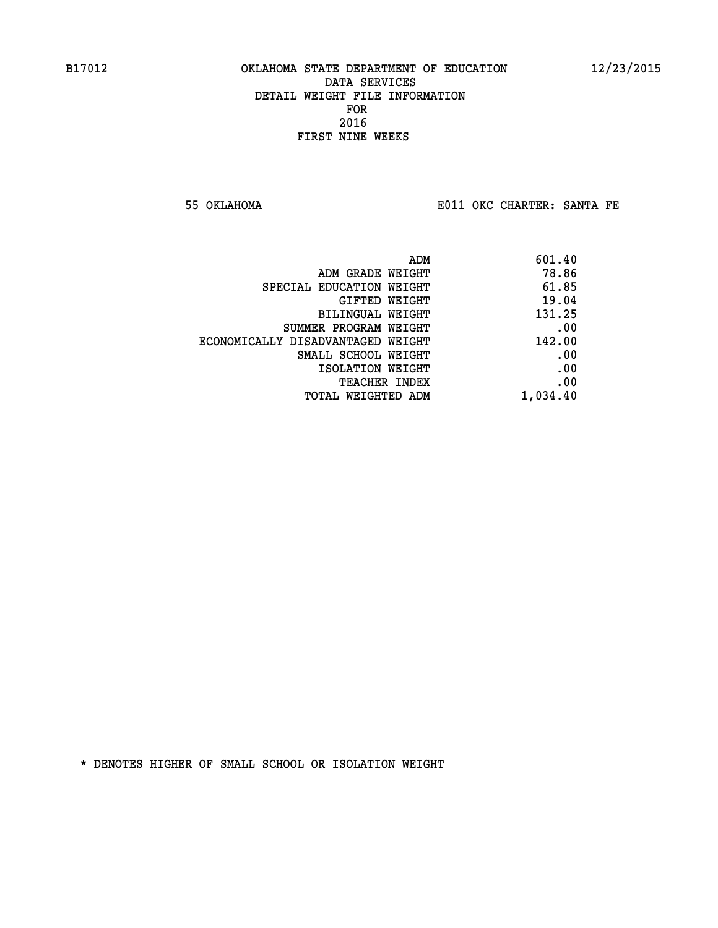**55 OKLAHOMA E011 OKC CHARTER: SANTA FE** 

| ADM                               | 601.40   |
|-----------------------------------|----------|
| ADM GRADE WEIGHT                  | 78.86    |
| SPECIAL EDUCATION WEIGHT          | 61.85    |
| GIFTED WEIGHT                     | 19.04    |
| BILINGUAL WEIGHT                  | 131.25   |
| SUMMER PROGRAM WEIGHT             | .00      |
| ECONOMICALLY DISADVANTAGED WEIGHT | 142.00   |
| SMALL SCHOOL WEIGHT               | .00      |
| ISOLATION WEIGHT                  | .00      |
| <b>TEACHER INDEX</b>              | .00      |
| TOTAL WEIGHTED ADM                | 1,034.40 |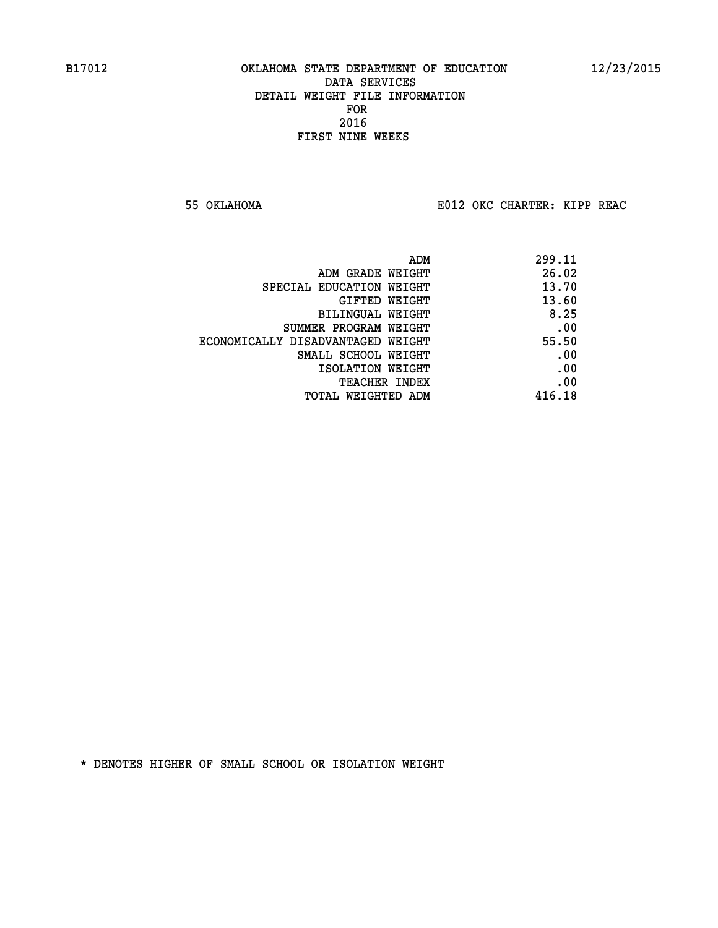**55 OKLAHOMA E012 OKC CHARTER: KIPP REAC**

|                                   | ADM | 299.11 |
|-----------------------------------|-----|--------|
| ADM GRADE WEIGHT                  |     | 26.02  |
| SPECIAL EDUCATION WEIGHT          |     | 13.70  |
| GIFTED WEIGHT                     |     | 13.60  |
| BILINGUAL WEIGHT                  |     | 8.25   |
| SUMMER PROGRAM WEIGHT             |     | .00    |
| ECONOMICALLY DISADVANTAGED WEIGHT |     | 55.50  |
| SMALL SCHOOL WEIGHT               |     | .00    |
| ISOLATION WEIGHT                  |     | .00    |
| TEACHER INDEX                     |     | .00    |
| TOTAL WEIGHTED ADM                |     | 416.18 |
|                                   |     |        |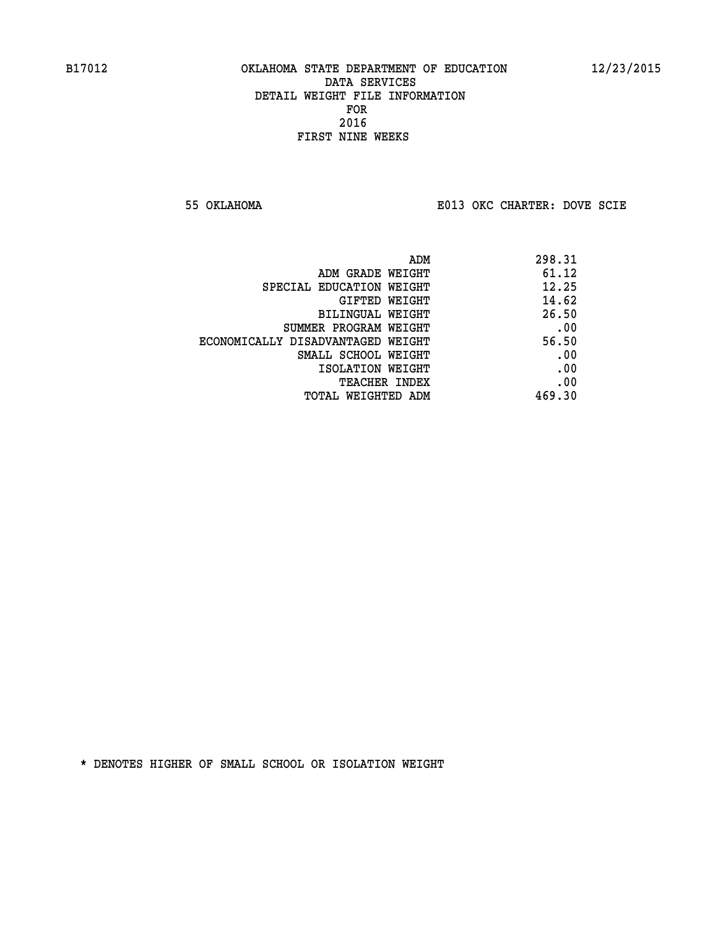**55 OKLAHOMA E013 OKC CHARTER: DOVE SCIE**

|                                   | 298.31<br>ADM |     |
|-----------------------------------|---------------|-----|
| ADM GRADE WEIGHT                  | 61.12         |     |
| SPECIAL EDUCATION WEIGHT          | 12.25         |     |
| GIFTED WEIGHT                     | 14.62         |     |
| BILINGUAL WEIGHT                  | 26.50         |     |
| SUMMER PROGRAM WEIGHT             |               | .00 |
| ECONOMICALLY DISADVANTAGED WEIGHT | 56.50         |     |
| SMALL SCHOOL WEIGHT               |               | .00 |
| ISOLATION WEIGHT                  |               | .00 |
| TEACHER INDEX                     |               | .00 |
| TOTAL WEIGHTED ADM                | 469.30        |     |
|                                   |               |     |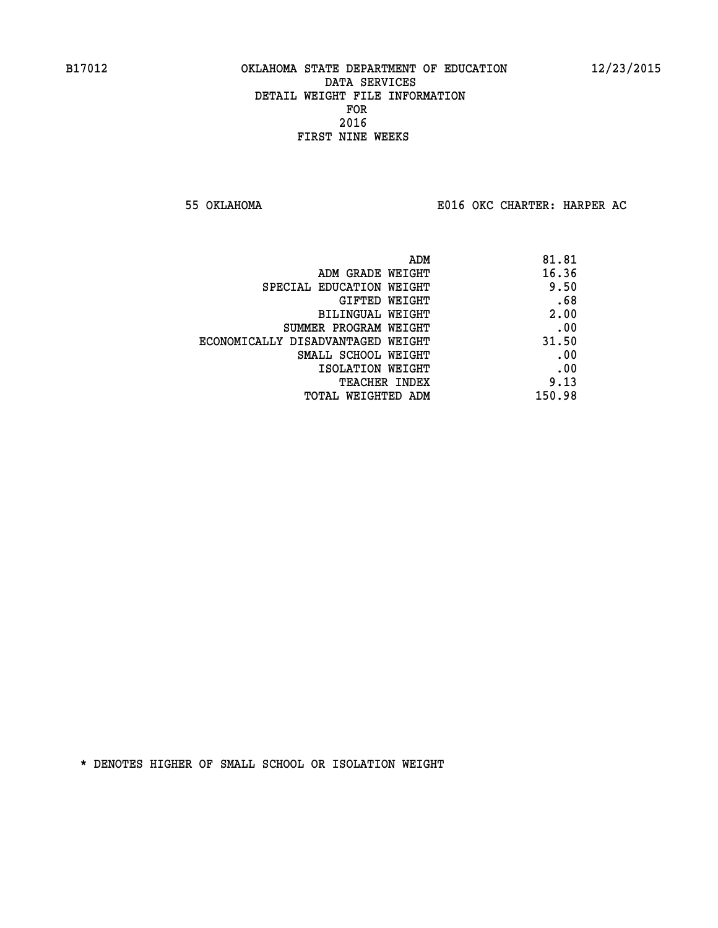**55 OKLAHOMA E016 OKC CHARTER: HARPER AC**

| 81.81  |
|--------|
| 16.36  |
| 9.50   |
| .68    |
| 2.00   |
| .00    |
| 31.50  |
| .00    |
| .00    |
| 9.13   |
| 150.98 |
|        |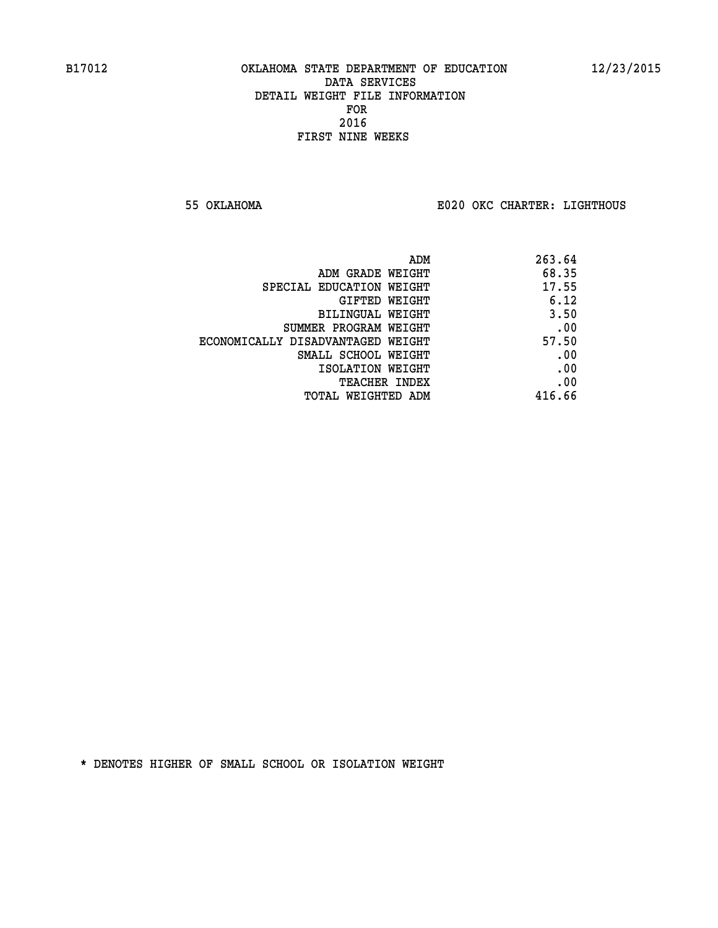**55 OKLAHOMA E020 OKC CHARTER: LIGHTHOUS**

|                                   | 263.64<br>ADM |  |
|-----------------------------------|---------------|--|
| ADM GRADE WEIGHT                  | 68.35         |  |
| SPECIAL EDUCATION WEIGHT          | 17.55         |  |
| GIFTED WEIGHT                     | 6.12          |  |
| BILINGUAL WEIGHT                  | 3.50          |  |
| SUMMER PROGRAM WEIGHT             | .00           |  |
| ECONOMICALLY DISADVANTAGED WEIGHT | 57.50         |  |
| SMALL SCHOOL WEIGHT               | .00           |  |
| ISOLATION WEIGHT                  | .00           |  |
| TEACHER INDEX                     | .00           |  |
| TOTAL WEIGHTED ADM                | 416.66        |  |
|                                   |               |  |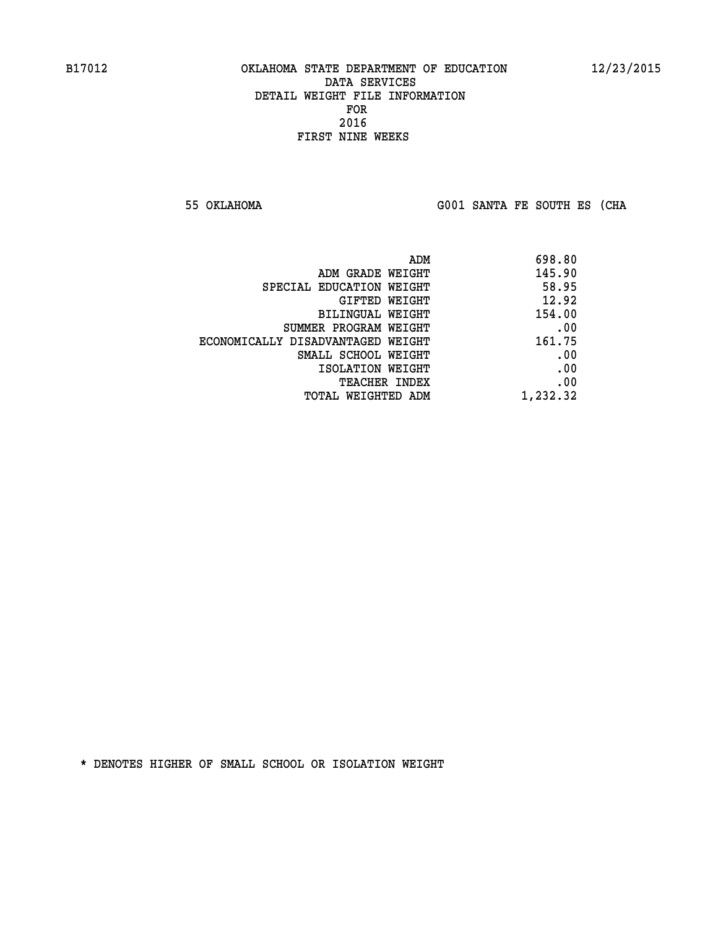**55 OKLAHOMA G001 SANTA FE SOUTH ES (CHA**

| ADM                               | 698.80   |
|-----------------------------------|----------|
| ADM GRADE WEIGHT                  | 145.90   |
| SPECIAL EDUCATION WEIGHT          | 58.95    |
| GIFTED WEIGHT                     | 12.92    |
| BILINGUAL WEIGHT                  | 154.00   |
| SUMMER PROGRAM WEIGHT             | .00      |
| ECONOMICALLY DISADVANTAGED WEIGHT | 161.75   |
| SMALL SCHOOL WEIGHT               | .00      |
| ISOLATION WEIGHT                  | .00      |
| <b>TEACHER INDEX</b>              | .00      |
| TOTAL WEIGHTED ADM                | 1,232.32 |
|                                   |          |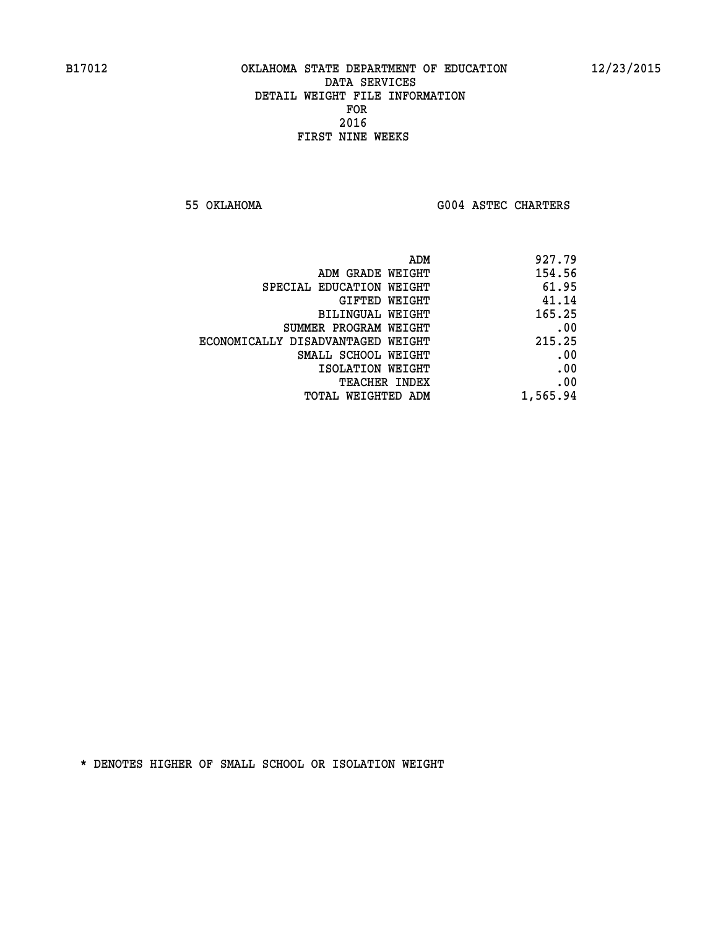**55 OKLAHOMA G004 ASTEC CHARTERS** 

| ADM                               | 927.79   |
|-----------------------------------|----------|
| ADM GRADE WEIGHT                  | 154.56   |
| SPECIAL EDUCATION WEIGHT          | 61.95    |
| GIFTED WEIGHT                     | 41.14    |
| BILINGUAL WEIGHT                  | 165.25   |
| SUMMER PROGRAM WEIGHT             | .00      |
| ECONOMICALLY DISADVANTAGED WEIGHT | 215.25   |
| SMALL SCHOOL WEIGHT               | .00      |
| ISOLATION WEIGHT                  | .00      |
| <b>TEACHER INDEX</b>              | .00      |
| TOTAL WEIGHTED ADM                | 1,565.94 |
|                                   |          |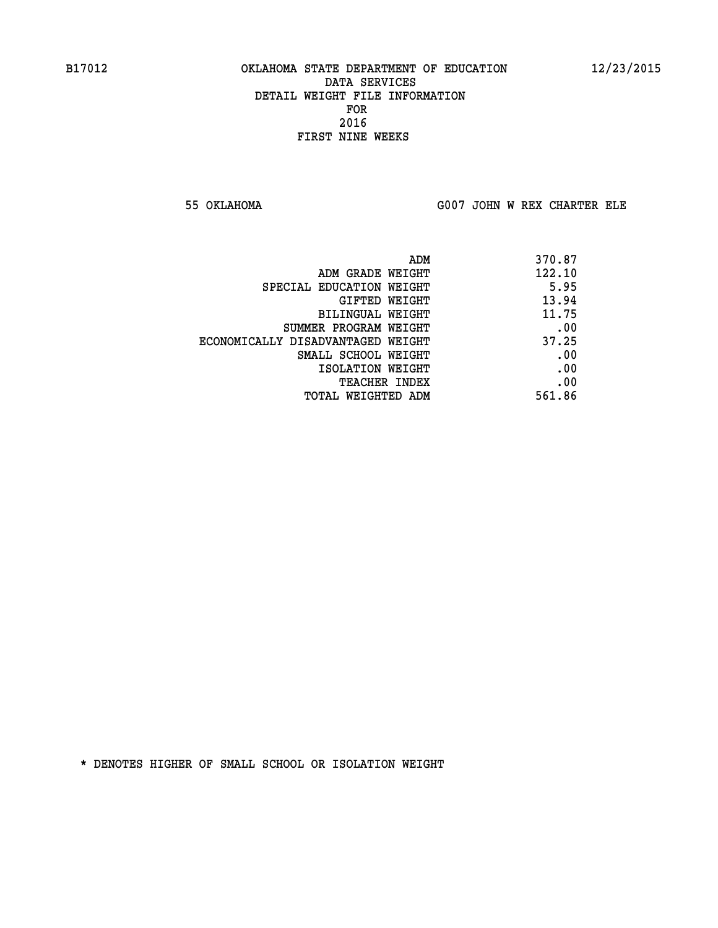**55 OKLAHOMA G007 JOHN W REX CHARTER ELE**

| ADM                               | 370.87 |
|-----------------------------------|--------|
| ADM GRADE WEIGHT                  | 122.10 |
| SPECIAL EDUCATION WEIGHT          | 5.95   |
| GIFTED WEIGHT                     | 13.94  |
| BILINGUAL WEIGHT                  | 11.75  |
| SUMMER PROGRAM WEIGHT             | .00    |
| ECONOMICALLY DISADVANTAGED WEIGHT | 37.25  |
| SMALL SCHOOL WEIGHT               | .00    |
| ISOLATION WEIGHT                  | .00    |
| <b>TEACHER INDEX</b>              | .00    |
| TOTAL WEIGHTED ADM                | 561.86 |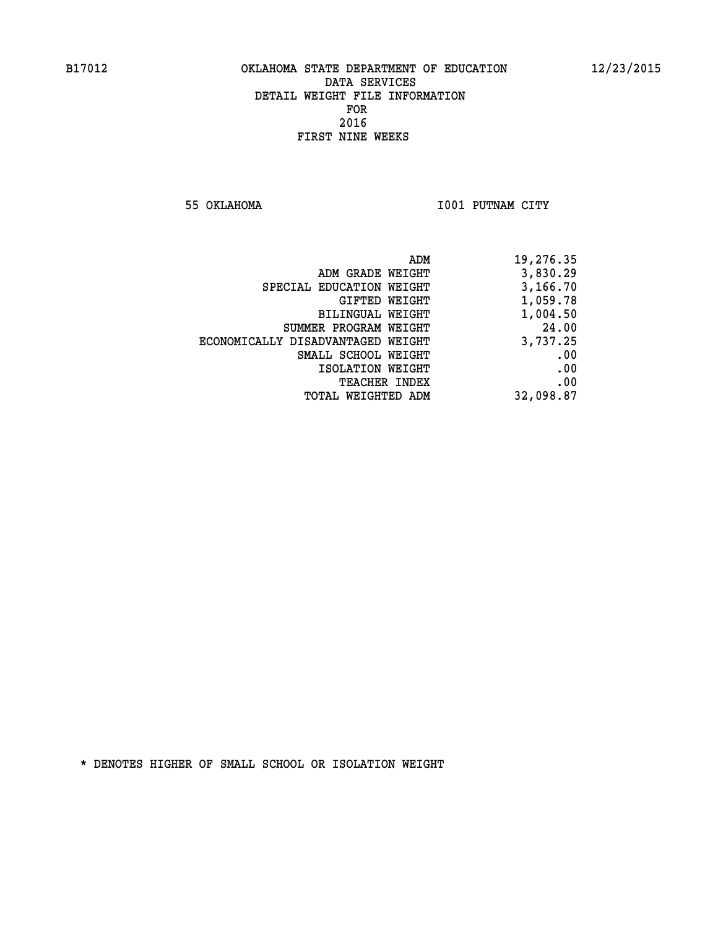**55 OKLAHOMA I001 PUTNAM CITY** 

| 19,276.35 |
|-----------|
| 3,830.29  |
| 3,166.70  |
| 1,059.78  |
| 1,004.50  |
| 24.00     |
| 3,737.25  |
| .00       |
| .00       |
| .00       |
| 32,098.87 |
|           |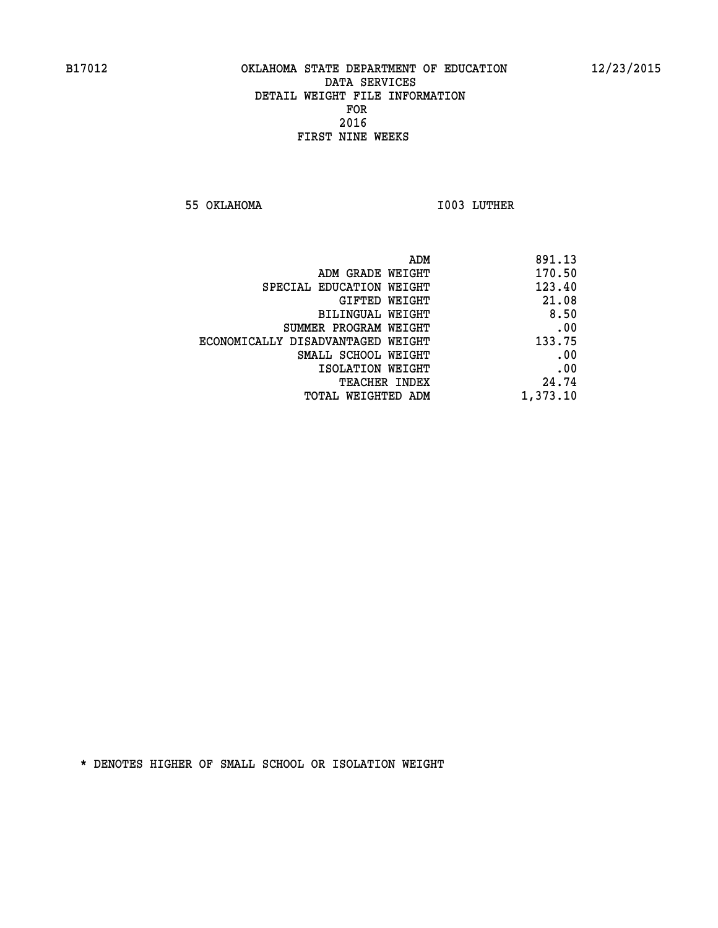**55 OKLAHOMA I003 LUTHER** 

| 891.13   |
|----------|
| 170.50   |
| 123.40   |
| 21.08    |
| 8.50     |
| .00      |
| 133.75   |
| .00      |
| .00      |
| 24.74    |
| 1,373.10 |
|          |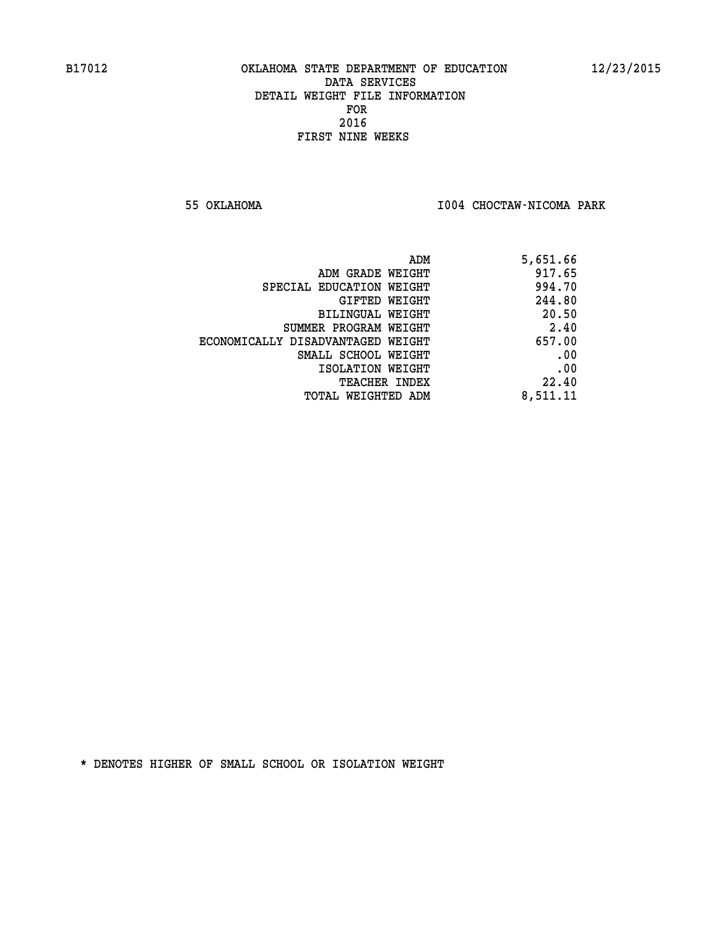**55 OKLAHOMA I004 CHOCTAW-NICOMA PARK** 

| ADM                               | 5,651.66 |
|-----------------------------------|----------|
| ADM GRADE WEIGHT                  | 917.65   |
| SPECIAL EDUCATION WEIGHT          | 994.70   |
| GIFTED WEIGHT                     | 244.80   |
| BILINGUAL WEIGHT                  | 20.50    |
| SUMMER PROGRAM WEIGHT             | 2.40     |
| ECONOMICALLY DISADVANTAGED WEIGHT | 657.00   |
| SMALL SCHOOL WEIGHT               | .00      |
| ISOLATION WEIGHT                  | .00      |
| <b>TEACHER INDEX</b>              | 22.40    |
| TOTAL WEIGHTED ADM                | 8,511.11 |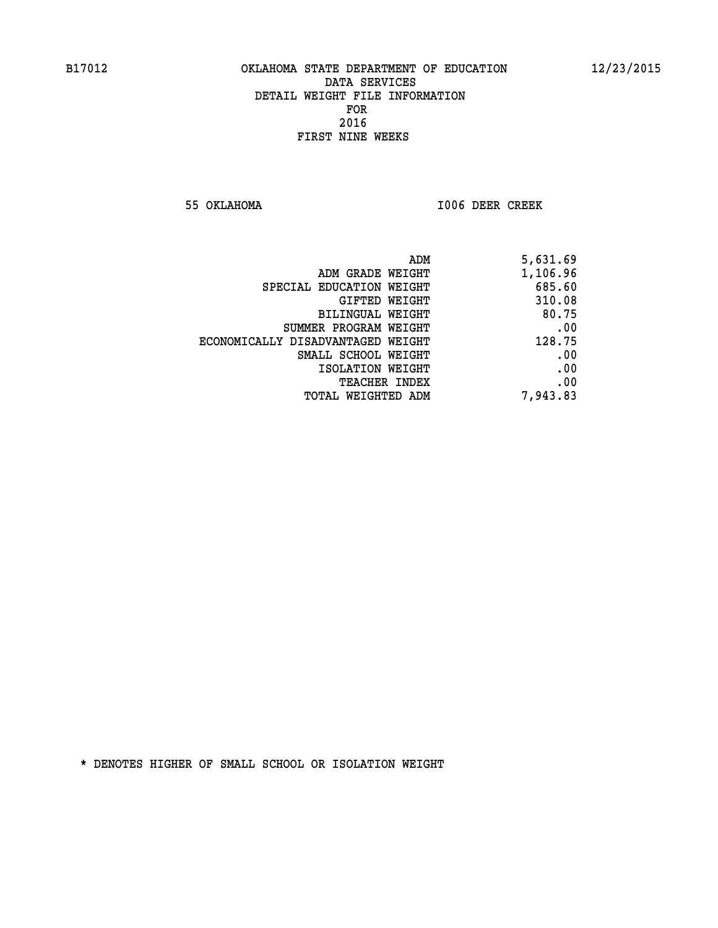**55 OKLAHOMA I006 DEER CREEK** 

| ADM                               | 5,631.69 |
|-----------------------------------|----------|
| ADM GRADE WEIGHT                  | 1,106.96 |
| SPECIAL EDUCATION WEIGHT          | 685.60   |
| <b>GIFTED WEIGHT</b>              | 310.08   |
| BILINGUAL WEIGHT                  | 80.75    |
| SUMMER PROGRAM WEIGHT             | .00      |
| ECONOMICALLY DISADVANTAGED WEIGHT | 128.75   |
| SMALL SCHOOL WEIGHT               | .00      |
| ISOLATION WEIGHT                  | .00      |
| <b>TEACHER INDEX</b>              | .00      |
| TOTAL WEIGHTED ADM                | 7,943.83 |
|                                   |          |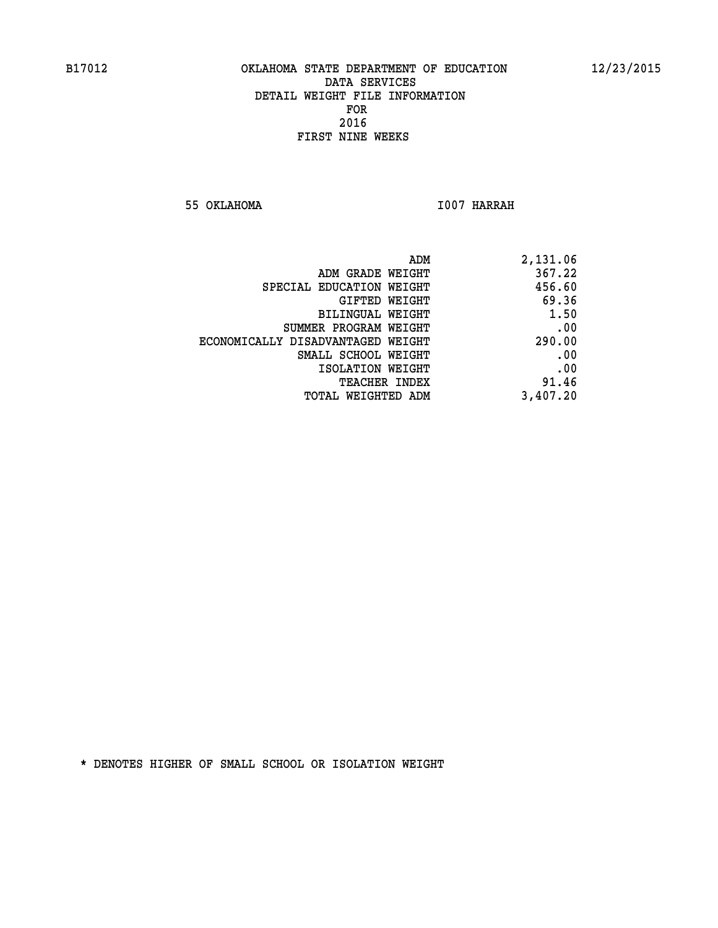**55 OKLAHOMA I007 HARRAH** 

| 2,131.06 |
|----------|
| 367.22   |
| 456.60   |
| 69.36    |
| 1.50     |
| .00      |
| 290.00   |
| .00      |
| .00      |
| 91.46    |
| 3,407.20 |
|          |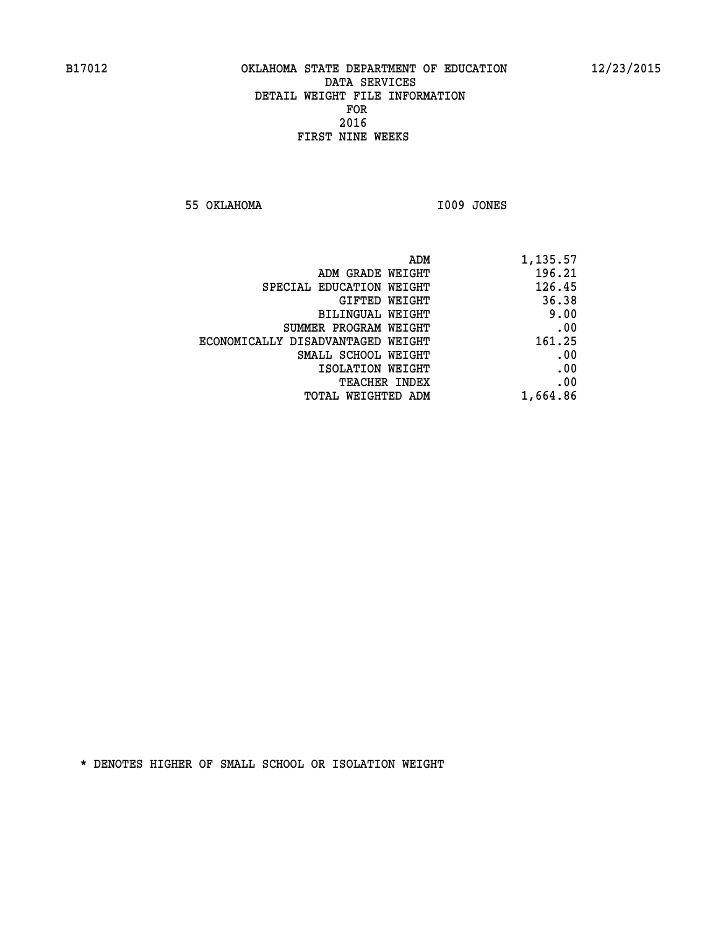**55 OKLAHOMA I009 JONES** 

| 1,135.57 |
|----------|
| 196.21   |
| 126.45   |
| 36.38    |
| 9.00     |
| .00      |
| 161.25   |
| .00      |
| .00      |
| .00      |
| 1,664.86 |
|          |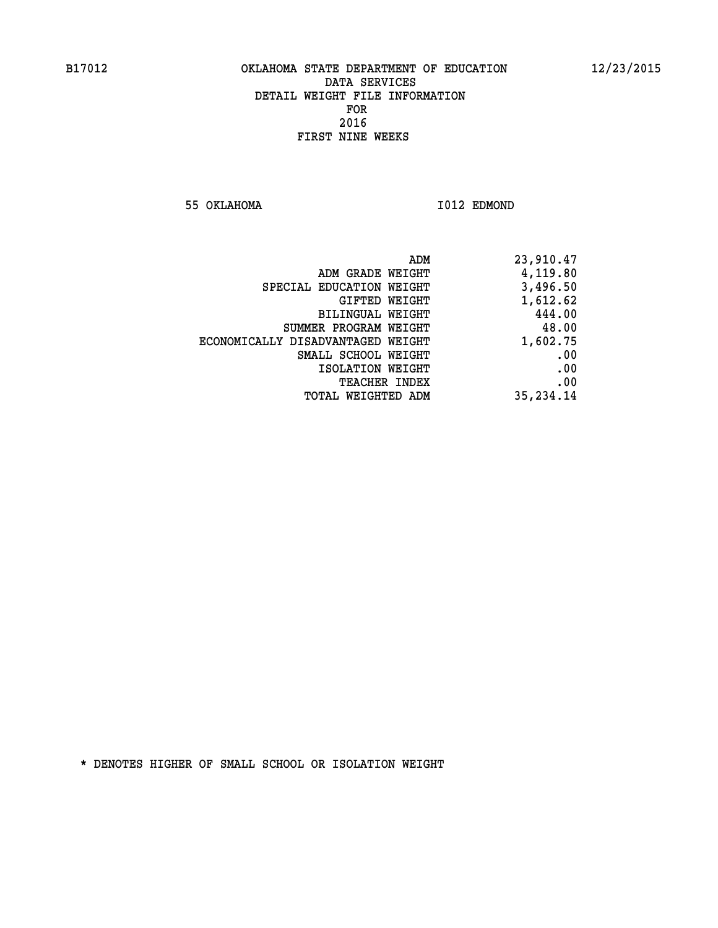**55 OKLAHOMA I012 EDMOND** 

|                                   | 23,910.47<br>ADM |  |
|-----------------------------------|------------------|--|
| ADM GRADE WEIGHT                  | 4,119.80         |  |
| SPECIAL EDUCATION WEIGHT          | 3,496.50         |  |
| GIFTED WEIGHT                     | 1,612.62         |  |
| BILINGUAL WEIGHT                  | 444.00           |  |
| SUMMER PROGRAM WEIGHT             | 48.00            |  |
| ECONOMICALLY DISADVANTAGED WEIGHT | 1,602.75         |  |
| SMALL SCHOOL WEIGHT               | .00              |  |
| ISOLATION WEIGHT                  | .00              |  |
| <b>TEACHER INDEX</b>              | .00              |  |
| TOTAL WEIGHTED ADM                | 35, 234.14       |  |
|                                   |                  |  |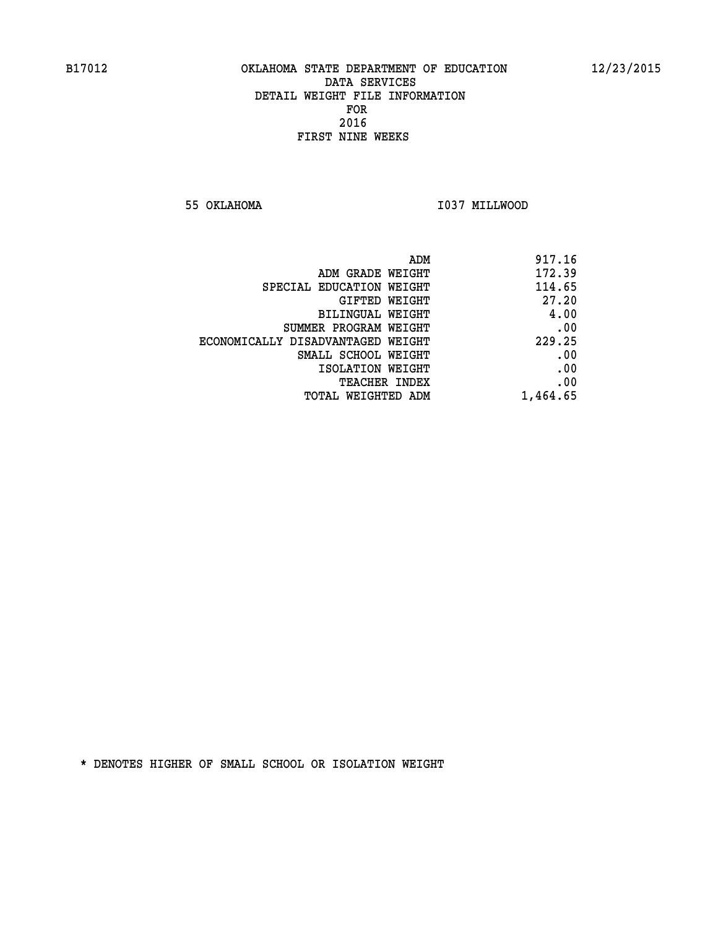**55 OKLAHOMA I037 MILLWOOD** 

|                                   | ADM<br>917.16 |
|-----------------------------------|---------------|
| ADM GRADE WEIGHT                  | 172.39        |
| SPECIAL EDUCATION WEIGHT          | 114.65        |
| GIFTED WEIGHT                     | 27.20         |
| BILINGUAL WEIGHT                  | 4.00          |
| SUMMER PROGRAM WEIGHT             | .00           |
| ECONOMICALLY DISADVANTAGED WEIGHT | 229.25        |
| SMALL SCHOOL WEIGHT               | .00           |
| ISOLATION WEIGHT                  | .00           |
| <b>TEACHER INDEX</b>              | .00           |
| TOTAL WEIGHTED ADM                | 1,464.65      |
|                                   |               |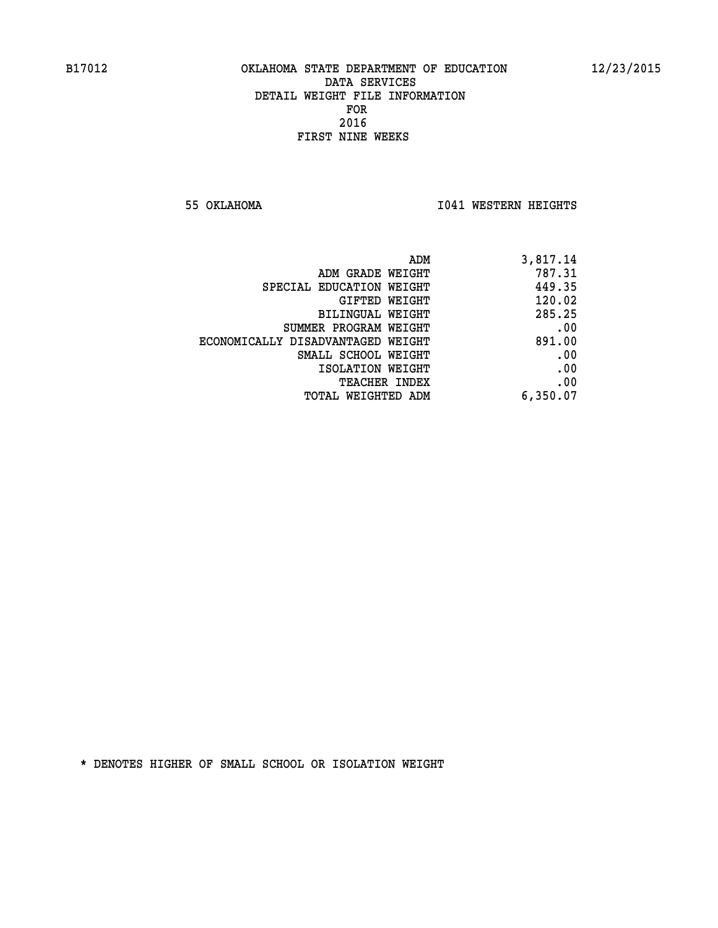**55 OKLAHOMA I041 WESTERN HEIGHTS** 

| 3,817.14 | ADM                               |
|----------|-----------------------------------|
| 787.31   | ADM GRADE WEIGHT                  |
| 449.35   | SPECIAL EDUCATION WEIGHT          |
| 120.02   | <b>GIFTED WEIGHT</b>              |
| 285.25   | BILINGUAL WEIGHT                  |
| .00      | SUMMER PROGRAM WEIGHT             |
| 891.00   | ECONOMICALLY DISADVANTAGED WEIGHT |
| .00      | SMALL SCHOOL WEIGHT               |
| .00      | ISOLATION WEIGHT                  |
| .00      | <b>TEACHER INDEX</b>              |
| 6,350.07 | TOTAL WEIGHTED ADM                |
|          |                                   |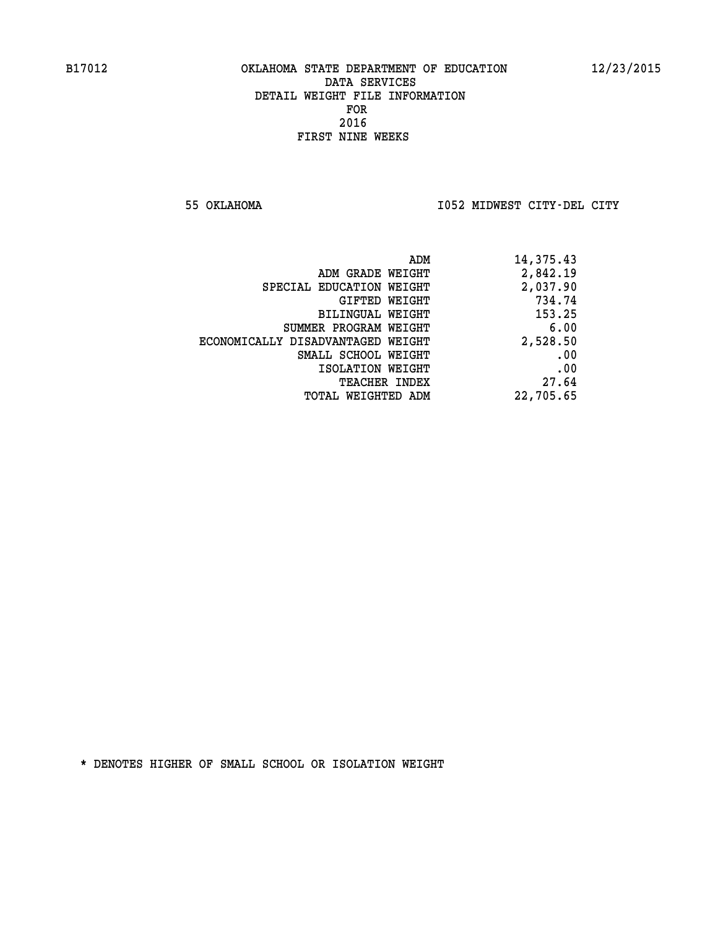**55 OKLAHOMA I052 MIDWEST CITY-DEL CITY** 

| ADM                               | 14,375.43 |
|-----------------------------------|-----------|
| ADM GRADE WEIGHT                  | 2,842.19  |
| SPECIAL EDUCATION WEIGHT          | 2,037.90  |
| GIFTED WEIGHT                     | 734.74    |
| BILINGUAL WEIGHT                  | 153.25    |
| SUMMER PROGRAM WEIGHT             | 6.00      |
| ECONOMICALLY DISADVANTAGED WEIGHT | 2,528.50  |
| SMALL SCHOOL WEIGHT               | .00       |
| ISOLATION WEIGHT                  | .00       |
| <b>TEACHER INDEX</b>              | 27.64     |
| TOTAL WEIGHTED ADM                | 22,705.65 |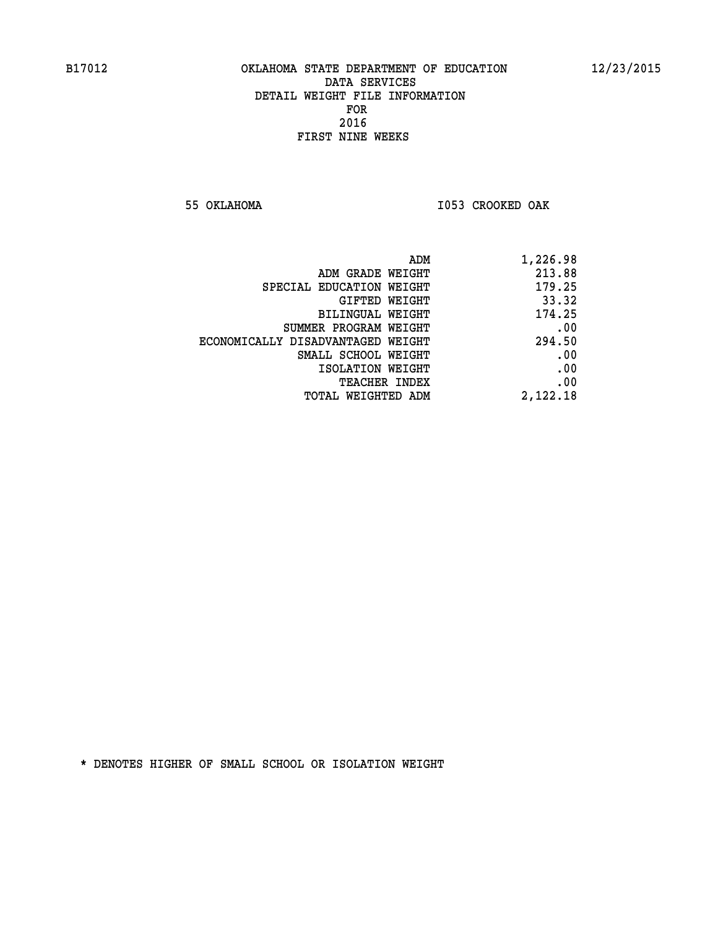**55 OKLAHOMA I053 CROOKED OAK** 

| 1,226.98 |
|----------|
| 213.88   |
| 179.25   |
| 33.32    |
| 174.25   |
| .00      |
| 294.50   |
| .00      |
| .00      |
| .00      |
| 2,122.18 |
|          |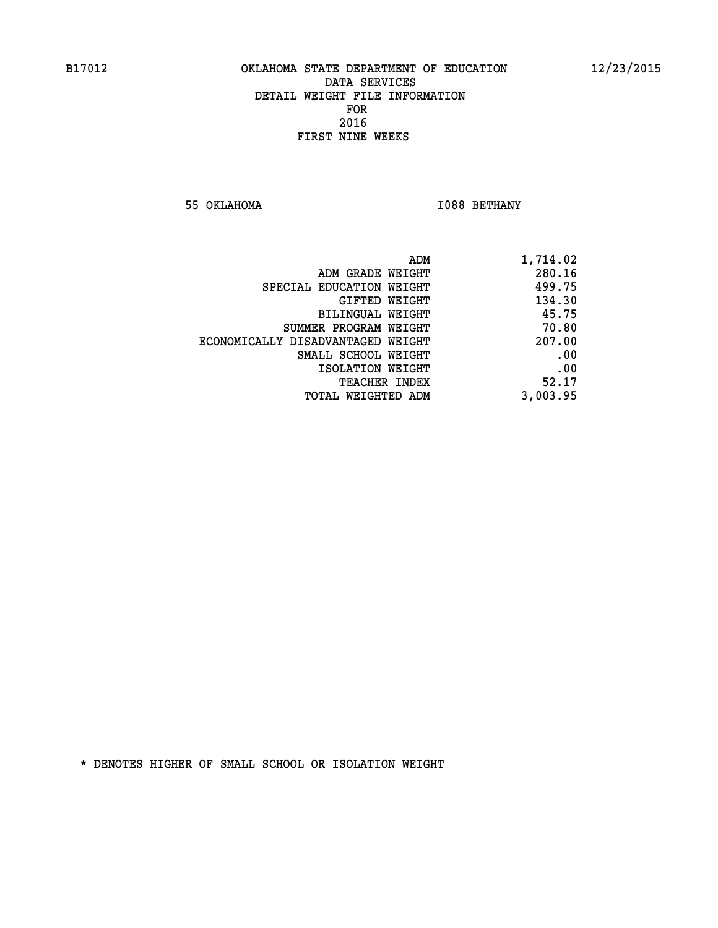**55 OKLAHOMA** 1088 BETHANY

| ADM                               | 1,714.02 |
|-----------------------------------|----------|
| ADM GRADE WEIGHT                  | 280.16   |
| SPECIAL EDUCATION WEIGHT          | 499.75   |
| GIFTED WEIGHT                     | 134.30   |
| BILINGUAL WEIGHT                  | 45.75    |
| SUMMER PROGRAM WEIGHT             | 70.80    |
| ECONOMICALLY DISADVANTAGED WEIGHT | 207.00   |
| SMALL SCHOOL WEIGHT               | .00      |
| ISOLATION WEIGHT                  | .00      |
| TEACHER INDEX                     | 52.17    |
| TOTAL WEIGHTED ADM                | 3,003.95 |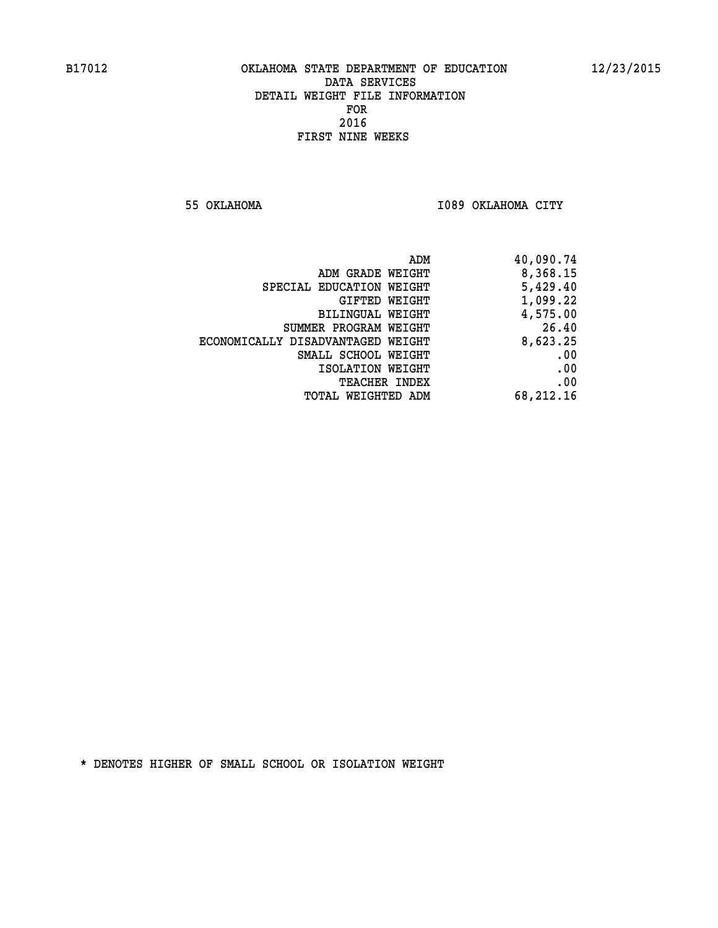**55 OKLAHOMA I089 OKLAHOMA CITY** 

| 40,090.74 |
|-----------|
| 8,368.15  |
| 5,429.40  |
| 1,099.22  |
| 4,575.00  |
| 26.40     |
| 8,623.25  |
| .00       |
| .00       |
| .00       |
| 68,212.16 |
|           |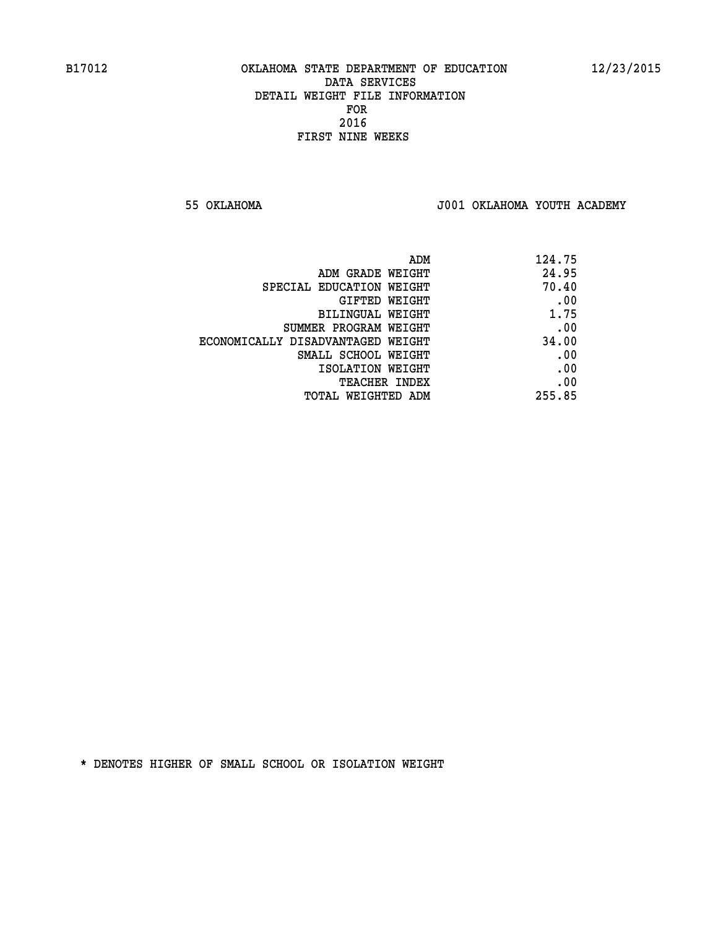**55 OKLAHOMA J001 OKLAHOMA YOUTH ACADEMY**

| ADM                               | 124.75 |
|-----------------------------------|--------|
| ADM GRADE WEIGHT                  | 24.95  |
| SPECIAL EDUCATION WEIGHT          | 70.40  |
| GIFTED WEIGHT                     | .00    |
| BILINGUAL WEIGHT                  | 1.75   |
| SUMMER PROGRAM WEIGHT             | .00    |
| ECONOMICALLY DISADVANTAGED WEIGHT | 34.00  |
| SMALL SCHOOL WEIGHT               | .00    |
| ISOLATION WEIGHT                  | .00    |
| <b>TEACHER INDEX</b>              | .00    |
| TOTAL WEIGHTED ADM                | 255.85 |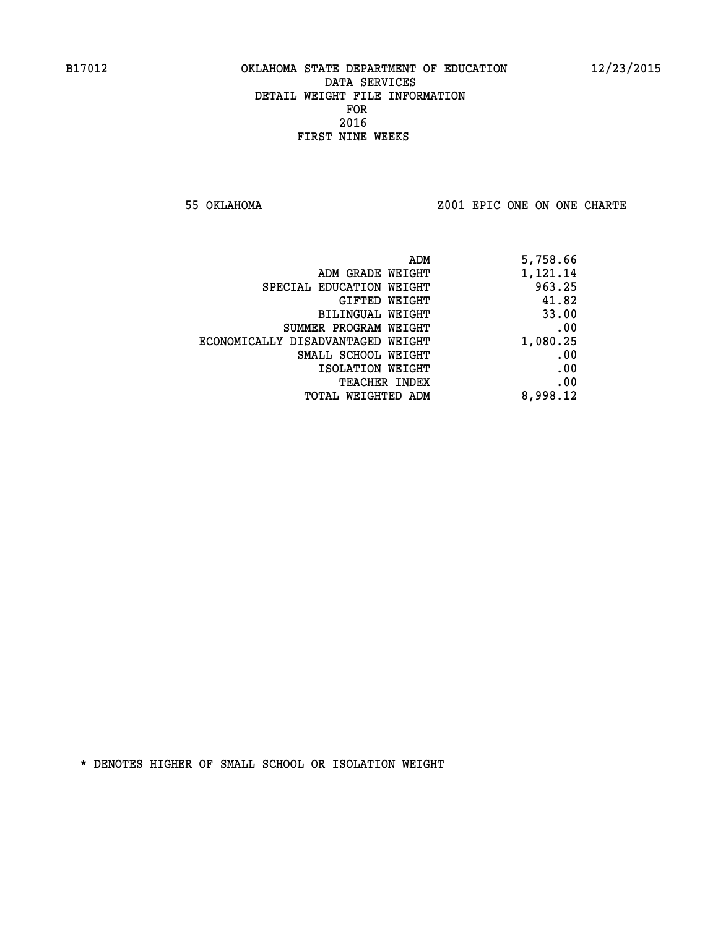**55 OKLAHOMA Z001 EPIC ONE ON ONE CHARTE**

| 5,758.66 |
|----------|
| 1,121.14 |
| 963.25   |
| 41.82    |
| 33.00    |
| .00      |
| 1,080.25 |
| .00      |
| .00      |
| .00      |
| 8,998.12 |
|          |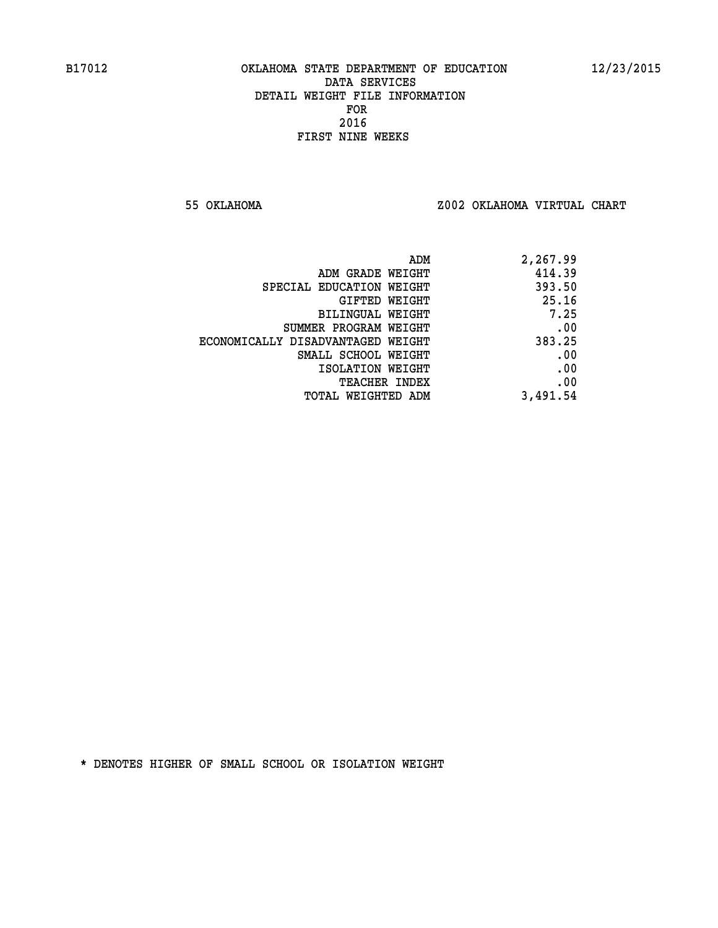**55 OKLAHOMA Z002 OKLAHOMA VIRTUAL CHART**

| ADM                               | 2,267.99 |
|-----------------------------------|----------|
| ADM GRADE WEIGHT                  | 414.39   |
| SPECIAL EDUCATION WEIGHT          | 393.50   |
| GIFTED WEIGHT                     | 25.16    |
| BILINGUAL WEIGHT                  | 7.25     |
| SUMMER PROGRAM WEIGHT             | .00      |
| ECONOMICALLY DISADVANTAGED WEIGHT | 383.25   |
| SMALL SCHOOL WEIGHT               | .00      |
| ISOLATION WEIGHT                  | .00      |
| <b>TEACHER INDEX</b>              | .00      |
| TOTAL WEIGHTED ADM                | 3,491.54 |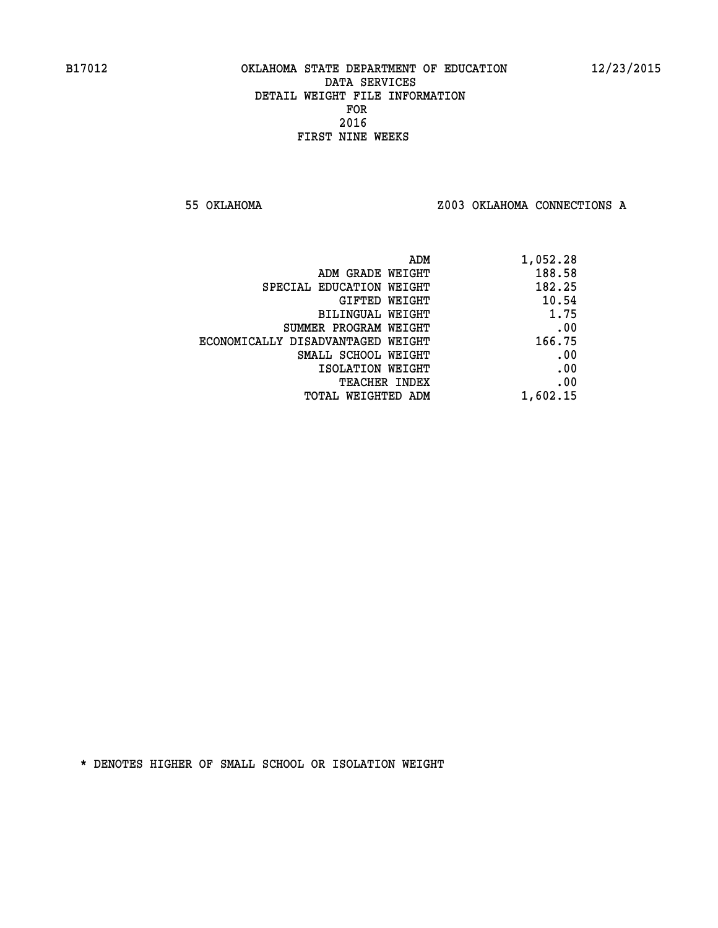**55 OKLAHOMA Z003 OKLAHOMA CONNECTIONS A**

| 1,052.28 |
|----------|
| 188.58   |
| 182.25   |
| 10.54    |
| 1.75     |
| .00      |
| 166.75   |
| .00      |
| .00      |
| .00      |
| 1,602.15 |
|          |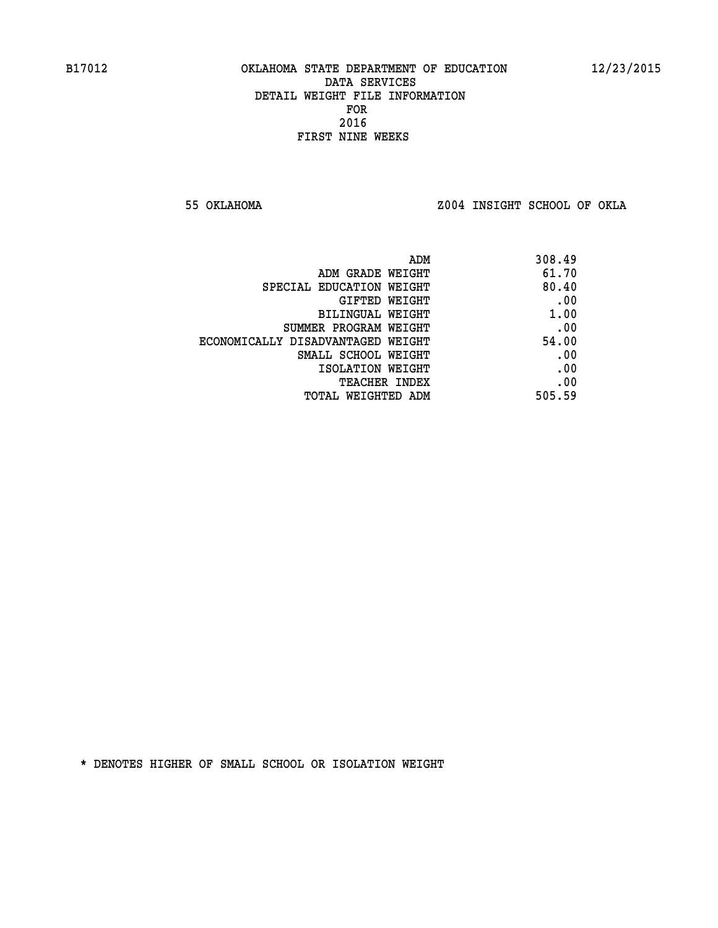**55 OKLAHOMA Z004 INSIGHT SCHOOL OF OKLA**

| 308.49 |
|--------|
| 61.70  |
| 80.40  |
| .00    |
| 1.00   |
| .00    |
| 54.00  |
| .00    |
| .00    |
| .00    |
| 505.59 |
|        |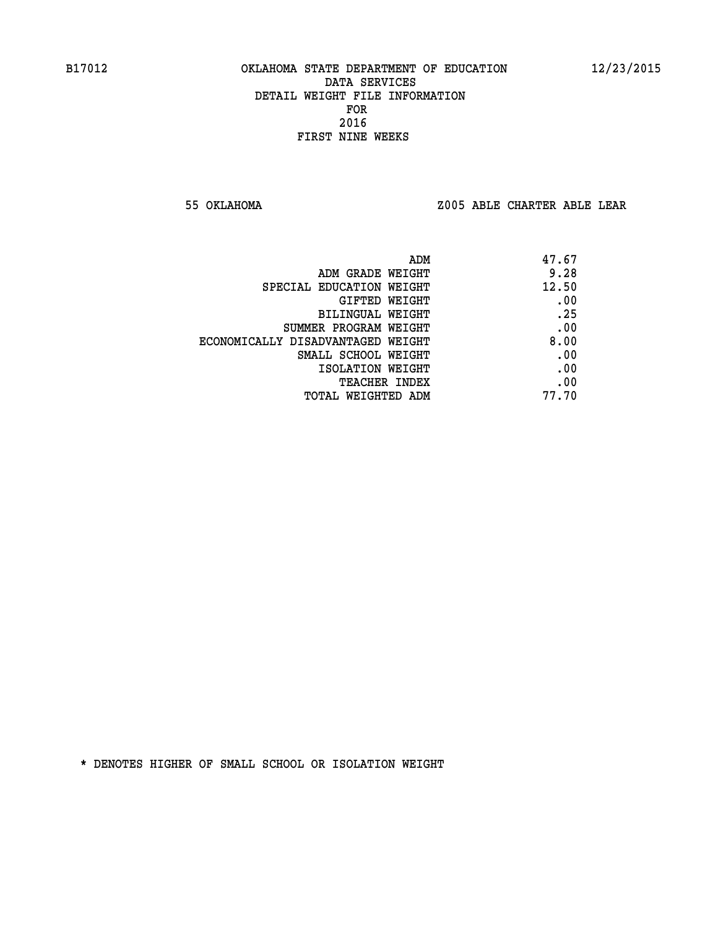**55 OKLAHOMA Z005 ABLE CHARTER ABLE LEAR**

| ADM                               | 47.67 |
|-----------------------------------|-------|
| ADM GRADE WEIGHT                  | 9.28  |
| SPECIAL EDUCATION WEIGHT          | 12.50 |
| GIFTED WEIGHT                     | .00   |
| BILINGUAL WEIGHT                  | .25   |
| SUMMER PROGRAM WEIGHT             | .00   |
| ECONOMICALLY DISADVANTAGED WEIGHT | 8.00  |
| SMALL SCHOOL WEIGHT               | .00   |
| ISOLATION WEIGHT                  | .00   |
| TEACHER INDEX                     | .00   |
| TOTAL WEIGHTED ADM                | 77.70 |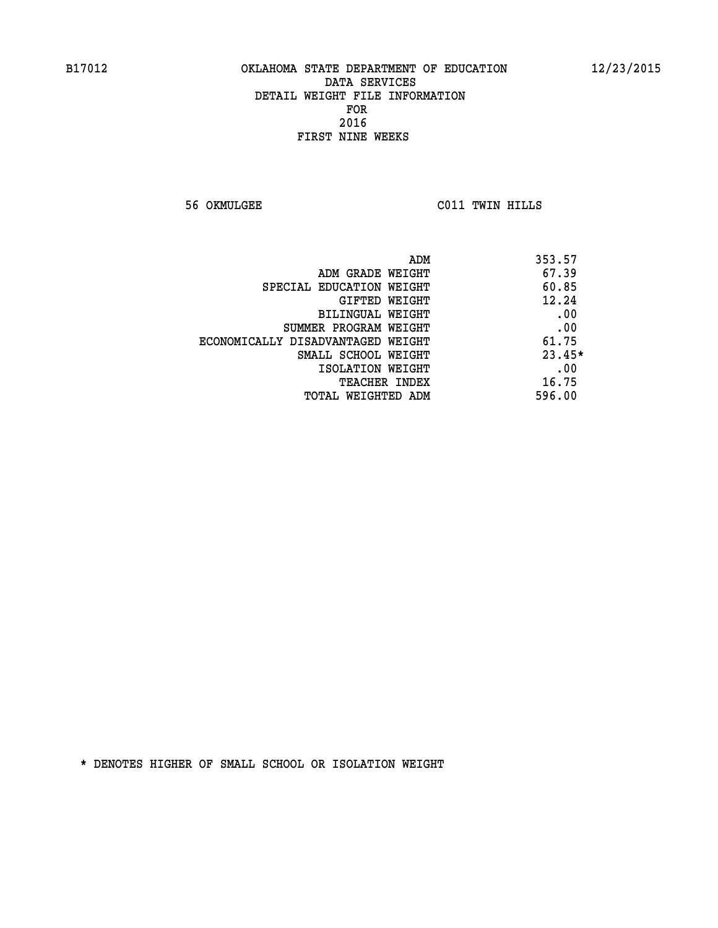**56 OKMULGEE C011 TWIN HILLS** 

|                                   | 353.57<br>ADM |
|-----------------------------------|---------------|
| ADM GRADE WEIGHT                  | 67.39         |
| SPECIAL EDUCATION WEIGHT          | 60.85         |
| <b>GIFTED WEIGHT</b>              | 12.24         |
| BILINGUAL WEIGHT                  | .00           |
| SUMMER PROGRAM WEIGHT             | .00           |
| ECONOMICALLY DISADVANTAGED WEIGHT | 61.75         |
| SMALL SCHOOL WEIGHT               | $23.45*$      |
| ISOLATION WEIGHT                  | .00           |
| <b>TEACHER INDEX</b>              | 16.75         |
| TOTAL WEIGHTED ADM                | 596.00        |
|                                   |               |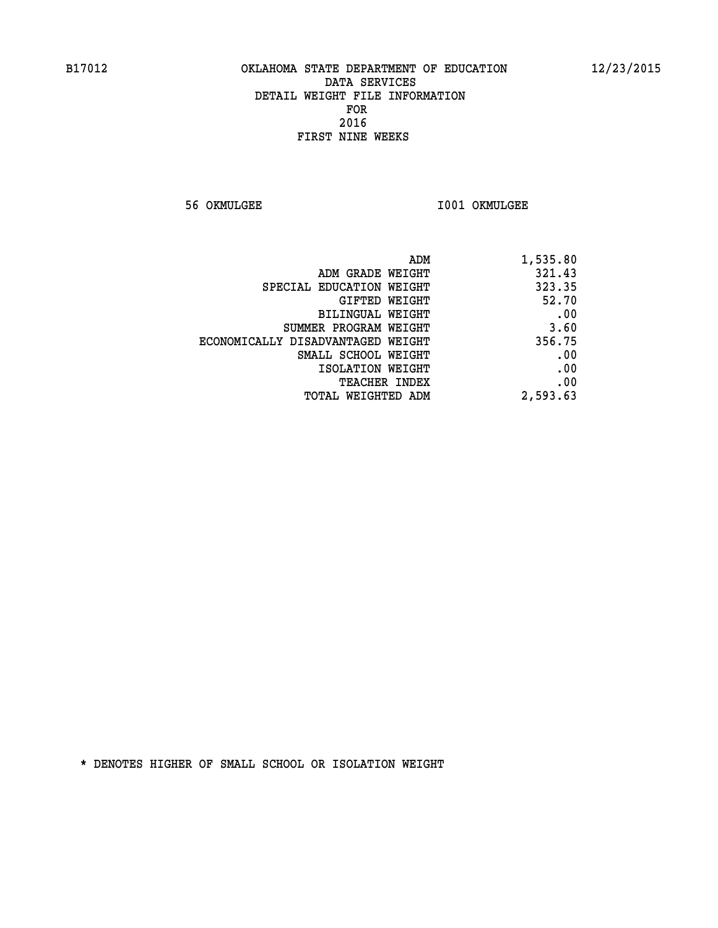**56 OKMULGEE I001 OKMULGEE** 

| ADM                               | 1,535.80 |
|-----------------------------------|----------|
| ADM GRADE WEIGHT                  | 321.43   |
| SPECIAL EDUCATION WEIGHT          | 323.35   |
| GIFTED WEIGHT                     | 52.70    |
| BILINGUAL WEIGHT                  | .00      |
| SUMMER PROGRAM WEIGHT             | 3.60     |
| ECONOMICALLY DISADVANTAGED WEIGHT | 356.75   |
| SMALL SCHOOL WEIGHT               | .00      |
| ISOLATION WEIGHT                  | .00      |
| <b>TEACHER INDEX</b>              | .00      |
| <b>TOTAL WEIGHTED ADM</b>         | 2,593.63 |
|                                   |          |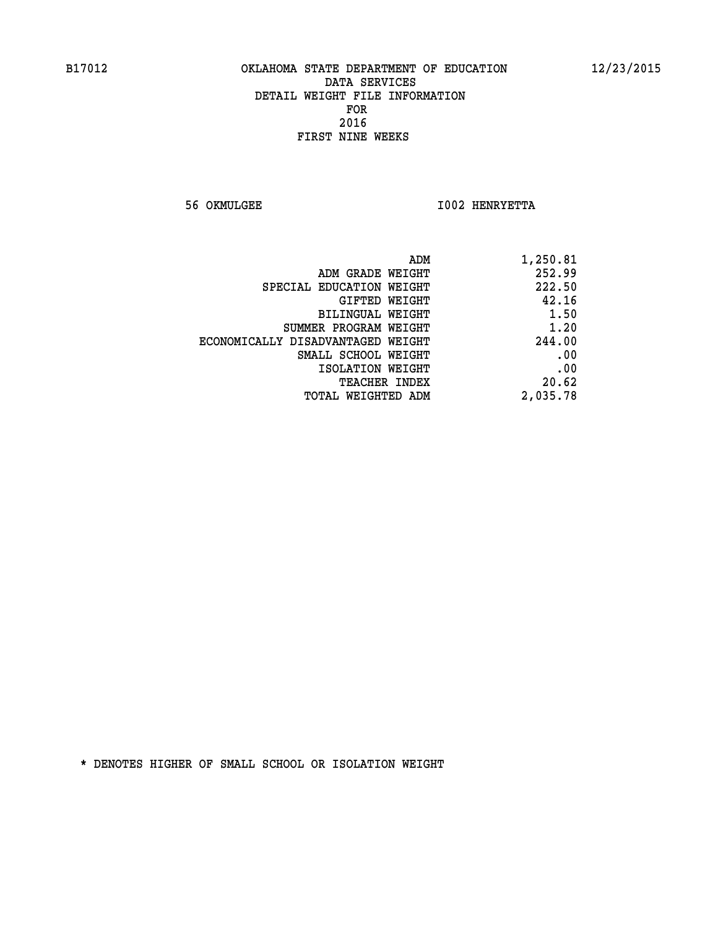**56 OKMULGEE I002 HENRYETTA** 

| 1,250.81 |
|----------|
| 252.99   |
| 222.50   |
| 42.16    |
| 1.50     |
| 1.20     |
| 244.00   |
| .00      |
| .00      |
| 20.62    |
| 2,035.78 |
|          |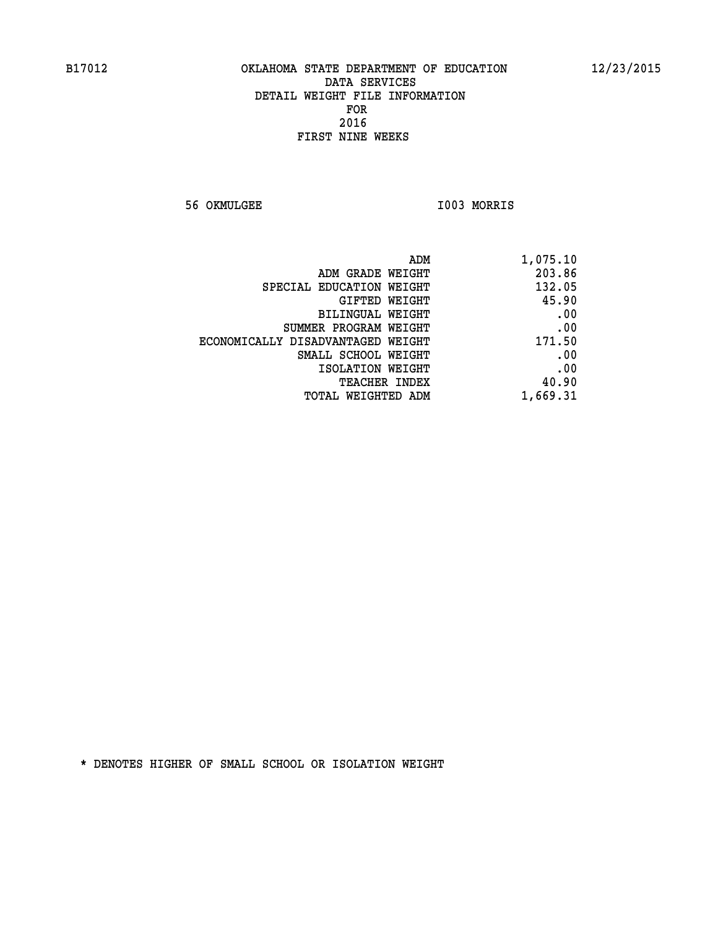**56 OKMULGEE I003 MORRIS** 

| 1,075.10 |
|----------|
| 203.86   |
| 132.05   |
| 45.90    |
| .00      |
| .00      |
| 171.50   |
| .00      |
| .00      |
| 40.90    |
| 1,669.31 |
|          |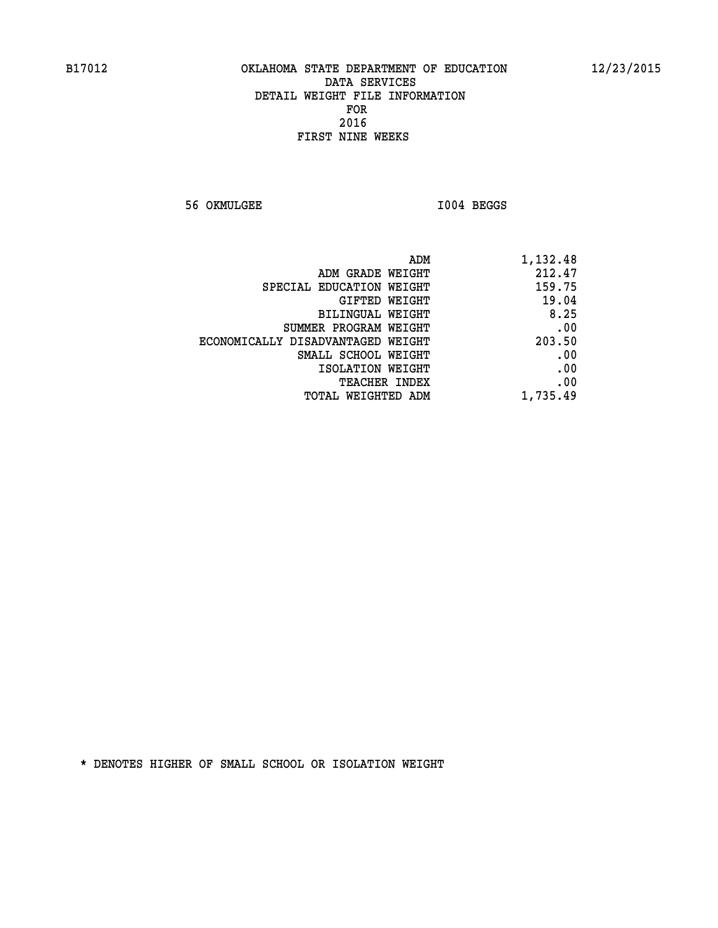**56 OKMULGEE I004 BEGGS** 

| ADM<br>1,132.48             |                                   |
|-----------------------------|-----------------------------------|
| 212.47<br>ADM GRADE WEIGHT  |                                   |
| 159.75                      | SPECIAL EDUCATION WEIGHT          |
| 19.04<br>GIFTED WEIGHT      |                                   |
| 8.25<br>BILINGUAL WEIGHT    |                                   |
| .00                         | SUMMER PROGRAM WEIGHT             |
| 203.50                      | ECONOMICALLY DISADVANTAGED WEIGHT |
| .00                         | SMALL SCHOOL WEIGHT               |
| .00<br>ISOLATION WEIGHT     |                                   |
| .00<br><b>TEACHER INDEX</b> |                                   |
| 1,735.49                    | <b>TOTAL WEIGHTED ADM</b>         |
|                             |                                   |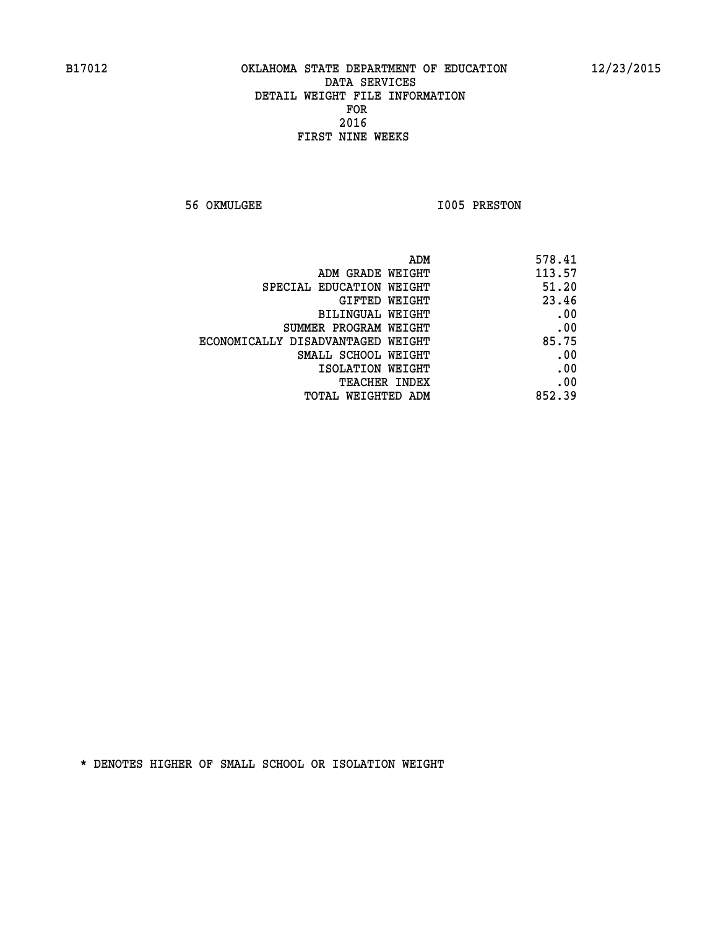**56 OKMULGEE 1005 PRESTON** 

| ADM                               | 578.41 |
|-----------------------------------|--------|
| ADM GRADE WEIGHT                  | 113.57 |
| SPECIAL EDUCATION WEIGHT          | 51.20  |
| GIFTED WEIGHT                     | 23.46  |
| <b>BILINGUAL WEIGHT</b>           | .00    |
| SUMMER PROGRAM WEIGHT             | .00    |
| ECONOMICALLY DISADVANTAGED WEIGHT | 85.75  |
| SMALL SCHOOL WEIGHT               | .00    |
| ISOLATION WEIGHT                  | .00    |
| <b>TEACHER INDEX</b>              | .00    |
| TOTAL WEIGHTED ADM                | 852.39 |
|                                   |        |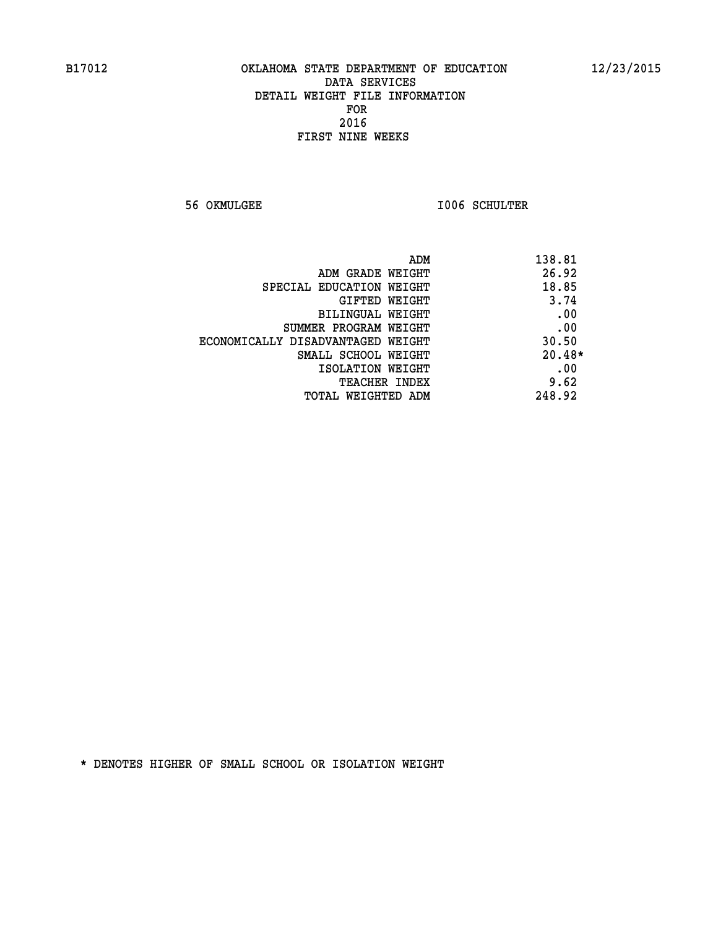**56 OKMULGEE I006 SCHULTER** 

| ADM                               | 138.81   |
|-----------------------------------|----------|
| ADM GRADE WEIGHT                  | 26.92    |
| SPECIAL EDUCATION WEIGHT          | 18.85    |
| <b>GIFTED WEIGHT</b>              | 3.74     |
| BILINGUAL WEIGHT                  | .00      |
| SUMMER PROGRAM WEIGHT             | .00      |
| ECONOMICALLY DISADVANTAGED WEIGHT | 30.50    |
| SMALL SCHOOL WEIGHT               | $20.48*$ |
| ISOLATION WEIGHT                  | .00      |
| <b>TEACHER INDEX</b>              | 9.62     |
| TOTAL WEIGHTED ADM                | 248.92   |
|                                   |          |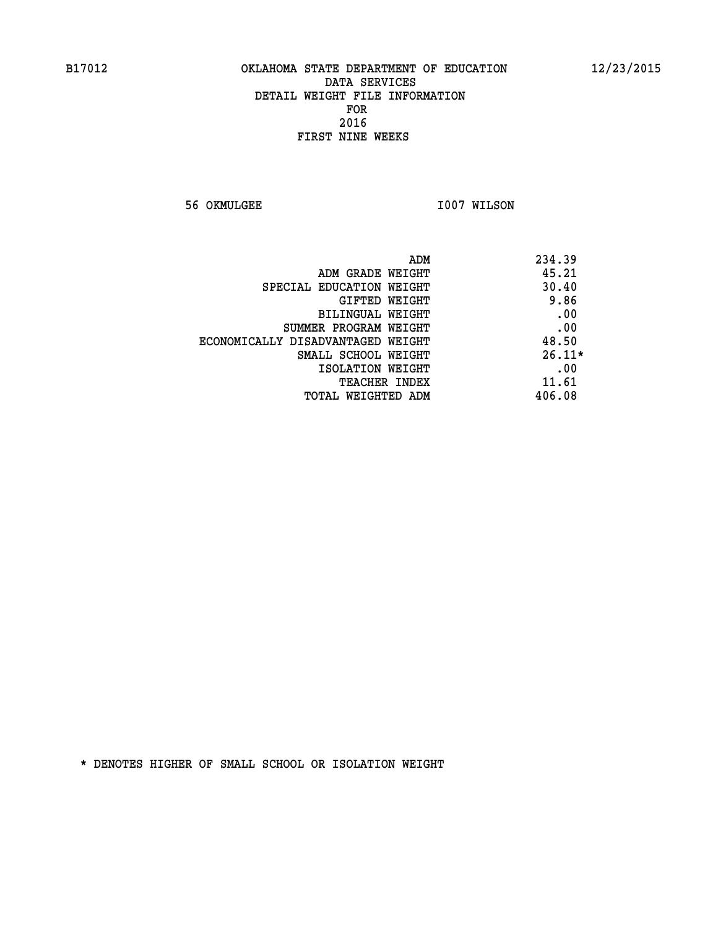**56 OKMULGEE 1007 WILSON** 

| ADM                               | 234.39   |
|-----------------------------------|----------|
| ADM GRADE WEIGHT                  | 45.21    |
| SPECIAL EDUCATION WEIGHT          | 30.40    |
| GIFTED WEIGHT                     | 9.86     |
| <b>BILINGUAL WEIGHT</b>           | .00      |
| SUMMER PROGRAM WEIGHT             | .00      |
| ECONOMICALLY DISADVANTAGED WEIGHT | 48.50    |
| SMALL SCHOOL WEIGHT               | $26.11*$ |
| ISOLATION WEIGHT                  | .00      |
| <b>TEACHER INDEX</b>              | 11.61    |
| TOTAL WEIGHTED ADM                | 406.08   |
|                                   |          |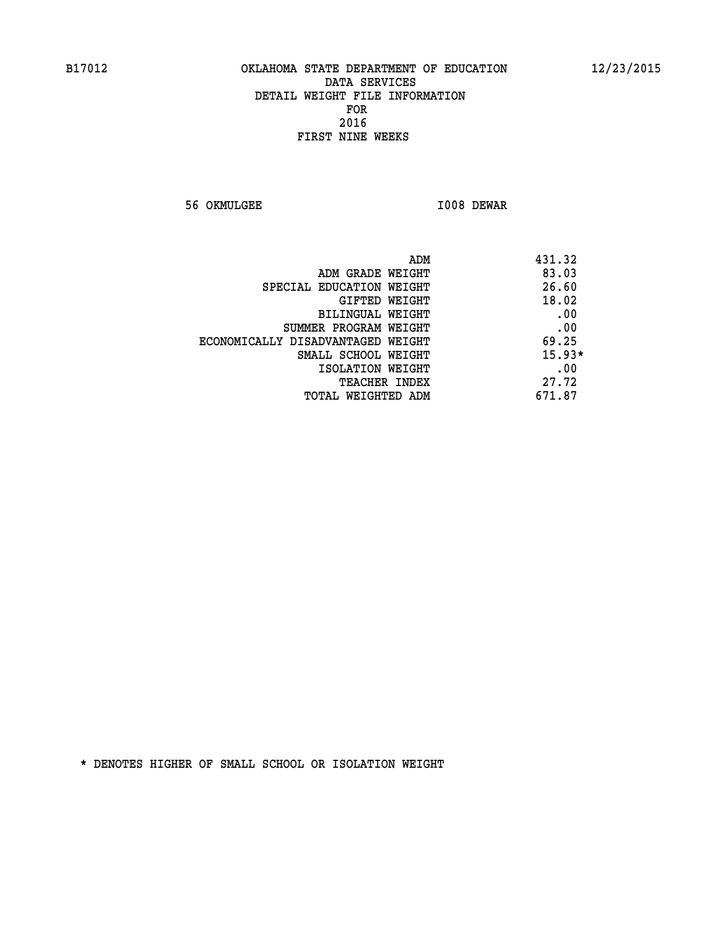**56 OKMULGEE I008 DEWAR** 

| ADM                               | 431.32   |
|-----------------------------------|----------|
| ADM GRADE WEIGHT                  | 83.03    |
| SPECIAL EDUCATION WEIGHT          | 26.60    |
| GIFTED WEIGHT                     | 18.02    |
| BILINGUAL WEIGHT                  | .00      |
| SUMMER PROGRAM WEIGHT             | .00      |
| ECONOMICALLY DISADVANTAGED WEIGHT | 69.25    |
| SMALL SCHOOL WEIGHT               | $15.93*$ |
| ISOLATION WEIGHT                  | .00      |
| <b>TEACHER INDEX</b>              | 27.72    |
| TOTAL WEIGHTED ADM                | 671.87   |
|                                   |          |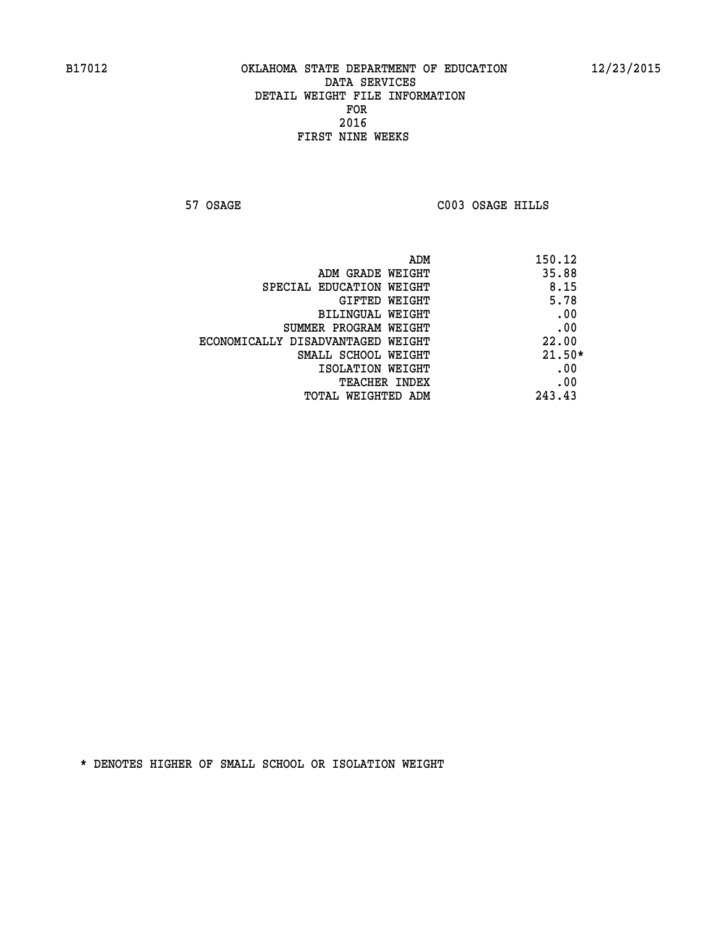**57 OSAGE C003 OSAGE HILLS** 

|                                   | 150.12<br>ADM |
|-----------------------------------|---------------|
| ADM GRADE WEIGHT                  | 35.88         |
| SPECIAL EDUCATION WEIGHT          | 8.15          |
| GIFTED WEIGHT                     | 5.78          |
| BILINGUAL WEIGHT                  | .00           |
| SUMMER PROGRAM WEIGHT             | .00           |
| ECONOMICALLY DISADVANTAGED WEIGHT | 22.00         |
| SMALL SCHOOL WEIGHT               | $21.50*$      |
| ISOLATION WEIGHT                  | .00           |
| <b>TEACHER INDEX</b>              | .00           |
| TOTAL WEIGHTED ADM                | 243.43        |
|                                   |               |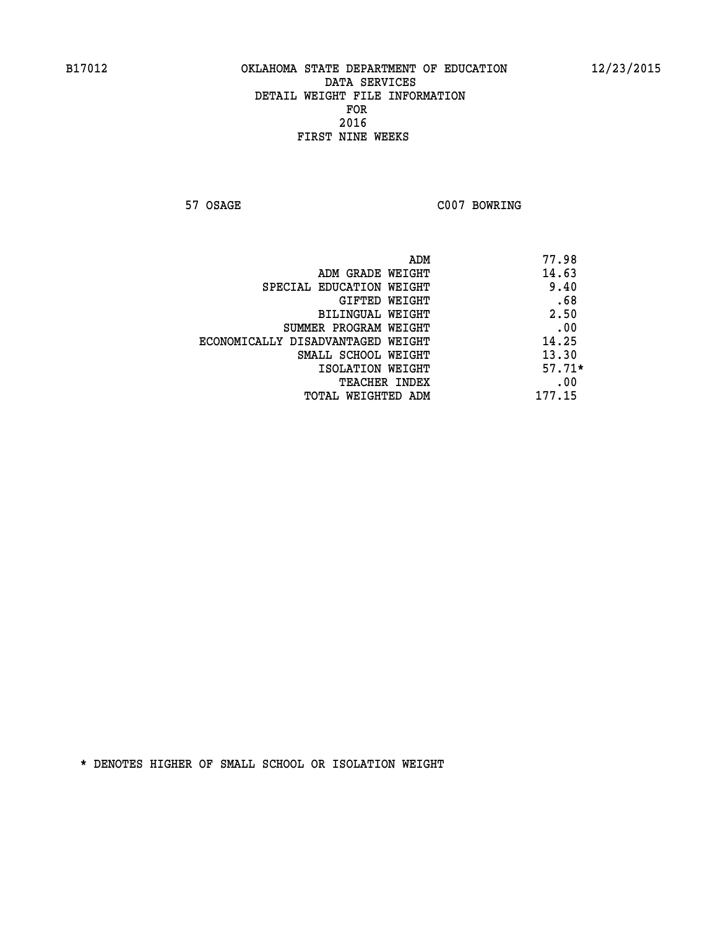**57 OSAGE C007 BOWRING** 

|                                   | ADM | 77.98    |
|-----------------------------------|-----|----------|
| ADM GRADE WEIGHT                  |     | 14.63    |
| SPECIAL EDUCATION WEIGHT          |     | 9.40     |
| GIFTED WEIGHT                     |     | .68      |
| BILINGUAL WEIGHT                  |     | 2.50     |
| SUMMER PROGRAM WEIGHT             |     | .00      |
| ECONOMICALLY DISADVANTAGED WEIGHT |     | 14.25    |
| SMALL SCHOOL WEIGHT               |     | 13.30    |
| ISOLATION WEIGHT                  |     | $57.71*$ |
| TEACHER INDEX                     |     | .00      |
| TOTAL WEIGHTED ADM                |     | 177.15   |
|                                   |     |          |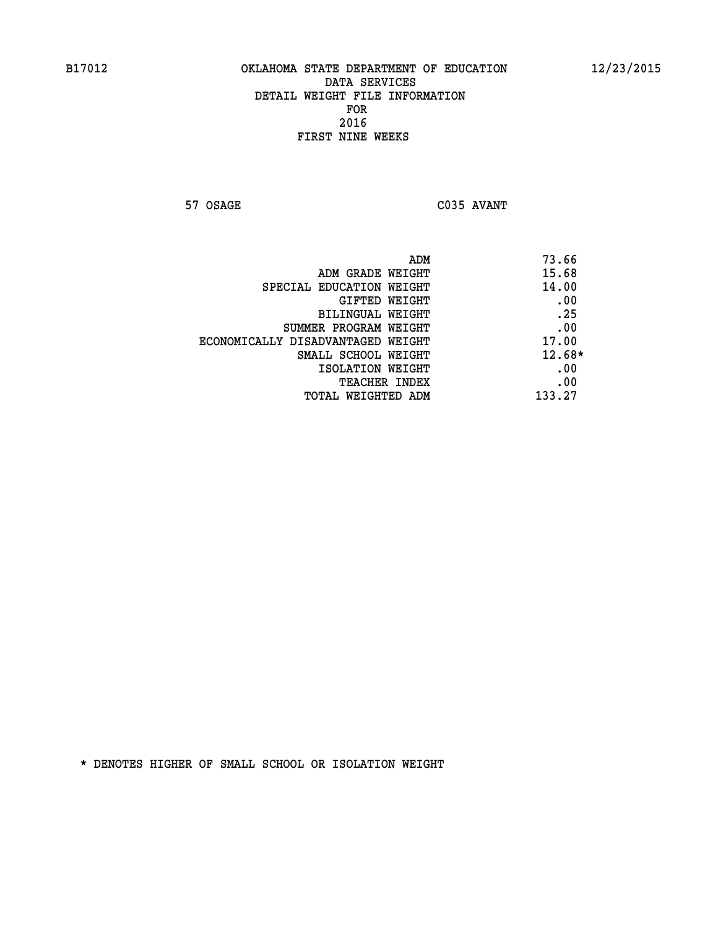**57 OSAGE C035 AVANT** 

|                                   | 73.66<br>ADM |  |
|-----------------------------------|--------------|--|
| ADM GRADE WEIGHT                  | 15.68        |  |
| SPECIAL EDUCATION WEIGHT          | 14.00        |  |
| GIFTED WEIGHT                     | .00          |  |
| BILINGUAL WEIGHT                  | .25          |  |
| SUMMER PROGRAM WEIGHT             | .00          |  |
| ECONOMICALLY DISADVANTAGED WEIGHT | 17.00        |  |
| SMALL SCHOOL WEIGHT               | $12.68*$     |  |
| ISOLATION WEIGHT                  | .00          |  |
| <b>TEACHER INDEX</b>              | .00          |  |
| TOTAL WEIGHTED ADM                | 133.27       |  |
|                                   |              |  |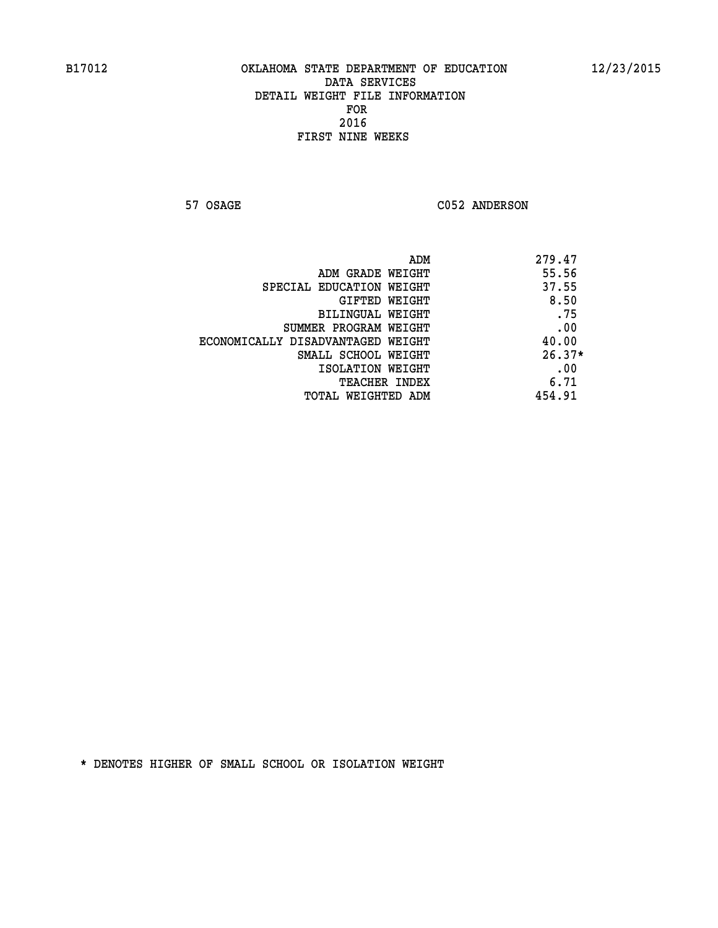57 OSAGE C052 ANDERSON

| ADM<br>279.47                     |          |
|-----------------------------------|----------|
| ADM GRADE WEIGHT                  | 55.56    |
| SPECIAL EDUCATION WEIGHT          | 37.55    |
| GIFTED WEIGHT                     | 8.50     |
| <b>BILINGUAL WEIGHT</b>           | .75      |
| SUMMER PROGRAM WEIGHT             | .00      |
| ECONOMICALLY DISADVANTAGED WEIGHT | 40.00    |
| SMALL SCHOOL WEIGHT               | $26.37*$ |
| ISOLATION WEIGHT                  | .00      |
| <b>TEACHER INDEX</b>              | 6.71     |
| TOTAL WEIGHTED ADM                | 454.91   |
|                                   |          |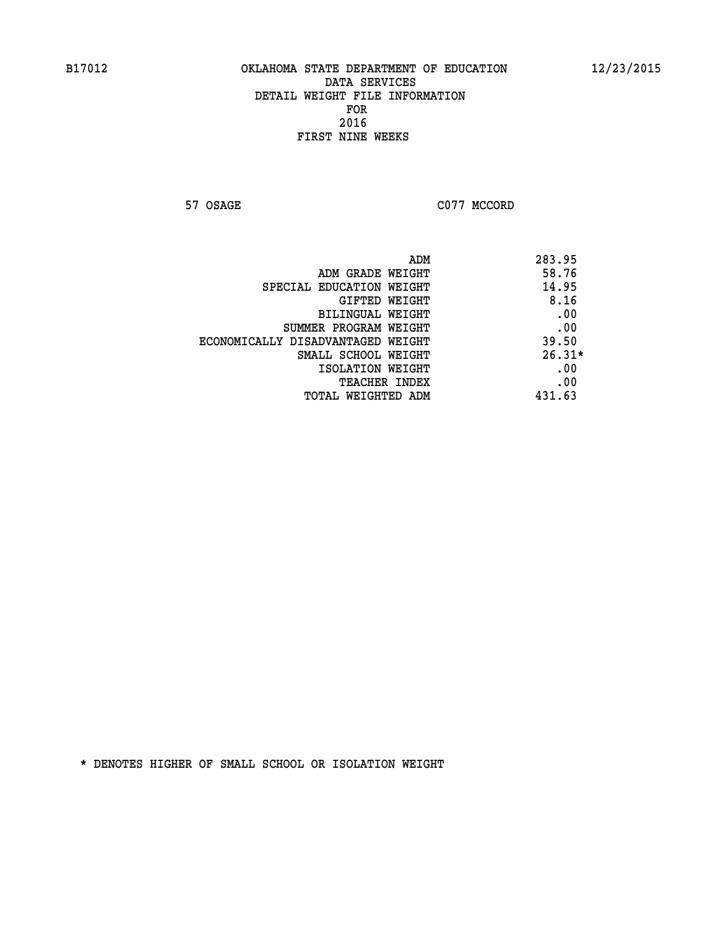**57 OSAGE C077 MCCORD** 

|                                   | 283.95<br>ADM |  |
|-----------------------------------|---------------|--|
| ADM GRADE WEIGHT                  | 58.76         |  |
| SPECIAL EDUCATION WEIGHT          | 14.95         |  |
| GIFTED WEIGHT                     | 8.16          |  |
| BILINGUAL WEIGHT                  | .00           |  |
| SUMMER PROGRAM WEIGHT             | .00           |  |
| ECONOMICALLY DISADVANTAGED WEIGHT | 39.50         |  |
| SMALL SCHOOL WEIGHT               | $26.31*$      |  |
| ISOLATION WEIGHT                  | .00           |  |
| <b>TEACHER INDEX</b>              | .00           |  |
| TOTAL WEIGHTED ADM                | 431.63        |  |
|                                   |               |  |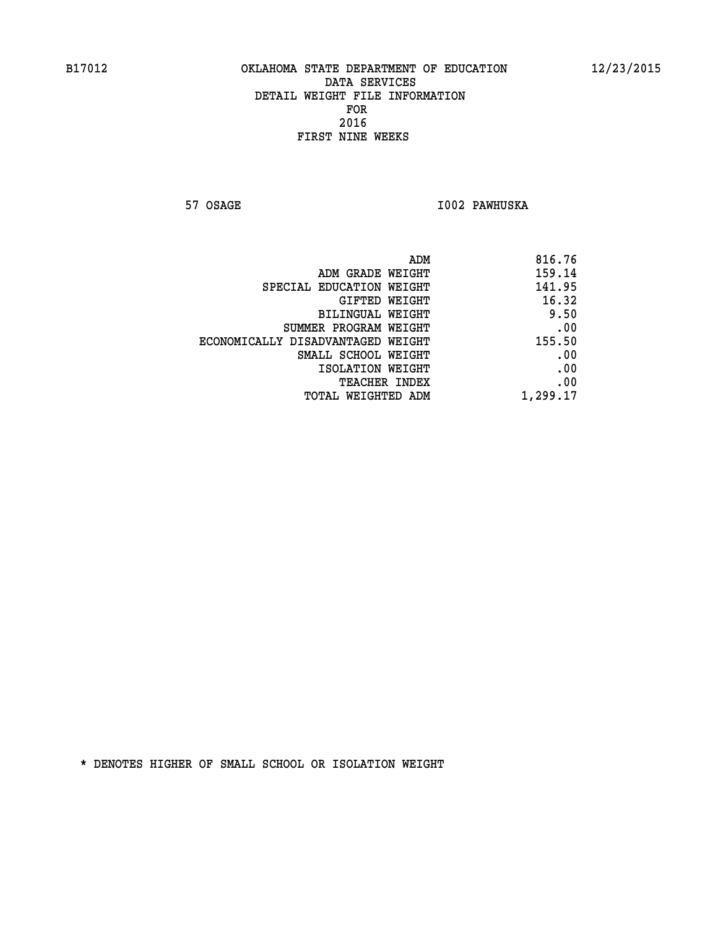**57 OSAGE I002 PAWHUSKA** 

| 816.76   |
|----------|
| 159.14   |
| 141.95   |
| 16.32    |
| 9.50     |
| .00      |
| 155.50   |
| .00      |
| .00      |
| .00      |
| 1,299.17 |
|          |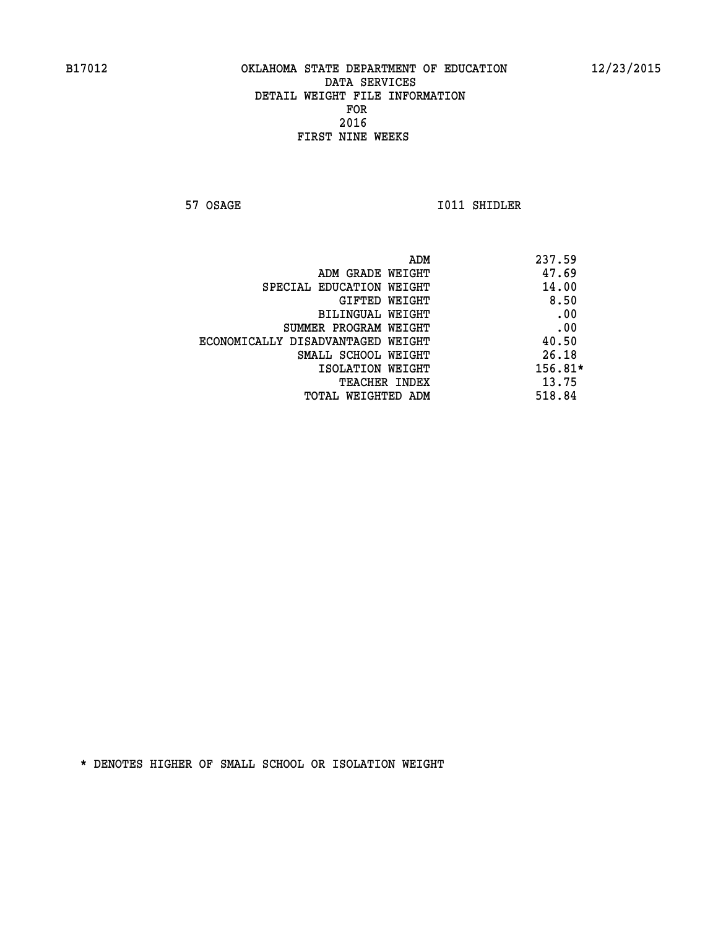**57 OSAGE 1011 SHIDLER** 

|                                   | ADM | 237.59  |
|-----------------------------------|-----|---------|
| ADM GRADE WEIGHT                  |     | 47.69   |
| SPECIAL EDUCATION WEIGHT          |     | 14.00   |
| GIFTED WEIGHT                     |     | 8.50    |
| BILINGUAL WEIGHT                  |     | .00     |
| SUMMER PROGRAM WEIGHT             |     | .00     |
| ECONOMICALLY DISADVANTAGED WEIGHT |     | 40.50   |
| SMALL SCHOOL WEIGHT               |     | 26.18   |
| ISOLATION WEIGHT                  |     | 156.81* |
| TEACHER INDEX                     |     | 13.75   |
| TOTAL WEIGHTED ADM                |     | 518.84  |
|                                   |     |         |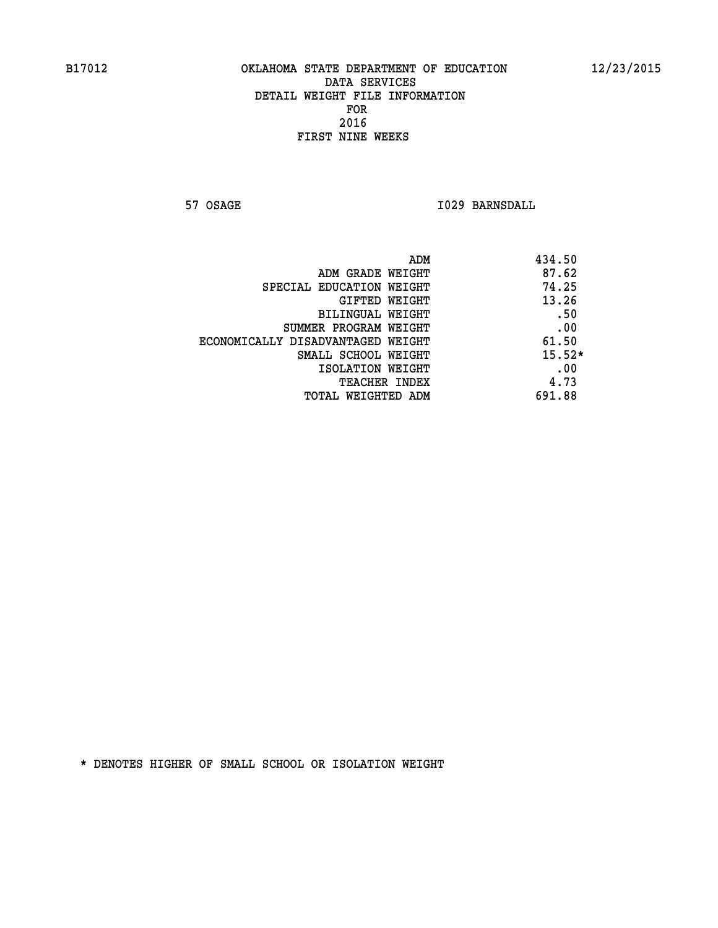**57 OSAGE 1029 BARNSDALL** 

| ADM                               | 434.50   |
|-----------------------------------|----------|
| ADM GRADE WEIGHT                  | 87.62    |
| SPECIAL EDUCATION WEIGHT          | 74.25    |
| GIFTED WEIGHT                     | 13.26    |
| BILINGUAL WEIGHT                  | .50      |
| SUMMER PROGRAM WEIGHT             | .00      |
| ECONOMICALLY DISADVANTAGED WEIGHT | 61.50    |
| SMALL SCHOOL WEIGHT               | $15.52*$ |
| ISOLATION WEIGHT                  | .00      |
| <b>TEACHER INDEX</b>              | 4.73     |
| TOTAL WEIGHTED ADM                | 691.88   |
|                                   |          |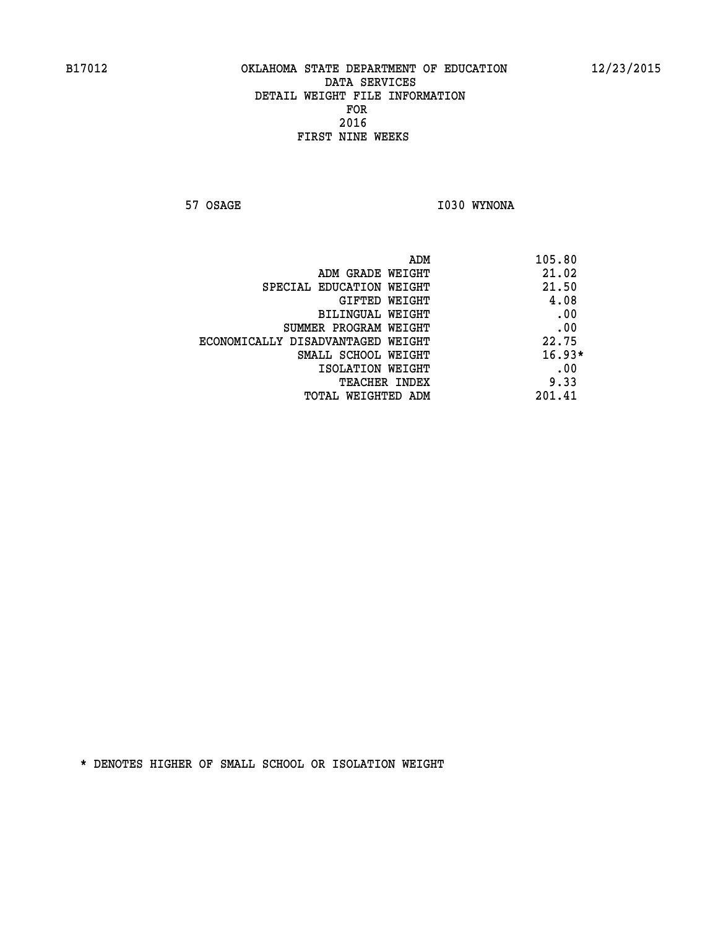**57 OSAGE 1030 WYNONA** 

| ADM                               | 105.80   |
|-----------------------------------|----------|
| ADM GRADE WEIGHT                  | 21.02    |
| SPECIAL EDUCATION WEIGHT          | 21.50    |
| GIFTED WEIGHT                     | 4.08     |
| BILINGUAL WEIGHT                  | .00      |
| SUMMER PROGRAM WEIGHT             | .00      |
| ECONOMICALLY DISADVANTAGED WEIGHT | 22.75    |
| SMALL SCHOOL WEIGHT               | $16.93*$ |
| ISOLATION WEIGHT                  | .00      |
| <b>TEACHER INDEX</b>              | 9.33     |
| TOTAL WEIGHTED ADM                | 201.41   |
|                                   |          |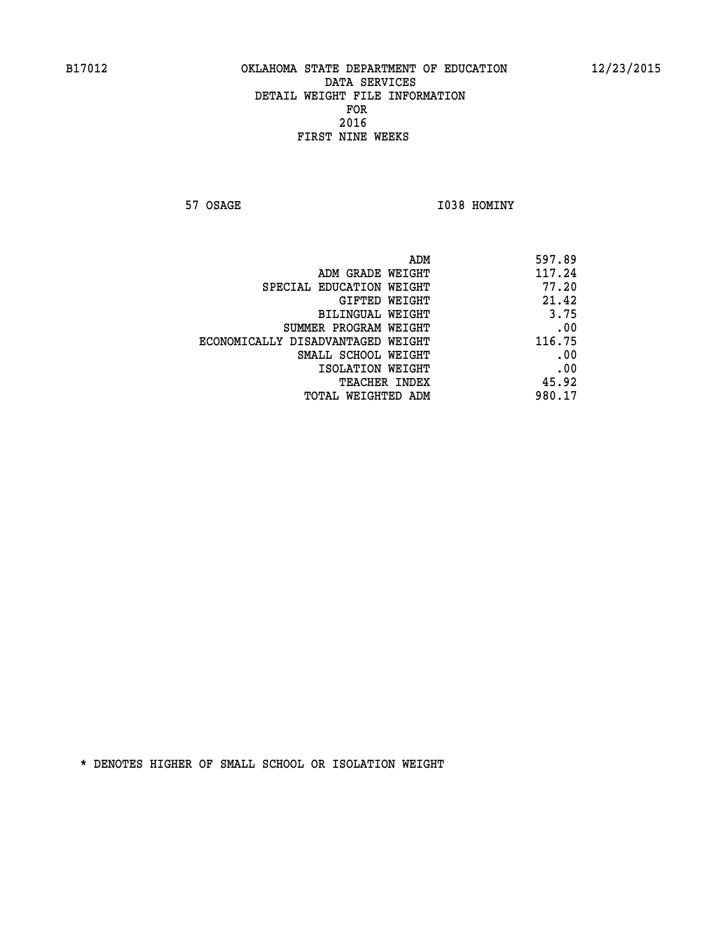**57 OSAGE 1038 HOMINY** 

| ADM                               | 597.89 |
|-----------------------------------|--------|
| ADM GRADE WEIGHT                  | 117.24 |
| SPECIAL EDUCATION WEIGHT          | 77.20  |
| GIFTED WEIGHT                     | 21.42  |
| <b>BILINGUAL WEIGHT</b>           | 3.75   |
| SUMMER PROGRAM WEIGHT             | .00    |
| ECONOMICALLY DISADVANTAGED WEIGHT | 116.75 |
| SMALL SCHOOL WEIGHT               | .00    |
| ISOLATION WEIGHT                  | .00    |
| TEACHER INDEX                     | 45.92  |
| TOTAL WEIGHTED ADM                | 980.17 |
|                                   |        |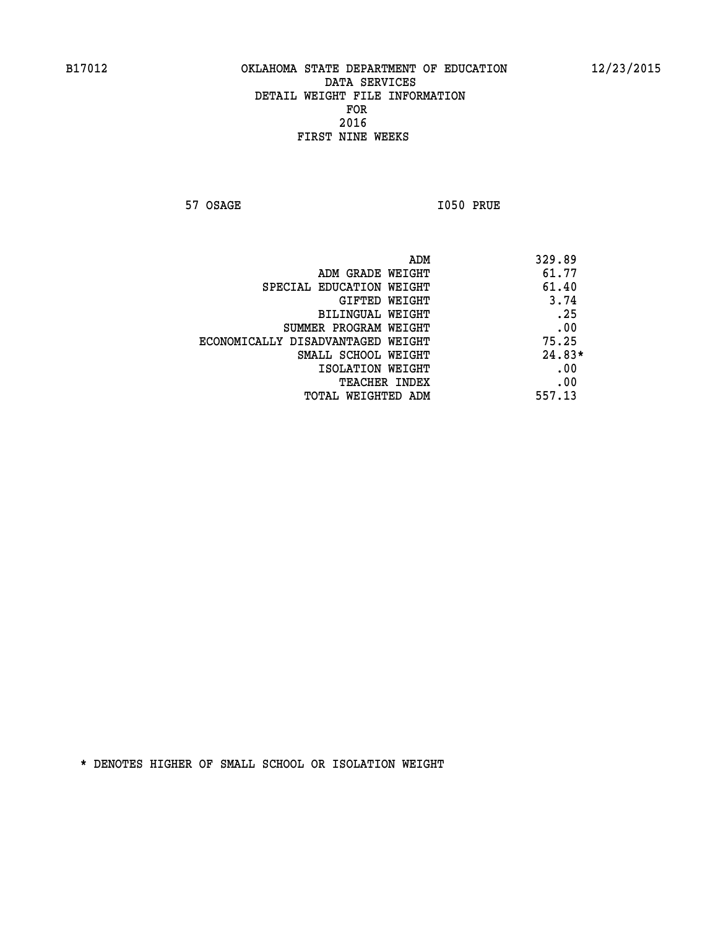**57 OSAGE 1050 PRUE** 

| ADM                               | 329.89   |
|-----------------------------------|----------|
| ADM GRADE WEIGHT                  | 61.77    |
| SPECIAL EDUCATION WEIGHT          | 61.40    |
| GIFTED WEIGHT                     | 3.74     |
| BILINGUAL WEIGHT                  | .25      |
| SUMMER PROGRAM WEIGHT             | .00      |
| ECONOMICALLY DISADVANTAGED WEIGHT | 75.25    |
| SMALL SCHOOL WEIGHT               | $24.83*$ |
| ISOLATION WEIGHT                  | .00      |
| <b>TEACHER INDEX</b>              | .00      |
| TOTAL WEIGHTED ADM                | 557.13   |
|                                   |          |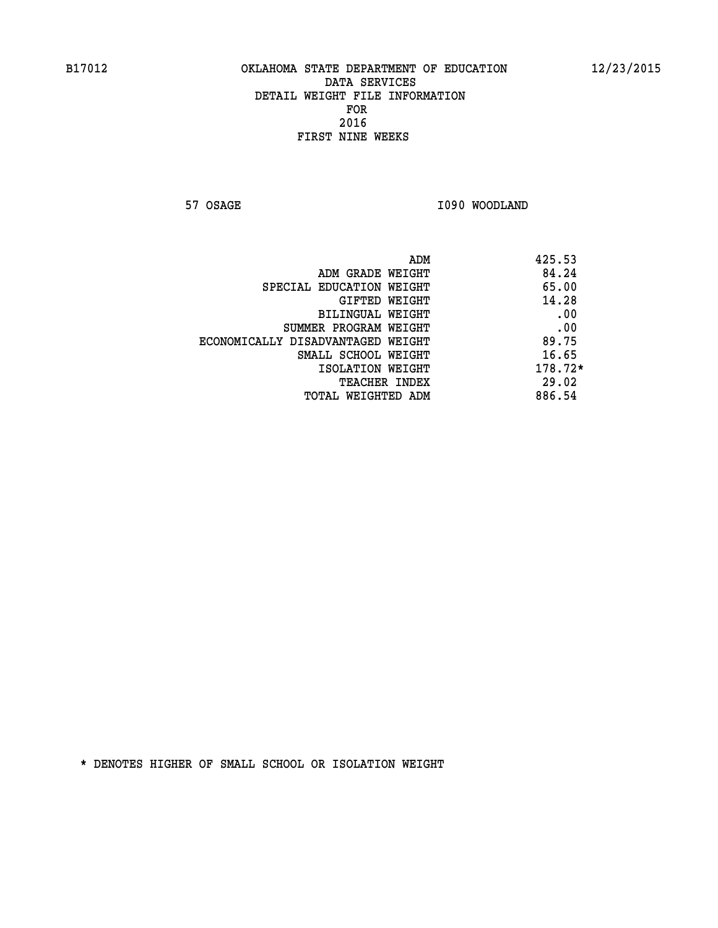**57 OSAGE 1090 WOODLAND** 

|                                   | ADM | 425.53  |
|-----------------------------------|-----|---------|
| ADM GRADE WEIGHT                  |     | 84.24   |
| SPECIAL EDUCATION WEIGHT          |     | 65.00   |
| GIFTED WEIGHT                     |     | 14.28   |
| BILINGUAL WEIGHT                  |     | .00     |
| SUMMER PROGRAM WEIGHT             |     | .00     |
| ECONOMICALLY DISADVANTAGED WEIGHT |     | 89.75   |
| SMALL SCHOOL WEIGHT               |     | 16.65   |
| ISOLATION WEIGHT                  |     | 178.72* |
| TEACHER INDEX                     |     | 29.02   |
| TOTAL WEIGHTED ADM                |     | 886.54  |
|                                   |     |         |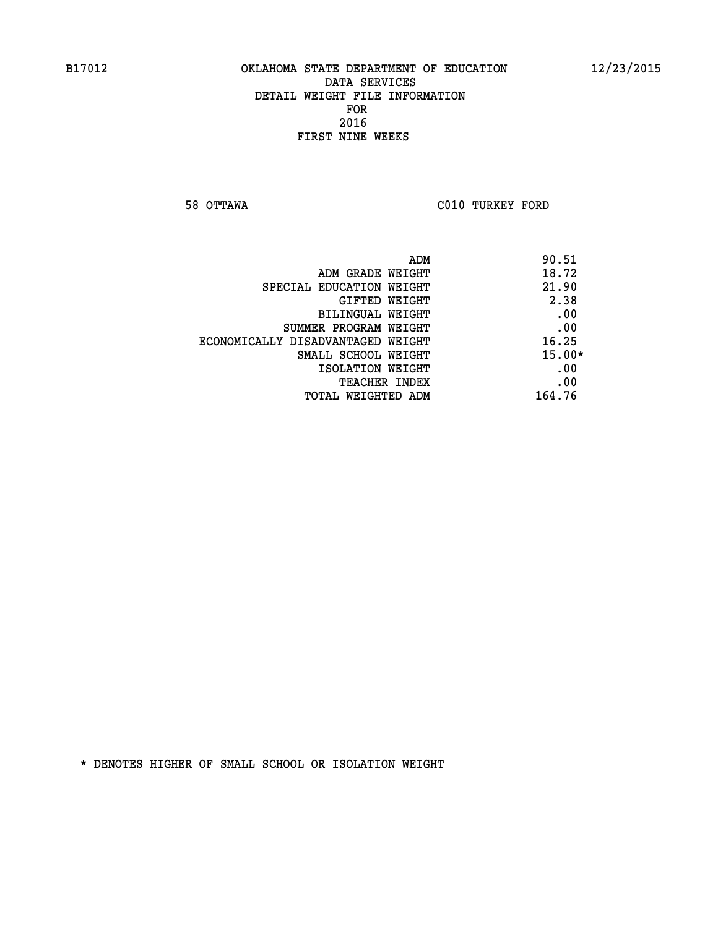**58 OTTAWA C010 TURKEY FORD** 

| ADM                               | 90.51    |
|-----------------------------------|----------|
| ADM GRADE WEIGHT                  | 18.72    |
| SPECIAL EDUCATION WEIGHT          | 21.90    |
| GIFTED WEIGHT                     | 2.38     |
| BILINGUAL WEIGHT                  | .00      |
| SUMMER PROGRAM WEIGHT             | .00      |
| ECONOMICALLY DISADVANTAGED WEIGHT | 16.25    |
| SMALL SCHOOL WEIGHT               | $15.00*$ |
| ISOLATION WEIGHT                  | .00      |
| <b>TEACHER INDEX</b>              | .00      |
| TOTAL WEIGHTED ADM                | 164.76   |
|                                   |          |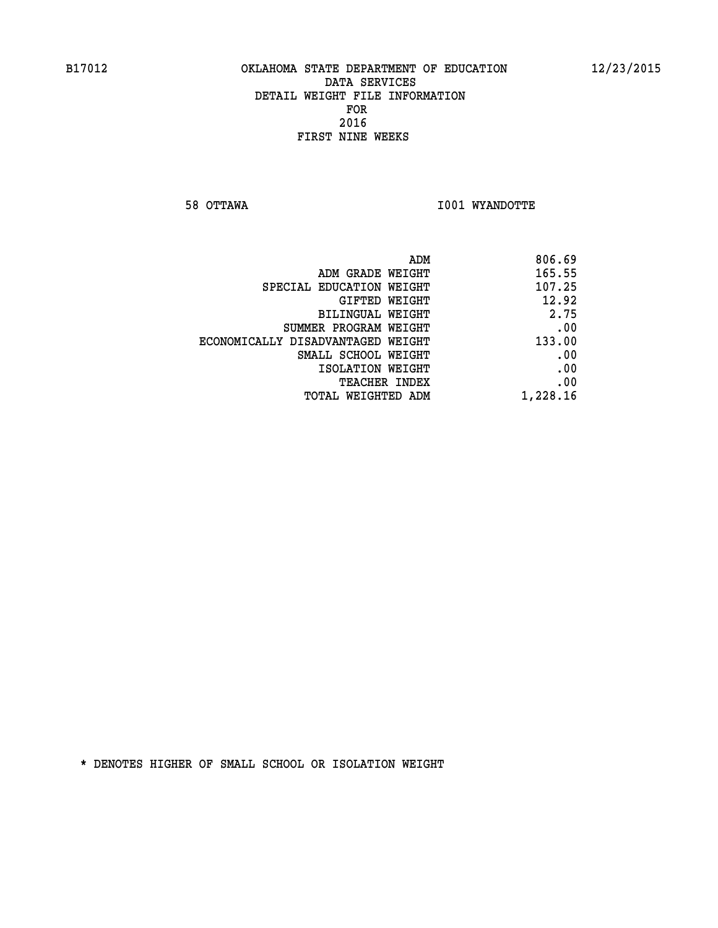**58 OTTAWA I001 WYANDOTTE** 

| 806.69   |
|----------|
| 165.55   |
| 107.25   |
| 12.92    |
| 2.75     |
| .00      |
| 133.00   |
| .00      |
| .00      |
| .00      |
| 1,228.16 |
|          |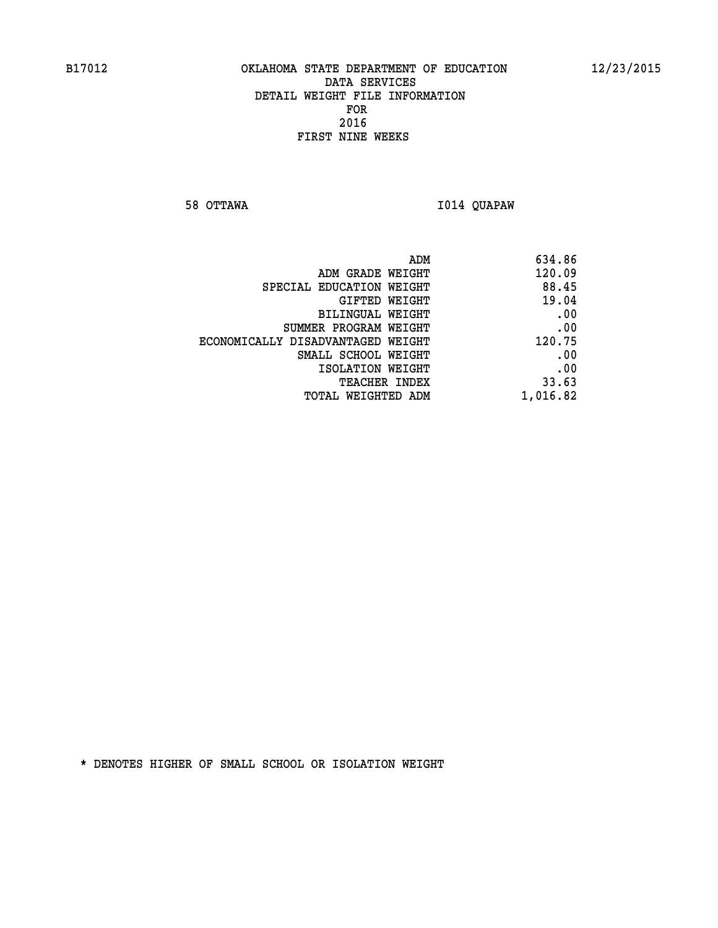**58 OTTAWA I014 QUAPAW** 

| 634.86   |
|----------|
| 120.09   |
| 88.45    |
| 19.04    |
| .00      |
| .00      |
| 120.75   |
| .00      |
| .00      |
| 33.63    |
| 1,016.82 |
|          |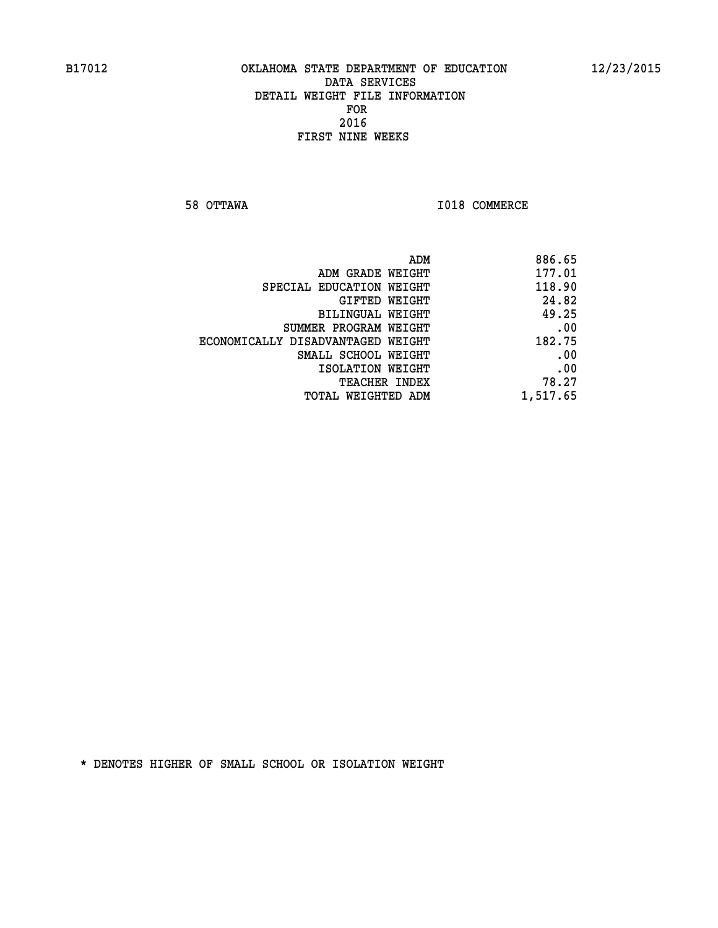**58 OTTAWA I018 COMMERCE** 

| 886.65   |
|----------|
| 177.01   |
| 118.90   |
| 24.82    |
| 49.25    |
| .00      |
| 182.75   |
| .00      |
| .00      |
| 78.27    |
| 1,517.65 |
|          |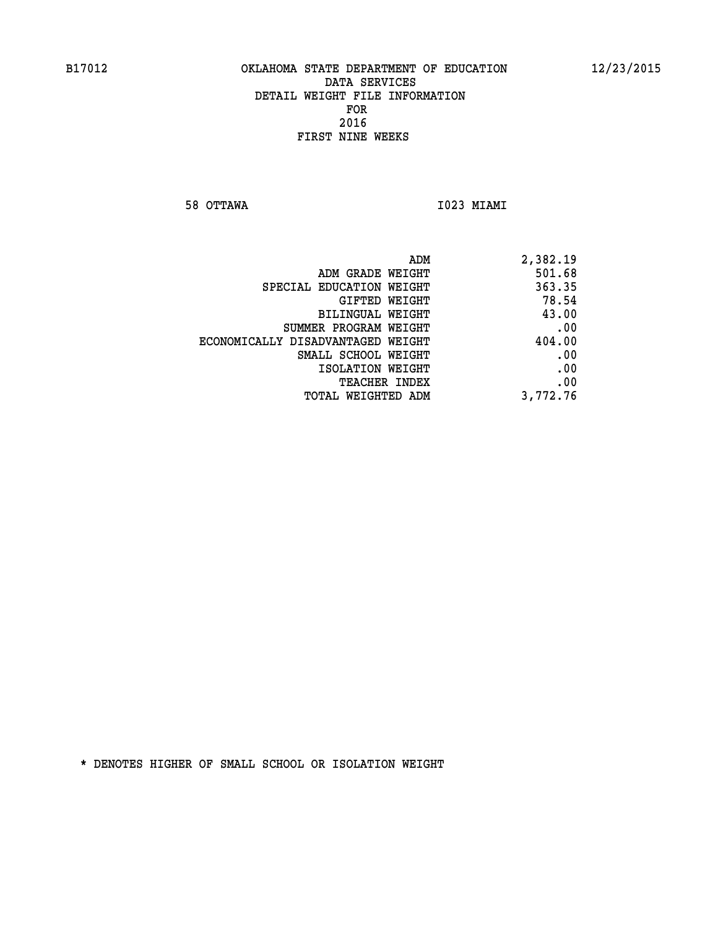**58 OTTAWA I023 MIAMI** 

| 2,382.19 |
|----------|
| 501.68   |
| 363.35   |
| 78.54    |
| 43.00    |
| .00      |
| 404.00   |
| .00      |
| .00      |
| .00      |
| 3,772.76 |
|          |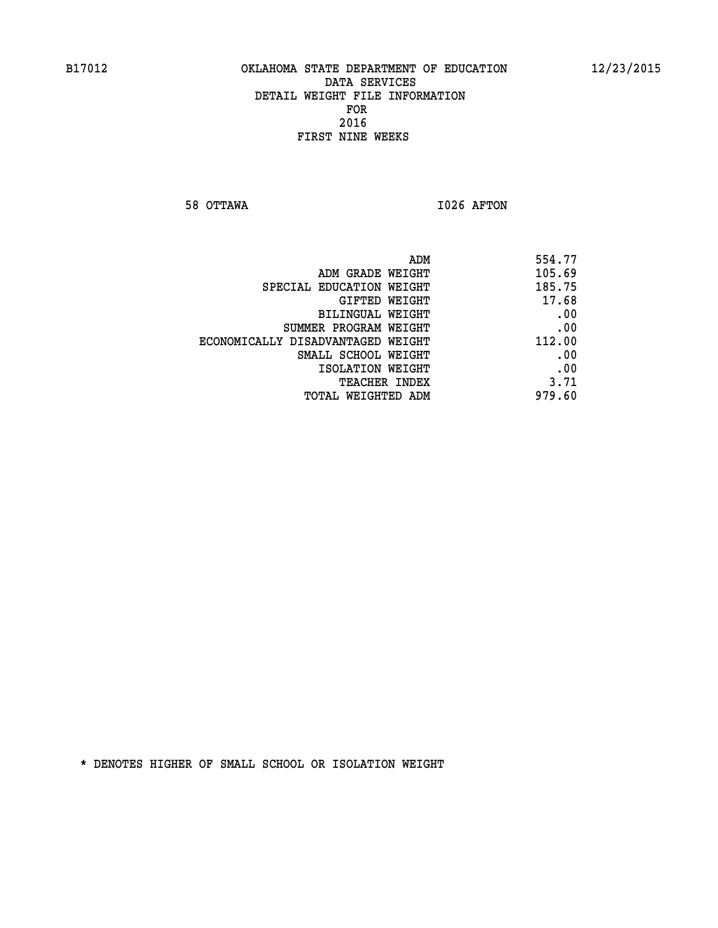**58 OTTAWA I026 AFTON** 

| ADM                               | 554.77 |
|-----------------------------------|--------|
| ADM GRADE WEIGHT                  | 105.69 |
| SPECIAL EDUCATION WEIGHT          | 185.75 |
| GIFTED WEIGHT                     | 17.68  |
| BILINGUAL WEIGHT                  | .00    |
| SUMMER PROGRAM WEIGHT             | .00    |
| ECONOMICALLY DISADVANTAGED WEIGHT | 112.00 |
| SMALL SCHOOL WEIGHT               | .00    |
| ISOLATION WEIGHT                  | .00    |
| <b>TEACHER INDEX</b>              | 3.71   |
| TOTAL WEIGHTED ADM                | 979.60 |
|                                   |        |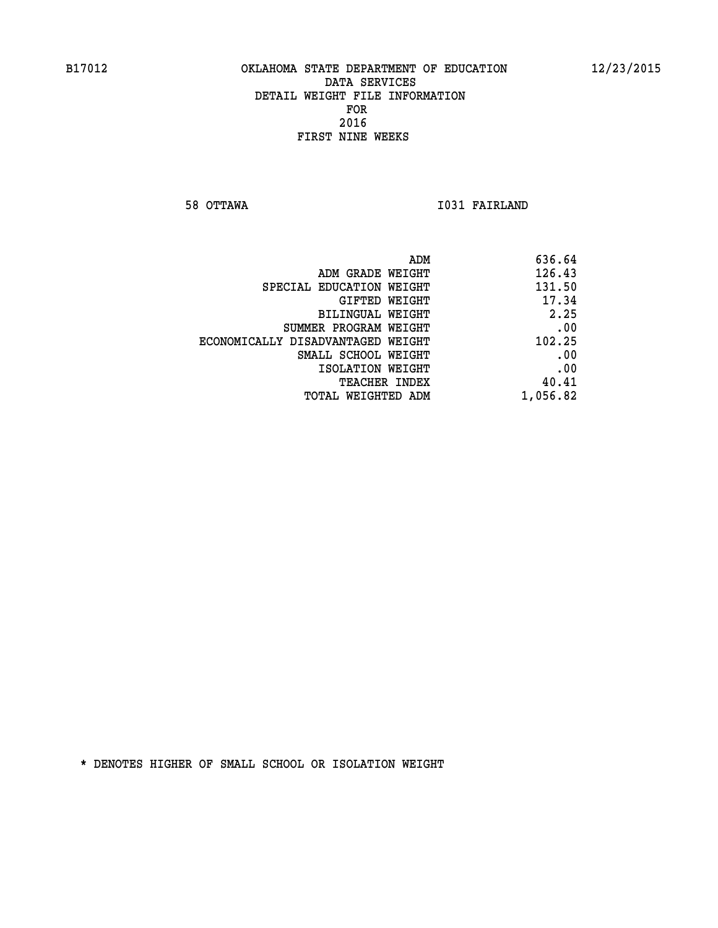**58 OTTAWA I031 FAIRLAND** 

| ADM                               | 636.64   |
|-----------------------------------|----------|
| ADM GRADE WEIGHT                  | 126.43   |
| SPECIAL EDUCATION WEIGHT          | 131.50   |
| GIFTED WEIGHT                     | 17.34    |
| <b>BILINGUAL WEIGHT</b>           | 2.25     |
| SUMMER PROGRAM WEIGHT             | .00      |
| ECONOMICALLY DISADVANTAGED WEIGHT | 102.25   |
| SMALL SCHOOL WEIGHT               | .00      |
| ISOLATION WEIGHT                  | .00      |
| TEACHER INDEX                     | 40.41    |
| TOTAL WEIGHTED ADM                | 1,056.82 |
|                                   |          |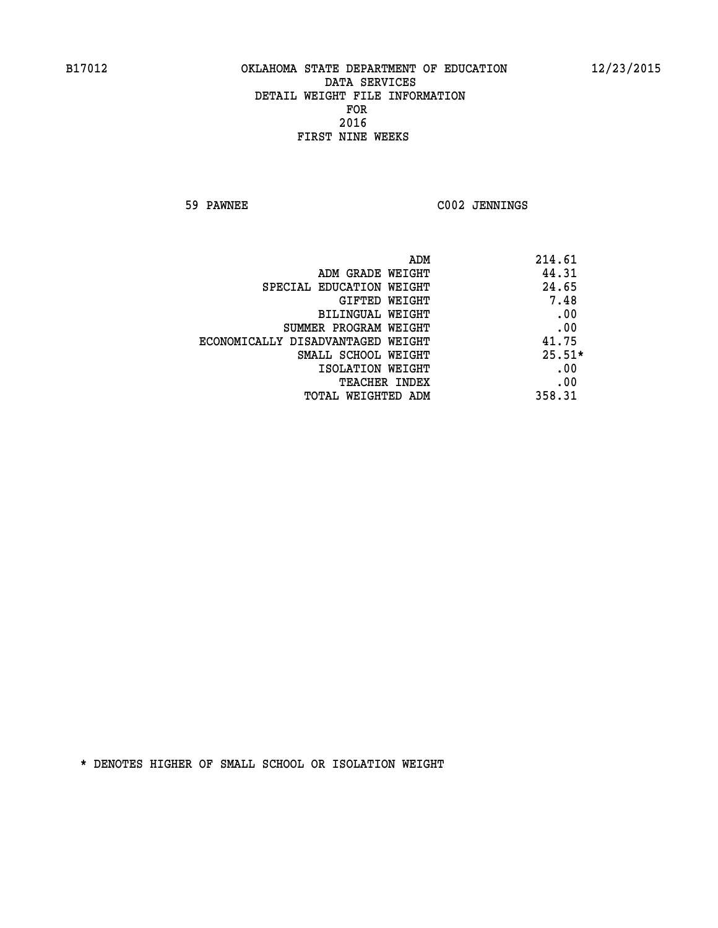**59 PAWNEE C002 JENNINGS** 

| ADM                               | 214.61   |
|-----------------------------------|----------|
| ADM GRADE WEIGHT                  | 44.31    |
| SPECIAL EDUCATION WEIGHT          | 24.65    |
| <b>GIFTED WEIGHT</b>              | 7.48     |
| BILINGUAL WEIGHT                  | .00      |
| SUMMER PROGRAM WEIGHT             | .00      |
| ECONOMICALLY DISADVANTAGED WEIGHT | 41.75    |
| SMALL SCHOOL WEIGHT               | $25.51*$ |
| ISOLATION WEIGHT                  | .00      |
| <b>TEACHER INDEX</b>              | .00      |
| TOTAL WEIGHTED ADM                | 358.31   |
|                                   |          |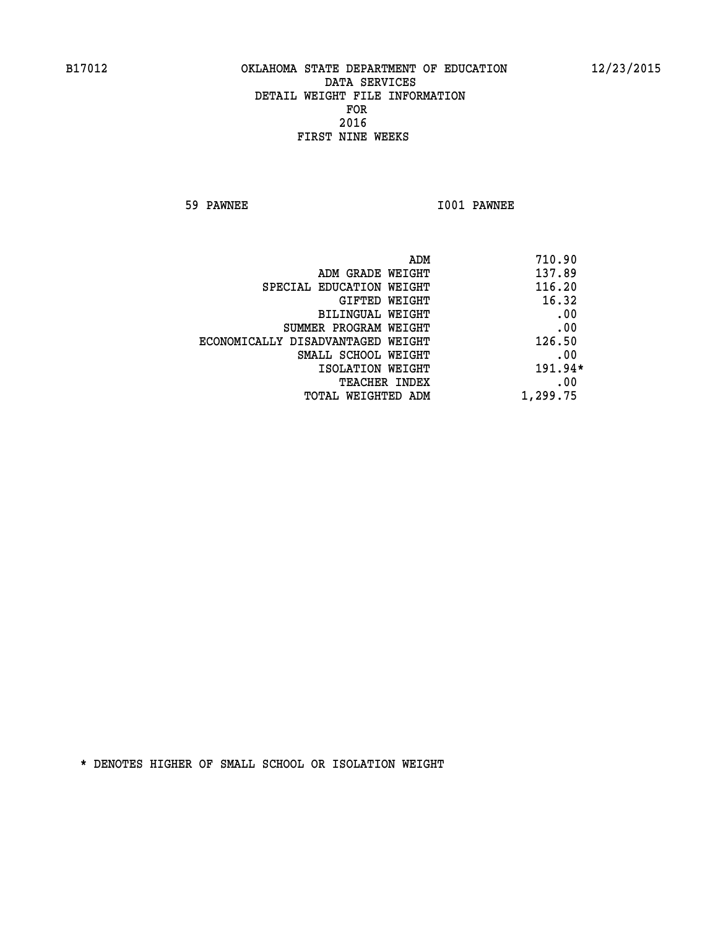**59 PAWNEE I001 PAWNEE** 

| 710.90<br>ADM |                                   |
|---------------|-----------------------------------|
| 137.89        | ADM GRADE WEIGHT                  |
| 116.20        | SPECIAL EDUCATION WEIGHT          |
| 16.32         | GIFTED WEIGHT                     |
| .00           | BILINGUAL WEIGHT                  |
| .00           | SUMMER PROGRAM WEIGHT             |
| 126.50        | ECONOMICALLY DISADVANTAGED WEIGHT |
| .00           | SMALL SCHOOL WEIGHT               |
| $191.94*$     | ISOLATION WEIGHT                  |
| .00           | <b>TEACHER INDEX</b>              |
| 1,299.75      | TOTAL WEIGHTED ADM                |
|               |                                   |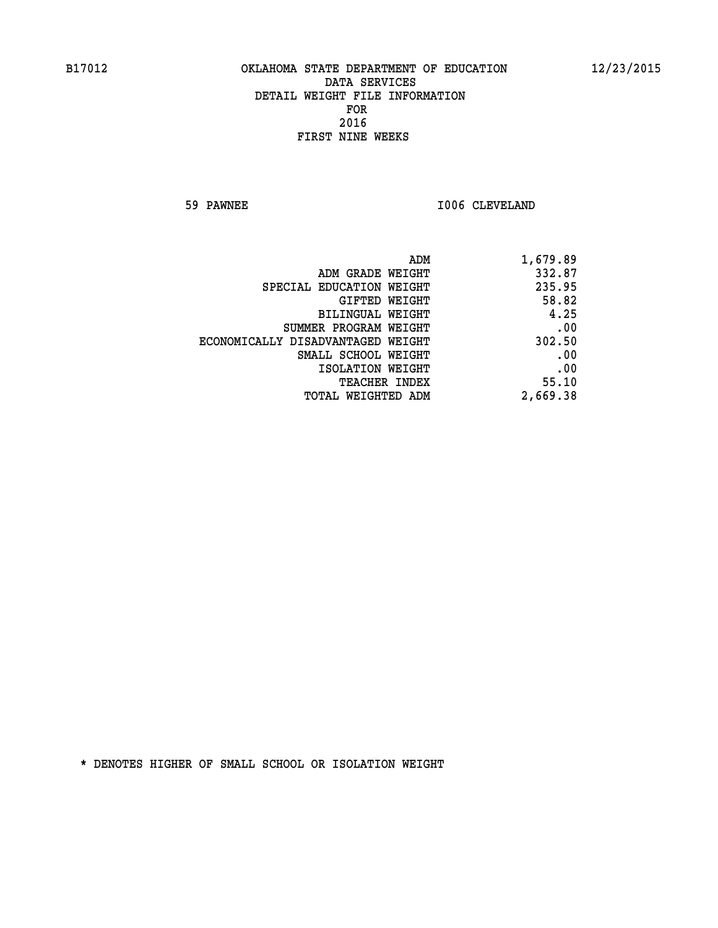**59 PAWNEE 1006 CLEVELAND** 

| 1,679.89 |
|----------|
| 332.87   |
| 235.95   |
| 58.82    |
| 4.25     |
| .00      |
| 302.50   |
| .00      |
| .00      |
| 55.10    |
| 2,669.38 |
|          |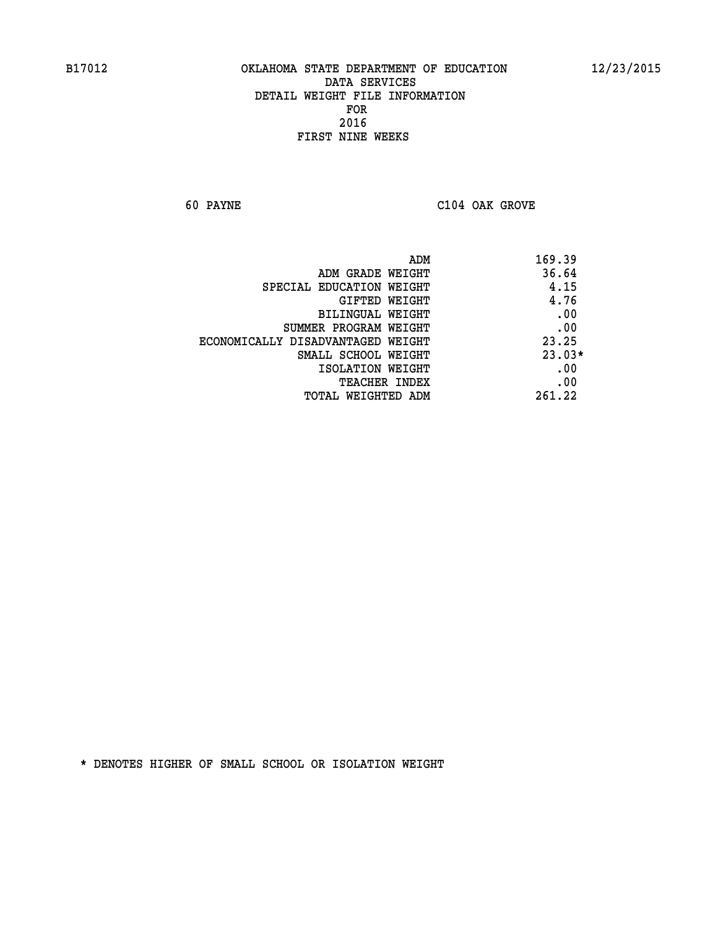**60 PAYNE C104 OAK GROVE** 

| ADM                               | 169.39   |
|-----------------------------------|----------|
| ADM GRADE WEIGHT                  | 36.64    |
| SPECIAL EDUCATION WEIGHT          | 4.15     |
| GIFTED WEIGHT                     | 4.76     |
| BILINGUAL WEIGHT                  | .00      |
| SUMMER PROGRAM WEIGHT             | .00      |
| ECONOMICALLY DISADVANTAGED WEIGHT | 23.25    |
| SMALL SCHOOL WEIGHT               | $23.03*$ |
| ISOLATION WEIGHT                  | .00      |
| <b>TEACHER INDEX</b>              | .00      |
| TOTAL WEIGHTED ADM                | 261.22   |
|                                   |          |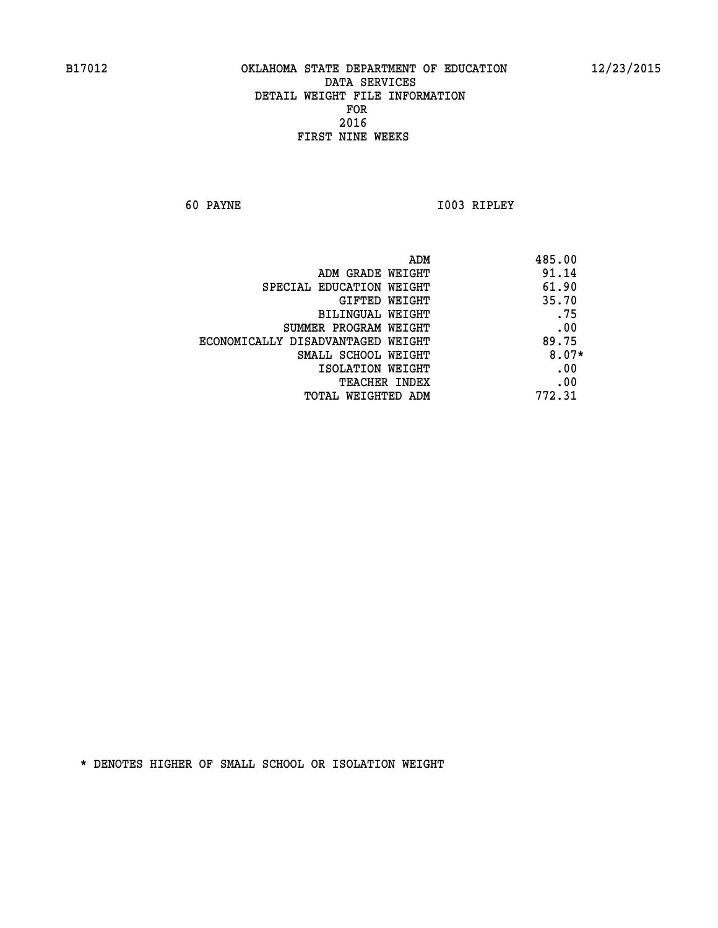**60 PAYNE I003 RIPLEY** 

|                                   | ADM | 485.00  |
|-----------------------------------|-----|---------|
| ADM GRADE WEIGHT                  |     | 91.14   |
| SPECIAL EDUCATION WEIGHT          |     | 61.90   |
| GIFTED WEIGHT                     |     | 35.70   |
| BILINGUAL WEIGHT                  |     | .75     |
| SUMMER PROGRAM WEIGHT             |     | .00     |
| ECONOMICALLY DISADVANTAGED WEIGHT |     | 89.75   |
| SMALL SCHOOL WEIGHT               |     | $8.07*$ |
| ISOLATION WEIGHT                  |     | .00     |
| TEACHER INDEX                     |     | .00     |
| TOTAL WEIGHTED ADM                |     | 772.31  |
|                                   |     |         |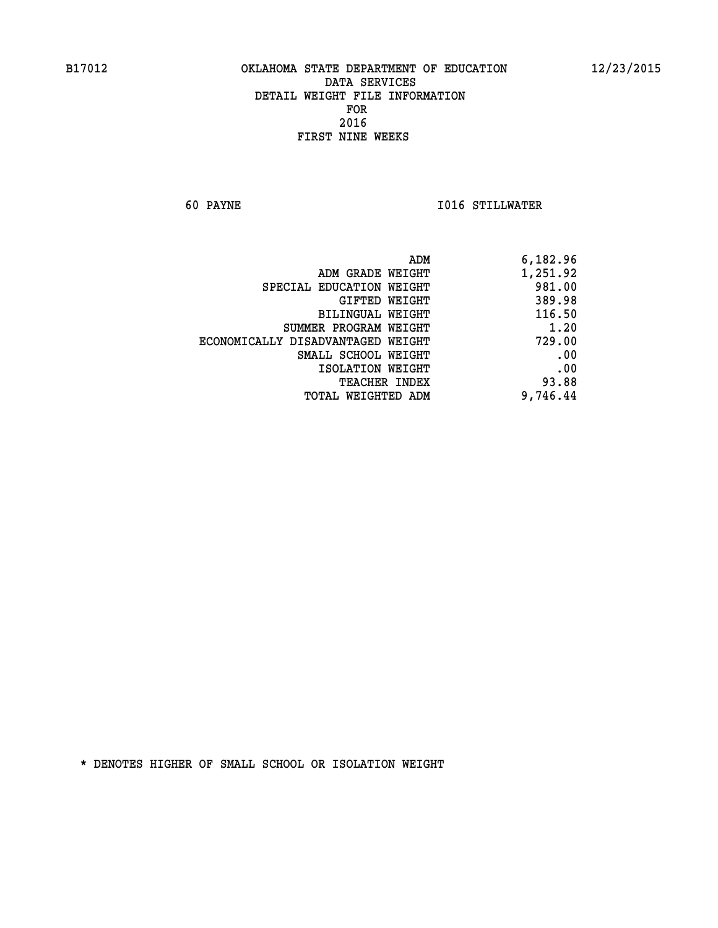**60 PAYNE I016 STILLWATER** 

| 6,182.96 |
|----------|
| 1,251.92 |
| 981.00   |
| 389.98   |
| 116.50   |
| 1.20     |
| 729.00   |
| .00      |
| .00      |
| 93.88    |
| 9,746.44 |
|          |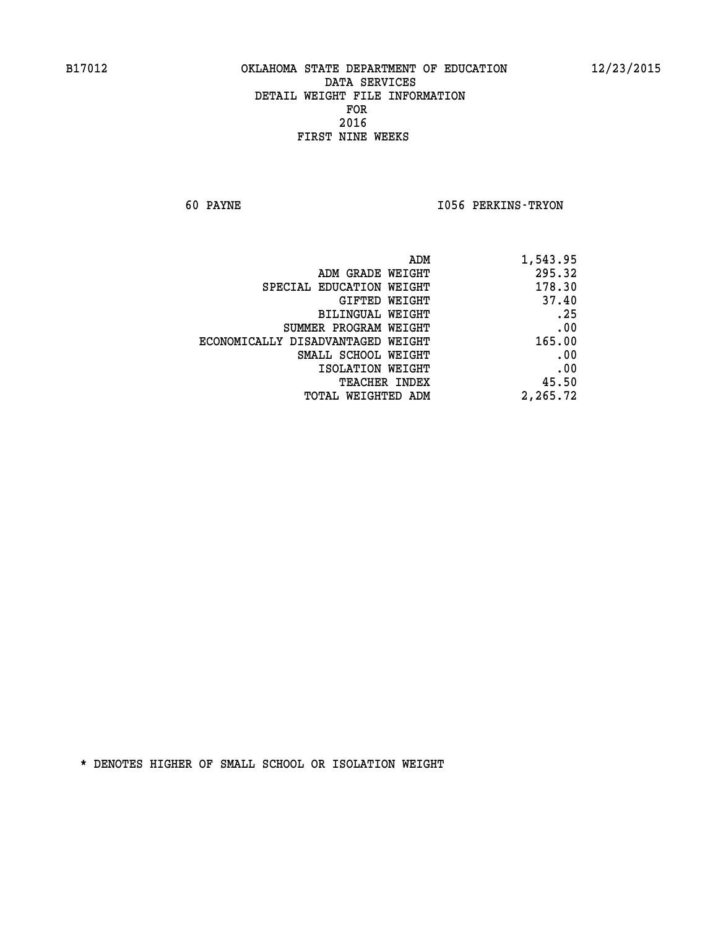**60 PAYNE I056 PERKINS-TRYON** 

| 1,543.95 |
|----------|
| 295.32   |
| 178.30   |
| 37.40    |
| .25      |
| .00      |
| 165.00   |
| .00      |
| .00      |
| 45.50    |
| 2,265.72 |
|          |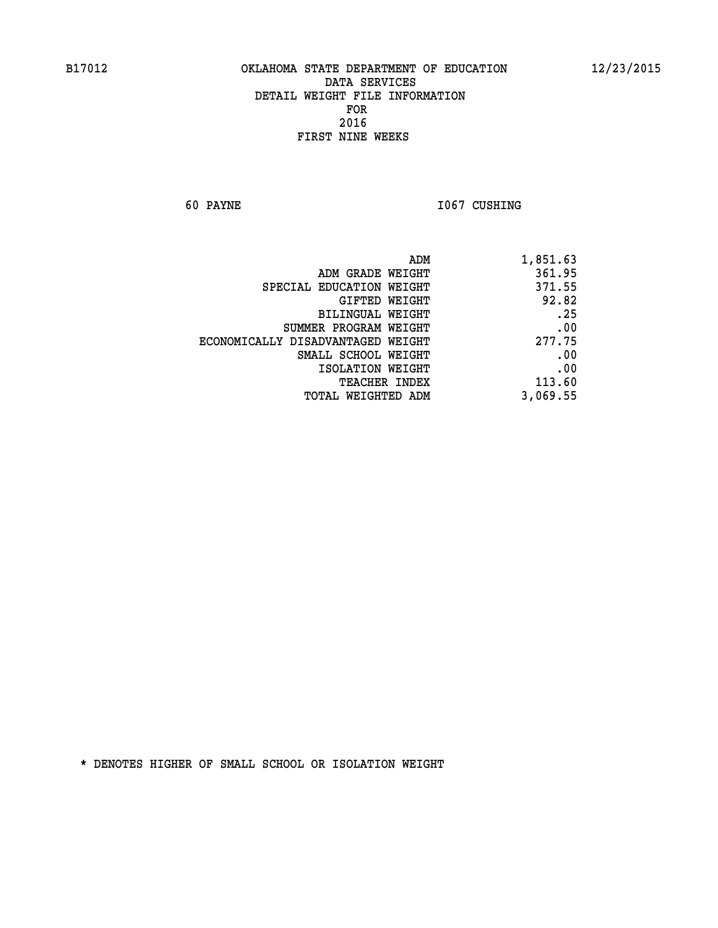**60 PAYNE 1067 CUSHING** 

| 1,851.63 |
|----------|
| 361.95   |
| 371.55   |
| 92.82    |
| .25      |
| .00      |
| 277.75   |
| .00      |
| .00      |
| 113.60   |
| 3,069.55 |
|          |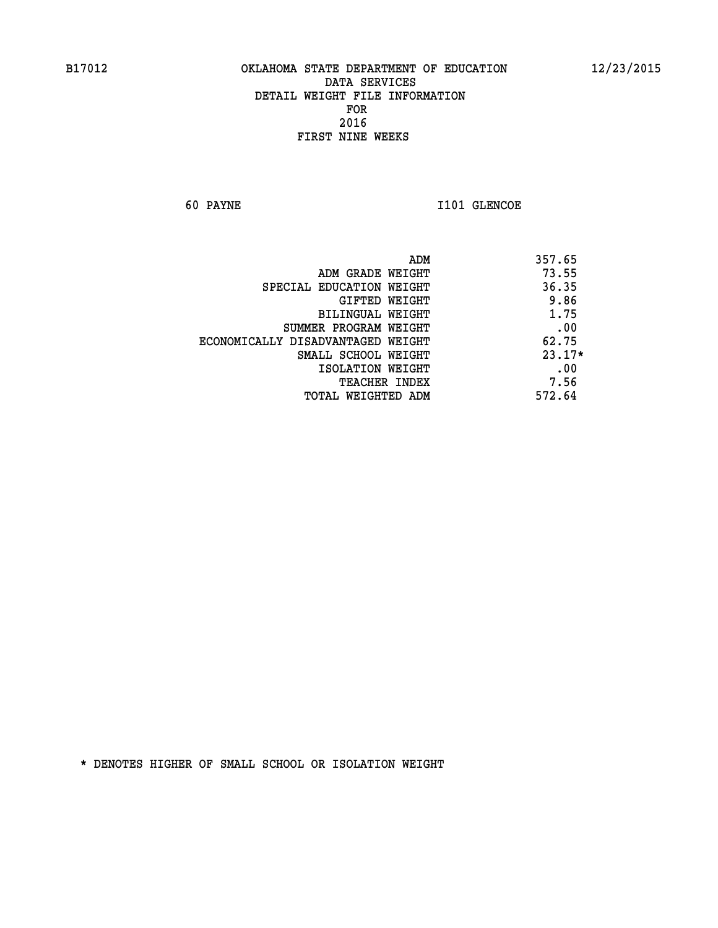**60 PAYNE I101 GLENCOE** 

|                                   | ADM | 357.65   |
|-----------------------------------|-----|----------|
| ADM GRADE WEIGHT                  |     | 73.55    |
| SPECIAL EDUCATION WEIGHT          |     | 36.35    |
| GIFTED WEIGHT                     |     | 9.86     |
| BILINGUAL WEIGHT                  |     | 1.75     |
| SUMMER PROGRAM WEIGHT             |     | .00      |
| ECONOMICALLY DISADVANTAGED WEIGHT |     | 62.75    |
| SMALL SCHOOL WEIGHT               |     | $23.17*$ |
| ISOLATION WEIGHT                  |     | .00      |
| TEACHER INDEX                     |     | 7.56     |
| TOTAL WEIGHTED ADM                |     | 572.64   |
|                                   |     |          |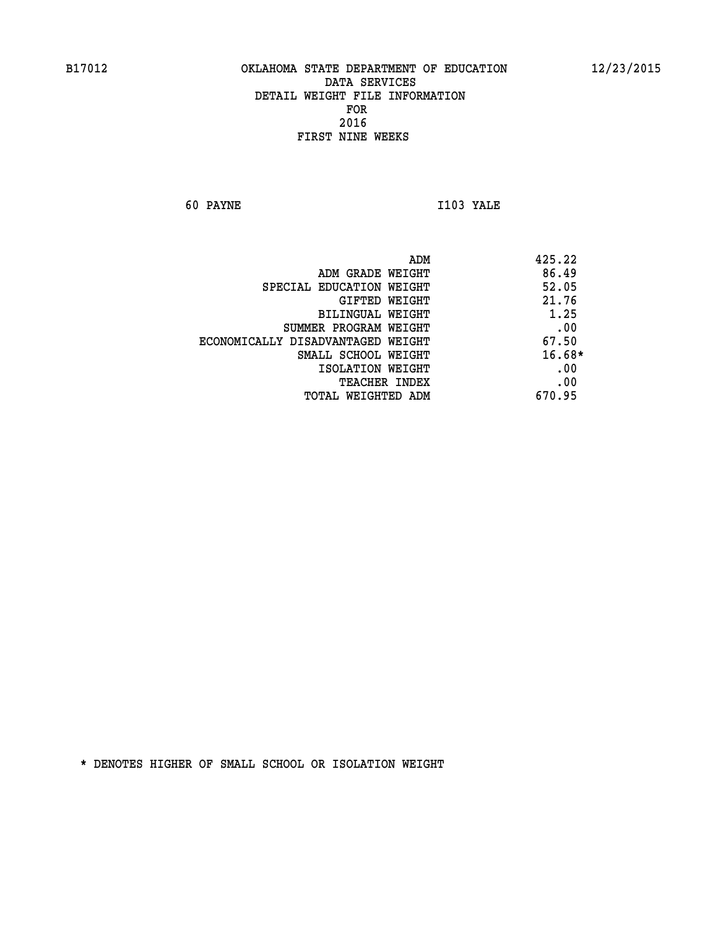**60 PAYNE I103 YALE** 

| ADM GRADE WEIGHT<br>SPECIAL EDUCATION WEIGHT<br>GIFTED WEIGHT<br>BILINGUAL WEIGHT<br>SUMMER PROGRAM WEIGHT | 425.22   |
|------------------------------------------------------------------------------------------------------------|----------|
|                                                                                                            | 86.49    |
|                                                                                                            | 52.05    |
|                                                                                                            | 21.76    |
|                                                                                                            | 1.25     |
|                                                                                                            | .00      |
| ECONOMICALLY DISADVANTAGED WEIGHT                                                                          | 67.50    |
| SMALL SCHOOL WEIGHT                                                                                        | $16.68*$ |
| ISOLATION WEIGHT                                                                                           | .00      |
| <b>TEACHER INDEX</b>                                                                                       | .00      |
| TOTAL WEIGHTED ADM                                                                                         | 670.95   |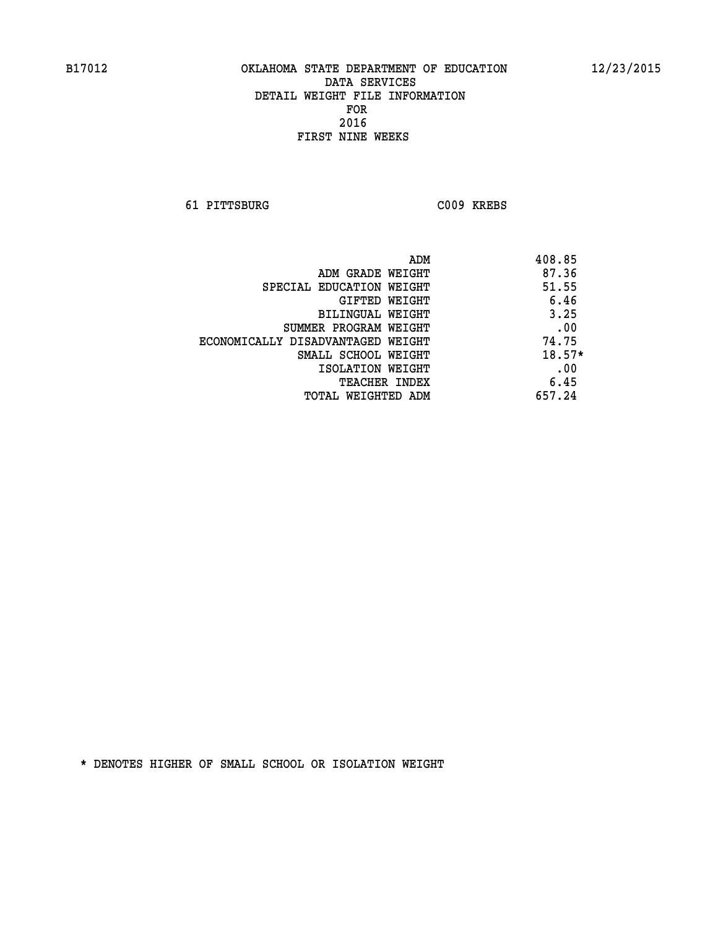**61 PITTSBURG C009 KREBS** 

|                                   | ADM | 408.85   |
|-----------------------------------|-----|----------|
| ADM GRADE WEIGHT                  |     | 87.36    |
| SPECIAL EDUCATION WEIGHT          |     | 51.55    |
| GIFTED WEIGHT                     |     | 6.46     |
| BILINGUAL WEIGHT                  |     | 3.25     |
| SUMMER PROGRAM WEIGHT             |     | .00      |
| ECONOMICALLY DISADVANTAGED WEIGHT |     | 74.75    |
| SMALL SCHOOL WEIGHT               |     | $18.57*$ |
| ISOLATION WEIGHT                  |     | .00      |
| <b>TEACHER INDEX</b>              |     | 6.45     |
| TOTAL WEIGHTED ADM                |     | 657.24   |
|                                   |     |          |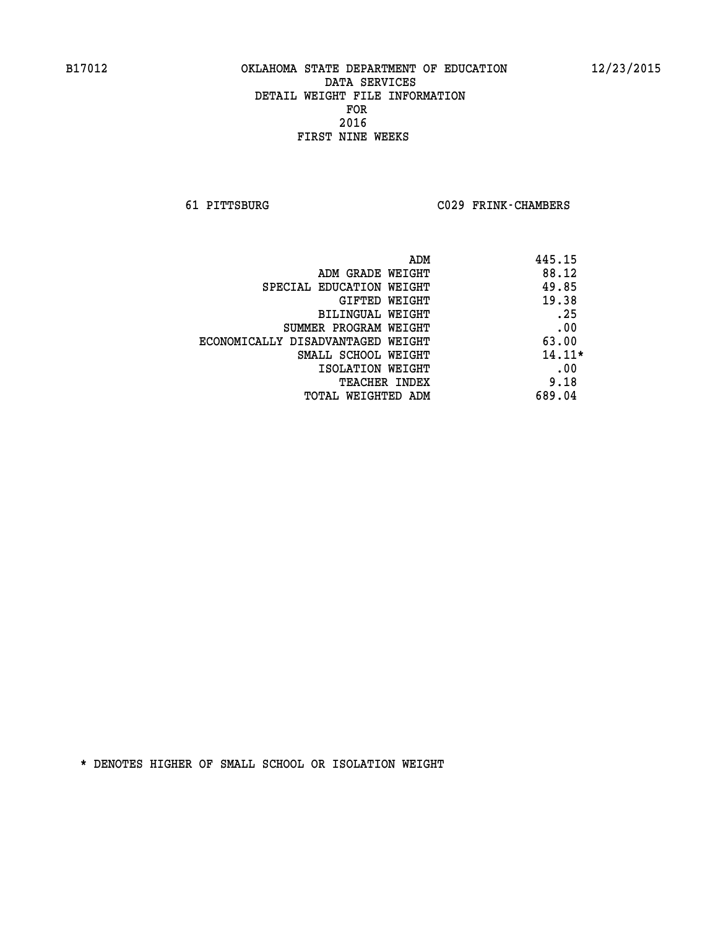**61 PITTSBURG C029 FRINK-CHAMBERS** 

|                                   | ADM | 445.15   |
|-----------------------------------|-----|----------|
| ADM GRADE WEIGHT                  |     | 88.12    |
| SPECIAL EDUCATION WEIGHT          |     | 49.85    |
| GIFTED WEIGHT                     |     | 19.38    |
| BILINGUAL WEIGHT                  |     | .25      |
| SUMMER PROGRAM WEIGHT             |     | .00      |
| ECONOMICALLY DISADVANTAGED WEIGHT |     | 63.00    |
| SMALL SCHOOL WEIGHT               |     | $14.11*$ |
| ISOLATION WEIGHT                  |     | .00      |
| <b>TEACHER INDEX</b>              |     | 9.18     |
| TOTAL WEIGHTED ADM                |     | 689.04   |
|                                   |     |          |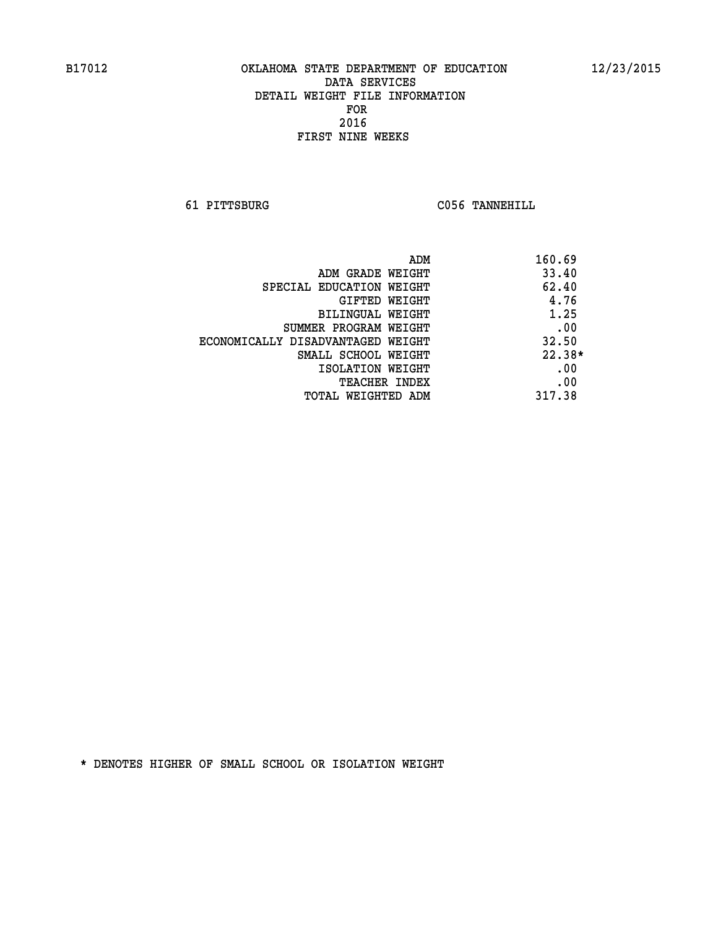**61 PITTSBURG C056 TANNEHILL** 

| ADM                               | 160.69   |
|-----------------------------------|----------|
| ADM GRADE WEIGHT                  | 33.40    |
| SPECIAL EDUCATION WEIGHT          | 62.40    |
| GIFTED WEIGHT                     | 4.76     |
| BILINGUAL WEIGHT                  | 1.25     |
| SUMMER PROGRAM WEIGHT             | .00      |
| ECONOMICALLY DISADVANTAGED WEIGHT | 32.50    |
| SMALL SCHOOL WEIGHT               | $22.38*$ |
| ISOLATION WEIGHT                  | .00      |
| <b>TEACHER INDEX</b>              | .00      |
| TOTAL WEIGHTED ADM                | 317.38   |
|                                   |          |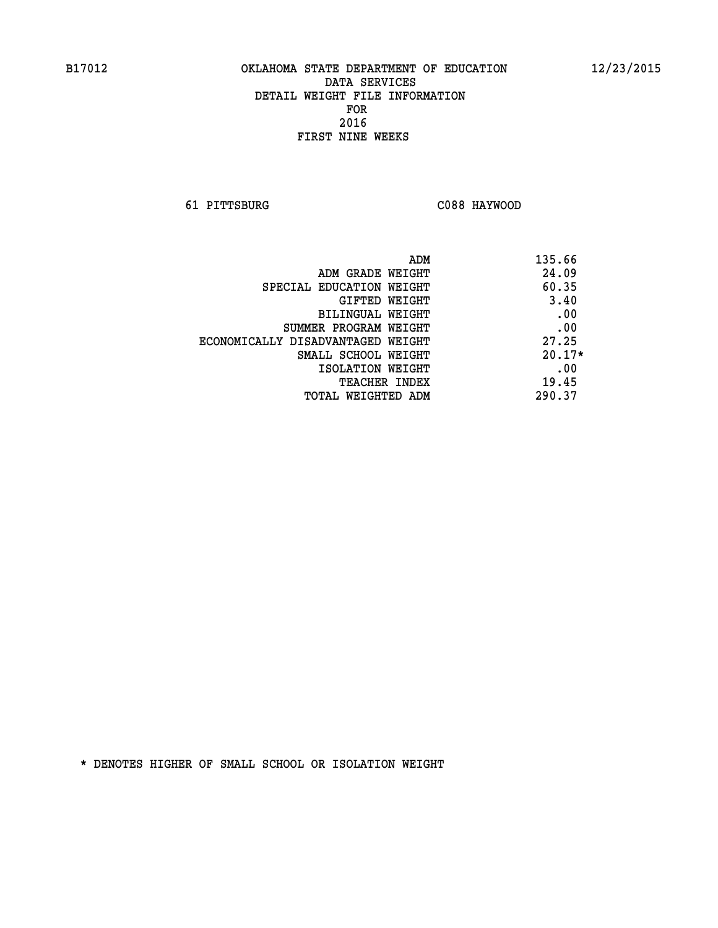**61 PITTSBURG C088 HAYWOOD** 

| ADM                               | 135.66   |
|-----------------------------------|----------|
| ADM GRADE WEIGHT                  | 24.09    |
| SPECIAL EDUCATION WEIGHT          | 60.35    |
| GIFTED WEIGHT                     | 3.40     |
| BILINGUAL WEIGHT                  | .00      |
| SUMMER PROGRAM WEIGHT             | .00      |
| ECONOMICALLY DISADVANTAGED WEIGHT | 27.25    |
| SMALL SCHOOL WEIGHT               | $20.17*$ |
| ISOLATION WEIGHT                  | .00      |
| <b>TEACHER INDEX</b>              | 19.45    |
| TOTAL WEIGHTED ADM                | 290.37   |
|                                   |          |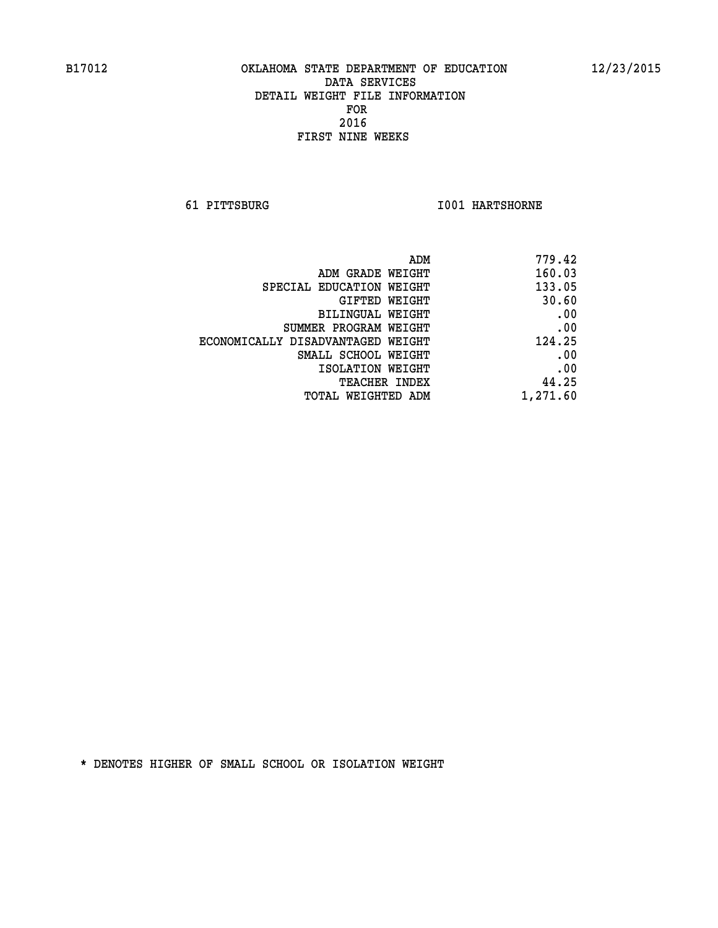**61 PITTSBURG I001 HARTSHORNE** 

| 779.42   |
|----------|
| 160.03   |
| 133.05   |
| 30.60    |
| .00      |
| .00      |
| 124.25   |
| .00      |
| .00      |
| 44.25    |
| 1,271.60 |
|          |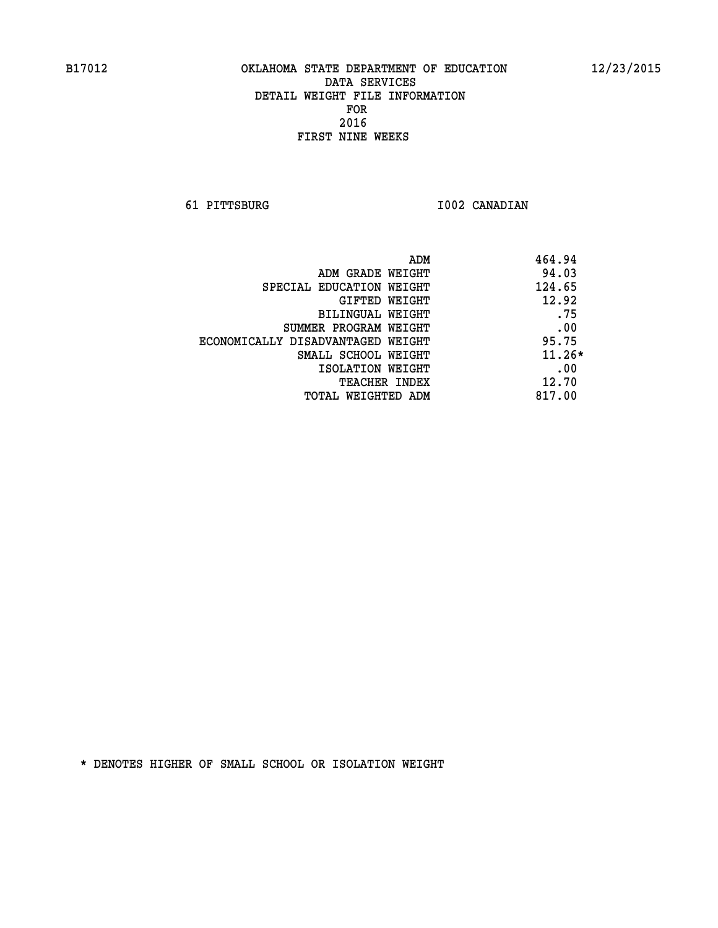**61 PITTSBURG I002 CANADIAN** 

|                                   | 464.94<br>ADM |
|-----------------------------------|---------------|
| ADM GRADE WEIGHT                  | 94.03         |
| SPECIAL EDUCATION WEIGHT          | 124.65        |
| GIFTED WEIGHT                     | 12.92         |
| BILINGUAL WEIGHT                  | .75           |
| SUMMER PROGRAM WEIGHT             | .00           |
| ECONOMICALLY DISADVANTAGED WEIGHT | 95.75         |
| SMALL SCHOOL WEIGHT               | $11.26*$      |
| ISOLATION WEIGHT                  | .00           |
| <b>TEACHER INDEX</b>              | 12.70         |
| TOTAL WEIGHTED ADM                | 817.00        |
|                                   |               |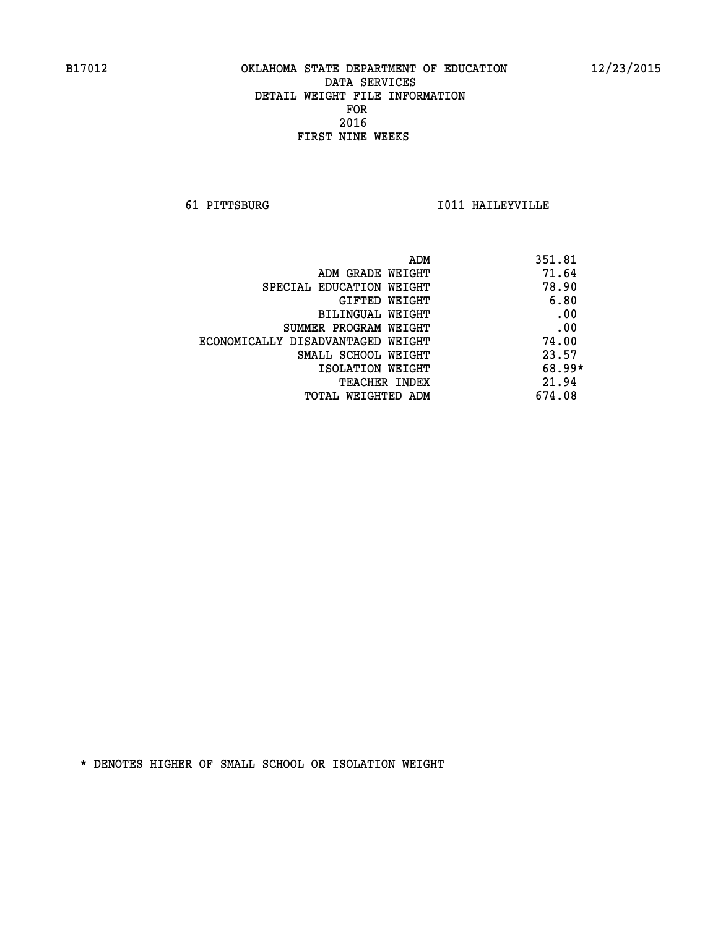**61 PITTSBURG I011 HAILEYVILLE** 

| ADM                               | 351.81   |
|-----------------------------------|----------|
| ADM GRADE WEIGHT                  | 71.64    |
| SPECIAL EDUCATION WEIGHT          | 78.90    |
| GIFTED WEIGHT                     | 6.80     |
| BILINGUAL WEIGHT                  | .00      |
| SUMMER PROGRAM WEIGHT             | .00      |
| ECONOMICALLY DISADVANTAGED WEIGHT | 74.00    |
| SMALL SCHOOL WEIGHT               | 23.57    |
| ISOLATION WEIGHT                  | $68.99*$ |
| <b>TEACHER INDEX</b>              | 21.94    |
| TOTAL WEIGHTED ADM                | 674.08   |
|                                   |          |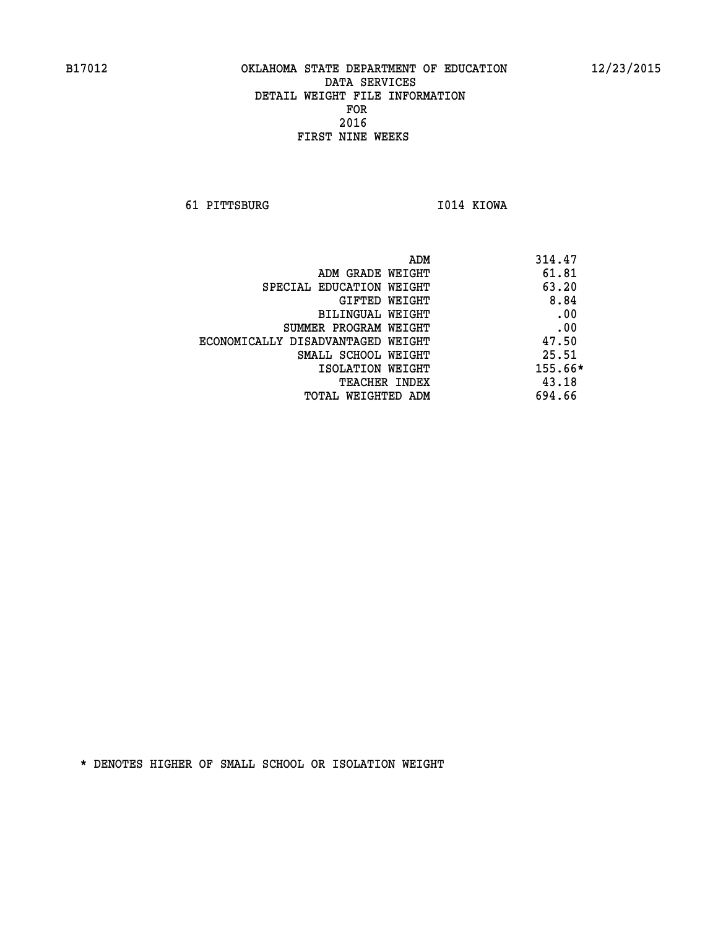**61 PITTSBURG I014 KIOWA** 

|                                   | ADM | 314.47    |
|-----------------------------------|-----|-----------|
| ADM GRADE WEIGHT                  |     | 61.81     |
| SPECIAL EDUCATION WEIGHT          |     | 63.20     |
| GIFTED WEIGHT                     |     | 8.84      |
| BILINGUAL WEIGHT                  |     | .00       |
| SUMMER PROGRAM WEIGHT             |     | .00       |
| ECONOMICALLY DISADVANTAGED WEIGHT |     | 47.50     |
| SMALL SCHOOL WEIGHT               |     | 25.51     |
| ISOLATION WEIGHT                  |     | $155.66*$ |
| TEACHER INDEX                     |     | 43.18     |
| TOTAL WEIGHTED ADM                |     | 694.66    |
|                                   |     |           |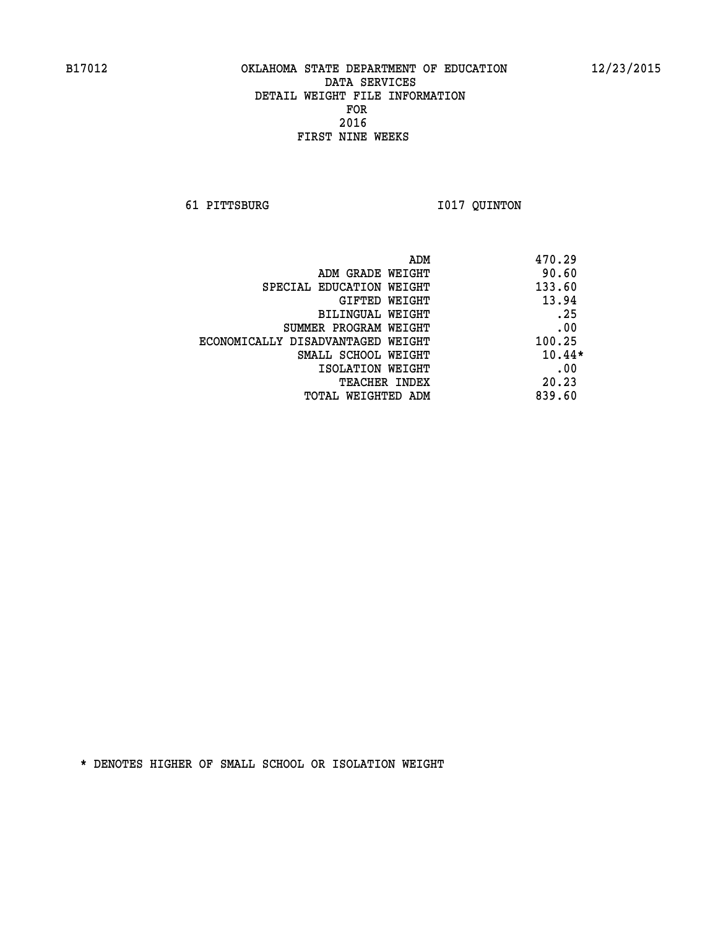**61 PITTSBURG I017 QUINTON** 

| ADM                               | 470.29   |
|-----------------------------------|----------|
| ADM GRADE WEIGHT                  | 90.60    |
| SPECIAL EDUCATION WEIGHT          | 133.60   |
| GIFTED WEIGHT                     | 13.94    |
| BILINGUAL WEIGHT                  | .25      |
| SUMMER PROGRAM WEIGHT             | .00      |
| ECONOMICALLY DISADVANTAGED WEIGHT | 100.25   |
| SMALL SCHOOL WEIGHT               | $10.44*$ |
| ISOLATION WEIGHT                  | .00      |
| TEACHER INDEX                     | 20.23    |
| TOTAL WEIGHTED ADM                | 839.60   |
|                                   |          |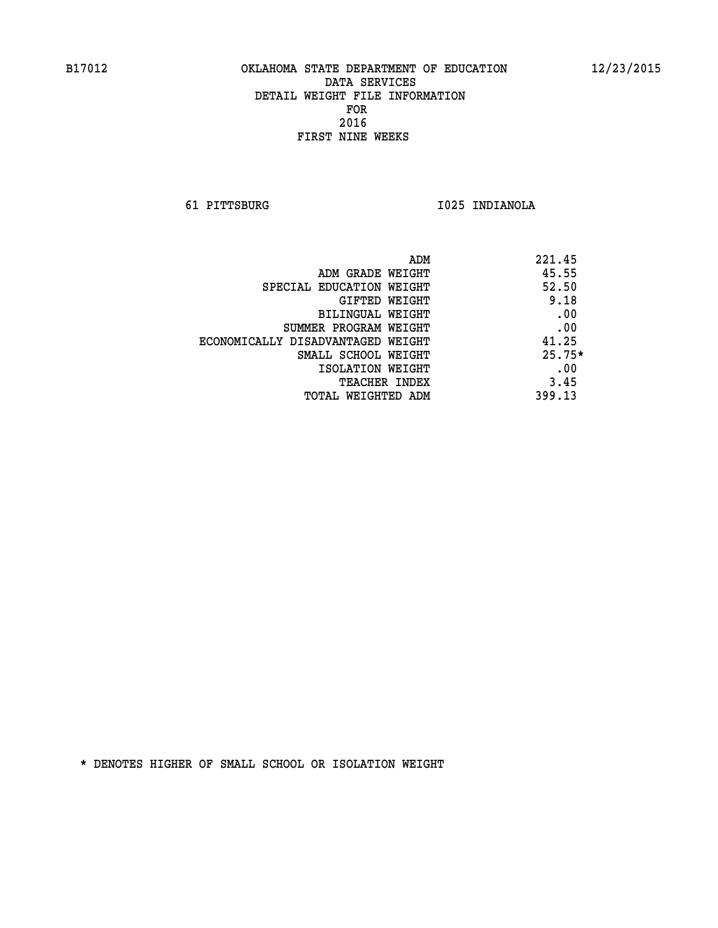**61 PITTSBURG I025 INDIANOLA** 

| ADM                               | 221.45   |
|-----------------------------------|----------|
| ADM GRADE WEIGHT                  | 45.55    |
| SPECIAL EDUCATION WEIGHT          | 52.50    |
| GIFTED WEIGHT                     | 9.18     |
| BILINGUAL WEIGHT                  | .00      |
| SUMMER PROGRAM WEIGHT             | .00      |
| ECONOMICALLY DISADVANTAGED WEIGHT | 41.25    |
| SMALL SCHOOL WEIGHT               | $25.75*$ |
| ISOLATION WEIGHT                  | .00      |
| <b>TEACHER INDEX</b>              | 3.45     |
| TOTAL WEIGHTED ADM                | 399.13   |
|                                   |          |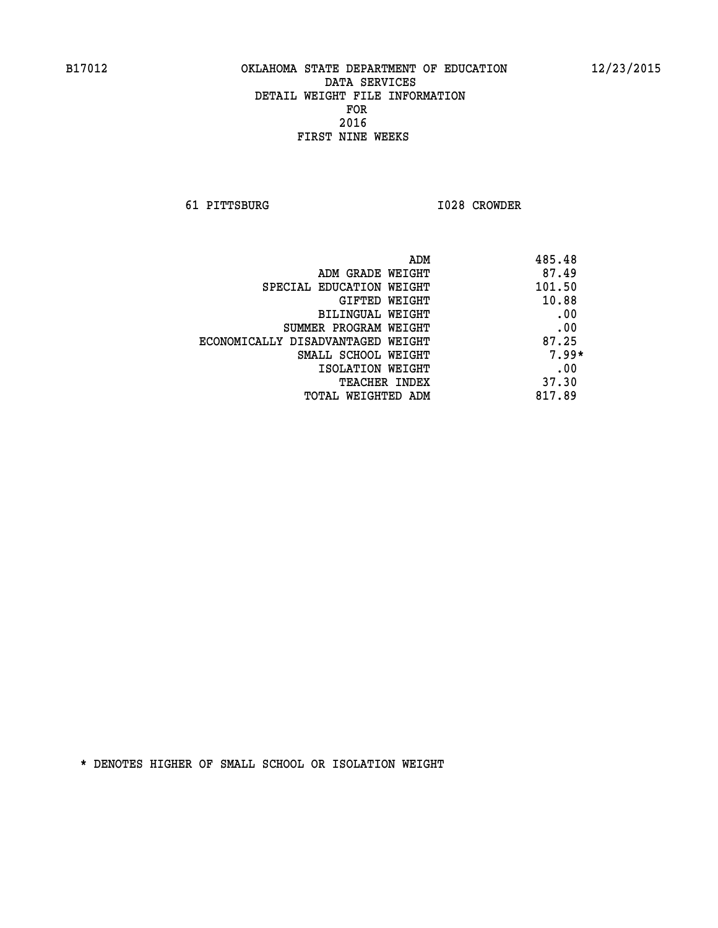**61 PITTSBURG I028 CROWDER** 

| ADM                               | 485.48  |
|-----------------------------------|---------|
| ADM GRADE WEIGHT                  | 87.49   |
| SPECIAL EDUCATION WEIGHT          | 101.50  |
| <b>GIFTED WEIGHT</b>              | 10.88   |
| BILINGUAL WEIGHT                  | .00     |
| SUMMER PROGRAM WEIGHT             | .00     |
| ECONOMICALLY DISADVANTAGED WEIGHT | 87.25   |
| SMALL SCHOOL WEIGHT               | $7.99*$ |
| ISOLATION WEIGHT                  | .00     |
| <b>TEACHER INDEX</b>              | 37.30   |
| TOTAL WEIGHTED ADM                | 817.89  |
|                                   |         |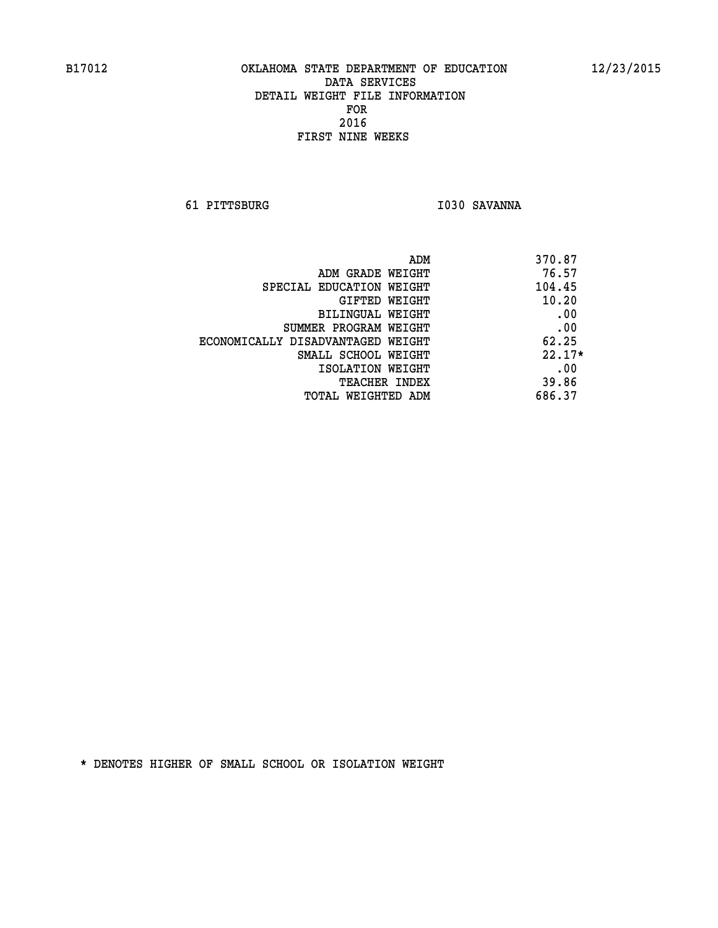**61 PITTSBURG I030 SAVANNA** 

|                                   | ADM | 370.87   |
|-----------------------------------|-----|----------|
| ADM GRADE WEIGHT                  |     | 76.57    |
| SPECIAL EDUCATION WEIGHT          |     | 104.45   |
| GIFTED WEIGHT                     |     | 10.20    |
| BILINGUAL WEIGHT                  |     | .00      |
| SUMMER PROGRAM WEIGHT             |     | .00      |
| ECONOMICALLY DISADVANTAGED WEIGHT |     | 62.25    |
| SMALL SCHOOL WEIGHT               |     | $22.17*$ |
| ISOLATION WEIGHT                  |     | .00      |
| <b>TEACHER INDEX</b>              |     | 39.86    |
| TOTAL WEIGHTED ADM                |     | 686.37   |
|                                   |     |          |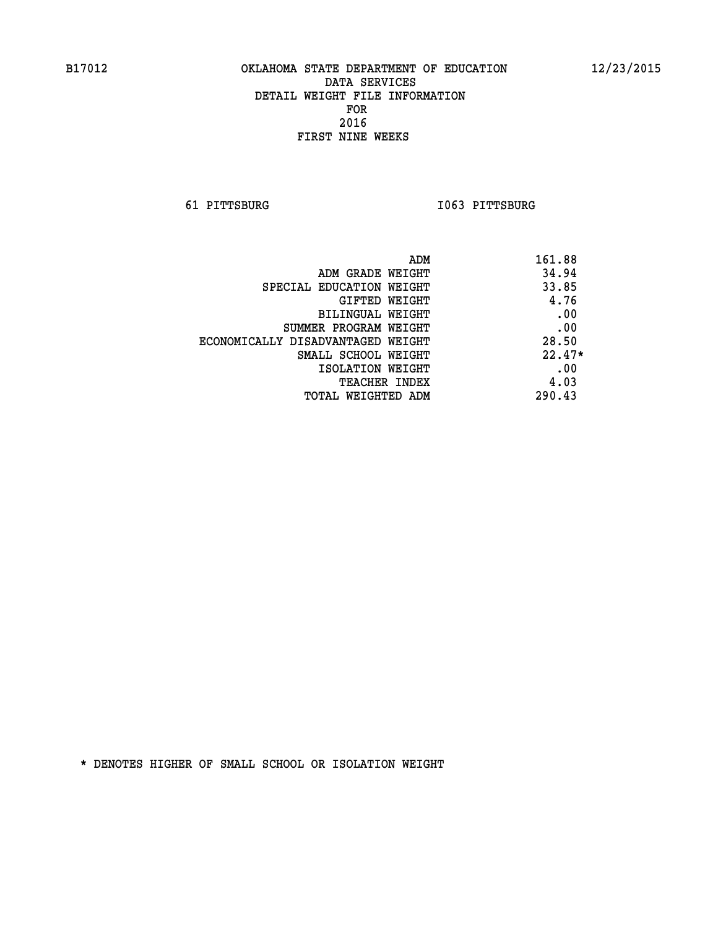**61 PITTSBURG I063 PITTSBURG** 

| ADM                               | 161.88   |
|-----------------------------------|----------|
| ADM GRADE WEIGHT                  | 34.94    |
| SPECIAL EDUCATION WEIGHT          | 33.85    |
| GIFTED WEIGHT                     | 4.76     |
| BILINGUAL WEIGHT                  | .00      |
| SUMMER PROGRAM WEIGHT             | .00      |
| ECONOMICALLY DISADVANTAGED WEIGHT | 28.50    |
| SMALL SCHOOL WEIGHT               | $22.47*$ |
| ISOLATION WEIGHT                  | .00      |
| <b>TEACHER INDEX</b>              | 4.03     |
| TOTAL WEIGHTED ADM                | 290.43   |
|                                   |          |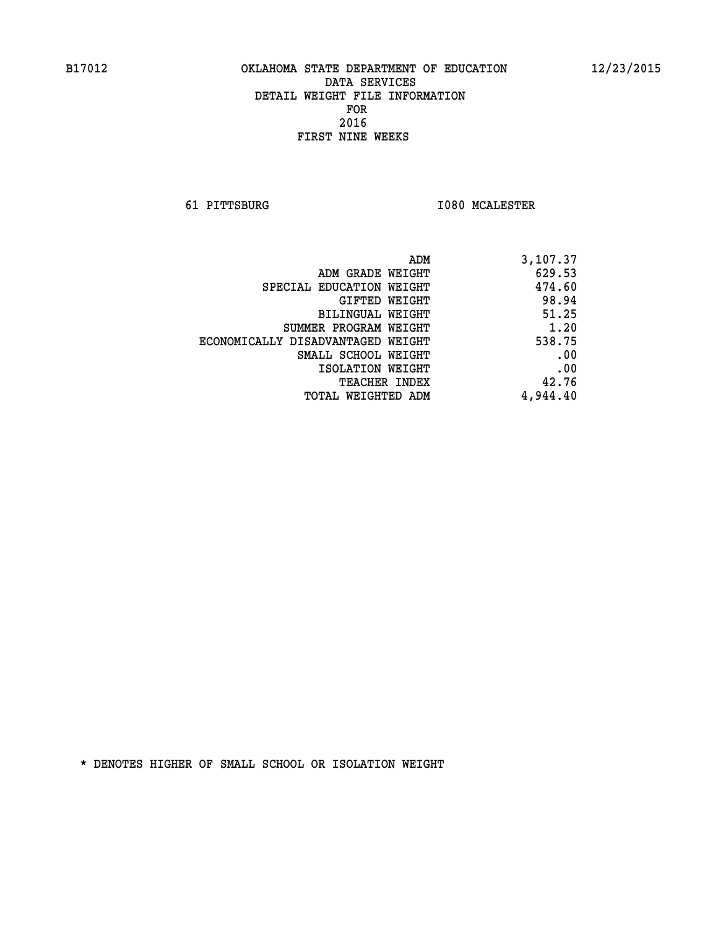**61 PITTSBURG I080 MCALESTER** 

| 3,107.37 |
|----------|
| 629.53   |
| 474.60   |
| 98.94    |
| 51.25    |
| 1.20     |
| 538.75   |
| .00      |
| .00      |
| 42.76    |
| 4,944.40 |
|          |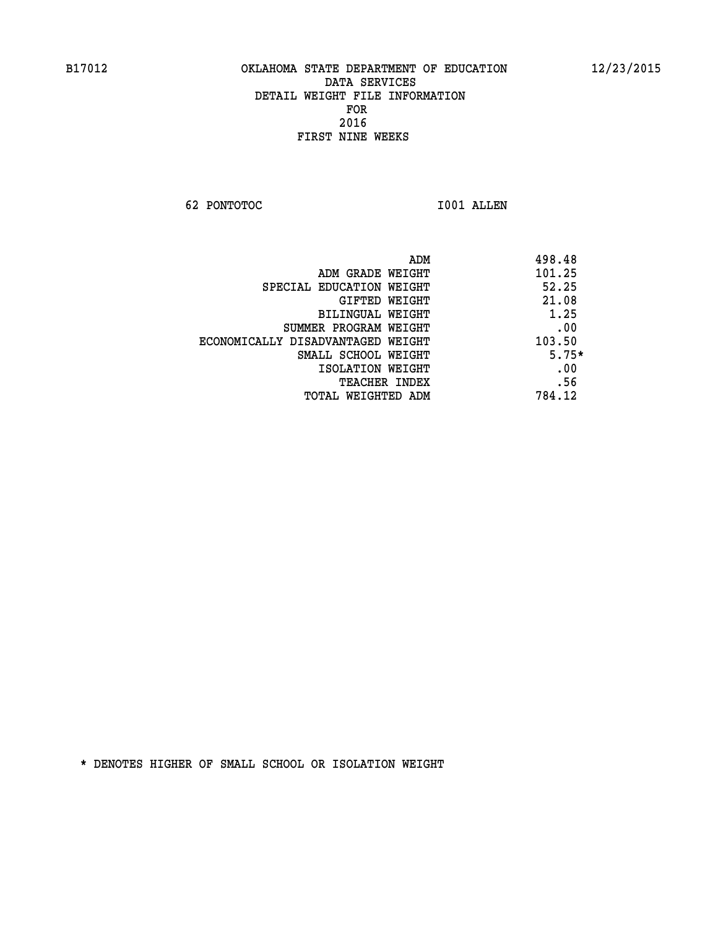**62 PONTOTOC I001 ALLEN** 

| 498.48  | ADM                               |
|---------|-----------------------------------|
| 101.25  | ADM GRADE WEIGHT                  |
| 52.25   | SPECIAL EDUCATION WEIGHT          |
| 21.08   | <b>GIFTED WEIGHT</b>              |
| 1.25    | BILINGUAL WEIGHT                  |
| .00     | SUMMER PROGRAM WEIGHT             |
| 103.50  | ECONOMICALLY DISADVANTAGED WEIGHT |
| $5.75*$ | SMALL SCHOOL WEIGHT               |
| .00     | ISOLATION WEIGHT                  |
| .56     | <b>TEACHER INDEX</b>              |
| 784.12  | TOTAL WEIGHTED ADM                |
|         |                                   |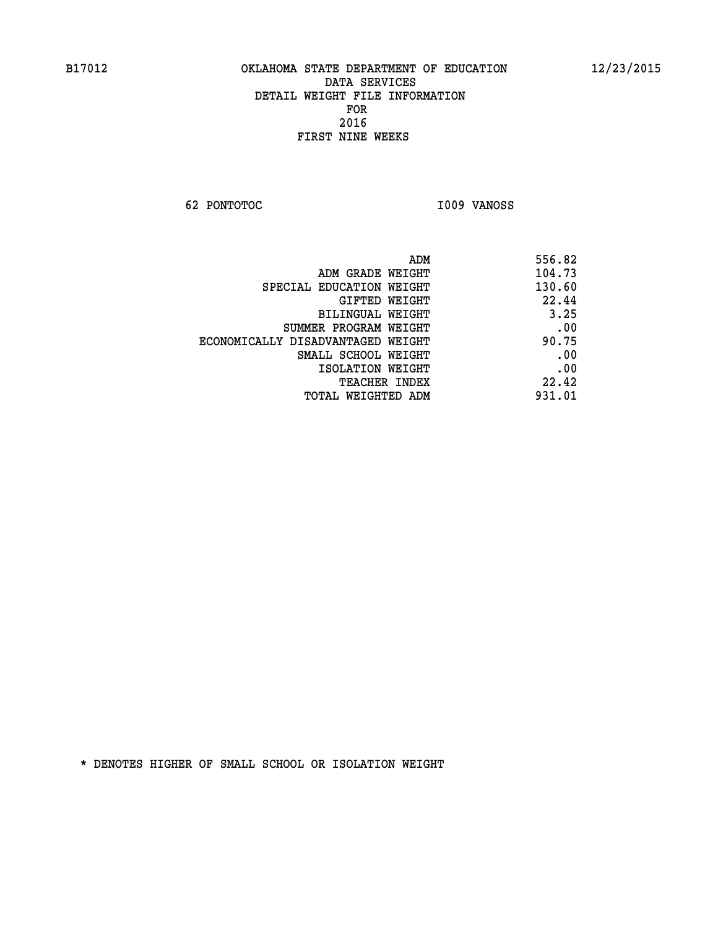**62 PONTOTOC I009 VANOSS** 

| 556.82 |
|--------|
| 104.73 |
| 130.60 |
| 22.44  |
| 3.25   |
| .00    |
| 90.75  |
| .00    |
| .00    |
| 22.42  |
| 931.01 |
|        |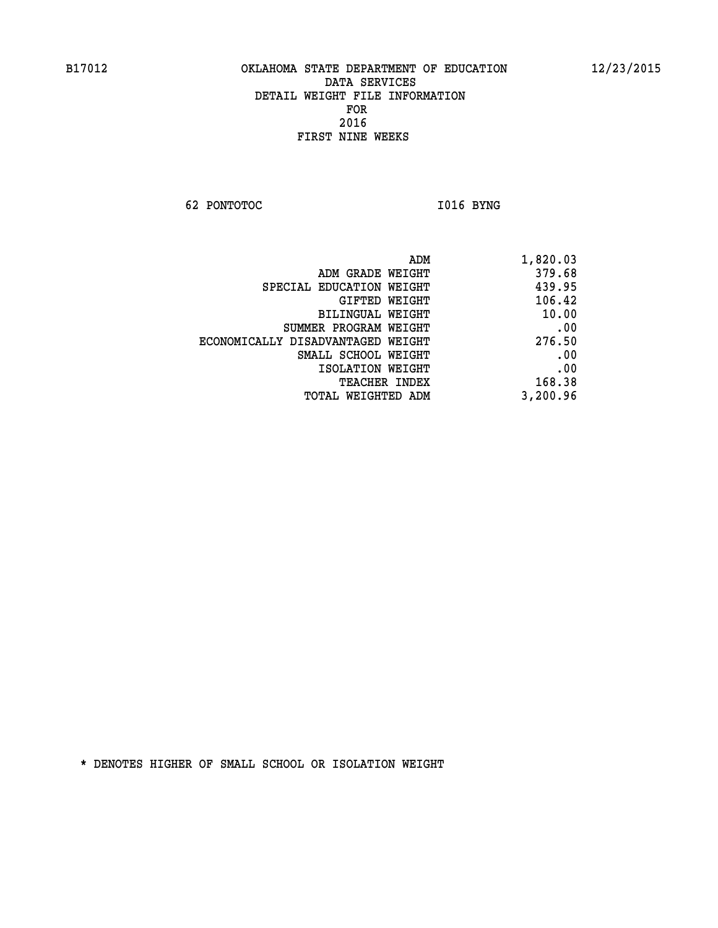**62 PONTOTOC** 1016 BYNG

| ADM                               | 1,820.03 |
|-----------------------------------|----------|
| ADM GRADE WEIGHT                  | 379.68   |
| SPECIAL EDUCATION WEIGHT          | 439.95   |
| GIFTED WEIGHT                     | 106.42   |
| BILINGUAL WEIGHT                  | 10.00    |
| SUMMER PROGRAM WEIGHT             | .00      |
| ECONOMICALLY DISADVANTAGED WEIGHT | 276.50   |
| SMALL SCHOOL WEIGHT               | .00      |
| ISOLATION WEIGHT                  | .00      |
| <b>TEACHER INDEX</b>              | 168.38   |
| TOTAL WEIGHTED ADM                | 3,200.96 |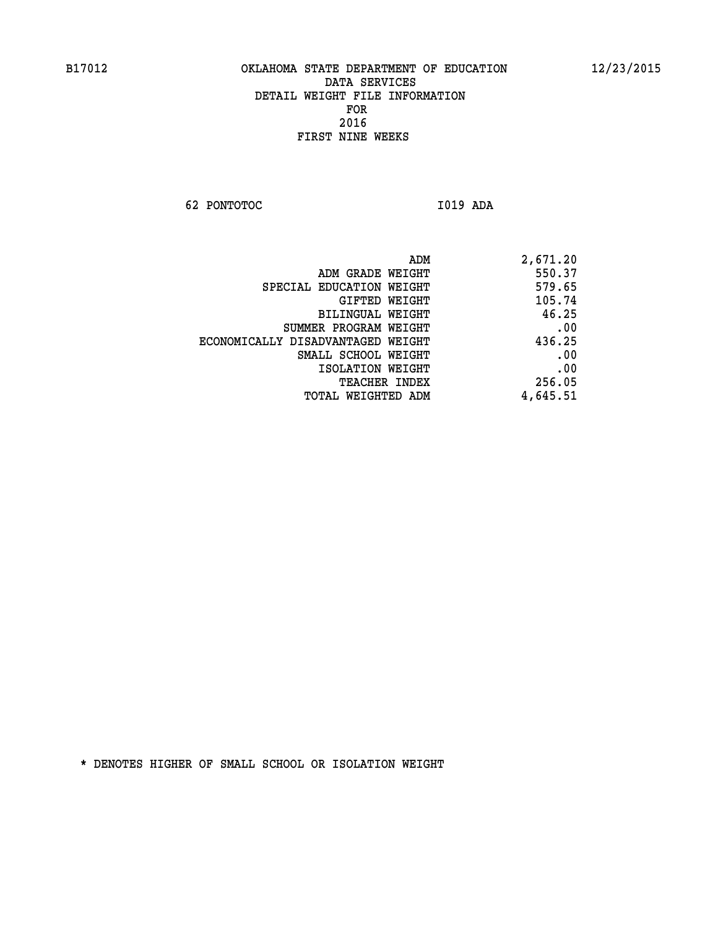**62 PONTOTOC I019 ADA** 

| ADM                               | 2,671.20 |
|-----------------------------------|----------|
| ADM GRADE WEIGHT                  | 550.37   |
| SPECIAL EDUCATION WEIGHT          | 579.65   |
| GIFTED WEIGHT                     | 105.74   |
| BILINGUAL WEIGHT                  | 46.25    |
| SUMMER PROGRAM WEIGHT             | .00      |
| ECONOMICALLY DISADVANTAGED WEIGHT | 436.25   |
| SMALL SCHOOL WEIGHT               | .00      |
| ISOLATION WEIGHT                  | .00      |
| <b>TEACHER INDEX</b>              | 256.05   |
| TOTAL WEIGHTED ADM                | 4,645.51 |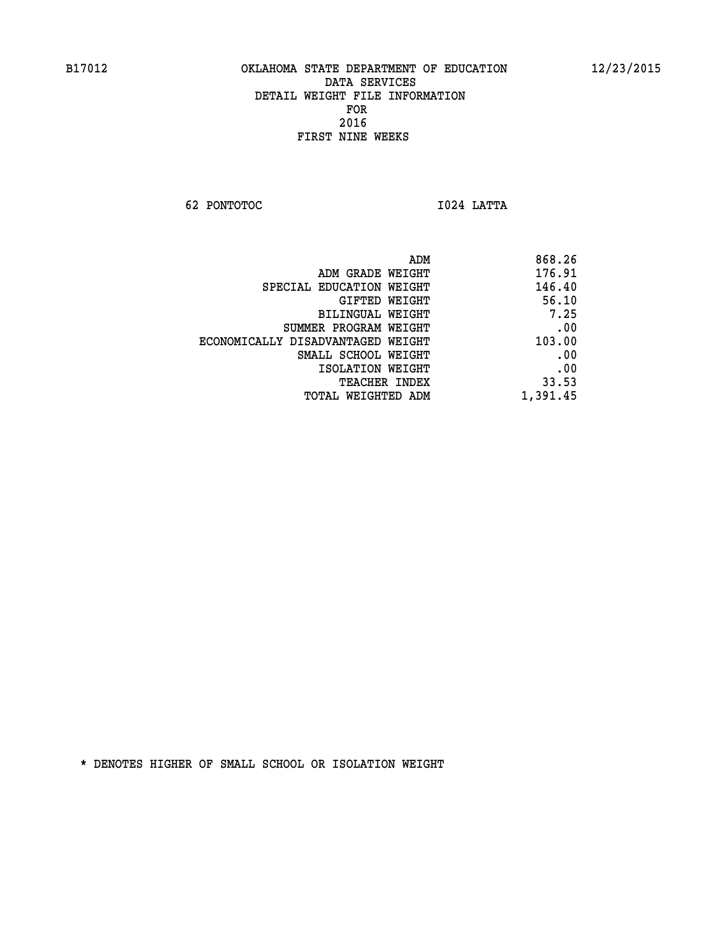**62 PONTOTOC I024 LATTA** 

| 868.26   |
|----------|
| 176.91   |
| 146.40   |
| 56.10    |
| 7.25     |
| .00      |
| 103.00   |
| .00      |
| .00      |
| 33.53    |
| 1,391.45 |
|          |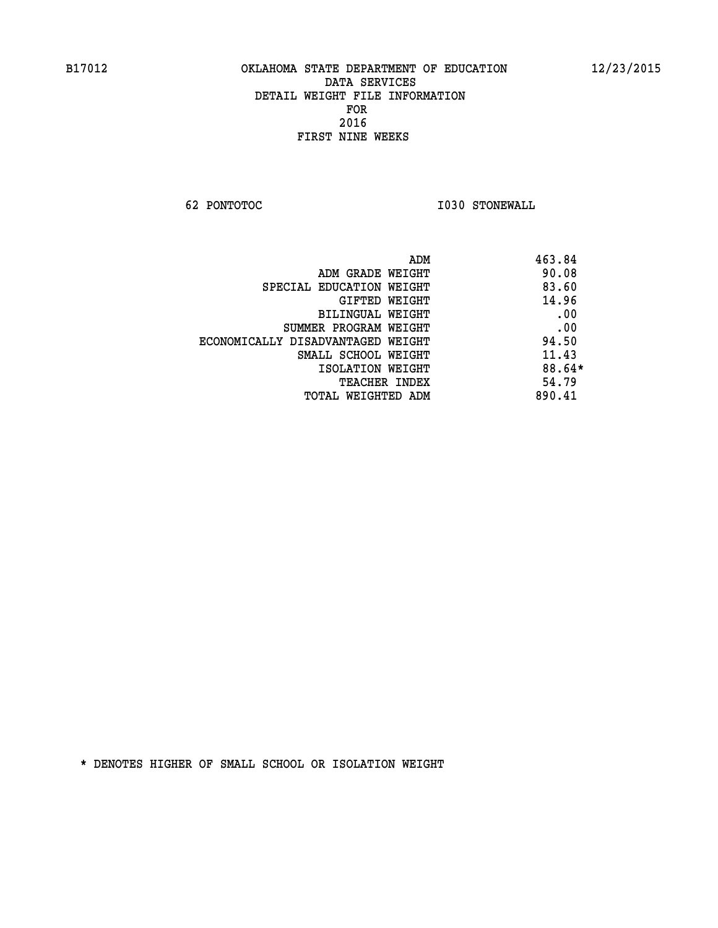**62 PONTOTOC I030 STONEWALL** 

| ADM                               | 463.84 |
|-----------------------------------|--------|
| ADM GRADE WEIGHT                  | 90.08  |
| SPECIAL EDUCATION WEIGHT          | 83.60  |
| GIFTED WEIGHT                     | 14.96  |
| <b>BILINGUAL WEIGHT</b>           | .00    |
| SUMMER PROGRAM WEIGHT             | .00    |
| ECONOMICALLY DISADVANTAGED WEIGHT | 94.50  |
| SMALL SCHOOL WEIGHT               | 11.43  |
| ISOLATION WEIGHT                  | 88.64* |
| <b>TEACHER INDEX</b>              | 54.79  |
| TOTAL WEIGHTED ADM                | 890.41 |
|                                   |        |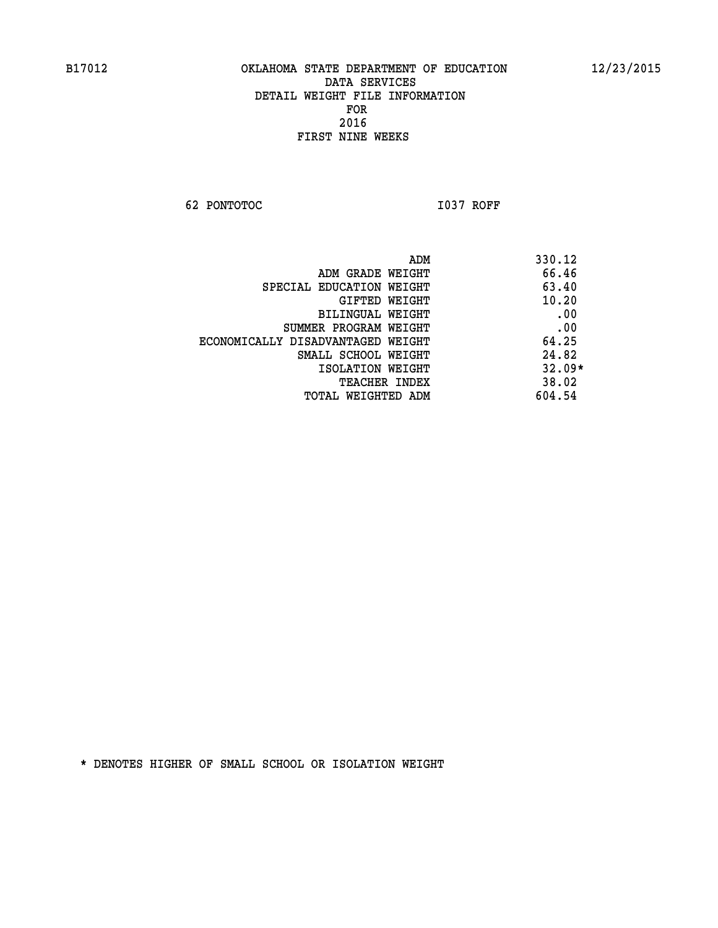**62 PONTOTOC I037 ROFF** 

| ADM                               | 330.12   |
|-----------------------------------|----------|
| ADM GRADE WEIGHT                  | 66.46    |
| SPECIAL EDUCATION WEIGHT          | 63.40    |
| GIFTED WEIGHT                     | 10.20    |
| BILINGUAL WEIGHT                  | .00      |
| SUMMER PROGRAM WEIGHT             | .00      |
| ECONOMICALLY DISADVANTAGED WEIGHT | 64.25    |
| SMALL SCHOOL WEIGHT               | 24.82    |
| ISOLATION WEIGHT                  | $32.09*$ |
| <b>TEACHER INDEX</b>              | 38.02    |
| TOTAL WEIGHTED ADM                | 604.54   |
|                                   |          |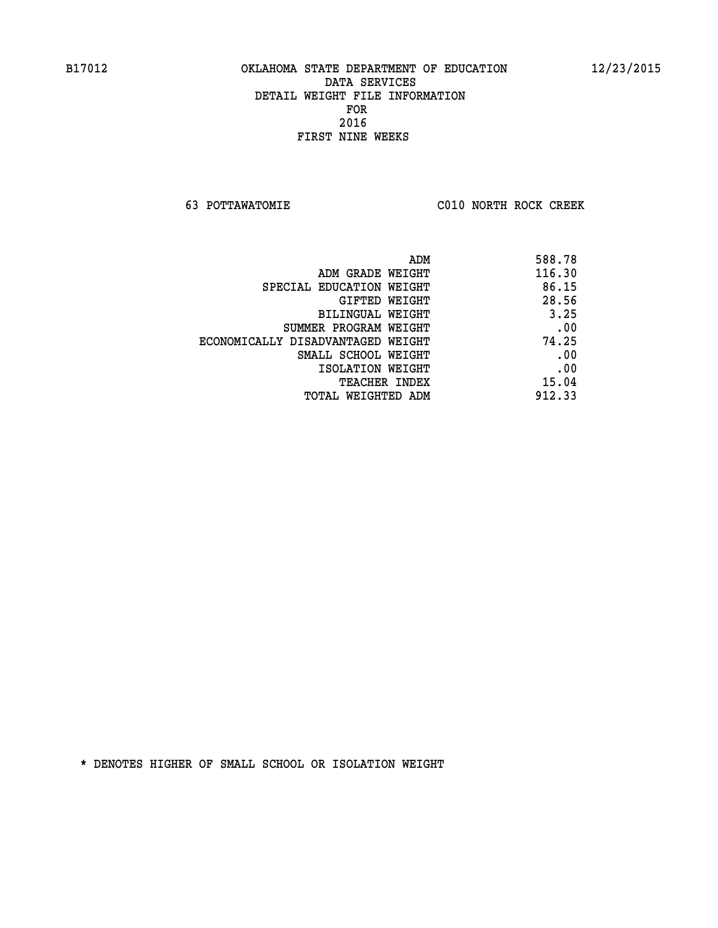**63 POTTAWATOMIE C010 NORTH ROCK CREEK** 

| 588.78 |
|--------|
| 116.30 |
| 86.15  |
| 28.56  |
| 3.25   |
| .00    |
| 74.25  |
| .00    |
| .00    |
| 15.04  |
| 912.33 |
|        |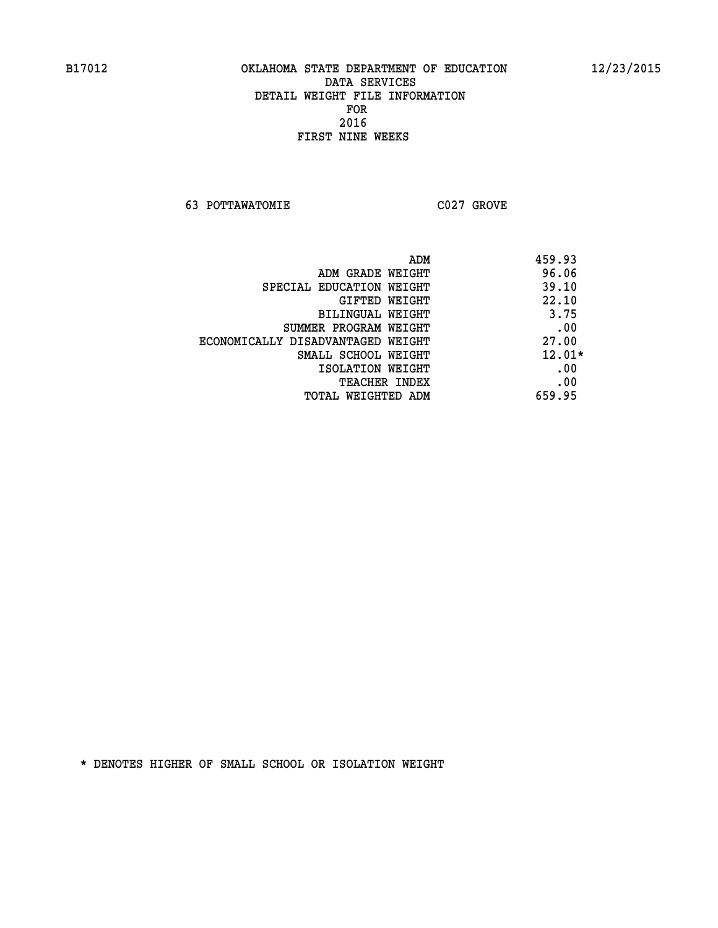**63 POTTAWATOMIE C027 GROVE** 

| 459.93   | ADM                               |
|----------|-----------------------------------|
| 96.06    | ADM GRADE WEIGHT                  |
| 39.10    | SPECIAL EDUCATION WEIGHT          |
| 22.10    | GIFTED WEIGHT                     |
| 3.75     | BILINGUAL WEIGHT                  |
| .00      | SUMMER PROGRAM WEIGHT             |
| 27.00    | ECONOMICALLY DISADVANTAGED WEIGHT |
| $12.01*$ | SMALL SCHOOL WEIGHT               |
| .00      | ISOLATION WEIGHT                  |
| .00      | <b>TEACHER INDEX</b>              |
| 659.95   | WEIGHTED ADM<br>TOTAL             |
|          |                                   |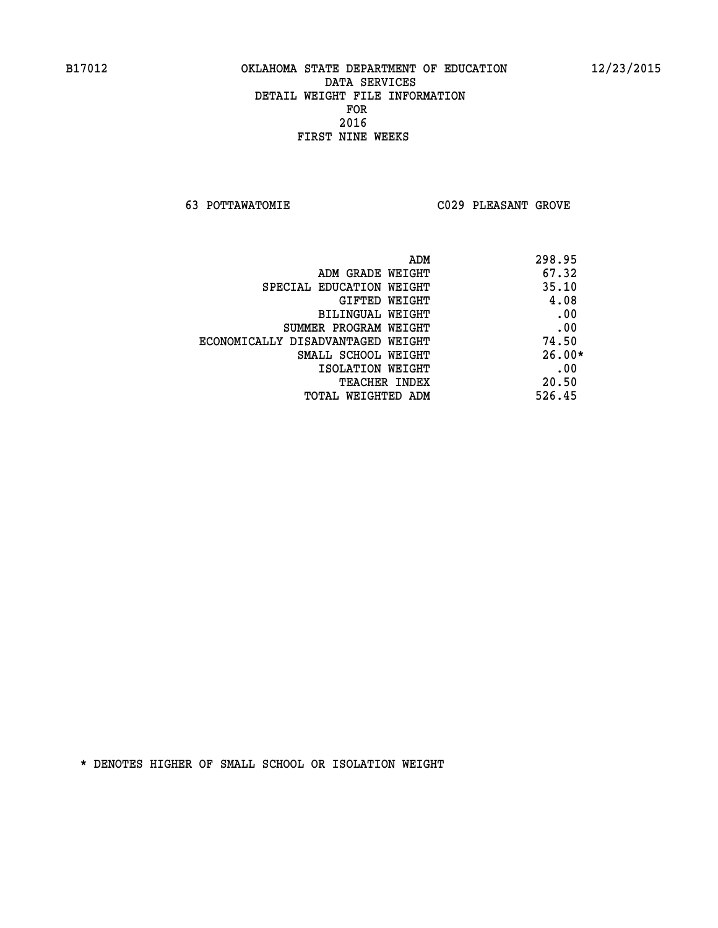**63 POTTAWATOMIE C029 PLEASANT GROVE** 

|                                   | 298.95<br>ADM |
|-----------------------------------|---------------|
| ADM GRADE WEIGHT                  | 67.32         |
| SPECIAL EDUCATION WEIGHT          | 35.10         |
| GIFTED WEIGHT                     | 4.08          |
| BILINGUAL WEIGHT                  | .00           |
| SUMMER PROGRAM WEIGHT             | .00           |
| ECONOMICALLY DISADVANTAGED WEIGHT | 74.50         |
| SMALL SCHOOL WEIGHT               | $26.00*$      |
| ISOLATION WEIGHT                  | .00           |
| TEACHER INDEX                     | 20.50         |
| <b>TOTAL WEIGHTED ADM</b>         | 526.45        |
|                                   |               |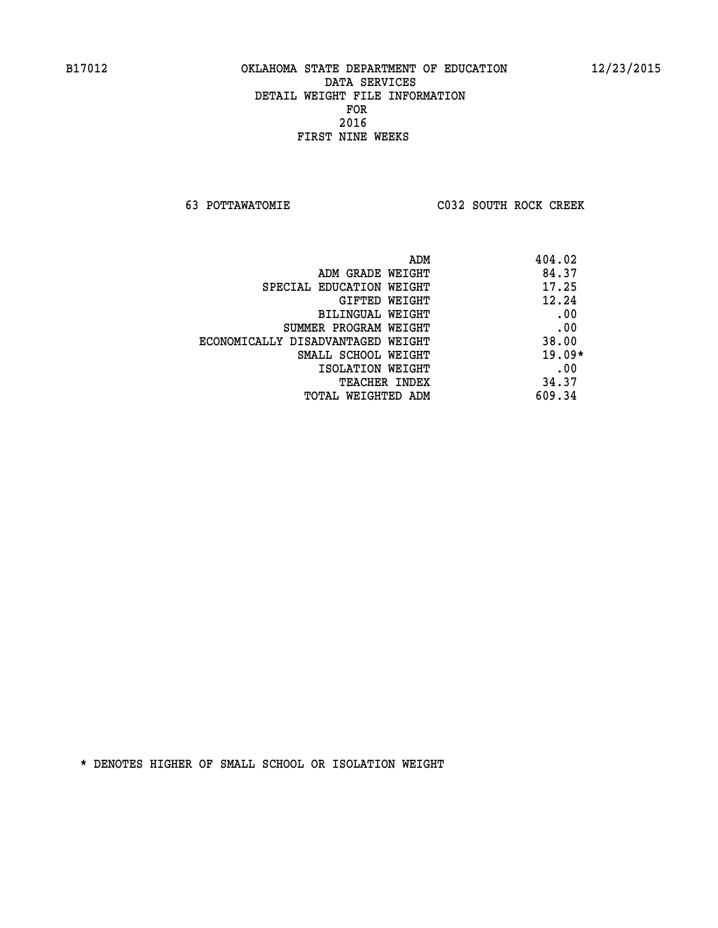**63 POTTAWATOMIE C032 SOUTH ROCK CREEK** 

|                                   | 404.02<br>ADM |
|-----------------------------------|---------------|
| ADM GRADE WEIGHT                  | 84.37         |
| SPECIAL EDUCATION WEIGHT          | 17.25         |
| GIFTED WEIGHT                     | 12.24         |
| BILINGUAL WEIGHT                  | .00           |
| SUMMER PROGRAM WEIGHT             | .00           |
| ECONOMICALLY DISADVANTAGED WEIGHT | 38.00         |
| SMALL SCHOOL WEIGHT               | $19.09*$      |
| ISOLATION WEIGHT                  | .00           |
| <b>TEACHER INDEX</b>              | 34.37         |
| TOTAL WEIGHTED ADM                | 609.34        |
|                                   |               |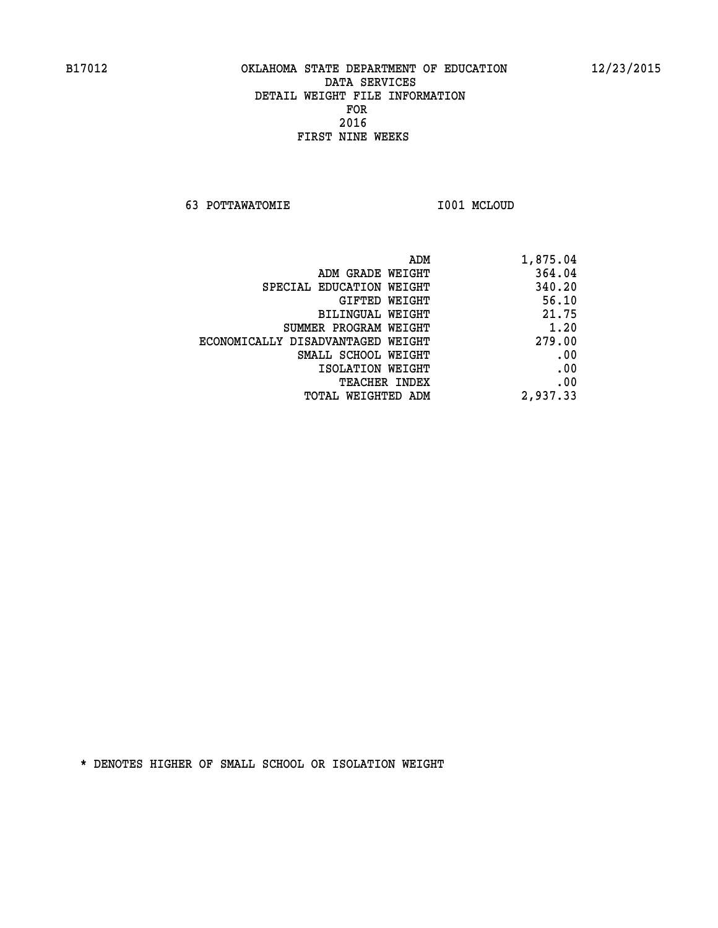**63 POTTAWATOMIE I001 MCLOUD** 

| ADM                               | 1,875.04 |
|-----------------------------------|----------|
| ADM GRADE WEIGHT                  | 364.04   |
| SPECIAL EDUCATION WEIGHT          | 340.20   |
| GIFTED WEIGHT                     | 56.10    |
| <b>BILINGUAL WEIGHT</b>           | 21.75    |
| SUMMER PROGRAM WEIGHT             | 1.20     |
| ECONOMICALLY DISADVANTAGED WEIGHT | 279.00   |
| SMALL SCHOOL WEIGHT               | .00      |
| ISOLATION WEIGHT                  | .00      |
| TEACHER INDEX                     | .00      |
| TOTAL WEIGHTED ADM                | 2,937.33 |
|                                   |          |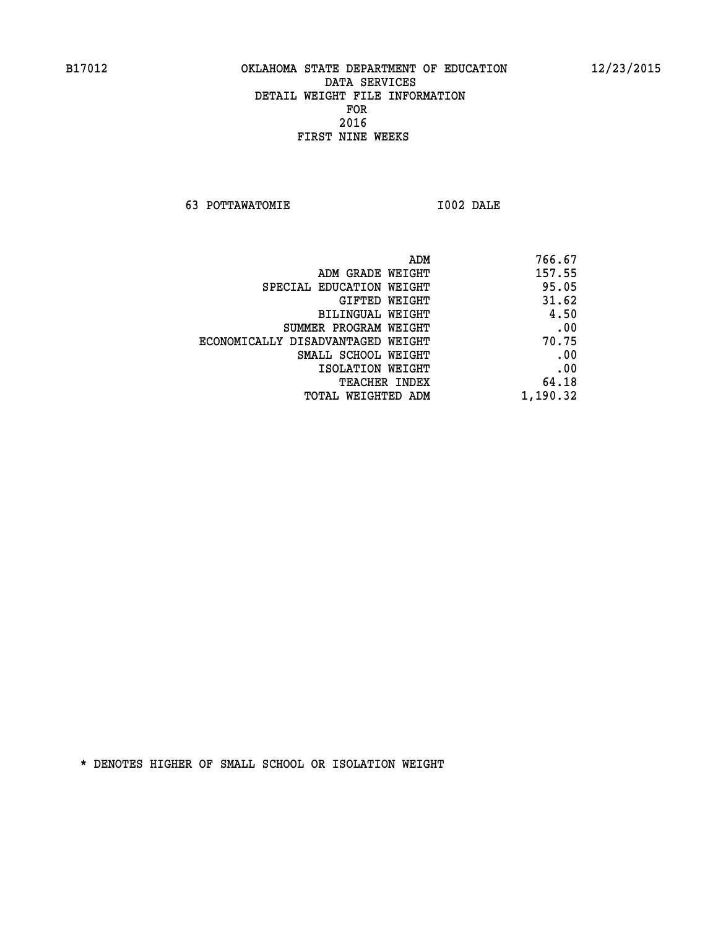**63 POTTAWATOMIE I002 DALE** 

| ADM                               | 766.67   |
|-----------------------------------|----------|
| ADM GRADE WEIGHT                  | 157.55   |
| SPECIAL EDUCATION WEIGHT          | 95.05    |
| GIFTED WEIGHT                     | 31.62    |
| BILINGUAL WEIGHT                  | 4.50     |
| SUMMER PROGRAM WEIGHT             | .00      |
| ECONOMICALLY DISADVANTAGED WEIGHT | 70.75    |
| SMALL SCHOOL WEIGHT               | .00      |
| ISOLATION WEIGHT                  | .00      |
| <b>TEACHER INDEX</b>              | 64.18    |
| TOTAL WEIGHTED ADM                | 1,190.32 |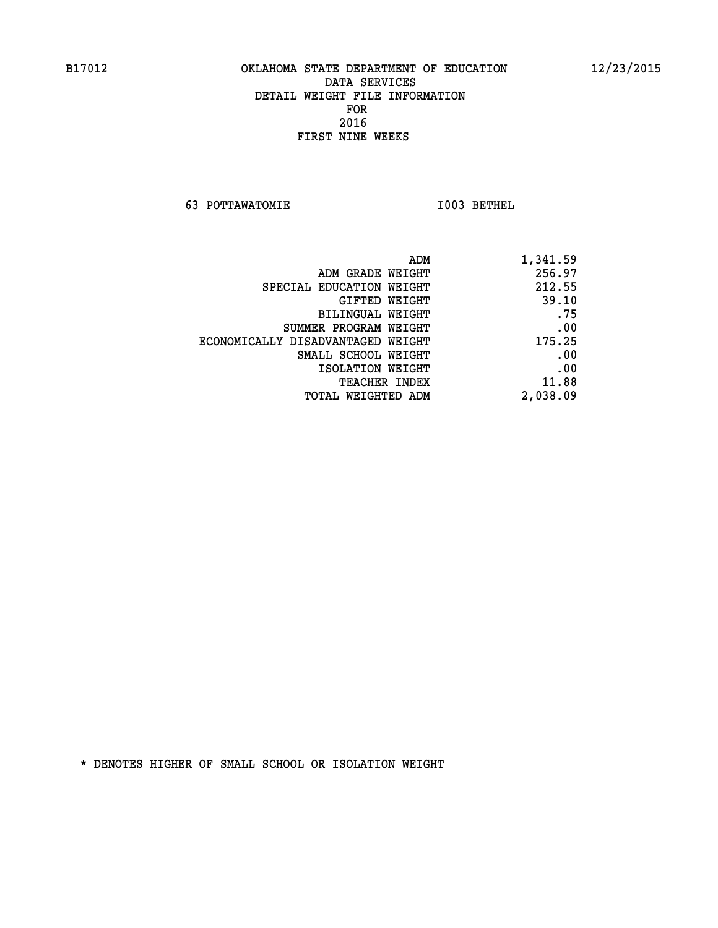**63 POTTAWATOMIE I003 BETHEL** 

|                                   | ADM | 1,341.59 |
|-----------------------------------|-----|----------|
| ADM GRADE WEIGHT                  |     | 256.97   |
| SPECIAL EDUCATION WEIGHT          |     | 212.55   |
| GIFTED WEIGHT                     |     | 39.10    |
| BILINGUAL WEIGHT                  |     | .75      |
| SUMMER PROGRAM WEIGHT             |     | .00      |
| ECONOMICALLY DISADVANTAGED WEIGHT |     | 175.25   |
| SMALL SCHOOL WEIGHT               |     | .00      |
| ISOLATION WEIGHT                  |     | .00      |
| <b>TEACHER INDEX</b>              |     | 11.88    |
| TOTAL WEIGHTED ADM                |     | 2,038.09 |
|                                   |     |          |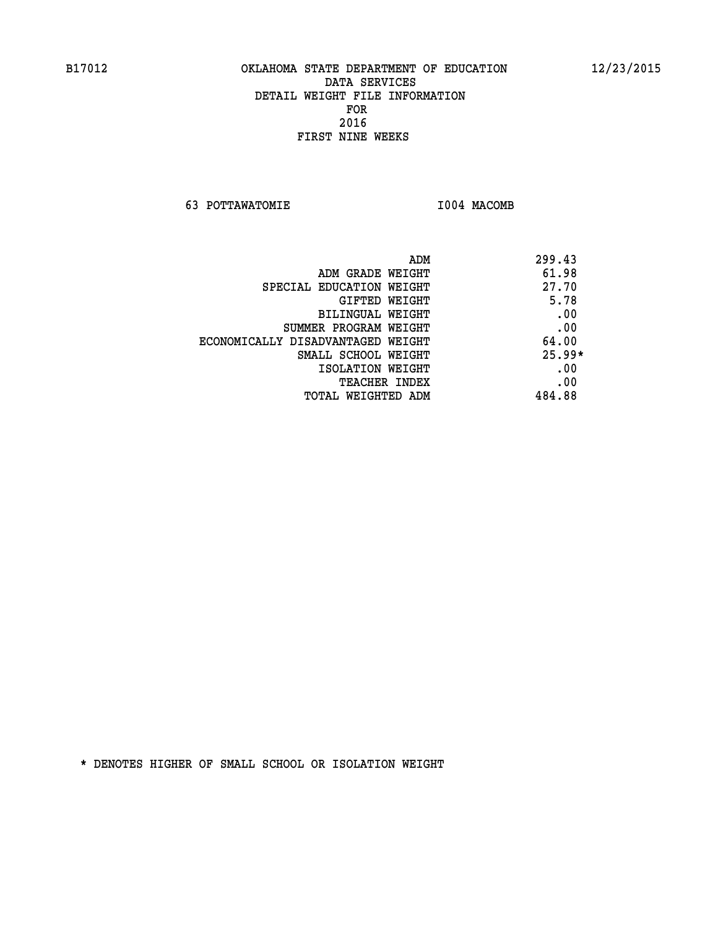**63 POTTAWATOMIE I004 MACOMB** 

| ADM                               | 299.43   |
|-----------------------------------|----------|
| ADM GRADE WEIGHT                  | 61.98    |
| SPECIAL EDUCATION WEIGHT          | 27.70    |
| GIFTED WEIGHT                     | 5.78     |
| BILINGUAL WEIGHT                  | .00      |
| SUMMER PROGRAM WEIGHT             | .00      |
| ECONOMICALLY DISADVANTAGED WEIGHT | 64.00    |
| SMALL SCHOOL WEIGHT               | $25.99*$ |
| ISOLATION WEIGHT                  | .00      |
| <b>TEACHER INDEX</b>              | .00      |
| TOTAL WEIGHTED ADM                | 484.88   |
|                                   |          |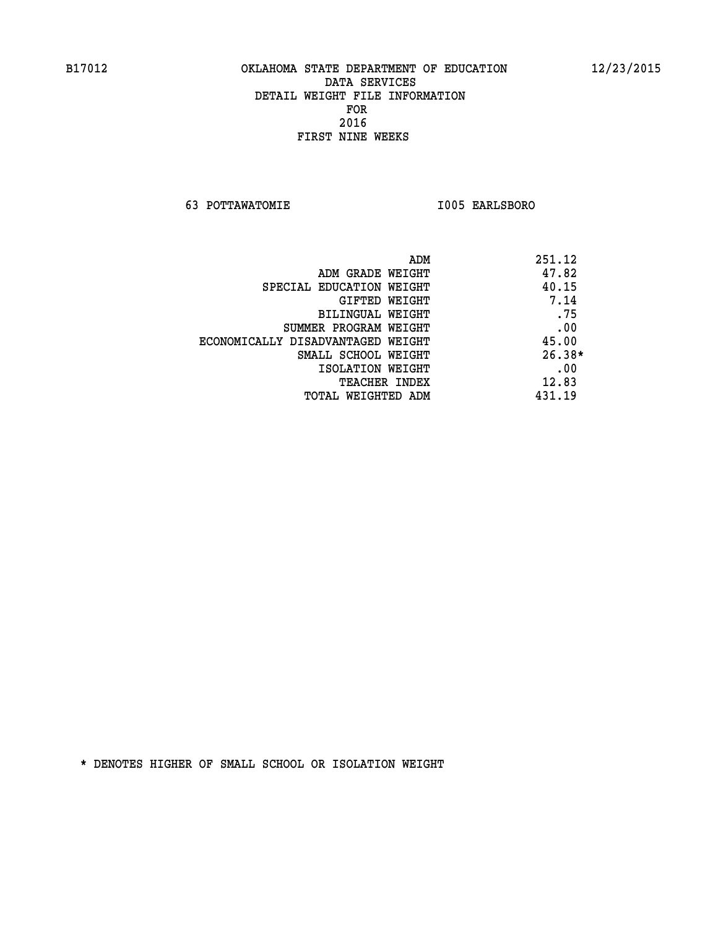**63 POTTAWATOMIE I005 EARLSBORO** 

| ADM                               | 251.12   |
|-----------------------------------|----------|
| ADM GRADE WEIGHT                  | 47.82    |
| SPECIAL EDUCATION WEIGHT          | 40.15    |
| GIFTED WEIGHT                     | 7.14     |
| <b>BILINGUAL WEIGHT</b>           | .75      |
| SUMMER PROGRAM WEIGHT             | .00      |
| ECONOMICALLY DISADVANTAGED WEIGHT | 45.00    |
| SMALL SCHOOL WEIGHT               | $26.38*$ |
| ISOLATION WEIGHT                  | .00      |
| <b>TEACHER INDEX</b>              | 12.83    |
| TOTAL WEIGHTED ADM                | 431.19   |
|                                   |          |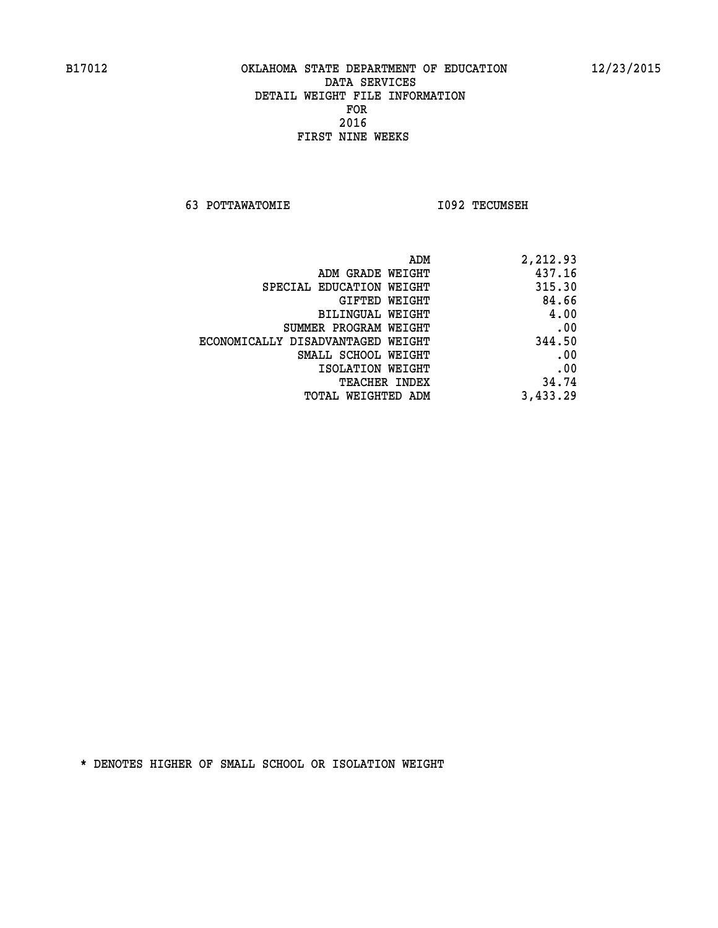**63 POTTAWATOMIE I092 TECUMSEH** 

| 2,212.93 |
|----------|
| 437.16   |
| 315.30   |
| 84.66    |
| 4.00     |
| .00      |
| 344.50   |
| .00      |
| .00      |
| 34.74    |
| 3,433.29 |
|          |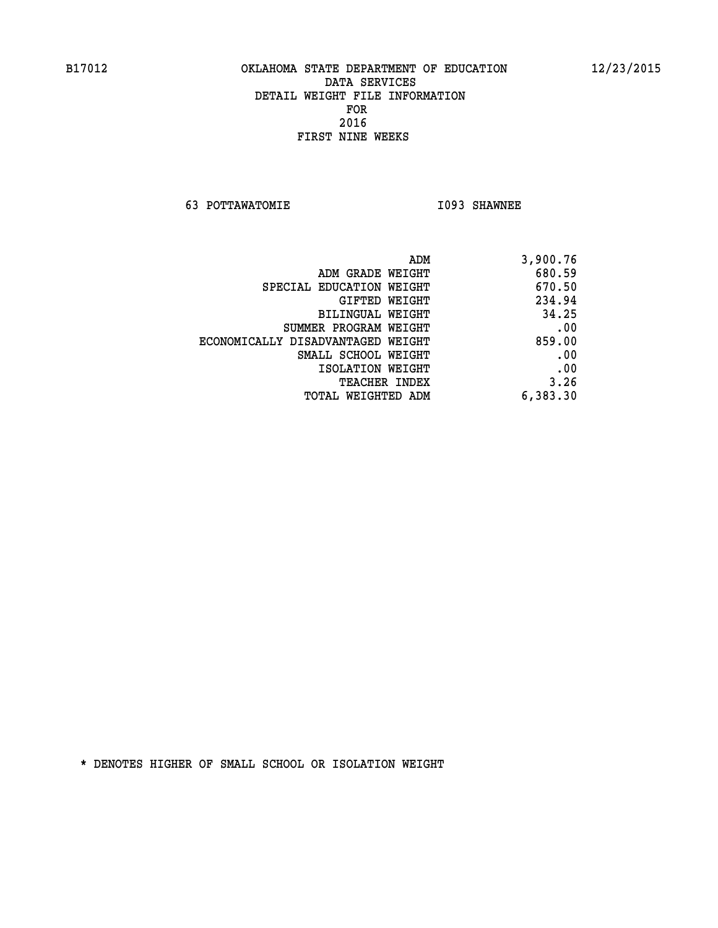**63 POTTAWATOMIE I093 SHAWNEE** 

| 3,900.76 |
|----------|
| 680.59   |
| 670.50   |
| 234.94   |
| 34.25    |
| .00      |
| 859.00   |
| .00      |
| .00      |
| 3.26     |
| 6,383.30 |
|          |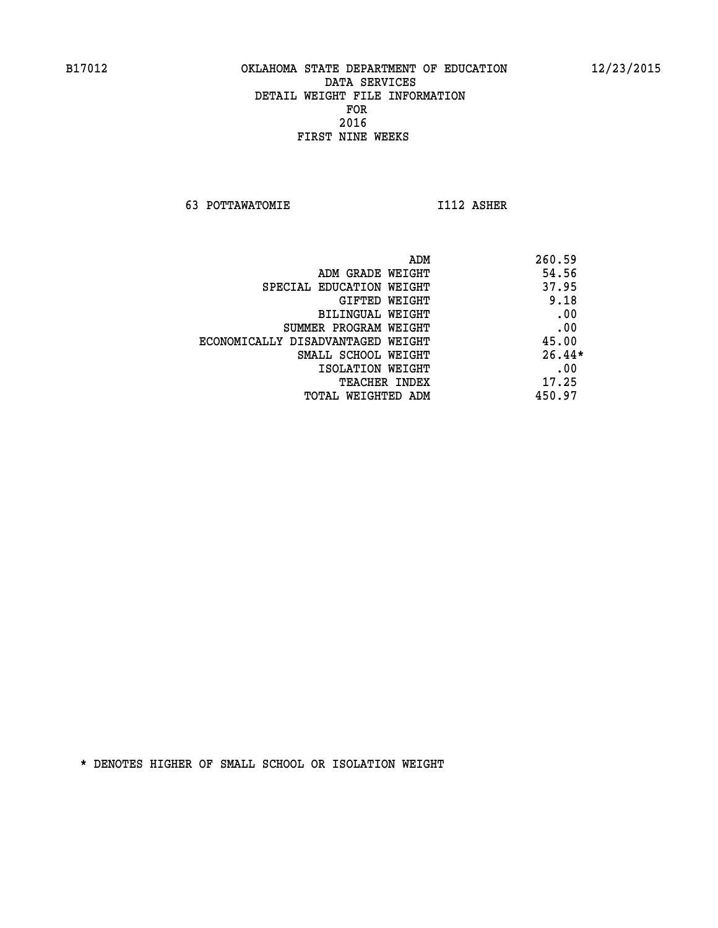**63 POTTAWATOMIE I112 ASHER** 

| 260.59<br>ADM                     |                                   |
|-----------------------------------|-----------------------------------|
| 54.56<br>ADM GRADE WEIGHT         |                                   |
| 37.95<br>SPECIAL EDUCATION WEIGHT |                                   |
| 9.18<br>GIFTED WEIGHT             |                                   |
| .00<br>BILINGUAL WEIGHT           |                                   |
| .00<br>SUMMER PROGRAM WEIGHT      |                                   |
| 45.00                             | ECONOMICALLY DISADVANTAGED WEIGHT |
| $26.44*$<br>SMALL SCHOOL WEIGHT   |                                   |
| .00<br>ISOLATION WEIGHT           |                                   |
| 17.25<br><b>TEACHER INDEX</b>     |                                   |
| 450.97<br>TOTAL WEIGHTED ADM      |                                   |
|                                   |                                   |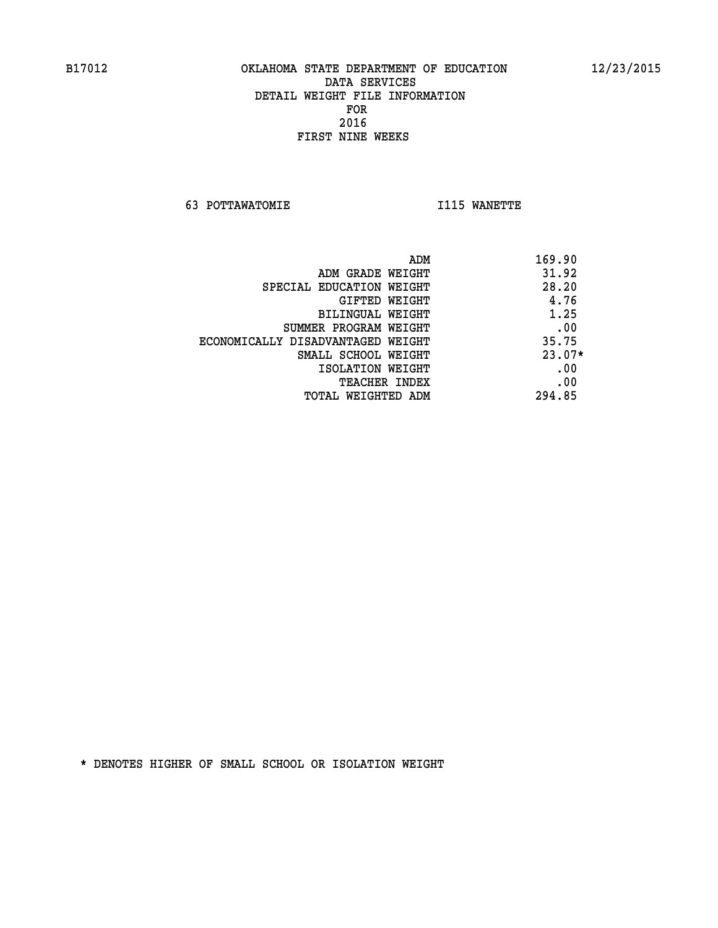**63 POTTAWATOMIE I115 WANETTE** 

|                                   | ADM<br>169.90 |
|-----------------------------------|---------------|
| ADM GRADE WEIGHT                  | 31.92         |
| SPECIAL EDUCATION WEIGHT          | 28.20         |
| GIFTED WEIGHT                     | 4.76          |
| BILINGUAL WEIGHT                  | 1.25          |
| SUMMER PROGRAM WEIGHT             | .00           |
| ECONOMICALLY DISADVANTAGED WEIGHT | 35.75         |
| SMALL SCHOOL WEIGHT               | $23.07*$      |
| ISOLATION WEIGHT                  | .00           |
| <b>TEACHER INDEX</b>              | .00           |
| TOTAL WEIGHTED ADM                | 294.85        |
|                                   |               |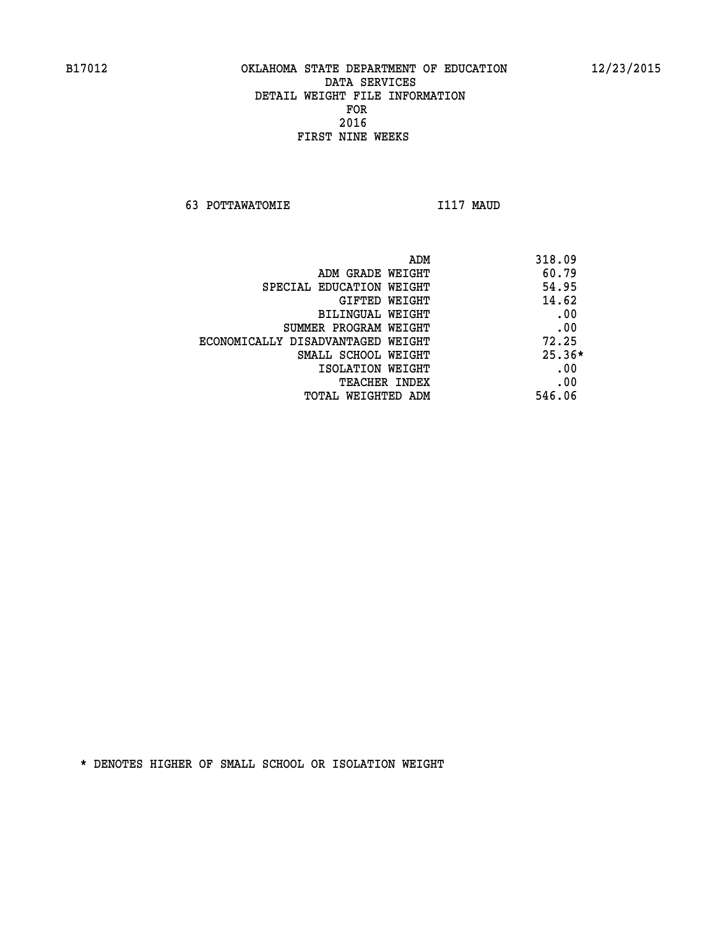**63 POTTAWATOMIE I117 MAUD** 

| ADM                               | 318.09   |
|-----------------------------------|----------|
| ADM GRADE WEIGHT                  | 60.79    |
| SPECIAL EDUCATION WEIGHT          | 54.95    |
| GIFTED WEIGHT                     | 14.62    |
| BILINGUAL WEIGHT                  | .00      |
| SUMMER PROGRAM WEIGHT             | .00      |
| ECONOMICALLY DISADVANTAGED WEIGHT | 72.25    |
| SMALL SCHOOL WEIGHT               | $25.36*$ |
| ISOLATION WEIGHT                  | .00      |
| <b>TEACHER INDEX</b>              | .00      |
| TOTAL WEIGHTED ADM                | 546.06   |
|                                   |          |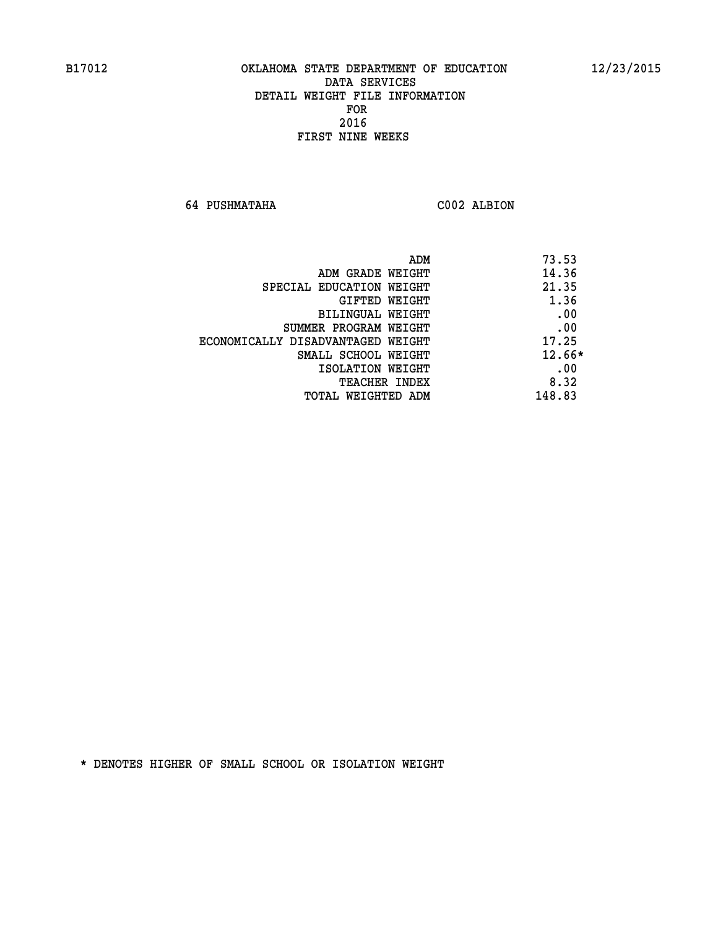**64 PUSHMATAHA C002 ALBION** 

| ADM                               | 73.53    |
|-----------------------------------|----------|
| ADM GRADE WEIGHT                  | 14.36    |
| SPECIAL EDUCATION WEIGHT          | 21.35    |
| GIFTED WEIGHT                     | 1.36     |
| BILINGUAL WEIGHT                  | .00      |
| SUMMER PROGRAM WEIGHT             | .00      |
| ECONOMICALLY DISADVANTAGED WEIGHT | 17.25    |
| SMALL SCHOOL WEIGHT               | $12.66*$ |
| ISOLATION WEIGHT                  | .00      |
| <b>TEACHER INDEX</b>              | 8.32     |
| TOTAL WEIGHTED ADM                | 148.83   |
|                                   |          |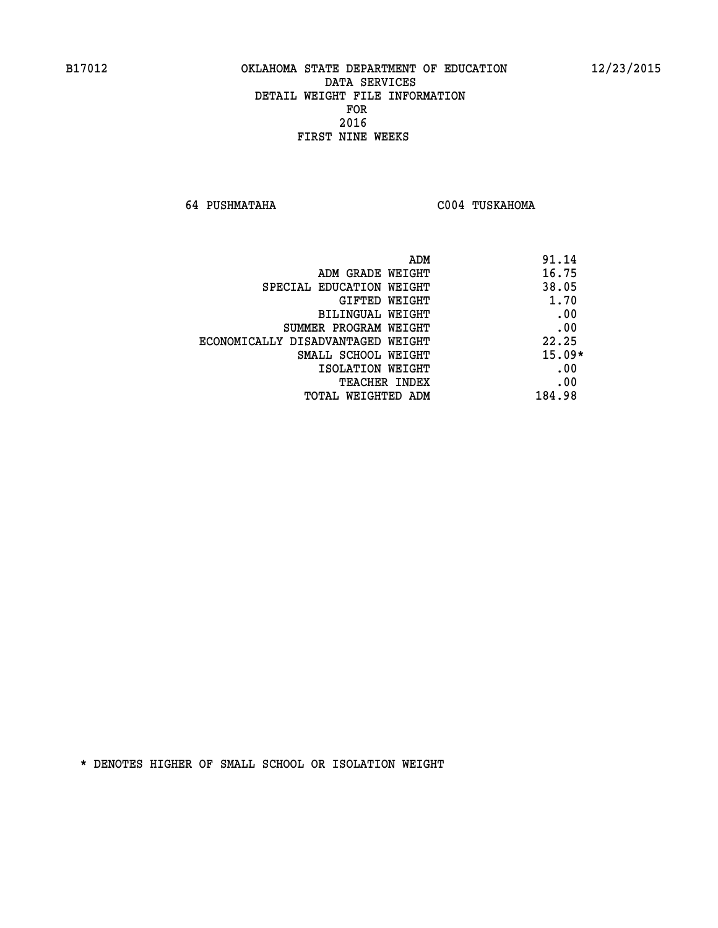**64 PUSHMATAHA C004 TUSKAHOMA** 

| ADM                               | 91.14    |
|-----------------------------------|----------|
| ADM GRADE WEIGHT                  | 16.75    |
| SPECIAL EDUCATION WEIGHT          | 38.05    |
| GIFTED WEIGHT                     | 1.70     |
| BILINGUAL WEIGHT                  | .00      |
| SUMMER PROGRAM WEIGHT             | .00      |
| ECONOMICALLY DISADVANTAGED WEIGHT | 22.25    |
| SMALL SCHOOL WEIGHT               | $15.09*$ |
| ISOLATION WEIGHT                  | .00      |
| <b>TEACHER INDEX</b>              | .00      |
| TOTAL WEIGHTED ADM                | 184.98   |
|                                   |          |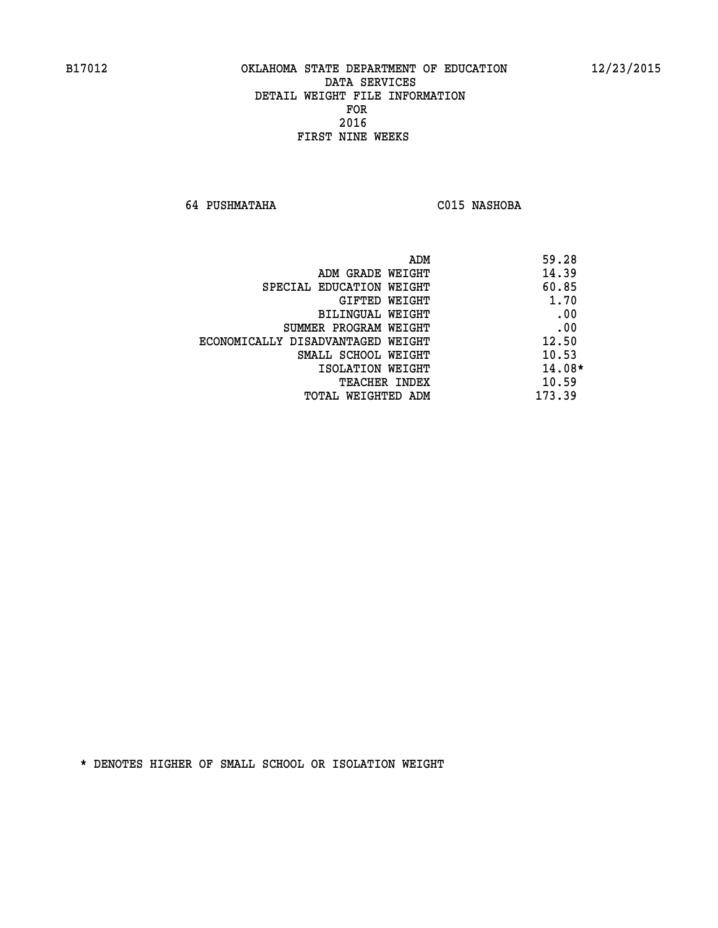**64 PUSHMATAHA C015 NASHOBA** 

|                                   | ADM | 59.28    |
|-----------------------------------|-----|----------|
| ADM GRADE WEIGHT                  |     | 14.39    |
| SPECIAL EDUCATION WEIGHT          |     | 60.85    |
| GIFTED WEIGHT                     |     | 1.70     |
| BILINGUAL WEIGHT                  |     | .00      |
| SUMMER PROGRAM WEIGHT             |     | .00      |
| ECONOMICALLY DISADVANTAGED WEIGHT |     | 12.50    |
| SMALL SCHOOL WEIGHT               |     | 10.53    |
| ISOLATION WEIGHT                  |     | $14.08*$ |
| TEACHER INDEX                     |     | 10.59    |
| TOTAL WEIGHTED ADM                |     | 173.39   |
|                                   |     |          |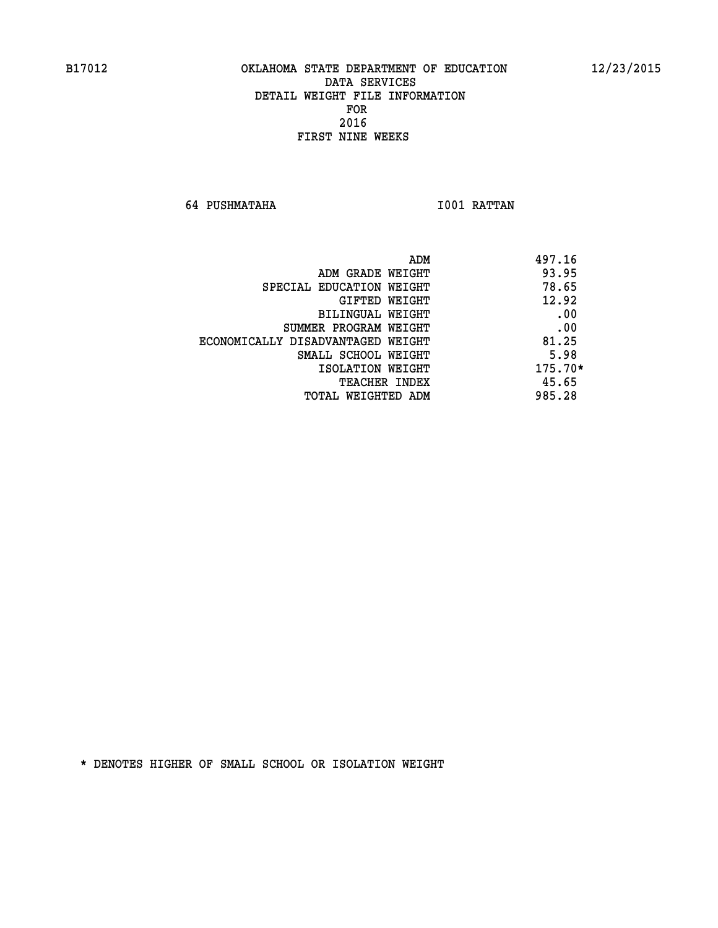**64 PUSHMATAHA I001 RATTAN** 

|                                   | ADM<br>497.16 |
|-----------------------------------|---------------|
| ADM GRADE WEIGHT                  | 93.95         |
| SPECIAL EDUCATION WEIGHT          | 78.65         |
| GIFTED WEIGHT                     | 12.92         |
| BILINGUAL WEIGHT                  | .00           |
| SUMMER PROGRAM WEIGHT             | .00           |
| ECONOMICALLY DISADVANTAGED WEIGHT | 81.25         |
| SMALL SCHOOL WEIGHT               | 5.98          |
| ISOLATION WEIGHT                  | $175.70*$     |
| TEACHER INDEX                     | 45.65         |
| TOTAL WEIGHTED ADM                | 985.28        |
|                                   |               |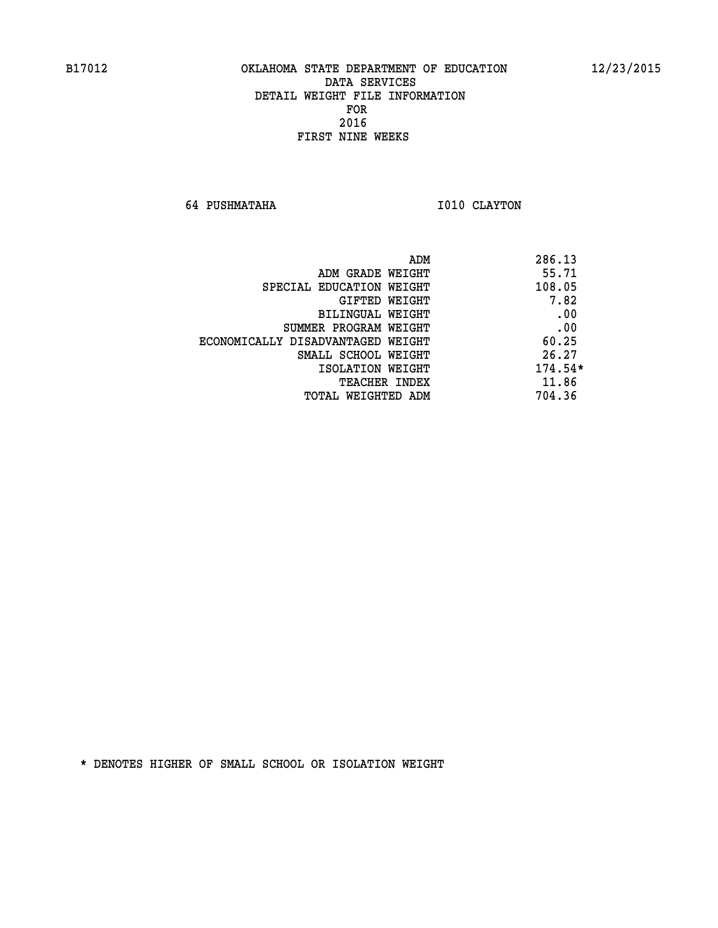**64 PUSHMATAHA I010 CLAYTON** 

| 286.13<br>ADM                              |  |
|--------------------------------------------|--|
| 55.71<br>ADM GRADE WEIGHT                  |  |
| 108.05<br>SPECIAL EDUCATION WEIGHT         |  |
| 7.82<br>GIFTED WEIGHT                      |  |
| .00<br>BILINGUAL WEIGHT                    |  |
| .00<br>SUMMER PROGRAM WEIGHT               |  |
| 60.25<br>ECONOMICALLY DISADVANTAGED WEIGHT |  |
| 26.27<br>SMALL SCHOOL WEIGHT               |  |
| $174.54*$<br>ISOLATION WEIGHT              |  |
| 11.86<br>TEACHER INDEX                     |  |
| 704.36<br>TOTAL WEIGHTED ADM               |  |
|                                            |  |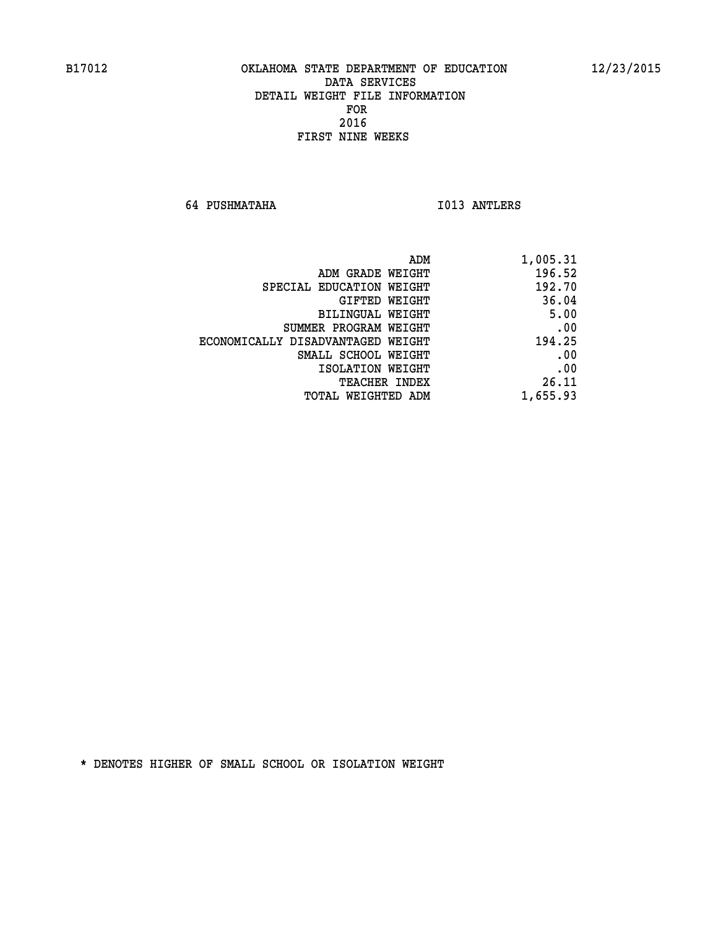**64 PUSHMATAHA I013 ANTLERS** 

| 1,005.31 |
|----------|
| 196.52   |
| 192.70   |
| 36.04    |
| 5.00     |
| .00      |
| 194.25   |
| .00      |
| .00      |
| 26.11    |
| 1,655.93 |
|          |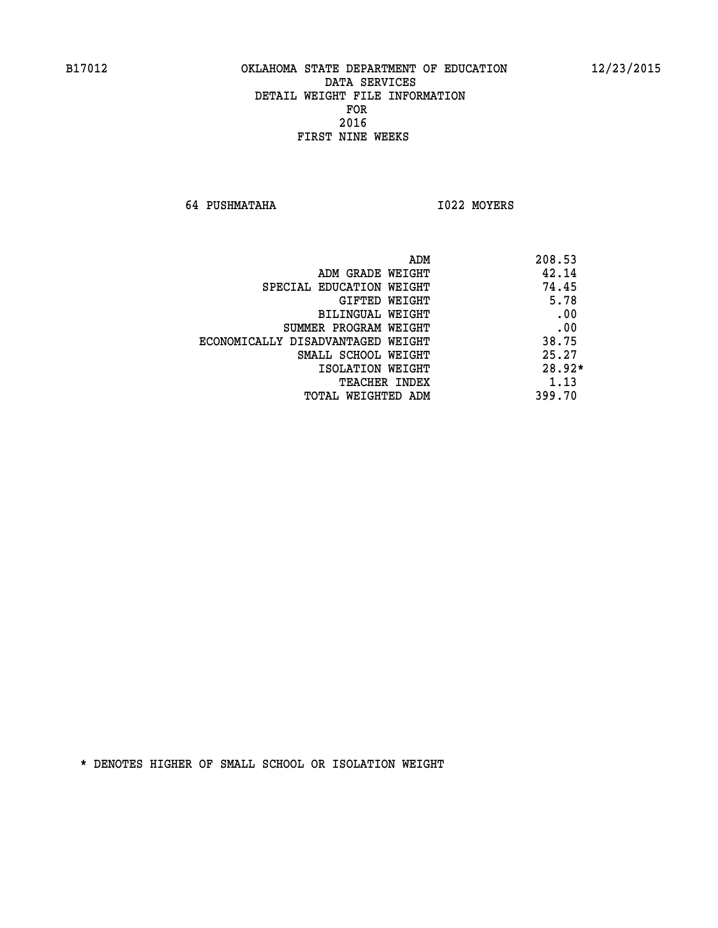**64 PUSHMATAHA I022 MOYERS** 

| ADM                               | 208.53   |
|-----------------------------------|----------|
| ADM GRADE WEIGHT                  | 42.14    |
| SPECIAL EDUCATION WEIGHT          | 74.45    |
| GIFTED WEIGHT                     | 5.78     |
| BILINGUAL WEIGHT                  | .00      |
| SUMMER PROGRAM WEIGHT             | .00      |
| ECONOMICALLY DISADVANTAGED WEIGHT | 38.75    |
| SMALL SCHOOL WEIGHT               | 25.27    |
| ISOLATION WEIGHT                  | $28.92*$ |
| <b>TEACHER INDEX</b>              | 1.13     |
| TOTAL WEIGHTED ADM                | 399.70   |
|                                   |          |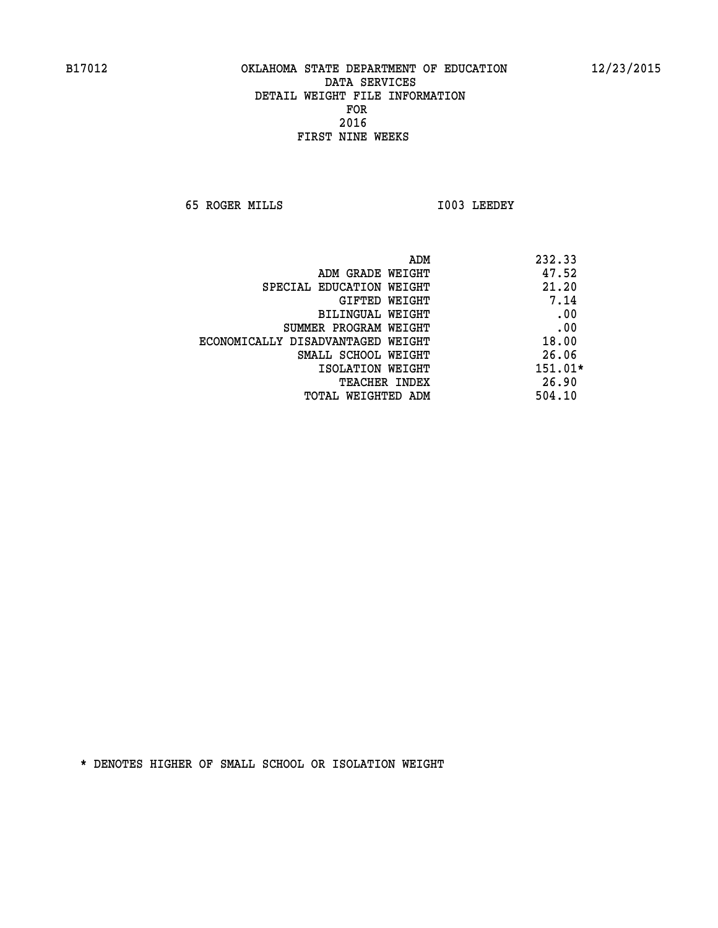**65 ROGER MILLS I003 LEEDEY** 

| 232.33<br>ADM                              |  |
|--------------------------------------------|--|
| 47.52<br>ADM GRADE WEIGHT                  |  |
| 21.20<br>SPECIAL EDUCATION WEIGHT          |  |
| 7.14<br>GIFTED WEIGHT                      |  |
| .00<br>BILINGUAL WEIGHT                    |  |
| .00<br>SUMMER PROGRAM WEIGHT               |  |
| 18.00<br>ECONOMICALLY DISADVANTAGED WEIGHT |  |
| 26.06<br>SMALL SCHOOL WEIGHT               |  |
| $151.01*$<br>ISOLATION WEIGHT              |  |
| 26.90<br><b>TEACHER INDEX</b>              |  |
| 504.10<br>TOTAL WEIGHTED ADM               |  |
|                                            |  |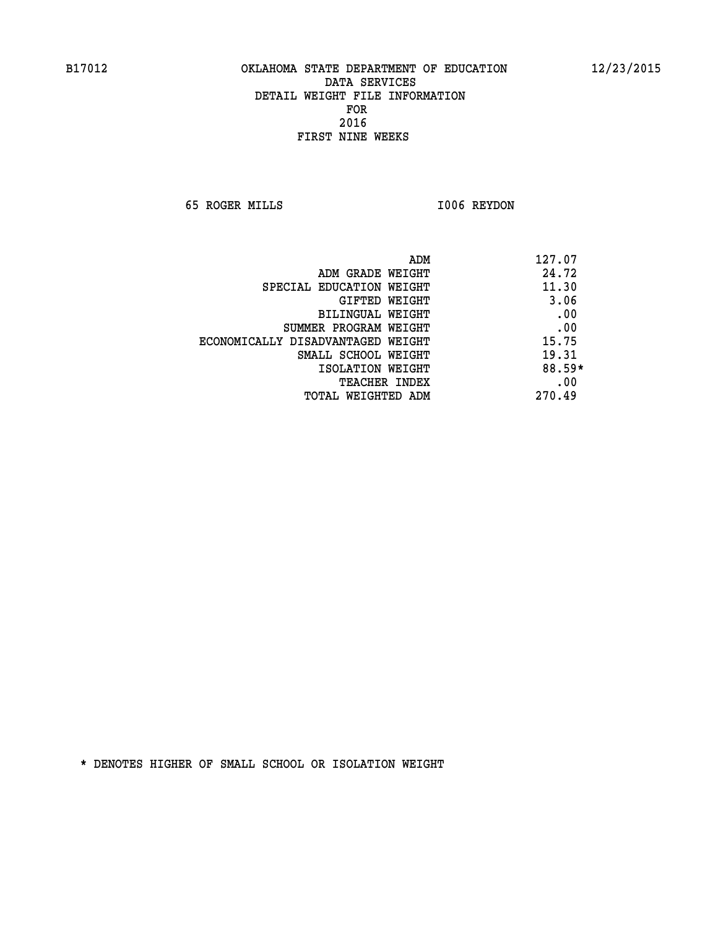**65 ROGER MILLS I006 REYDON** 

|                                   | ADM | 127.07   |
|-----------------------------------|-----|----------|
| ADM GRADE WEIGHT                  |     | 24.72    |
| SPECIAL EDUCATION WEIGHT          |     | 11.30    |
| GIFTED WEIGHT                     |     | 3.06     |
| BILINGUAL WEIGHT                  |     | .00      |
| SUMMER PROGRAM WEIGHT             |     | .00      |
| ECONOMICALLY DISADVANTAGED WEIGHT |     | 15.75    |
| SMALL SCHOOL WEIGHT               |     | 19.31    |
| ISOLATION WEIGHT                  |     | $88.59*$ |
| TEACHER INDEX                     |     | .00      |
| TOTAL WEIGHTED ADM                |     | 270.49   |
|                                   |     |          |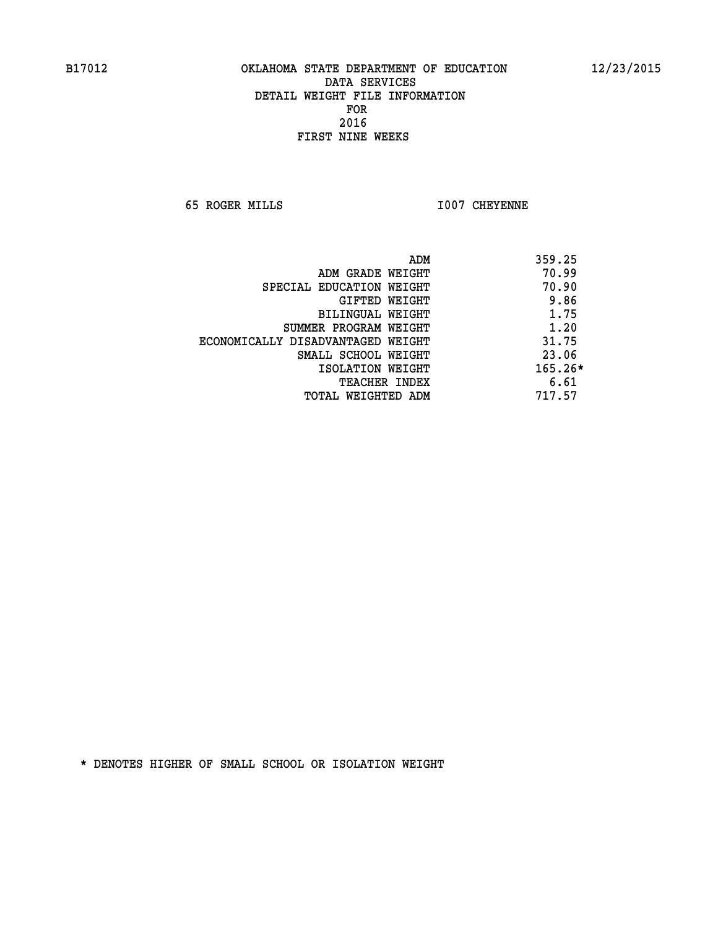**65 ROGER MILLS I007 CHEYENNE** 

|                                   | ADM<br>359.25 |
|-----------------------------------|---------------|
| ADM GRADE WEIGHT                  | 70.99         |
| SPECIAL EDUCATION WEIGHT          | 70.90         |
| GIFTED WEIGHT                     | 9.86          |
| BILINGUAL WEIGHT                  | 1.75          |
| SUMMER PROGRAM WEIGHT             | 1.20          |
| ECONOMICALLY DISADVANTAGED WEIGHT | 31.75         |
| SMALL SCHOOL WEIGHT               | 23.06         |
| ISOLATION WEIGHT                  | $165.26*$     |
| <b>TEACHER INDEX</b>              | 6.61          |
| TOTAL WEIGHTED ADM                | 717.57        |
|                                   |               |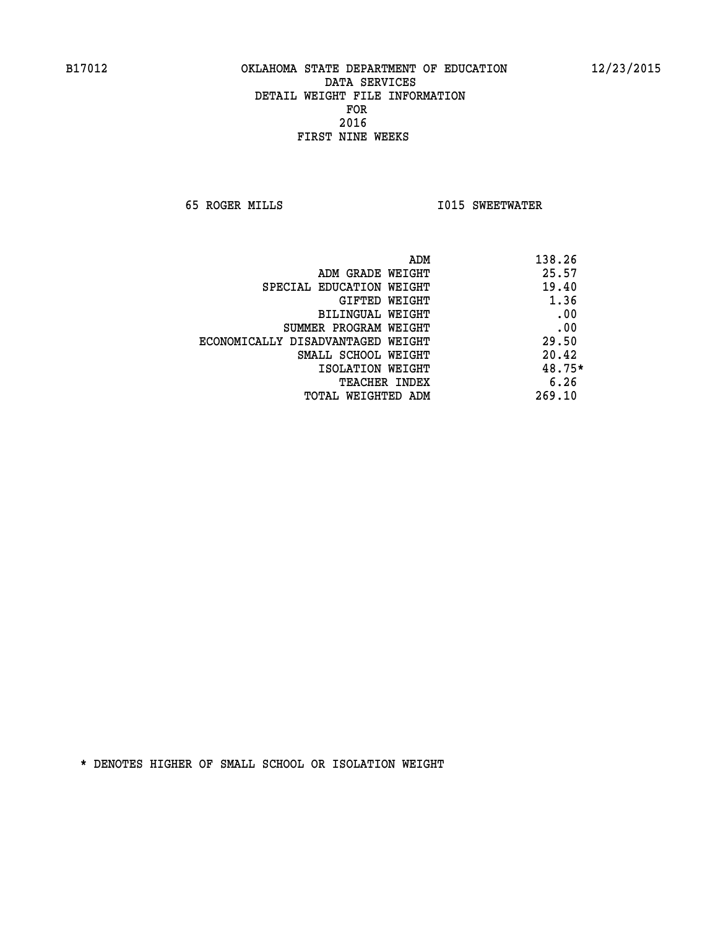**65 ROGER MILLS I015 SWEETWATER** 

| ADM                               | 138.26 |
|-----------------------------------|--------|
| ADM GRADE WEIGHT                  | 25.57  |
| SPECIAL EDUCATION WEIGHT          | 19.40  |
| GIFTED WEIGHT                     | 1.36   |
| <b>BILINGUAL WEIGHT</b>           | .00    |
| SUMMER PROGRAM WEIGHT             | .00    |
| ECONOMICALLY DISADVANTAGED WEIGHT | 29.50  |
| SMALL SCHOOL WEIGHT               | 20.42  |
| ISOLATION WEIGHT                  | 48.75* |
| <b>TEACHER INDEX</b>              | 6.26   |
| TOTAL WEIGHTED ADM                | 269.10 |
|                                   |        |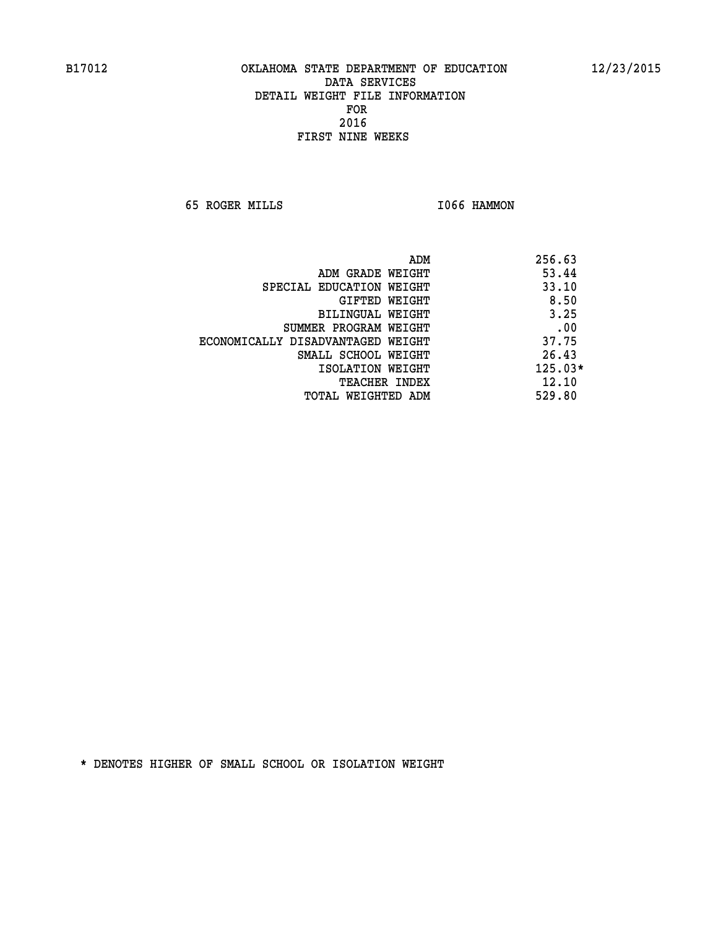**65 ROGER MILLS I066 HAMMON** 

|                                   | ADM | 256.63    |
|-----------------------------------|-----|-----------|
| ADM GRADE WEIGHT                  |     | 53.44     |
| SPECIAL EDUCATION WEIGHT          |     | 33.10     |
| GIFTED WEIGHT                     |     | 8.50      |
| BILINGUAL WEIGHT                  |     | 3.25      |
| SUMMER PROGRAM WEIGHT             |     | .00       |
| ECONOMICALLY DISADVANTAGED WEIGHT |     | 37.75     |
| SMALL SCHOOL WEIGHT               |     | 26.43     |
| ISOLATION WEIGHT                  |     | $125.03*$ |
| <b>TEACHER INDEX</b>              |     | 12.10     |
| TOTAL WEIGHTED ADM                |     | 529.80    |
|                                   |     |           |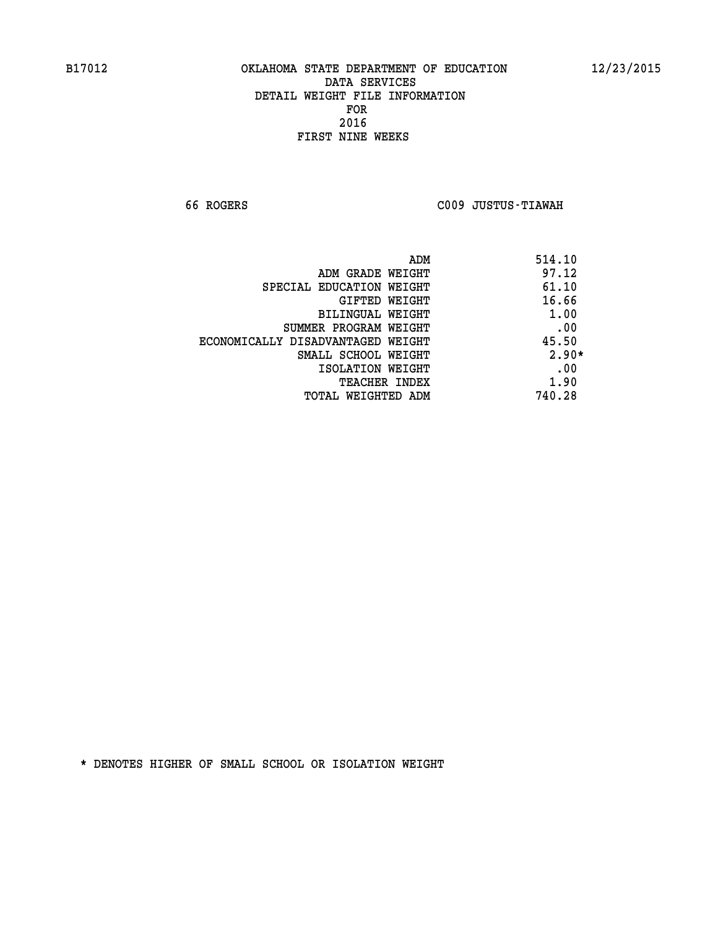**66 ROGERS C009 JUSTUS-TIAWAH** 

|                                   | ADM | 514.10  |
|-----------------------------------|-----|---------|
| ADM GRADE WEIGHT                  |     | 97.12   |
| SPECIAL EDUCATION WEIGHT          |     | 61.10   |
| GIFTED WEIGHT                     |     | 16.66   |
| BILINGUAL WEIGHT                  |     | 1.00    |
| SUMMER PROGRAM WEIGHT             |     | .00     |
| ECONOMICALLY DISADVANTAGED WEIGHT |     | 45.50   |
| SMALL SCHOOL WEIGHT               |     | $2.90*$ |
| ISOLATION WEIGHT                  |     | .00     |
| <b>TEACHER INDEX</b>              |     | 1.90    |
| TOTAL WEIGHTED ADM                |     | 740.28  |
|                                   |     |         |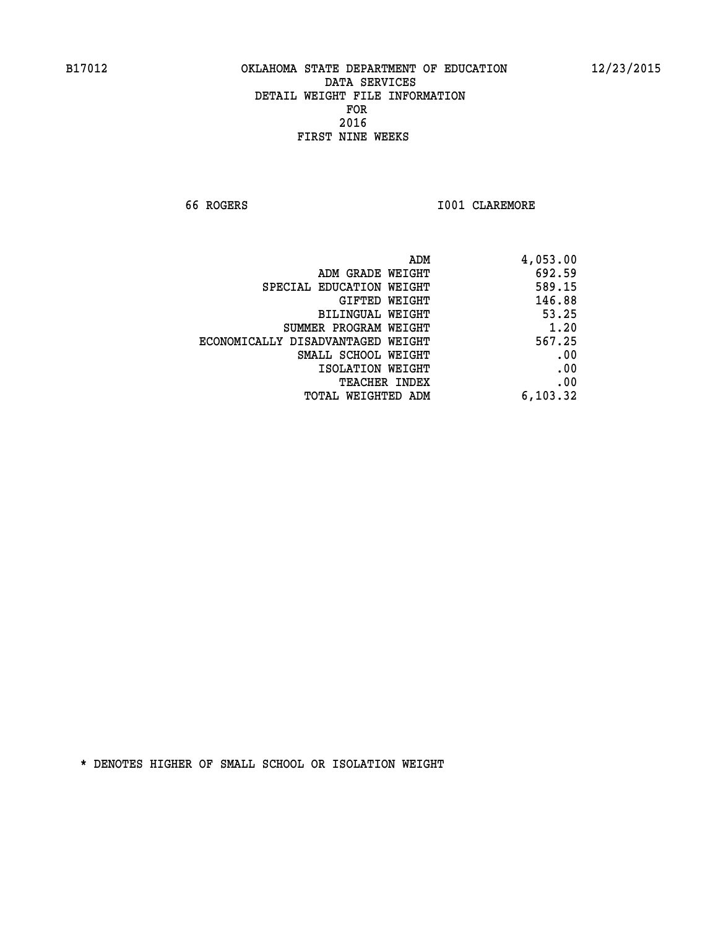**66 ROGERS I001 CLAREMORE** 

| 4,053.00 |
|----------|
| 692.59   |
| 589.15   |
| 146.88   |
| 53.25    |
| 1.20     |
| 567.25   |
| .00      |
| .00      |
| .00      |
| 6,103.32 |
|          |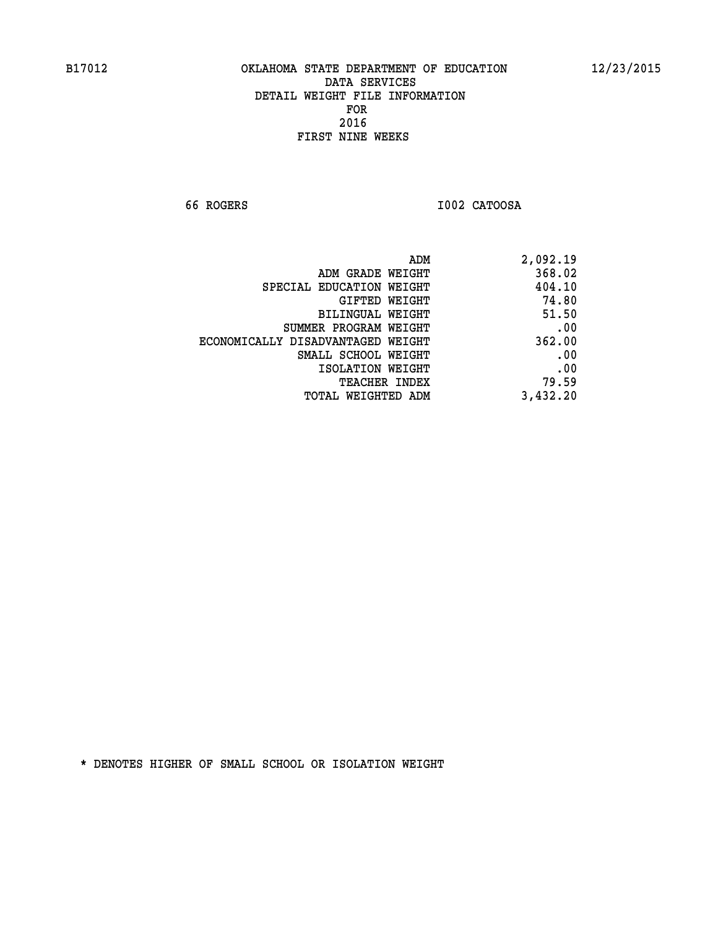**66 ROGERS I002 CATOOSA** 

| 2,092.19 |
|----------|
| 368.02   |
| 404.10   |
| 74.80    |
| 51.50    |
| .00      |
| 362.00   |
| .00      |
| .00      |
| 79.59    |
| 3,432.20 |
|          |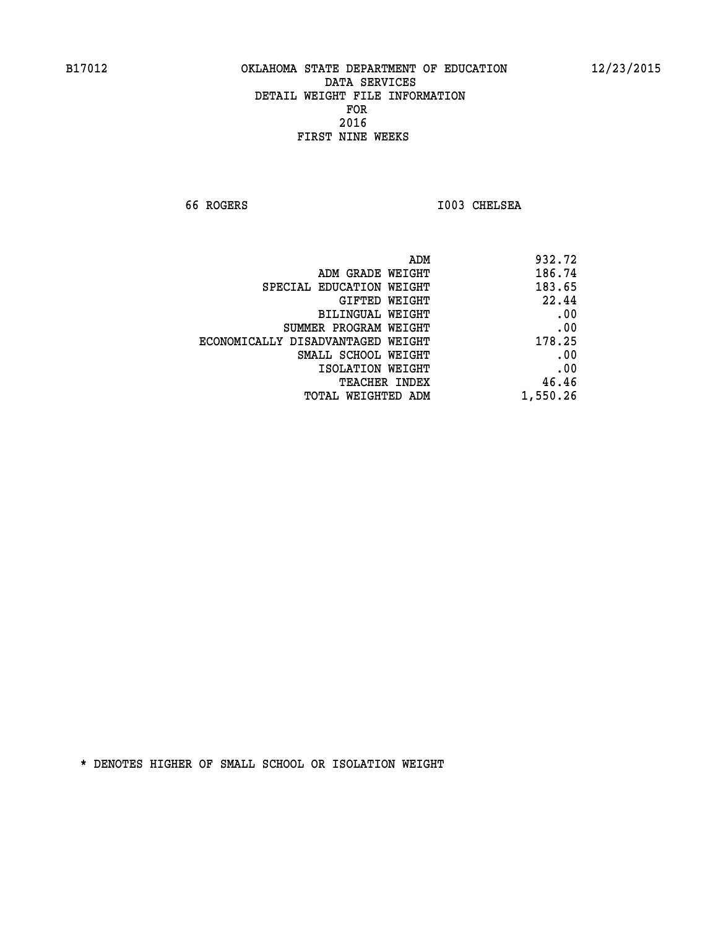**66 ROGERS I003 CHELSEA** 

| 932.72   |
|----------|
| 186.74   |
| 183.65   |
| 22.44    |
| .00      |
| .00      |
| 178.25   |
| .00      |
| .00      |
| 46.46    |
| 1,550.26 |
|          |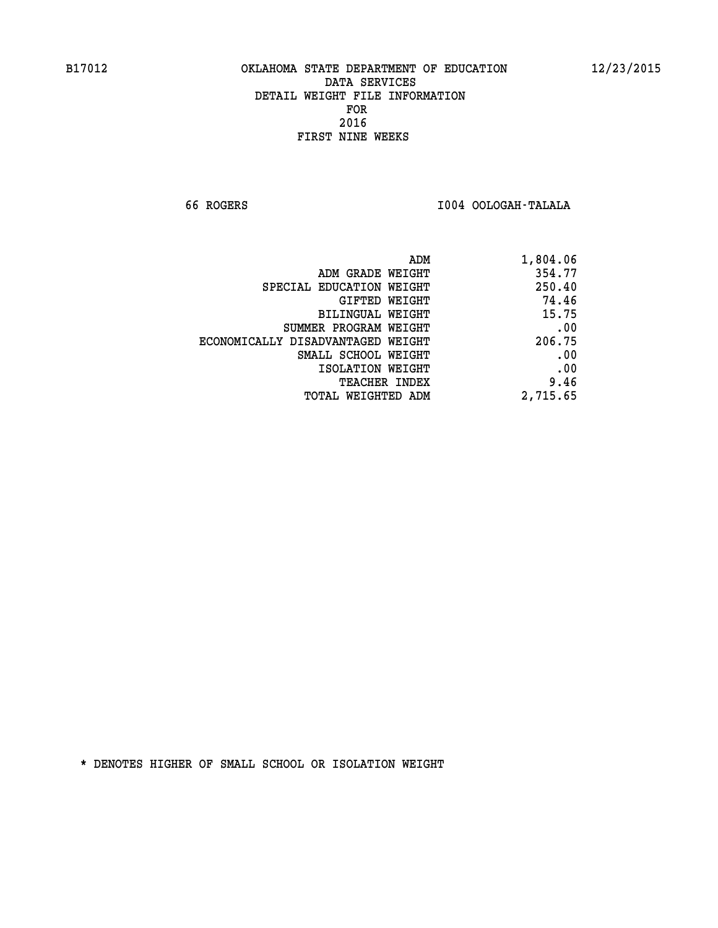**66 ROGERS I004 OOLOGAH-TALALA** 

| ADM GRADE WEIGHT<br>SPECIAL EDUCATION WEIGHT<br>GIFTED WEIGHT<br>BILINGUAL WEIGHT<br>SUMMER PROGRAM WEIGHT<br>ECONOMICALLY DISADVANTAGED WEIGHT<br>SMALL SCHOOL WEIGHT | 354.77<br>250.40<br>74.46<br>15.75 |
|------------------------------------------------------------------------------------------------------------------------------------------------------------------------|------------------------------------|
|                                                                                                                                                                        |                                    |
|                                                                                                                                                                        |                                    |
|                                                                                                                                                                        |                                    |
|                                                                                                                                                                        |                                    |
|                                                                                                                                                                        | .00                                |
|                                                                                                                                                                        | 206.75                             |
|                                                                                                                                                                        | .00                                |
| ISOLATION WEIGHT                                                                                                                                                       | .00                                |
| <b>TEACHER INDEX</b>                                                                                                                                                   | 9.46                               |
| TOTAL WEIGHTED ADM                                                                                                                                                     | 2,715.65                           |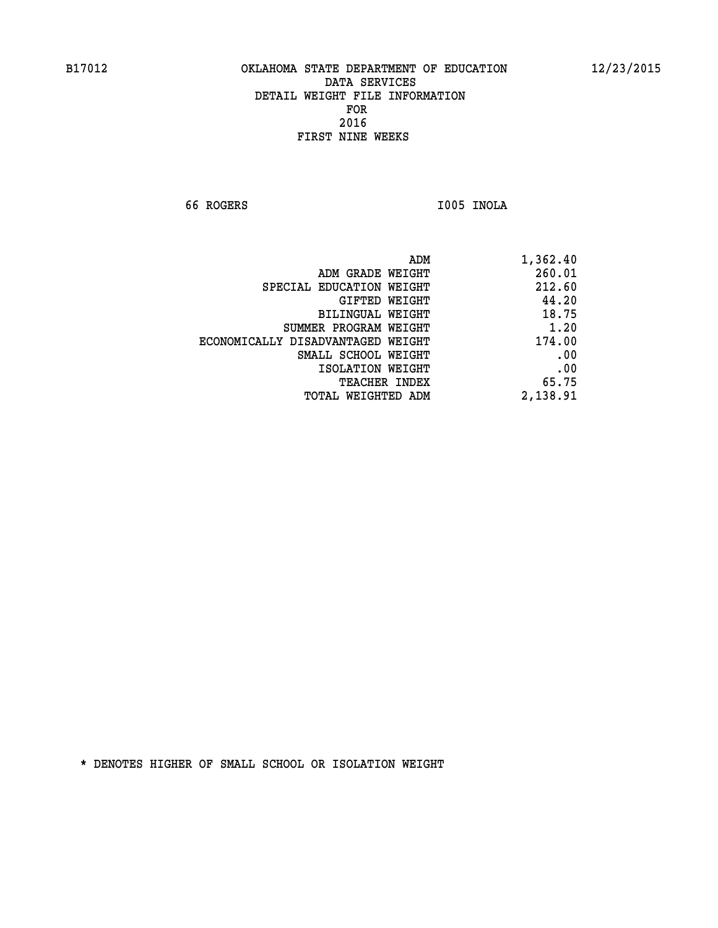**66 ROGERS I005 INOLA** 

| 1,362.40 |
|----------|
| 260.01   |
| 212.60   |
| 44.20    |
| 18.75    |
| 1.20     |
| 174.00   |
| .00      |
| .00      |
| 65.75    |
| 2,138.91 |
|          |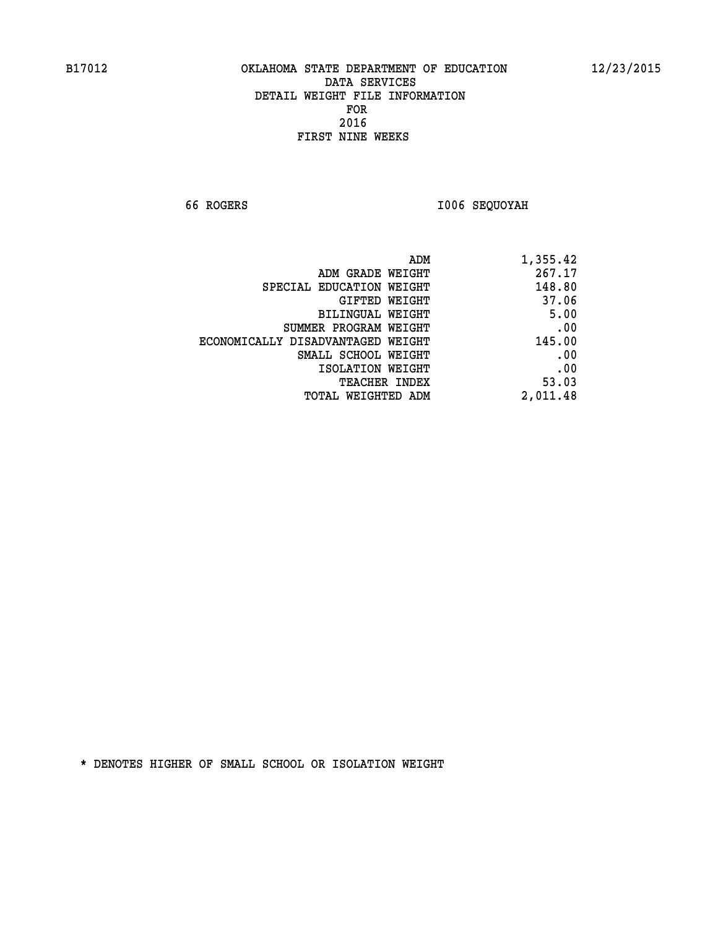**66 ROGERS I006 SEQUOYAH** 

| 1,355.42 |
|----------|
| 267.17   |
| 148.80   |
| 37.06    |
| 5.00     |
| .00      |
| 145.00   |
| .00      |
| .00      |
| 53.03    |
| 2,011.48 |
|          |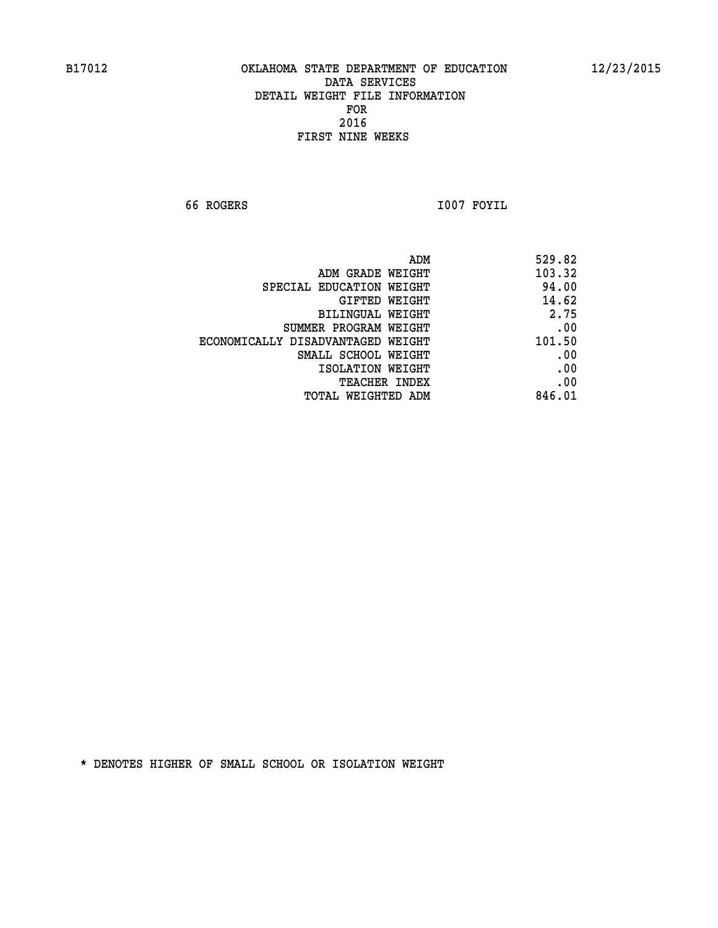**66 ROGERS I007 FOYIL** 

| 529.82 | ADM                               |
|--------|-----------------------------------|
| 103.32 | ADM GRADE WEIGHT                  |
| 94.00  | SPECIAL EDUCATION WEIGHT          |
| 14.62  | GIFTED WEIGHT                     |
| 2.75   | BILINGUAL WEIGHT                  |
| .00    | SUMMER PROGRAM WEIGHT             |
| 101.50 | ECONOMICALLY DISADVANTAGED WEIGHT |
| .00    | SMALL SCHOOL WEIGHT               |
| .00    | ISOLATION WEIGHT                  |
| .00    | TEACHER INDEX                     |
| 846.01 | TOTAL WEIGHTED ADM                |
|        |                                   |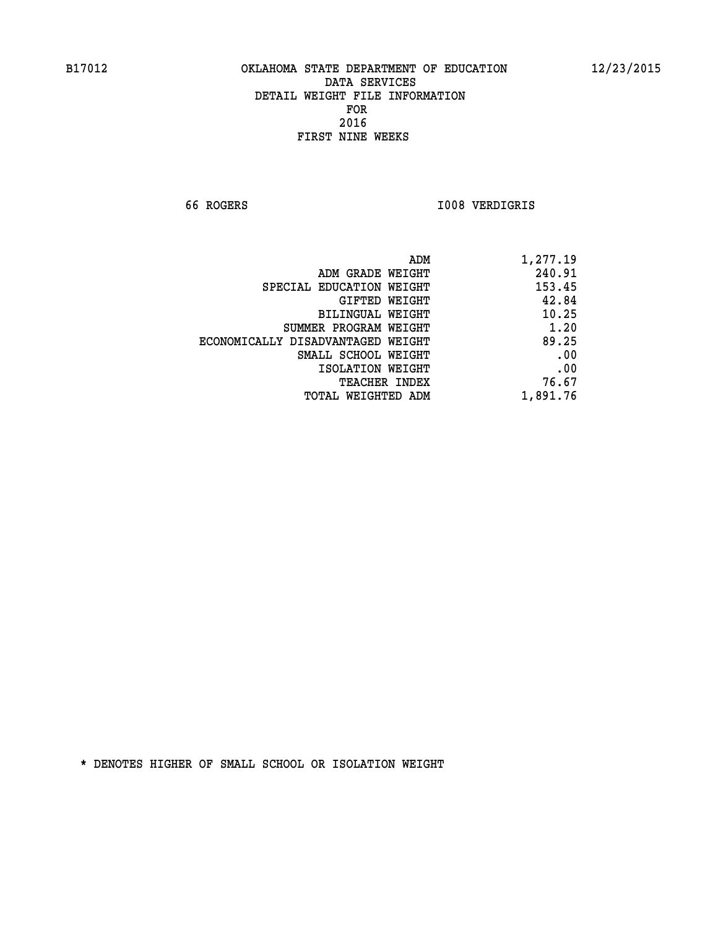**66 ROGERS I008 VERDIGRIS** 

| ADM                               | 1,277.19 |
|-----------------------------------|----------|
| ADM GRADE WEIGHT                  | 240.91   |
| SPECIAL EDUCATION WEIGHT          | 153.45   |
| GIFTED WEIGHT                     | 42.84    |
| BILINGUAL WEIGHT                  | 10.25    |
| SUMMER PROGRAM WEIGHT             | 1.20     |
| ECONOMICALLY DISADVANTAGED WEIGHT | 89.25    |
| SMALL SCHOOL WEIGHT               | .00      |
| ISOLATION WEIGHT                  | .00      |
| TEACHER INDEX                     | 76.67    |
| TOTAL WEIGHTED ADM                | 1,891.76 |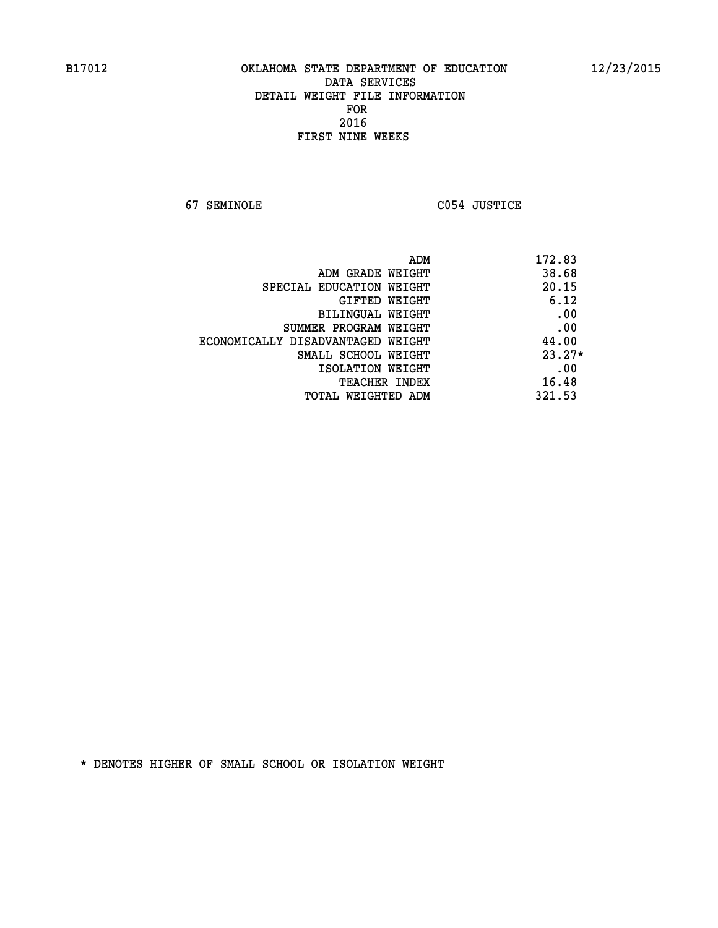**67 SEMINOLE C054 JUSTICE** 

| ADM                               | 172.83   |
|-----------------------------------|----------|
| ADM GRADE WEIGHT                  | 38.68    |
| SPECIAL EDUCATION WEIGHT          | 20.15    |
| GIFTED WEIGHT                     | 6.12     |
| BILINGUAL WEIGHT                  | .00      |
| SUMMER PROGRAM WEIGHT             | .00      |
| ECONOMICALLY DISADVANTAGED WEIGHT | 44.00    |
| SMALL SCHOOL WEIGHT               | $23.27*$ |
| ISOLATION WEIGHT                  | .00      |
| <b>TEACHER INDEX</b>              | 16.48    |
| TOTAL WEIGHTED ADM                | 321.53   |
|                                   |          |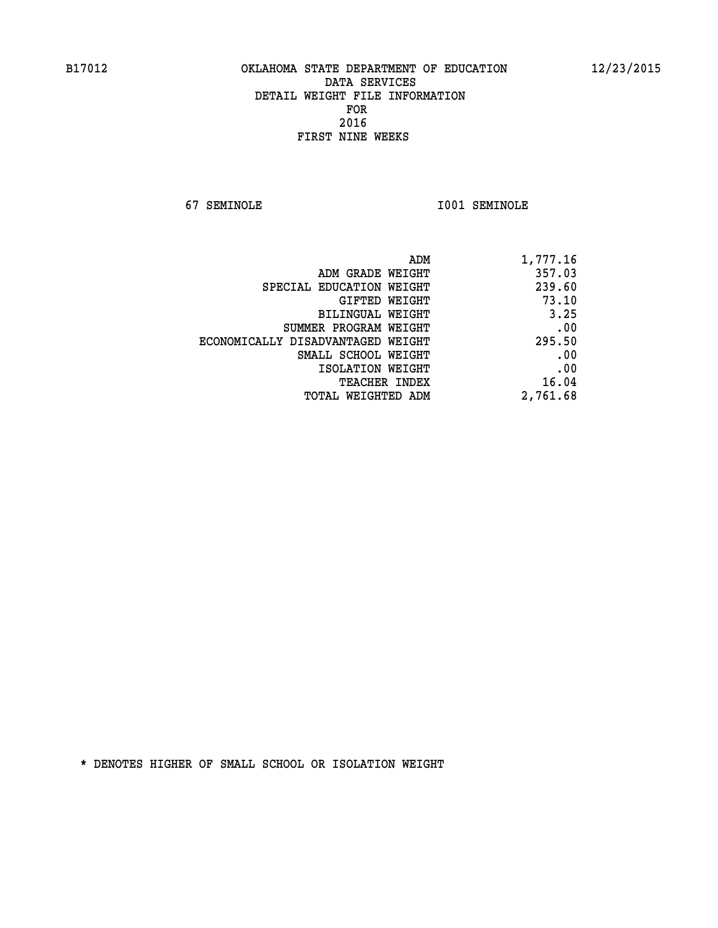**67 SEMINOLE I001 SEMINOLE** 

| 1,777.16 |
|----------|
| 357.03   |
| 239.60   |
| 73.10    |
| 3.25     |
| .00      |
| 295.50   |
| .00      |
| .00      |
| 16.04    |
| 2,761.68 |
|          |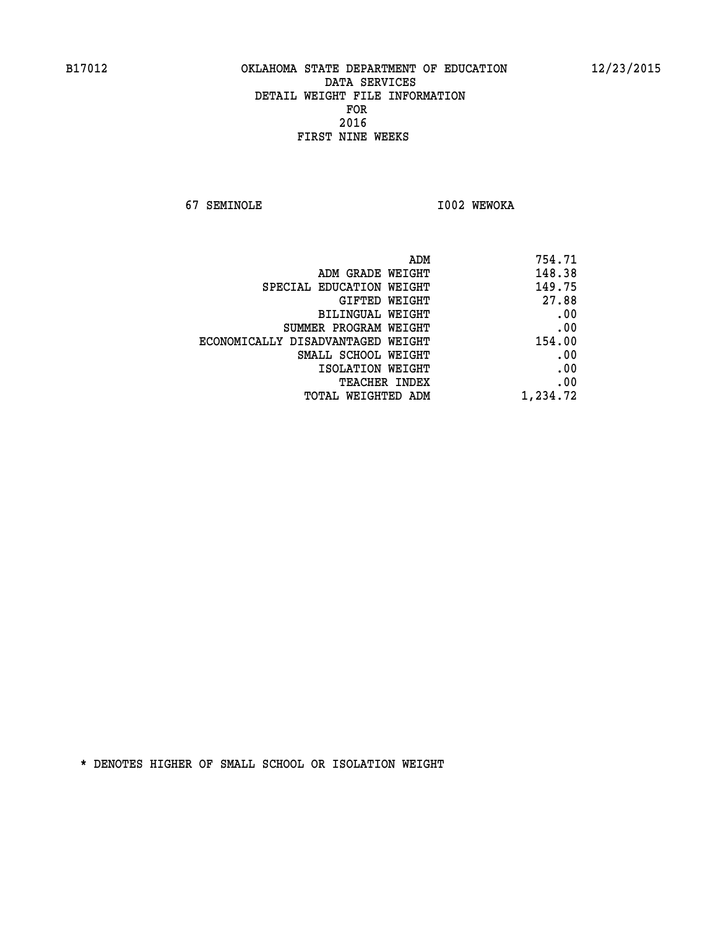**67 SEMINOLE I002 WEWOKA** 

| 754.71   |
|----------|
| 148.38   |
| 149.75   |
| 27.88    |
| .00      |
| .00      |
| 154.00   |
| .00      |
| .00      |
| .00      |
| 1,234.72 |
|          |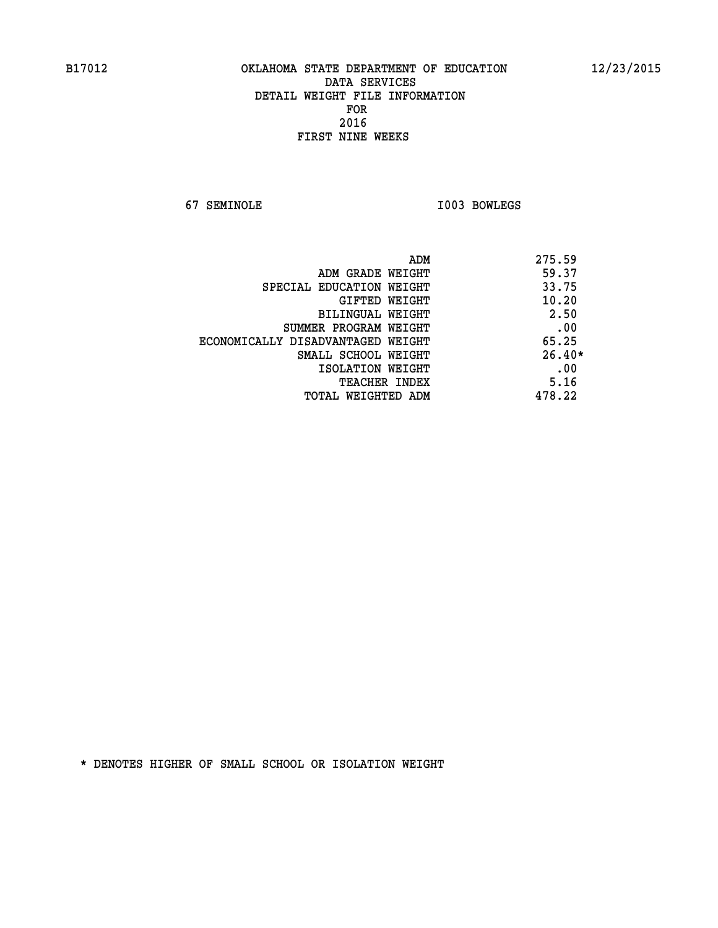**67 SEMINOLE I003 BOWLEGS** 

|                                   | ADM | 275.59   |
|-----------------------------------|-----|----------|
| ADM GRADE WEIGHT                  |     | 59.37    |
| SPECIAL EDUCATION WEIGHT          |     | 33.75    |
| GIFTED WEIGHT                     |     | 10.20    |
| BILINGUAL WEIGHT                  |     | 2.50     |
| SUMMER PROGRAM WEIGHT             |     | .00      |
| ECONOMICALLY DISADVANTAGED WEIGHT |     | 65.25    |
| SMALL SCHOOL WEIGHT               |     | $26.40*$ |
| ISOLATION WEIGHT                  |     | .00      |
| <b>TEACHER INDEX</b>              |     | 5.16     |
| TOTAL WEIGHTED ADM                |     | 478.22   |
|                                   |     |          |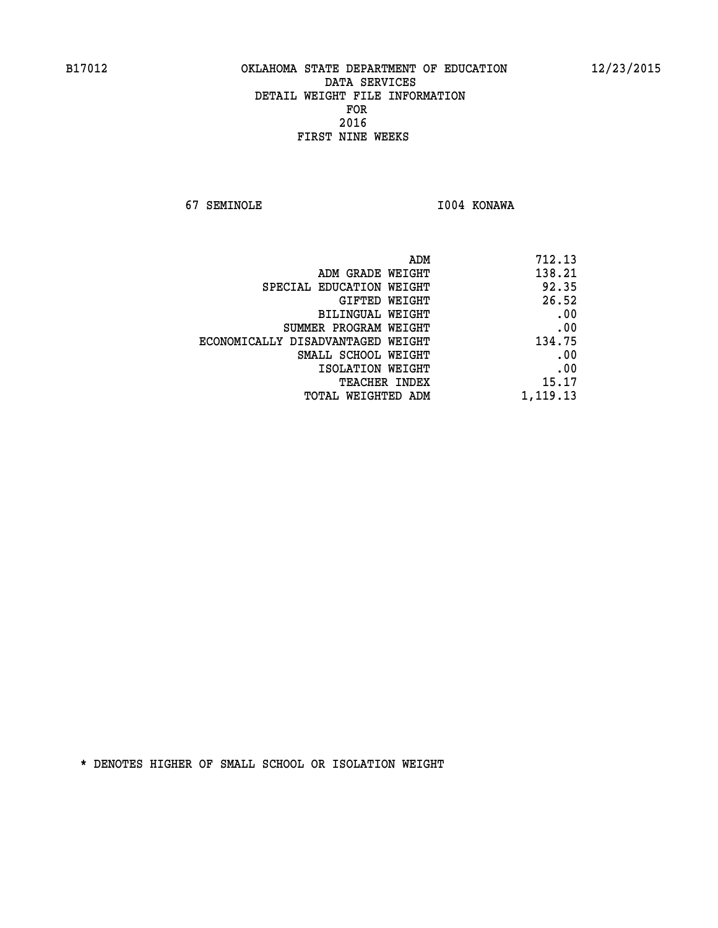**67 SEMINOLE I004 KONAWA** 

| ADM                               | 712.13   |
|-----------------------------------|----------|
| ADM GRADE WEIGHT                  | 138.21   |
| SPECIAL EDUCATION WEIGHT          | 92.35    |
| GIFTED WEIGHT                     | 26.52    |
| BILINGUAL WEIGHT                  | .00      |
| SUMMER PROGRAM WEIGHT             | .00      |
| ECONOMICALLY DISADVANTAGED WEIGHT | 134.75   |
| SMALL SCHOOL WEIGHT               | .00      |
| ISOLATION WEIGHT                  | .00      |
| TEACHER INDEX                     | 15.17    |
| TOTAL WEIGHTED ADM                | 1,119.13 |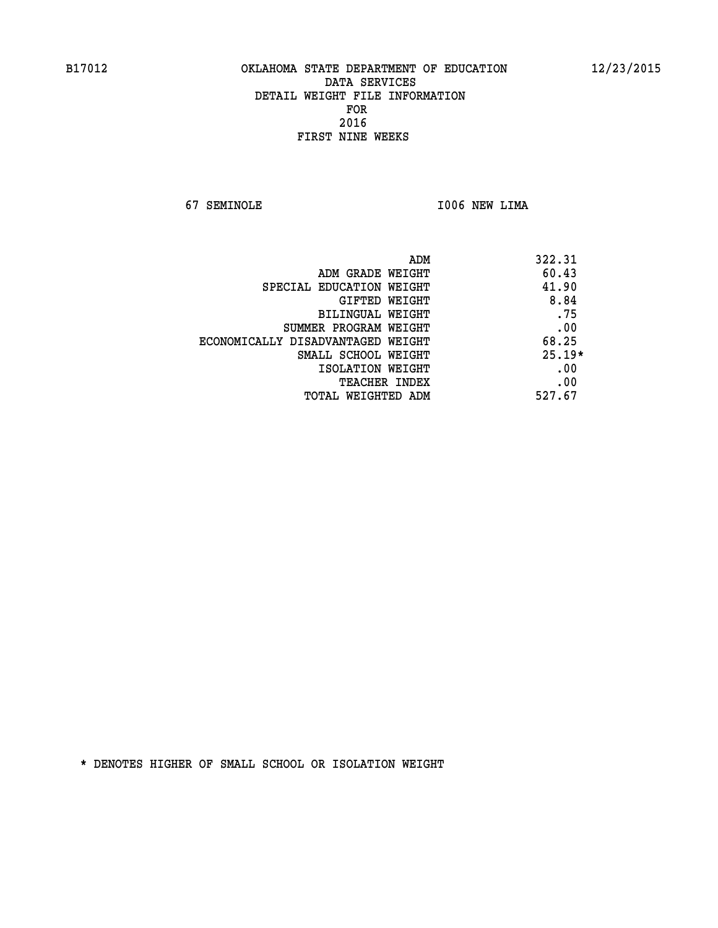**67 SEMINOLE I006 NEW LIMA** 

| ADM                               | 322.31   |
|-----------------------------------|----------|
| ADM GRADE WEIGHT                  | 60.43    |
| SPECIAL EDUCATION WEIGHT          | 41.90    |
| <b>GIFTED WEIGHT</b>              | 8.84     |
| BILINGUAL WEIGHT                  | .75      |
| SUMMER PROGRAM WEIGHT             | .00      |
| ECONOMICALLY DISADVANTAGED WEIGHT | 68.25    |
| SMALL SCHOOL WEIGHT               | $25.19*$ |
| ISOLATION WEIGHT                  | .00      |
| <b>TEACHER INDEX</b>              | .00      |
| TOTAL WEIGHTED ADM                | 527.67   |
|                                   |          |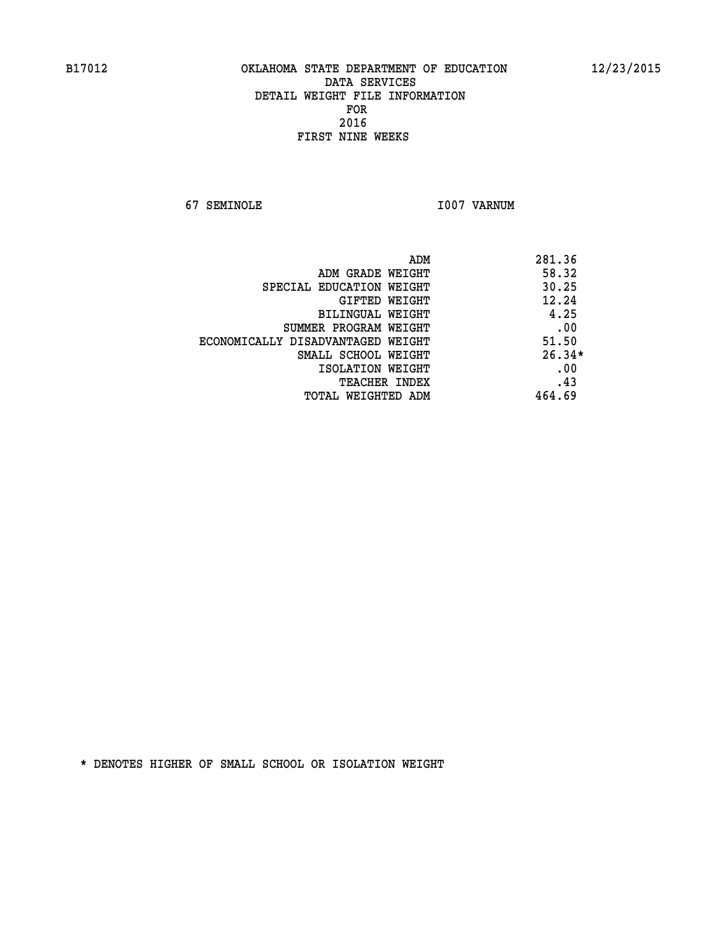**67 SEMINOLE 1007 VARNUM** 

| ADM                               | 281.36   |
|-----------------------------------|----------|
| ADM GRADE WEIGHT                  | 58.32    |
| SPECIAL EDUCATION WEIGHT          | 30.25    |
| <b>GIFTED WEIGHT</b>              | 12.24    |
| BILINGUAL WEIGHT                  | 4.25     |
| SUMMER PROGRAM WEIGHT             | .00      |
| ECONOMICALLY DISADVANTAGED WEIGHT | 51.50    |
| SMALL SCHOOL WEIGHT               | $26.34*$ |
| ISOLATION WEIGHT                  | .00      |
| <b>TEACHER INDEX</b>              | .43      |
| TOTAL WEIGHTED ADM                | 464.69   |
|                                   |          |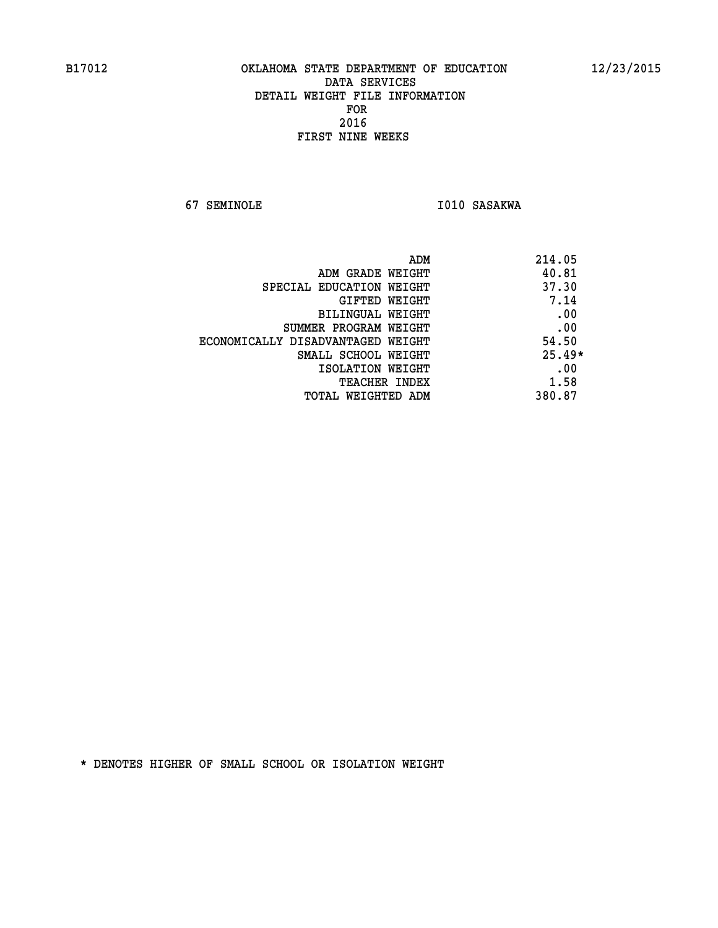**67 SEMINOLE 1010 SASAKWA** 

|                                   | 214.05<br>ADM |
|-----------------------------------|---------------|
| ADM GRADE WEIGHT                  | 40.81         |
| SPECIAL EDUCATION WEIGHT          | 37.30         |
| <b>GIFTED WEIGHT</b>              | 7.14          |
| BILINGUAL WEIGHT                  | .00           |
| SUMMER PROGRAM WEIGHT             | .00           |
| ECONOMICALLY DISADVANTAGED WEIGHT | 54.50         |
| SMALL SCHOOL WEIGHT               | $25.49*$      |
| ISOLATION WEIGHT                  | .00           |
| <b>TEACHER INDEX</b>              | 1.58          |
| TOTAL WEIGHTED ADM                | 380.87        |
|                                   |               |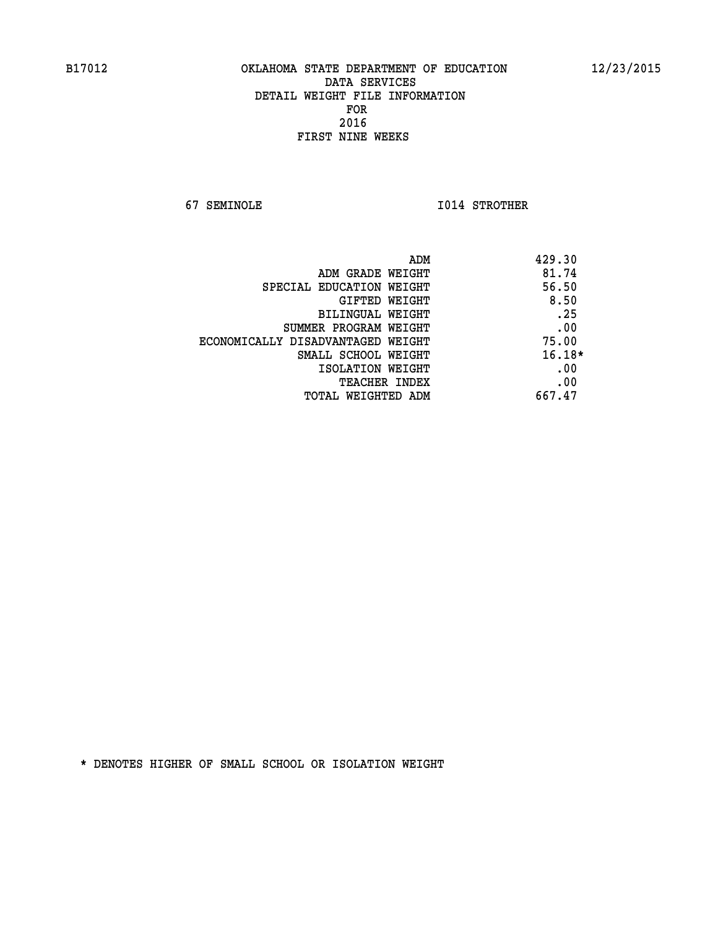**67 SEMINOLE I014 STROTHER** 

|                                   | 429.30<br>ADM |
|-----------------------------------|---------------|
| ADM GRADE WEIGHT                  | 81.74         |
| SPECIAL EDUCATION WEIGHT          | 56.50         |
| <b>GIFTED WEIGHT</b>              | 8.50          |
| BILINGUAL WEIGHT                  | .25           |
| SUMMER PROGRAM WEIGHT             | .00           |
| ECONOMICALLY DISADVANTAGED WEIGHT | 75.00         |
| SMALL SCHOOL WEIGHT               | $16.18*$      |
| ISOLATION WEIGHT                  | .00           |
| <b>TEACHER INDEX</b>              | .00           |
| TOTAL WEIGHTED ADM                | 667.47        |
|                                   |               |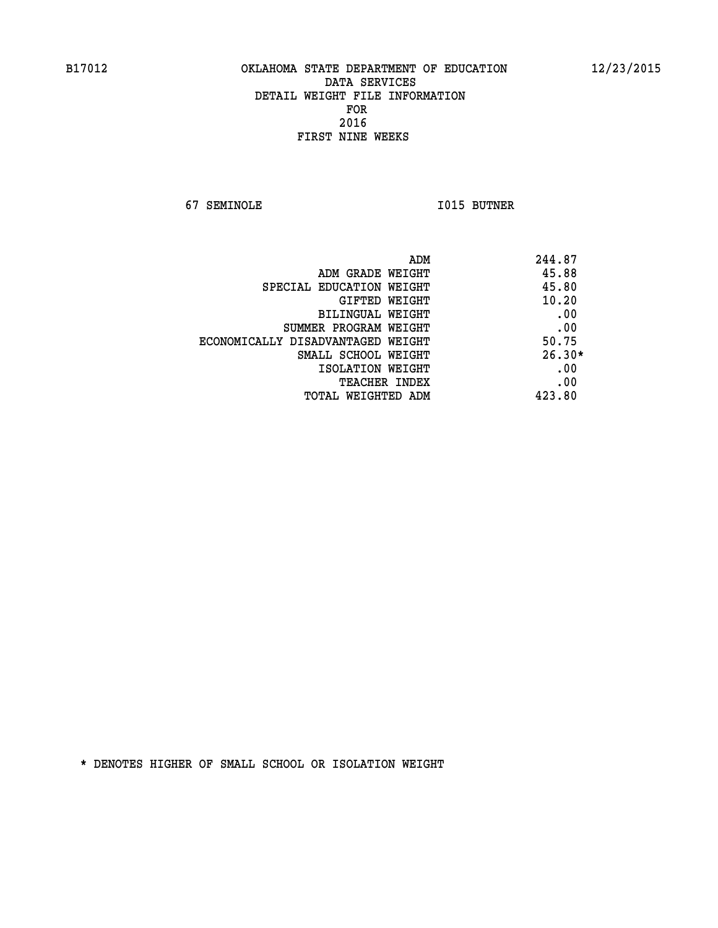**67 SEMINOLE I015 BUTNER** 

| ADM                               | 244.87   |
|-----------------------------------|----------|
| ADM GRADE WEIGHT                  | 45.88    |
| SPECIAL EDUCATION WEIGHT          | 45.80    |
| GIFTED WEIGHT                     | 10.20    |
| BILINGUAL WEIGHT                  | .00      |
| SUMMER PROGRAM WEIGHT             | .00      |
| ECONOMICALLY DISADVANTAGED WEIGHT | 50.75    |
| SMALL SCHOOL WEIGHT               | $26.30*$ |
| ISOLATION WEIGHT                  | .00      |
| <b>TEACHER INDEX</b>              | .00      |
| TOTAL WEIGHTED ADM                | 423.80   |
|                                   |          |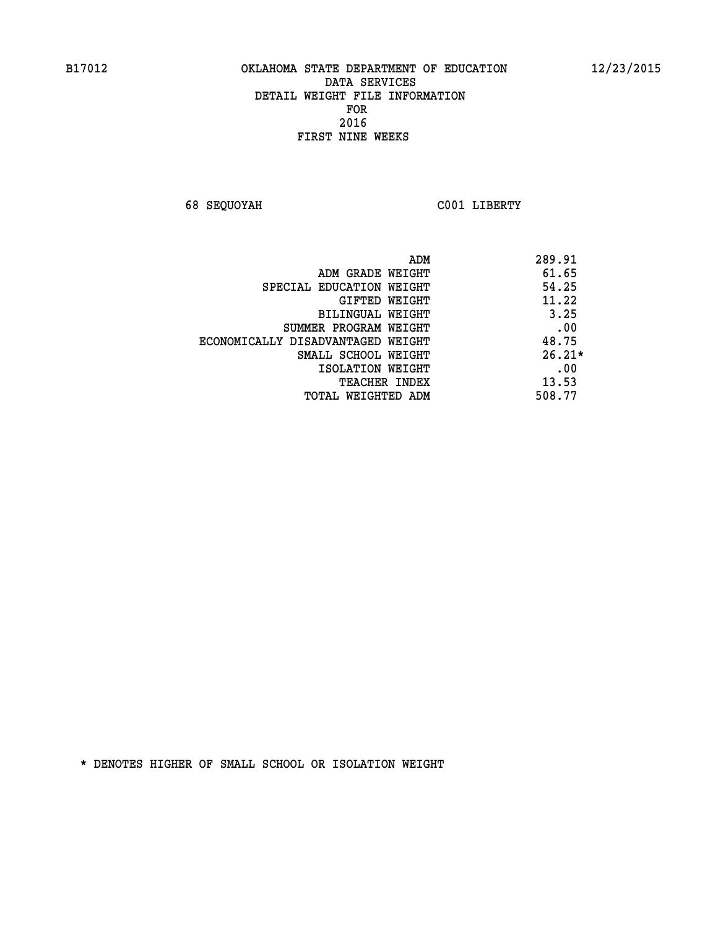**68 SEQUOYAH C001 LIBERTY** 

|                                   | ADM | 289.91   |
|-----------------------------------|-----|----------|
| ADM GRADE WEIGHT                  |     | 61.65    |
| SPECIAL EDUCATION WEIGHT          |     | 54.25    |
| GIFTED WEIGHT                     |     | 11.22    |
| BILINGUAL WEIGHT                  |     | 3.25     |
| SUMMER PROGRAM WEIGHT             |     | .00      |
| ECONOMICALLY DISADVANTAGED WEIGHT |     | 48.75    |
| SMALL SCHOOL WEIGHT               |     | $26.21*$ |
| ISOLATION WEIGHT                  |     | .00      |
| <b>TEACHER INDEX</b>              |     | 13.53    |
| TOTAL WEIGHTED ADM                |     | 508.77   |
|                                   |     |          |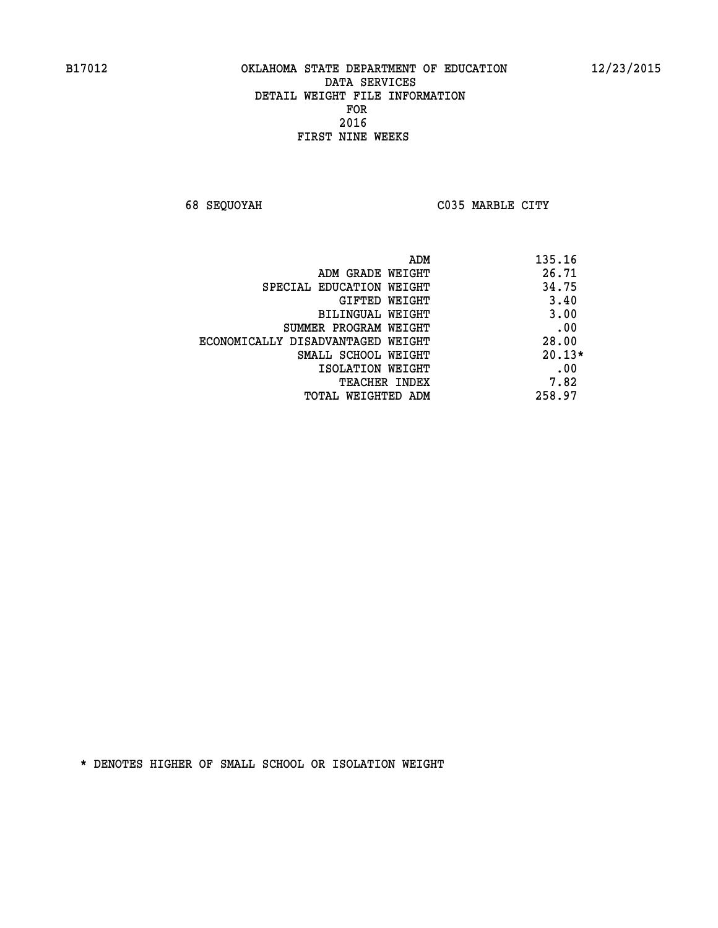**68 SEQUOYAH C035 MARBLE CITY** 

|                                   | ADM | 135.16   |
|-----------------------------------|-----|----------|
| ADM GRADE WEIGHT                  |     | 26.71    |
| SPECIAL EDUCATION WEIGHT          |     | 34.75    |
| GIFTED WEIGHT                     |     | 3.40     |
| BILINGUAL WEIGHT                  |     | 3.00     |
| SUMMER PROGRAM WEIGHT             |     | .00      |
| ECONOMICALLY DISADVANTAGED WEIGHT |     | 28.00    |
| SMALL SCHOOL WEIGHT               |     | $20.13*$ |
| ISOLATION WEIGHT                  |     | .00      |
| <b>TEACHER INDEX</b>              |     | 7.82     |
| TOTAL WEIGHTED ADM                |     | 258.97   |
|                                   |     |          |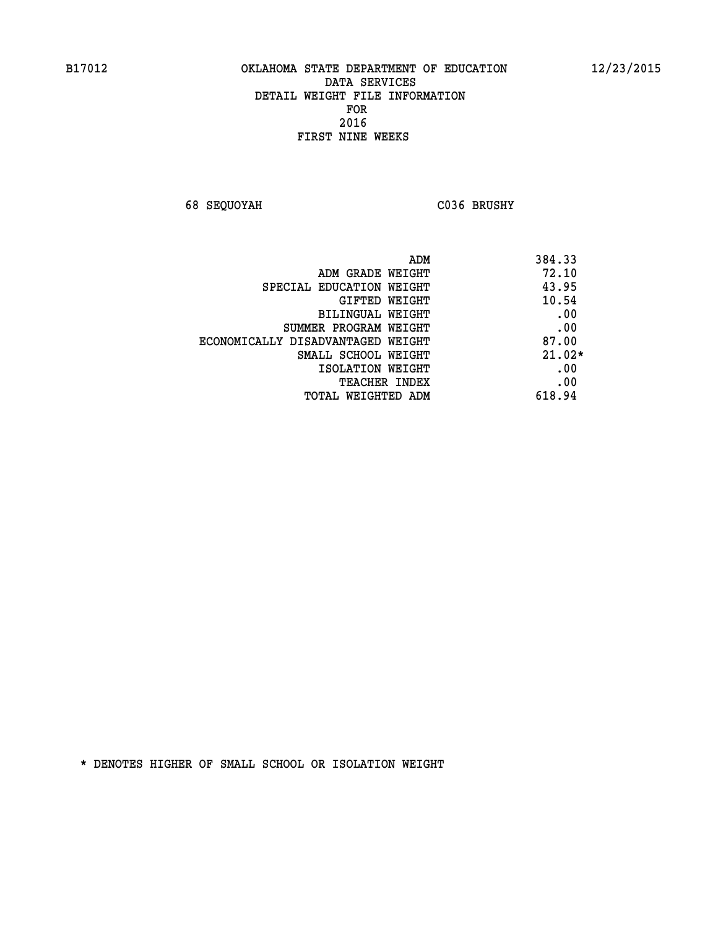**68 SEQUOYAH C036 BRUSHY** 

| ADM<br>384.33                              |  |
|--------------------------------------------|--|
| 72.10<br>ADM GRADE WEIGHT                  |  |
| 43.95<br>SPECIAL EDUCATION WEIGHT          |  |
| 10.54<br><b>GIFTED WEIGHT</b>              |  |
| .00<br>BILINGUAL WEIGHT                    |  |
| .00<br>SUMMER PROGRAM WEIGHT               |  |
| 87.00<br>ECONOMICALLY DISADVANTAGED WEIGHT |  |
| $21.02*$<br>SMALL SCHOOL WEIGHT            |  |
| .00<br>ISOLATION WEIGHT                    |  |
| .00<br><b>TEACHER INDEX</b>                |  |
| 618.94<br>TOTAL WEIGHTED ADM               |  |
|                                            |  |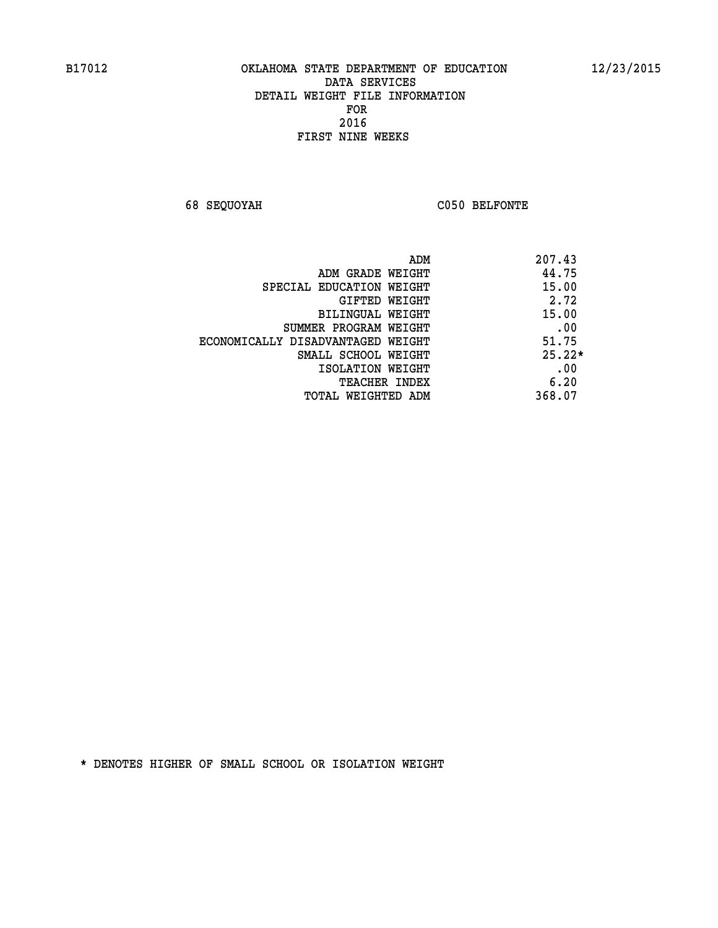**68 SEQUOYAH C050 BELFONTE** 

|                                   | ADM | 207.43   |
|-----------------------------------|-----|----------|
| ADM GRADE WEIGHT                  |     | 44.75    |
| SPECIAL EDUCATION WEIGHT          |     | 15.00    |
| GIFTED WEIGHT                     |     | 2.72     |
| BILINGUAL WEIGHT                  |     | 15.00    |
| SUMMER PROGRAM WEIGHT             |     | .00      |
| ECONOMICALLY DISADVANTAGED WEIGHT |     | 51.75    |
| SMALL SCHOOL WEIGHT               |     | $25.22*$ |
| ISOLATION WEIGHT                  |     | .00      |
| TEACHER INDEX                     |     | 6.20     |
| TOTAL WEIGHTED ADM                |     | 368.07   |
|                                   |     |          |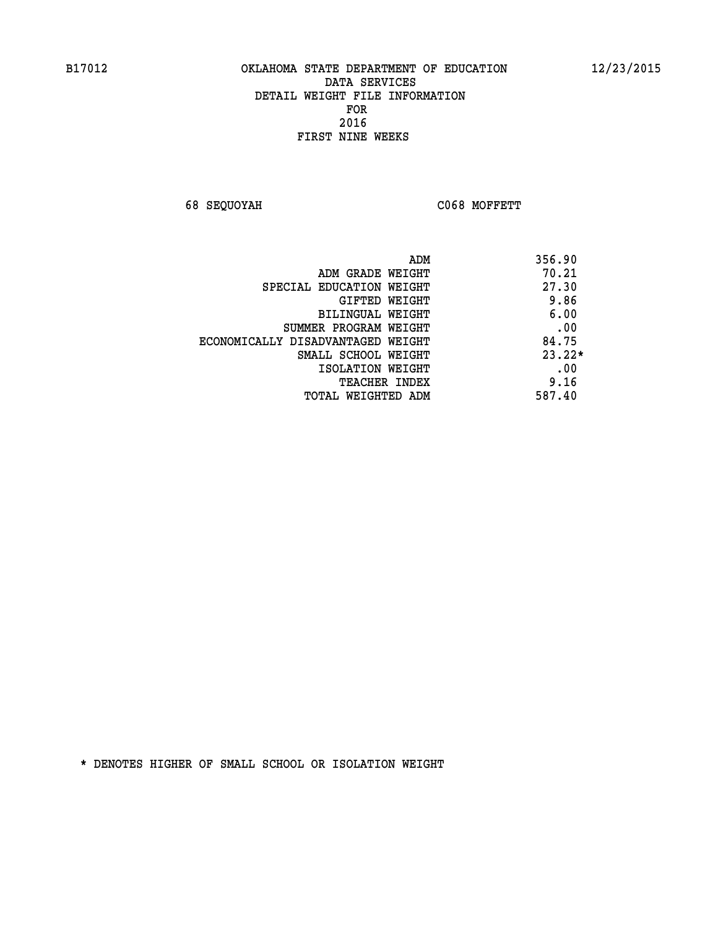**68 SEQUOYAH C068 MOFFETT** 

| ADM                               | 356.90   |
|-----------------------------------|----------|
| ADM GRADE WEIGHT                  | 70.21    |
| SPECIAL EDUCATION WEIGHT          | 27.30    |
| <b>GIFTED WEIGHT</b>              | 9.86     |
| BILINGUAL WEIGHT                  | 6.00     |
| SUMMER PROGRAM WEIGHT             | .00      |
| ECONOMICALLY DISADVANTAGED WEIGHT | 84.75    |
| SMALL SCHOOL WEIGHT               | $23.22*$ |
| ISOLATION WEIGHT                  | .00      |
| <b>TEACHER INDEX</b>              | 9.16     |
| TOTAL WEIGHTED ADM                | 587.40   |
|                                   |          |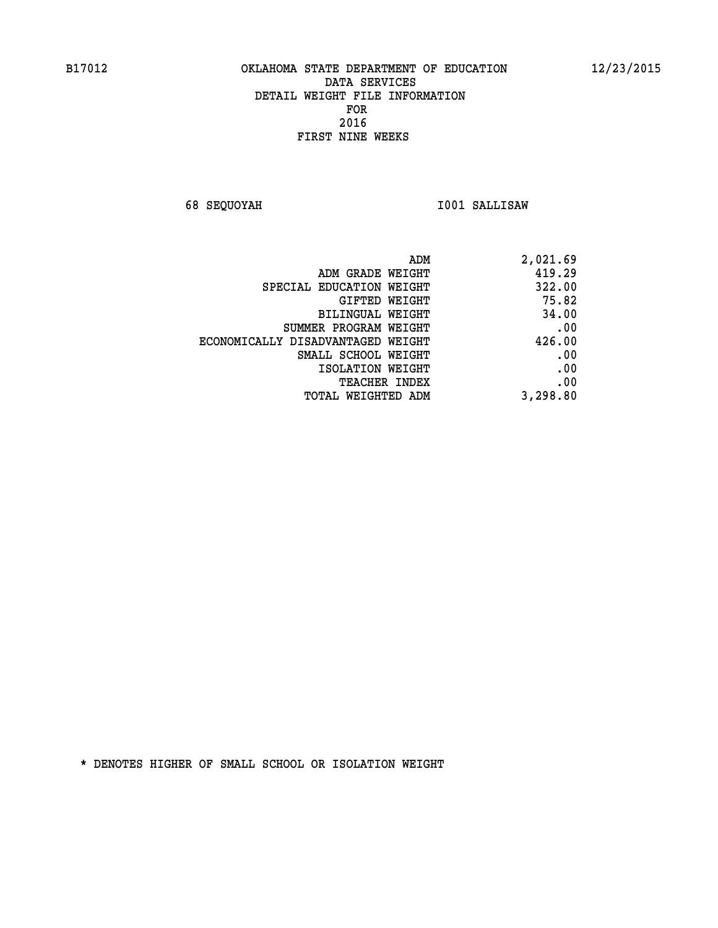**68 SEQUOYAH I001 SALLISAW** 

| ADM                               | 2,021.69 |
|-----------------------------------|----------|
| ADM GRADE WEIGHT                  | 419.29   |
| SPECIAL EDUCATION WEIGHT          | 322.00   |
| <b>GIFTED WEIGHT</b>              | 75.82    |
| BILINGUAL WEIGHT                  | 34.00    |
| SUMMER PROGRAM WEIGHT             | .00      |
| ECONOMICALLY DISADVANTAGED WEIGHT | 426.00   |
| SMALL SCHOOL WEIGHT               | .00      |
| ISOLATION WEIGHT                  | .00      |
| <b>TEACHER INDEX</b>              | .00      |
| <b>TOTAL WEIGHTED ADM</b>         | 3,298.80 |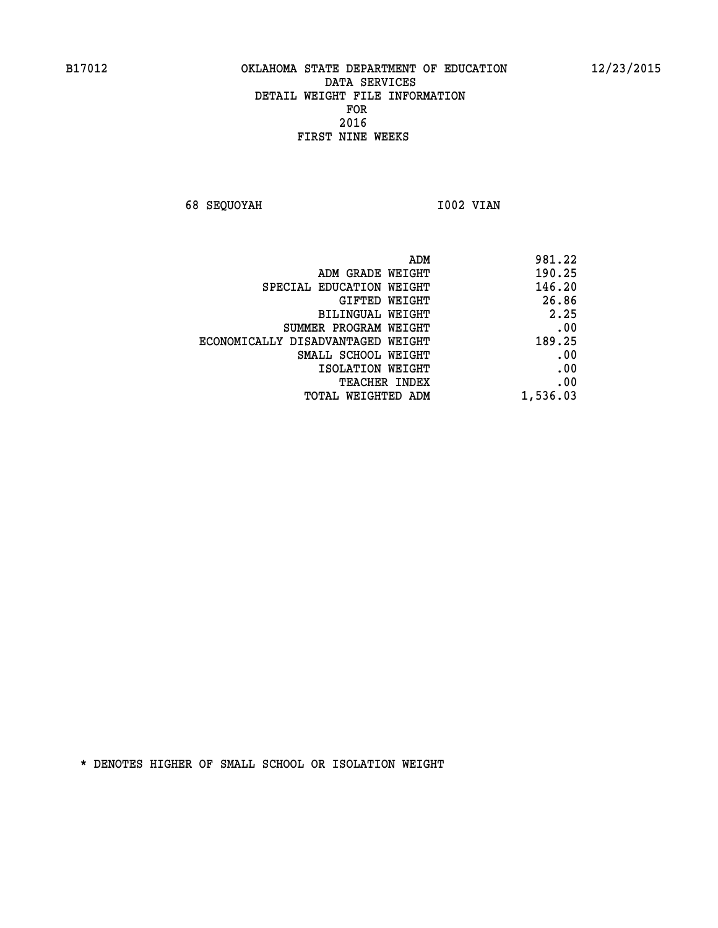**68 SEQUOYAH 1002 VIAN** 

| ADM                               | 981.22   |
|-----------------------------------|----------|
| ADM GRADE WEIGHT                  | 190.25   |
| SPECIAL EDUCATION WEIGHT          | 146.20   |
| GIFTED WEIGHT                     | 26.86    |
| <b>BILINGUAL WEIGHT</b>           | 2.25     |
| SUMMER PROGRAM WEIGHT             | .00      |
| ECONOMICALLY DISADVANTAGED WEIGHT | 189.25   |
| SMALL SCHOOL WEIGHT               | .00      |
| ISOLATION WEIGHT                  | .00      |
| TEACHER INDEX                     | .00      |
| TOTAL WEIGHTED ADM                | 1,536.03 |
|                                   |          |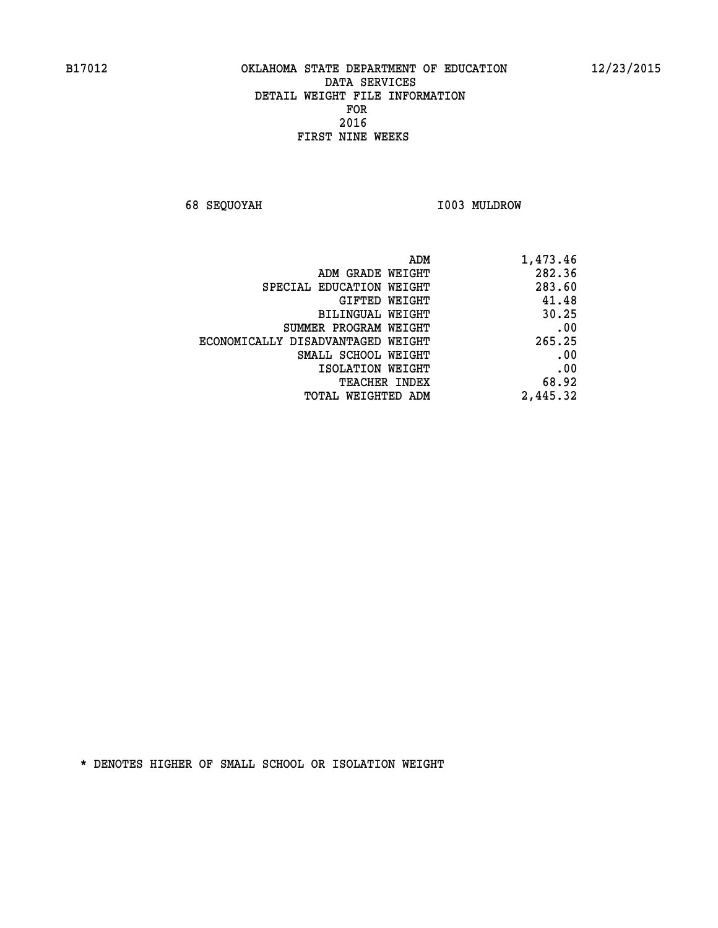**68 SEQUOYAH I003 MULDROW** 

| 1,473.46 |
|----------|
| 282.36   |
| 283.60   |
| 41.48    |
| 30.25    |
| .00      |
| 265.25   |
| .00      |
| .00      |
| 68.92    |
| 2,445.32 |
|          |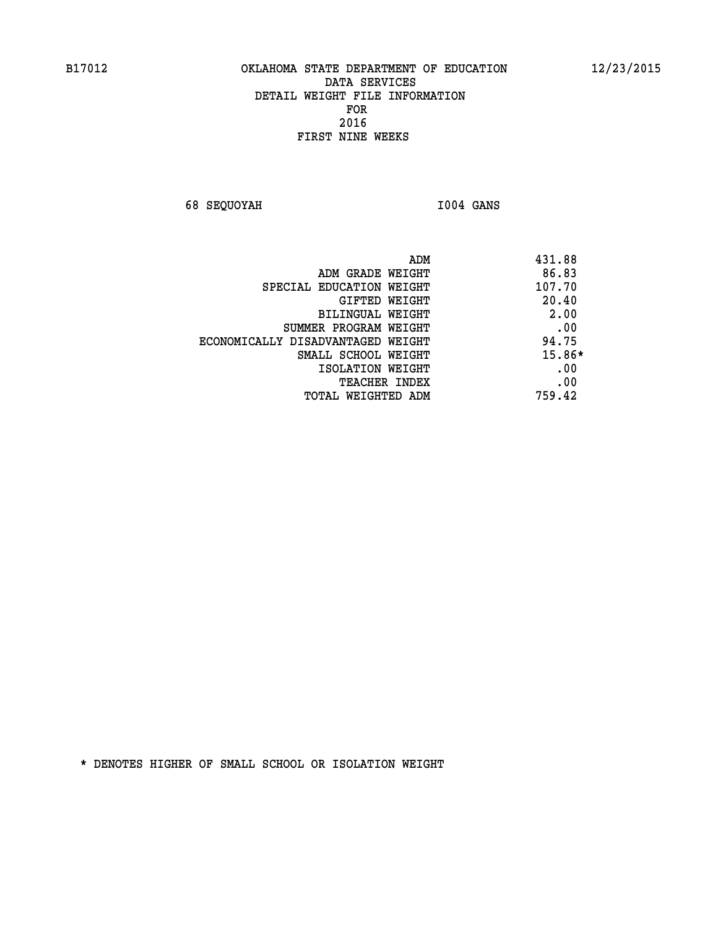**68 SEQUOYAH I004 GANS** 

| ADM                               | 431.88 |
|-----------------------------------|--------|
| ADM GRADE WEIGHT                  | 86.83  |
| SPECIAL EDUCATION WEIGHT          | 107.70 |
| <b>GIFTED WEIGHT</b>              | 20.40  |
| BILINGUAL WEIGHT                  | 2.00   |
| SUMMER PROGRAM WEIGHT             | .00    |
| ECONOMICALLY DISADVANTAGED WEIGHT | 94.75  |
| SMALL SCHOOL WEIGHT               | 15.86* |
| ISOLATION WEIGHT                  | .00    |
| <b>TEACHER INDEX</b>              | .00    |
| TOTAL WEIGHTED ADM                | 759.42 |
|                                   |        |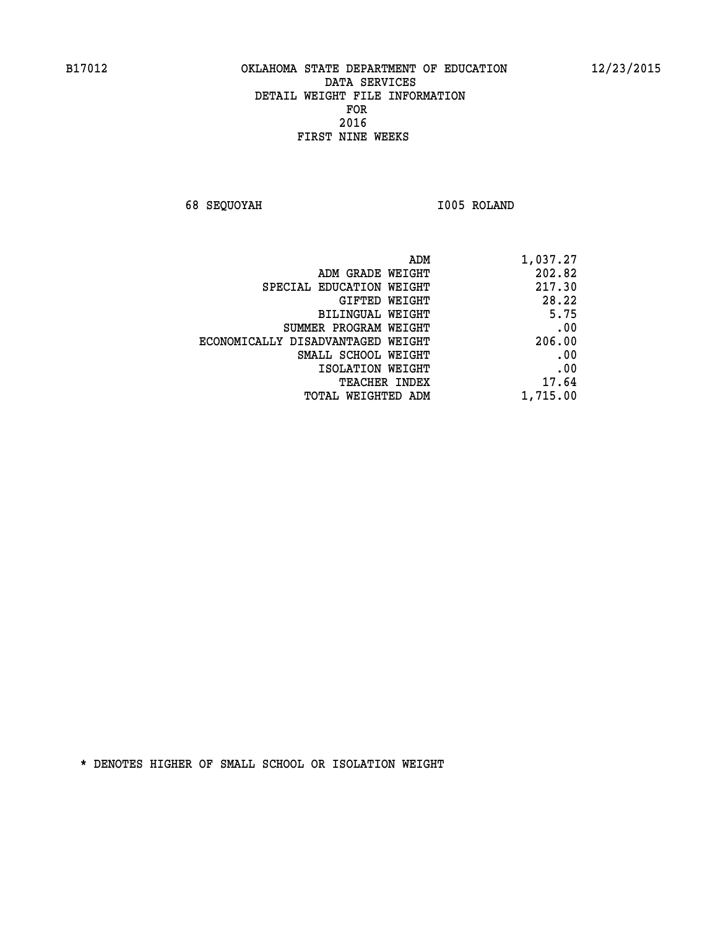**68 SEQUOYAH I005 ROLAND** 

| 1,037.27 | ADM                               |
|----------|-----------------------------------|
| 202.82   | ADM GRADE WEIGHT                  |
| 217.30   | SPECIAL EDUCATION WEIGHT          |
| 28.22    | <b>GIFTED WEIGHT</b>              |
| 5.75     | BILINGUAL WEIGHT                  |
| .00      | SUMMER PROGRAM WEIGHT             |
| 206.00   | ECONOMICALLY DISADVANTAGED WEIGHT |
| .00      | SMALL SCHOOL WEIGHT               |
| .00      | ISOLATION WEIGHT                  |
| 17.64    | <b>TEACHER INDEX</b>              |
| 1,715.00 | TOTAL WEIGHTED ADM                |
|          |                                   |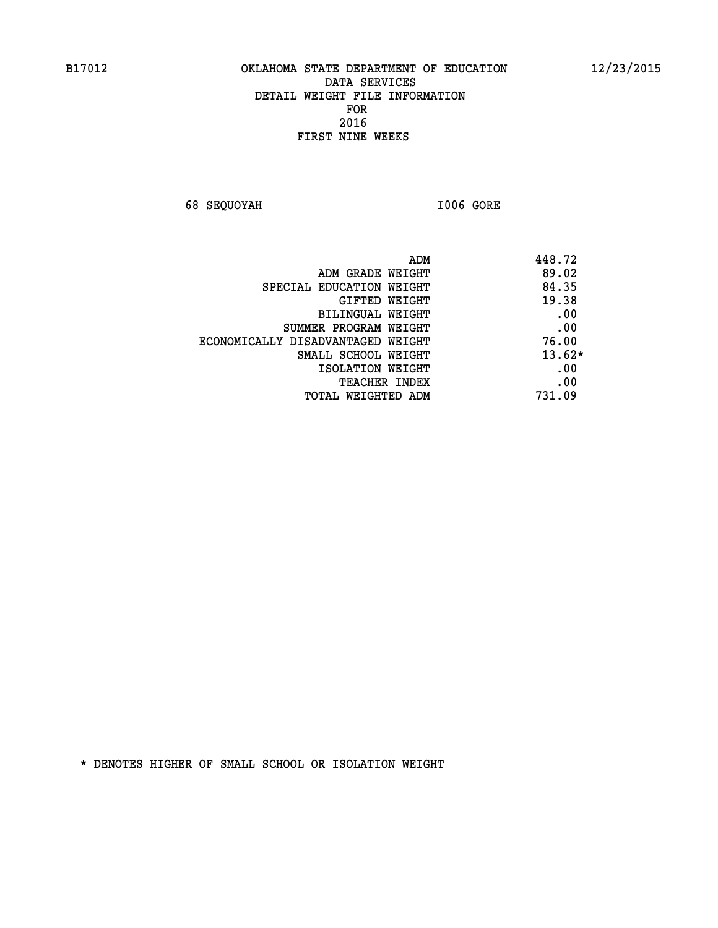**68 SEQUOYAH I006 GORE** 

| ADM<br>448.72                 |                                   |
|-------------------------------|-----------------------------------|
| 89.02<br>ADM GRADE WEIGHT     |                                   |
| 84.35                         | SPECIAL EDUCATION WEIGHT          |
| 19.38<br><b>GIFTED WEIGHT</b> |                                   |
| .00<br>BILINGUAL WEIGHT       |                                   |
| .00                           | SUMMER PROGRAM WEIGHT             |
| 76.00                         | ECONOMICALLY DISADVANTAGED WEIGHT |
| $13.62*$                      | SMALL SCHOOL WEIGHT               |
| .00<br>ISOLATION WEIGHT       |                                   |
| .00<br><b>TEACHER INDEX</b>   |                                   |
| 731.09<br>TOTAL WEIGHTED ADM  |                                   |
|                               |                                   |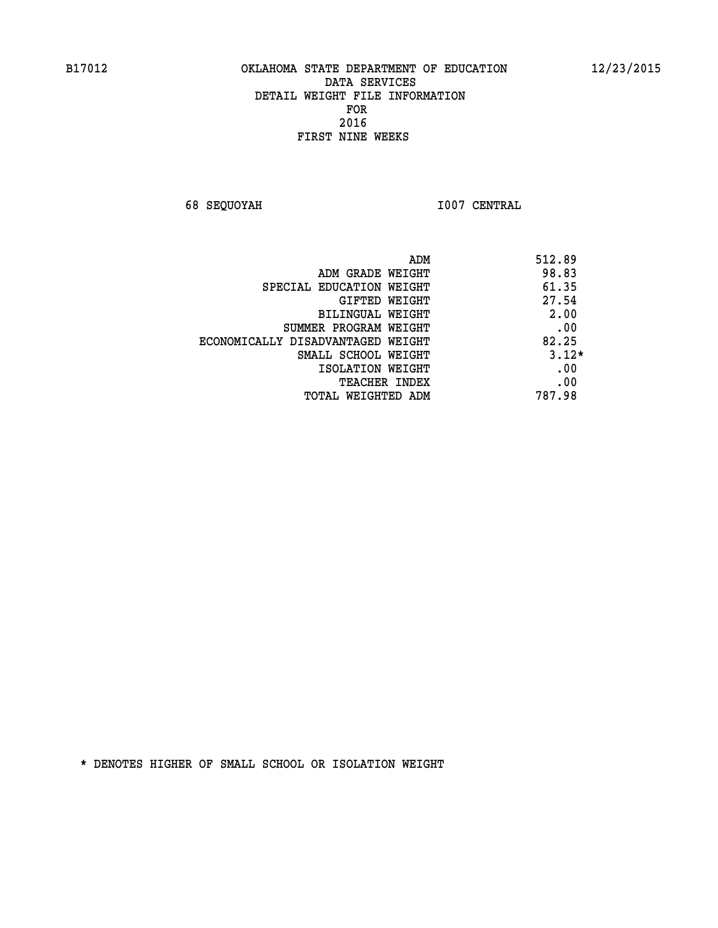**68 SEQUOYAH I007 CENTRAL** 

| ADM                               | 512.89  |
|-----------------------------------|---------|
| ADM GRADE WEIGHT                  | 98.83   |
| SPECIAL EDUCATION WEIGHT          | 61.35   |
| GIFTED WEIGHT                     | 27.54   |
| BILINGUAL WEIGHT                  | 2.00    |
| SUMMER PROGRAM WEIGHT             | .00     |
| ECONOMICALLY DISADVANTAGED WEIGHT | 82.25   |
| SMALL SCHOOL WEIGHT               | $3.12*$ |
| ISOLATION WEIGHT                  | .00     |
| <b>TEACHER INDEX</b>              | .00     |
| TOTAL WEIGHTED ADM                | 787.98  |
|                                   |         |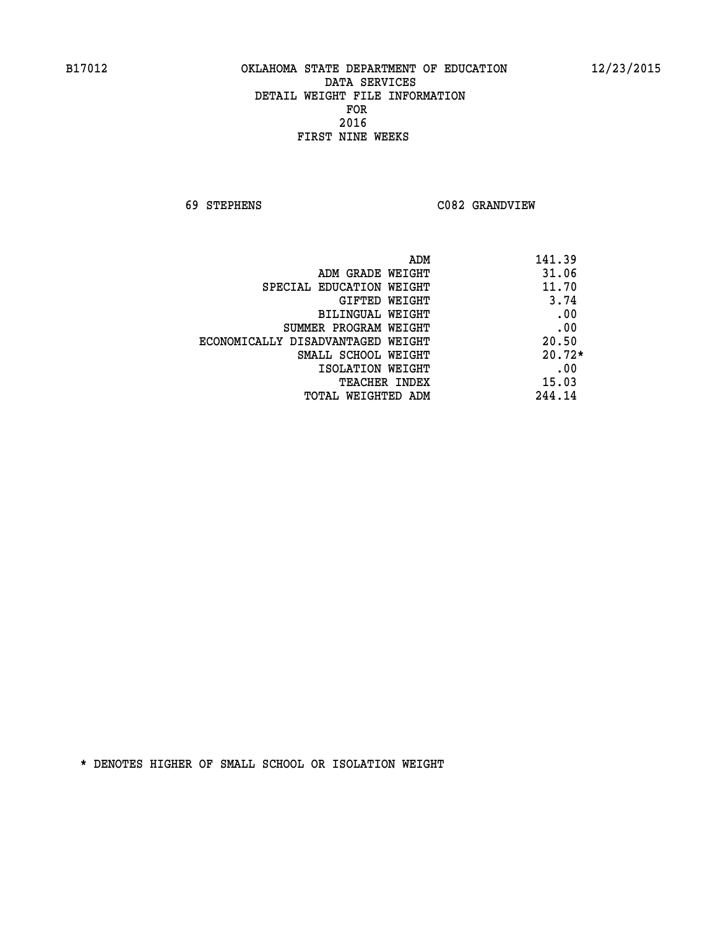**69 STEPHENS C082 GRANDVIEW** 

| ADM                               | 141.39   |
|-----------------------------------|----------|
| ADM GRADE WEIGHT                  | 31.06    |
| SPECIAL EDUCATION WEIGHT          | 11.70    |
| GIFTED WEIGHT                     | 3.74     |
| BILINGUAL WEIGHT                  | .00      |
| SUMMER PROGRAM WEIGHT             | .00      |
| ECONOMICALLY DISADVANTAGED WEIGHT | 20.50    |
| SMALL SCHOOL WEIGHT               | $20.72*$ |
| ISOLATION WEIGHT                  | .00      |
| <b>TEACHER INDEX</b>              | 15.03    |
| TOTAL WEIGHTED ADM                | 244.14   |
|                                   |          |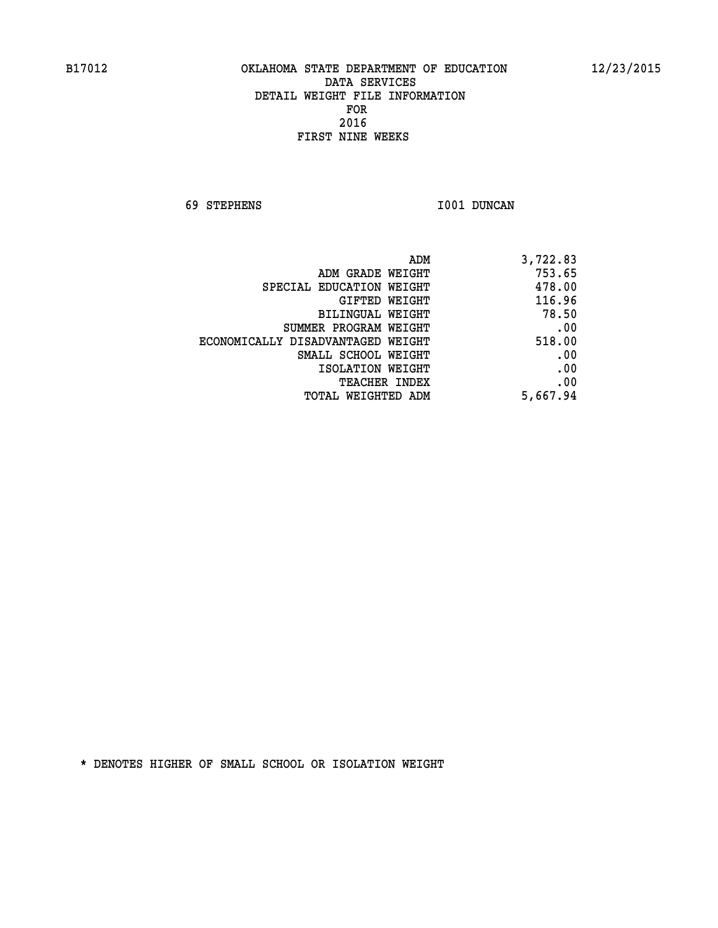**69 STEPHENS I001 DUNCAN** 

| 3,722.83 |
|----------|
| 753.65   |
| 478.00   |
| 116.96   |
| 78.50    |
| .00      |
| 518.00   |
| .00      |
| .00      |
| .00      |
| 5,667.94 |
|          |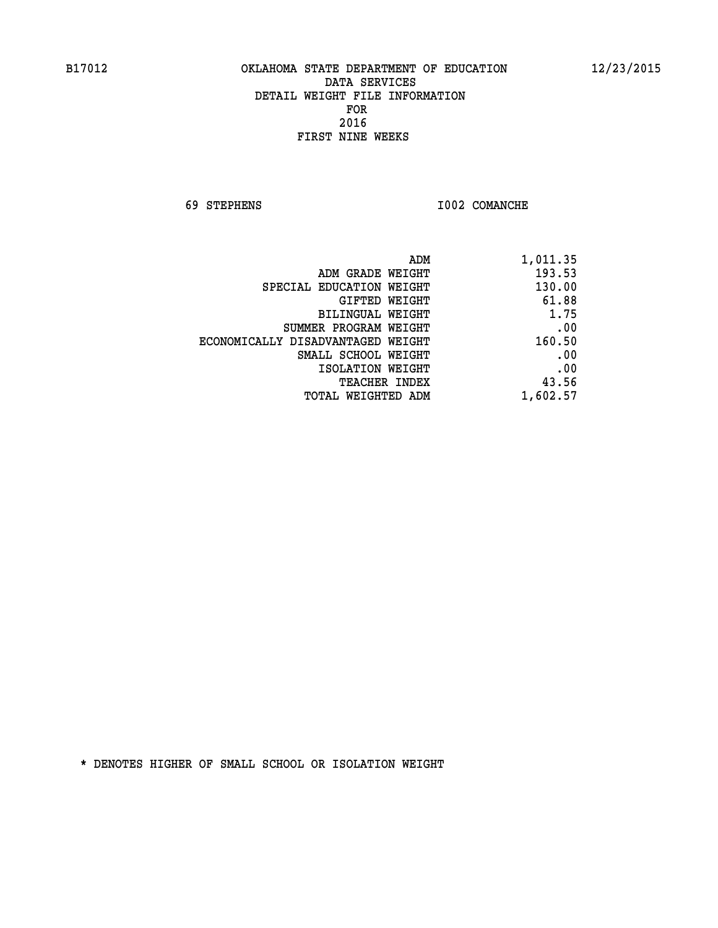**69 STEPHENS I002 COMANCHE** 

|                                   | ADM<br>1,011.35 |
|-----------------------------------|-----------------|
| ADM GRADE WEIGHT                  | 193.53          |
| SPECIAL EDUCATION WEIGHT          | 130.00          |
| GIFTED WEIGHT                     | 61.88           |
| BILINGUAL WEIGHT                  | 1.75            |
| SUMMER PROGRAM WEIGHT             | .00             |
| ECONOMICALLY DISADVANTAGED WEIGHT | 160.50          |
| SMALL SCHOOL WEIGHT               | .00             |
| ISOLATION WEIGHT                  | .00             |
| <b>TEACHER INDEX</b>              | 43.56           |
| TOTAL WEIGHTED ADM                | 1,602.57        |
|                                   |                 |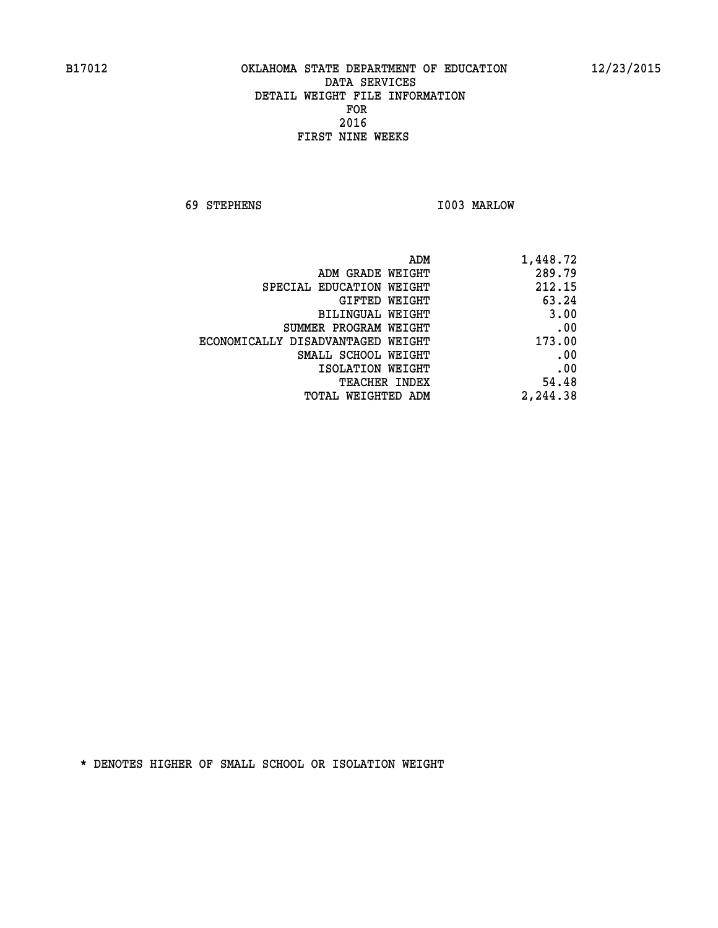**69 STEPHENS I003 MARLOW** 

|                                   | ADM<br>1,448.72 |
|-----------------------------------|-----------------|
| ADM GRADE WEIGHT                  | 289.79          |
| SPECIAL EDUCATION WEIGHT          | 212.15          |
| GIFTED WEIGHT                     | 63.24           |
| BILINGUAL WEIGHT                  | 3.00            |
| SUMMER PROGRAM WEIGHT             | .00             |
| ECONOMICALLY DISADVANTAGED WEIGHT | 173.00          |
| SMALL SCHOOL WEIGHT               | .00             |
| ISOLATION WEIGHT                  | .00             |
| <b>TEACHER INDEX</b>              | 54.48           |
| TOTAL WEIGHTED ADM                | 2,244.38        |
|                                   |                 |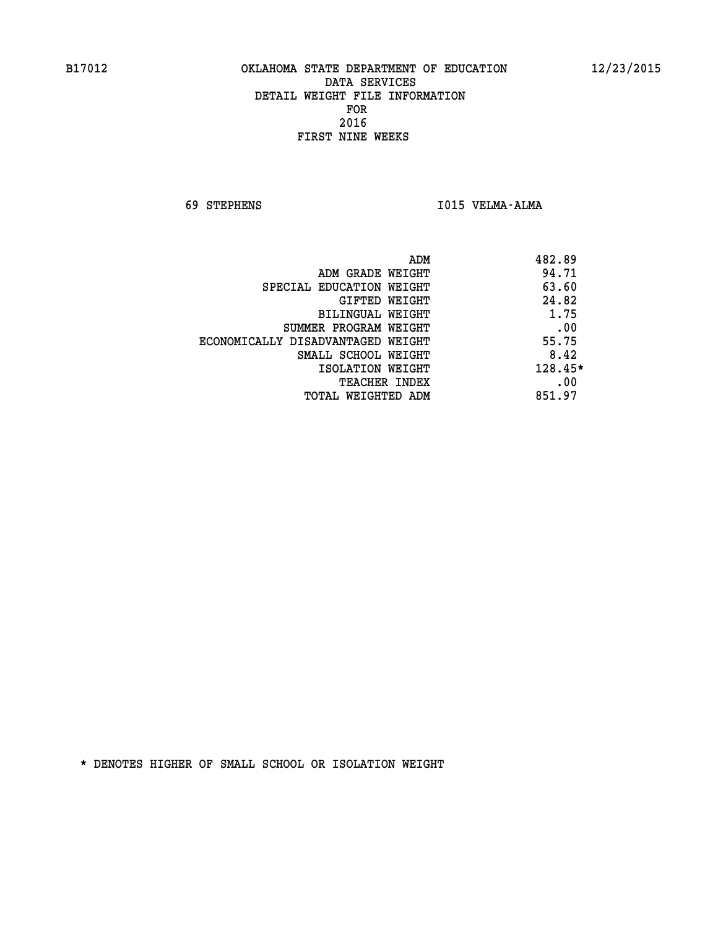**69 STEPHENS I015 VELMA-ALMA** 

| 482.89<br>ADM                              |  |
|--------------------------------------------|--|
| 94.71<br>ADM GRADE WEIGHT                  |  |
| 63.60<br>SPECIAL EDUCATION WEIGHT          |  |
| 24.82<br>GIFTED WEIGHT                     |  |
| 1.75<br>BILINGUAL WEIGHT                   |  |
| .00<br>SUMMER PROGRAM WEIGHT               |  |
| 55.75<br>ECONOMICALLY DISADVANTAGED WEIGHT |  |
| 8.42<br>SMALL SCHOOL WEIGHT                |  |
| 128.45*<br>ISOLATION WEIGHT                |  |
| .00<br><b>TEACHER INDEX</b>                |  |
| 851.97<br>TOTAL WEIGHTED ADM               |  |
|                                            |  |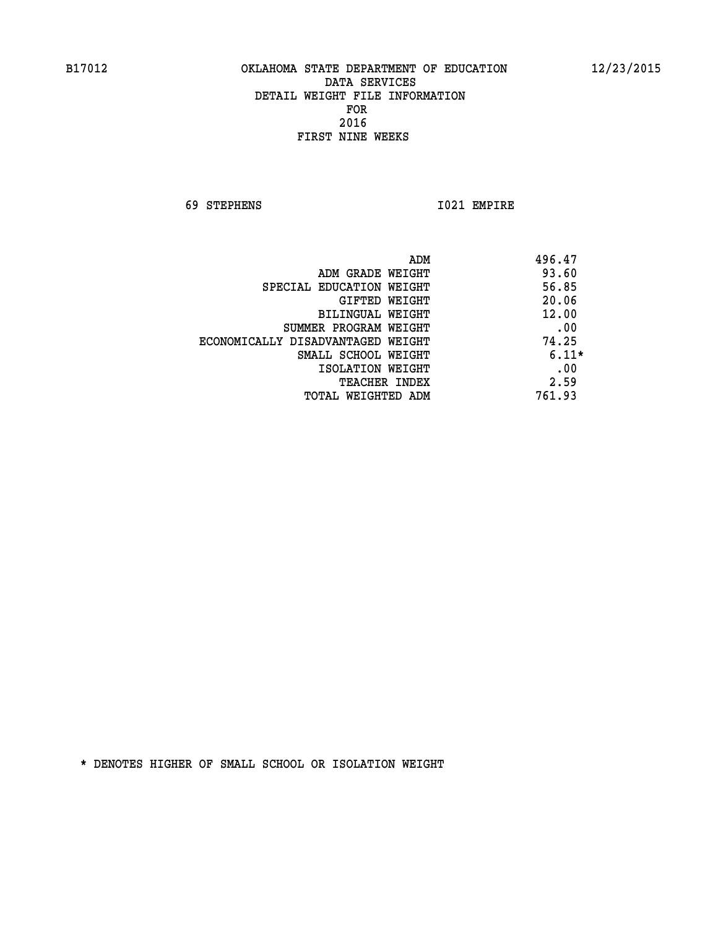**69 STEPHENS I021 EMPIRE** 

|                                   | 496.47<br>ADM |
|-----------------------------------|---------------|
| ADM GRADE WEIGHT                  | 93.60         |
| SPECIAL EDUCATION WEIGHT          | 56.85         |
| <b>GIFTED WEIGHT</b>              | 20.06         |
| BILINGUAL WEIGHT                  | 12.00         |
| SUMMER PROGRAM WEIGHT             | .00           |
| ECONOMICALLY DISADVANTAGED WEIGHT | 74.25         |
| SMALL SCHOOL WEIGHT               | $6.11*$       |
| ISOLATION WEIGHT                  | .00           |
| <b>TEACHER INDEX</b>              | 2.59          |
| TOTAL WEIGHTED ADM                | 761.93        |
|                                   |               |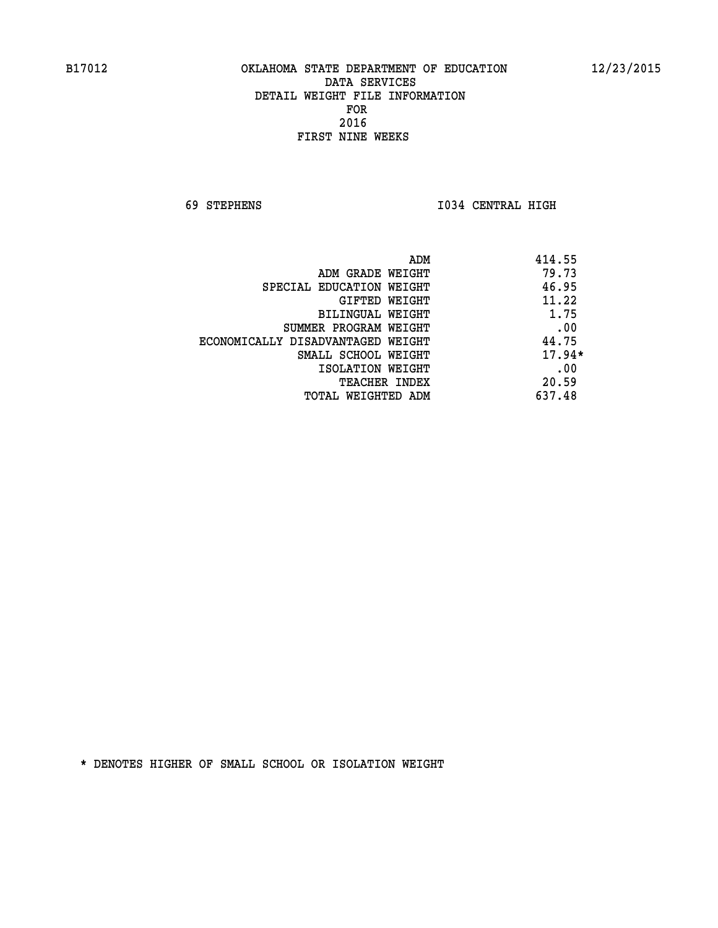**69 STEPHENS I034 CENTRAL HIGH** 

|                                   | 414.55<br>ADM |
|-----------------------------------|---------------|
| ADM GRADE WEIGHT                  | 79.73         |
| SPECIAL EDUCATION WEIGHT          | 46.95         |
| GIFTED WEIGHT                     | 11.22         |
| BILINGUAL WEIGHT                  | 1.75          |
| SUMMER PROGRAM WEIGHT             | .00           |
| ECONOMICALLY DISADVANTAGED WEIGHT | 44.75         |
| SMALL SCHOOL WEIGHT               | $17.94*$      |
| ISOLATION WEIGHT                  | .00           |
| TEACHER INDEX                     | 20.59         |
| TOTAL WEIGHTED ADM                | 637.48        |
|                                   |               |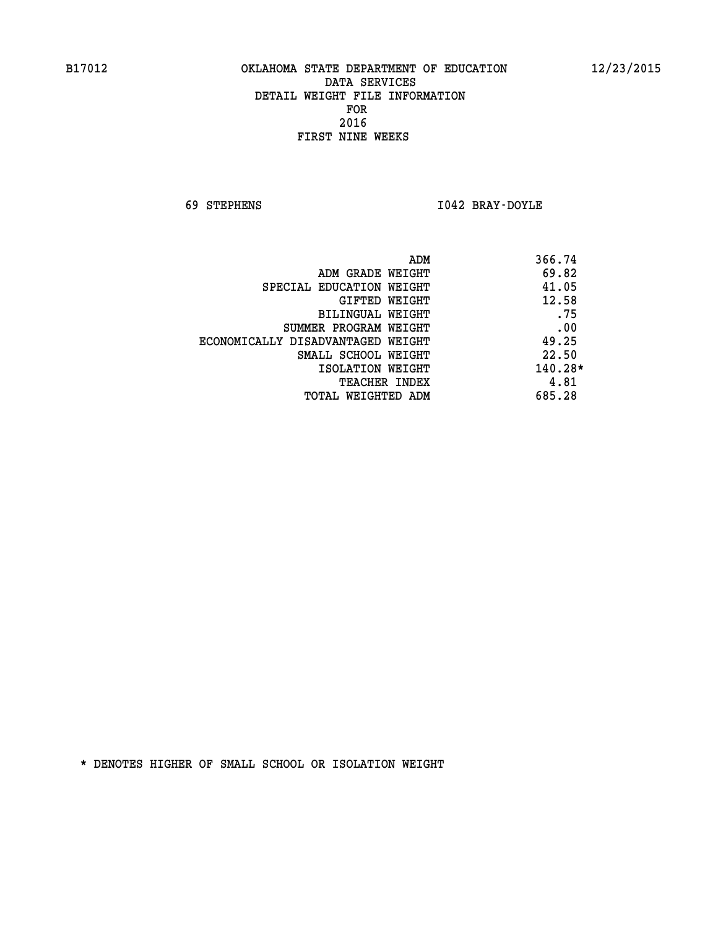**69 STEPHENS I042 BRAY-DOYLE** 

| 366.74<br>ADM                              |     |
|--------------------------------------------|-----|
| 69.82<br>ADM GRADE WEIGHT                  |     |
| 41.05<br>SPECIAL EDUCATION WEIGHT          |     |
| 12.58<br>GIFTED WEIGHT                     |     |
| BILINGUAL WEIGHT                           | .75 |
| SUMMER PROGRAM WEIGHT                      | .00 |
| 49.25<br>ECONOMICALLY DISADVANTAGED WEIGHT |     |
| 22.50<br>SMALL SCHOOL WEIGHT               |     |
| 140.28*<br>ISOLATION WEIGHT                |     |
| 4.81<br><b>TEACHER INDEX</b>               |     |
| 685.28<br>TOTAL WEIGHTED ADM               |     |
|                                            |     |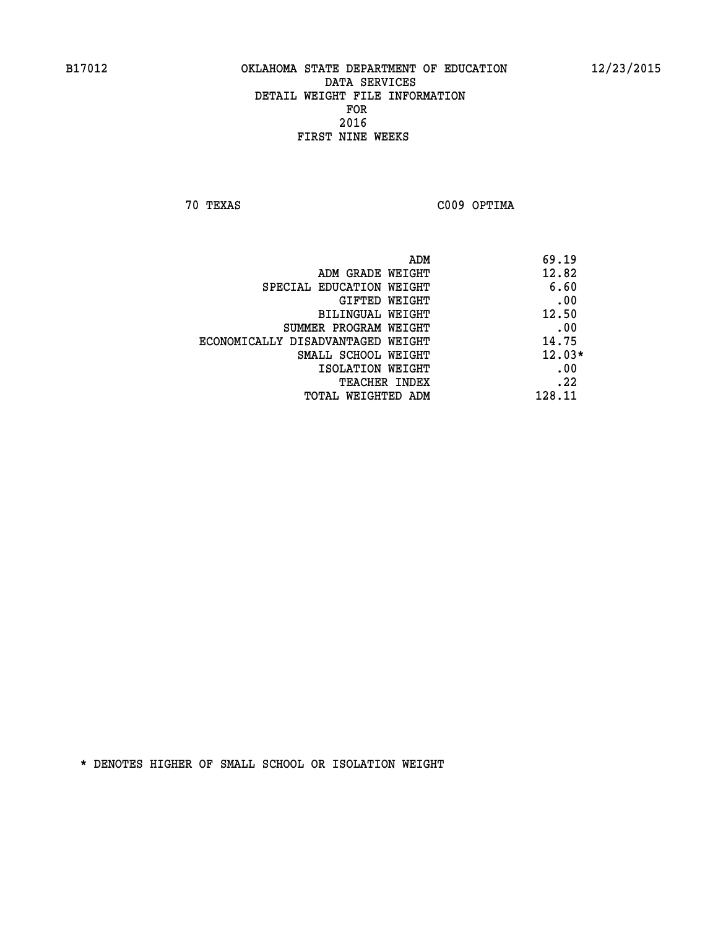**70 TEXAS C009 OPTIMA** 

|                                   | 69.19<br>ADM |
|-----------------------------------|--------------|
| ADM GRADE WEIGHT                  | 12.82        |
| SPECIAL EDUCATION WEIGHT          | 6.60         |
| GIFTED WEIGHT                     | .00          |
| BILINGUAL WEIGHT                  | 12.50        |
| SUMMER PROGRAM WEIGHT             | .00          |
| ECONOMICALLY DISADVANTAGED WEIGHT | 14.75        |
| SMALL SCHOOL WEIGHT               | $12.03*$     |
| ISOLATION WEIGHT                  | .00          |
| <b>TEACHER INDEX</b>              | .22          |
| TOTAL WEIGHTED ADM                | 128.11       |
|                                   |              |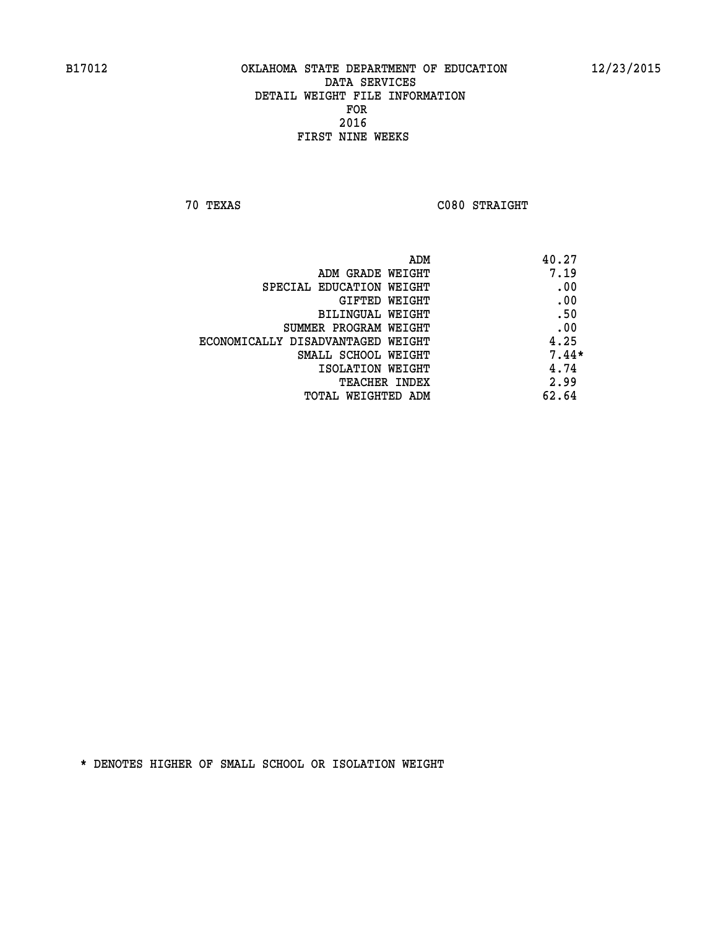**70 TEXAS C080 STRAIGHT** 

| ADM                               | 40.27   |
|-----------------------------------|---------|
| ADM GRADE WEIGHT                  | 7.19    |
| SPECIAL EDUCATION WEIGHT          | .00     |
| GIFTED WEIGHT                     | .00     |
| BILINGUAL WEIGHT                  | .50     |
| SUMMER PROGRAM WEIGHT             | .00     |
| ECONOMICALLY DISADVANTAGED WEIGHT | 4.25    |
| SMALL SCHOOL WEIGHT               | $7.44*$ |
| ISOLATION WEIGHT                  | 4.74    |
| <b>TEACHER INDEX</b>              | 2.99    |
| TOTAL WEIGHTED ADM                | 62.64   |
|                                   |         |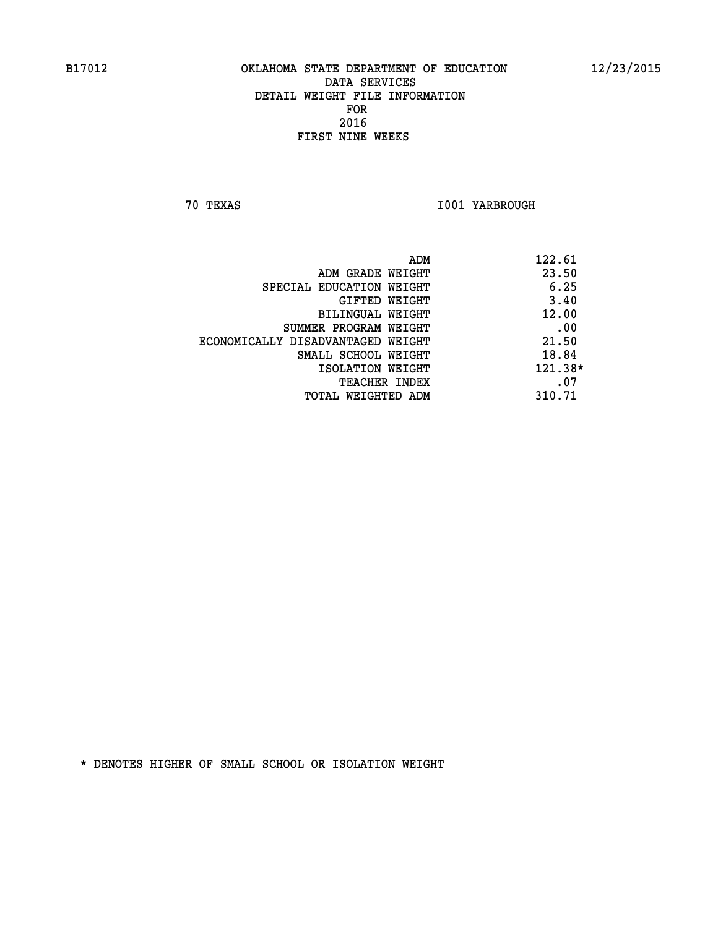**70 TEXAS I001 YARBROUGH** 

| 122.61<br>ADM                              |      |
|--------------------------------------------|------|
| 23.50<br>ADM GRADE WEIGHT                  |      |
| SPECIAL EDUCATION WEIGHT                   | 6.25 |
| GIFTED WEIGHT                              | 3.40 |
| 12.00<br>BILINGUAL WEIGHT                  |      |
| SUMMER PROGRAM WEIGHT                      | .00  |
| 21.50<br>ECONOMICALLY DISADVANTAGED WEIGHT |      |
| 18.84<br>SMALL SCHOOL WEIGHT               |      |
| 121.38*<br>ISOLATION WEIGHT                |      |
| <b>TEACHER INDEX</b>                       | .07  |
| 310.71<br>TOTAL WEIGHTED ADM               |      |
|                                            |      |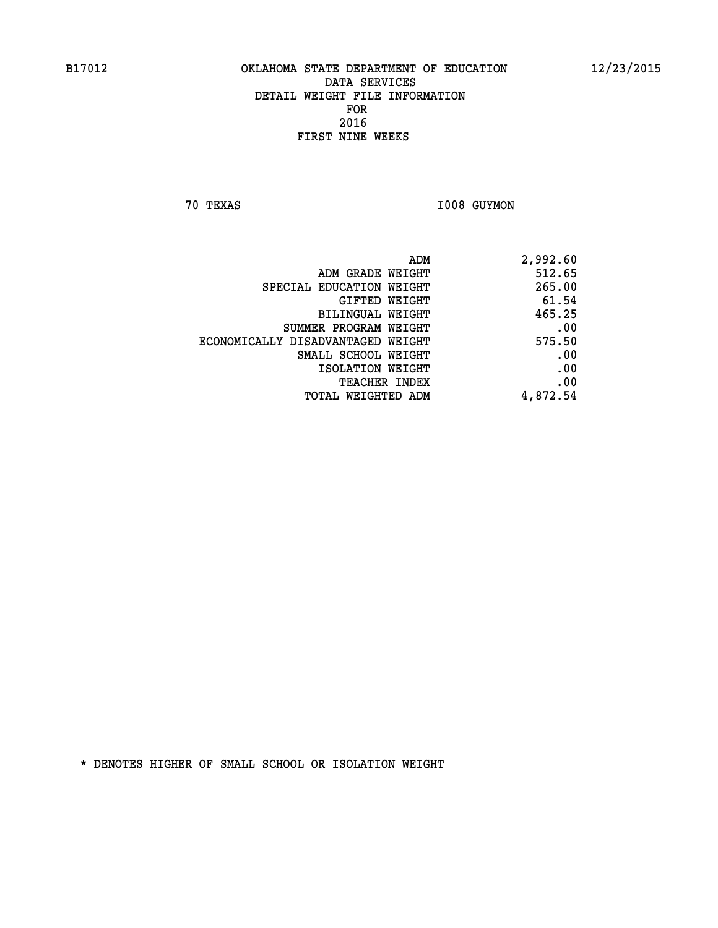**70 TEXAS I008 GUYMON** 

| ADM                               | 2,992.60 |
|-----------------------------------|----------|
| ADM GRADE WEIGHT                  | 512.65   |
| SPECIAL EDUCATION WEIGHT          | 265.00   |
| <b>GIFTED WEIGHT</b>              | 61.54    |
| BILINGUAL WEIGHT                  | 465.25   |
| SUMMER PROGRAM WEIGHT             | .00      |
| ECONOMICALLY DISADVANTAGED WEIGHT | 575.50   |
| SMALL SCHOOL WEIGHT               | .00      |
| ISOLATION WEIGHT                  | .00      |
| <b>TEACHER INDEX</b>              | .00      |
| <b>TOTAL WEIGHTED ADM</b>         | 4,872.54 |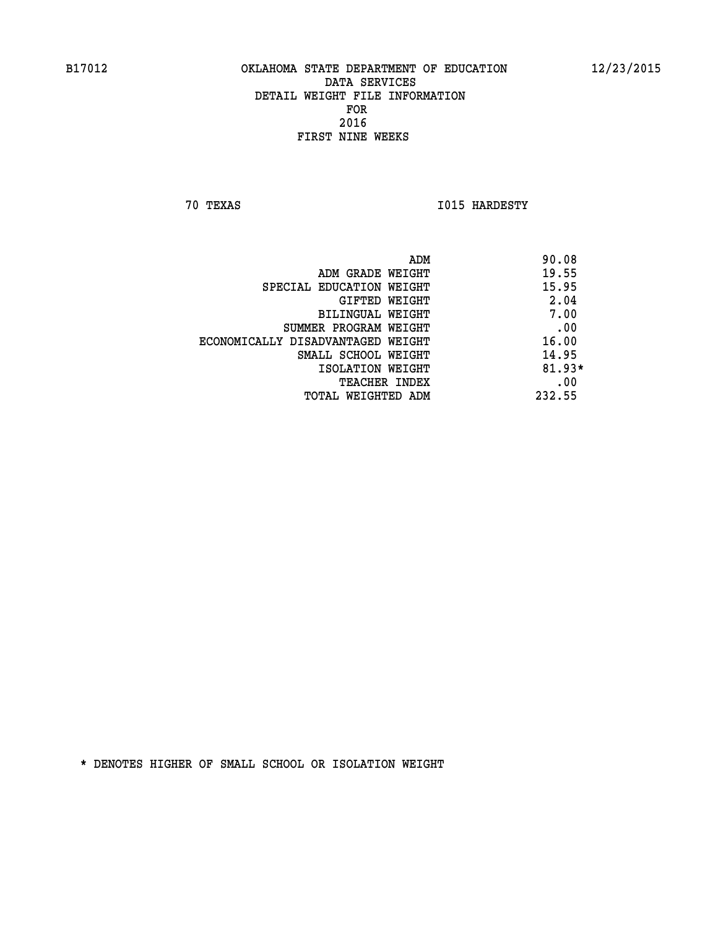**70 TEXAS I015 HARDESTY** 

|                                   | 90.08<br>ADM |
|-----------------------------------|--------------|
| ADM GRADE WEIGHT                  | 19.55        |
| SPECIAL EDUCATION WEIGHT          | 15.95        |
| GIFTED WEIGHT                     | 2.04         |
| BILINGUAL WEIGHT                  | 7.00         |
| SUMMER PROGRAM WEIGHT             | .00          |
| ECONOMICALLY DISADVANTAGED WEIGHT | 16.00        |
| SMALL SCHOOL WEIGHT               | 14.95        |
| ISOLATION WEIGHT                  | $81.93*$     |
| <b>TEACHER INDEX</b>              | .00          |
| TOTAL WEIGHTED ADM                | 232.55       |
|                                   |              |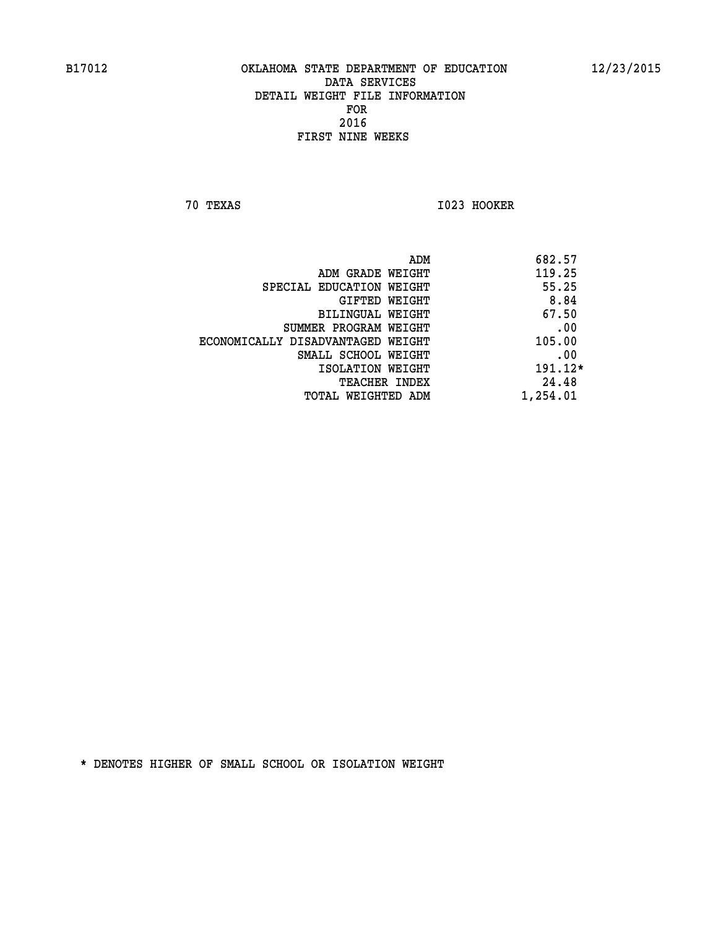**70 TEXAS I023 HOOKER** 

|                                   | ADM | 682.57   |
|-----------------------------------|-----|----------|
| ADM GRADE WEIGHT                  |     | 119.25   |
| SPECIAL EDUCATION WEIGHT          |     | 55.25    |
| GIFTED WEIGHT                     |     | 8.84     |
| BILINGUAL WEIGHT                  |     | 67.50    |
| SUMMER PROGRAM WEIGHT             |     | .00      |
| ECONOMICALLY DISADVANTAGED WEIGHT |     | 105.00   |
| SMALL SCHOOL WEIGHT               |     | .00      |
| ISOLATION WEIGHT                  |     | 191.12*  |
| <b>TEACHER INDEX</b>              |     | 24.48    |
| TOTAL WEIGHTED ADM                |     | 1,254.01 |
|                                   |     |          |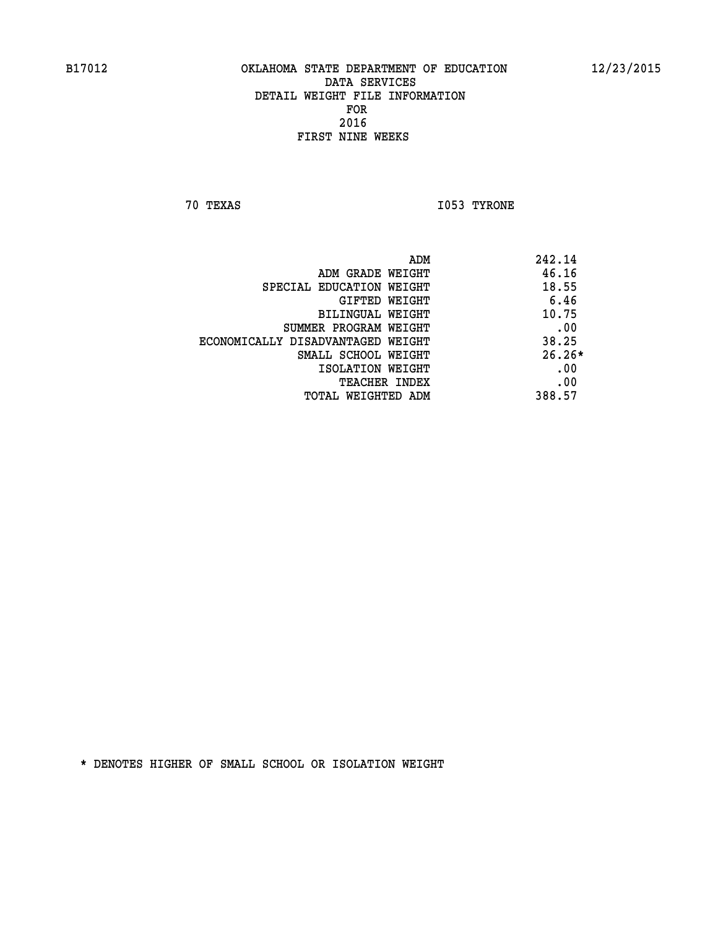**70 TEXAS I053 TYRONE** 

| ADM                               | 242.14   |
|-----------------------------------|----------|
| ADM GRADE WEIGHT                  | 46.16    |
| SPECIAL EDUCATION WEIGHT          | 18.55    |
| GIFTED WEIGHT                     | 6.46     |
| BILINGUAL WEIGHT                  | 10.75    |
| SUMMER PROGRAM WEIGHT             | .00      |
| ECONOMICALLY DISADVANTAGED WEIGHT | 38.25    |
| SMALL SCHOOL WEIGHT               | $26.26*$ |
| ISOLATION WEIGHT                  | .00      |
| <b>TEACHER INDEX</b>              | .00      |
| TOTAL WEIGHTED ADM                | 388.57   |
|                                   |          |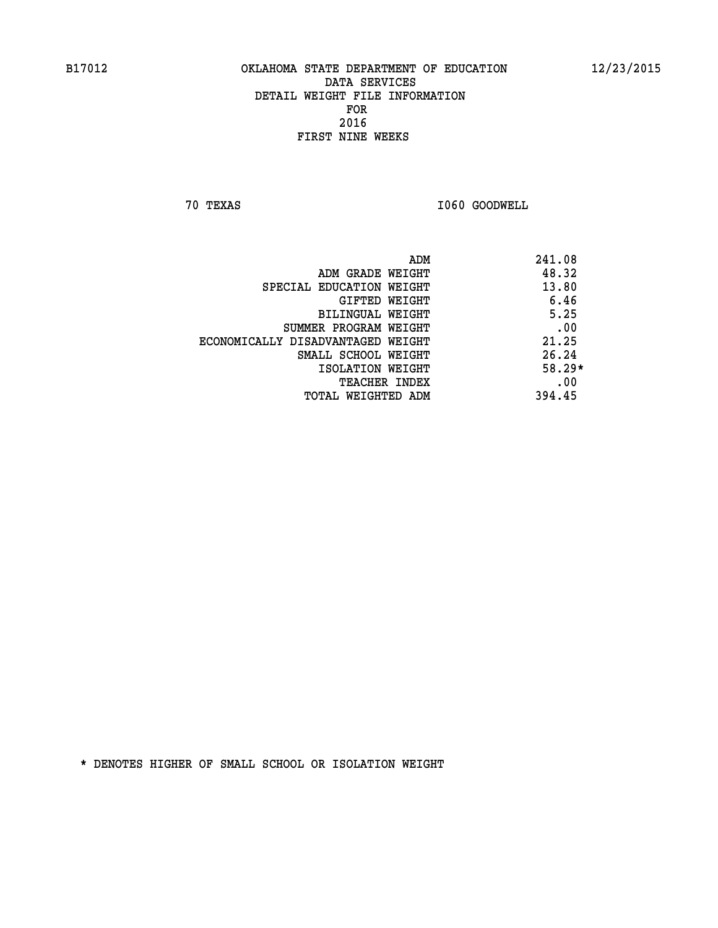**70 TEXAS I060 GOODWELL** 

|                                   | ADM | 241.08   |
|-----------------------------------|-----|----------|
| ADM GRADE WEIGHT                  |     | 48.32    |
| SPECIAL EDUCATION WEIGHT          |     | 13.80    |
| GIFTED WEIGHT                     |     | 6.46     |
| BILINGUAL WEIGHT                  |     | 5.25     |
| SUMMER PROGRAM WEIGHT             |     | .00      |
| ECONOMICALLY DISADVANTAGED WEIGHT |     | 21.25    |
| SMALL SCHOOL WEIGHT               |     | 26.24    |
| ISOLATION WEIGHT                  |     | $58.29*$ |
| TEACHER INDEX                     |     | .00      |
| TOTAL WEIGHTED ADM                |     | 394.45   |
|                                   |     |          |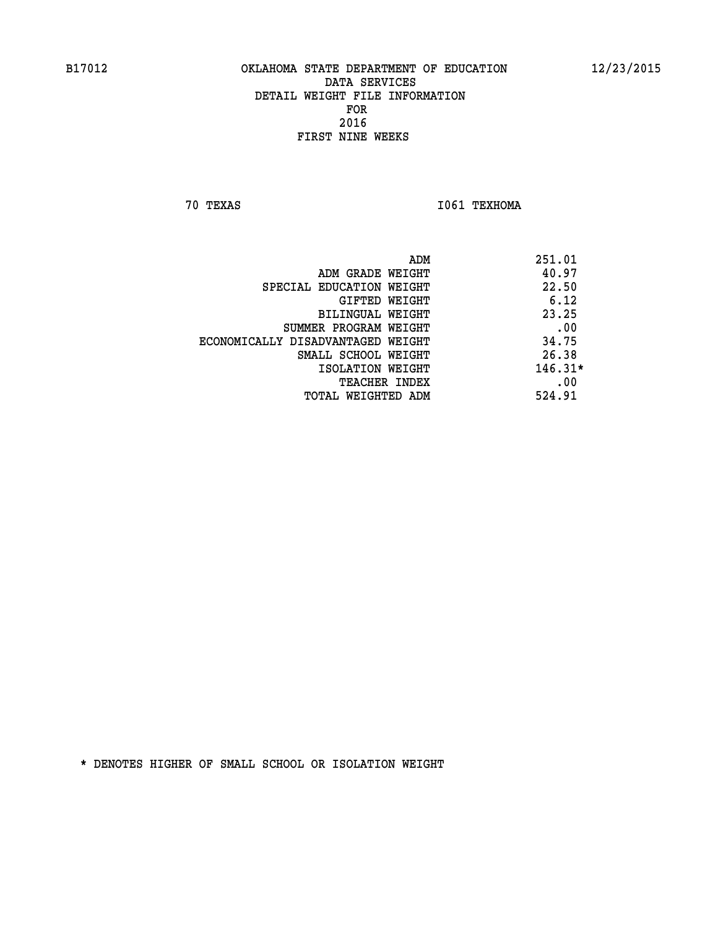**70 TEXAS I061 TEXHOMA** 

|                                   | ADM | 251.01    |
|-----------------------------------|-----|-----------|
| ADM GRADE WEIGHT                  |     | 40.97     |
| SPECIAL EDUCATION WEIGHT          |     | 22.50     |
| GIFTED WEIGHT                     |     | 6.12      |
| BILINGUAL WEIGHT                  |     | 23.25     |
| SUMMER PROGRAM WEIGHT             |     | .00       |
| ECONOMICALLY DISADVANTAGED WEIGHT |     | 34.75     |
| SMALL SCHOOL WEIGHT               |     | 26.38     |
| ISOLATION WEIGHT                  |     | $146.31*$ |
| TEACHER INDEX                     |     | .00       |
| TOTAL WEIGHTED ADM                |     | 524.91    |
|                                   |     |           |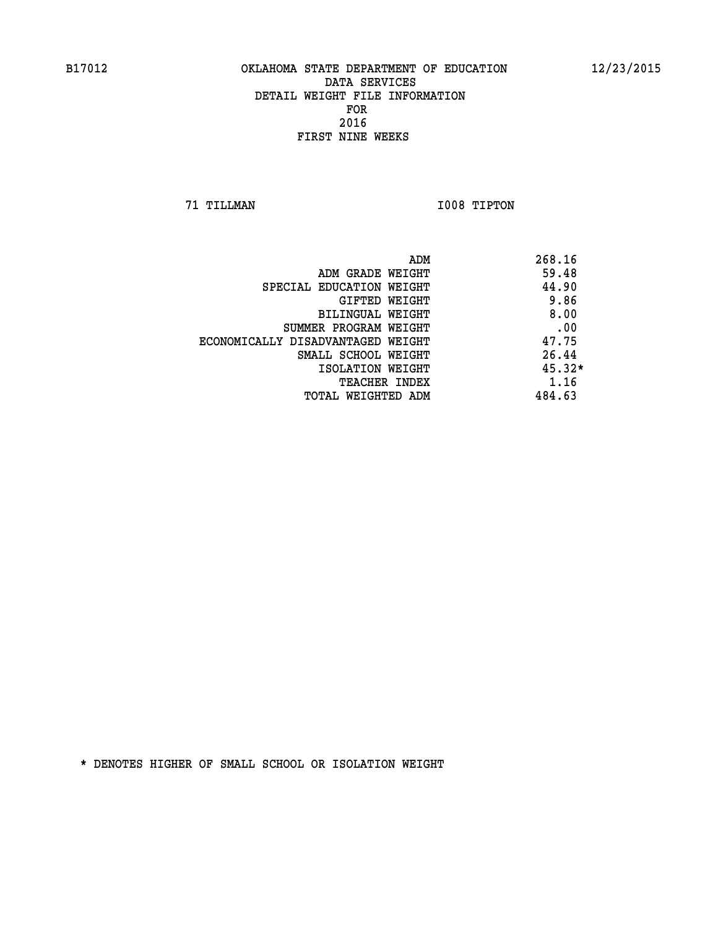**71 TILLMAN I008 TIPTON** 

|                                   | ADM | 268.16   |
|-----------------------------------|-----|----------|
| ADM GRADE WEIGHT                  |     | 59.48    |
| SPECIAL EDUCATION WEIGHT          |     | 44.90    |
| GIFTED WEIGHT                     |     | 9.86     |
| BILINGUAL WEIGHT                  |     | 8.00     |
| SUMMER PROGRAM WEIGHT             |     | .00      |
| ECONOMICALLY DISADVANTAGED WEIGHT |     | 47.75    |
| SMALL SCHOOL WEIGHT               |     | 26.44    |
| ISOLATION WEIGHT                  |     | $45.32*$ |
| <b>TEACHER INDEX</b>              |     | 1.16     |
| TOTAL WEIGHTED ADM                |     | 484.63   |
|                                   |     |          |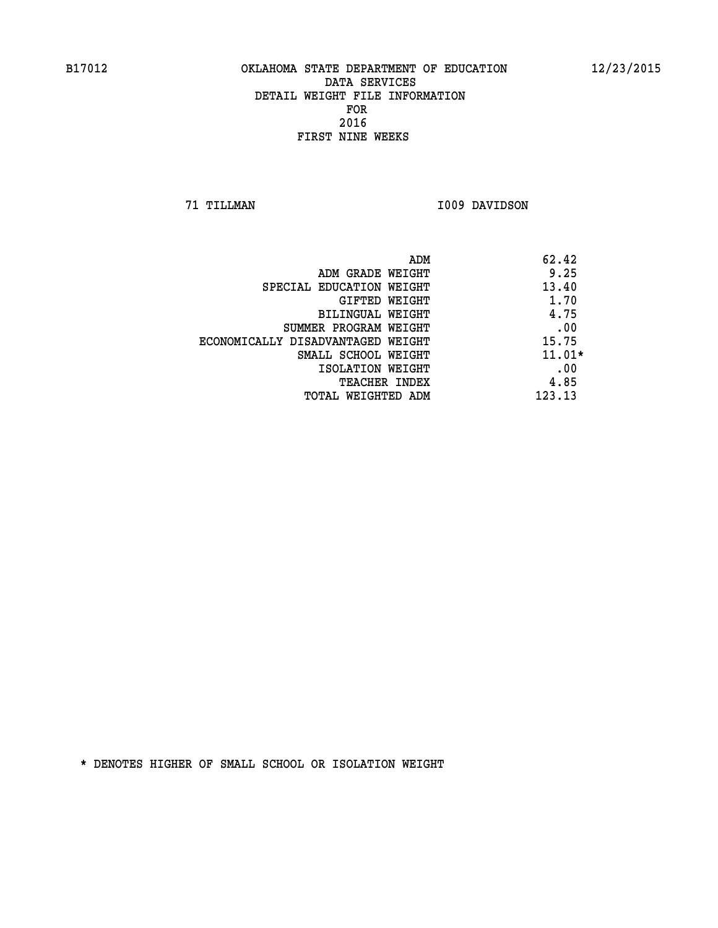**71 TILLMAN I009 DAVIDSON** 

| ADM                               | 62.42    |
|-----------------------------------|----------|
| ADM GRADE WEIGHT                  | 9.25     |
| SPECIAL EDUCATION WEIGHT          | 13.40    |
| GIFTED WEIGHT                     | 1.70     |
| <b>BILINGUAL WEIGHT</b>           | 4.75     |
| SUMMER PROGRAM WEIGHT             | .00      |
| ECONOMICALLY DISADVANTAGED WEIGHT | 15.75    |
| SMALL SCHOOL WEIGHT               | $11.01*$ |
| ISOLATION WEIGHT                  | .00      |
| <b>TEACHER INDEX</b>              | 4.85     |
| TOTAL WEIGHTED ADM                | 123.13   |
|                                   |          |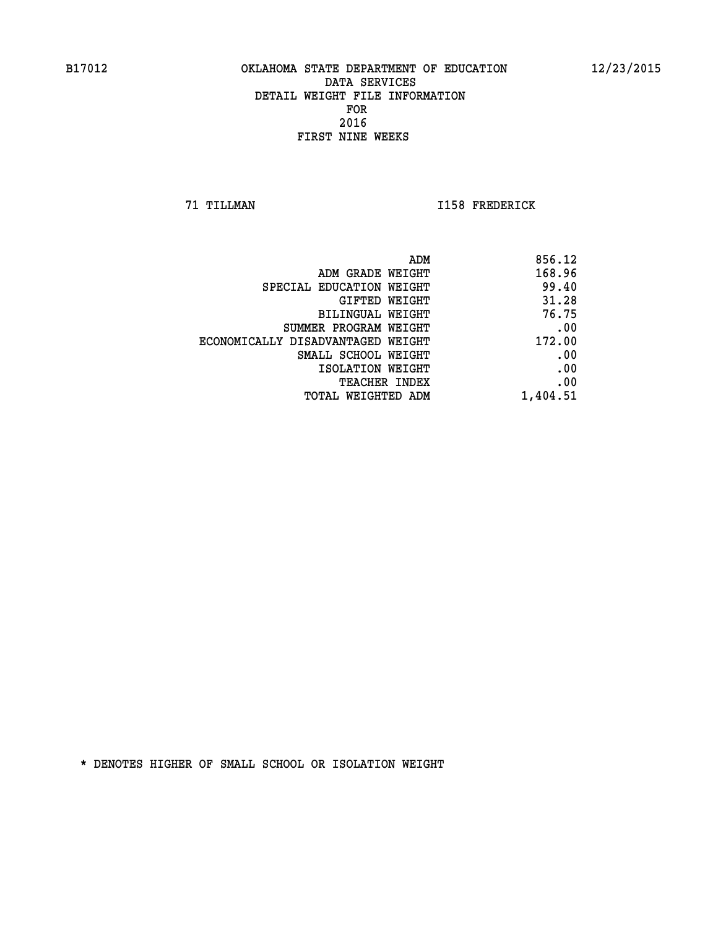**71 TILLMAN I158 FREDERICK** 

|                                   | 856.12<br>ADM |
|-----------------------------------|---------------|
| ADM GRADE WEIGHT                  | 168.96        |
| SPECIAL EDUCATION WEIGHT          | 99.40         |
| GIFTED WEIGHT                     | 31.28         |
| <b>BILINGUAL WEIGHT</b>           | 76.75         |
| SUMMER PROGRAM WEIGHT             | .00           |
| ECONOMICALLY DISADVANTAGED WEIGHT | 172.00        |
| SMALL SCHOOL WEIGHT               | .00           |
| ISOLATION WEIGHT                  | .00           |
| TEACHER INDEX                     | .00           |
| TOTAL WEIGHTED ADM                | 1,404.51      |
|                                   |               |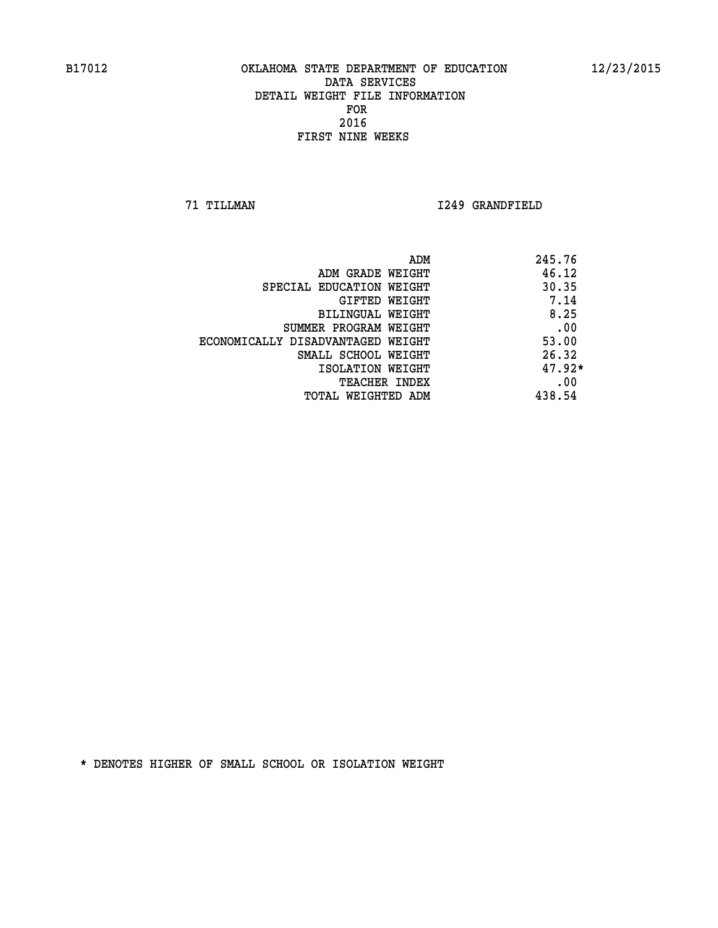**71 TILLMAN I249 GRANDFIELD** 

| ADM                               | 245.76   |
|-----------------------------------|----------|
| ADM GRADE WEIGHT                  | 46.12    |
| SPECIAL EDUCATION WEIGHT          | 30.35    |
| GIFTED WEIGHT                     | 7.14     |
| BILINGUAL WEIGHT                  | 8.25     |
| SUMMER PROGRAM WEIGHT             | .00      |
| ECONOMICALLY DISADVANTAGED WEIGHT | 53.00    |
| SMALL SCHOOL WEIGHT               | 26.32    |
| ISOLATION WEIGHT                  | $47.92*$ |
| <b>TEACHER INDEX</b>              | .00      |
| TOTAL WEIGHTED ADM                | 438.54   |
|                                   |          |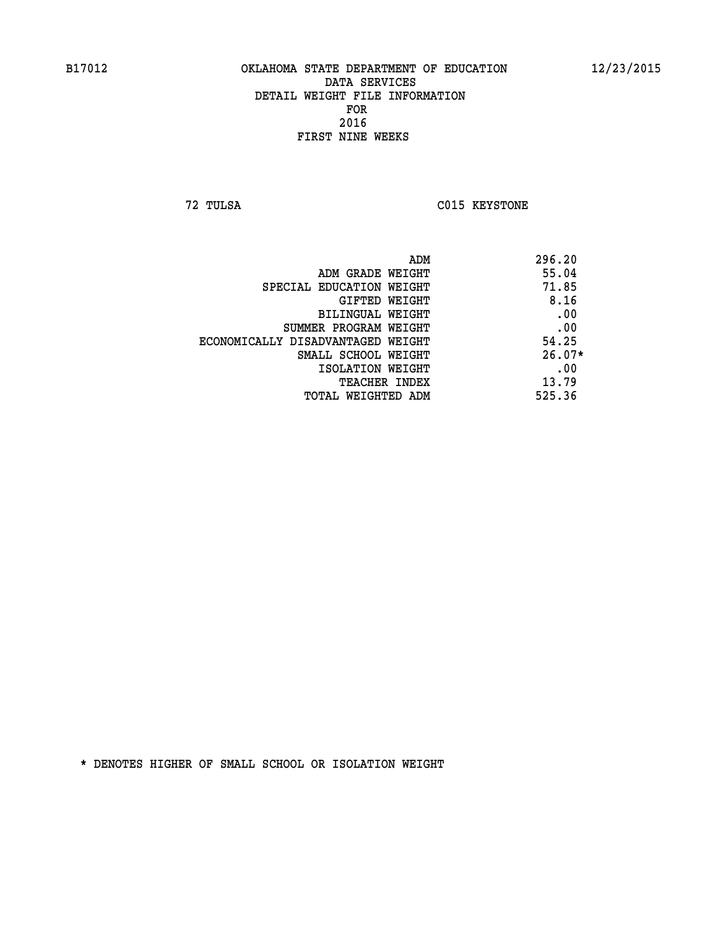**72 TULSA C015 KEYSTONE** 

|                                   | 296.20<br>ADM |     |
|-----------------------------------|---------------|-----|
| ADM GRADE WEIGHT                  | 55.04         |     |
| SPECIAL EDUCATION WEIGHT          | 71.85         |     |
| GIFTED WEIGHT                     | 8.16          |     |
| BILINGUAL WEIGHT                  |               | .00 |
| SUMMER PROGRAM WEIGHT             |               | .00 |
| ECONOMICALLY DISADVANTAGED WEIGHT | 54.25         |     |
| SMALL SCHOOL WEIGHT               | $26.07*$      |     |
| ISOLATION WEIGHT                  |               | .00 |
| TEACHER INDEX                     | 13.79         |     |
| TOTAL WEIGHTED ADM                | 525.36        |     |
|                                   |               |     |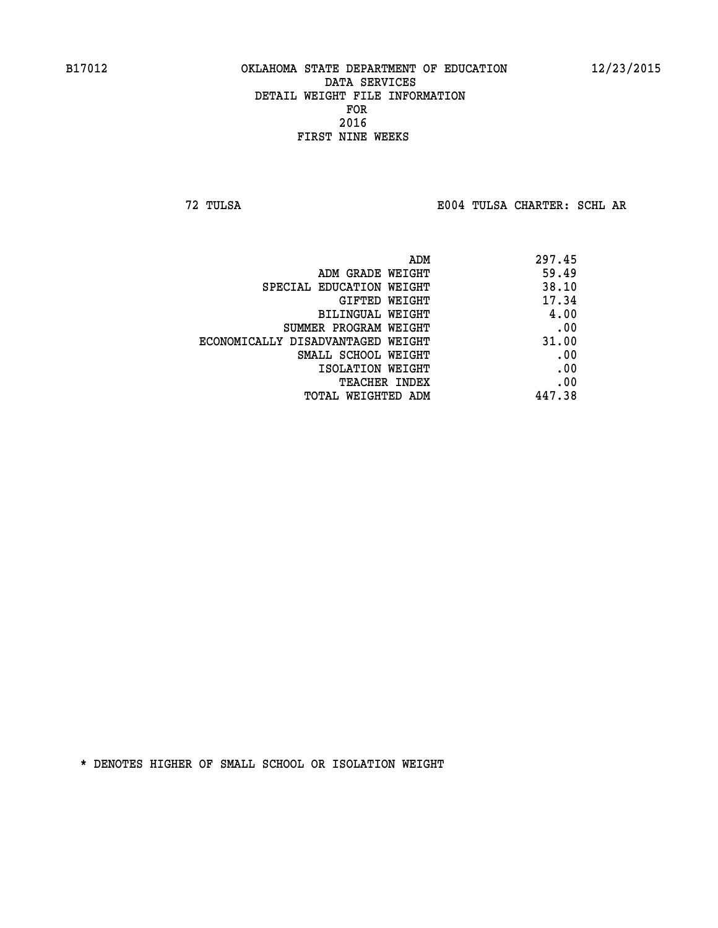**72 TULSA E004 TULSA CHARTER: SCHL AR**

|                                   | 297.45<br>ADM |     |
|-----------------------------------|---------------|-----|
| ADM GRADE WEIGHT                  | 59.49         |     |
| SPECIAL EDUCATION WEIGHT          | 38.10         |     |
| GIFTED WEIGHT                     | 17.34         |     |
| BILINGUAL WEIGHT                  | 4.00          |     |
| SUMMER PROGRAM WEIGHT             |               | .00 |
| ECONOMICALLY DISADVANTAGED WEIGHT | 31.00         |     |
| SMALL SCHOOL WEIGHT               |               | .00 |
| ISOLATION WEIGHT                  |               | .00 |
| <b>TEACHER INDEX</b>              |               | .00 |
| TOTAL WEIGHTED ADM                | 447.38        |     |
|                                   |               |     |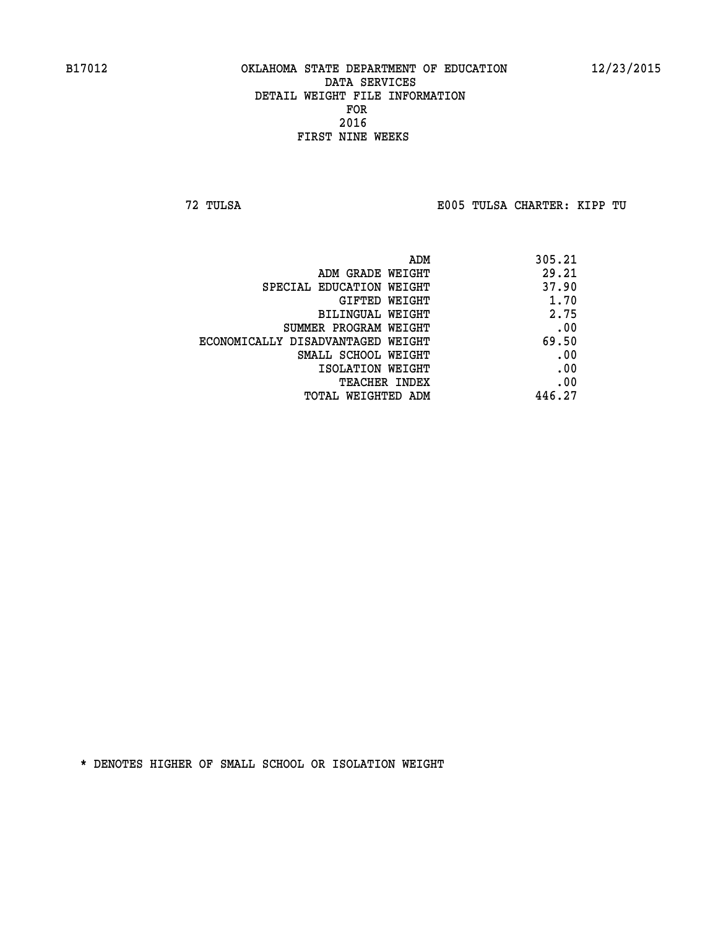**72 TULSA E005 TULSA CHARTER: KIPP TU**

| 305.21 |
|--------|
| 29.21  |
| 37.90  |
| 1.70   |
| 2.75   |
| .00    |
| 69.50  |
| .00    |
| .00    |
| .00    |
| 446.27 |
|        |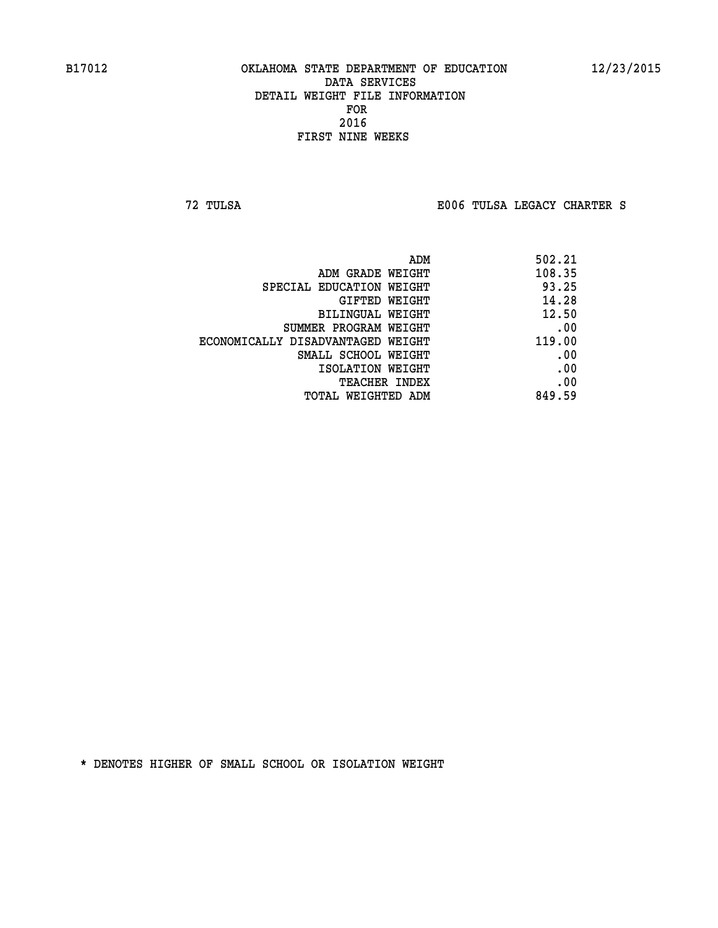**72 TULSA E006 TULSA LEGACY CHARTER S**

| 502.21 |
|--------|
| 108.35 |
| 93.25  |
| 14.28  |
| 12.50  |
| .00    |
| 119.00 |
| .00    |
| .00    |
| .00    |
| 849.59 |
|        |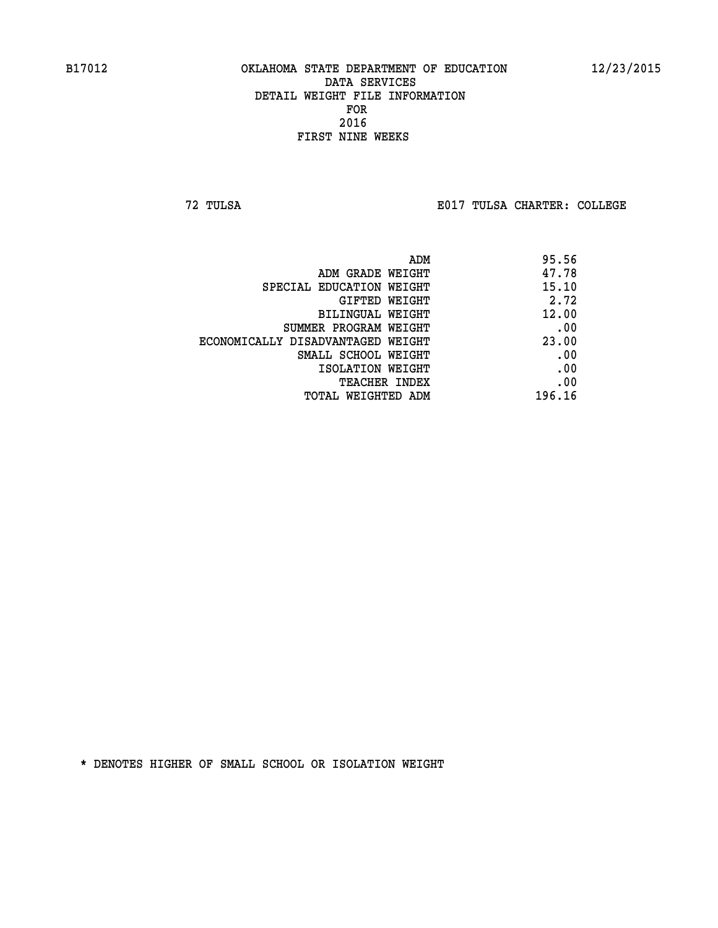**72 TULSA E017 TULSA CHARTER: COLLEGE**

| ADM                               | 95.56  |
|-----------------------------------|--------|
| ADM GRADE WEIGHT                  | 47.78  |
| SPECIAL EDUCATION WEIGHT          | 15.10  |
| GIFTED WEIGHT                     | 2.72   |
| BILINGUAL WEIGHT                  | 12.00  |
| SUMMER PROGRAM WEIGHT             | .00    |
| ECONOMICALLY DISADVANTAGED WEIGHT | 23.00  |
| SMALL SCHOOL WEIGHT               | .00    |
| ISOLATION WEIGHT                  | .00    |
| <b>TEACHER INDEX</b>              | .00    |
| TOTAL WEIGHTED ADM                | 196.16 |
|                                   |        |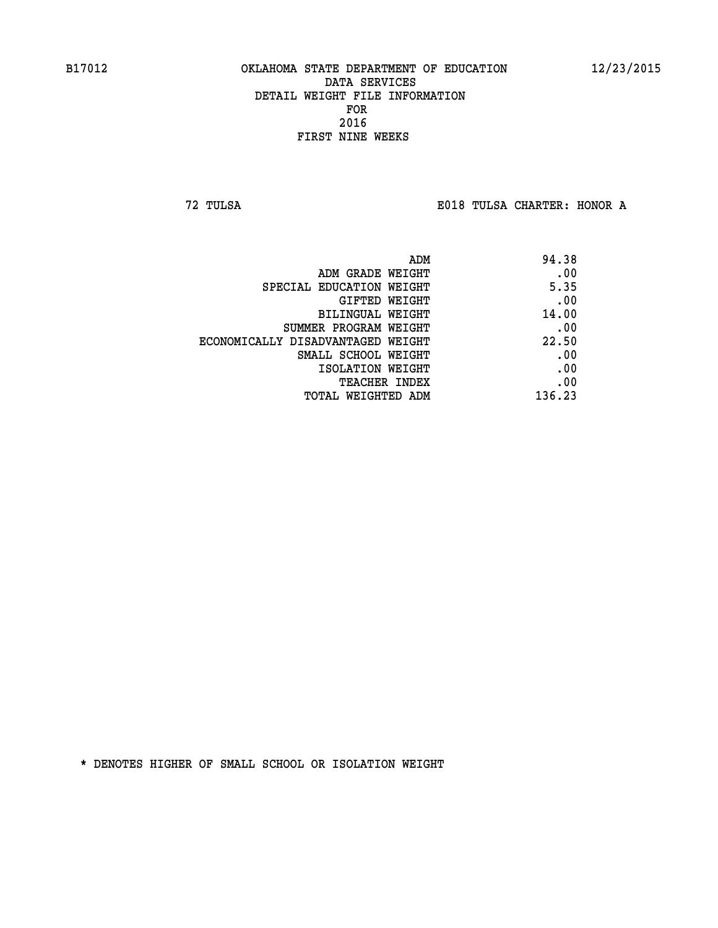**72 TULSA E018 TULSA CHARTER: HONOR A**

| ADM                               | 94.38  |
|-----------------------------------|--------|
| ADM GRADE WEIGHT                  | .00    |
| SPECIAL EDUCATION WEIGHT          | 5.35   |
| GIFTED WEIGHT                     | .00    |
| BILINGUAL WEIGHT                  | 14.00  |
| SUMMER PROGRAM WEIGHT             | .00    |
| ECONOMICALLY DISADVANTAGED WEIGHT | 22.50  |
| SMALL SCHOOL WEIGHT               | .00    |
| ISOLATION WEIGHT                  | .00    |
| TEACHER INDEX                     | .00    |
| TOTAL WEIGHTED ADM                | 136.23 |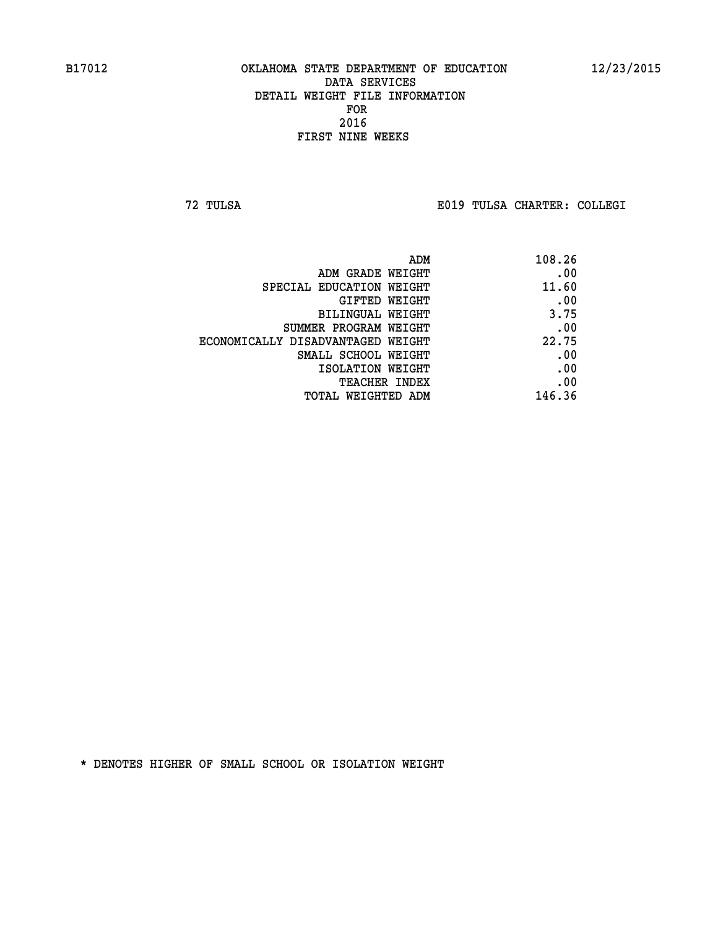**72 TULSA E019 TULSA CHARTER: COLLEGI**

| ADM                               | 108.26 |
|-----------------------------------|--------|
| ADM GRADE WEIGHT                  | .00    |
| SPECIAL EDUCATION WEIGHT          | 11.60  |
| GIFTED WEIGHT                     | .00    |
| BILINGUAL WEIGHT                  | 3.75   |
| SUMMER PROGRAM WEIGHT             | .00    |
| ECONOMICALLY DISADVANTAGED WEIGHT | 22.75  |
| SMALL SCHOOL WEIGHT               | .00    |
| ISOLATION WEIGHT                  | .00    |
| TEACHER INDEX                     | .00    |
| TOTAL WEIGHTED ADM                | 146.36 |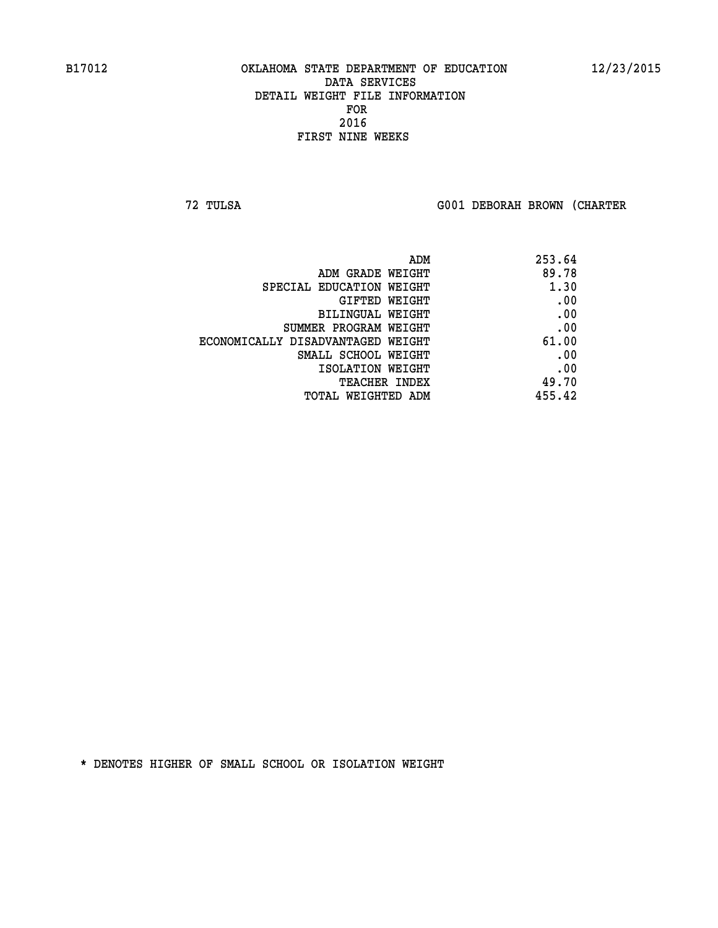**72 TULSA G001 DEBORAH BROWN (CHARTER**

| ADM                               | 253.64 |
|-----------------------------------|--------|
| ADM GRADE WEIGHT                  | 89.78  |
| SPECIAL EDUCATION WEIGHT          | 1.30   |
| GIFTED WEIGHT                     | .00    |
| BILINGUAL WEIGHT                  | .00    |
| SUMMER PROGRAM WEIGHT             | .00    |
| ECONOMICALLY DISADVANTAGED WEIGHT | 61.00  |
| SMALL SCHOOL WEIGHT               | .00    |
| ISOLATION WEIGHT                  | .00    |
| TEACHER INDEX                     | 49.70  |
| TOTAL WEIGHTED ADM                | 455.42 |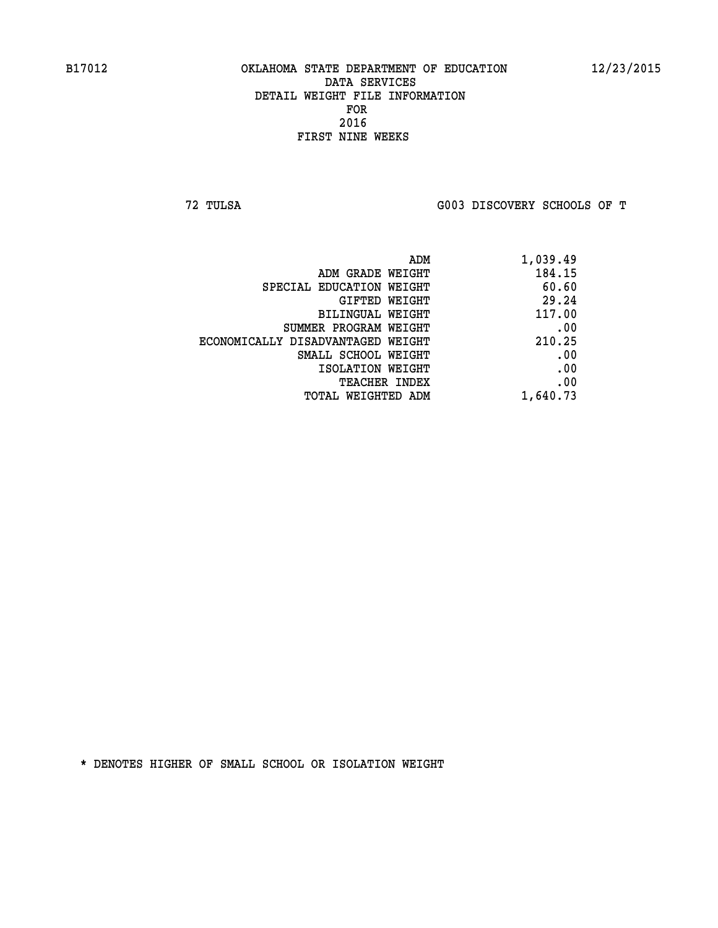**72 TULSA G003 DISCOVERY SCHOOLS OF T**

| 1,039.49 |
|----------|
| 184.15   |
| 60.60    |
| 29.24    |
| 117.00   |
| .00      |
| 210.25   |
| .00      |
| .00      |
| .00      |
| 1,640.73 |
|          |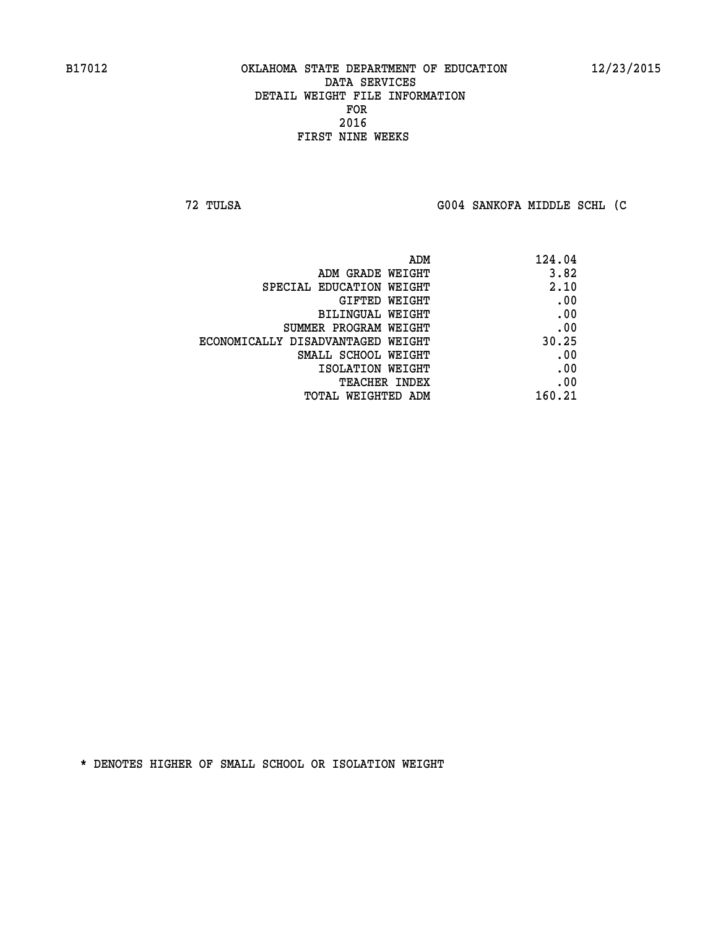**72 TULSA G004 SANKOFA MIDDLE SCHL (C**

| ADM                               | 124.04 |
|-----------------------------------|--------|
| ADM GRADE WEIGHT                  | 3.82   |
| SPECIAL EDUCATION WEIGHT          | 2.10   |
| GIFTED WEIGHT                     | .00    |
| BILINGUAL WEIGHT                  | .00    |
| SUMMER PROGRAM WEIGHT             | .00    |
| ECONOMICALLY DISADVANTAGED WEIGHT | 30.25  |
| SMALL SCHOOL WEIGHT               | .00    |
| ISOLATION WEIGHT                  | .00    |
| TEACHER INDEX                     | .00    |
| TOTAL WEIGHTED ADM                | 160.21 |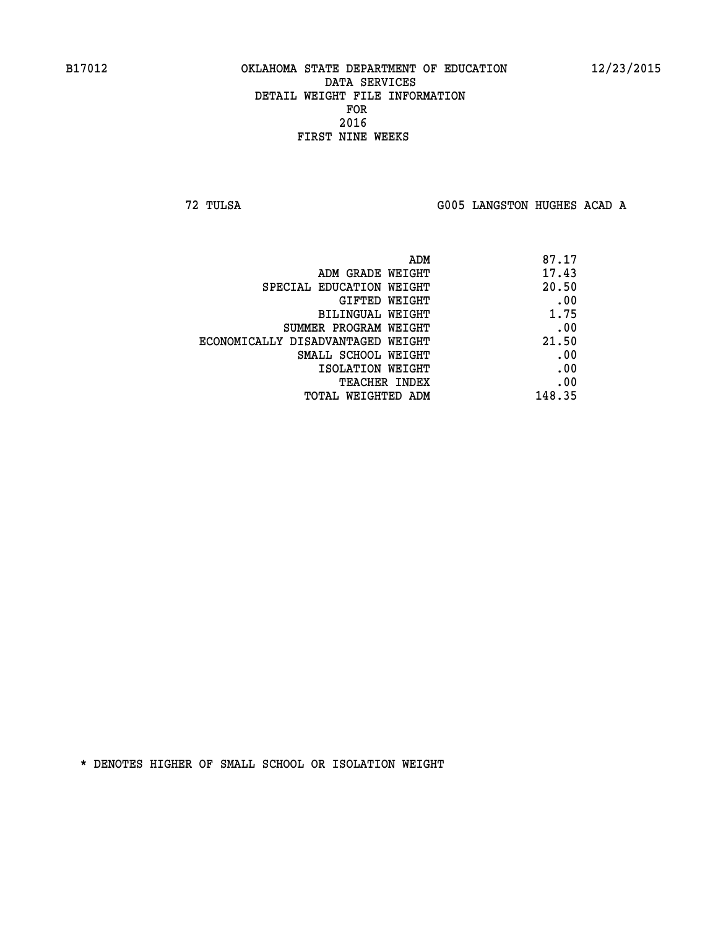**72 TULSA G005 LANGSTON HUGHES ACAD A**

| 87.17  |
|--------|
| 17.43  |
| 20.50  |
| .00    |
| 1.75   |
| .00    |
| 21.50  |
| .00    |
| .00    |
| .00    |
| 148.35 |
|        |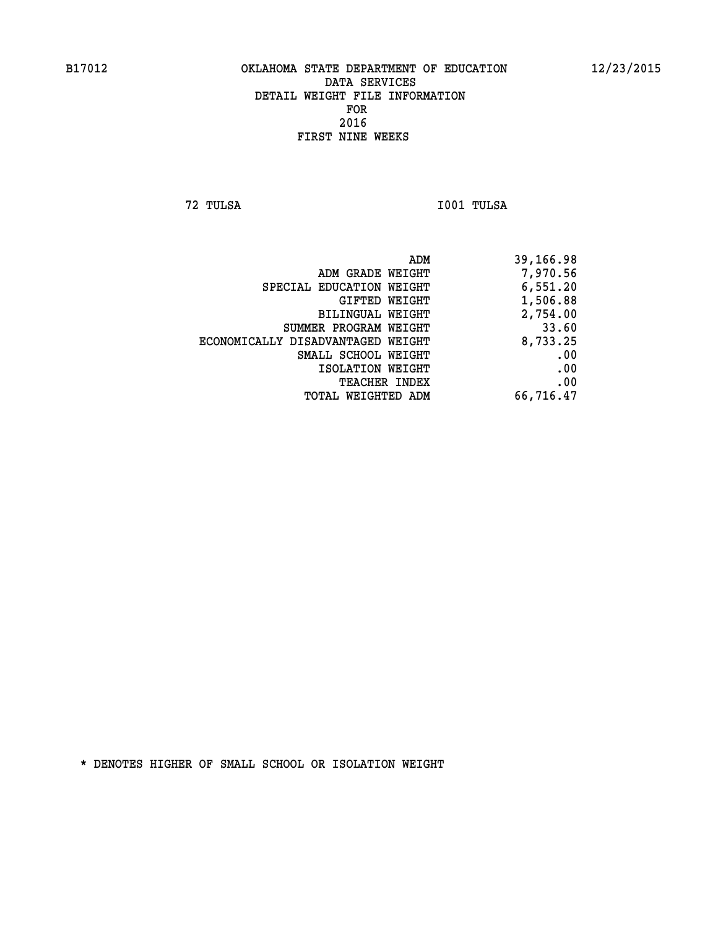**72 TULSA I001 TULSA** 

|                                   | ADM | 39,166.98 |
|-----------------------------------|-----|-----------|
| ADM GRADE WEIGHT                  |     | 7,970.56  |
| SPECIAL EDUCATION WEIGHT          |     | 6,551.20  |
| GIFTED WEIGHT                     |     | 1,506.88  |
| BILINGUAL WEIGHT                  |     | 2,754.00  |
| SUMMER PROGRAM WEIGHT             |     | 33.60     |
| ECONOMICALLY DISADVANTAGED WEIGHT |     | 8,733.25  |
| SMALL SCHOOL WEIGHT               |     | .00       |
| ISOLATION WEIGHT                  |     | .00       |
| <b>TEACHER INDEX</b>              |     | .00       |
| TOTAL WEIGHTED ADM                |     | 66,716.47 |
|                                   |     |           |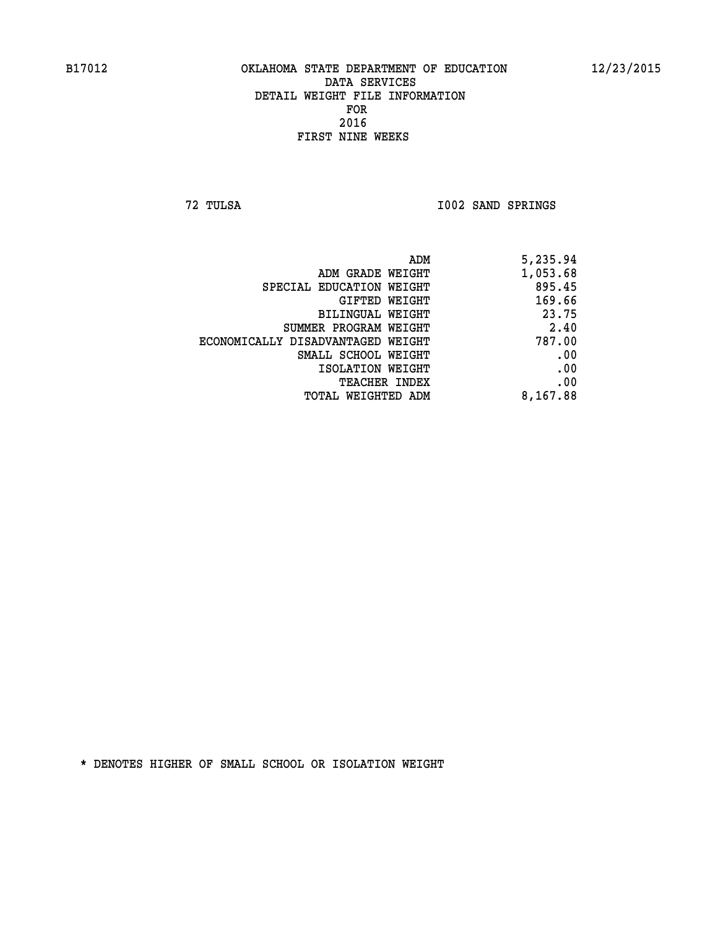**72 TULSA I002 SAND SPRINGS** 

| ADM                               | 5,235.94 |
|-----------------------------------|----------|
| ADM GRADE WEIGHT                  | 1,053.68 |
| SPECIAL EDUCATION WEIGHT          | 895.45   |
| GIFTED WEIGHT                     | 169.66   |
| BILINGUAL WEIGHT                  | 23.75    |
| SUMMER PROGRAM WEIGHT             | 2.40     |
| ECONOMICALLY DISADVANTAGED WEIGHT | 787.00   |
| SMALL SCHOOL WEIGHT               | .00      |
| ISOLATION WEIGHT                  | .00      |
| <b>TEACHER INDEX</b>              | .00      |
| TOTAL WEIGHTED ADM                | 8,167.88 |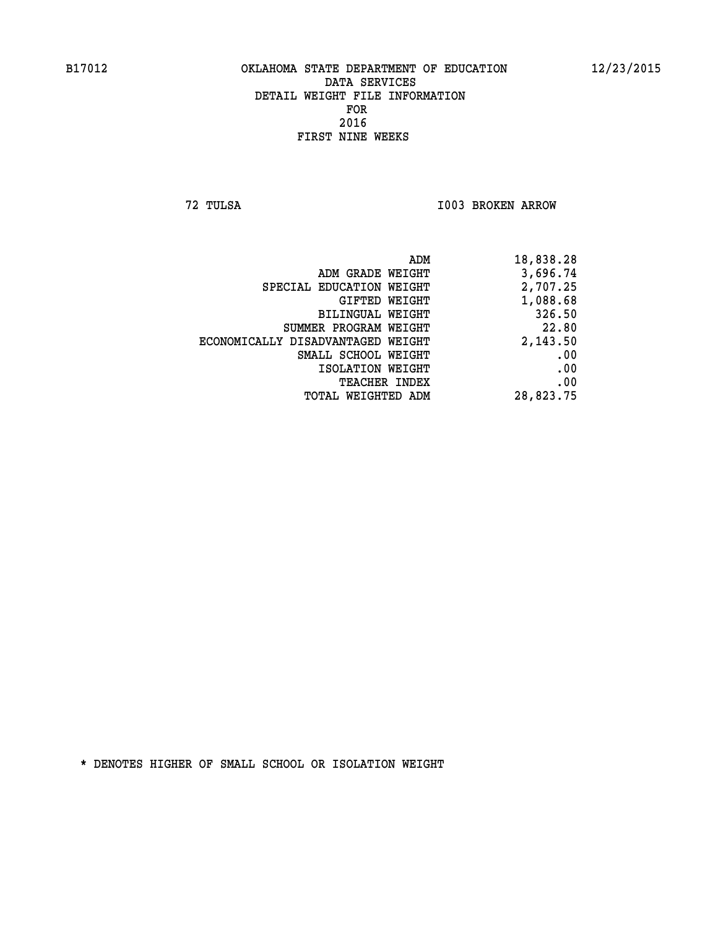**72 TULSA I003 BROKEN ARROW** 

| ADM GRADE WEIGHT<br>SPECIAL EDUCATION WEIGHT<br>GIFTED WEIGHT<br>BILINGUAL WEIGHT | 18,838.28 |
|-----------------------------------------------------------------------------------|-----------|
|                                                                                   | 3,696.74  |
|                                                                                   | 2,707.25  |
|                                                                                   | 1,088.68  |
|                                                                                   | 326.50    |
| SUMMER PROGRAM WEIGHT                                                             | 22.80     |
| ECONOMICALLY DISADVANTAGED WEIGHT                                                 | 2,143.50  |
| SMALL SCHOOL WEIGHT                                                               | .00       |
| ISOLATION WEIGHT                                                                  | .00       |
| <b>TEACHER INDEX</b>                                                              | .00       |
| WEIGHTED ADM<br>TOTAL                                                             | 28,823.75 |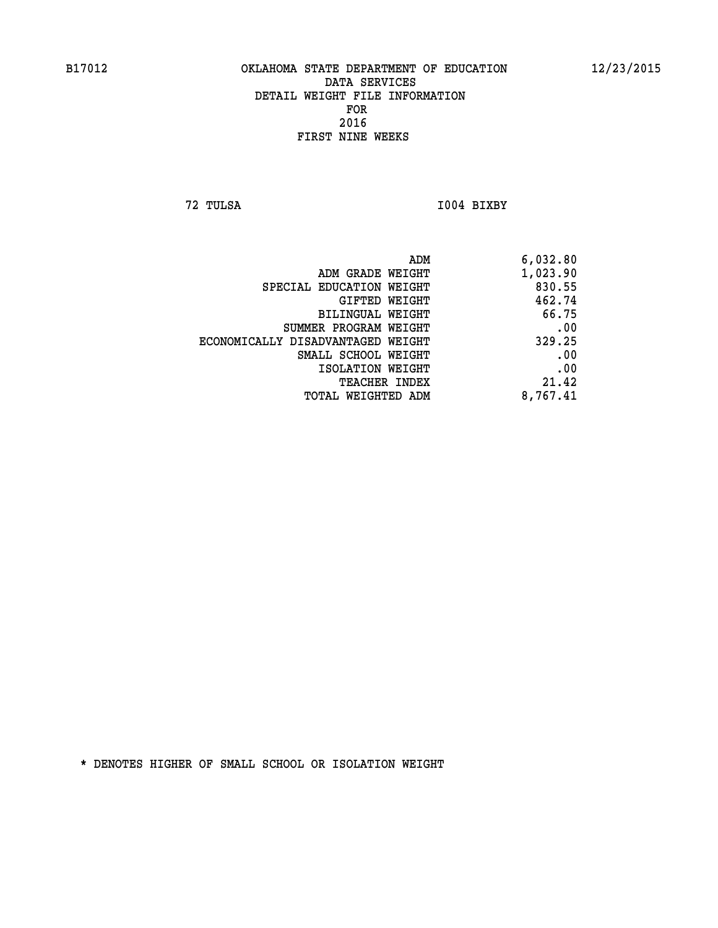**72 TULSA I004 BIXBY** 

| ADM                               | 6,032.80 |
|-----------------------------------|----------|
| ADM GRADE WEIGHT                  | 1,023.90 |
| SPECIAL EDUCATION WEIGHT          | 830.55   |
| GIFTED WEIGHT                     | 462.74   |
| BILINGUAL WEIGHT                  | 66.75    |
| SUMMER PROGRAM WEIGHT             | .00      |
| ECONOMICALLY DISADVANTAGED WEIGHT | 329.25   |
| SMALL SCHOOL WEIGHT               | .00      |
| ISOLATION WEIGHT                  | .00      |
| <b>TEACHER INDEX</b>              | 21.42    |
| TOTAL WEIGHTED ADM                | 8,767.41 |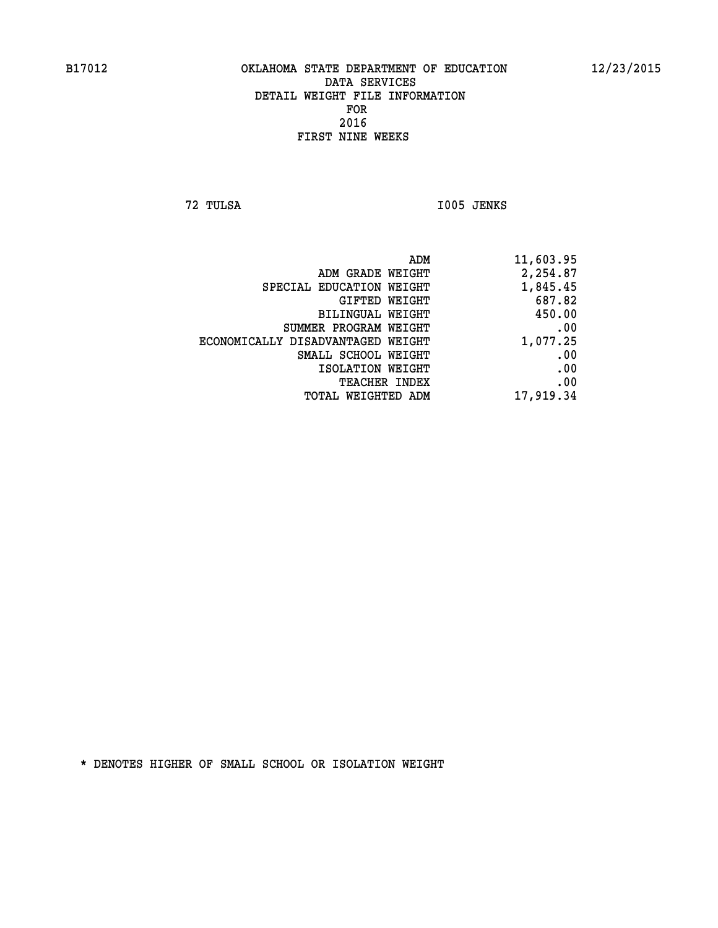**72 TULSA I005 JENKS** 

| 11,603.95 |
|-----------|
| 2,254.87  |
| 1,845.45  |
| 687.82    |
| 450.00    |
| .00       |
| 1,077.25  |
| .00       |
| .00       |
| .00       |
| 17,919.34 |
|           |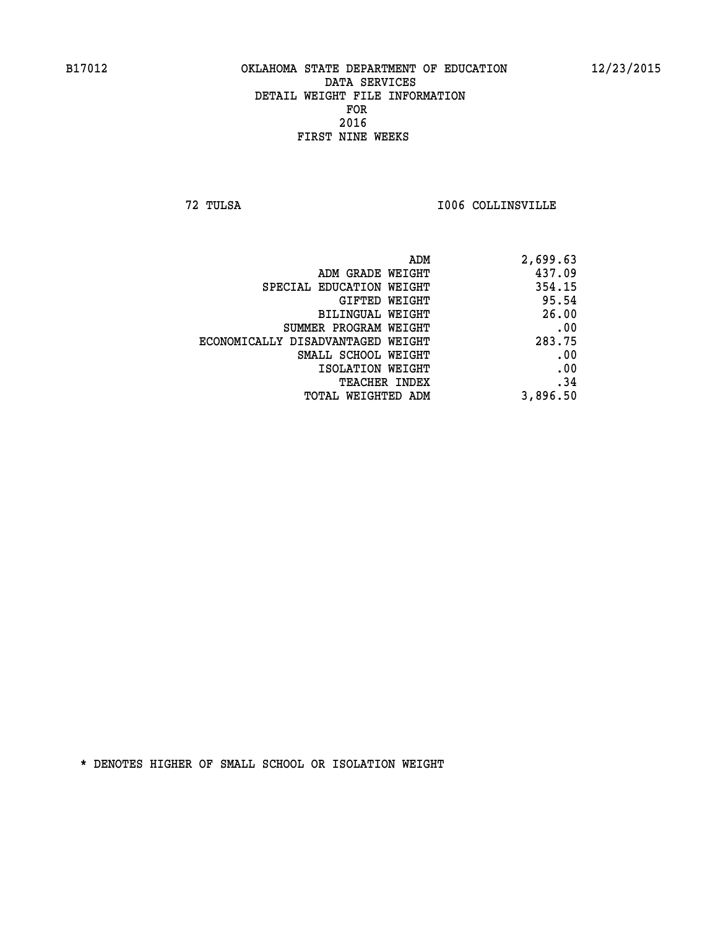**72 TULSA I006 COLLINSVILLE** 

|                                   | 2,699.63<br>ADM |
|-----------------------------------|-----------------|
| ADM GRADE WEIGHT                  | 437.09          |
| SPECIAL EDUCATION WEIGHT          | 354.15          |
| <b>GIFTED WEIGHT</b>              | 95.54           |
| BILINGUAL WEIGHT                  | 26.00           |
| SUMMER PROGRAM WEIGHT             | .00             |
| ECONOMICALLY DISADVANTAGED WEIGHT | 283.75          |
| SMALL SCHOOL WEIGHT               | .00             |
| ISOLATION WEIGHT                  | .00             |
| <b>TEACHER INDEX</b>              | .34             |
| TOTAL WEIGHTED ADM                | 3,896.50        |
|                                   |                 |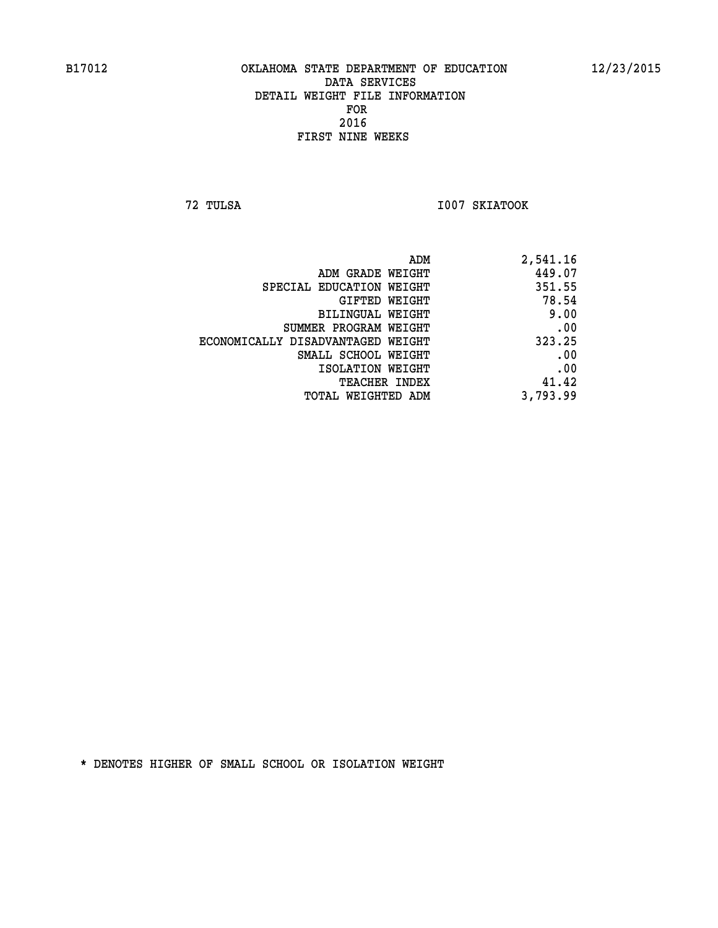**72 TULSA I007 SKIATOOK** 

| 2,541.16 |
|----------|
| 449.07   |
| 351.55   |
| 78.54    |
| 9.00     |
| .00      |
| 323.25   |
| .00      |
| .00      |
| 41.42    |
| 3,793.99 |
|          |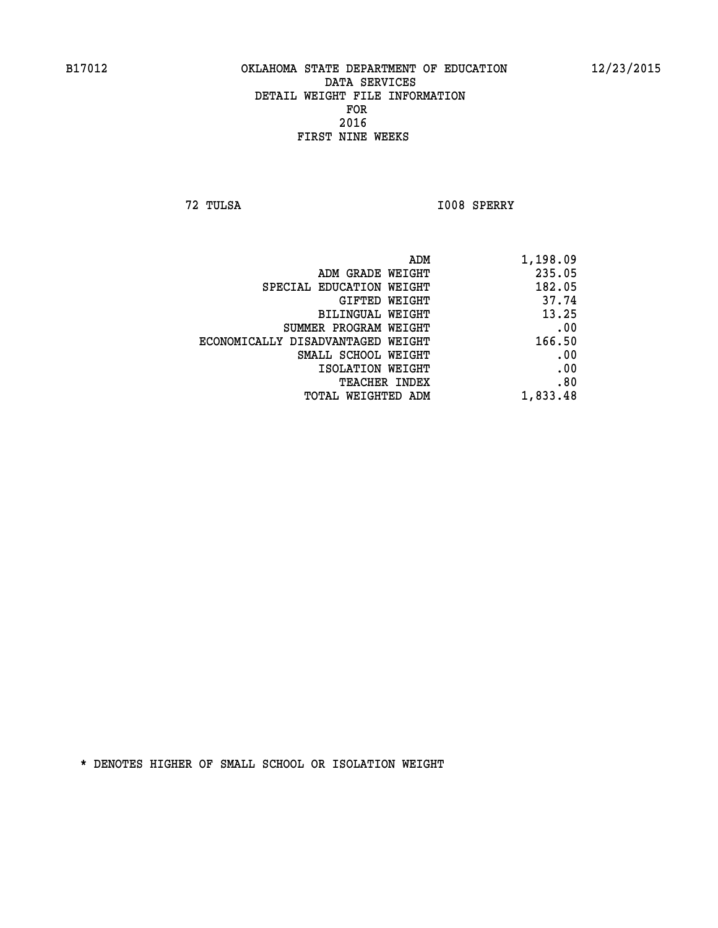**72 TULSA I008 SPERRY** 

| ADM                               | 1,198.09 |
|-----------------------------------|----------|
| ADM GRADE WEIGHT                  | 235.05   |
| SPECIAL EDUCATION WEIGHT          | 182.05   |
| GIFTED WEIGHT                     | 37.74    |
| BILINGUAL WEIGHT                  | 13.25    |
| SUMMER PROGRAM WEIGHT             | .00      |
| ECONOMICALLY DISADVANTAGED WEIGHT | 166.50   |
| SMALL SCHOOL WEIGHT               | .00      |
| ISOLATION WEIGHT                  | .00      |
| <b>TEACHER INDEX</b>              | .80      |
| TOTAL WEIGHTED ADM                | 1,833.48 |
|                                   |          |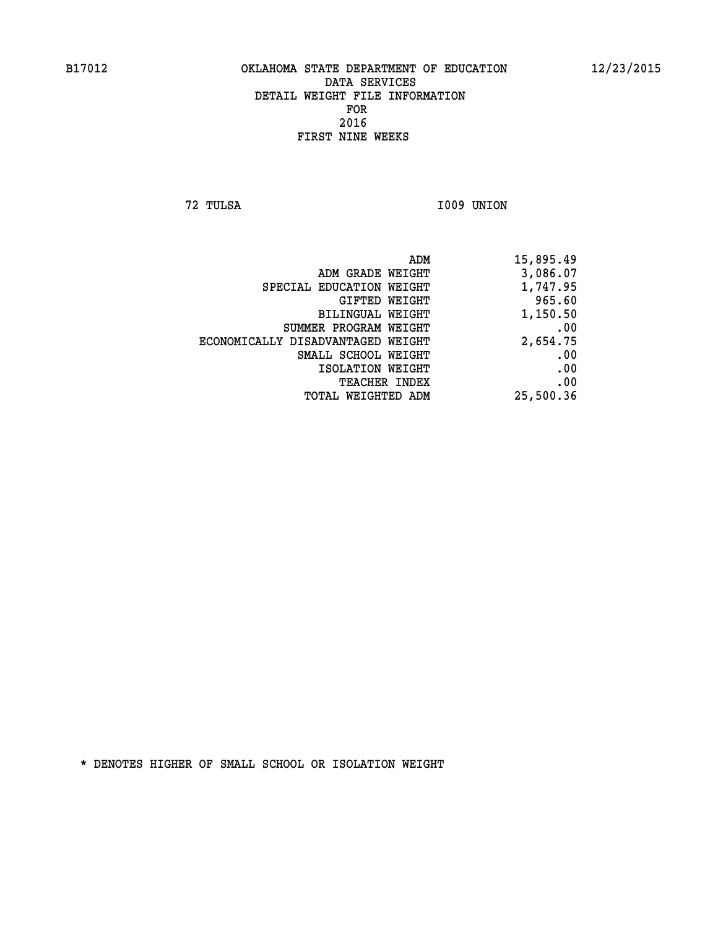**72 TULSA I009 UNION** 

| ADM                               | 15,895.49 |
|-----------------------------------|-----------|
| ADM GRADE WEIGHT                  | 3,086.07  |
| SPECIAL EDUCATION WEIGHT          | 1,747.95  |
| GIFTED WEIGHT                     | 965.60    |
| BILINGUAL WEIGHT                  | 1,150.50  |
| SUMMER PROGRAM WEIGHT             | .00       |
| ECONOMICALLY DISADVANTAGED WEIGHT | 2,654.75  |
| SMALL SCHOOL WEIGHT               | .00       |
| ISOLATION WEIGHT                  | .00       |
| <b>TEACHER INDEX</b>              | .00       |
| WEIGHTED ADM<br>TOTAL             | 25,500.36 |
|                                   |           |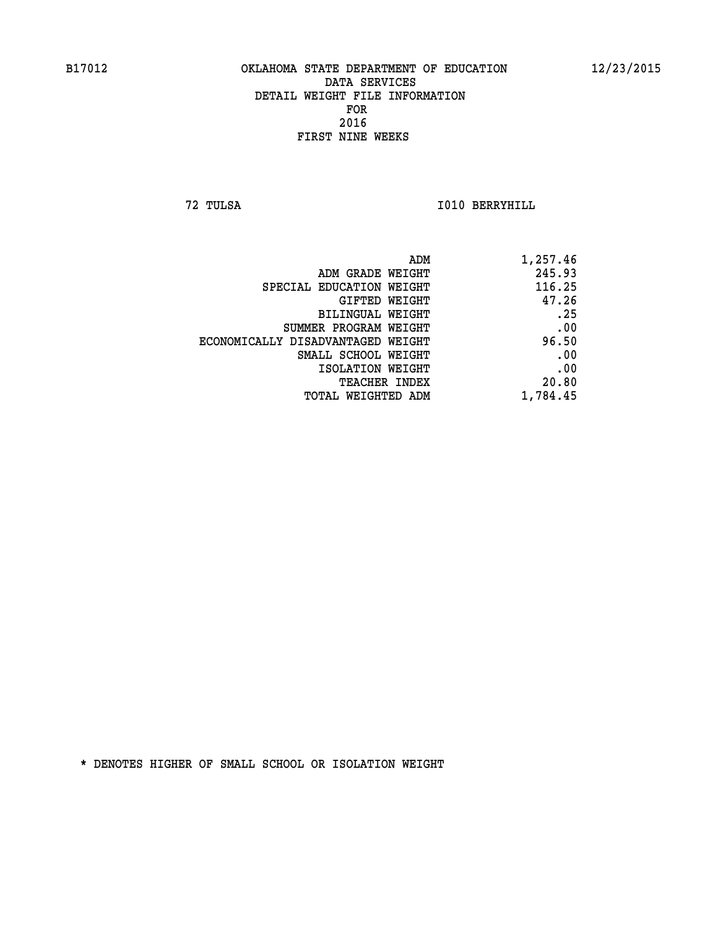**72 TULSA I010 BERRYHILL** 

| ADM                               | 1,257.46 |
|-----------------------------------|----------|
| ADM GRADE WEIGHT                  | 245.93   |
| SPECIAL EDUCATION WEIGHT          | 116.25   |
| GIFTED WEIGHT                     | 47.26    |
| <b>BILINGUAL WEIGHT</b>           | .25      |
| SUMMER PROGRAM WEIGHT             | .00      |
| ECONOMICALLY DISADVANTAGED WEIGHT | 96.50    |
| SMALL SCHOOL WEIGHT               | .00      |
| ISOLATION WEIGHT                  | .00      |
| TEACHER INDEX                     | 20.80    |
| TOTAL WEIGHTED ADM                | 1,784.45 |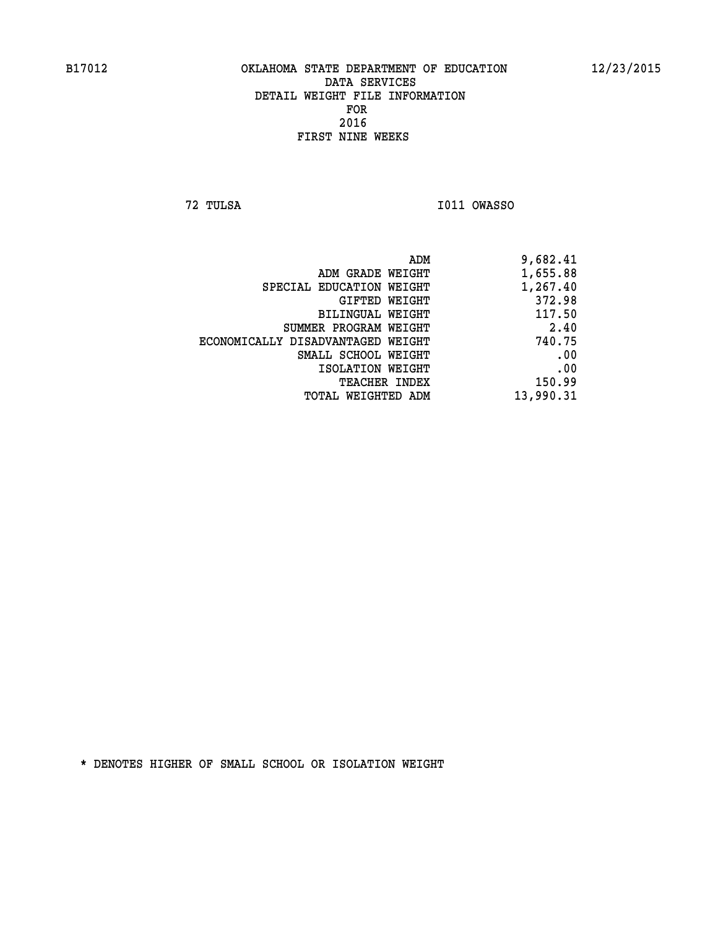**72 TULSA I011 OWASSO** 

| 9,682.41  |
|-----------|
| 1,655.88  |
| 1,267.40  |
| 372.98    |
| 117.50    |
| 2.40      |
| 740.75    |
| .00       |
| .00       |
| 150.99    |
| 13,990.31 |
|           |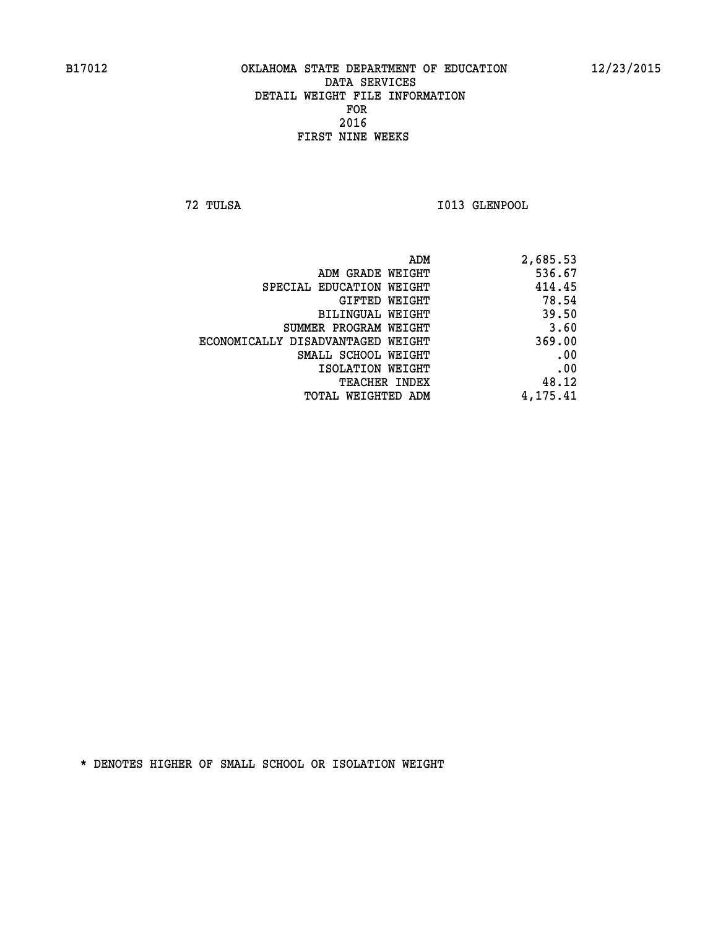**72 TULSA I013 GLENPOOL** 

| ADM                               | 2,685.53 |
|-----------------------------------|----------|
| ADM GRADE WEIGHT                  | 536.67   |
| SPECIAL EDUCATION WEIGHT          | 414.45   |
| GIFTED WEIGHT                     | 78.54    |
| BILINGUAL WEIGHT                  | 39.50    |
| SUMMER PROGRAM WEIGHT             | 3.60     |
| ECONOMICALLY DISADVANTAGED WEIGHT | 369.00   |
| SMALL SCHOOL WEIGHT               | .00      |
| ISOLATION WEIGHT                  | .00      |
| TEACHER INDEX                     | 48.12    |
| TOTAL WEIGHTED ADM                | 4,175.41 |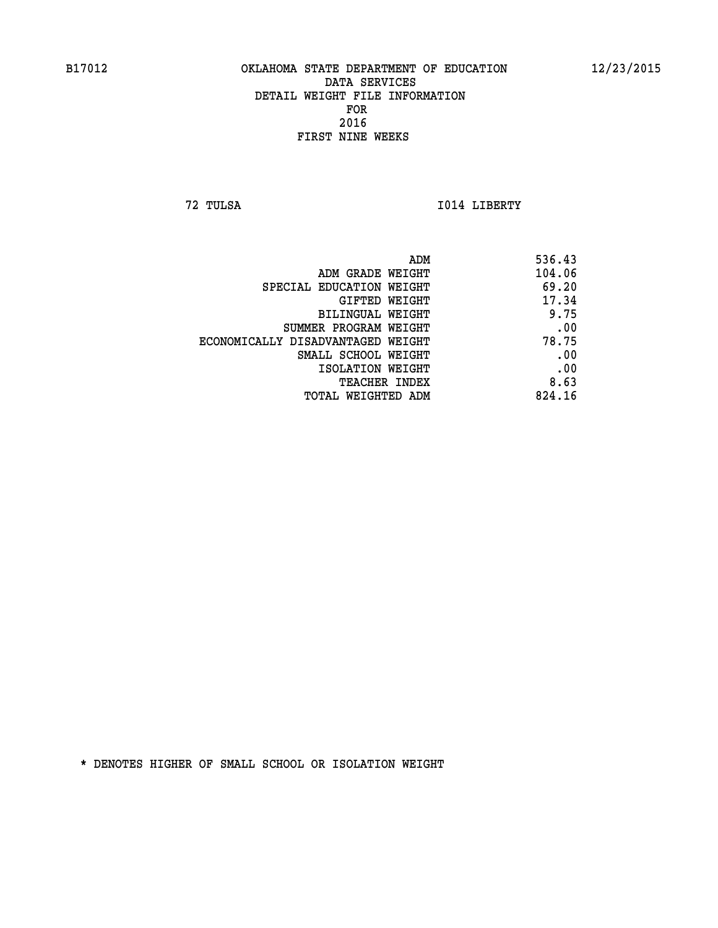**72 TULSA I014 LIBERTY** 

| 104.06<br>ADM GRADE WEIGHT<br>69.20<br>SPECIAL EDUCATION WEIGHT<br>17.34<br>GIFTED WEIGHT<br>9.75<br>BILINGUAL WEIGHT<br>.00<br>SUMMER PROGRAM WEIGHT<br>78.75<br>ECONOMICALLY DISADVANTAGED WEIGHT<br>.00<br>SMALL SCHOOL WEIGHT<br>.00<br>ISOLATION WEIGHT<br>8.63<br>TEACHER INDEX<br>824.16<br>TOTAL WEIGHTED ADM | ADM | 536.43 |
|-----------------------------------------------------------------------------------------------------------------------------------------------------------------------------------------------------------------------------------------------------------------------------------------------------------------------|-----|--------|
|                                                                                                                                                                                                                                                                                                                       |     |        |
|                                                                                                                                                                                                                                                                                                                       |     |        |
|                                                                                                                                                                                                                                                                                                                       |     |        |
|                                                                                                                                                                                                                                                                                                                       |     |        |
|                                                                                                                                                                                                                                                                                                                       |     |        |
|                                                                                                                                                                                                                                                                                                                       |     |        |
|                                                                                                                                                                                                                                                                                                                       |     |        |
|                                                                                                                                                                                                                                                                                                                       |     |        |
|                                                                                                                                                                                                                                                                                                                       |     |        |
|                                                                                                                                                                                                                                                                                                                       |     |        |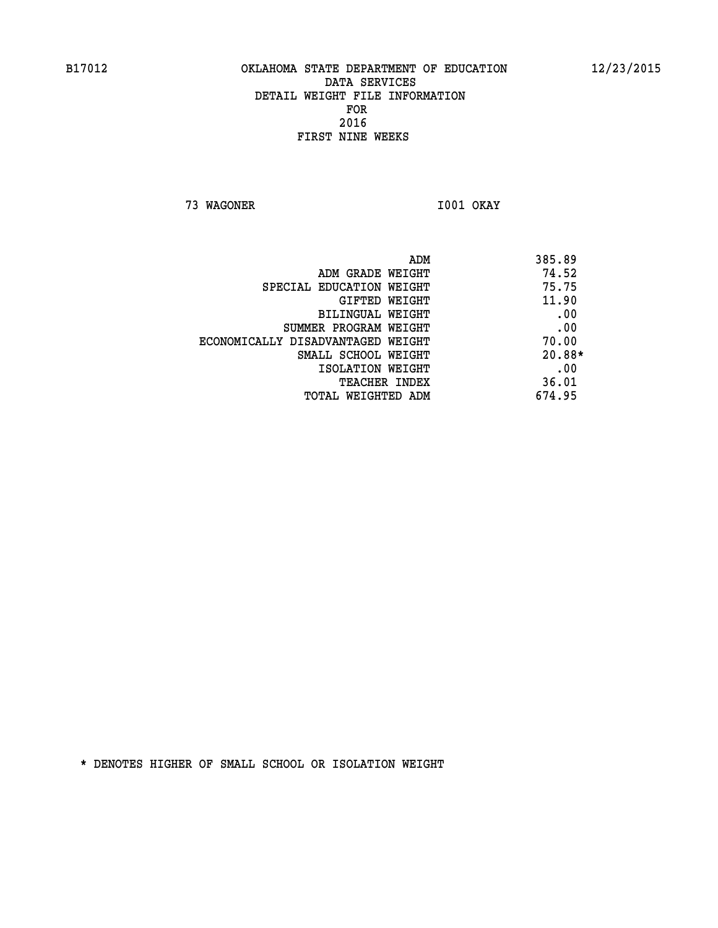**73 WAGONER I001 OKAY** 

| 385.89 |
|--------|
| 74.52  |
| 75.75  |
| 11.90  |
| .00    |
| .00    |
| 70.00  |
| 20.88* |
| .00    |
| 36.01  |
| 674.95 |
|        |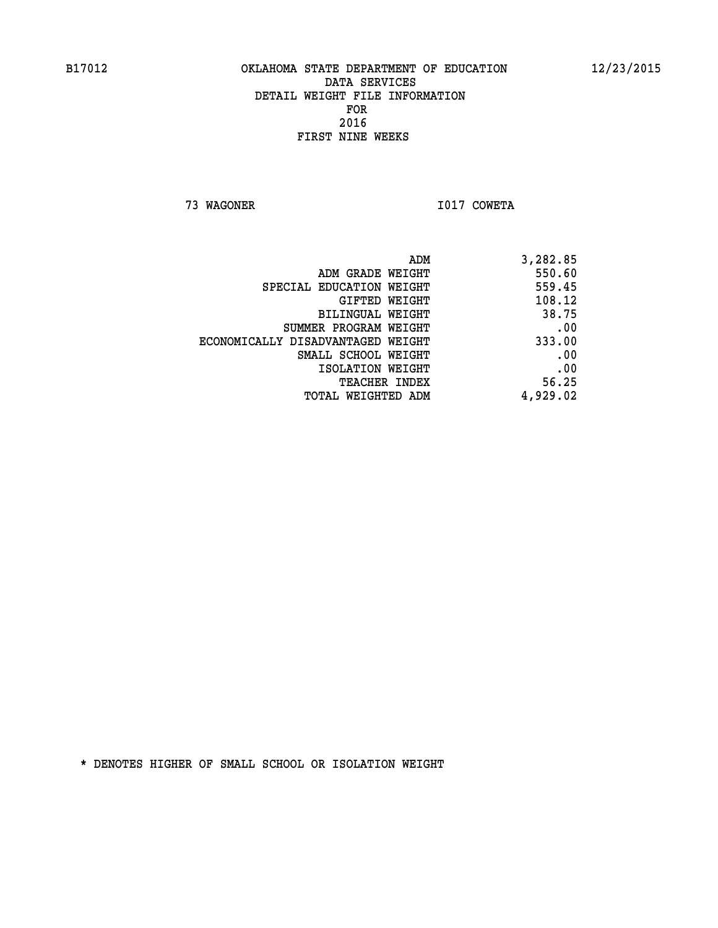**73 WAGONER I017 COWETA** 

| ADM                               | 3,282.85 |
|-----------------------------------|----------|
| ADM GRADE WEIGHT                  | 550.60   |
| SPECIAL EDUCATION WEIGHT          | 559.45   |
| GIFTED WEIGHT                     | 108.12   |
| BILINGUAL WEIGHT                  | 38.75    |
| SUMMER PROGRAM WEIGHT             | .00      |
| ECONOMICALLY DISADVANTAGED WEIGHT | 333.00   |
| SMALL SCHOOL WEIGHT               | .00      |
| ISOLATION WEIGHT                  | .00      |
| <b>TEACHER INDEX</b>              | 56.25    |
| TOTAL WEIGHTED ADM                | 4,929.02 |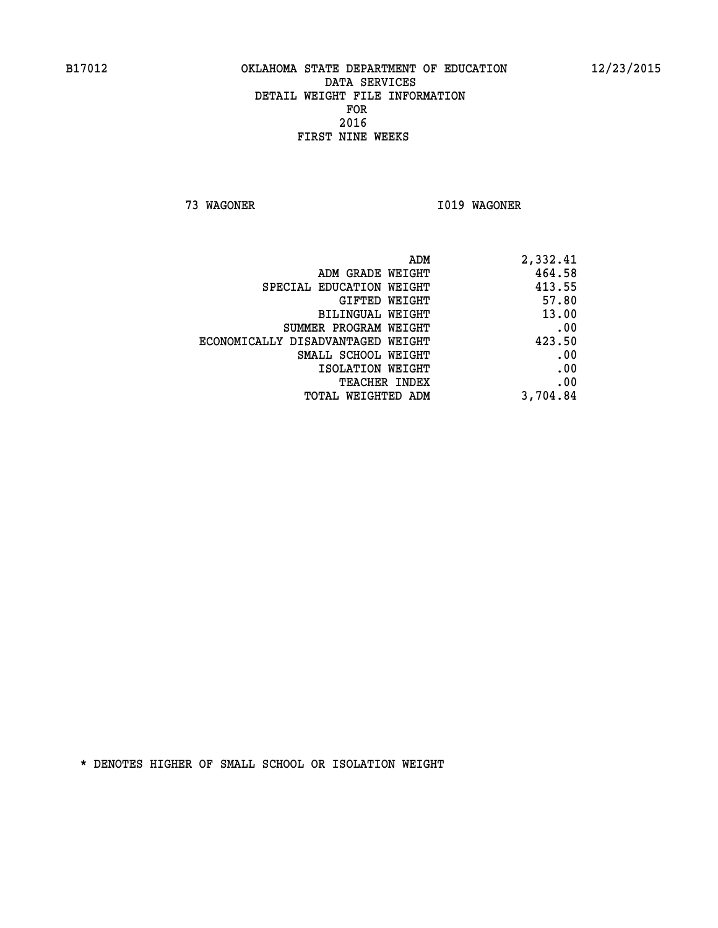**73 WAGONER I019 WAGONER** 

| ADM                               | 2,332.41 |
|-----------------------------------|----------|
| ADM GRADE WEIGHT                  | 464.58   |
| SPECIAL EDUCATION WEIGHT          | 413.55   |
| GIFTED WEIGHT                     | 57.80    |
| <b>BILINGUAL WEIGHT</b>           | 13.00    |
| SUMMER PROGRAM WEIGHT             | .00      |
| ECONOMICALLY DISADVANTAGED WEIGHT | 423.50   |
| SMALL SCHOOL WEIGHT               | .00      |
| ISOLATION WEIGHT                  | .00      |
| TEACHER INDEX                     | .00      |
| TOTAL WEIGHTED ADM                | 3,704.84 |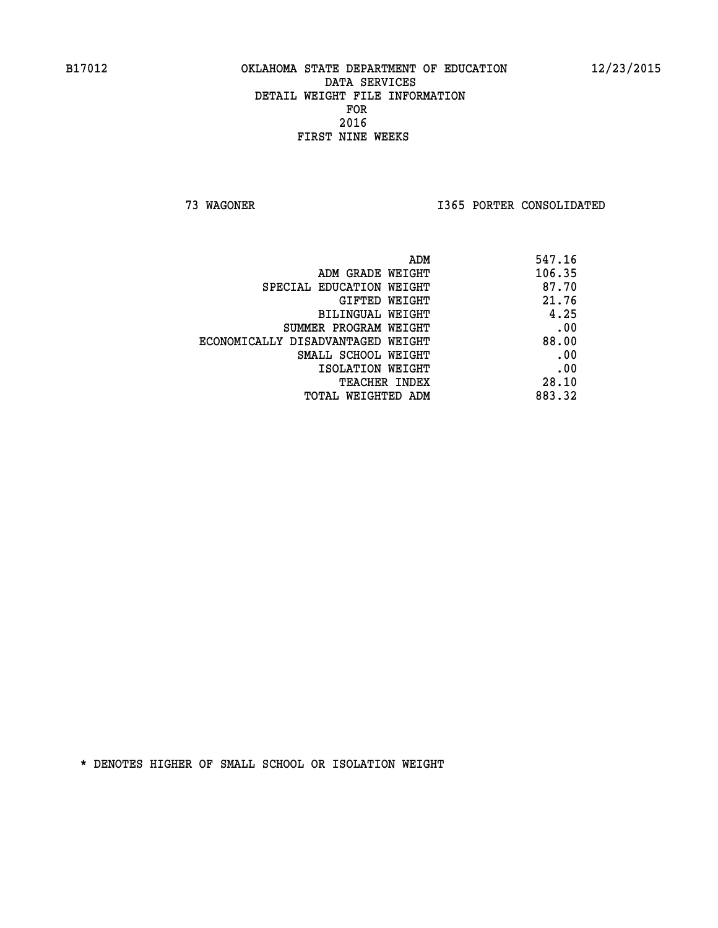**73 WAGONER I365 PORTER CONSOLIDATED** 

| ADM                               | 547.16 |
|-----------------------------------|--------|
| ADM GRADE WEIGHT                  | 106.35 |
| SPECIAL EDUCATION WEIGHT          | 87.70  |
| GIFTED WEIGHT                     | 21.76  |
| BILINGUAL WEIGHT                  | 4.25   |
| SUMMER PROGRAM WEIGHT             | .00    |
| ECONOMICALLY DISADVANTAGED WEIGHT | 88.00  |
| SMALL SCHOOL WEIGHT               | .00    |
| ISOLATION WEIGHT                  | .00    |
| <b>TEACHER INDEX</b>              | 28.10  |
| TOTAL WEIGHTED ADM                | 883.32 |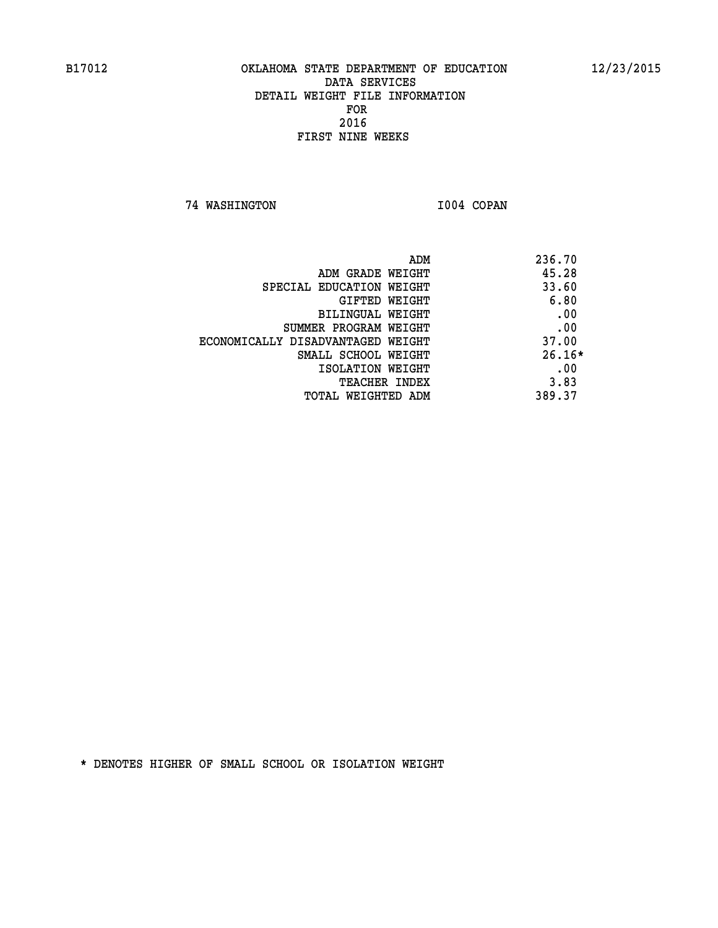**74 WASHINGTON I004 COPAN** 

| ADM                               | 236.70   |
|-----------------------------------|----------|
| ADM GRADE WEIGHT                  | 45.28    |
| SPECIAL EDUCATION WEIGHT          | 33.60    |
| GIFTED WEIGHT                     | 6.80     |
| BILINGUAL WEIGHT                  | .00      |
| SUMMER PROGRAM WEIGHT             | .00      |
| ECONOMICALLY DISADVANTAGED WEIGHT | 37.00    |
| SMALL SCHOOL WEIGHT               | $26.16*$ |
| ISOLATION WEIGHT                  | .00      |
| <b>TEACHER INDEX</b>              | 3.83     |
| TOTAL WEIGHTED ADM                | 389.37   |
|                                   |          |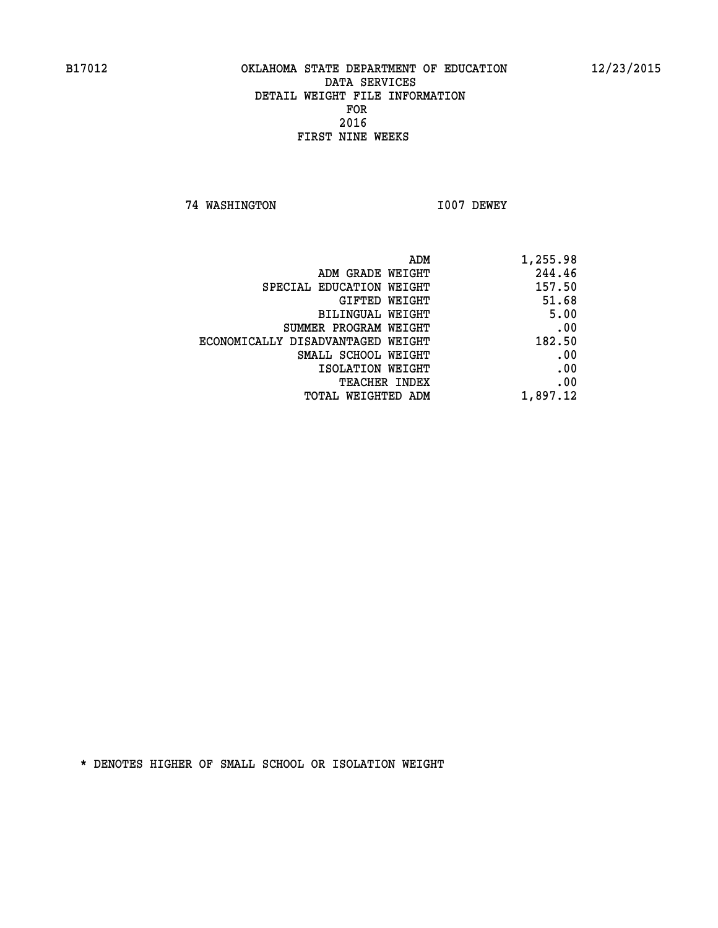**74 WASHINGTON I007 DEWEY** 

| 1,255.98 | ADM                               |
|----------|-----------------------------------|
| 244.46   | ADM GRADE WEIGHT                  |
| 157.50   | SPECIAL EDUCATION WEIGHT          |
| 51.68    | GIFTED WEIGHT                     |
| 5.00     | BILINGUAL WEIGHT                  |
| .00      | SUMMER PROGRAM WEIGHT             |
| 182.50   | ECONOMICALLY DISADVANTAGED WEIGHT |
| .00      | SMALL SCHOOL WEIGHT               |
| .00      | ISOLATION WEIGHT                  |
| .00      | <b>TEACHER INDEX</b>              |
| 1,897.12 | <b>TOTAL WEIGHTED ADM</b>         |
|          |                                   |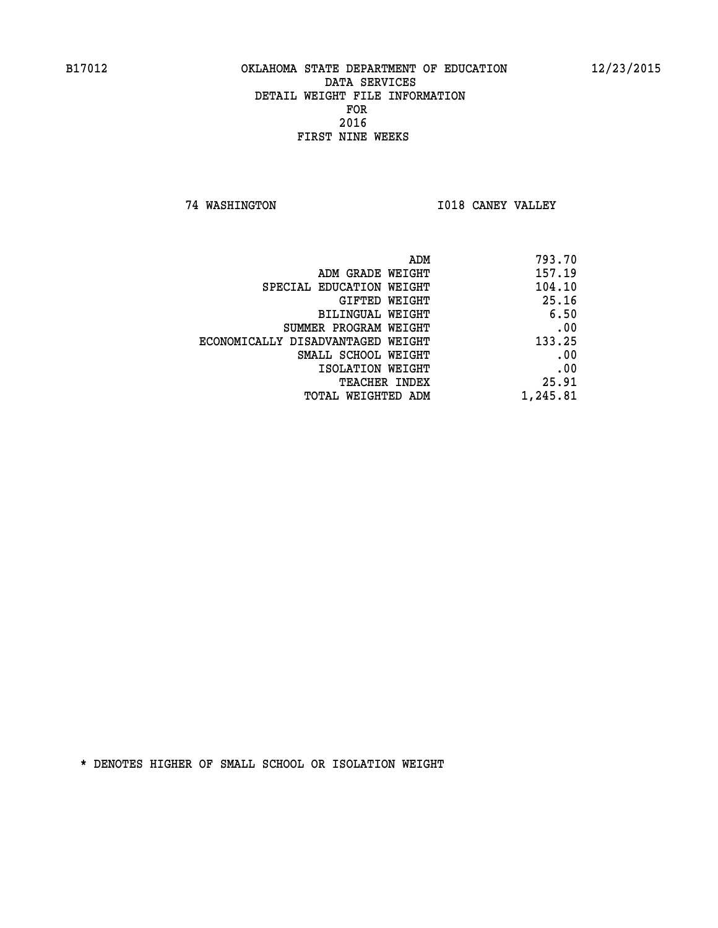**74 WASHINGTON I018 CANEY VALLEY** 

| ADM                               | 793.70   |
|-----------------------------------|----------|
| ADM GRADE WEIGHT                  | 157.19   |
| SPECIAL EDUCATION WEIGHT          | 104.10   |
| GIFTED WEIGHT                     | 25.16    |
| BILINGUAL WEIGHT                  | 6.50     |
| SUMMER PROGRAM WEIGHT             | .00      |
| ECONOMICALLY DISADVANTAGED WEIGHT | 133.25   |
| SMALL SCHOOL WEIGHT               | .00      |
| ISOLATION WEIGHT                  | .00      |
| <b>TEACHER INDEX</b>              | 25.91    |
| TOTAL WEIGHTED ADM                | 1,245.81 |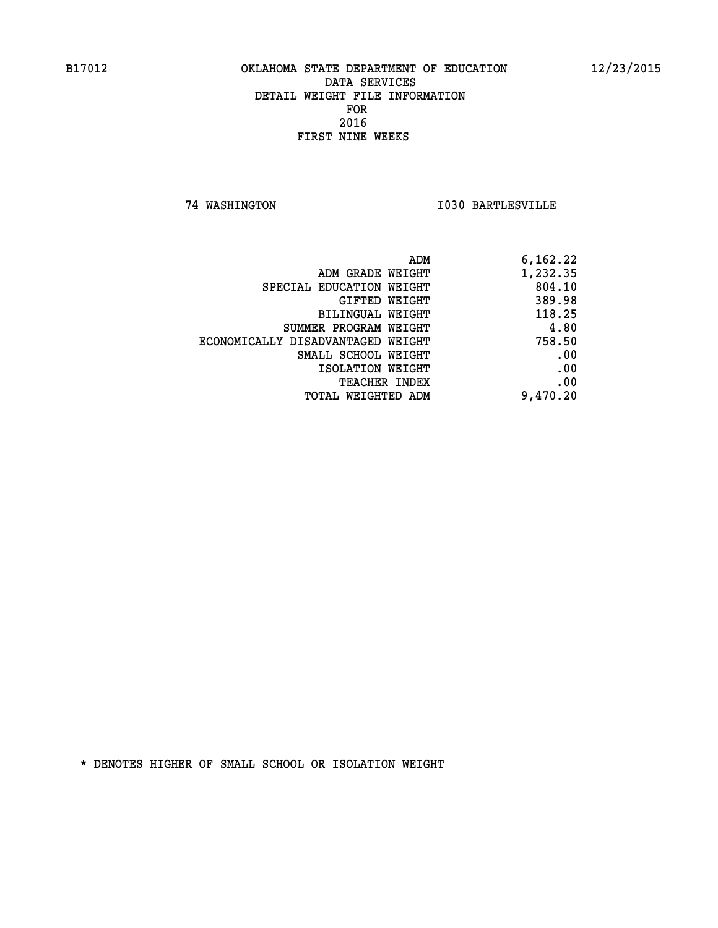**74 WASHINGTON I030 BARTLESVILLE** 

|                                   | 6,162.22<br>ADM |
|-----------------------------------|-----------------|
| ADM GRADE WEIGHT                  | 1,232.35        |
| SPECIAL EDUCATION WEIGHT          | 804.10          |
| <b>GIFTED WEIGHT</b>              | 389.98          |
| BILINGUAL WEIGHT                  | 118.25          |
| SUMMER PROGRAM WEIGHT             | 4.80            |
| ECONOMICALLY DISADVANTAGED WEIGHT | 758.50          |
| SMALL SCHOOL WEIGHT               | .00             |
| ISOLATION WEIGHT                  | .00             |
| <b>TEACHER INDEX</b>              | .00             |
| <b>TOTAL WEIGHTED ADM</b>         | 9,470.20        |
|                                   |                 |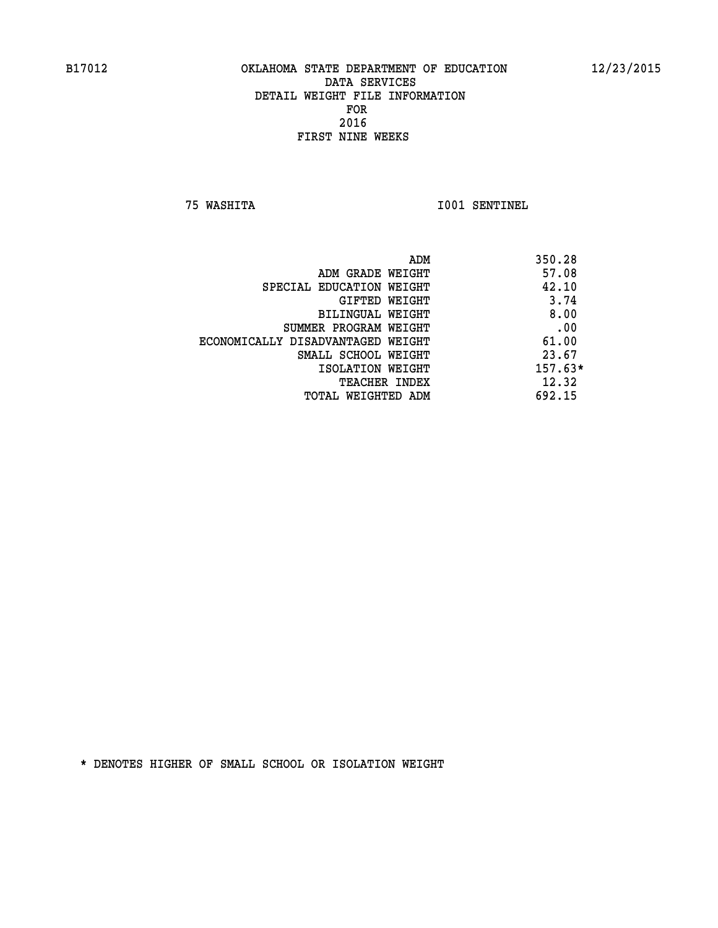**75 WASHITA I001 SENTINEL** 

| ADM                               | 350.28    |
|-----------------------------------|-----------|
| ADM GRADE WEIGHT                  | 57.08     |
| SPECIAL EDUCATION WEIGHT          | 42.10     |
| GIFTED WEIGHT                     | 3.74      |
| BILINGUAL WEIGHT                  | 8.00      |
| SUMMER PROGRAM WEIGHT             | .00       |
| ECONOMICALLY DISADVANTAGED WEIGHT | 61.00     |
| SMALL SCHOOL WEIGHT               | 23.67     |
| ISOLATION WEIGHT                  | $157.63*$ |
| <b>TEACHER INDEX</b>              | 12.32     |
| TOTAL WEIGHTED ADM                | 692.15    |
|                                   |           |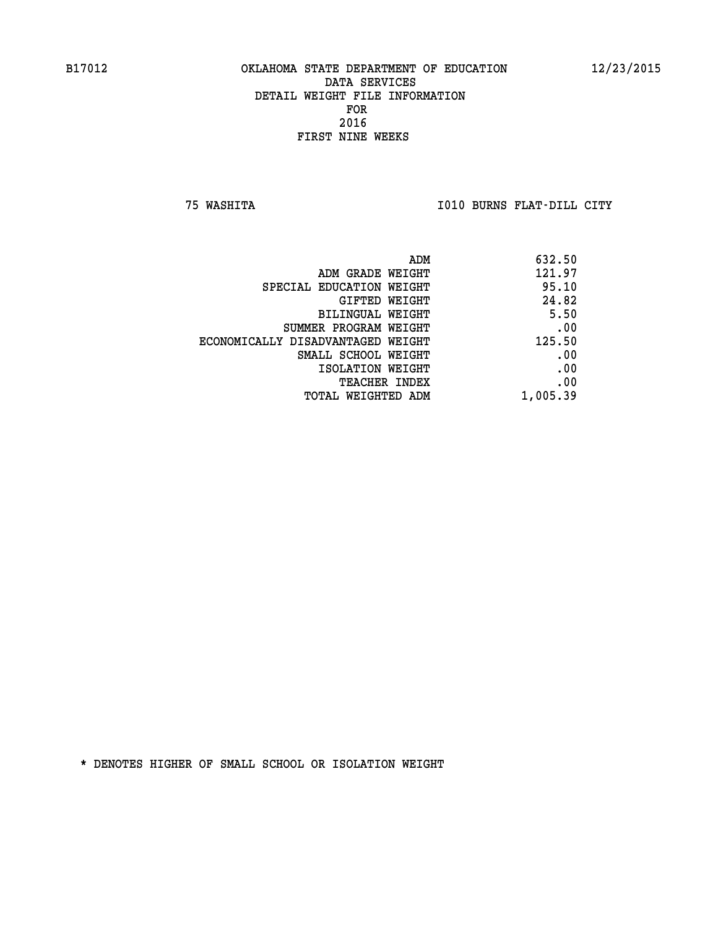**75 WASHITA I010 BURNS FLAT-DILL CITY** 

| ADM                               | 632.50   |
|-----------------------------------|----------|
| ADM GRADE WEIGHT                  | 121.97   |
| SPECIAL EDUCATION WEIGHT          | 95.10    |
| GIFTED WEIGHT                     | 24.82    |
| BILINGUAL WEIGHT                  | 5.50     |
| SUMMER PROGRAM WEIGHT             | .00      |
| ECONOMICALLY DISADVANTAGED WEIGHT | 125.50   |
| SMALL SCHOOL WEIGHT               | .00      |
| ISOLATION WEIGHT                  | .00      |
| <b>TEACHER INDEX</b>              | .00      |
| TOTAL WEIGHTED ADM                | 1,005.39 |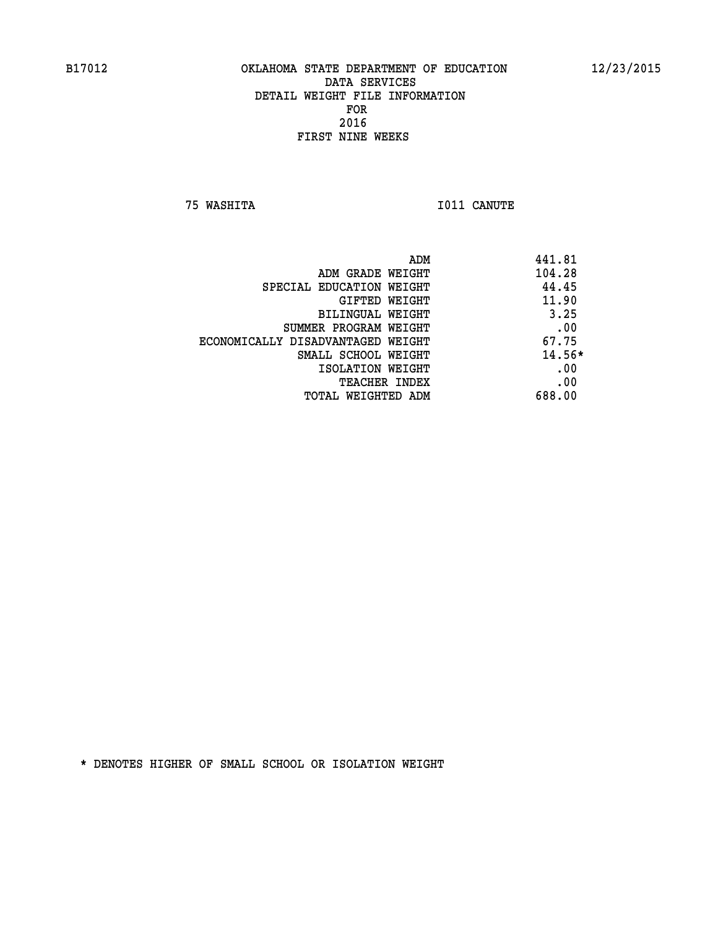**75 WASHITA I011 CANUTE** 

|                                   | 441.81<br>ADM |
|-----------------------------------|---------------|
| ADM GRADE WEIGHT                  | 104.28        |
| SPECIAL EDUCATION WEIGHT          | 44.45         |
| GIFTED WEIGHT                     | 11.90         |
| BILINGUAL WEIGHT                  | 3.25          |
| SUMMER PROGRAM WEIGHT             | .00           |
| ECONOMICALLY DISADVANTAGED WEIGHT | 67.75         |
| SMALL SCHOOL WEIGHT               | 14.56*        |
| ISOLATION WEIGHT                  | .00           |
| <b>TEACHER INDEX</b>              | .00           |
| TOTAL WEIGHTED ADM                | 688.00        |
|                                   |               |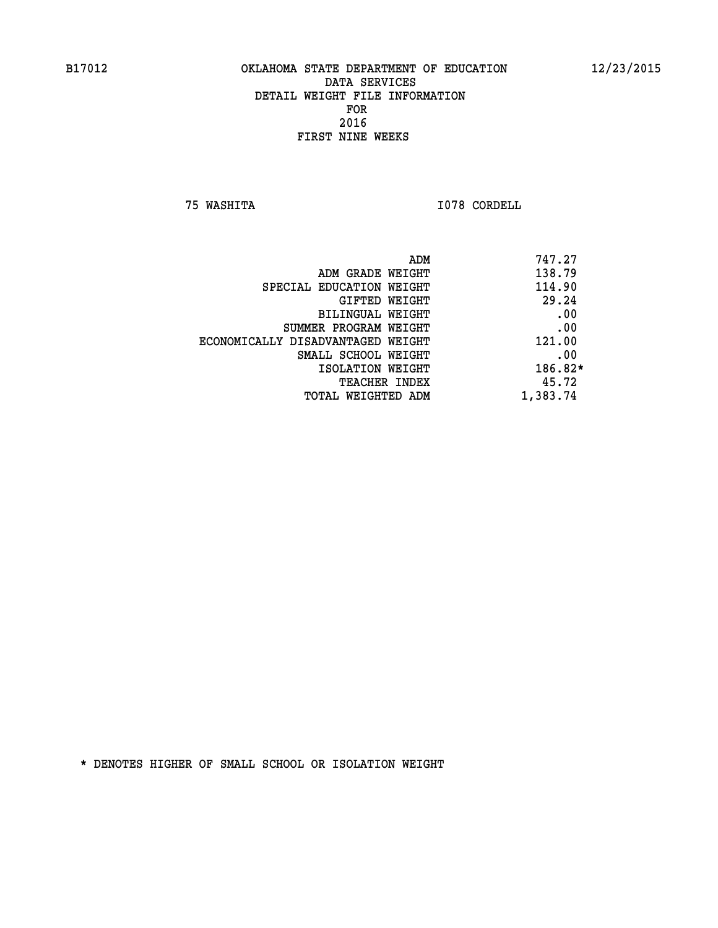**75 WASHITA I078 CORDELL** 

| 747.27<br>ADM |                                   |
|---------------|-----------------------------------|
| 138.79        | ADM GRADE WEIGHT                  |
| 114.90        | SPECIAL EDUCATION WEIGHT          |
| 29.24         | GIFTED WEIGHT                     |
| .00           | BILINGUAL WEIGHT                  |
| .00           | SUMMER PROGRAM WEIGHT             |
| 121.00        | ECONOMICALLY DISADVANTAGED WEIGHT |
| .00           | SMALL SCHOOL WEIGHT               |
| 186.82*       | ISOLATION WEIGHT                  |
| 45.72         | <b>TEACHER INDEX</b>              |
| 1,383.74      | TOTAL WEIGHTED ADM                |
|               |                                   |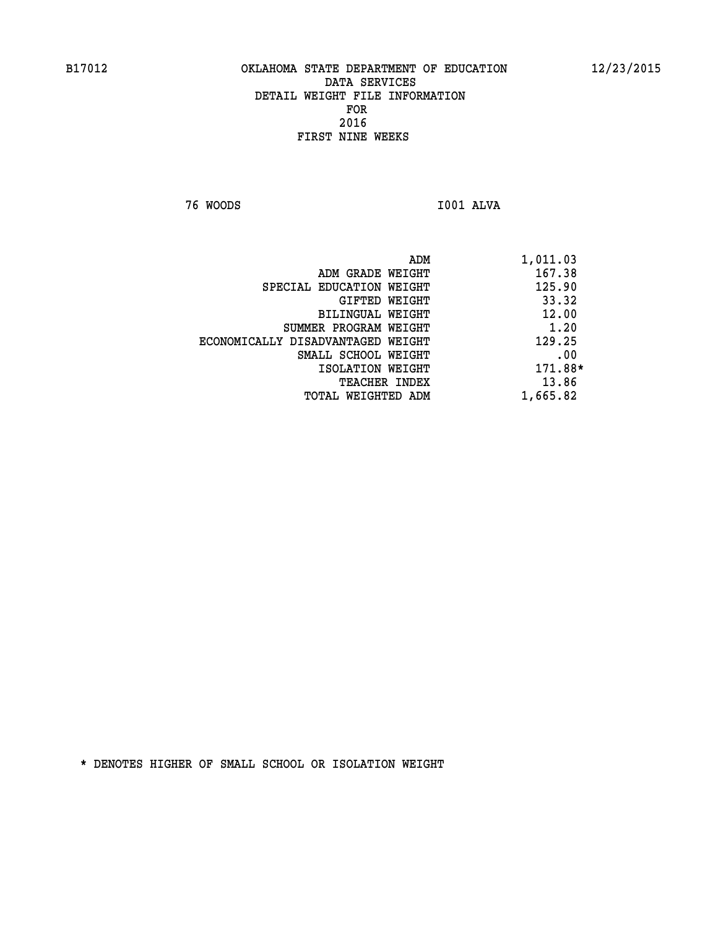**76 WOODS I001 ALVA** 

 **ADM 1,011.03**

| ADM GRADE WEIGHT                  | 167.38   |
|-----------------------------------|----------|
| SPECIAL EDUCATION WEIGHT          | 125.90   |
| GIFTED WEIGHT                     | 33.32    |
| BILINGUAL WEIGHT                  | 12.00    |
| SUMMER PROGRAM WEIGHT             | 1.20     |
| ECONOMICALLY DISADVANTAGED WEIGHT | 129.25   |
| SMALL SCHOOL WEIGHT               | .00      |
| ISOLATION WEIGHT                  | 171.88*  |
| <b>TEACHER INDEX</b>              | 13.86    |
| TOTAL WEIGHTED ADM                | 1,665.82 |
|                                   |          |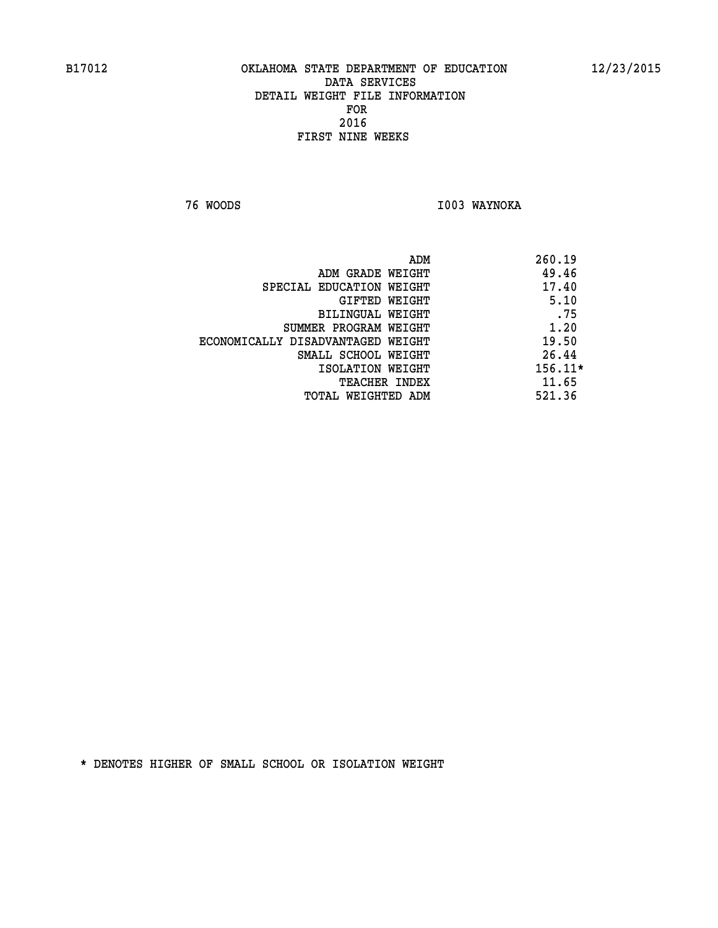**76 WOODS I003 WAYNOKA** 

|                                   | ADM | 260.19    |
|-----------------------------------|-----|-----------|
| ADM GRADE WEIGHT                  |     | 49.46     |
| SPECIAL EDUCATION WEIGHT          |     | 17.40     |
| GIFTED WEIGHT                     |     | 5.10      |
| BILINGUAL WEIGHT                  |     | .75       |
| SUMMER PROGRAM WEIGHT             |     | 1.20      |
| ECONOMICALLY DISADVANTAGED WEIGHT |     | 19.50     |
| SMALL SCHOOL WEIGHT               |     | 26.44     |
| ISOLATION WEIGHT                  |     | $156.11*$ |
| <b>TEACHER INDEX</b>              |     | 11.65     |
| TOTAL WEIGHTED ADM                |     | 521.36    |
|                                   |     |           |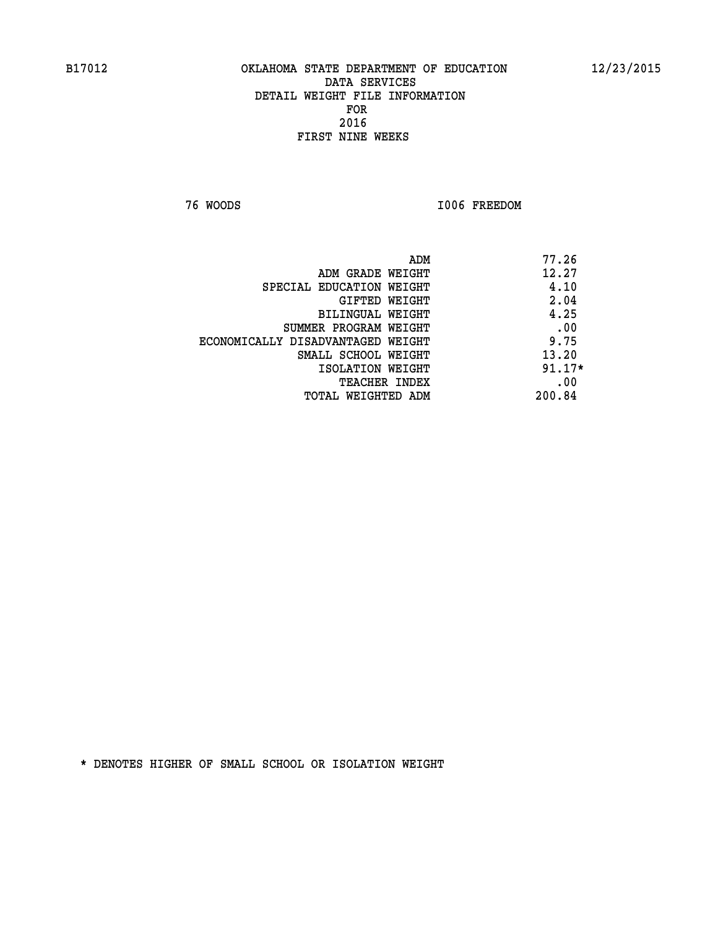**76 WOODS I006 FREEDOM** 

|                                   | 77.26<br>ADM |
|-----------------------------------|--------------|
| ADM GRADE WEIGHT                  | 12.27        |
| SPECIAL EDUCATION WEIGHT          | 4.10         |
| GIFTED WEIGHT                     | 2.04         |
| BILINGUAL WEIGHT                  | 4.25         |
| SUMMER PROGRAM WEIGHT             | .00          |
| ECONOMICALLY DISADVANTAGED WEIGHT | 9.75         |
| SMALL SCHOOL WEIGHT               | 13.20        |
| ISOLATION WEIGHT                  | $91.17*$     |
| TEACHER INDEX                     | .00          |
| TOTAL WEIGHTED ADM                | 200.84       |
|                                   |              |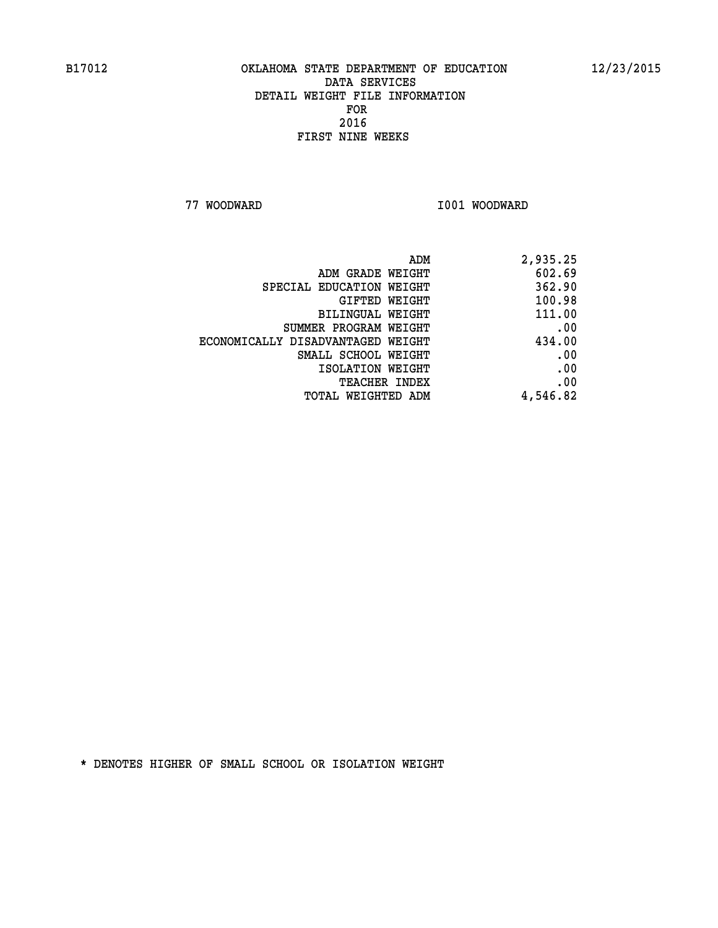**77 WOODWARD I001 WOODWARD** 

| 2,935.25 |
|----------|
| 602.69   |
| 362.90   |
| 100.98   |
| 111.00   |
| .00      |
| 434.00   |
| .00      |
| .00      |
| .00      |
| 4,546.82 |
|          |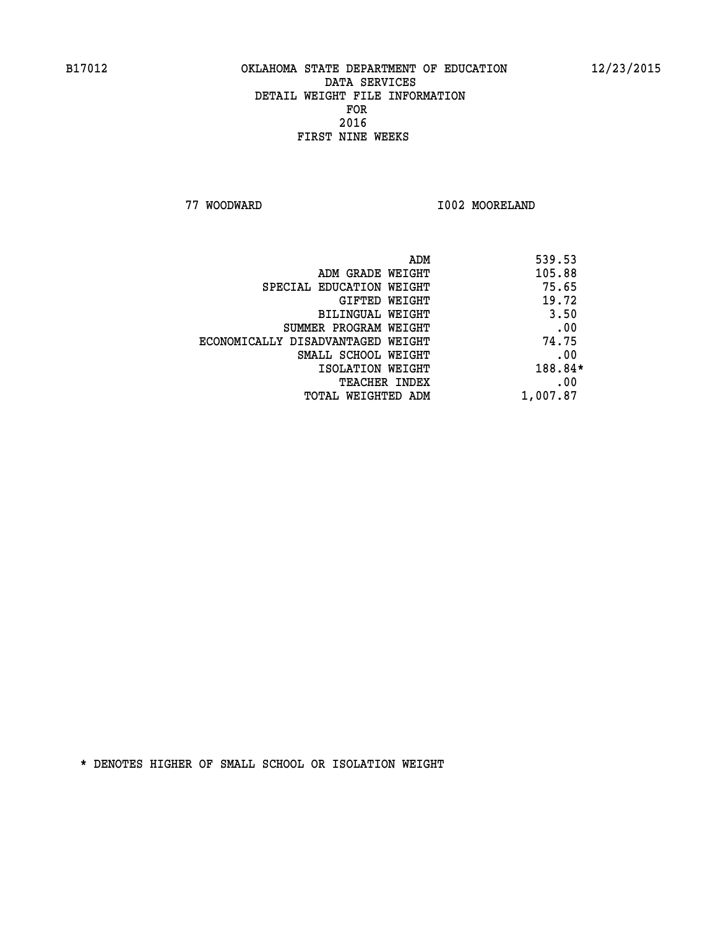**77 WOODWARD I002 MOORELAND** 

| 539.53<br>ADM |                                   |
|---------------|-----------------------------------|
| 105.88        | ADM GRADE WEIGHT                  |
| 75.65         | SPECIAL EDUCATION WEIGHT          |
| 19.72         | GIFTED WEIGHT                     |
| 3.50          | BILINGUAL WEIGHT                  |
| .00           | SUMMER PROGRAM WEIGHT             |
| 74.75         | ECONOMICALLY DISADVANTAGED WEIGHT |
| .00           | SMALL SCHOOL WEIGHT               |
| 188.84*       | ISOLATION WEIGHT                  |
| .00           | <b>TEACHER INDEX</b>              |
| 1,007.87      | TOTAL WEIGHTED ADM                |
|               |                                   |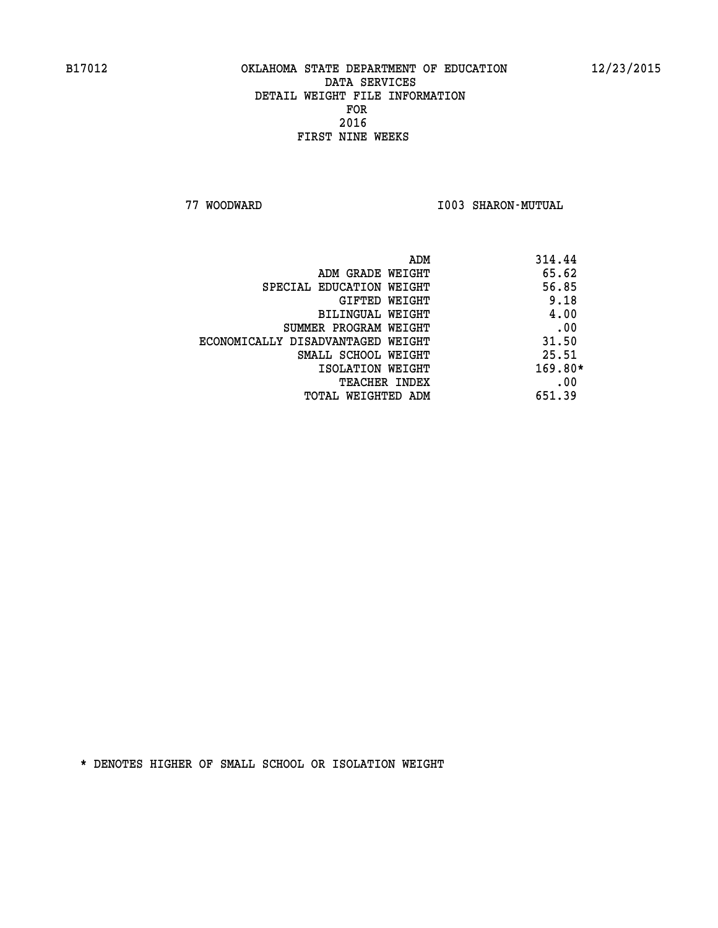**77 WOODWARD I003 SHARON-MUTUAL** 

| 314.44<br>ADM                              |      |
|--------------------------------------------|------|
| 65.62<br>ADM GRADE WEIGHT                  |      |
| 56.85<br>SPECIAL EDUCATION WEIGHT          |      |
| GIFTED WEIGHT                              | 9.18 |
| BILINGUAL WEIGHT                           | 4.00 |
| SUMMER PROGRAM WEIGHT                      | .00  |
| 31.50<br>ECONOMICALLY DISADVANTAGED WEIGHT |      |
| 25.51<br>SMALL SCHOOL WEIGHT               |      |
| $169.80*$<br>ISOLATION WEIGHT              |      |
| <b>TEACHER INDEX</b>                       | .00  |
| 651.39<br>TOTAL WEIGHTED ADM               |      |
|                                            |      |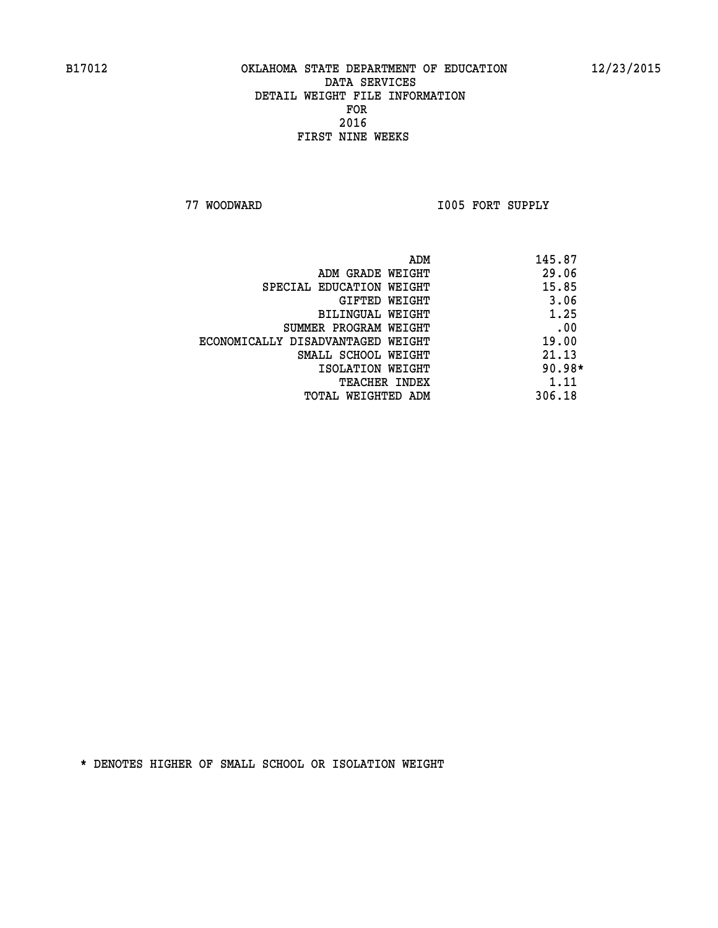**77 WOODWARD I005 FORT SUPPLY** 

|                                   | ADM | 145.87   |
|-----------------------------------|-----|----------|
| ADM GRADE WEIGHT                  |     | 29.06    |
| SPECIAL EDUCATION WEIGHT          |     | 15.85    |
| GIFTED WEIGHT                     |     | 3.06     |
| BILINGUAL WEIGHT                  |     | 1.25     |
| SUMMER PROGRAM WEIGHT             |     | .00      |
| ECONOMICALLY DISADVANTAGED WEIGHT |     | 19.00    |
| SMALL SCHOOL WEIGHT               |     | 21.13    |
| ISOLATION WEIGHT                  |     | $90.98*$ |
| TEACHER INDEX                     |     | 1.11     |
| TOTAL WEIGHTED ADM                |     | 306.18   |
|                                   |     |          |